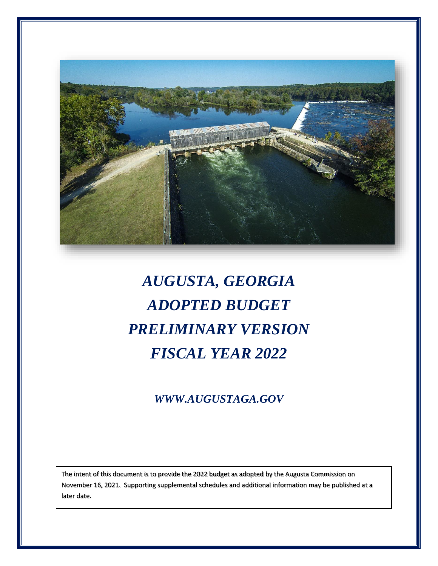

# *AUGUSTA, GEORGIA ADOPTED BUDGET PRELIMINARY VERSION FISCAL YEAR 2022*

# *WWW.AUGUSTAGA.GOV*

The intent of this document is to provide the 2022 budget as adopted by the Augusta Commission on November 16, 2021. Supporting supplemental schedules and additional information may be published at a later date.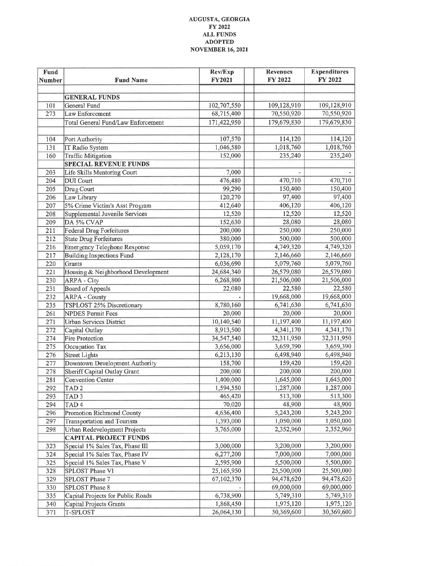#### AUGUSTA, GEORGIA FY 2022  $\mathbf{ALL}$  FUNDS **ADOPTED NOVEMBER 16, 2021**

| <b>Fund</b><br>Number | <b>Fund Name</b>                          | Rev/Exp<br><b>FY2021</b> | <b>Revenues</b><br>FY 2022 | <b>Expenditures</b><br>FY 2022 |
|-----------------------|-------------------------------------------|--------------------------|----------------------------|--------------------------------|
|                       |                                           |                          |                            |                                |
|                       | <b>GENERAL FUNDS</b>                      |                          |                            |                                |
| 101                   | General Fund                              | 102,707,550              | 109,128,910                | 109,128,910                    |
| 273                   | Law Enforcement                           | 68,715,400               | 70,550,920                 | 70,550,920                     |
|                       | <b>Total General Fund/Law Enforcement</b> | 171,422,950              | 179,679,830                | 179,679,830                    |
|                       |                                           |                          |                            |                                |
| 104                   | Port Authority                            | 107,570                  | 114,120                    | 114,120                        |
| 131                   | IT Radio System                           | 1,046,580                | 1,018,760                  | 1,018,760                      |
| 160                   | <b>Traffic Mitigation</b>                 | 152,000                  | 235,240                    | 235,240                        |
|                       | <b>SPECIAL REVENUE FUNDS</b>              |                          |                            |                                |
| 203                   | Life Skills Mentoring Court               | 7,000                    |                            |                                |
| 204                   | <b>DUI</b> Court                          | 476,480                  | 470,710                    | 470,710                        |
| 205                   | Drug Court                                | 99,290                   | 150,400                    | 150,400                        |
| 206                   | Law Library                               | 120,270                  | 97,400                     | 97,400                         |
| 207                   | 5% Crime Victim's Asst Program            | 412,640                  | 406,120                    | 406,120                        |
| 208                   | Supplemental Juvenile Services            | 12,520                   | 12,520                     | 12,520                         |
| 209                   | DA 5% CVAP                                | 152,630                  | 28,080                     | 28,080                         |
| 211                   | <b>Federal Drug Forfeitures</b>           | 200,000                  | 250,000                    | 250,000                        |
| 212                   | <b>State Drug Forfeitures</b>             | 380,000                  | 500,000                    | 500,000                        |
| 216                   | <b>Emergency Telephone Response</b>       | 5,059,170                | 4,749,320                  | 4,749,320                      |
| 217                   | <b>Building Inspections Fund</b>          | 2,128,170                | 2,146,660                  | 2,146,660                      |
| 220                   | Grants                                    | 6,036,690                | 5,079,760                  | 5,079,760                      |
| 221                   | Housing & Neighborhood Development        | 24,684,340               | 26,579,080                 | 26,579,080                     |
| 230                   | <b>ARPA - City</b>                        | 6,268,800                | 21,506,000                 | 21,506,000                     |
| 231                   | <b>Board of Appeals</b>                   | 22,080                   | 22,580                     | 22,580                         |
| 232                   | <b>ARPA - County</b>                      |                          | 19,668,000                 | 19,668,000                     |
| 235                   | TSPLOST 25% Discretionary                 | 8,780,160                | 6,741,630                  | 6,741,630                      |
| 261                   | <b>NPDES Permit Fees</b>                  | 20,000                   | 20,000                     | 20,000                         |
| 271                   | <b>Urban Services District</b>            | 10,140,540               | 11,197,400                 | 11,197,400                     |
| 272                   | Capital Outlay                            | 8,913,500                | 4,341,170                  | 4,341,170                      |
| 274                   | <b>Fire Protection</b>                    | 34,547,540               | 32,311,950                 | 32,311,950                     |
| 275                   | Occupation Tax                            | 3,656,000                | 3,659,390                  | 3,659,390                      |
| 276                   | <b>Street Lights</b>                      | 6,213,130                | 6,498,940                  | 6,498,940                      |
| 277                   | Downtown Development Authority            | 158,700                  | 159,420                    | 159,420                        |
| 278                   | Sheriff Capital Outlay Grant              | 200,000                  | 200,000                    | 200,000                        |
| 281                   | Convention Center                         | 1,400,000                | 1,645,000                  | 1,645,000                      |
| 292                   | TAD <sub>2</sub>                          | 1,594,550                | 1,287,000                  | 1,287,000                      |
| 293                   | TAD <sub>3</sub>                          | 465,420                  | 513,300                    | 513,300                        |
| 294                   | TAD <sub>4</sub>                          | 70,020                   | 48,900                     | 48,900                         |
| 296                   | Promotion Richmond County                 | 4,636,400                | 5,243,200                  | 5,243,200                      |
| 297                   | <b>Transportation and Tourism</b>         | 1,393,000                | 1,050,000                  | 1,050,000                      |
| 298                   | Urban Redevelopment Projects              | 3,765,000                | 2,352,960                  | 2,352,960                      |
|                       | <b>CAPITAL PROJECT FUNDS</b>              |                          |                            |                                |
| 323                   | Special 1% Sales Tax, Phase III           | 3,000,000                | 3,200,000                  | 3,200,000                      |
| 324                   | Special 1% Sales Tax, Phase IV            | 6,277,200                | 7,000,000                  | 7,000,000                      |
| 325                   | Special 1% Sales Tax, Phase V             | 2,595,900                | 5,500,000                  | 5,500,000                      |
| 328                   | SPLOST Phase VI                           | 25,165,950               | 25,500,000                 | 25,500,000                     |
| 329                   | SPLOST Phase 7                            | 67,102,370               | 94,478,620                 | 94,478,620                     |
| 330                   | SPLOST Phase 8                            |                          | 69,000,000                 | 69,000,000                     |
| 335                   | Capital Projects for Public Roads         | 6,738,900                | 5,749,310                  | 5,749,310                      |
| 340                   | Capital Projects Grants                   | 1,868,450                | 1,975,120                  | 1,975,120                      |
| 371                   | T-SPLOST                                  | 26,064,130               | 30,369,600                 | 30,369,600                     |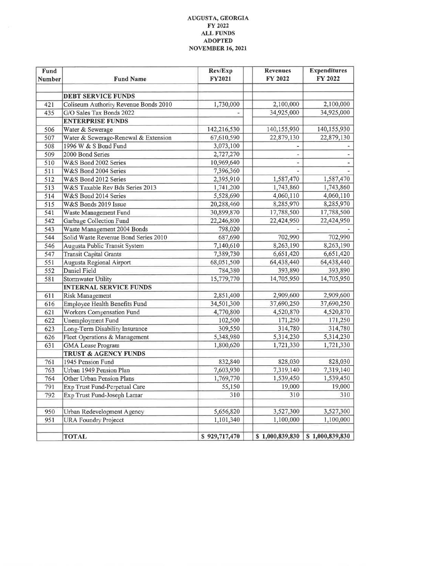#### AUGUSTA, GEORGIA FY 2022 **ALL FUNDS ADOPTED NOVEMBER 16, 2021**

| <b>Fund</b><br><b>Number</b> | <b>Fund Name</b>                      | Rev/Exp<br>FY2021 | <b>Revenues</b><br>FY 2022 | <b>Expenditures</b><br>FY 2022 |
|------------------------------|---------------------------------------|-------------------|----------------------------|--------------------------------|
|                              |                                       |                   |                            |                                |
|                              | DEBT SERVICE FUNDS                    |                   |                            |                                |
| 421                          | Coliseum Authority Revenue Bonds 2010 | 1,730,000         | 2,100,000                  | 2,100,000                      |
| 435                          | G/O Sales Tax Bonds 2022              |                   | 34,925,000                 | 34,925,000                     |
|                              | <b>ENTERPRISE FUNDS</b>               |                   |                            |                                |
| 506                          | Water & Sewerage                      | 142,216,530       | 140,155,930                | 140,155,930                    |
| 507                          | Water & Sewerage-Renewal & Extension  | 67,610,590        | 22,879,130                 | 22,879,130                     |
| 508                          | 1996 W & S Bond Fund                  | 3,073,100         |                            |                                |
| 509                          | 2000 Bond Series                      | 2,727,270         |                            |                                |
| 510                          | W&S Bond 2002 Series                  | 10,969,640        |                            |                                |
| 511                          | W&S Bond 2004 Series                  | 7,396,360         |                            |                                |
| 512                          | W&S Bond 2012 Series                  | 2,395,910         | 1,587,470                  | 1,587,470                      |
| 513                          | W&S Taxable Rev Bds Series 2013       | 1,741,200         | 1,743,860                  | 1,743,860                      |
| 514                          | W&S Bond 2014 Series                  | 5,528,690         | 4,060,110                  | 4,060,110                      |
| 515                          | W&S Bonds 2019 Issue                  | 20,288,460        | 8,285,970                  | 8,285,970                      |
| 541                          | Waste Management Fund                 | 30,899,870        | 17,788,500                 | 17,788,500                     |
| 542                          | Garbage Collection Fund               | 22,246,800        | 22,424,950                 | 22,424,950                     |
| 543                          | Waste Management 2004 Bonds           | 798,020           |                            |                                |
| 544                          | Solid Waste Revenue Bond Series 2010  | 687,690           | 702,990                    | 702,990                        |
| 546                          | Augusta Public Transit System         | 7,140,610         | 8,263,190                  | 8,263,190                      |
| 547                          | <b>Transit Capital Grants</b>         | 7,389,730         | 6,651,420                  | 6,651,420                      |
| 551                          | Augusta Regional Airport              | 68,051,500        | 64,438,440                 | 64,438,440                     |
| 552                          | Daniel Field                          | 784,380           | 393,890                    | 393,890                        |
| 581                          | Stormwater Utility                    | 15,779,770        | 14,705,950                 | 14,705,950                     |
|                              | <b>INTERNAL SERVICE FUNDS</b>         |                   |                            |                                |
| 611                          | Risk Management                       | 2,851,400         | 2,909,600                  | 2,909,600                      |
| 616                          | Employee Health Benefits Fund         | 34,501,300        | 37,690,250                 | 37,690,250                     |
| 621                          | Workers Compensation Fund             | 4,770,800         | 4,520,870                  | 4,520,870                      |
| 622                          | Unemployment Fund                     | 102,500           | 171,250                    | 171,250                        |
| 623                          | Long-Term Disability Insurance        | 309,550           | 314,780                    | 314,780                        |
| 626                          | Fleet Operations & Management         | 5,348,980         | 5,314,230                  | 5,314,230                      |
| 631                          | <b>GMA</b> Lease Program              | 1,800,620         | 1,721,330                  | 1,721,330                      |
|                              | <b>TRUST &amp; AGENCY FUNDS</b>       |                   |                            |                                |
| 761                          | 1945 Pension Fund                     | 832,840           | 828,030                    | 828,030                        |
| 763                          | Urban 1949 Pension Plan               | 7,603,930         | 7,319,140                  | 7,319,140                      |
| 764                          | Other Urban Pension Plans             | 1,769,770         | 1,539,450                  | 1,539,450                      |
| 791                          | Exp Trust Fund-Perpetual Care         | 55,150            | 19,000                     | 19,000                         |
| 792                          | Exp Trust Fund-Joseph Lamar           | 310               | 310                        | 310                            |
|                              |                                       |                   |                            |                                |
| 950                          | Urban Redevelopment Agency            | 5,656,820         | 3,527,300                  | 3,527,300                      |
| 951                          | <b>URA Foundry Projecct</b>           | 1,101,340         | 1,100,000                  | 1,100,000                      |
|                              |                                       |                   |                            |                                |
|                              | <b>TOTAL</b>                          | \$929,717,470     | \$1,000,839,830            | \$1,000,839,830                |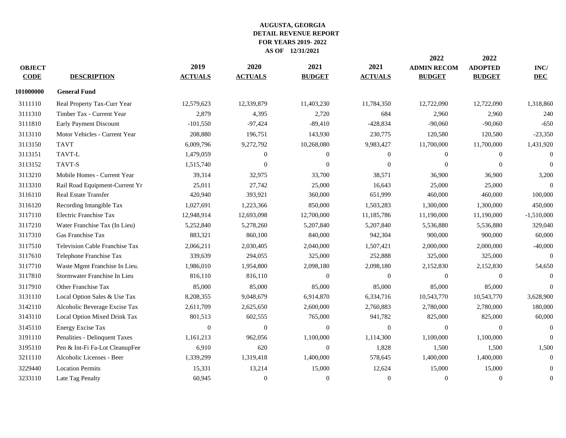|                                |            |                |                  |               | 2022               | 2022           |              |
|--------------------------------|------------|----------------|------------------|---------------|--------------------|----------------|--------------|
|                                | 2019       | 2020           | 2021             | 2021          | <b>ADMIN RECOM</b> | <b>ADOPTED</b> | INC/         |
| <b>DESCRIPTION</b>             |            |                |                  |               | <b>BUDGET</b>      | <b>BUDGET</b>  | <b>DEC</b>   |
| <b>General Fund</b>            |            |                |                  |               |                    |                |              |
| Real Property Tax-Curr Year    | 12,579,623 | 12,339,879     | 11,403,230       | 11,784,350    | 12,722,090         | 12,722,090     | 1,318,860    |
| Timber Tax - Current Year      | 2,879      | 4,395          | 2,720            | 684           | 2,960              | 2,960          | 240          |
| Early Payment Discount         | $-101,550$ | $-97,424$      | $-89,410$        | $-428,834$    | $-90,060$          | $-90,060$      | $-650$       |
| Motor Vehicles - Current Year  | 208,880    | 196,751        | 143,930          | 230,775       | 120,580            | 120,580        | $-23,350$    |
| <b>TAVT</b>                    | 6,009,796  | 9,272,792      | 10,268,080       | 9,983,427     | 11,700,000         | 11,700,000     | 1,431,920    |
| TAVT-L                         | 1,479,059  | $\mathbf{0}$   | $\boldsymbol{0}$ | $\mathbf{0}$  | $\overline{0}$     | $\mathbf{0}$   | $\theta$     |
| TAVT-S                         | 1,515,740  | $\mathbf{0}$   | $\overline{0}$   | $\Omega$      | $\Omega$           | $\overline{0}$ | $\Omega$     |
| Mobile Homes - Current Year    | 39,314     | 32,975         | 33,700           | 38,571        | 36,900             | 36,900         | 3,200        |
| Rail Road Equipment-Current Yr | 25,011     | 27,742         | 25,000           | 16,643        | 25,000             | 25,000         |              |
| <b>Real Estate Transfer</b>    | 420,940    | 393,921        | 360,000          | 651,999       | 460,000            | 460,000        | 100,000      |
| Recording Intangible Tax       | 1,027,691  | 1,223,366      | 850,000          | 1,503,283     | 1,300,000          | 1,300,000      | 450,000      |
| Electric Franchise Tax         | 12,948,914 | 12,693,098     | 12,700,000       | 11,185,786    | 11,190,000         | 11,190,000     | $-1,510,000$ |
| Water Franchise Tax (In Lieu)  | 5,252,840  | 5,278,260      | 5,207,840        | 5,207,840     | 5,536,880          | 5,536,880      | 329,040      |
| Gas Franchise Tax              | 883,321    | 860,100        | 840,000          | 942,304       | 900,000            | 900,000        | 60,000       |
| Television Cable Franchise Tax | 2,066,211  | 2,030,405      | 2,040,000        | 1,507,421     | 2,000,000          | 2,000,000      | $-40,000$    |
| Telephone Franchise Tax        | 339,639    | 294,055        | 325,000          | 252,888       | 325,000            | 325,000        | $\theta$     |
| Waste Mgmt Franchise In Lieu.  | 1,986,010  | 1,954,800      | 2,098,180        | 2,098,180     | 2,152,830          | 2,152,830      | 54,650       |
| Stormwater Franchise In Lieu   | 816,110    | 816,110        | $\Omega$         | $\Omega$      | $\theta$           | $\overline{0}$ | $\Omega$     |
| Other Franchise Tax            | 85,000     | 85,000         | 85,000           | 85,000        | 85,000             | 85,000         | $\Omega$     |
| Local Option Sales & Use Tax   | 8,208,355  | 9,048,679      | 6,914,870        | 6,334,716     | 10,543,770         | 10,543,770     | 3,628,900    |
| Alcoholic Beverage Excise Tax  | 2,611,709  | 2,625,650      | 2,600,000        | 2,760,883     | 2,780,000          | 2,780,000      | 180,000      |
| Local Option Mixed Drink Tax   | 801,513    | 602,555        | 765,000          | 941,782       | 825,000            | 825,000        | 60,000       |
| <b>Energy Excise Tax</b>       | $\Omega$   | $\theta$       | $\overline{0}$   | $\Omega$      | $\Omega$           | $\overline{0}$ | $\Omega$     |
| Penalities - Delinquent Taxes  | 1,161,213  | 962,056        | 1,100,000        | 1,114,300     | 1,100,000          | 1,100,000      | $\Omega$     |
| Pen & Int-Fi Fa-Lot CleanupFee | 6,910      | 620            | $\overline{0}$   | 1,828         | 1,500              | 1,500          | 1,500        |
| Alcoholic Licenses - Beer      | 1,339,299  | 1,319,418      | 1,400,000        | 578,645       | 1,400,000          | 1,400,000      | $\Omega$     |
| <b>Location Permits</b>        | 15,331     | 13,214         | 15,000           | 12,624        | 15,000             | 15,000         | $\Omega$     |
| Late Tag Penalty               | 60,945     | $\theta$       | $\overline{0}$   | $\Omega$      | $\Omega$           | $\overline{0}$ | $\mathbf{0}$ |
|                                |            | <b>ACTUALS</b> | <b>ACTUALS</b>   | <b>BUDGET</b> | <b>ACTUALS</b>     |                |              |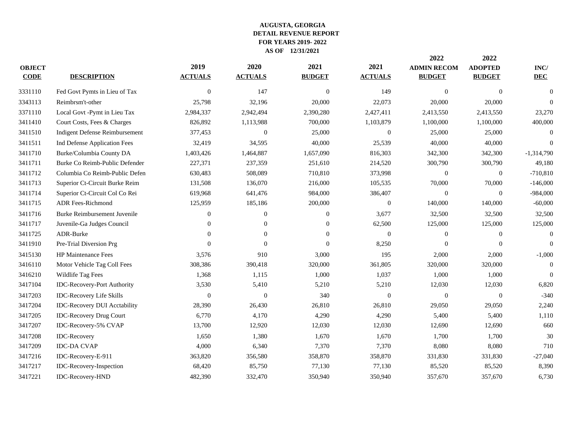|               |                                       |                  |                  |                |                  | 2022               | 2022             |                 |
|---------------|---------------------------------------|------------------|------------------|----------------|------------------|--------------------|------------------|-----------------|
| <b>OBJECT</b> |                                       | 2019             | 2020             | 2021           | 2021             | <b>ADMIN RECOM</b> | <b>ADOPTED</b>   | $\mathbf{INC}/$ |
| <b>CODE</b>   | <b>DESCRIPTION</b>                    | <b>ACTUALS</b>   | <b>ACTUALS</b>   | <b>BUDGET</b>  | <b>ACTUALS</b>   | <b>BUDGET</b>      | <b>BUDGET</b>    | <b>DEC</b>      |
| 3331110       | Fed Govt Pymts in Lieu of Tax         | $\boldsymbol{0}$ | 147              | $\mathbf{0}$   | 149              | $\mathbf{0}$       | $\boldsymbol{0}$ | $\overline{0}$  |
| 3343113       | Reimbrsm't-other                      | 25,798           | 32,196           | 20,000         | 22,073           | 20,000             | 20,000           | $\Omega$        |
| 3371110       | Local Govt -Pymt in Lieu Tax          | 2,984,337        | 2,942,494        | 2,390,280      | 2,427,411        | 2,413,550          | 2,413,550        | 23,270          |
| 3411410       | Court Costs, Fees & Charges           | 826,892          | 1,113,988        | 700,000        | 1,103,879        | 1,100,000          | 1,100,000        | 400,000         |
| 3411510       | <b>Indigent Defense Reimbursement</b> | 377,453          | $\mathbf{0}$     | 25,000         | $\boldsymbol{0}$ | 25,000             | 25,000           | $\overline{0}$  |
| 3411511       | Ind Defense Application Fees          | 32,419           | 34,595           | 40,000         | 25,539           | 40,000             | 40,000           | $\Omega$        |
| 3411710       | Burke/Columbia County DA              | 1,403,426        | 1,464,887        | 1,657,090      | 816,303          | 342,300            | 342,300          | $-1,314,790$    |
| 3411711       | Burke Co Reimb-Public Defender        | 227,371          | 237,359          | 251,610        | 214,520          | 300,790            | 300,790          | 49,180          |
| 3411712       | Columbia Co Reimb-Public Defen        | 630,483          | 508,089          | 710,810        | 373,998          | $\mathbf{0}$       | $\boldsymbol{0}$ | $-710,810$      |
| 3411713       | Superior Ct-Circuit Burke Reim        | 131,508          | 136,070          | 216,000        | 105,535          | 70,000             | 70,000           | $-146,000$      |
| 3411714       | Superior Ct-Circuit Col Co Rei        | 619,968          | 641,476          | 984,000        | 386,407          | $\theta$           | $\mathbf{0}$     | $-984,000$      |
| 3411715       | <b>ADR Fees-Richmond</b>              | 125,959          | 185,186          | 200,000        | $\boldsymbol{0}$ | 140,000            | 140,000          | $-60,000$       |
| 3411716       | <b>Burke Reimbursement Juvenile</b>   | $\theta$         | $\mathbf{0}$     | $\overline{0}$ | 3,677            | 32,500             | 32,500           | 32,500          |
| 3411717       | Juvenile-Ga Judges Council            | $\theta$         | $\mathbf{0}$     | $\overline{0}$ | 62,500           | 125,000            | 125,000          | 125,000         |
| 3411725       | ADR-Burke                             | $\Omega$         | $\theta$         | $\Omega$       | $\Omega$         | $\mathbf{0}$       | $\boldsymbol{0}$ | $\Omega$        |
| 3411910       | Pre-Trial Diversion Prg               | $\Omega$         | $\Omega$         | $\Omega$       | 8,250            | $\Omega$           | $\mathbf{0}$     | $\Omega$        |
| 3415130       | <b>HP</b> Maintenance Fees            | 3,576            | 910              | 3,000          | 195              | 2,000              | 2,000            | $-1,000$        |
| 3416110       | Motor Vehicle Tag Coll Fees           | 308,386          | 390,418          | 320,000        | 361,805          | 320,000            | 320,000          | $\theta$        |
| 3416210       | Wildlife Tag Fees                     | 1,368            | 1,115            | 1,000          | 1,037            | 1,000              | 1,000            | $\mathbf{0}$    |
| 3417104       | IDC-Recovery-Port Authority           | 3,530            | 5,410            | 5,210          | 5,210            | 12,030             | 12,030           | 6,820           |
| 3417203       | <b>IDC-Recovery Life Skills</b>       | $\boldsymbol{0}$ | $\boldsymbol{0}$ | 340            | $\boldsymbol{0}$ | $\boldsymbol{0}$   | $\boldsymbol{0}$ | $-340$          |
| 3417204       | <b>IDC-Recovery DUI Acctability</b>   | 28,390           | 26,430           | 26,810         | 26,810           | 29,050             | 29,050           | 2,240           |
| 3417205       | <b>IDC-Recovery Drug Court</b>        | 6,770            | 4,170            | 4,290          | 4,290            | 5,400              | 5,400            | 1,110           |
| 3417207       | IDC-Recovery-5% CVAP                  | 13,700           | 12,920           | 12,030         | 12,030           | 12,690             | 12,690           | 660             |
| 3417208       | <b>IDC-Recovery</b>                   | 1,650            | 1,380            | 1,670          | 1,670            | 1,700              | 1,700            | 30              |
| 3417209       | <b>IDC-DA CVAP</b>                    | 4,000            | 6,340            | 7,370          | 7,370            | 8,080              | 8,080            | 710             |
| 3417216       | IDC-Recovery-E-911                    | 363,820          | 356,580          | 358,870        | 358,870          | 331,830            | 331,830          | $-27,040$       |
| 3417217       | IDC-Recovery-Inspection               | 68,420           | 85,750           | 77,130         | 77,130           | 85,520             | 85,520           | 8,390           |
| 3417221       | IDC-Recovery-HND                      | 482,390          | 332,470          | 350,940        | 350,940          | 357,670            | 357,670          | 6,730           |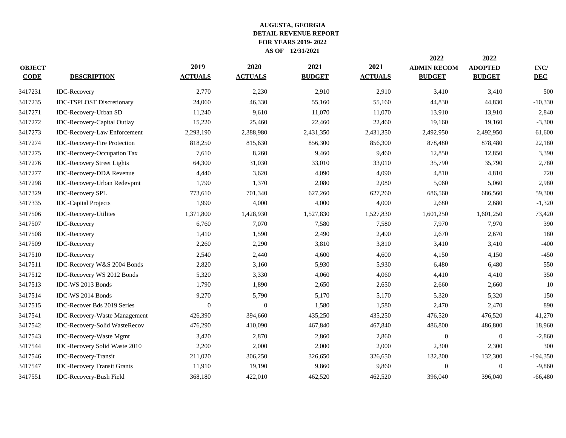| <b>OBJECT</b><br><b>CODE</b> | <b>DESCRIPTION</b>                  | 2019<br><b>ACTUALS</b> | 2020<br><b>ACTUALS</b> | 2021<br><b>BUDGET</b> | 2021<br><b>ACTUALS</b> | 2022<br><b>ADMIN RECOM</b><br><b>BUDGET</b> | 2022<br><b>ADOPTED</b><br><b>BUDGET</b> | $\mathbf{INC}/$<br><b>DEC</b> |
|------------------------------|-------------------------------------|------------------------|------------------------|-----------------------|------------------------|---------------------------------------------|-----------------------------------------|-------------------------------|
| 3417231                      | <b>IDC-Recovery</b>                 | 2,770                  | 2,230                  | 2,910                 | 2,910                  | 3,410                                       | 3,410                                   | 500                           |
| 3417235                      | <b>IDC-TSPLOST Discretionary</b>    | 24,060                 | 46,330                 | 55,160                | 55,160                 | 44,830                                      | 44,830                                  | $-10,330$                     |
| 3417271                      | IDC-Recovery-Urban SD               | 11,240                 | 9,610                  | 11,070                | 11,070                 | 13,910                                      | 13,910                                  | 2,840                         |
| 3417272                      | IDC-Recovery-Capital Outlay         | 15,220                 | 25,460                 | 22,460                | 22,460                 | 19,160                                      | 19,160                                  | $-3,300$                      |
| 3417273                      | IDC-Recovery-Law Enforcement        | 2,293,190              | 2,388,980              | 2,431,350             | 2,431,350              | 2,492,950                                   | 2,492,950                               | 61,600                        |
| 3417274                      | <b>IDC-Recovery-Fire Protection</b> | 818,250                | 815,630                | 856,300               | 856,300                | 878,480                                     | 878,480                                 | 22,180                        |
| 3417275                      | IDC-Recovery-Occupation Tax         | 7,610                  | 8,260                  | 9,460                 | 9,460                  | 12,850                                      | 12,850                                  | 3,390                         |
| 3417276                      | <b>IDC-Recovery Street Lights</b>   | 64,300                 | 31,030                 | 33,010                | 33,010                 | 35,790                                      | 35,790                                  | 2,780                         |
| 3417277                      | <b>IDC-Recovery-DDA Revenue</b>     | 4,440                  | 3,620                  | 4,090                 | 4,090                  | 4,810                                       | 4,810                                   | 720                           |
| 3417298                      | IDC-Recovery-Urban Redevpmt         | 1,790                  | 1,370                  | 2,080                 | 2,080                  | 5,060                                       | 5,060                                   | 2,980                         |
| 3417329                      | <b>IDC-Recovery SPL</b>             | 773,610                | 701,340                | 627,260               | 627,260                | 686,560                                     | 686,560                                 | 59,300                        |
| 3417335                      | <b>IDC-Capital Projects</b>         | 1,990                  | 4,000                  | 4,000                 | 4,000                  | 2,680                                       | 2,680                                   | $-1,320$                      |
| 3417506                      | <b>IDC-Recovery-Utilites</b>        | 1,371,800              | 1,428,930              | 1,527,830             | 1,527,830              | 1,601,250                                   | 1,601,250                               | 73,420                        |
| 3417507                      | <b>IDC-Recovery</b>                 | 6,760                  | 7,070                  | 7,580                 | 7,580                  | 7,970                                       | 7,970                                   | 390                           |
| 3417508                      | <b>IDC-Recovery</b>                 | 1,410                  | 1,590                  | 2,490                 | 2,490                  | 2,670                                       | 2,670                                   | 180                           |
| 3417509                      | <b>IDC-Recovery</b>                 | 2,260                  | 2,290                  | 3,810                 | 3,810                  | 3,410                                       | 3,410                                   | $-400$                        |
| 3417510                      | <b>IDC-Recovery</b>                 | 2,540                  | 2,440                  | 4,600                 | 4,600                  | 4,150                                       | 4,150                                   | $-450$                        |
| 3417511                      | IDC-Recovery W&S 2004 Bonds         | 2,820                  | 3,160                  | 5,930                 | 5,930                  | 6,480                                       | 6,480                                   | 550                           |
| 3417512                      | IDC-Recovery WS 2012 Bonds          | 5,320                  | 3,330                  | 4,060                 | 4,060                  | 4,410                                       | 4,410                                   | 350                           |
| 3417513                      | IDC-WS 2013 Bonds                   | 1,790                  | 1,890                  | 2,650                 | 2,650                  | 2,660                                       | 2,660                                   | $10\,$                        |
| 3417514                      | IDC-WS 2014 Bonds                   | 9,270                  | 5,790                  | 5,170                 | 5,170                  | 5,320                                       | 5,320                                   | 150                           |
| 3417515                      | IDC-Recover Bds 2019 Series         | $\theta$               | $\mathbf{0}$           | 1,580                 | 1,580                  | 2,470                                       | 2,470                                   | 890                           |
| 3417541                      | IDC-Recovery-Waste Management       | 426,390                | 394,660                | 435,250               | 435,250                | 476,520                                     | 476,520                                 | 41,270                        |
| 3417542                      | IDC-Recovery-Solid WasteRecov       | 476,290                | 410,090                | 467,840               | 467,840                | 486,800                                     | 486,800                                 | 18,960                        |
| 3417543                      | <b>IDC-Recovery-Waste Mgmt</b>      | 3,420                  | 2,870                  | 2,860                 | 2,860                  | $\theta$                                    | $\boldsymbol{0}$                        | $-2,860$                      |
| 3417544                      | IDC-Recovery Solid Waste 2010       | 2,200                  | 2,000                  | 2,000                 | 2,000                  | 2,300                                       | 2,300                                   | 300                           |
| 3417546                      | IDC-Recovery-Transit                | 211,020                | 306,250                | 326,650               | 326,650                | 132,300                                     | 132,300                                 | $-194,350$                    |
| 3417547                      | <b>IDC-Recovery Transit Grants</b>  | 11,910                 | 19,190                 | 9,860                 | 9,860                  | $\Omega$                                    | $\overline{0}$                          | $-9,860$                      |
| 3417551                      | IDC-Recovery-Bush Field             | 368,180                | 422,010                | 462,520               | 462,520                | 396,040                                     | 396,040                                 | $-66,480$                     |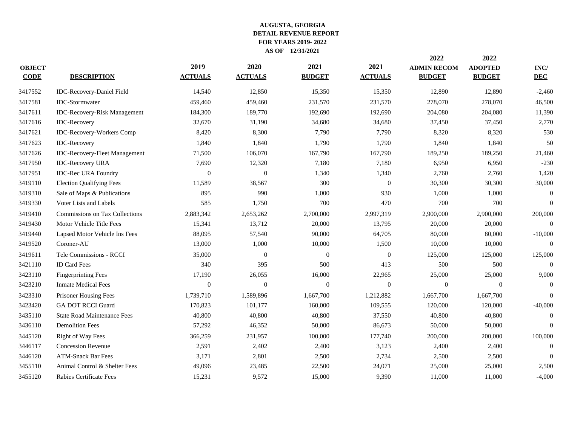|               |                                     |                  |                  |                  |                  | 2022               | 2022           |                                                                                                                                                                                                                                                                            |
|---------------|-------------------------------------|------------------|------------------|------------------|------------------|--------------------|----------------|----------------------------------------------------------------------------------------------------------------------------------------------------------------------------------------------------------------------------------------------------------------------------|
| <b>OBJECT</b> |                                     | 2019             | 2020             | 2021             | 2021             | <b>ADMIN RECOM</b> | <b>ADOPTED</b> | $\mathbf{INC}/$                                                                                                                                                                                                                                                            |
| <b>CODE</b>   | <b>DESCRIPTION</b>                  | <b>ACTUALS</b>   | <b>ACTUALS</b>   | <b>BUDGET</b>    | <b>ACTUALS</b>   | <b>BUDGET</b>      | <b>BUDGET</b>  | <b>DEC</b><br>$-2,460$<br>46,500<br>11,390<br>2,770<br>530<br>50<br>21,460<br>$-230$<br>1,420<br>30,000<br>$\mathbf{0}$<br>$\overline{0}$<br>200,000<br>$\Omega$<br>$-10,000$<br>$\Omega$<br>125,000<br>$\overline{0}$<br>9,000<br>$\overline{0}$<br>$\theta$<br>$-40,000$ |
| 3417552       | IDC-Recovery-Daniel Field           | 14,540           | 12,850           | 15,350           | 15,350           | 12,890             | 12,890         |                                                                                                                                                                                                                                                                            |
| 3417581       | <b>IDC-Stormwater</b>               | 459,460          | 459,460          | 231,570          | 231,570          | 278,070            | 278,070        |                                                                                                                                                                                                                                                                            |
| 3417611       | <b>IDC-Recovery-Risk Management</b> | 184,300          | 189,770          | 192,690          | 192,690          | 204,080            | 204,080        |                                                                                                                                                                                                                                                                            |
| 3417616       | <b>IDC-Recovery</b>                 | 32,670           | 31,190           | 34,680           | 34,680           | 37,450             | 37,450         |                                                                                                                                                                                                                                                                            |
| 3417621       | IDC-Recovery-Workers Comp           | 8,420            | 8,300            | 7,790            | 7,790            | 8,320              | 8,320          |                                                                                                                                                                                                                                                                            |
| 3417623       | <b>IDC-Recovery</b>                 | 1,840            | 1,840            | 1,790            | 1,790            | 1,840              | 1,840          |                                                                                                                                                                                                                                                                            |
| 3417626       | IDC-Recovery-Fleet Management       | 71,500           | 106,070          | 167,790          | 167,790          | 189,250            | 189,250        |                                                                                                                                                                                                                                                                            |
| 3417950       | <b>IDC-Recovery URA</b>             | 7,690            | 12,320           | 7,180            | 7,180            | 6,950              | 6,950          |                                                                                                                                                                                                                                                                            |
| 3417951       | <b>IDC-Rec URA Foundry</b>          | $\overline{0}$   | $\boldsymbol{0}$ | 1,340            | 1,340            | 2,760              | 2,760          |                                                                                                                                                                                                                                                                            |
| 3419110       | <b>Election Qualifying Fees</b>     | 11,589           | 38,567           | 300              | $\Omega$         | 30,300             | 30,300         |                                                                                                                                                                                                                                                                            |
| 3419310       | Sale of Maps & Publications         | 895              | 990              | 1,000            | 930              | 1,000              | 1,000          |                                                                                                                                                                                                                                                                            |
| 3419330       | Voter Lists and Labels              | 585              | 1,750            | 700              | 470              | 700                | 700            |                                                                                                                                                                                                                                                                            |
| 3419410       | Commissions on Tax Collections      | 2,883,342        | 2,653,262        | 2,700,000        | 2,997,319        | 2,900,000          | 2,900,000      |                                                                                                                                                                                                                                                                            |
| 3419430       | Motor Vehicle Title Fees            | 15,341           | 13,712           | 20,000           | 13,795           | 20,000             | 20,000         |                                                                                                                                                                                                                                                                            |
| 3419440       | Lapsed Motor Vehicle Ins Fees       | 88,095           | 57,540           | 90,000           | 64,705           | 80,000             | 80,000         |                                                                                                                                                                                                                                                                            |
| 3419520       | Coroner-AU                          | 13,000           | 1,000            | 10,000           | 1,500            | 10,000             | 10,000         |                                                                                                                                                                                                                                                                            |
| 3419611       | Tele Commissions - RCCI             | 35,000           | $\boldsymbol{0}$ | $\boldsymbol{0}$ | $\boldsymbol{0}$ | 125,000            | 125,000        |                                                                                                                                                                                                                                                                            |
| 3421110       | <b>ID Card Fees</b>                 | 340              | 395              | 500              | 413              | 500                | 500            |                                                                                                                                                                                                                                                                            |
| 3423110       | <b>Fingerprinting Fees</b>          | 17,190           | 26,055           | 16,000           | 22,965           | 25,000             | 25,000         |                                                                                                                                                                                                                                                                            |
| 3423210       | <b>Inmate Medical Fees</b>          | $\boldsymbol{0}$ | $\mathbf{0}$     | $\mathbf{0}$     | $\theta$         | $\theta$           | $\mathbf{0}$   |                                                                                                                                                                                                                                                                            |
| 3423310       | Prisoner Housing Fees               | 1,739,710        | 1,589,896        | 1,667,700        | 1,212,882        | 1,667,700          | 1,667,700      |                                                                                                                                                                                                                                                                            |
| 3423420       | <b>GA DOT RCCI Guard</b>            | 170,823          | 101,177          | 160,000          | 109,555          | 120,000            | 120,000        |                                                                                                                                                                                                                                                                            |
| 3435110       | <b>State Road Maintenance Fees</b>  | 40,800           | 40,800           | 40,800           | 37,550           | 40,800             | 40,800         | $\overline{0}$                                                                                                                                                                                                                                                             |
| 3436110       | <b>Demolition Fees</b>              | 57,292           | 46,352           | 50,000           | 86,673           | 50,000             | 50,000         | $\overline{0}$                                                                                                                                                                                                                                                             |
| 3445120       | Right of Way Fees                   | 366,259          | 231,957          | 100,000          | 177,740          | 200,000            | 200,000        | 100,000                                                                                                                                                                                                                                                                    |
| 3446117       | <b>Concession Revenue</b>           | 2,591            | 2,402            | 2,400            | 3,123            | 2,400              | 2,400          | $\overline{0}$                                                                                                                                                                                                                                                             |
| 3446120       | <b>ATM-Snack Bar Fees</b>           | 3,171            | 2,801            | 2,500            | 2,734            | 2,500              | 2,500          | $\overline{0}$                                                                                                                                                                                                                                                             |
| 3455110       | Animal Control & Shelter Fees       | 49,096           | 23,485           | 22,500           | 24,071           | 25,000             | 25,000         | 2,500                                                                                                                                                                                                                                                                      |
| 3455120       | Rabies Certificate Fees             | 15,231           | 9,572            | 15,000           | 9,390            | 11,000             | 11,000         | $-4,000$                                                                                                                                                                                                                                                                   |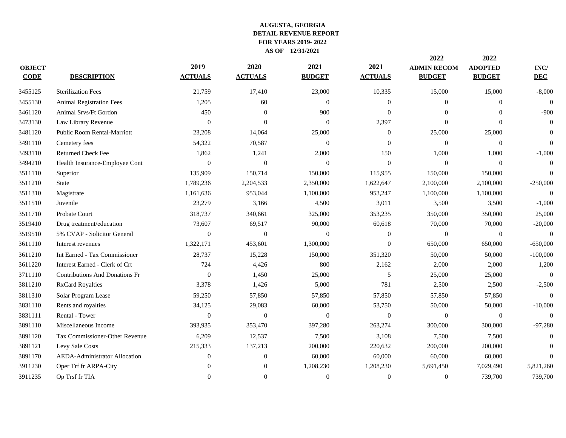| <b>OBJECT</b><br><b>CODE</b> | <b>DESCRIPTION</b>                    | 2019<br><b>ACTUALS</b> | 2020<br><b>ACTUALS</b> | 2021<br><b>BUDGET</b> | 2021<br><b>ACTUALS</b> | 2022<br><b>ADMIN RECOM</b><br><b>BUDGET</b> | 2022<br><b>ADOPTED</b><br><b>BUDGET</b> | $\mathbf{INC}/$<br><b>DEC</b> |
|------------------------------|---------------------------------------|------------------------|------------------------|-----------------------|------------------------|---------------------------------------------|-----------------------------------------|-------------------------------|
| 3455125                      | <b>Sterilization Fees</b>             | 21,759                 | 17,410                 | 23,000                | 10,335                 | 15,000                                      | 15,000                                  | $-8,000$                      |
| 3455130                      | <b>Animal Registration Fees</b>       | 1,205                  | 60                     | $\boldsymbol{0}$      | $\boldsymbol{0}$       | $\theta$                                    | $\mathbf{0}$                            | $\overline{0}$                |
| 3461120                      | Animal Srvs/Ft Gordon                 | 450                    | $\overline{0}$         | 900                   | $\Omega$               | $\Omega$                                    | $\theta$                                | $-900$                        |
| 3473130                      | Law Library Revenue                   | $\Omega$               | $\theta$               | $\Omega$              | 2,397                  | $\Omega$                                    | $\Omega$                                | $\Omega$                      |
| 3481120                      | <b>Public Room Rental-Marriott</b>    | 23,208                 | 14,064                 | 25,000                | $\theta$               | 25,000                                      | 25,000                                  | $\Omega$                      |
| 3491110                      | Cemetery fees                         | 54,322                 | 70,587                 | $\theta$              | $\Omega$               | $\overline{0}$                              | $\boldsymbol{0}$                        | $\Omega$                      |
| 3493110                      | Returned Check Fee                    | 1,862                  | 1,241                  | 2,000                 | 150                    | 1,000                                       | 1,000                                   | $-1,000$                      |
| 3494210                      | Health Insurance-Employee Cont        | $\Omega$               | $\overline{0}$         | $\Omega$              | $\Omega$               | $\Omega$                                    | $\overline{0}$                          | $\Omega$                      |
| 3511110                      | Superior                              | 135,909                | 150,714                | 150,000               | 115,955                | 150,000                                     | 150,000                                 | $\theta$                      |
| 3511210                      | <b>State</b>                          | 1,789,236              | 2,204,533              | 2,350,000             | 1,622,647              | 2,100,000                                   | 2,100,000                               | $-250,000$                    |
| 3511310                      | Magistrate                            | 1,161,636              | 953,044                | 1,100,000             | 953,247                | 1,100,000                                   | 1,100,000                               | $\Omega$                      |
| 3511510                      | Juvenile                              | 23,279                 | 3,166                  | 4,500                 | 3,011                  | 3,500                                       | 3,500                                   | $-1,000$                      |
| 3511710                      | Probate Court                         | 318,737                | 340,661                | 325,000               | 353,235                | 350,000                                     | 350,000                                 | 25,000                        |
| 3519410                      | Drug treatment/education              | 73,607                 | 69,517                 | 90,000                | 60,618                 | 70,000                                      | 70,000                                  | $-20,000$                     |
| 3519510                      | 5% CVAP - Solicitor General           | $\theta$               | $\mathbf{0}$           | $\mathbf{0}$          | $\overline{0}$         | $\mathbf{0}$                                | $\mathbf{0}$                            | $\theta$                      |
| 3611110                      | Interest revenues                     | 1,322,171              | 453,601                | 1,300,000             | $\Omega$               | 650,000                                     | 650,000                                 | $-650,000$                    |
| 3611210                      | Int Earned - Tax Commissioner         | 28,737                 | 15,228                 | 150,000               | 351,320                | 50,000                                      | 50,000                                  | $-100,000$                    |
| 3611220                      | Interest Earned - Clerk of Crt        | 724                    | 4,426                  | 800                   | 2,162                  | 2,000                                       | 2,000                                   | 1,200                         |
| 3711110                      | <b>Contributions And Donations Fr</b> | $\overline{0}$         | 1,450                  | 25,000                | 5                      | 25,000                                      | 25,000                                  | $\Omega$                      |
| 3811210                      | <b>RxCard Royalties</b>               | 3,378                  | 1,426                  | 5,000                 | 781                    | 2,500                                       | 2,500                                   | $-2,500$                      |
| 3811310                      | Solar Program Lease                   | 59,250                 | 57,850                 | 57,850                | 57,850                 | 57,850                                      | 57,850                                  | $\theta$                      |
| 3831110                      | Rents and royalties                   | 34,125                 | 29,083                 | 60,000                | 53,750                 | 50,000                                      | 50,000                                  | $-10,000$                     |
| 3831111                      | Rental - Tower                        | $\Omega$               | $\overline{0}$         | $\Omega$              | $\Omega$               | $\Omega$                                    | $\mathbf{0}$                            | $\Omega$                      |
| 3891110                      | Miscellaneous Income                  | 393,935                | 353,470                | 397,280               | 263,274                | 300,000                                     | 300,000                                 | $-97,280$                     |
| 3891120                      | Tax Commissioner-Other Revenue        | 6,209                  | 12,537                 | 7,500                 | 3,108                  | 7,500                                       | 7,500                                   | $\overline{0}$                |
| 3891121                      | Levy Sale Costs                       | 215,333                | 137,213                | 200,000               | 220,632                | 200,000                                     | 200,000                                 | $\Omega$                      |
| 3891170                      | AEDA-Administrator Allocation         | $\theta$               | $\mathbf{0}$           | 60,000                | 60,000                 | 60,000                                      | 60,000                                  | $\Omega$                      |
| 3911230                      | Oper Trf fr ARPA-City                 | $\Omega$               | $\overline{0}$         | 1,208,230             | 1,208,230              | 5,691,450                                   | 7,029,490                               | 5,821,260                     |
| 3911235                      | Op Trsf fr TIA                        | $\mathbf{0}$           | $\overline{0}$         | $\theta$              | $\theta$               | $\theta$                                    | 739,700                                 | 739,700                       |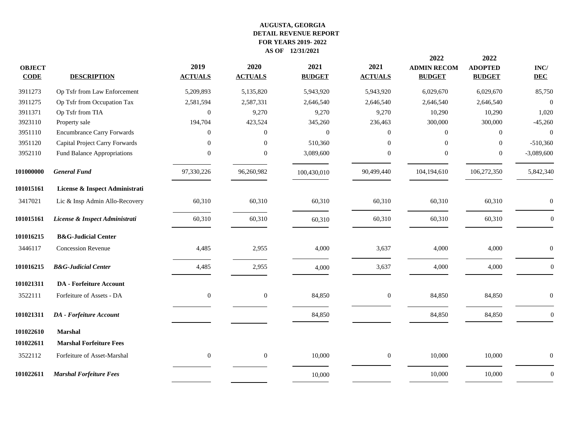|                              |                                   |                        |                        |                       |                        | 2022                                | 2022                            |                    |
|------------------------------|-----------------------------------|------------------------|------------------------|-----------------------|------------------------|-------------------------------------|---------------------------------|--------------------|
| <b>OBJECT</b><br><b>CODE</b> | <b>DESCRIPTION</b>                | 2019<br><b>ACTUALS</b> | 2020<br><b>ACTUALS</b> | 2021<br><b>BUDGET</b> | 2021<br><b>ACTUALS</b> | <b>ADMIN RECOM</b><br><b>BUDGET</b> | <b>ADOPTED</b><br><b>BUDGET</b> | INC/<br><b>DEC</b> |
| 3911273                      | Op Tsfr from Law Enforcement      | 5,209,893              | 5,135,820              | 5,943,920             | 5,943,920              | 6,029,670                           | 6,029,670                       | 85,750             |
| 3911275                      | Op Tsfr from Occupation Tax       | 2,581,594              | 2,587,331              | 2,646,540             | 2,646,540              | 2,646,540                           | 2,646,540                       | $\Omega$           |
| 3911371                      | Op Tsfr from TIA                  | $\Omega$               | 9,270                  | 9,270                 | 9,270                  | 10,290                              | 10,290                          | 1,020              |
| 3923110                      | Property sale                     | 194,704                | 423,524                | 345,260               | 236,463                | 300,000                             | 300,000                         | $-45,260$          |
| 3951110                      | <b>Encumbrance Carry Forwards</b> | 0                      | $\theta$               | $\mathbf{0}$          | $\overline{0}$         | $\Omega$                            | $\mathbf{0}$                    | $\theta$           |
| 3951120                      | Capital Project Carry Forwards    | $\Omega$               | $\Omega$               | 510,360               | $\Omega$               | $\Omega$                            | $\overline{0}$                  | $-510,360$         |
| 3952110                      | Fund Balance Appropriations       | $\Omega$               | $\Omega$               | 3,089,600             | $\mathbf{0}$           | $\Omega$                            | $\mathbf{0}$                    | $-3,089,600$       |
| 101000000                    | <b>General Fund</b>               | 97,330,226             | 96,260,982             | 100,430,010           | 90,499,440             | 104,194,610                         | 106,272,350                     | 5,842,340          |
| 101015161                    | License & Inspect Administrati    |                        |                        |                       |                        |                                     |                                 |                    |
| 3417021                      | Lic & Insp Admin Allo-Recovery    | 60,310                 | 60,310                 | 60,310                | 60,310                 | 60,310                              | 60,310                          | $\boldsymbol{0}$   |
| 101015161                    | License & Inspect Administrati    | 60,310                 | 60,310                 | 60,310                | 60,310                 | 60,310                              | 60,310                          | $\mathbf{0}$       |
| 101016215                    | <b>B&amp;G-Judicial Center</b>    |                        |                        |                       |                        |                                     |                                 |                    |
| 3446117                      | <b>Concession Revenue</b>         | 4,485                  | 2,955                  | 4,000                 | 3,637                  | 4,000                               | 4,000                           | $\boldsymbol{0}$   |
| 101016215                    | <b>B&amp;G-Judicial Center</b>    | 4,485                  | 2,955                  | 4,000                 | 3,637                  | 4,000                               | 4,000                           | $\mathbf{0}$       |
| 101021311                    | <b>DA</b> - Forfeiture Account    |                        |                        |                       |                        |                                     |                                 |                    |
| 3522111                      | Forfeiture of Assets - DA         | $\mathbf{0}$           | $\mathbf{0}$           | 84,850                | $\mathbf{0}$           | 84,850                              | 84,850                          | $\theta$           |
| 101021311                    | <b>DA</b> - Forfeiture Account    |                        |                        | 84,850                |                        | 84,850                              | 84,850                          | $\mathbf{0}$       |
| 101022610                    | <b>Marshal</b>                    |                        |                        |                       |                        |                                     |                                 |                    |
| 101022611                    | <b>Marshal Forfeiture Fees</b>    |                        |                        |                       |                        |                                     |                                 |                    |
| 3522112                      | Forfeiture of Asset-Marshal       | $\overline{0}$         | $\mathbf{0}$           | 10,000                | $\mathbf{0}$           | 10,000                              | 10,000                          | $\overline{0}$     |
| 101022611                    | <b>Marshal Forfeiture Fees</b>    |                        |                        | 10,000                |                        | 10,000                              | 10,000                          | $\boldsymbol{0}$   |
|                              |                                   |                        |                        |                       |                        |                                     |                                 |                    |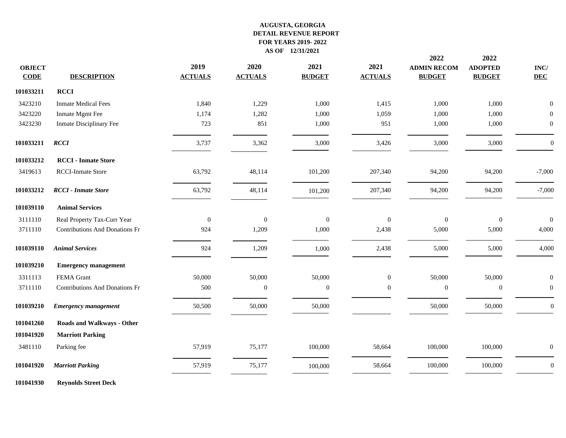| <b>OBJECT</b><br><b>CODE</b> | <b>DESCRIPTION</b>                    | 2019<br><b>ACTUALS</b> | 2020<br><b>ACTUALS</b> | 2021<br><b>BUDGET</b> | 2021<br><b>ACTUALS</b> | 2022<br><b>ADMIN RECOM</b><br><b>BUDGET</b> | 2022<br><b>ADOPTED</b><br><b>BUDGET</b> | $\mathbf{INC}/$<br><b>DEC</b> |
|------------------------------|---------------------------------------|------------------------|------------------------|-----------------------|------------------------|---------------------------------------------|-----------------------------------------|-------------------------------|
| 101033211                    | <b>RCCI</b>                           |                        |                        |                       |                        |                                             |                                         |                               |
| 3423210                      | <b>Inmate Medical Fees</b>            | 1,840                  | 1,229                  | 1,000                 | 1,415                  | 1,000                                       | 1,000                                   | $\Omega$                      |
| 3423220                      | Inmate Mgmt Fee                       | 1,174                  | 1,282                  | 1,000                 | 1,059                  | 1,000                                       | 1,000                                   | $\overline{0}$                |
| 3423230                      | Inmate Disciplinary Fee               | 723                    | 851                    | 1,000                 | 951                    | 1,000                                       | 1,000                                   | $\boldsymbol{0}$              |
| 101033211                    | <b>RCCI</b>                           | 3,737                  | 3,362                  | 3,000                 | 3,426                  | 3,000                                       | 3,000                                   | $\boldsymbol{0}$              |
| 101033212                    | <b>RCCI</b> - Inmate Store            |                        |                        |                       |                        |                                             |                                         |                               |
| 3419613                      | RCCI-Inmate Store                     | 63,792                 | 48,114                 | 101,200               | 207,340                | 94,200                                      | 94,200                                  | $-7,000$                      |
| 101033212                    | <b>RCCI</b> - Inmate Store            | 63,792                 | 48,114                 | 101,200               | 207,340                | 94,200                                      | 94,200                                  | $-7,000$                      |
| 101039110                    | <b>Animal Services</b>                |                        |                        |                       |                        |                                             |                                         |                               |
| 3111110                      | Real Property Tax-Curr Year           | $\overline{0}$         | $\overline{0}$         | $\boldsymbol{0}$      | $\overline{0}$         | $\overline{0}$                              | $\boldsymbol{0}$                        | $\mathbf{0}$                  |
| 3711110                      | <b>Contributions And Donations Fr</b> | 924                    | 1,209                  | 1,000                 | 2,438                  | 5,000                                       | 5,000                                   | 4,000                         |
| 101039110                    | <b>Animal Services</b>                | 924                    | 1,209                  | 1,000                 | 2,438                  | 5,000                                       | 5,000                                   | 4,000                         |
| 101039210                    | <b>Emergency management</b>           |                        |                        |                       |                        |                                             |                                         |                               |
| 3311113                      | FEMA Grant                            | 50,000                 | 50,000                 | 50,000                | $\mathbf{0}$           | 50,000                                      | 50,000                                  | $\Omega$                      |
| 3711110                      | <b>Contributions And Donations Fr</b> | 500                    | $\theta$               | $\boldsymbol{0}$      | $\overline{0}$         | $\mathbf{0}$                                | $\boldsymbol{0}$                        | $\mathbf{0}$                  |
| 101039210                    | <b>Emergency management</b>           | 50,500                 | 50,000                 | 50,000                |                        | 50,000                                      | 50,000                                  | $\overline{0}$                |
| 101041260                    | Roads and Walkways - Other            |                        |                        |                       |                        |                                             |                                         |                               |
| 101041920                    | <b>Marriott Parking</b>               |                        |                        |                       |                        |                                             |                                         |                               |
| 3481110                      | Parking fee                           | 57,919                 | 75,177                 | 100,000               | 58,664                 | 100,000                                     | 100,000                                 | $\Omega$                      |
| 101041920                    | <b>Marriott Parking</b>               | 57,919                 | 75,177                 | 100,000               | 58,664                 | 100,000                                     | 100,000                                 | $\boldsymbol{0}$              |
| .                            | the contract of the second second and |                        |                        |                       |                        |                                             |                                         |                               |

**Reynolds Street Deck**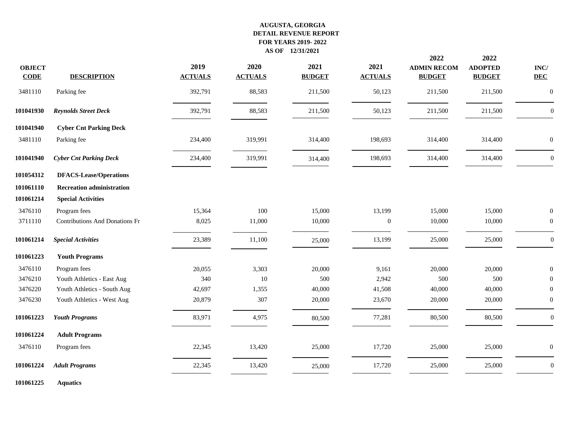|                              |                                       |                        |                        |                       |                        | 2022                                | 2022                            |                               |
|------------------------------|---------------------------------------|------------------------|------------------------|-----------------------|------------------------|-------------------------------------|---------------------------------|-------------------------------|
| <b>OBJECT</b><br><b>CODE</b> | <b>DESCRIPTION</b>                    | 2019<br><b>ACTUALS</b> | 2020<br><b>ACTUALS</b> | 2021<br><b>BUDGET</b> | 2021<br><b>ACTUALS</b> | <b>ADMIN RECOM</b><br><b>BUDGET</b> | <b>ADOPTED</b><br><b>BUDGET</b> | $\mathbf{INC}/$<br><b>DEC</b> |
| 3481110                      | Parking fee                           | 392,791                | 88,583                 | 211,500               | 50,123                 | 211,500                             | 211,500                         | $\boldsymbol{0}$              |
| 101041930                    | <b>Reynolds Street Deck</b>           | 392,791                | 88,583                 | 211,500               | 50,123                 | 211,500                             | 211,500                         | $\mathbf{0}$                  |
| 101041940                    | <b>Cyber Cnt Parking Deck</b>         |                        |                        |                       |                        |                                     |                                 |                               |
| 3481110                      | Parking fee                           | 234,400                | 319,991                | 314,400               | 198,693                | 314,400                             | 314,400                         | $\mathbf{0}$                  |
| 101041940                    | <b>Cyber Cnt Parking Deck</b>         | 234,400                | 319,991                | 314,400               | 198,693                | 314,400                             | 314,400                         | $\boldsymbol{0}$              |
| 101054312                    | <b>DFACS-Lease/Operations</b>         |                        |                        |                       |                        |                                     |                                 |                               |
| 101061110                    | <b>Recreation administration</b>      |                        |                        |                       |                        |                                     |                                 |                               |
| 101061214                    | <b>Special Activities</b>             |                        |                        |                       |                        |                                     |                                 |                               |
| 3476110                      | Program fees                          | 15,364                 | 100                    | 15,000                | 13,199                 | 15,000                              | 15,000                          | $\mathbf{0}$                  |
| 3711110                      | <b>Contributions And Donations Fr</b> | 8,025                  | 11,000                 | 10,000                | $\boldsymbol{0}$       | 10,000                              | 10,000                          | $\boldsymbol{0}$              |
| 101061214                    | <b>Special Activities</b>             | 23,389                 | 11,100                 | 25,000                | 13,199                 | 25,000                              | 25,000                          | $\boldsymbol{0}$              |
| 101061223                    | <b>Youth Programs</b>                 |                        |                        |                       |                        |                                     |                                 |                               |
| 3476110                      | Program fees                          | 20,055                 | 3,303                  | 20,000                | 9,161                  | 20,000                              | 20,000                          | $\mathbf{0}$                  |
| 3476210                      | Youth Athletics - East Aug            | 340                    | 10                     | 500                   | 2,942                  | 500                                 | 500                             | $\theta$                      |
| 3476220                      | Youth Athletics - South Aug           | 42,697                 | 1,355                  | 40,000                | 41,508                 | 40,000                              | 40,000                          | $\Omega$                      |
| 3476230                      | Youth Athletics - West Aug            | 20,879                 | 307                    | 20,000                | 23,670                 | 20,000                              | 20,000                          | $\boldsymbol{0}$              |
| 101061223                    | <b>Youth Programs</b>                 | 83,971                 | 4,975                  | 80,500                | 77,281                 | 80,500                              | 80,500                          | $\boldsymbol{0}$              |
| 101061224                    | <b>Adult Programs</b>                 |                        |                        |                       |                        |                                     |                                 |                               |
| 3476110                      | Program fees                          | 22,345                 | 13,420                 | 25,000                | 17,720                 | 25,000                              | 25,000                          | $\mathbf{0}$                  |
| 101061224                    | <b>Adult Programs</b>                 | 22,345                 | 13,420                 | 25,000                | 17,720                 | 25,000                              | 25,000                          | $\boldsymbol{0}$              |
| 101061225                    | <b>Aquatics</b>                       |                        |                        |                       |                        |                                     |                                 |                               |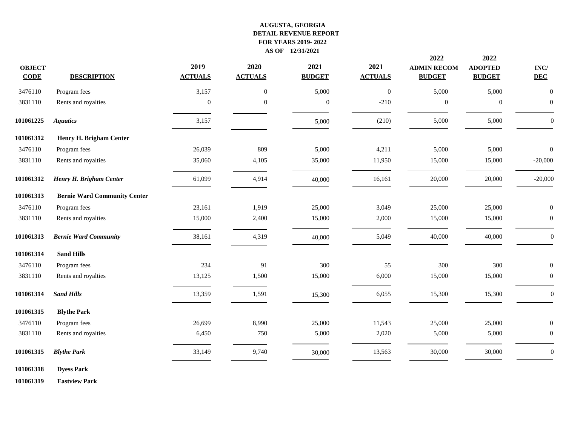| <b>OBJECT</b><br><b>CODE</b> | <b>DESCRIPTION</b>                  | 2019<br><b>ACTUALS</b> | 2020<br><b>ACTUALS</b> | 2021<br><b>BUDGET</b> | 2021<br><b>ACTUALS</b> | 2022<br><b>ADMIN RECOM</b><br><b>BUDGET</b> | 2022<br><b>ADOPTED</b><br><b>BUDGET</b> | $\mathbf{INC}/$<br><b>DEC</b> |
|------------------------------|-------------------------------------|------------------------|------------------------|-----------------------|------------------------|---------------------------------------------|-----------------------------------------|-------------------------------|
| 3476110                      | Program fees                        | 3,157                  | $\boldsymbol{0}$       | 5,000                 | $\boldsymbol{0}$       | 5,000                                       | 5,000                                   | $\mathbf{0}$                  |
| 3831110                      | Rents and royalties                 | $\mathbf{0}$           | $\overline{0}$         | $\mathbf{0}$          | $-210$                 | $\theta$                                    | $\mathbf{0}$                            | $\overline{0}$                |
| 101061225                    | <b>Aquatics</b>                     | 3,157                  |                        | 5,000                 | (210)                  | 5,000                                       | 5,000                                   | $\mathbf{0}$                  |
| 101061312                    | Henry H. Brigham Center             |                        |                        |                       |                        |                                             |                                         |                               |
| 3476110                      | Program fees                        | 26,039                 | 809                    | 5,000                 | 4,211                  | 5,000                                       | 5,000                                   | $\overline{0}$                |
| 3831110                      | Rents and royalties                 | 35,060                 | 4,105                  | 35,000                | 11,950                 | 15,000                                      | 15,000                                  | $-20,000$                     |
| 101061312                    | Henry H. Brigham Center             | 61,099                 | 4,914                  | 40,000                | 16,161                 | 20,000                                      | 20,000                                  | $-20,000$                     |
| 101061313                    | <b>Bernie Ward Community Center</b> |                        |                        |                       |                        |                                             |                                         |                               |
| 3476110                      | Program fees                        | 23,161                 | 1,919                  | 25,000                | 3,049                  | 25,000                                      | 25,000                                  | $\boldsymbol{0}$              |
| 3831110                      | Rents and royalties                 | 15,000                 | 2,400                  | 15,000                | 2,000                  | 15,000                                      | 15,000                                  | $\boldsymbol{0}$              |
| 101061313                    | <b>Bernie Ward Community</b>        | 38,161                 | 4,319                  | 40,000                | 5,049                  | 40,000                                      | 40,000                                  | $\mathbf{0}$                  |
| 101061314                    | <b>Sand Hills</b>                   |                        |                        |                       |                        |                                             |                                         |                               |
| 3476110                      | Program fees                        | 234                    | 91                     | 300                   | 55                     | 300                                         | 300                                     | $\overline{0}$                |
| 3831110                      | Rents and royalties                 | 13,125                 | 1,500                  | 15,000                | 6,000                  | 15,000                                      | 15,000                                  | $\boldsymbol{0}$              |
| 101061314                    | <b>Sand Hills</b>                   | 13,359                 | 1,591                  | 15,300                | 6,055                  | 15,300                                      | 15,300                                  | $\boldsymbol{0}$              |
| 101061315                    | <b>Blythe Park</b>                  |                        |                        |                       |                        |                                             |                                         |                               |
| 3476110                      | Program fees                        | 26,699                 | 8,990                  | 25,000                | 11,543                 | 25,000                                      | 25,000                                  | $\mathbf{0}$                  |
| 3831110                      | Rents and royalties                 | 6,450                  | 750                    | 5,000                 | 2,020                  | 5,000                                       | 5,000                                   | $\overline{0}$                |
| 101061315                    | <b>Blythe Park</b>                  | 33,149                 | 9,740                  | 30,000                | 13,563                 | 30,000                                      | 30,000                                  | $\boldsymbol{0}$              |
| 101061318                    | <b>Dyess Park</b>                   |                        |                        |                       |                        |                                             |                                         |                               |

**Eastview Park**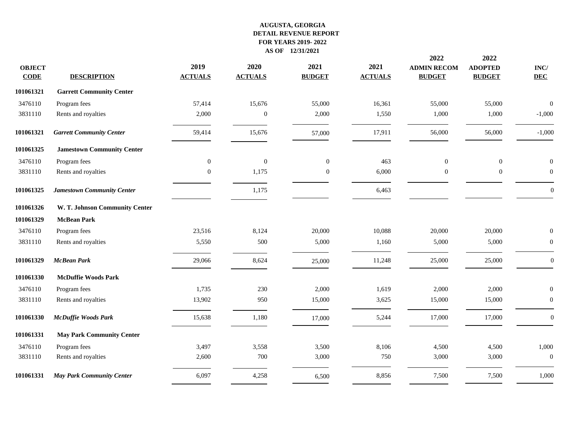|                              |                                   |                        |                        |                       |                        | 2022                                | 2022                            |                               |
|------------------------------|-----------------------------------|------------------------|------------------------|-----------------------|------------------------|-------------------------------------|---------------------------------|-------------------------------|
| <b>OBJECT</b><br><b>CODE</b> | <b>DESCRIPTION</b>                | 2019<br><b>ACTUALS</b> | 2020<br><b>ACTUALS</b> | 2021<br><b>BUDGET</b> | 2021<br><b>ACTUALS</b> | <b>ADMIN RECOM</b><br><b>BUDGET</b> | <b>ADOPTED</b><br><b>BUDGET</b> | $\mathbf{INC}/$<br><b>DEC</b> |
| 101061321                    | <b>Garrett Community Center</b>   |                        |                        |                       |                        |                                     |                                 |                               |
| 3476110                      | Program fees                      | 57,414                 | 15,676                 | 55,000                | 16,361                 | 55,000                              | 55,000                          | $\overline{0}$                |
| 3831110                      | Rents and royalties               | 2,000                  | $\mathbf{0}$           | 2,000                 | 1,550                  | 1,000                               | 1,000                           | $-1,000$                      |
| 101061321                    | <b>Garrett Community Center</b>   | 59,414                 | 15,676                 | 57,000                | 17,911                 | 56,000                              | 56,000                          | $-1,000$                      |
| 101061325                    | <b>Jamestown Community Center</b> |                        |                        |                       |                        |                                     |                                 |                               |
| 3476110                      | Program fees                      | $\overline{0}$         | $\mathbf{0}$           | $\mathbf{0}$          | 463                    | $\mathbf{0}$                        | $\boldsymbol{0}$                | $\boldsymbol{0}$              |
| 3831110                      | Rents and royalties               | $\Omega$               | 1,175                  | $\boldsymbol{0}$      | 6,000                  | $\overline{0}$                      | $\boldsymbol{0}$                | $\boldsymbol{0}$              |
| 101061325                    | <b>Jamestown Community Center</b> |                        | 1,175                  |                       | 6,463                  |                                     |                                 | $\Omega$                      |
| 101061326                    | W. T. Johnson Community Center    |                        |                        |                       |                        |                                     |                                 |                               |
| 101061329                    | <b>McBean Park</b>                |                        |                        |                       |                        |                                     |                                 |                               |
| 3476110                      | Program fees                      | 23,516                 | 8,124                  | 20,000                | 10,088                 | 20,000                              | 20,000                          | $\mathbf{0}$                  |
| 3831110                      | Rents and royalties               | 5,550                  | 500                    | 5,000                 | 1,160                  | 5,000                               | 5,000                           | $\overline{0}$                |
| 101061329                    | <b>McBean Park</b>                | 29,066                 | 8,624                  | 25,000                | 11,248                 | 25,000                              | 25,000                          | $\overline{0}$                |
| 101061330                    | <b>McDuffie Woods Park</b>        |                        |                        |                       |                        |                                     |                                 |                               |
| 3476110                      | Program fees                      | 1,735                  | 230                    | 2,000                 | 1,619                  | 2,000                               | 2,000                           | $\overline{0}$                |
| 3831110                      | Rents and royalties               | 13,902                 | 950                    | 15,000                | 3,625                  | 15,000                              | 15,000                          | $\mathbf{0}$                  |
| 101061330                    | <b>McDuffie Woods Park</b>        | 15,638                 | 1,180                  | 17,000                | 5,244                  | 17,000                              | 17,000                          | $\overline{0}$                |
| 101061331                    | <b>May Park Community Center</b>  |                        |                        |                       |                        |                                     |                                 |                               |
| 3476110                      | Program fees                      | 3,497                  | 3,558                  | 3,500                 | 8,106                  | 4,500                               | 4,500                           | 1,000                         |
| 3831110                      | Rents and royalties               | 2,600                  | 700                    | 3,000                 | 750                    | 3,000                               | 3,000                           | $\boldsymbol{0}$              |
| 101061331                    | <b>May Park Community Center</b>  | 6,097                  | 4,258                  | 6,500                 | 8,856                  | 7,500                               | 7,500                           | 1,000                         |
|                              |                                   |                        |                        |                       |                        |                                     |                                 |                               |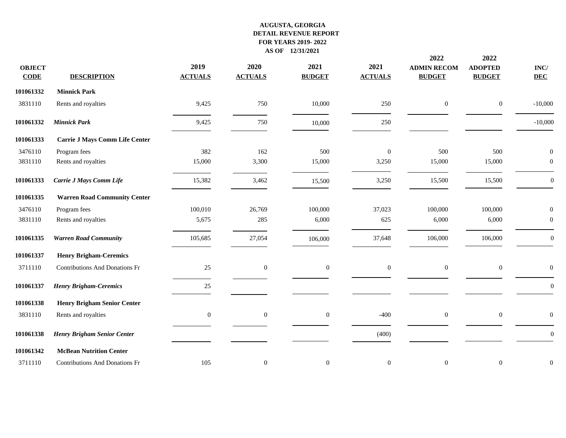| <b>OBJECT</b><br><b>CODE</b> | <b>DESCRIPTION</b>                    | 2019<br><b>ACTUALS</b> | 2020<br><b>ACTUALS</b> | 2021<br><b>BUDGET</b> | 2021<br><b>ACTUALS</b> | 2022<br><b>ADMIN RECOM</b><br><b>BUDGET</b> | 2022<br><b>ADOPTED</b><br><b>BUDGET</b> | $\mathbf{INC}/$<br><b>DEC</b> |
|------------------------------|---------------------------------------|------------------------|------------------------|-----------------------|------------------------|---------------------------------------------|-----------------------------------------|-------------------------------|
| 101061332                    | <b>Minnick Park</b>                   |                        |                        |                       |                        |                                             |                                         |                               |
| 3831110                      | Rents and royalties                   | 9,425                  | 750                    | 10,000                | 250                    | $\boldsymbol{0}$                            | $\boldsymbol{0}$                        | $-10,000$                     |
| 101061332                    | <b>Minnick Park</b>                   | 9,425                  | 750                    | 10,000                | 250                    |                                             |                                         | $-10,000$                     |
| 101061333                    | <b>Carrie J Mays Comm Life Center</b> |                        |                        |                       |                        |                                             |                                         |                               |
| 3476110                      | Program fees                          | 382                    | 162                    | 500                   | $\mathbf{0}$           | 500                                         | 500                                     | $\mathbf{0}$                  |
| 3831110                      | Rents and royalties                   | 15,000                 | 3,300                  | 15,000                | 3,250                  | 15,000                                      | 15,000                                  | $\overline{0}$                |
| 101061333                    | Carrie J Mays Comm Life               | 15,382                 | 3,462                  | 15,500                | 3,250                  | 15,500                                      | 15,500                                  | $\overline{0}$                |
| 101061335                    | <b>Warren Road Community Center</b>   |                        |                        |                       |                        |                                             |                                         |                               |
| 3476110                      | Program fees                          | 100,010                | 26,769                 | 100,000               | 37,023                 | 100,000                                     | 100,000                                 | $\mathbf{0}$                  |
| 3831110                      | Rents and royalties                   | 5,675                  | 285                    | 6,000                 | 625                    | 6,000                                       | 6,000                                   | $\overline{0}$                |
| 101061335                    | <b>Warren Road Community</b>          | 105,685                | 27,054                 | 106,000               | 37,648                 | 106,000                                     | 106,000                                 | $\overline{0}$                |
| 101061337                    | <b>Henry Brigham-Ceremics</b>         |                        |                        |                       |                        |                                             |                                         |                               |
| 3711110                      | Contributions And Donations Fr        | 25                     | $\boldsymbol{0}$       | $\boldsymbol{0}$      | $\overline{0}$         | $\overline{0}$                              | $\mathbf{0}$                            | $\overline{0}$                |
| 101061337                    | <b>Henry Brigham-Ceremics</b>         | 25                     |                        |                       |                        |                                             |                                         | $\overline{0}$                |
| 101061338                    | <b>Henry Brigham Senior Center</b>    |                        |                        |                       |                        |                                             |                                         |                               |
| 3831110                      | Rents and royalties                   | $\boldsymbol{0}$       | $\boldsymbol{0}$       | $\boldsymbol{0}$      | $-400$                 | $\mathbf{0}$                                | $\mathbf{0}$                            | $\overline{0}$                |
| 101061338                    | Henry Brigham Senior Center           |                        |                        |                       | (400)                  |                                             |                                         | $\mathbf{0}$                  |
| 101061342                    | <b>McBean Nutrition Center</b>        |                        |                        |                       |                        |                                             |                                         |                               |
| 3711110                      | <b>Contributions And Donations Fr</b> | 105                    | $\boldsymbol{0}$       | $\mathbf{0}$          | $\boldsymbol{0}$       | $\mathbf{0}$                                | $\boldsymbol{0}$                        | $\mathbf{0}$                  |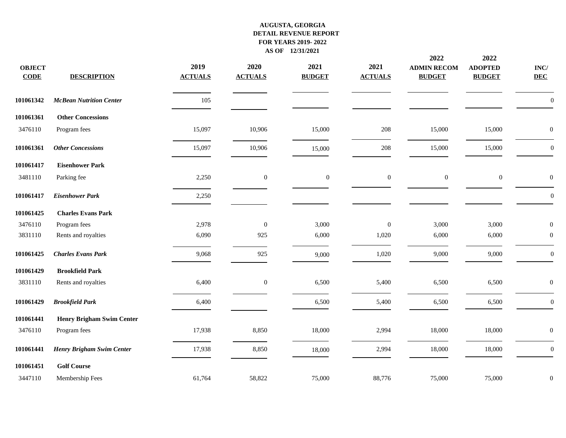| <b>OBJECT</b><br><b>CODE</b> | <b>DESCRIPTION</b>               | 2019<br><b>ACTUALS</b> | 2020<br><b>ACTUALS</b> | 2021<br><b>BUDGET</b> | 2021<br><b>ACTUALS</b> | 2022<br><b>ADMIN RECOM</b><br><b>BUDGET</b> | 2022<br><b>ADOPTED</b><br><b>BUDGET</b> | $\mathbf{INC}/$<br><b>DEC</b> |
|------------------------------|----------------------------------|------------------------|------------------------|-----------------------|------------------------|---------------------------------------------|-----------------------------------------|-------------------------------|
| 101061342                    | <b>McBean Nutrition Center</b>   | 105                    |                        |                       |                        |                                             |                                         | $\boldsymbol{0}$              |
| 101061361                    | <b>Other Concessions</b>         |                        |                        |                       |                        |                                             |                                         |                               |
| 3476110                      | Program fees                     | 15,097                 | 10,906                 | 15,000                | 208                    | 15,000                                      | 15,000                                  | $\boldsymbol{0}$              |
| 101061361                    | <b>Other Concessions</b>         | 15,097                 | 10,906                 | 15,000                | $208\,$                | 15,000                                      | 15,000                                  | $\boldsymbol{0}$              |
| 101061417                    | <b>Eisenhower Park</b>           |                        |                        |                       |                        |                                             |                                         |                               |
| 3481110                      | Parking fee                      | 2,250                  | $\boldsymbol{0}$       | $\boldsymbol{0}$      | $\boldsymbol{0}$       | $\boldsymbol{0}$                            | $\boldsymbol{0}$                        | $\boldsymbol{0}$              |
| 101061417                    | <b>Eisenhower Park</b>           | 2,250                  |                        |                       |                        |                                             |                                         | $\boldsymbol{0}$              |
| 101061425                    | <b>Charles Evans Park</b>        |                        |                        |                       |                        |                                             |                                         |                               |
| 3476110                      | Program fees                     | 2,978                  | $\mathbf{0}$           | 3,000                 | $\boldsymbol{0}$       | 3,000                                       | 3,000                                   | $\mathbf{0}$                  |
| 3831110                      | Rents and royalties              | 6,090                  | 925                    | 6,000                 | 1,020                  | 6,000                                       | 6,000                                   | $\theta$                      |
| 101061425                    | <b>Charles Evans Park</b>        | 9,068                  | 925                    | 9,000                 | 1,020                  | 9,000                                       | 9,000                                   | $\boldsymbol{0}$              |
| 101061429                    | <b>Brookfield Park</b>           |                        |                        |                       |                        |                                             |                                         |                               |
| 3831110                      | Rents and royalties              | 6,400                  | $\boldsymbol{0}$       | 6,500                 | 5,400                  | 6,500                                       | 6,500                                   | $\boldsymbol{0}$              |
| 101061429                    | <b>Brookfield Park</b>           | 6,400                  |                        | 6,500                 | 5,400                  | 6,500                                       | 6,500                                   | $\boldsymbol{0}$              |
| 101061441                    | <b>Henry Brigham Swim Center</b> |                        |                        |                       |                        |                                             |                                         |                               |
| 3476110                      | Program fees                     | 17,938                 | 8,850                  | 18,000                | 2,994                  | 18,000                                      | 18,000                                  | $\boldsymbol{0}$              |
| 101061441                    | Henry Brigham Swim Center        | 17,938                 | 8,850                  | 18,000                | 2,994                  | 18,000                                      | 18,000                                  | $\overline{0}$                |
| 101061451                    | <b>Golf Course</b>               |                        |                        |                       |                        |                                             |                                         |                               |
| 3447110                      | Membership Fees                  | 61,764                 | 58,822                 | 75,000                | 88,776                 | 75,000                                      | 75,000                                  | $\mathbf{0}$                  |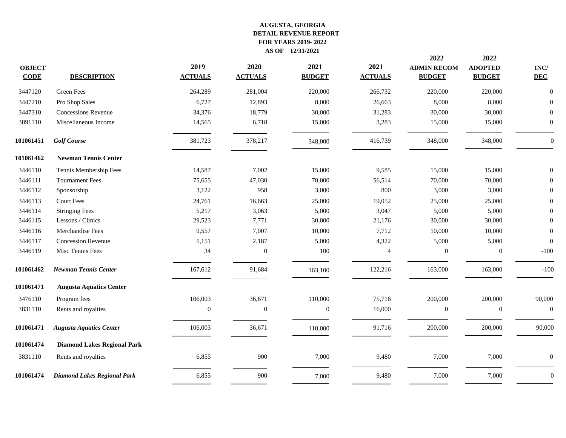|                              |                                    |                        |                        |                       |                        | 2022                                | 2022                            |                    |
|------------------------------|------------------------------------|------------------------|------------------------|-----------------------|------------------------|-------------------------------------|---------------------------------|--------------------|
| <b>OBJECT</b><br><b>CODE</b> | <b>DESCRIPTION</b>                 | 2019<br><b>ACTUALS</b> | 2020<br><b>ACTUALS</b> | 2021<br><b>BUDGET</b> | 2021<br><b>ACTUALS</b> | <b>ADMIN RECOM</b><br><b>BUDGET</b> | <b>ADOPTED</b><br><b>BUDGET</b> | INC/<br><b>DEC</b> |
| 3447120                      | Green Fees                         | 264,289                | 281,004                | 220,000               | 266,732                | 220,000                             | 220,000                         | $\boldsymbol{0}$   |
| 3447210                      | Pro Shop Sales                     | 6,727                  | 12,893                 | 8,000                 | 26,663                 | 8,000                               | 8,000                           | $\Omega$           |
| 3447310                      | <b>Concessions Revenue</b>         | 34,376                 | 18,779                 | 30,000                | 31,283                 | 30,000                              | 30,000                          | $\overline{0}$     |
| 3891110                      | Miscellaneous Income               | 14,565                 | 6,718                  | 15,000                | 3,283                  | 15,000                              | 15,000                          | $\overline{0}$     |
| 101061451                    | <b>Golf Course</b>                 | 381,723                | 378,217                | 348,000               | 416,739                | 348,000                             | 348,000                         | $\mathbf{0}$       |
| 101061462                    | <b>Newman Tennis Center</b>        |                        |                        |                       |                        |                                     |                                 |                    |
| 3446110                      | Tennis Membership Fees             | 14,587                 | 7,002                  | 15,000                | 9,585                  | 15,000                              | 15,000                          | $\boldsymbol{0}$   |
| 3446111                      | <b>Tournament Fees</b>             | 75,655                 | 47,030                 | 70,000                | 56,514                 | 70,000                              | 70,000                          | $\overline{0}$     |
| 3446112                      | Sponsorship                        | 3,122                  | 958                    | 3,000                 | 800                    | 3,000                               | 3,000                           | $\theta$           |
| 3446113                      | <b>Court Fees</b>                  | 24,761                 | 16,663                 | 25,000                | 19,052                 | 25,000                              | 25,000                          | $\theta$           |
| 3446114                      | <b>Stringing Fees</b>              | 5,217                  | 3,063                  | 5,000                 | 3,047                  | 5,000                               | 5,000                           | $\mathbf{0}$       |
| 3446115                      | Lessons / Clinics                  | 29,523                 | 7,771                  | 30,000                | 21,176                 | 30,000                              | 30,000                          | $\overline{0}$     |
| 3446116                      | Merchandise Fees                   | 9,557                  | 7,007                  | 10,000                | 7,712                  | 10,000                              | 10,000                          | $\boldsymbol{0}$   |
| 3446117                      | <b>Concession Revenue</b>          | 5,151                  | 2,187                  | 5,000                 | 4,322                  | 5,000                               | 5,000                           | $\boldsymbol{0}$   |
| 3446119                      | Misc Tennis Fees                   | 34                     | $\mathbf{0}$           | 100                   | $\overline{4}$         | $\overline{0}$                      | $\mathbf{0}$                    | $-100$             |
| 101061462                    | <b>Newman Tennis Center</b>        | 167,612                | 91,684                 | 163,100               | 122,216                | 163,000                             | 163,000                         | $-100$             |
| 101061471                    | <b>Augusta Aquatics Center</b>     |                        |                        |                       |                        |                                     |                                 |                    |
| 3476110                      | Program fees                       | 106,003                | 36,671                 | 110,000               | 75,716                 | 200,000                             | 200,000                         | 90,000             |
| 3831110                      | Rents and royalties                | $\boldsymbol{0}$       | $\mathbf{0}$           | $\boldsymbol{0}$      | 16,000                 | $\mathbf{0}$                        | $\boldsymbol{0}$                | $\boldsymbol{0}$   |
| 101061471                    | <b>Augusta Aquatics Center</b>     | 106,003                | 36,671                 | 110,000               | 91,716                 | 200,000                             | 200,000                         | 90,000             |
| 101061474                    | <b>Diamond Lakes Regional Park</b> |                        |                        |                       |                        |                                     |                                 |                    |
| 3831110                      | Rents and royalties                | 6,855                  | 900                    | 7,000                 | 9,480                  | 7,000                               | 7,000                           | $\overline{0}$     |
| 101061474                    | <b>Diamond Lakes Regional Park</b> | 6,855                  | 900                    | 7,000                 | 9,480                  | 7,000                               | 7,000                           | $\Omega$           |
|                              |                                    |                        |                        |                       |                        |                                     |                                 |                    |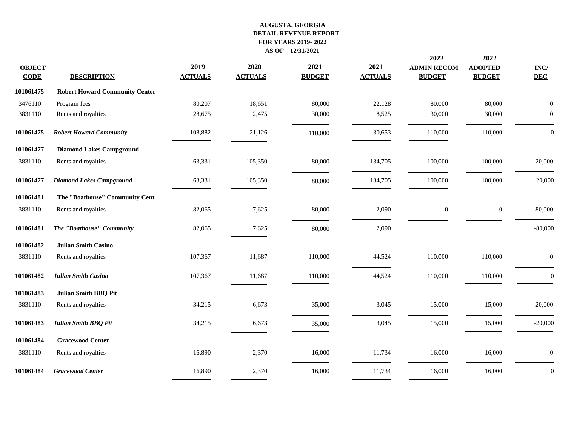| <b>OBJECT</b><br><b>CODE</b> | <b>DESCRIPTION</b>                    | 2019<br><b>ACTUALS</b> | 2020<br><b>ACTUALS</b> | 2021<br><b>BUDGET</b> | 2021<br><b>ACTUALS</b> | 2022<br><b>ADMIN RECOM</b><br><b>BUDGET</b> | 2022<br><b>ADOPTED</b><br><b>BUDGET</b> | INC/<br><b>DEC</b> |
|------------------------------|---------------------------------------|------------------------|------------------------|-----------------------|------------------------|---------------------------------------------|-----------------------------------------|--------------------|
| 101061475                    | <b>Robert Howard Community Center</b> |                        |                        |                       |                        |                                             |                                         |                    |
| 3476110                      | Program fees                          | 80,207                 | 18,651                 | 80,000                | 22,128                 | 80,000                                      | 80,000                                  | $\theta$           |
| 3831110                      | Rents and royalties                   | 28,675                 | 2,475                  | 30,000                | 8,525                  | 30,000                                      | 30,000                                  | $\mathbf{0}$       |
| 101061475                    | <b>Robert Howard Community</b>        | 108,882                | 21,126                 | 110,000               | 30,653                 | 110,000                                     | 110,000                                 | $\theta$           |
| 101061477                    | <b>Diamond Lakes Campground</b>       |                        |                        |                       |                        |                                             |                                         |                    |
| 3831110                      | Rents and royalties                   | 63,331                 | 105,350                | 80,000                | 134,705                | 100,000                                     | 100,000                                 | 20,000             |
| 101061477                    | <b>Diamond Lakes Campground</b>       | 63,331                 | 105,350                | 80,000                | 134,705                | 100,000                                     | 100,000                                 | 20,000             |
| 101061481                    | The "Boathouse" Community Cent        |                        |                        |                       |                        |                                             |                                         |                    |
| 3831110                      | Rents and royalties                   | 82,065                 | 7,625                  | 80,000                | 2,090                  | $\mathbf{0}$                                | $\boldsymbol{0}$                        | $-80,000$          |
| 101061481                    | The "Boathouse" Community             | 82,065                 | 7,625                  | 80,000                | 2,090                  |                                             |                                         | $-80,000$          |
| 101061482                    | <b>Julian Smith Casino</b>            |                        |                        |                       |                        |                                             |                                         |                    |
| 3831110                      | Rents and royalties                   | 107,367                | 11,687                 | 110,000               | 44,524                 | 110,000                                     | 110,000                                 | $\mathbf{0}$       |
| 101061482                    | Julian Smith Casino                   | 107,367                | 11,687                 | 110,000               | 44,524                 | 110,000                                     | 110,000                                 | $\overline{0}$     |
| 101061483                    | Julian Smith BBQ Pit                  |                        |                        |                       |                        |                                             |                                         |                    |
| 3831110                      | Rents and royalties                   | 34,215                 | 6,673                  | 35,000                | 3,045                  | 15,000                                      | 15,000                                  | $-20,000$          |
| 101061483                    | Julian Smith BBQ Pit                  | 34,215                 | 6,673                  | 35,000                | 3,045                  | 15,000                                      | 15,000                                  | $-20,000$          |
| 101061484                    | <b>Gracewood Center</b>               |                        |                        |                       |                        |                                             |                                         |                    |
| 3831110                      | Rents and royalties                   | 16,890                 | 2,370                  | 16,000                | 11,734                 | 16,000                                      | 16,000                                  | $\mathbf{0}$       |
| 101061484                    | <b>Gracewood Center</b>               | 16,890                 | 2,370                  | 16,000                | 11,734                 | 16,000                                      | 16,000                                  | $\boldsymbol{0}$   |
|                              |                                       |                        |                        |                       |                        |                                             |                                         |                    |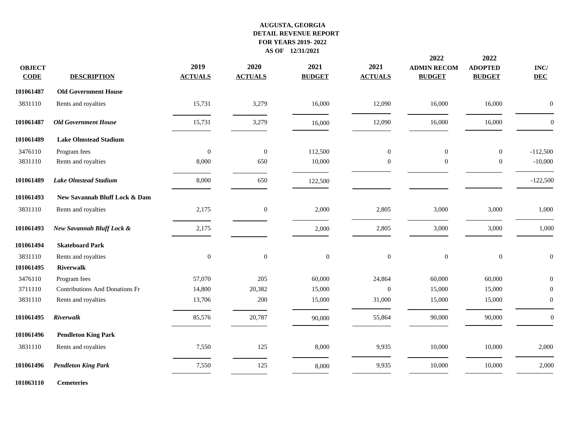| <b>OBJECT</b><br><b>CODE</b> | <b>DESCRIPTION</b>                    | 2019<br><b>ACTUALS</b> | 2020<br><b>ACTUALS</b> | 2021<br><b>BUDGET</b> | 2021<br><b>ACTUALS</b> | 2022<br><b>ADMIN RECOM</b><br><b>BUDGET</b> | 2022<br><b>ADOPTED</b><br><b>BUDGET</b> | $\mathbf{INC}/$<br><b>DEC</b> |
|------------------------------|---------------------------------------|------------------------|------------------------|-----------------------|------------------------|---------------------------------------------|-----------------------------------------|-------------------------------|
| 101061487                    | <b>Old Government House</b>           |                        |                        |                       |                        |                                             |                                         |                               |
| 3831110                      | Rents and royalties                   | 15,731                 | 3,279                  | 16,000                | 12,090                 | 16,000                                      | 16,000                                  | $\Omega$                      |
| 101061487                    | <b>Old Government House</b>           | 15,731                 | 3,279                  | 16,000                | 12,090                 | 16,000                                      | 16,000                                  | $\theta$                      |
| 101061489                    | <b>Lake Olmstead Stadium</b>          |                        |                        |                       |                        |                                             |                                         |                               |
| 3476110                      | Program fees                          | $\boldsymbol{0}$       | $\boldsymbol{0}$       | 112,500               | $\overline{0}$         | $\boldsymbol{0}$                            | $\boldsymbol{0}$                        | $-112,500$                    |
| 3831110                      | Rents and royalties                   | 8,000                  | 650                    | 10,000                | $\overline{0}$         | $\mathbf{0}$                                | $\boldsymbol{0}$                        | $-10,000$                     |
| 101061489                    | <b>Lake Olmstead Stadium</b>          | 8,000                  | 650                    | 122,500               |                        |                                             |                                         | $-122,500$                    |
| 101061493                    | New Savannah Bluff Lock & Dam         |                        |                        |                       |                        |                                             |                                         |                               |
| 3831110                      | Rents and royalties                   | 2,175                  | $\mathbf{0}$           | 2,000                 | 2,805                  | 3,000                                       | 3,000                                   | 1,000                         |
| 101061493                    | New Savannah Bluff Lock &             | 2,175                  |                        | 2,000                 | 2,805                  | 3,000                                       | 3,000                                   | 1,000                         |
| 101061494                    | <b>Skateboard Park</b>                |                        |                        |                       |                        |                                             |                                         |                               |
| 3831110                      | Rents and royalties                   | $\boldsymbol{0}$       | $\boldsymbol{0}$       | $\boldsymbol{0}$      | $\boldsymbol{0}$       | $\boldsymbol{0}$                            | $\boldsymbol{0}$                        | $\boldsymbol{0}$              |
| 101061495                    | <b>Riverwalk</b>                      |                        |                        |                       |                        |                                             |                                         |                               |
| 3476110                      | Program fees                          | 57,070                 | 205                    | 60,000                | 24,864                 | 60,000                                      | 60,000                                  | $\overline{0}$                |
| 3711110                      | <b>Contributions And Donations Fr</b> | 14,800                 | 20,382                 | 15,000                | $\overline{0}$         | 15,000                                      | 15,000                                  | $\Omega$                      |
| 3831110                      | Rents and royalties                   | 13,706                 | 200                    | 15,000                | 31,000                 | 15,000                                      | 15,000                                  | $\boldsymbol{0}$              |
| 101061495                    | Riverwalk                             | 85,576                 | 20,787                 | 90,000                | 55,864                 | 90,000                                      | 90,000                                  | $\mathbf{0}$                  |
| 101061496                    | <b>Pendleton King Park</b>            |                        |                        |                       |                        |                                             |                                         |                               |
| 3831110                      | Rents and royalties                   | 7,550                  | 125                    | 8,000                 | 9,935                  | 10,000                                      | 10,000                                  | 2,000                         |
| 101061496                    | <b>Pendleton King Park</b>            | 7,550                  | 125                    | 8,000                 | 9,935                  | 10,000                                      | 10,000                                  | 2,000                         |
| 101063110                    | <b>Cemeteries</b>                     |                        |                        |                       |                        |                                             |                                         |                               |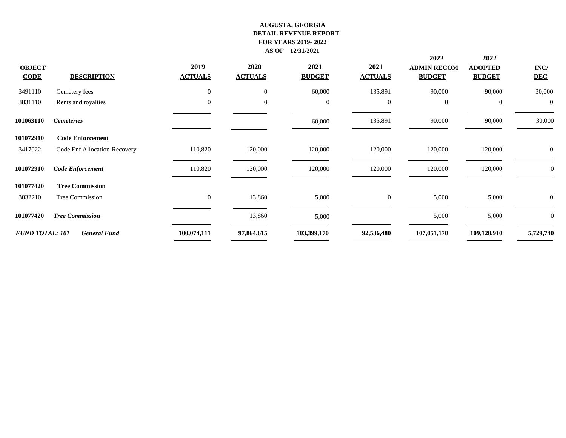|                        |                              |                  |                |               |                  | 2022               | 2022             |                  |
|------------------------|------------------------------|------------------|----------------|---------------|------------------|--------------------|------------------|------------------|
| <b>OBJECT</b>          |                              | 2019             | 2020           | 2021          | 2021             | <b>ADMIN RECOM</b> | <b>ADOPTED</b>   | $\mathbf{INC}/$  |
| <b>CODE</b>            | <b>DESCRIPTION</b>           | <b>ACTUALS</b>   | <b>ACTUALS</b> | <b>BUDGET</b> | <b>ACTUALS</b>   | <b>BUDGET</b>      | <b>BUDGET</b>    | <b>DEC</b>       |
| 3491110                | Cemetery fees                | $\mathbf{0}$     | $\mathbf{0}$   | 60,000        | 135,891          | 90,000             | 90,000           | 30,000           |
| 3831110                | Rents and royalties          | $\boldsymbol{0}$ | $\mathbf{0}$   | $\mathbf{0}$  | $\boldsymbol{0}$ | $\overline{0}$     | $\boldsymbol{0}$ | $\overline{0}$   |
| 101063110              | <b>Cemeteries</b>            |                  |                | 60,000        | 135,891          | 90,000             | 90,000           | 30,000           |
| 101072910              | <b>Code Enforcement</b>      |                  |                |               |                  |                    |                  |                  |
| 3417022                | Code Enf Allocation-Recovery | 110,820          | 120,000        | 120,000       | 120,000          | 120,000            | 120,000          | $\overline{0}$   |
| 101072910              | <b>Code Enforcement</b>      | 110,820          | 120,000        | 120,000       | 120,000          | 120,000            | 120,000          | $\boldsymbol{0}$ |
| 101077420              | <b>Tree Commission</b>       |                  |                |               |                  |                    |                  |                  |
| 3832210                | Tree Commission              | $\mathbf{0}$     | 13,860         | 5,000         | $\mathbf{0}$     | 5,000              | 5,000            | $\overline{0}$   |
| 101077420              | <b>Tree Commission</b>       |                  | 13,860         | 5,000         |                  | 5,000              | 5,000            | $\theta$         |
| <b>FUND TOTAL: 101</b> | <b>General Fund</b>          | 100,074,111      | 97,864,615     | 103,399,170   | 92,536,480       | 107,051,170        | 109,128,910      | 5,729,740        |
|                        |                              |                  |                |               |                  |                    |                  |                  |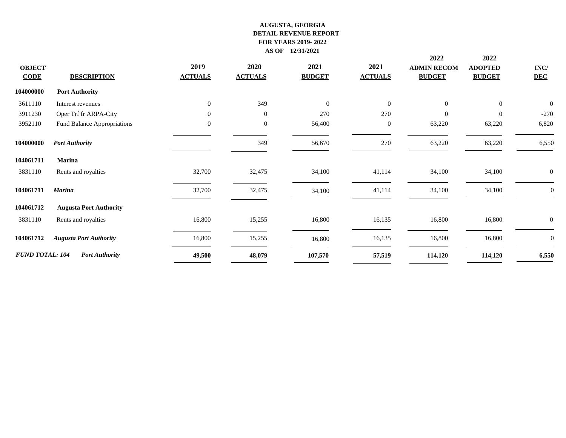|                        |                               |                |                |                |                | 2022               | 2022           |                  |
|------------------------|-------------------------------|----------------|----------------|----------------|----------------|--------------------|----------------|------------------|
| <b>OBJECT</b>          |                               | 2019           | 2020           | 2021           | 2021           | <b>ADMIN RECOM</b> | <b>ADOPTED</b> | INC/             |
| $CODE$                 | <b>DESCRIPTION</b>            | <b>ACTUALS</b> | <b>ACTUALS</b> | <b>BUDGET</b>  | <b>ACTUALS</b> | <b>BUDGET</b>      | <b>BUDGET</b>  | <b>DEC</b>       |
| 104000000              | <b>Port Authority</b>         |                |                |                |                |                    |                |                  |
| 3611110                | Interest revenues             | $\overline{0}$ | 349            | $\overline{0}$ | $\overline{0}$ | $\overline{0}$     | $\overline{0}$ | $\overline{0}$   |
| 3911230                | Oper Trf fr ARPA-City         | 0              | $\overline{0}$ | 270            | 270            | $\overline{0}$     | $\mathbf{0}$   | $-270$           |
| 3952110                | Fund Balance Appropriations   | $\overline{0}$ | $\overline{0}$ | 56,400         | $\theta$       | 63,220             | 63,220         | 6,820            |
| 104000000              | <b>Port Authority</b>         |                | 349            | 56,670         | 270            | 63,220             | 63,220         | 6,550            |
| 104061711              | Marina                        |                |                |                |                |                    |                |                  |
| 3831110                | Rents and royalties           | 32,700         | 32,475         | 34,100         | 41,114         | 34,100             | 34,100         | $\boldsymbol{0}$ |
| 104061711              | <b>Marina</b>                 | 32,700         | 32,475         | 34,100         | 41,114         | 34,100             | 34,100         | $\Omega$         |
| 104061712              | <b>Augusta Port Authority</b> |                |                |                |                |                    |                |                  |
| 3831110                | Rents and royalties           | 16,800         | 15,255         | 16,800         | 16,135         | 16,800             | 16,800         | $\overline{0}$   |
| 104061712              | <b>Augusta Port Authority</b> | 16,800         | 15,255         | 16,800         | 16,135         | 16,800             | 16,800         | $\theta$         |
| <b>FUND TOTAL: 104</b> | <b>Port Authority</b>         | 49,500         | 48,079         | 107,570        | 57,519         | 114,120            | 114,120        | 6,550            |
|                        |                               |                |                |                |                |                    |                |                  |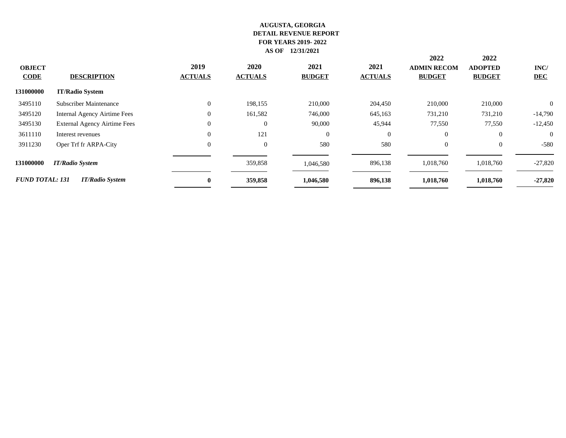| <b>OBJECT</b><br><b>CODE</b> | <b>DESCRIPTION</b>           | 2019<br><b>ACTUALS</b> | 2020<br><b>ACTUALS</b> | 2021<br><b>BUDGET</b> | 2021<br><b>ACTUALS</b> | 2022<br><b>ADMIN RECOM</b><br><b>BUDGET</b> | 2022<br><b>ADOPTED</b><br><b>BUDGET</b> | INC/<br><b>DEC</b> |
|------------------------------|------------------------------|------------------------|------------------------|-----------------------|------------------------|---------------------------------------------|-----------------------------------------|--------------------|
| 131000000                    | <b>IT/Radio System</b>       |                        |                        |                       |                        |                                             |                                         |                    |
| 3495110                      | Subscriber Maintenance       | $\Omega$               | 198,155                | 210,000               | 204,450                | 210,000                                     | 210,000                                 | $\overline{0}$     |
| 3495120                      | Internal Agency Airtime Fees | $\Omega$               | 161,582                | 746,000               | 645,163                | 731,210                                     | 731,210                                 | $-14,790$          |
| 3495130                      | External Agency Airtime Fees | $\Omega$               | $\mathbf{0}$           | 90,000                | 45,944                 | 77,550                                      | 77,550                                  | $-12,450$          |
| 3611110                      | Interest revenues            |                        | 121                    | $\overline{0}$        | $\overline{0}$         | $\overline{0}$                              | $\theta$                                | $\overline{0}$     |
| 3911230                      | Oper Trf fr ARPA-City        |                        | $\theta$               | 580                   | 580                    | $\overline{0}$                              | $\theta$                                | $-580$             |
| 131000000                    | <b>IT/Radio System</b>       |                        | 359,858                | 1,046,580             | 896,138                | 1,018,760                                   | 1,018,760                               | $-27,820$          |
| <b>FUND TOTAL: 131</b>       | <b>IT/Radio System</b>       | $\mathbf{0}$           | 359,858                | 1,046,580             | 896,138                | 1,018,760                                   | 1,018,760                               | $-27,820$          |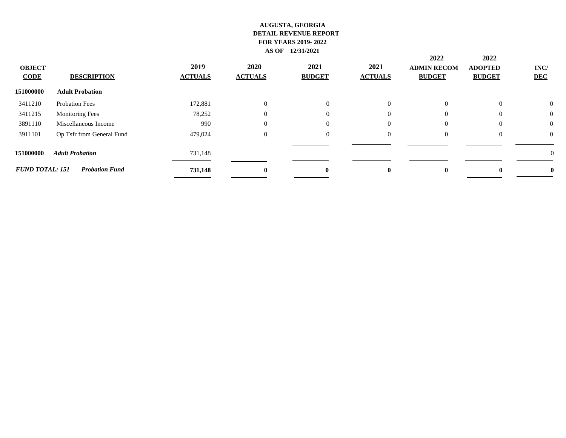| <b>OBJECT</b><br><b>CODE</b> | <b>DESCRIPTION</b>        | 2019<br><b>ACTUALS</b> | 2020<br><b>ACTUALS</b> | 2021<br><b>BUDGET</b> | 2021<br><b>ACTUALS</b> | 2022<br><b>ADMIN RECOM</b><br><b>BUDGET</b> | 2022<br><b>ADOPTED</b><br><b>BUDGET</b> | INC/<br><b>DEC</b> |  |
|------------------------------|---------------------------|------------------------|------------------------|-----------------------|------------------------|---------------------------------------------|-----------------------------------------|--------------------|--|
| 151000000                    | <b>Adult Probation</b>    |                        |                        |                       |                        |                                             |                                         |                    |  |
| 3411210                      | <b>Probation Fees</b>     | 172,881                | $\theta$               | $\Omega$              | $\Omega$               | $\Omega$                                    | $\Omega$                                | $\theta$           |  |
| 3411215                      | <b>Monitoring Fees</b>    | 78,252                 | $\left($               | $\Omega$              | $\Omega$               | $\Omega$                                    | $\theta$                                | $\boldsymbol{0}$   |  |
| 3891110                      | Miscellaneous Income      | 990                    | $\Omega$               | $\Omega$              | $\Omega$               | $\Omega$                                    | $\Omega$                                | $\theta$           |  |
| 3911101                      | Op Tsfr from General Fund | 479,024                | $\overline{0}$         | $\Omega$              | $\Omega$               | $\overline{0}$                              | $\overline{0}$                          | $\theta$           |  |
| 151000000                    | <b>Adult Probation</b>    | 731,148                |                        |                       |                        |                                             |                                         | 0                  |  |
| <b>FUND TOTAL: 151</b>       | <b>Probation Fund</b>     | 731,148                | $\mathbf{0}$           | $\mathbf{0}$          | 0                      | $\mathbf{0}$                                | $\mathbf{0}$                            |                    |  |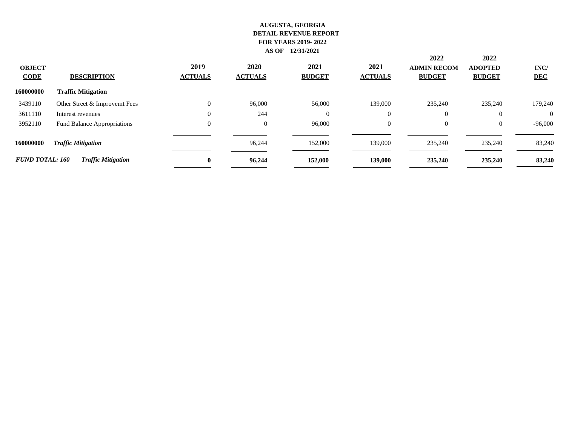| <b>OBJECT</b><br><b>CODE</b> | <b>DESCRIPTION</b>            | 2019<br><b>ACTUALS</b> | 2020<br><b>ACTUALS</b> | 2021<br><b>BUDGET</b> | 2021<br><b>ACTUALS</b> | 2022<br><b>ADMIN RECOM</b><br><b>BUDGET</b> | 2022<br><b>ADOPTED</b><br><b>BUDGET</b> | INC/<br><b>DEC</b> |
|------------------------------|-------------------------------|------------------------|------------------------|-----------------------|------------------------|---------------------------------------------|-----------------------------------------|--------------------|
| 160000000                    | <b>Traffic Mitigation</b>     |                        |                        |                       |                        |                                             |                                         |                    |
| 3439110                      | Other Street & Improvemt Fees | 0                      | 96,000                 | 56,000                | 139,000                | 235,240                                     | 235,240                                 | 179,240            |
| 3611110                      | Interest revenues             | 0                      | 244                    | $\theta$              | $\overline{0}$         | $\Omega$                                    |                                         | $\theta$           |
| 3952110                      | Fund Balance Appropriations   | 0                      | $\overline{0}$         | 96,000                | $\overline{0}$         | $\overline{0}$                              | $\theta$                                | $-96,000$          |
| 160000000                    | <b>Traffic Mitigation</b>     |                        | 96,244                 | 152,000               | 139,000                | 235,240                                     | 235,240                                 | 83,240             |
| <b>FUND TOTAL: 160</b>       | <b>Traffic Mitigation</b>     | $\mathbf{0}$           | 96,244                 | 152,000               | 139,000                | 235,240                                     | 235,240                                 | 83,240             |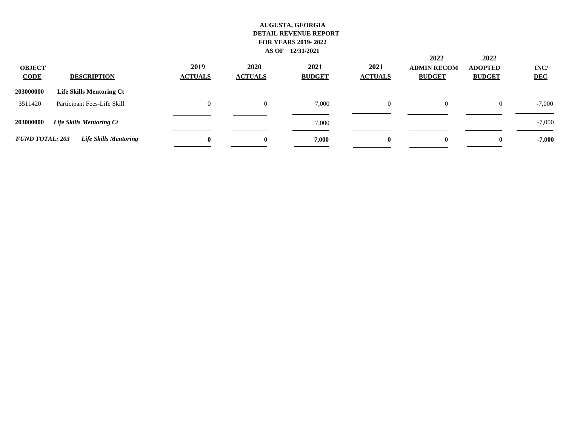| <b>OBJECT</b><br><b>CODE</b> | <b>DESCRIPTION</b>              | 2019<br><b>ACTUALS</b> | 2020<br><b>ACTUALS</b> | 2021<br><b>BUDGET</b> | 2021<br><b>ACTUALS</b> | 2022<br><b>ADMIN RECOM</b><br><b>BUDGET</b> | 2022<br><b>ADOPTED</b><br><b>BUDGET</b> | INC/<br><b>DEC</b> |
|------------------------------|---------------------------------|------------------------|------------------------|-----------------------|------------------------|---------------------------------------------|-----------------------------------------|--------------------|
| 203000000                    | <b>Life Skills Mentoring Ct</b> |                        |                        |                       |                        |                                             |                                         |                    |
| 3511420                      | Participant Fees-Life Skill     | $\Omega$               |                        | 7,000                 | 0                      | $\overline{0}$                              | $\theta$                                | $-7,000$           |
| 203000000                    | <b>Life Skills Mentoring Ct</b> |                        |                        | 7,000                 |                        |                                             |                                         | $-7,000$           |
| <b>FUND TOTAL: 203</b>       | Life Skills Mentoring           | $\bf{0}$               | $\mathbf{0}$           | 7,000                 | $\bf{0}$               | $\bf{0}$                                    | $\mathbf{0}$                            | $-7,000$           |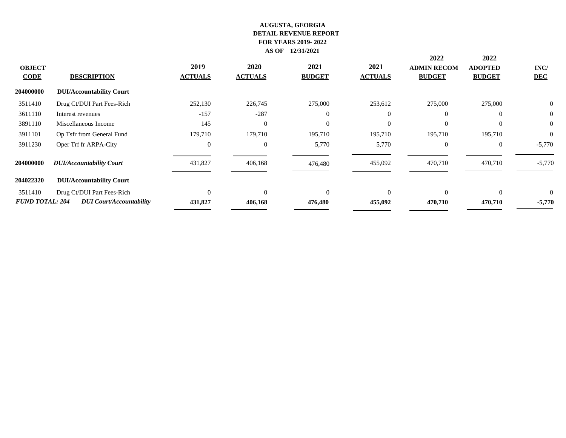|                        |                                 |                |                |               |                | 2022               | 2022           |              |
|------------------------|---------------------------------|----------------|----------------|---------------|----------------|--------------------|----------------|--------------|
| <b>OBJECT</b>          |                                 | 2019           | <b>2020</b>    | 2021          | 2021           | <b>ADMIN RECOM</b> | <b>ADOPTED</b> | INC/         |
| <b>CODE</b>            | <b>DESCRIPTION</b>              | <b>ACTUALS</b> | <b>ACTUALS</b> | <b>BUDGET</b> | <b>ACTUALS</b> | <b>BUDGET</b>      | <b>BUDGET</b>  | <b>DEC</b>   |
| 204000000              | <b>DUI/Accountability Court</b> |                |                |               |                |                    |                |              |
| 3511410                | Drug Ct/DUI Part Fees-Rich      | 252,130        | 226,745        | 275,000       | 253,612        | 275,000            | 275,000        | $\mathbf{0}$ |
| 3611110                | Interest revenues               | $-157$         | $-287$         | $\Omega$      | $\Omega$       |                    | $\Omega$       | $\mathbf{0}$ |
| 3891110                | Miscellaneous Income            | 145            | $\overline{0}$ |               | $\Omega$       |                    |                | $\mathbf{0}$ |
| 3911101                | Op Tsfr from General Fund       | 179,710        | 179,710        | 195,710       | 195,710        | 195,710            | 195,710        | $\mathbf{0}$ |
| 3911230                | Oper Trf fr ARPA-City           | $\Omega$       | $\overline{0}$ | 5,770         | 5,770          | $\overline{0}$     | $\overline{0}$ | $-5,770$     |
| 204000000              | <b>DUI/Accountability Court</b> | 431,827        | 406,168        | 476,480       | 455,092        | 470,710            | 470,710        | $-5,770$     |
| 204022320              | <b>DUI/Accountability Court</b> |                |                |               |                |                    |                |              |
| 3511410                | Drug Ct/DUI Part Fees-Rich      | $\Omega$       | $\Omega$       | $\Omega$      | $\Omega$       | $\Omega$           | $\Omega$       | $\Omega$     |
| <b>FUND TOTAL: 204</b> | <b>DUI</b> Court/Accountability | 431,827        | 406,168        | 476,480       | 455,092        | 470,710            | 470,710        | $-5,770$     |
|                        |                                 |                |                |               |                |                    |                |              |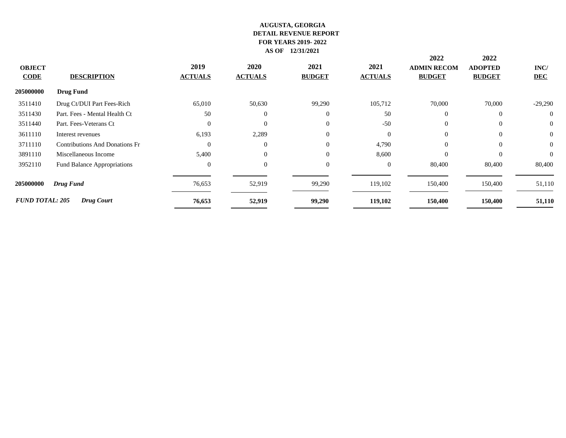|                        |                                       |                |                |               |                | 2022               | 2022           |                |
|------------------------|---------------------------------------|----------------|----------------|---------------|----------------|--------------------|----------------|----------------|
| <b>OBJECT</b>          |                                       | 2019           | 2020           | 2021          | 2021           | <b>ADMIN RECOM</b> | <b>ADOPTED</b> | INC/           |
| <b>CODE</b>            | <b>DESCRIPTION</b>                    | <b>ACTUALS</b> | <b>ACTUALS</b> | <b>BUDGET</b> | <b>ACTUALS</b> | <b>BUDGET</b>      | <b>BUDGET</b>  | <b>DEC</b>     |
| 205000000              | <b>Drug Fund</b>                      |                |                |               |                |                    |                |                |
| 3511410                | Drug Ct/DUI Part Fees-Rich            | 65,010         | 50,630         | 99,290        | 105,712        | 70,000             | 70,000         | $-29,290$      |
| 3511430                | Part. Fees - Mental Health Ct         | 50             | $\overline{0}$ | $\mathbf{0}$  | 50             |                    | $\overline{0}$ | $\overline{0}$ |
| 3511440                | Part. Fees-Veterans Ct                | $\Omega$       | $\overline{0}$ | $\mathbf{0}$  | $-50$          | $\overline{0}$     | $\overline{0}$ | $\overline{0}$ |
| 3611110                | Interest revenues                     | 6,193          | 2,289          | $\mathbf{0}$  | $\Omega$       | $\Omega$           | $\overline{0}$ | $\overline{0}$ |
| 3711110                | <b>Contributions And Donations Fr</b> | $\theta$       | $\theta$       | $\Omega$      | 4,790          | $\Omega$           | $\Omega$       | $\overline{0}$ |
| 3891110                | Miscellaneous Income                  | 5,400          | $\overline{0}$ | $\Omega$      | 8,600          | $\Omega$           | $\overline{0}$ | $\Omega$       |
| 3952110                | Fund Balance Appropriations           | $\theta$       | $\overline{0}$ | $\mathbf{0}$  | $\Omega$       | 80,400             | 80,400         | 80,400         |
| 205000000              | Drug Fund                             | 76,653         | 52,919         | 99,290        | 119,102        | 150,400            | 150,400        | 51,110         |
| <b>FUND TOTAL: 205</b> | <b>Drug Court</b>                     | 76,653         | 52,919         | 99,290        | 119,102        | 150,400            | 150,400        | 51,110         |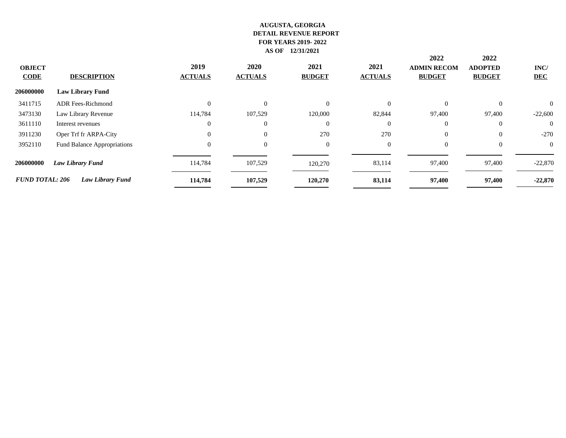| <b>OBJECT</b><br><b>CODE</b> | <b>DESCRIPTION</b>          | 2019<br><b>ACTUALS</b> | 2020<br><b>ACTUALS</b> | 2021<br><b>BUDGET</b> | 2021<br><b>ACTUALS</b> | 2022<br><b>ADMIN RECOM</b><br><b>BUDGET</b> | 2022<br><b>ADOPTED</b><br><b>BUDGET</b> | INC/<br><b>DEC</b> |
|------------------------------|-----------------------------|------------------------|------------------------|-----------------------|------------------------|---------------------------------------------|-----------------------------------------|--------------------|
| 206000000                    | <b>Law Library Fund</b>     |                        |                        |                       |                        |                                             |                                         |                    |
| 3411715                      | <b>ADR Fees-Richmond</b>    |                        | $\overline{0}$         | $\Omega$              | $\Omega$               | $\Omega$                                    | $\theta$                                | $\Omega$           |
| 3473130                      | Law Library Revenue         | 114,784                | 107,529                | 120,000               | 82,844                 | 97,400                                      | 97,400                                  | $-22,600$          |
| 3611110                      | Interest revenues           |                        | $\overline{0}$         | $\overline{0}$        | $\Omega$               | $\overline{0}$                              | $\overline{0}$                          | $\overline{0}$     |
| 3911230                      | Oper Trf fr ARPA-City       |                        | $\overline{0}$         | 270                   | 270                    | $\overline{0}$                              | $\overline{0}$                          | $-270$             |
| 3952110                      | Fund Balance Appropriations | $\Omega$               | $\overline{0}$         | $\overline{0}$        | $\overline{0}$         | $\overline{0}$                              | $\theta$                                | $\overline{0}$     |
| 206000000                    | Law Library Fund            | 114,784                | 107,529                | 120,270               | 83,114                 | 97,400                                      | 97,400                                  | $-22,870$          |
| <b>FUND TOTAL: 206</b>       | <b>Law Library Fund</b>     | 114,784                | 107,529                | 120,270               | 83,114                 | 97,400                                      | 97,400                                  | $-22,870$          |
|                              |                             |                        |                        |                       |                        |                                             |                                         |                    |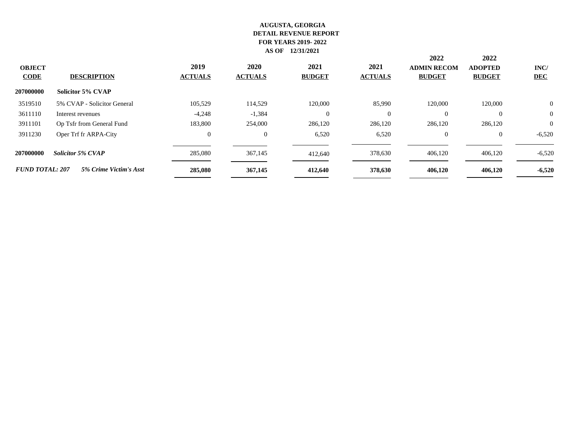| <b>OBJECT</b><br><b>CODE</b> | <b>DESCRIPTION</b>          | 2019<br><b>ACTUALS</b> | <b>2020</b><br><b>ACTUALS</b> | 2021<br><b>BUDGET</b> | 2021<br><b>ACTUALS</b> | 2022<br><b>ADMIN RECOM</b><br><b>BUDGET</b> | 2022<br><b>ADOPTED</b><br><b>BUDGET</b> | INC/<br><b>DEC</b> |
|------------------------------|-----------------------------|------------------------|-------------------------------|-----------------------|------------------------|---------------------------------------------|-----------------------------------------|--------------------|
| 207000000                    | <b>Solicitor 5% CVAP</b>    |                        |                               |                       |                        |                                             |                                         |                    |
| 3519510                      | 5% CVAP - Solicitor General | 105.529                | 114.529                       | 120,000               | 85,990                 | 120,000                                     | 120,000                                 | $\mathbf{0}$       |
| 3611110                      | Interest revenues           | $-4,248$               | $-1,384$                      | $\theta$              | $\Omega$               | $\Omega$                                    |                                         | $\mathbf{0}$       |
| 3911101                      | Op Tsfr from General Fund   | 183,800                | 254,000                       | 286,120               | 286,120                | 286,120                                     | 286,120                                 | $\theta$           |
| 3911230                      | Oper Trf fr ARPA-City       | 0                      | $\overline{0}$                | 6,520                 | 6,520                  | $\theta$                                    | $\theta$                                | $-6,520$           |
| 207000000                    | <b>Solicitor 5% CVAP</b>    | 285,080                | 367,145                       | 412,640               | 378,630                | 406,120                                     | 406,120                                 | $-6,520$           |
| <b>FUND TOTAL: 207</b>       | 5% Crime Victim's Asst      | 285,080                | 367,145                       | 412,640               | 378,630                | 406,120                                     | 406,120                                 | $-6,520$           |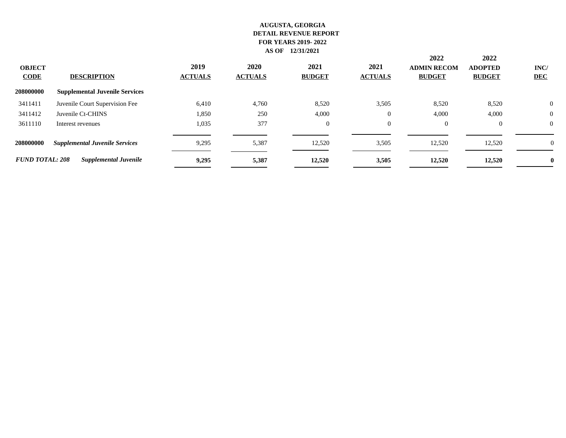| <b>OBJECT</b><br><b>CODE</b> | <b>DESCRIPTION</b>                    | 2019<br><b>ACTUALS</b> | 2020<br><b>ACTUALS</b> | 2021<br><b>BUDGET</b> | 2021<br><b>ACTUALS</b> | 2022<br><b>ADMIN RECOM</b><br><b>BUDGET</b> | 2022<br><b>ADOPTED</b><br><b>BUDGET</b> | INC/<br><b>DEC</b> |
|------------------------------|---------------------------------------|------------------------|------------------------|-----------------------|------------------------|---------------------------------------------|-----------------------------------------|--------------------|
| 208000000                    | <b>Supplemental Juvenile Services</b> |                        |                        |                       |                        |                                             |                                         |                    |
| 3411411                      | Juvenile Court Supervision Fee        | 6,410                  | 4,760                  | 8,520                 | 3,505                  | 8,520                                       | 8,520                                   | $\overline{0}$     |
| 3411412                      | Juvenile Ct-CHINS                     | 1,850                  | 250                    | 4,000                 | $\boldsymbol{0}$       | 4,000                                       | 4,000                                   | 0                  |
| 3611110                      | Interest revenues                     | 1,035                  | 377                    | $\Omega$              | 0                      | $\Omega$                                    | $\overline{0}$                          | $\Omega$           |
| 208000000                    | <b>Supplemental Juvenile Services</b> | 9,295                  | 5,387                  | 12,520                | 3,505                  | 12,520                                      | 12,520                                  | $\boldsymbol{0}$   |
| <b>FUND TOTAL: 208</b>       | <b>Supplemental Juvenile</b>          | 9,295                  | 5,387                  | 12,520                | 3,505                  | 12,520                                      | 12,520                                  |                    |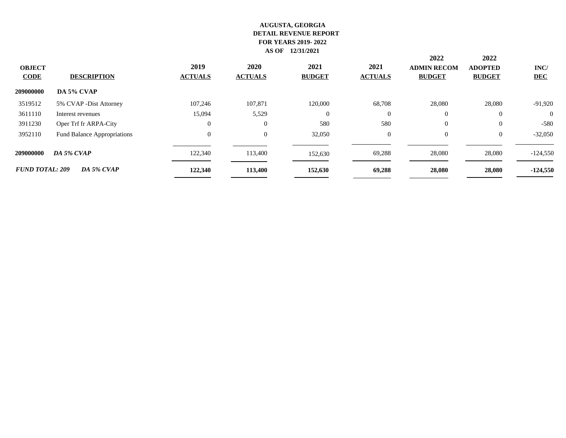| <b>OBJECT</b><br><b>CODE</b> | <b>DESCRIPTION</b>          | 2019<br><b>ACTUALS</b> | 2020<br><b>ACTUALS</b> | 2021<br><b>BUDGET</b> | 2021<br><b>ACTUALS</b> | 2022<br><b>ADMIN RECOM</b><br><b>BUDGET</b> | 2022<br><b>ADOPTED</b><br><b>BUDGET</b> | INC/<br><b>DEC</b> |
|------------------------------|-----------------------------|------------------------|------------------------|-----------------------|------------------------|---------------------------------------------|-----------------------------------------|--------------------|
| 209000000                    | DA 5% CVAP                  |                        |                        |                       |                        |                                             |                                         |                    |
| 3519512                      | 5% CVAP - Dist Attorney     | 107,246                | 107,871                | 120,000               | 68,708                 | 28,080                                      | 28,080                                  | $-91,920$          |
| 3611110                      | Interest revenues           | 15,094                 | 5,529                  | $\Omega$              | $\theta$               | $\Omega$                                    | $\theta$                                | $\Omega$           |
| 3911230                      | Oper Trf fr ARPA-City       | $\overline{0}$         | $\overline{0}$         | 580                   | 580                    | $\Omega$                                    | $\theta$                                | $-580$             |
| 3952110                      | Fund Balance Appropriations | 0                      | $\overline{0}$         | 32,050                | $\overline{0}$         | $\overline{0}$                              | $\theta$                                | $-32,050$          |
| 209000000                    | DA 5% CVAP                  | 122,340                | 113,400                | 152,630               | 69,288                 | 28,080                                      | 28,080                                  | $-124,550$         |
| <b>FUND TOTAL: 209</b>       | DA 5% CVAP                  | 122,340                | 113,400                | 152,630               | 69,288                 | 28,080                                      | 28,080                                  | $-124,550$         |
|                              |                             |                        |                        |                       |                        |                                             |                                         |                    |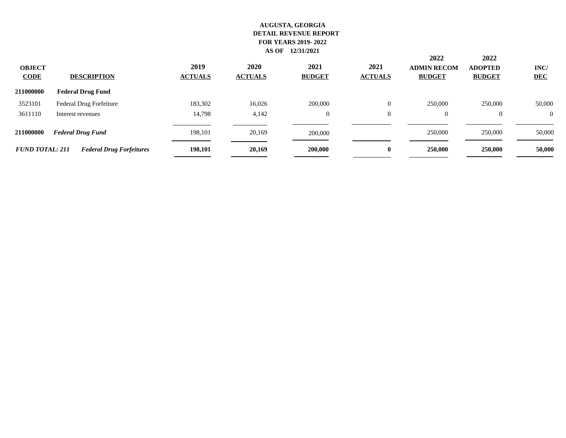| <b>OBJECT</b><br><b>CODE</b> | <b>DESCRIPTION</b>              | 2019<br><b>ACTUALS</b> | 2020<br><b>ACTUALS</b> | 2021<br><b>BUDGET</b> | 2021<br><b>ACTUALS</b> | 2022<br><b>ADMIN RECOM</b><br><b>BUDGET</b> | 2022<br><b>ADOPTED</b><br><b>BUDGET</b> | INC/<br><b>DEC</b> |
|------------------------------|---------------------------------|------------------------|------------------------|-----------------------|------------------------|---------------------------------------------|-----------------------------------------|--------------------|
| 211000000                    | <b>Federal Drug Fund</b>        |                        |                        |                       |                        |                                             |                                         |                    |
| 3523101                      | Federal Drug Forfeiture         | 183,302                | 16,026                 | 200,000               | 0                      | 250,000                                     | 250,000                                 | 50,000             |
| 3611110                      | Interest revenues               | 14,798                 | 4,142                  | $\mathbf{0}$          | 0                      | $\overline{0}$                              | $\theta$                                | $\overline{0}$     |
| 211000000                    | <b>Federal Drug Fund</b>        | 198.101                | 20,169                 | 200,000               |                        | 250,000                                     | 250,000                                 | 50,000             |
| <b>FUND TOTAL: 211</b>       | <b>Federal Drug Forfeitures</b> | 198,101                | 20,169                 | 200,000               | 0                      | 250,000                                     | 250,000                                 | 50,000             |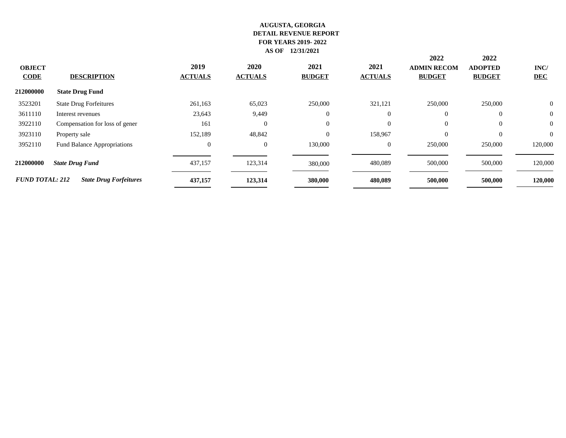| 2020<br>2021<br>2021<br>2019<br><b>OBJECT</b><br><b>ADMIN RECOM</b><br><b>ADOPTED</b><br><b>DESCRIPTION</b><br><b>ACTUALS</b><br><b>ACTUALS</b><br><b>BUDGET</b><br><b>ACTUALS</b><br><b>BUDGET</b><br><b>BUDGET</b><br><b>CODE</b><br>212000000<br><b>State Drug Fund</b><br>250,000<br>250,000<br>3523201<br>65,023<br>321,121<br>250,000<br><b>State Drug Forfeitures</b><br>261,163<br>3611110<br>23,643<br>9,449<br>$\overline{0}$<br>$\overline{0}$<br>$\Omega$<br>$\theta$<br>Interest revenues<br>3922110<br>161<br>$\overline{0}$<br>$\mathbf{0}$<br>$\theta$<br>$\overline{0}$<br>$\overline{0}$<br>Compensation for loss of gener<br>152,189<br>$\Omega$<br>158,967<br>$\theta$<br>3923110<br>48,842<br>$\mathbf{0}$<br>Property sale<br>3952110<br>130,000<br>250,000<br>$\theta$<br>$\overline{0}$<br>$\overline{0}$<br>250,000<br><b>Fund Balance Appropriations</b><br>123,314<br>437,157<br>480,089<br>500,000<br>500,000<br>212000000<br><b>State Drug Fund</b><br>380,000<br><b>FUND TOTAL: 212</b><br><b>State Drug Forfeitures</b><br>380,000<br>437,157<br>123,314<br>480,089<br>500,000<br>500,000 |  |  |  | 2022 | 2022 |                    |
|--------------------------------------------------------------------------------------------------------------------------------------------------------------------------------------------------------------------------------------------------------------------------------------------------------------------------------------------------------------------------------------------------------------------------------------------------------------------------------------------------------------------------------------------------------------------------------------------------------------------------------------------------------------------------------------------------------------------------------------------------------------------------------------------------------------------------------------------------------------------------------------------------------------------------------------------------------------------------------------------------------------------------------------------------------------------------------------------------------------------------|--|--|--|------|------|--------------------|
|                                                                                                                                                                                                                                                                                                                                                                                                                                                                                                                                                                                                                                                                                                                                                                                                                                                                                                                                                                                                                                                                                                                          |  |  |  |      |      | INC/<br><b>DEC</b> |
|                                                                                                                                                                                                                                                                                                                                                                                                                                                                                                                                                                                                                                                                                                                                                                                                                                                                                                                                                                                                                                                                                                                          |  |  |  |      |      |                    |
|                                                                                                                                                                                                                                                                                                                                                                                                                                                                                                                                                                                                                                                                                                                                                                                                                                                                                                                                                                                                                                                                                                                          |  |  |  |      |      | $\mathbf{0}$       |
|                                                                                                                                                                                                                                                                                                                                                                                                                                                                                                                                                                                                                                                                                                                                                                                                                                                                                                                                                                                                                                                                                                                          |  |  |  |      |      | $\boldsymbol{0}$   |
|                                                                                                                                                                                                                                                                                                                                                                                                                                                                                                                                                                                                                                                                                                                                                                                                                                                                                                                                                                                                                                                                                                                          |  |  |  |      |      | $\boldsymbol{0}$   |
|                                                                                                                                                                                                                                                                                                                                                                                                                                                                                                                                                                                                                                                                                                                                                                                                                                                                                                                                                                                                                                                                                                                          |  |  |  |      |      | $\overline{0}$     |
|                                                                                                                                                                                                                                                                                                                                                                                                                                                                                                                                                                                                                                                                                                                                                                                                                                                                                                                                                                                                                                                                                                                          |  |  |  |      |      | 120,000            |
|                                                                                                                                                                                                                                                                                                                                                                                                                                                                                                                                                                                                                                                                                                                                                                                                                                                                                                                                                                                                                                                                                                                          |  |  |  |      |      | 120,000            |
|                                                                                                                                                                                                                                                                                                                                                                                                                                                                                                                                                                                                                                                                                                                                                                                                                                                                                                                                                                                                                                                                                                                          |  |  |  |      |      | 120,000            |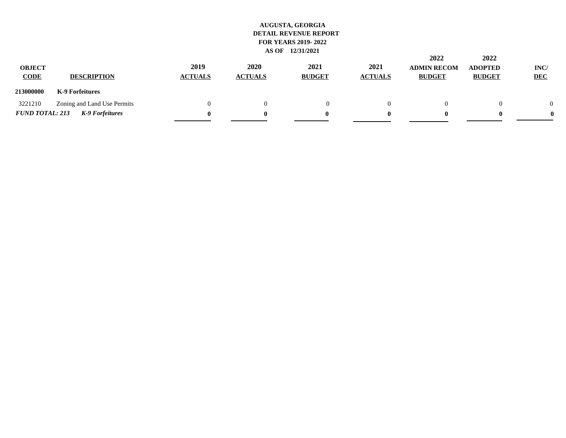| <b>OBJECT</b><br><b>CODE</b> | <b>DESCRIPTION</b>          | 2019<br><b>ACTUALS</b> | 2020<br><b>ACTUALS</b> | 2021<br><b>BUDGET</b> | 2021<br><b>ACTUALS</b> | 2022<br><b>ADMIN RECOM</b><br><b>BUDGET</b> | 2022<br><b>ADOPTED</b><br><b>BUDGET</b> | INC/<br><b>DEC</b> |
|------------------------------|-----------------------------|------------------------|------------------------|-----------------------|------------------------|---------------------------------------------|-----------------------------------------|--------------------|
| 213000000                    | K-9 Forfeitures             |                        |                        |                       |                        |                                             |                                         |                    |
| 3221210                      | Zoning and Land Use Permits |                        |                        |                       | $^{(1)}$               |                                             |                                         | $\Omega$           |
| <b>FUND TOTAL: 213</b>       | K-9 Forfeitures             | 0                      |                        |                       | o                      |                                             |                                         | 0                  |
|                              |                             |                        |                        |                       |                        |                                             |                                         |                    |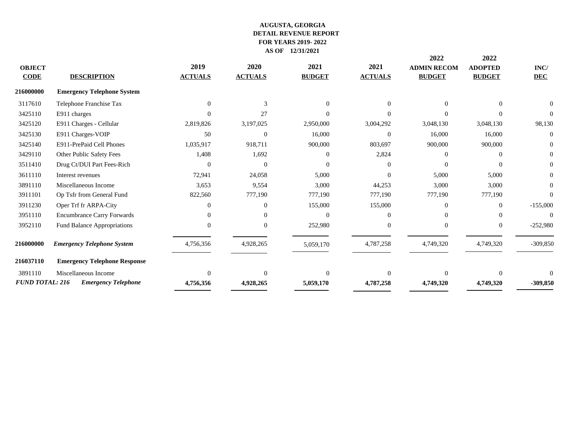|                        |                                     |                |                |                |                | 2022               | 2022           |            |
|------------------------|-------------------------------------|----------------|----------------|----------------|----------------|--------------------|----------------|------------|
| <b>OBJECT</b>          |                                     | 2019           | 2020           | 2021           | 2021           | <b>ADMIN RECOM</b> | <b>ADOPTED</b> | INC/       |
| <b>CODE</b>            | <b>DESCRIPTION</b>                  | <b>ACTUALS</b> | <b>ACTUALS</b> | <b>BUDGET</b>  | <b>ACTUALS</b> | <b>BUDGET</b>      | <b>BUDGET</b>  | <b>DEC</b> |
| <b>216000000</b>       | <b>Emergency Telephone System</b>   |                |                |                |                |                    |                |            |
| 3117610                | Telephone Franchise Tax             | $\Omega$       | 3              | $\overline{0}$ |                |                    | $\Omega$       |            |
| 3425110                | E911 charges                        |                | 27             | $\Omega$       |                |                    | $\Omega$       |            |
| 3425120                | E911 Charges - Cellular             | 2,819,826      | 3,197,025      | 2,950,000      | 3,004,292      | 3,048,130          | 3,048,130      | 98,130     |
| 3425130                | E911 Charges-VOIP                   | 50             | $\Omega$       | 16,000         | $\Omega$       | 16,000             | 16,000         | $\Omega$   |
| 3425140                | E911-PrePaid Cell Phones            | 1,035,917      | 918,711        | 900,000        | 803,697        | 900,000            | 900,000        |            |
| 3429110                | Other Public Safety Fees            | 1,408          | 1,692          | $\Omega$       | 2,824          |                    | $\Omega$       |            |
| 3511410                | Drug Ct/DUI Part Fees-Rich          | $\Omega$       | $\Omega$       | $\Omega$       | 0              |                    | $\Omega$       |            |
| 3611110                | Interest revenues                   | 72,941         | 24,058         | 5,000          | $\Omega$       | 5,000              | 5,000          | $\Omega$   |
| 3891110                | Miscellaneous Income                | 3,653          | 9,554          | 3,000          | 44,253         | 3,000              | 3,000          |            |
| 3911101                | Op Tsfr from General Fund           | 822,560        | 777,190        | 777,190        | 777,190        | 777,190            | 777,190        |            |
| 3911230                | Oper Trf fr ARPA-City               | $\Omega$       | $\Omega$       | 155,000        | 155,000        |                    | $\mathbf{0}$   | $-155,000$ |
| 3951110                | <b>Encumbrance Carry Forwards</b>   | 0              |                | $\Omega$       |                |                    | 0              |            |
| 3952110                | <b>Fund Balance Appropriations</b>  | $\Omega$       | $\Omega$       | 252,980        | $\Omega$       |                    | $\overline{0}$ | $-252,980$ |
| 216000000              | <b>Emergency Telephone System</b>   | 4,756,356      | 4,928,265      | 5,059,170      | 4,787,258      | 4,749,320          | 4,749,320      | $-309,850$ |
| 216037110              | <b>Emergency Telephone Response</b> |                |                |                |                |                    |                |            |
| 3891110                | Miscellaneous Income                | $\Omega$       | $\Omega$       | $\theta$       | $\Omega$       |                    | $\overline{0}$ |            |
| <b>FUND TOTAL: 216</b> | <b>Emergency Telephone</b>          | 4,756,356      | 4,928,265      | 5,059,170      | 4,787,258      | 4,749,320          | 4,749,320      | $-309,850$ |
|                        |                                     |                |                |                |                |                    |                |            |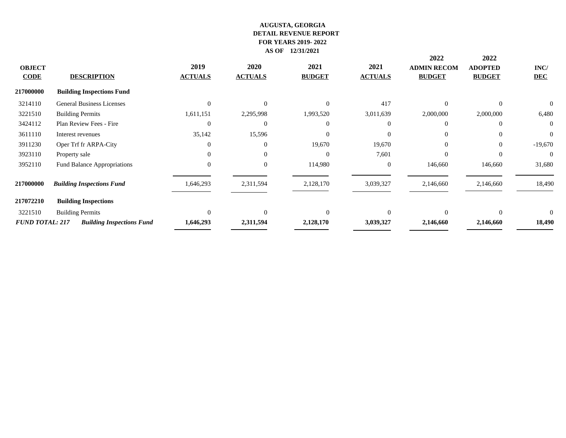| <b>OBJECT</b><br><b>CODE</b> | <b>DESCRIPTION</b>               | 2019<br><b>ACTUALS</b> | 2020<br><b>ACTUALS</b> | 2021<br><b>BUDGET</b> | 2021<br><b>ACTUALS</b> | 2022<br><b>ADMIN RECOM</b><br><b>BUDGET</b> | 2022<br><b>ADOPTED</b><br><b>BUDGET</b> | INC/<br><b>DEC</b> |
|------------------------------|----------------------------------|------------------------|------------------------|-----------------------|------------------------|---------------------------------------------|-----------------------------------------|--------------------|
| 217000000                    | <b>Building Inspections Fund</b> |                        |                        |                       |                        |                                             |                                         |                    |
| 3214110                      | <b>General Business Licenses</b> | $\Omega$               | $\theta$               | $\Omega$              | 417                    | $\Omega$                                    | $\Omega$                                | $\Omega$           |
| 3221510                      | <b>Building Permits</b>          | 1,611,151              | 2,295,998              | 1,993,520             | 3,011,639              | 2,000,000                                   | 2,000,000                               | 6,480              |
| 3424112                      | Plan Review Fees - Fire          |                        | $\overline{0}$         | $\overline{0}$        | $\Omega$               | $\Omega$                                    | $\Omega$                                | $\overline{0}$     |
| 3611110                      | Interest revenues                | 35,142                 | 15,596                 | $\overline{0}$        | $\overline{0}$         | $\Omega$                                    | $\overline{0}$                          | $\overline{0}$     |
| 3911230                      | Oper Trf fr ARPA-City            |                        | $\overline{0}$         | 19,670                | 19,670                 | $\Omega$                                    | $\overline{0}$                          | $-19,670$          |
| 3923110                      | Property sale                    | $\Omega$               | $\theta$               | $\Omega$              | 7,601                  | $\Omega$                                    | $\Omega$                                | $\theta$           |
| 3952110                      | Fund Balance Appropriations      | $\Omega$               | $\overline{0}$         | 114,980               | $\overline{0}$         | 146,660                                     | 146,660                                 | 31,680             |
| 217000000                    | <b>Building Inspections Fund</b> | 1,646,293              | 2,311,594              | 2,128,170             | 3,039,327              | 2,146,660                                   | 2,146,660                               | 18,490             |
| 217072210                    | <b>Building Inspections</b>      |                        |                        |                       |                        |                                             |                                         |                    |
| 3221510                      | <b>Building Permits</b>          | $\Omega$               | $\Omega$               | $\Omega$              | $\Omega$               | $\Omega$                                    | $\Omega$                                | $\Omega$           |
| <b>FUND TOTAL: 217</b>       | <b>Building Inspections Fund</b> | 1,646,293              | 2,311,594              | 2,128,170             | 3,039,327              | 2,146,660                                   | 2,146,660                               | 18,490             |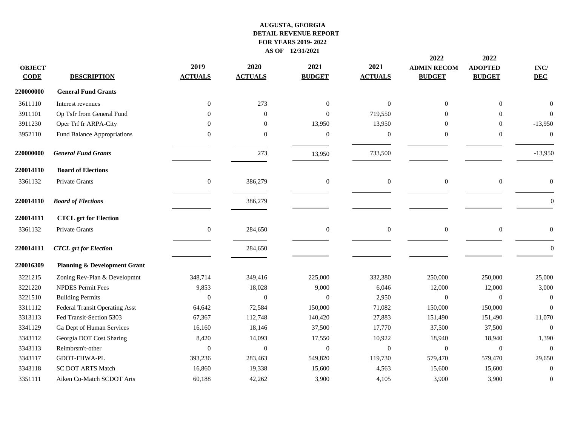| <b>OBJECT</b><br><b>CODE</b> | <b>DESCRIPTION</b>                      | 2019<br><b>ACTUALS</b> | 2020<br><b>ACTUALS</b> | 2021<br><b>BUDGET</b> | 2021<br><b>ACTUALS</b> | 2022<br><b>ADMIN RECOM</b><br><b>BUDGET</b> | 2022<br><b>ADOPTED</b><br><b>BUDGET</b> | $\mathbf{INC}/$<br><b>DEC</b> |
|------------------------------|-----------------------------------------|------------------------|------------------------|-----------------------|------------------------|---------------------------------------------|-----------------------------------------|-------------------------------|
| 220000000                    | <b>General Fund Grants</b>              |                        |                        |                       |                        |                                             |                                         |                               |
| 3611110                      | Interest revenues                       | $\mathbf{0}$           | 273                    | $\mathbf{0}$          | $\theta$               | $\overline{0}$                              | $\boldsymbol{0}$                        |                               |
| 3911101                      | Op Tsfr from General Fund               | $\Omega$               | $\theta$               | $\overline{0}$        | 719,550                | $\Omega$                                    | $\overline{0}$                          | $\Omega$                      |
| 3911230                      | Oper Trf fr ARPA-City                   | $\Omega$               | $\theta$               | 13,950                | 13,950                 | $\Omega$                                    | $\overline{0}$                          | $-13,950$                     |
| 3952110                      | Fund Balance Appropriations             | $\boldsymbol{0}$       | $\boldsymbol{0}$       | $\mathbf{0}$          | $\boldsymbol{0}$       | $\mathbf{0}$                                | $\boldsymbol{0}$                        | $\boldsymbol{0}$              |
| 220000000                    | <b>General Fund Grants</b>              |                        | 273                    | 13,950                | 733,500                |                                             |                                         | $-13,950$                     |
| 220014110                    | <b>Board of Elections</b>               |                        |                        |                       |                        |                                             |                                         |                               |
| 3361132                      | Private Grants                          | $\boldsymbol{0}$       | 386,279                | $\boldsymbol{0}$      | $\boldsymbol{0}$       | $\boldsymbol{0}$                            | $\boldsymbol{0}$                        | $\mathbf{0}$                  |
| 220014110                    | <b>Board of Elections</b>               |                        | 386,279                |                       |                        |                                             |                                         | $\Omega$                      |
| 220014111                    | <b>CTCL</b> grt for Election            |                        |                        |                       |                        |                                             |                                         |                               |
| 3361132                      | Private Grants                          | $\boldsymbol{0}$       | 284,650                | $\boldsymbol{0}$      | $\boldsymbol{0}$       | $\boldsymbol{0}$                            | $\boldsymbol{0}$                        | $\mathbf{0}$                  |
| 220014111                    | <b>CTCL</b> grt for Election            |                        | 284,650                |                       |                        |                                             |                                         | $\mathbf{0}$                  |
| 220016309                    | <b>Planning &amp; Development Grant</b> |                        |                        |                       |                        |                                             |                                         |                               |
| 3221215                      | Zoning Rev-Plan & Developmnt            | 348,714                | 349,416                | 225,000               | 332,380                | 250,000                                     | 250,000                                 | 25,000                        |
| 3221220                      | <b>NPDES Permit Fees</b>                | 9,853                  | 18,028                 | 9,000                 | 6,046                  | 12,000                                      | 12,000                                  | 3,000                         |
| 3221510                      | <b>Building Permits</b>                 | $\mathbf{0}$           | $\theta$               | $\theta$              | 2,950                  | $\Omega$                                    | $\overline{0}$                          | $\overline{0}$                |
| 3311112                      | <b>Federal Transit Operating Asst</b>   | 64,642                 | 72,584                 | 150,000               | 71,082                 | 150,000                                     | 150,000                                 | $\Omega$                      |
| 3313113                      | Fed Transit-Section 5303                | 67,367                 | 112,748                | 140,420               | 27,883                 | 151,490                                     | 151,490                                 | 11,070                        |
| 3341129                      | Ga Dept of Human Services               | 16,160                 | 18,146                 | 37,500                | 17,770                 | 37,500                                      | 37,500                                  | $\mathbf{0}$                  |
| 3343112                      | Georgia DOT Cost Sharing                | 8,420                  | 14,093                 | 17,550                | 10,922                 | 18,940                                      | 18,940                                  | 1,390                         |
| 3343113                      | Reimbrsm't-other                        | $\Omega$               | $\theta$               | $\boldsymbol{0}$      | $\mathbf{0}$           | $\overline{0}$                              | $\boldsymbol{0}$                        | $\overline{0}$                |
| 3343117                      | GDOT-FHWA-PL                            | 393,236                | 283,463                | 549,820               | 119,730                | 579,470                                     | 579,470                                 | 29,650                        |
| 3343118                      | <b>SC DOT ARTS Match</b>                | 16,860                 | 19,338                 | 15,600                | 4,563                  | 15,600                                      | 15,600                                  | $\Omega$                      |
| 3351111                      | Aiken Co-Match SCDOT Arts               | 60,188                 | 42,262                 | 3,900                 | 4,105                  | 3,900                                       | 3,900                                   | $\boldsymbol{0}$              |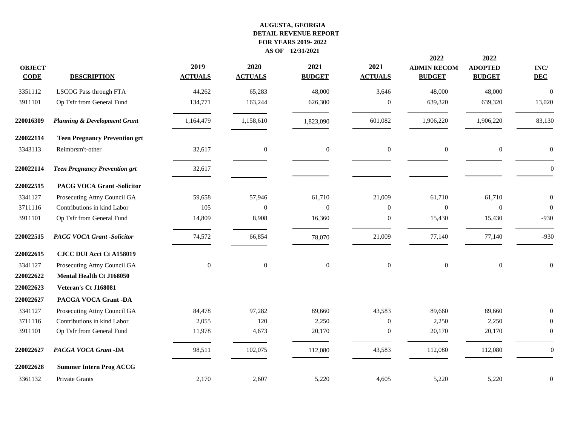|                              |                                         |                        |                        |                       |                        | 2022                                | 2022                            |                               |
|------------------------------|-----------------------------------------|------------------------|------------------------|-----------------------|------------------------|-------------------------------------|---------------------------------|-------------------------------|
| <b>OBJECT</b><br><b>CODE</b> | <b>DESCRIPTION</b>                      | 2019<br><b>ACTUALS</b> | 2020<br><b>ACTUALS</b> | 2021<br><b>BUDGET</b> | 2021<br><b>ACTUALS</b> | <b>ADMIN RECOM</b><br><b>BUDGET</b> | <b>ADOPTED</b><br><b>BUDGET</b> | $\mathbf{INC}/$<br><b>DEC</b> |
| 3351112                      | LSCOG Pass through FTA                  | 44,262                 | 65,283                 | 48,000                | 3,646                  | 48,000                              | 48,000                          | $\boldsymbol{0}$              |
| 3911101                      | Op Tsfr from General Fund               | 134,771                | 163,244                | 626,300               | $\boldsymbol{0}$       | 639,320                             | 639,320                         | 13,020                        |
| 220016309                    | <b>Planning &amp; Development Grant</b> | 1,164,479              | 1,158,610              | 1,823,090             | 601,082                | 1,906,220                           | 1,906,220                       | 83,130                        |
| 220022114                    | <b>Teen Pregnancy Prevention grt</b>    |                        |                        |                       |                        |                                     |                                 |                               |
| 3343113                      | Reimbrsm't-other                        | 32,617                 | $\boldsymbol{0}$       | $\boldsymbol{0}$      | $\mathbf{0}$           | $\mathbf{0}$                        | $\boldsymbol{0}$                | $\boldsymbol{0}$              |
| 220022114                    | <b>Teen Pregnancy Prevention grt</b>    | 32,617                 |                        |                       |                        |                                     |                                 | $\Omega$                      |
| 220022515                    | <b>PACG VOCA Grant -Solicitor</b>       |                        |                        |                       |                        |                                     |                                 |                               |
| 3341127                      | Prosecuting Attny Council GA            | 59,658                 | 57,946                 | 61,710                | 21,009                 | 61,710                              | 61,710                          | $\boldsymbol{0}$              |
| 3711116                      | Contributions in kind Labor             | 105                    | $\Omega$               | $\mathbf{0}$          | $\Omega$               | $\mathbf{0}$                        | $\boldsymbol{0}$                | $\Omega$                      |
| 3911101                      | Op Tsfr from General Fund               | 14,809                 | 8,908                  | 16,360                | $\boldsymbol{0}$       | 15,430                              | 15,430                          | $-930$                        |
| 220022515                    | <b>PACG VOCA Grant -Solicitor</b>       | 74,572                 | 66,854                 | 78,070                | 21,009                 | 77,140                              | 77,140                          | $-930$                        |
| 220022615                    | <b>CJCC DUI Acct Ct A158019</b>         |                        |                        |                       |                        |                                     |                                 |                               |
| 3341127                      | Prosecuting Attny Council GA            | $\mathbf{0}$           | $\boldsymbol{0}$       | $\boldsymbol{0}$      | $\boldsymbol{0}$       | $\mathbf{0}$                        | $\boldsymbol{0}$                | $\boldsymbol{0}$              |
| 220022622                    | Mental Health Ct J168050                |                        |                        |                       |                        |                                     |                                 |                               |
| 220022623                    | Veteran's Ct J168081                    |                        |                        |                       |                        |                                     |                                 |                               |
| 220022627                    | PACGA VOCA Grant -DA                    |                        |                        |                       |                        |                                     |                                 |                               |
| 3341127                      | Prosecuting Attny Council GA            | 84,478                 | 97,282                 | 89,660                | 43,583                 | 89,660                              | 89,660                          | $\Omega$                      |
| 3711116                      | Contributions in kind Labor             | 2,055                  | 120                    | 2,250                 | $\overline{0}$         | 2,250                               | 2,250                           | $\mathbf{0}$                  |
| 3911101                      | Op Tsfr from General Fund               | 11,978                 | 4,673                  | 20,170                | $\boldsymbol{0}$       | 20,170                              | 20,170                          | $\mathbf{0}$                  |
| 220022627                    | PACGA VOCA Grant -DA                    | 98,511                 | 102,075                | 112,080               | 43,583                 | 112,080                             | 112,080                         | $\overline{0}$                |
| 220022628                    | <b>Summer Intern Prog ACCG</b>          |                        |                        |                       |                        |                                     |                                 |                               |
| 3361132                      | Private Grants                          | 2,170                  | 2,607                  | 5,220                 | 4,605                  | 5,220                               | 5,220                           | $\overline{0}$                |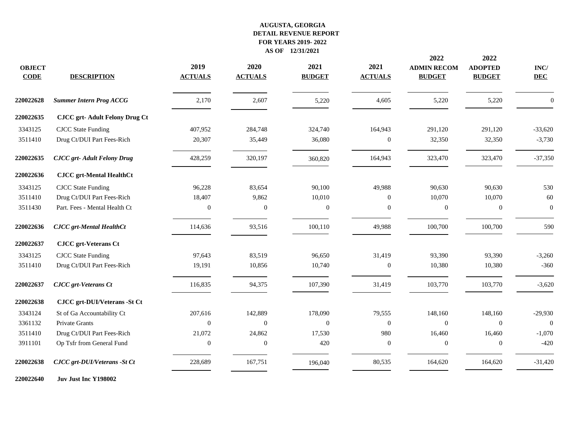|                              |                                      |                        |                        |                       |                        | 2022                                | 2022                            |                               |
|------------------------------|--------------------------------------|------------------------|------------------------|-----------------------|------------------------|-------------------------------------|---------------------------------|-------------------------------|
| <b>OBJECT</b><br><b>CODE</b> | <b>DESCRIPTION</b>                   | 2019<br><b>ACTUALS</b> | 2020<br><b>ACTUALS</b> | 2021<br><b>BUDGET</b> | 2021<br><b>ACTUALS</b> | <b>ADMIN RECOM</b><br><b>BUDGET</b> | <b>ADOPTED</b><br><b>BUDGET</b> | $\mathbf{INC}/$<br><b>DEC</b> |
| 220022628                    | <b>Summer Intern Prog ACCG</b>       | 2,170                  | 2,607                  | 5,220                 | 4,605                  | 5,220                               | 5,220                           | $\theta$                      |
| 220022635                    | <b>CJCC grt-Adult Felony Drug Ct</b> |                        |                        |                       |                        |                                     |                                 |                               |
| 3343125                      | <b>CJCC</b> State Funding            | 407,952                | 284,748                | 324,740               | 164,943                | 291,120                             | 291,120                         | $-33,620$                     |
| 3511410                      | Drug Ct/DUI Part Fees-Rich           | 20,307                 | 35,449                 | 36,080                | $\boldsymbol{0}$       | 32,350                              | 32,350                          | $-3,730$                      |
| 220022635                    | <b>CJCC</b> grt- Adult Felony Drug   | 428,259                | 320,197                | 360,820               | 164,943                | 323,470                             | 323,470                         | $-37,350$                     |
| 220022636                    | <b>CJCC</b> grt-Mental HealthCt      |                        |                        |                       |                        |                                     |                                 |                               |
| 3343125                      | <b>CJCC</b> State Funding            | 96,228                 | 83,654                 | 90,100                | 49,988                 | 90,630                              | 90,630                          | 530                           |
| 3511410                      | Drug Ct/DUI Part Fees-Rich           | 18,407                 | 9,862                  | 10,010                | $\Omega$               | 10,070                              | 10,070                          | 60                            |
| 3511430                      | Part. Fees - Mental Health Ct        | $\boldsymbol{0}$       | $\theta$               | $\boldsymbol{0}$      | $\mathbf{0}$           | $\boldsymbol{0}$                    | $\boldsymbol{0}$                | $\boldsymbol{0}$              |
| 220022636                    | <b>CJCC</b> grt-Mental HealthCt      | 114,636                | 93,516                 | 100,110               | 49,988                 | 100,700                             | 100,700                         | 590                           |
| 220022637                    | <b>CJCC</b> grt-Veterans Ct          |                        |                        |                       |                        |                                     |                                 |                               |
| 3343125                      | <b>CJCC</b> State Funding            | 97.643                 | 83,519                 | 96,650                | 31,419                 | 93,390                              | 93,390                          | $-3,260$                      |
| 3511410                      | Drug Ct/DUI Part Fees-Rich           | 19,191                 | 10,856                 | 10,740                | $\mathbf{0}$           | 10,380                              | 10,380                          | $-360$                        |
| 220022637                    | <b>CJCC</b> grt-Veterans Ct          | 116,835                | 94,375                 | 107,390               | 31,419                 | 103,770                             | 103,770                         | $-3,620$                      |
| 220022638                    | CJCC grt-DUI/Veterans -St Ct         |                        |                        |                       |                        |                                     |                                 |                               |
| 3343124                      | St of Ga Accountability Ct           | 207,616                | 142,889                | 178,090               | 79,555                 | 148,160                             | 148,160                         | $-29,930$                     |
| 3361132                      | Private Grants                       | $\overline{0}$         | $\Omega$               | $\mathbf{0}$          | $\boldsymbol{0}$       | $\overline{0}$                      | $\overline{0}$                  | $\boldsymbol{0}$              |
| 3511410                      | Drug Ct/DUI Part Fees-Rich           | 21,072                 | 24,862                 | 17,530                | 980                    | 16,460                              | 16,460                          | $-1,070$                      |
| 3911101                      | Op Tsfr from General Fund            | $\boldsymbol{0}$       | $\Omega$               | 420                   | $\mathbf{0}$           | $\mathbf{0}$                        | $\boldsymbol{0}$                | $-420$                        |
| 220022638                    | CJCC grt-DUI/Veterans - St Ct        | 228,689                | 167,751                | 196,040               | 80,535                 | 164,620                             | 164,620                         | $-31,420$                     |
|                              |                                      |                        |                        |                       |                        |                                     |                                 |                               |

**Juv Just Inc Y198002**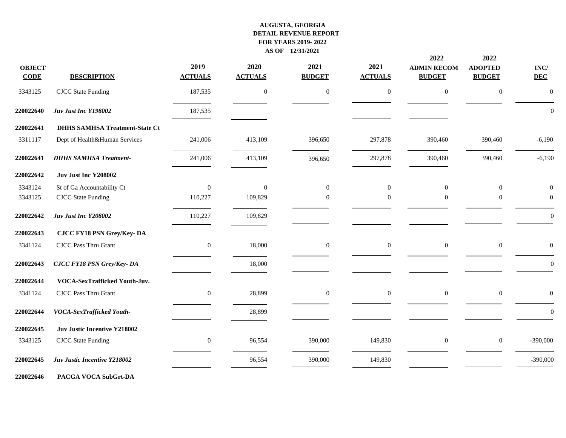| <b>OBJECT</b><br><b>CODE</b> | <b>DESCRIPTION</b>                    | 2019<br><b>ACTUALS</b> | 2020<br><b>ACTUALS</b> | 2021<br><b>BUDGET</b> | 2021<br><b>ACTUALS</b> | 2022<br><b>ADMIN RECOM</b><br><b>BUDGET</b> | 2022<br><b>ADOPTED</b><br><b>BUDGET</b> | $\mathbf{INC}/$<br><b>DEC</b> |
|------------------------------|---------------------------------------|------------------------|------------------------|-----------------------|------------------------|---------------------------------------------|-----------------------------------------|-------------------------------|
| 3343125                      | <b>CJCC</b> State Funding             | 187,535                | $\boldsymbol{0}$       | $\boldsymbol{0}$      | $\boldsymbol{0}$       | $\mathbf{0}$                                | $\boldsymbol{0}$                        | $\boldsymbol{0}$              |
| 220022640                    | Juv Just Inc Y198002                  | 187,535                |                        |                       |                        |                                             |                                         | $\Omega$                      |
| 220022641                    | <b>DHHS SAMHSA Treatment-State Ct</b> |                        |                        |                       |                        |                                             |                                         |                               |
| 3311117                      | Dept of Health&Human Services         | 241,006                | 413,109                | 396,650               | 297,878                | 390,460                                     | 390,460                                 | $-6,190$                      |
| 220022641                    | <b>DHHS SAMHSA Treatment-</b>         | 241,006                | 413,109                | 396,650               | 297,878                | 390,460                                     | 390,460                                 | $-6,190$                      |
| 220022642                    | Juv Just Inc Y208002                  |                        |                        |                       |                        |                                             |                                         |                               |
| 3343124                      | St of Ga Accountability Ct            | $\mathbf{0}$           | $\Omega$               | $\mathbf{0}$          | $\overline{0}$         | $\mathbf{0}$                                | $\boldsymbol{0}$                        | $\theta$                      |
| 3343125                      | <b>CJCC</b> State Funding             | 110,227                | 109,829                | $\theta$              | $\mathbf{0}$           | $\boldsymbol{0}$                            | $\boldsymbol{0}$                        | $\overline{0}$                |
| 220022642                    | Juv Just Inc Y208002                  | 110,227                | 109,829                |                       |                        |                                             |                                         | $\overline{0}$                |
| 220022643                    | <b>CJCC FY18 PSN Grey/Key-DA</b>      |                        |                        |                       |                        |                                             |                                         |                               |
| 3341124                      | <b>CJCC Pass Thru Grant</b>           | $\overline{0}$         | 18,000                 | $\boldsymbol{0}$      | $\mathbf{0}$           | $\mathbf{0}$                                | $\boldsymbol{0}$                        | $\theta$                      |
| 220022643                    | <b>CJCC FY18 PSN Grey/Key-DA</b>      |                        | 18,000                 |                       |                        |                                             |                                         | $\mathbf{0}$                  |
| 220022644                    | VOCA-SexTrafficked Youth-Juv.         |                        |                        |                       |                        |                                             |                                         |                               |
| 3341124                      | <b>CJCC Pass Thru Grant</b>           | $\boldsymbol{0}$       | 28,899                 | $\mathbf{0}$          | $\mathbf{0}$           | $\mathbf{0}$                                | $\boldsymbol{0}$                        | $\theta$                      |
| 220022644                    | VOCA-SexTrafficked Youth-             |                        | 28,899                 |                       |                        |                                             |                                         | $\mathbf{0}$                  |
| 220022645                    | Juv Justic Incentive Y218002          |                        |                        |                       |                        |                                             |                                         |                               |
| 3343125                      | <b>CJCC</b> State Funding             | $\mathbf{0}$           | 96,554                 | 390,000               | 149,830                | $\mathbf{0}$                                | $\boldsymbol{0}$                        | $-390,000$                    |
| 220022645                    | Juv Justic Incentive Y218002          |                        | 96,554                 | 390,000               | 149,830                |                                             |                                         | $-390,000$                    |
| 220022646                    | PACGA VOCA SubGrt-DA                  |                        |                        |                       |                        |                                             |                                         |                               |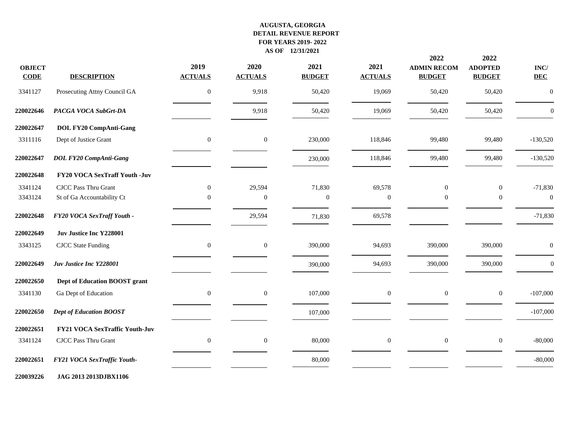| <b>OBJECT</b><br><b>CODE</b> | <b>DESCRIPTION</b>                    | 2019<br><b>ACTUALS</b> | 2020<br><b>ACTUALS</b> | 2021<br><b>BUDGET</b> | 2021<br><b>ACTUALS</b> | 2022<br><b>ADMIN RECOM</b><br><b>BUDGET</b> | 2022<br><b>ADOPTED</b><br><b>BUDGET</b> | $\mathbf{INC}/$<br><b>DEC</b> |
|------------------------------|---------------------------------------|------------------------|------------------------|-----------------------|------------------------|---------------------------------------------|-----------------------------------------|-------------------------------|
| 3341127                      | Prosecuting Attny Council GA          | $\boldsymbol{0}$       | 9,918                  | 50,420                | 19,069                 | 50,420                                      | 50,420                                  | $\overline{0}$                |
| 220022646                    | PACGA VOCA SubGrt-DA                  |                        | 9,918                  | 50,420                | 19,069                 | 50,420                                      | 50,420                                  | $\boldsymbol{0}$              |
| 220022647                    | <b>DOL FY20 CompAnti-Gang</b>         |                        |                        |                       |                        |                                             |                                         |                               |
| 3311116                      | Dept of Justice Grant                 | $\boldsymbol{0}$       | $\boldsymbol{0}$       | 230,000               | 118,846                | 99,480                                      | 99,480                                  | $-130,520$                    |
| 220022647                    | <b>DOL FY20 CompAnti-Gang</b>         |                        |                        | 230,000               | 118,846                | 99,480                                      | 99,480                                  | $-130,520$                    |
| 220022648                    | FY20 VOCA SexTraff Youth -Juv         |                        |                        |                       |                        |                                             |                                         |                               |
| 3341124                      | <b>CJCC Pass Thru Grant</b>           | $\boldsymbol{0}$       | 29,594                 | 71,830                | 69,578                 | $\mathbf{0}$                                | $\mathbf{0}$                            | $-71,830$                     |
| 3343124                      | St of Ga Accountability Ct            | $\Omega$               | $\overline{0}$         | $\theta$              | $\mathbf{0}$           | $\mathbf{0}$                                | $\overline{0}$                          | $\boldsymbol{0}$              |
| 220022648                    | FY20 VOCA SexTraff Youth -            |                        | 29,594                 | 71,830                | 69,578                 |                                             |                                         | $-71,830$                     |
| 220022649                    | Juv Justice Inc Y228001               |                        |                        |                       |                        |                                             |                                         |                               |
| 3343125                      | <b>CJCC</b> State Funding             | $\overline{0}$         | $\mathbf{0}$           | 390,000               | 94,693                 | 390,000                                     | 390,000                                 | $\mathbf{0}$                  |
| 220022649                    | Juv Justice Inc Y228001               |                        |                        | 390,000               | 94,693                 | 390,000                                     | 390,000                                 | $\boldsymbol{0}$              |
| 220022650                    | Dept of Education BOOST grant         |                        |                        |                       |                        |                                             |                                         |                               |
| 3341130                      | Ga Dept of Education                  | $\boldsymbol{0}$       | $\mathbf{0}$           | 107,000               | $\boldsymbol{0}$       | $\boldsymbol{0}$                            | $\boldsymbol{0}$                        | $-107,000$                    |
| 220022650                    | <b>Dept of Education BOOST</b>        |                        |                        | 107,000               |                        |                                             |                                         | $-107,000$                    |
| 220022651                    | <b>FY21 VOCA SexTraffic Youth-Juv</b> |                        |                        |                       |                        |                                             |                                         |                               |
| 3341124                      | CJCC Pass Thru Grant                  | $\mathbf{0}$           | $\overline{0}$         | 80,000                | $\boldsymbol{0}$       | $\overline{0}$                              | $\boldsymbol{0}$                        | $-80,000$                     |
| 220022651                    | FY21 VOCA SexTraffic Youth-           |                        |                        | 80,000                |                        |                                             |                                         | $-80,000$                     |
|                              |                                       |                        |                        |                       |                        |                                             |                                         |                               |

**JAG 2013 2013DJBX1106**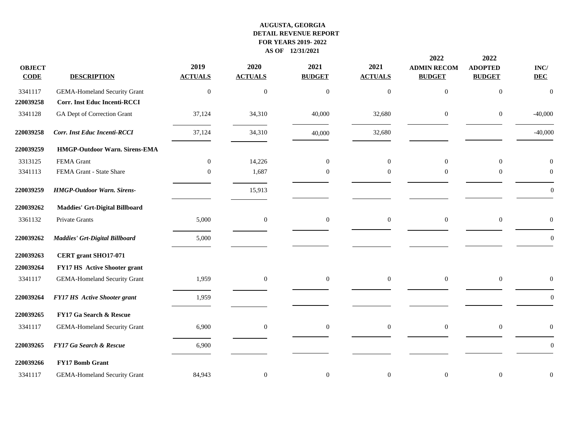| <b>OBJECT</b><br>$CODE$ | <b>DESCRIPTION</b>                   | 2019<br><b>ACTUALS</b> | 2020<br><b>ACTUALS</b> | 2021<br><b>BUDGET</b> | 2021<br><b>ACTUALS</b> | 2022<br><b>ADMIN RECOM</b><br><b>BUDGET</b> | 2022<br><b>ADOPTED</b><br><b>BUDGET</b> | INC/<br><b>DEC</b> |
|-------------------------|--------------------------------------|------------------------|------------------------|-----------------------|------------------------|---------------------------------------------|-----------------------------------------|--------------------|
| 3341117                 | <b>GEMA-Homeland Security Grant</b>  | $\boldsymbol{0}$       | $\boldsymbol{0}$       | $\boldsymbol{0}$      | $\theta$               | $\mathbf{0}$                                | $\boldsymbol{0}$                        | $\boldsymbol{0}$   |
| 220039258               | <b>Corr. Inst Educ Incenti-RCCI</b>  |                        |                        |                       |                        |                                             |                                         |                    |
| 3341128                 | GA Dept of Correction Grant          | 37,124                 | 34,310                 | 40,000                | 32,680                 | $\mathbf{0}$                                | $\boldsymbol{0}$                        | $-40,000$          |
| 220039258               | <b>Corr. Inst Educ Incenti-RCCI</b>  | 37,124                 | 34,310                 | 40,000                | 32,680                 |                                             |                                         | $-40,000$          |
| 220039259               | <b>HMGP-Outdoor Warn. Sirens-EMA</b> |                        |                        |                       |                        |                                             |                                         |                    |
| 3313125                 | FEMA Grant                           | $\overline{0}$         | 14,226                 | $\mathbf{0}$          | $\overline{0}$         | $\overline{0}$                              | $\mathbf{0}$                            | $\boldsymbol{0}$   |
| 3341113                 | FEMA Grant - State Share             | $\Omega$               | 1,687                  | $\mathbf{0}$          | $\overline{0}$         | $\overline{0}$                              | $\overline{0}$                          | $\theta$           |
| 220039259               | <b>HMGP-Outdoor Warn. Sirens-</b>    |                        | 15,913                 |                       |                        |                                             |                                         | $\Omega$           |
| 220039262               | Maddies' Grt-Digital Billboard       |                        |                        |                       |                        |                                             |                                         |                    |
| 3361132                 | Private Grants                       | 5,000                  | $\mathbf{0}$           | $\mathbf{0}$          | $\overline{0}$         | $\mathbf{0}$                                | $\mathbf{0}$                            | $\mathbf{0}$       |
| 220039262               | Maddies' Grt-Digital Billboard       | 5,000                  |                        |                       |                        |                                             |                                         | $\Omega$           |
| 220039263               | <b>CERT</b> grant SHO17-071          |                        |                        |                       |                        |                                             |                                         |                    |
| 220039264               | <b>FY17 HS Active Shooter grant</b>  |                        |                        |                       |                        |                                             |                                         |                    |
| 3341117                 | <b>GEMA-Homeland Security Grant</b>  | 1,959                  | $\mathbf{0}$           | $\boldsymbol{0}$      | $\boldsymbol{0}$       | $\overline{0}$                              | $\boldsymbol{0}$                        | $\overline{0}$     |
| 220039264               | <b>FY17 HS Active Shooter grant</b>  | 1,959                  |                        |                       |                        |                                             |                                         | $\mathbf{0}$       |
| 220039265               | FY17 Ga Search & Rescue              |                        |                        |                       |                        |                                             |                                         |                    |
| 3341117                 | <b>GEMA-Homeland Security Grant</b>  | 6,900                  | $\overline{0}$         | $\mathbf{0}$          | $\mathbf{0}$           | $\overline{0}$                              | $\boldsymbol{0}$                        | $\Omega$           |
| 220039265               | FY17 Ga Search & Rescue              | 6,900                  |                        |                       |                        |                                             |                                         | $\Omega$           |
| 220039266               | FY17 Bomb Grant                      |                        |                        |                       |                        |                                             |                                         |                    |
| 3341117                 | <b>GEMA-Homeland Security Grant</b>  | 84,943                 | $\mathbf{0}$           | $\mathbf{0}$          | $\boldsymbol{0}$       | $\overline{0}$                              | $\mathbf{0}$                            | $\theta$           |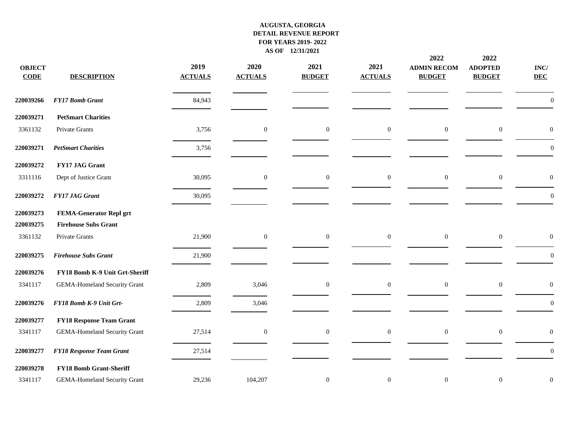| <b>OBJECT</b><br><b>CODE</b> | <b>DESCRIPTION</b>                  | 2019<br><b>ACTUALS</b> | 2020<br><b>ACTUALS</b> | 2021<br><b>BUDGET</b> | 2021<br><b>ACTUALS</b> | 2022<br><b>ADMIN RECOM</b><br><b>BUDGET</b> | 2022<br><b>ADOPTED</b><br><b>BUDGET</b> | $\mathbf{INC}/$<br><b>DEC</b> |
|------------------------------|-------------------------------------|------------------------|------------------------|-----------------------|------------------------|---------------------------------------------|-----------------------------------------|-------------------------------|
| 220039266                    | <b>FY17 Bomb Grant</b>              | 84,943                 |                        |                       |                        |                                             |                                         | $\overline{0}$                |
| 220039271                    | <b>PetSmart Charities</b>           |                        |                        |                       |                        |                                             |                                         |                               |
| 3361132                      | Private Grants                      | 3,756                  | $\boldsymbol{0}$       | $\mathbf{0}$          | $\boldsymbol{0}$       | $\mathbf{0}$                                | $\mathbf{0}$                            | $\theta$                      |
| 220039271                    | <b>PetSmart Charities</b>           | 3,756                  |                        |                       |                        |                                             |                                         | $\boldsymbol{0}$              |
| 220039272                    | FY17 JAG Grant                      |                        |                        |                       |                        |                                             |                                         |                               |
| 3311116                      | Dept of Justice Grant               | 30,095                 | $\boldsymbol{0}$       | $\boldsymbol{0}$      | $\boldsymbol{0}$       | $\overline{0}$                              | $\boldsymbol{0}$                        | $\boldsymbol{0}$              |
| 220039272                    | <b>FY17 JAG Grant</b>               | 30,095                 |                        |                       |                        |                                             |                                         | $\theta$                      |
| 220039273                    | <b>FEMA-Generator Repl grt</b>      |                        |                        |                       |                        |                                             |                                         |                               |
| 220039275                    | <b>Firehouse Subs Grant</b>         |                        |                        |                       |                        |                                             |                                         |                               |
| 3361132                      | Private Grants                      | 21,900                 | $\overline{0}$         | $\boldsymbol{0}$      | $\boldsymbol{0}$       | $\mathbf{0}$                                | $\boldsymbol{0}$                        | $\mathbf{0}$                  |
| 220039275                    | <b>Firehouse Subs Grant</b>         | 21,900                 |                        |                       |                        |                                             |                                         | $\boldsymbol{0}$              |
| 220039276                    | FY18 Bomb K-9 Unit Grt-Sheriff      |                        |                        |                       |                        |                                             |                                         |                               |
| 3341117                      | <b>GEMA-Homeland Security Grant</b> | 2,809                  | 3,046                  | $\boldsymbol{0}$      | $\overline{0}$         | $\overline{0}$                              | $\boldsymbol{0}$                        | $\overline{0}$                |
| 220039276                    | FY18 Bomb K-9 Unit Grt-             | 2,809                  | 3,046                  |                       |                        |                                             |                                         | $\boldsymbol{0}$              |
| 220039277                    | <b>FY18 Response Team Grant</b>     |                        |                        |                       |                        |                                             |                                         |                               |
| 3341117                      | <b>GEMA-Homeland Security Grant</b> | 27,514                 | $\overline{0}$         | $\boldsymbol{0}$      | $\boldsymbol{0}$       | $\boldsymbol{0}$                            | $\boldsymbol{0}$                        | $\boldsymbol{0}$              |
| 220039277                    | <b>FY18 Response Team Grant</b>     | 27,514                 |                        |                       |                        |                                             |                                         | $\boldsymbol{0}$              |
| 220039278                    | <b>FY18 Bomb Grant-Sheriff</b>      |                        |                        |                       |                        |                                             |                                         |                               |
| 3341117                      | <b>GEMA-Homeland Security Grant</b> | 29,236                 | 104,207                | $\boldsymbol{0}$      | $\mathbf{0}$           | $\mathbf{0}$                                | $\mathbf{0}$                            | $\mathbf{0}$                  |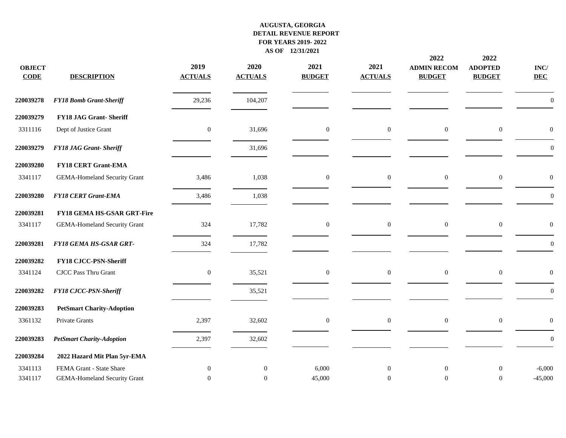| <b>OBJECT</b><br><b>CODE</b> | <b>DESCRIPTION</b>                  | 2019<br><b>ACTUALS</b> | 2020<br><b>ACTUALS</b> | 2021<br><b>BUDGET</b> | 2021<br><b>ACTUALS</b> | 2022<br><b>ADMIN RECOM</b><br><b>BUDGET</b> | 2022<br><b>ADOPTED</b><br><b>BUDGET</b> | $\mathbf{INC}/$<br><b>DEC</b> |
|------------------------------|-------------------------------------|------------------------|------------------------|-----------------------|------------------------|---------------------------------------------|-----------------------------------------|-------------------------------|
| 220039278                    | <b>FY18 Bomb Grant-Sheriff</b>      | 29,236                 | 104,207                |                       |                        |                                             |                                         | $\overline{0}$                |
| 220039279                    | FY18 JAG Grant-Sheriff              |                        |                        |                       |                        |                                             |                                         |                               |
| 3311116                      | Dept of Justice Grant               | $\boldsymbol{0}$       | 31,696                 | $\boldsymbol{0}$      | $\boldsymbol{0}$       | $\boldsymbol{0}$                            | $\boldsymbol{0}$                        | $\overline{0}$                |
| 220039279                    | <b>FY18 JAG Grant- Sheriff</b>      |                        | 31,696                 |                       |                        |                                             |                                         | $\boldsymbol{0}$              |
| 220039280                    | <b>FY18 CERT Grant-EMA</b>          |                        |                        |                       |                        |                                             |                                         |                               |
| 3341117                      | <b>GEMA-Homeland Security Grant</b> | 3,486                  | 1,038                  | $\boldsymbol{0}$      | $\boldsymbol{0}$       | $\boldsymbol{0}$                            | $\boldsymbol{0}$                        | $\boldsymbol{0}$              |
| 220039280                    | <b>FY18 CERT Grant-EMA</b>          | 3,486                  | 1,038                  |                       |                        |                                             |                                         | $\boldsymbol{0}$              |
| 220039281                    | FY18 GEMA HS-GSAR GRT-Fire          |                        |                        |                       |                        |                                             |                                         |                               |
| 3341117                      | <b>GEMA-Homeland Security Grant</b> | 324                    | 17,782                 | $\boldsymbol{0}$      | $\boldsymbol{0}$       | $\mathbf{0}$                                | $\mathbf{0}$                            | $\boldsymbol{0}$              |
| 220039281                    | FY18 GEMA HS-GSAR GRT-              | 324                    | 17,782                 |                       |                        |                                             |                                         | $\mathbf{0}$                  |
| 220039282                    | FY18 CJCC-PSN-Sheriff               |                        |                        |                       |                        |                                             |                                         |                               |
| 3341124                      | CJCC Pass Thru Grant                | $\mathbf{0}$           | 35,521                 | $\boldsymbol{0}$      | $\boldsymbol{0}$       | $\mathbf{0}$                                | $\boldsymbol{0}$                        | $\boldsymbol{0}$              |
| 220039282                    | FY18 CJCC-PSN-Sheriff               |                        | 35,521                 |                       |                        |                                             |                                         | $\boldsymbol{0}$              |
| 220039283                    | <b>PetSmart Charity-Adoption</b>    |                        |                        |                       |                        |                                             |                                         |                               |
| 3361132                      | Private Grants                      | 2,397                  | 32,602                 | $\mathbf{0}$          | $\overline{0}$         | $\mathbf{0}$                                | $\mathbf{0}$                            | $\boldsymbol{0}$              |
| 220039283                    | <b>PetSmart Charity-Adoption</b>    | 2,397                  | 32,602                 |                       |                        |                                             |                                         | $\mathbf{0}$                  |
| 220039284                    | 2022 Hazard Mit Plan 5yr-EMA        |                        |                        |                       |                        |                                             |                                         |                               |
| 3341113                      | FEMA Grant - State Share            | $\mathbf{0}$           | $\boldsymbol{0}$       | 6,000                 | $\boldsymbol{0}$       | $\mathbf{0}$                                | $\mathbf{0}$                            | $-6,000$                      |
| 3341117                      | <b>GEMA-Homeland Security Grant</b> | $\mathbf{0}$           | $\overline{0}$         | 45,000                | $\boldsymbol{0}$       | $\overline{0}$                              | $\mathbf{0}$                            | $-45,000$                     |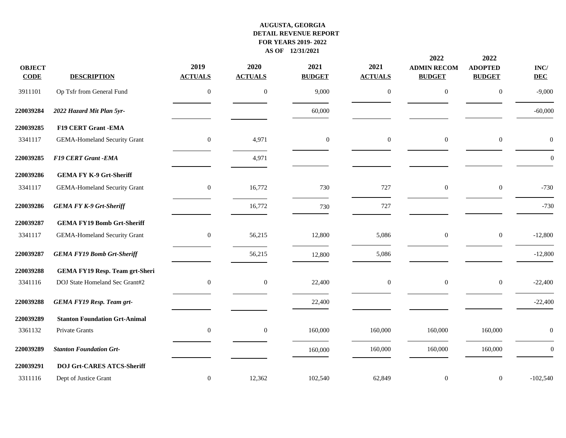|                              |                                       |                        |                        |                       |                        | 2022                                | 2022                            |                               |
|------------------------------|---------------------------------------|------------------------|------------------------|-----------------------|------------------------|-------------------------------------|---------------------------------|-------------------------------|
| <b>OBJECT</b><br><b>CODE</b> | <b>DESCRIPTION</b>                    | 2019<br><b>ACTUALS</b> | 2020<br><b>ACTUALS</b> | 2021<br><b>BUDGET</b> | 2021<br><b>ACTUALS</b> | <b>ADMIN RECOM</b><br><b>BUDGET</b> | <b>ADOPTED</b><br><b>BUDGET</b> | $\mathbf{INC}/$<br><b>DEC</b> |
| 3911101                      | Op Tsfr from General Fund             | $\mathbf{0}$           | $\boldsymbol{0}$       | 9,000                 | $\mathbf{0}$           | $\boldsymbol{0}$                    | $\boldsymbol{0}$                | $-9,000$                      |
| 220039284                    | 2022 Hazard Mit Plan 5yr-             |                        |                        | 60,000                |                        |                                     |                                 | $-60,000$                     |
| 220039285                    | <b>F19 CERT Grant -EMA</b>            |                        |                        |                       |                        |                                     |                                 |                               |
| 3341117                      | <b>GEMA-Homeland Security Grant</b>   | $\boldsymbol{0}$       | 4,971                  | $\boldsymbol{0}$      | $\mathbf{0}$           | $\boldsymbol{0}$                    | $\boldsymbol{0}$                | $\boldsymbol{0}$              |
| 220039285                    | F19 CERT Grant -EMA                   |                        | 4,971                  |                       |                        |                                     |                                 | $\boldsymbol{0}$              |
| 220039286                    | <b>GEMA FY K-9 Grt-Sheriff</b>        |                        |                        |                       |                        |                                     |                                 |                               |
| 3341117                      | <b>GEMA-Homeland Security Grant</b>   | $\mathbf{0}$           | 16,772                 | 730                   | 727                    | $\mathbf{0}$                        | $\boldsymbol{0}$                | $-730$                        |
| 220039286                    | <b>GEMA FY K-9 Grt-Sheriff</b>        |                        | 16,772                 | 730                   | 727                    |                                     |                                 | $-730$                        |
| 220039287                    | <b>GEMA FY19 Bomb Grt-Sheriff</b>     |                        |                        |                       |                        |                                     |                                 |                               |
| 3341117                      | <b>GEMA-Homeland Security Grant</b>   | $\boldsymbol{0}$       | 56,215                 | 12,800                | 5,086                  | $\boldsymbol{0}$                    | $\boldsymbol{0}$                | $-12,800$                     |
| 220039287                    | <b>GEMA FY19 Bomb Grt-Sheriff</b>     |                        | 56,215                 | 12,800                | 5,086                  |                                     |                                 | $-12,800$                     |
| 220039288                    | <b>GEMA FY19 Resp. Team grt-Sheri</b> |                        |                        |                       |                        |                                     |                                 |                               |
| 3341116                      | DOJ State Homeland Sec Grant#2        | $\boldsymbol{0}$       | $\boldsymbol{0}$       | 22,400                | $\overline{0}$         | $\mathbf{0}$                        | $\boldsymbol{0}$                | $-22,400$                     |
| 220039288                    | <b>GEMA FY19 Resp. Team grt-</b>      |                        |                        | 22,400                |                        |                                     |                                 | $-22,400$                     |
| 220039289                    | <b>Stanton Foundation Grt-Animal</b>  |                        |                        |                       |                        |                                     |                                 |                               |
| 3361132                      | Private Grants                        | $\mathbf{0}$           | $\mathbf{0}$           | 160,000               | 160,000                | 160,000                             | 160,000                         | $\mathbf{0}$                  |
| 220039289                    | <b>Stanton Foundation Grt-</b>        |                        |                        | 160,000               | 160,000                | 160,000                             | 160,000                         | $\boldsymbol{0}$              |
| 220039291                    | <b>DOJ Grt-CARES ATCS-Sheriff</b>     |                        |                        |                       |                        |                                     |                                 |                               |
| 3311116                      | Dept of Justice Grant                 | $\mathbf{0}$           | 12,362                 | 102,540               | 62,849                 | $\mathbf{0}$                        | $\boldsymbol{0}$                | $-102,540$                    |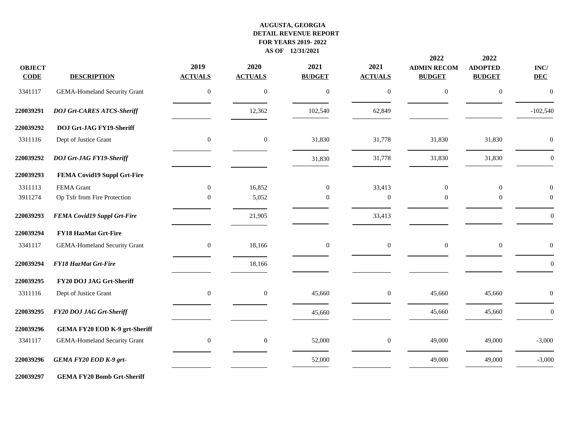| <b>OBJECT</b><br><b>CODE</b> | <b>DESCRIPTION</b>                   | 2019<br><b>ACTUALS</b> | 2020<br><b>ACTUALS</b> | 2021<br><b>BUDGET</b> | 2021<br><b>ACTUALS</b> | 2022<br><b>ADMIN RECOM</b><br><b>BUDGET</b> | 2022<br><b>ADOPTED</b><br><b>BUDGET</b> | $\mathbf{INC}/$<br><b>DEC</b> |
|------------------------------|--------------------------------------|------------------------|------------------------|-----------------------|------------------------|---------------------------------------------|-----------------------------------------|-------------------------------|
| 3341117                      | <b>GEMA-Homeland Security Grant</b>  | $\mathbf{0}$           | $\mathbf{0}$           | $\boldsymbol{0}$      | $\boldsymbol{0}$       | $\boldsymbol{0}$                            | $\boldsymbol{0}$                        | $\mathbf{0}$                  |
| 220039291                    | <b>DOJ Grt-CARES ATCS-Sheriff</b>    |                        | 12,362                 | 102,540               | 62,849                 |                                             |                                         | $-102,540$                    |
| 220039292                    | <b>DOJ Grt-JAG FY19-Sheriff</b>      |                        |                        |                       |                        |                                             |                                         |                               |
| 3311116                      | Dept of Justice Grant                | $\mathbf{0}$           | $\mathbf{0}$           | 31,830                | 31,778                 | 31,830                                      | 31,830                                  | $\mathbf{0}$                  |
| 220039292                    | DOJ Grt-JAG FY19-Sheriff             |                        |                        | 31,830                | 31,778                 | 31,830                                      | 31,830                                  | $\boldsymbol{0}$              |
| 220039293                    | FEMA Covid19 Suppl Grt-Fire          |                        |                        |                       |                        |                                             |                                         |                               |
| 3311113                      | FEMA Grant                           | $\overline{0}$         | 16,852                 | $\boldsymbol{0}$      | 33,413                 | $\mathbf{0}$                                | $\boldsymbol{0}$                        | $\overline{0}$                |
| 3911274                      | Op Tsfr from Fire Protection         | $\Omega$               | 5,052                  | $\mathbf{0}$          | $\Omega$               | $\Omega$                                    | $\mathbf{0}$                            | $\theta$                      |
| 220039293                    | <b>FEMA Covid19 Suppl Grt-Fire</b>   |                        | 21,905                 |                       | 33,413                 |                                             |                                         | $\boldsymbol{0}$              |
| 220039294                    | <b>FY18 HazMat Grt-Fire</b>          |                        |                        |                       |                        |                                             |                                         |                               |
| 3341117                      | <b>GEMA-Homeland Security Grant</b>  | $\overline{0}$         | 18,166                 | $\boldsymbol{0}$      | $\overline{0}$         | $\overline{0}$                              | $\boldsymbol{0}$                        | $\boldsymbol{0}$              |
| 220039294                    | FY18 HazMat Grt-Fire                 |                        | 18,166                 |                       |                        |                                             |                                         | $\theta$                      |
| 220039295                    | FY20 DOJ JAG Grt-Sheriff             |                        |                        |                       |                        |                                             |                                         |                               |
| 3311116                      | Dept of Justice Grant                | $\mathbf{0}$           | $\mathbf{0}$           | 45,660                | $\boldsymbol{0}$       | 45,660                                      | 45,660                                  | $\boldsymbol{0}$              |
| 220039295                    | FY20 DOJ JAG Grt-Sheriff             |                        |                        | 45,660                |                        | 45,660                                      | 45,660                                  | $\overline{0}$                |
| 220039296                    | <b>GEMA FY20 EOD K-9 grt-Sheriff</b> |                        |                        |                       |                        |                                             |                                         |                               |
| 3341117                      | <b>GEMA-Homeland Security Grant</b>  | $\overline{0}$         | $\mathbf{0}$           | 52,000                | $\overline{0}$         | 49,000                                      | 49,000                                  | $-3,000$                      |
| 220039296                    | GEMA FY20 EOD K-9 grt-               |                        |                        | 52,000                |                        | 49,000                                      | 49,000                                  | $-3,000$                      |
|                              |                                      |                        |                        |                       |                        |                                             |                                         |                               |

**GEMA FY20 Bomb Grt-Sheriff**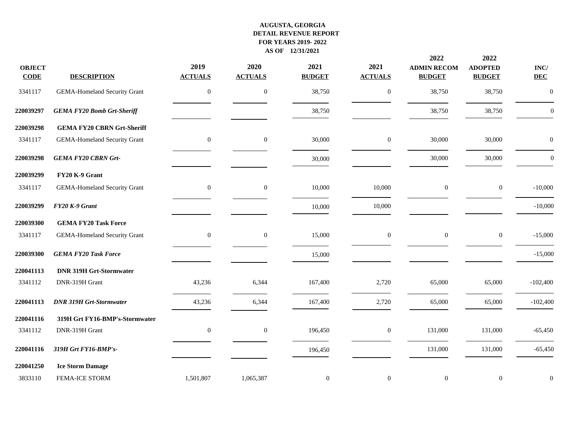|                              |                                     |                        |                        |                       |                        | 2022                                | 2022                            |                               |
|------------------------------|-------------------------------------|------------------------|------------------------|-----------------------|------------------------|-------------------------------------|---------------------------------|-------------------------------|
| <b>OBJECT</b><br><b>CODE</b> | <b>DESCRIPTION</b>                  | 2019<br><b>ACTUALS</b> | 2020<br><b>ACTUALS</b> | 2021<br><b>BUDGET</b> | 2021<br><b>ACTUALS</b> | <b>ADMIN RECOM</b><br><b>BUDGET</b> | <b>ADOPTED</b><br><b>BUDGET</b> | $\mathbf{INC}/$<br><b>DEC</b> |
| 3341117                      | <b>GEMA-Homeland Security Grant</b> | $\boldsymbol{0}$       | $\boldsymbol{0}$       | 38,750                | $\mathbf{0}$           | 38,750                              | 38,750                          | $\boldsymbol{0}$              |
| 220039297                    | <b>GEMA FY20 Bomb Grt-Sheriff</b>   |                        |                        | 38,750                |                        | 38,750                              | 38,750                          | $\boldsymbol{0}$              |
| 220039298                    | <b>GEMA FY20 CBRN Grt-Sheriff</b>   |                        |                        |                       |                        |                                     |                                 |                               |
| 3341117                      | <b>GEMA-Homeland Security Grant</b> | $\boldsymbol{0}$       | $\mathbf{0}$           | 30,000                | $\boldsymbol{0}$       | 30,000                              | 30,000                          | $\mathbf{0}$                  |
| 220039298                    | <b>GEMA FY20 CBRN Grt-</b>          |                        |                        | 30,000                |                        | 30,000                              | 30,000                          | $\boldsymbol{0}$              |
| 220039299                    | FY20 K-9 Grant                      |                        |                        |                       |                        |                                     |                                 |                               |
| 3341117                      | <b>GEMA-Homeland Security Grant</b> | $\boldsymbol{0}$       | $\mathbf{0}$           | 10,000                | 10,000                 | $\mathbf{0}$                        | $\boldsymbol{0}$                | $-10,000$                     |
| 220039299                    | FY20 K-9 Grant                      |                        |                        | 10,000                | 10,000                 |                                     |                                 | $-10,000$                     |
| 220039300                    | <b>GEMA FY20 Task Force</b>         |                        |                        |                       |                        |                                     |                                 |                               |
| 3341117                      | <b>GEMA-Homeland Security Grant</b> | $\boldsymbol{0}$       | $\boldsymbol{0}$       | 15,000                | $\boldsymbol{0}$       | $\boldsymbol{0}$                    | $\boldsymbol{0}$                | $-15,000$                     |
| 220039300                    | <b>GEMA FY20 Task Force</b>         |                        |                        | 15,000                |                        |                                     |                                 | $-15,000$                     |
| 220041113                    | <b>DNR 319H Grt-Stormwater</b>      |                        |                        |                       |                        |                                     |                                 |                               |
| 3341112                      | DNR-319H Grant                      | 43,236                 | 6,344                  | 167,400               | 2,720                  | 65,000                              | 65,000                          | $-102,400$                    |
| 220041113                    | <b>DNR 319H Grt-Stormwater</b>      | 43,236                 | 6,344                  | 167,400               | 2,720                  | 65,000                              | 65,000                          | $-102,400$                    |
| 220041116                    | 319H Grt FY16-BMP's-Stormwater      |                        |                        |                       |                        |                                     |                                 |                               |
| 3341112                      | DNR-319H Grant                      | $\boldsymbol{0}$       | $\boldsymbol{0}$       | 196,450               | $\boldsymbol{0}$       | 131,000                             | 131,000                         | $-65,450$                     |
| 220041116                    | 319H Grt FY16-BMP's-                |                        |                        | 196,450               |                        | 131,000                             | 131,000                         | $-65,450$                     |
| 220041250                    | <b>Ice Storm Damage</b>             |                        |                        |                       |                        |                                     |                                 |                               |
| 3833110                      | FEMA-ICE STORM                      | 1,501,807              | 1,065,387              | $\boldsymbol{0}$      | $\mathbf{0}$           | $\mathbf{0}$                        | $\boldsymbol{0}$                | $\boldsymbol{0}$              |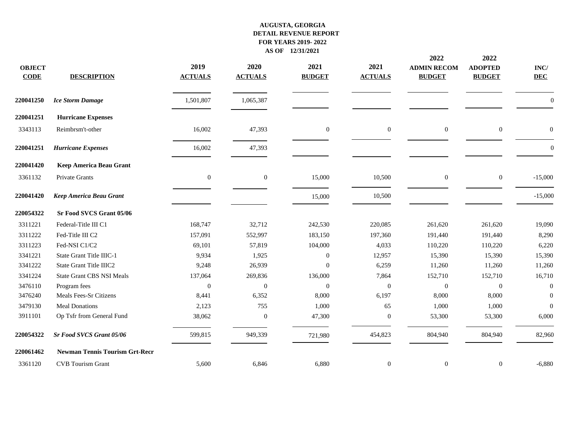| <b>OBJECT</b><br><b>CODE</b> | <b>DESCRIPTION</b>                    | 2019<br><b>ACTUALS</b> | 2020<br><b>ACTUALS</b> | 2021<br><b>BUDGET</b> | 2021<br><b>ACTUALS</b> | 2022<br><b>ADMIN RECOM</b><br><b>BUDGET</b> | 2022<br><b>ADOPTED</b><br><b>BUDGET</b> | $\mathbf{INC}/$<br><b>DEC</b> |
|------------------------------|---------------------------------------|------------------------|------------------------|-----------------------|------------------------|---------------------------------------------|-----------------------------------------|-------------------------------|
| 220041250                    | <b>Ice Storm Damage</b>               | 1,501,807              | 1,065,387              |                       |                        |                                             |                                         | $\theta$                      |
| 220041251                    | <b>Hurricane Expenses</b>             |                        |                        |                       |                        |                                             |                                         |                               |
| 3343113                      | Reimbrsm't-other                      | 16,002                 | 47,393                 | $\mathbf{0}$          | $\overline{0}$         | $\mathbf{0}$                                | $\boldsymbol{0}$                        | $\theta$                      |
| 220041251                    | <b>Hurricane Expenses</b>             | 16,002                 | 47,393                 |                       |                        |                                             |                                         | $\overline{0}$                |
| 220041420                    | Keep America Beau Grant               |                        |                        |                       |                        |                                             |                                         |                               |
| 3361132                      | Private Grants                        | $\mathbf{0}$           | $\boldsymbol{0}$       | 15,000                | 10,500                 | $\mathbf{0}$                                | $\boldsymbol{0}$                        | $-15,000$                     |
| 220041420                    | Keep America Beau Grant               |                        |                        | 15,000                | 10,500                 |                                             |                                         | $-15,000$                     |
| 220054322                    | Sr Food SVCS Grant 05/06              |                        |                        |                       |                        |                                             |                                         |                               |
| 3311221                      | Federal-Title III C1                  | 168,747                | 32,712                 | 242,530               | 220,085                | 261,620                                     | 261,620                                 | 19,090                        |
| 3311222                      | Fed-Title III C2                      | 157,091                | 552,997                | 183,150               | 197,360                | 191,440                                     | 191,440                                 | 8,290                         |
| 3311223                      | Fed-NSI C1/C2                         | 69,101                 | 57,819                 | 104,000               | 4,033                  | 110,220                                     | 110,220                                 | 6,220                         |
| 3341221                      | State Grant Title IIIC-1              | 9,934                  | 1,925                  | $\boldsymbol{0}$      | 12,957                 | 15,390                                      | 15,390                                  | 15,390                        |
| 3341222                      | State Grant Title IIIC2               | 9,248                  | 26,939                 | $\overline{0}$        | 6,259                  | 11,260                                      | 11,260                                  | 11,260                        |
| 3341224                      | <b>State Grant CBS NSI Meals</b>      | 137,064                | 269,836                | 136,000               | 7,864                  | 152,710                                     | 152,710                                 | 16,710                        |
| 3476110                      | Program fees                          | $\overline{0}$         | $\mathbf{0}$           | $\boldsymbol{0}$      | $\overline{0}$         | $\overline{0}$                              | $\boldsymbol{0}$                        | $\theta$                      |
| 3476240                      | Meals Fees-Sr Citizens                | 8,441                  | 6,352                  | 8,000                 | 6,197                  | 8,000                                       | 8,000                                   | $\Omega$                      |
| 3479130                      | <b>Meal Donations</b>                 | 2,123                  | 755                    | 1,000                 | 65                     | 1,000                                       | 1,000                                   | $\Omega$                      |
| 3911101                      | Op Tsfr from General Fund             | 38,062                 | $\mathbf{0}$           | 47,300                | $\boldsymbol{0}$       | 53,300                                      | 53,300                                  | 6,000                         |
| 220054322                    | <b>Sr Food SVCS Grant 05/06</b>       | 599,815                | 949,339                | 721,980               | 454,823                | 804,940                                     | 804,940                                 | 82,960                        |
| 220061462                    | <b>Newman Tennis Tourism Grt-Recr</b> |                        |                        |                       |                        |                                             |                                         |                               |
| 3361120                      | <b>CVB</b> Tourism Grant              | 5,600                  | 6,846                  | 6,880                 | $\boldsymbol{0}$       | $\mathbf{0}$                                | $\boldsymbol{0}$                        | $-6,880$                      |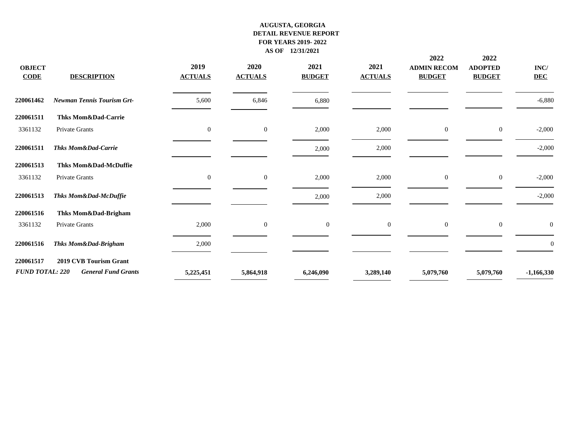| <b>OBJECT</b><br><b>CODE</b> | <b>DESCRIPTION</b>                | 2019<br><b>ACTUALS</b> | 2020<br><b>ACTUALS</b> | 2021<br><b>BUDGET</b> | 2021<br><b>ACTUALS</b> | 2022<br><b>ADMIN RECOM</b><br><b>BUDGET</b> | 2022<br><b>ADOPTED</b><br><b>BUDGET</b> | INC/<br><b>DEC</b> |
|------------------------------|-----------------------------------|------------------------|------------------------|-----------------------|------------------------|---------------------------------------------|-----------------------------------------|--------------------|
| 220061462                    | <b>Newman Tennis Tourism Grt-</b> | 5,600                  | 6,846                  | 6,880                 |                        |                                             |                                         | $-6,880$           |
| 220061511                    | Thks Mom&Dad-Carrie               |                        |                        |                       |                        |                                             |                                         |                    |
| 3361132                      | Private Grants                    | $\mathbf{0}$           | $\boldsymbol{0}$       | 2,000                 | 2,000                  | $\overline{0}$                              | $\boldsymbol{0}$                        | $-2,000$           |
| 220061511                    | <b>Thks Mom&amp;Dad-Carrie</b>    |                        |                        | 2,000                 | 2,000                  |                                             |                                         | $-2,000$           |
| 220061513                    | Thks Mom&Dad-McDuffie             |                        |                        |                       |                        |                                             |                                         |                    |
| 3361132                      | Private Grants                    | $\mathbf{0}$           | $\mathbf{0}$           | 2,000                 | 2,000                  | $\overline{0}$                              | $\mathbf{0}$                            | $-2,000$           |
| 220061513                    | Thks Mom&Dad-McDuffie             |                        |                        | 2,000                 | 2,000                  |                                             |                                         | $-2,000$           |
| 220061516                    | Thks Mom&Dad-Brigham              |                        |                        |                       |                        |                                             |                                         |                    |
| 3361132                      | Private Grants                    | 2,000                  | $\overline{0}$         | $\boldsymbol{0}$      | $\mathbf{0}$           | $\overline{0}$                              | $\boldsymbol{0}$                        | $\boldsymbol{0}$   |
| 220061516                    | Thks Mom&Dad-Brigham              | 2,000                  |                        |                       |                        |                                             |                                         | $\overline{0}$     |
| 220061517                    | <b>2019 CVB Tourism Grant</b>     |                        |                        |                       |                        |                                             |                                         |                    |
| <b>FUND TOTAL: 220</b>       | <b>General Fund Grants</b>        | 5,225,451              | 5,864,918              | 6,246,090             | 3,289,140              | 5,079,760                                   | 5,079,760                               | $-1,166,330$       |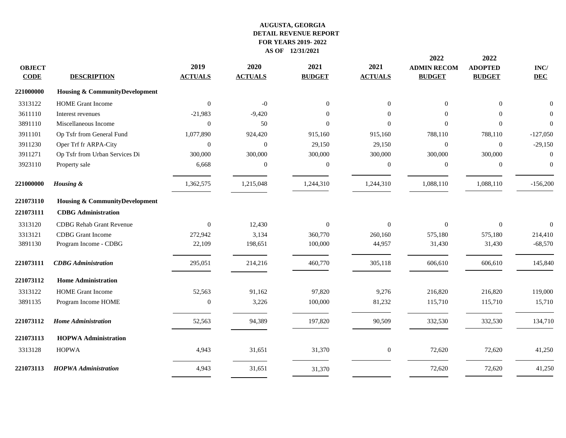|               |                                           |                |                |                  |                  | 2022               | 2022             |                 |
|---------------|-------------------------------------------|----------------|----------------|------------------|------------------|--------------------|------------------|-----------------|
| <b>OBJECT</b> |                                           | 2019           | 2020           | 2021             | 2021             | <b>ADMIN RECOM</b> | <b>ADOPTED</b>   | $\mathbf{INC}/$ |
| <b>CODE</b>   | <b>DESCRIPTION</b>                        | <b>ACTUALS</b> | <b>ACTUALS</b> | <b>BUDGET</b>    | <b>ACTUALS</b>   | <b>BUDGET</b>      | <b>BUDGET</b>    | <b>DEC</b>      |
| 221000000     | <b>Housing &amp; CommunityDevelopment</b> |                |                |                  |                  |                    |                  |                 |
| 3313122       | <b>HOME</b> Grant Income                  | $\Omega$       | $-0$           | $\boldsymbol{0}$ | $\overline{0}$   | $\Omega$           | $\overline{0}$   | $\mathbf{0}$    |
| 3611110       | Interest revenues                         | $-21,983$      | $-9,420$       | $\Omega$         | $\Omega$         | $\Omega$           | $\Omega$         | $\mathbf{0}$    |
| 3891110       | Miscellaneous Income                      | $\Omega$       | 50             | $\overline{0}$   | $\Omega$         | $\Omega$           | $\mathbf{0}$     | $\overline{0}$  |
| 3911101       | Op Tsfr from General Fund                 | 1,077,890      | 924,420        | 915,160          | 915,160          | 788,110            | 788,110          | $-127,050$      |
| 3911230       | Oper Trf fr ARPA-City                     | $\overline{0}$ | $\overline{0}$ | 29,150           | 29,150           | $\mathbf{0}$       | $\mathbf{0}$     | $-29,150$       |
| 3911271       | Op Tsfr from Urban Services Di            | 300,000        | 300,000        | 300,000          | 300,000          | 300,000            | 300,000          | $\mathbf{0}$    |
| 3923110       | Property sale                             | 6,668          | $\overline{0}$ | $\boldsymbol{0}$ | $\mathbf{0}$     | $\theta$           | $\boldsymbol{0}$ | $\mathbf{0}$    |
| 221000000     | Housing &                                 | 1,362,575      | 1,215,048      | 1,244,310        | 1,244,310        | 1,088,110          | 1,088,110        | $-156,200$      |
| 221073110     | <b>Housing &amp; CommunityDevelopment</b> |                |                |                  |                  |                    |                  |                 |
| 221073111     | <b>CDBG</b> Administration                |                |                |                  |                  |                    |                  |                 |
| 3313120       | <b>CDBG</b> Rehab Grant Revenue           | $\Omega$       | 12,430         | $\boldsymbol{0}$ | $\Omega$         | $\Omega$           | $\boldsymbol{0}$ | $\overline{0}$  |
| 3313121       | <b>CDBG</b> Grant Income                  | 272,942        | 3,134          | 360,770          | 260,160          | 575,180            | 575,180          | 214,410         |
| 3891130       | Program Income - CDBG                     | 22,109         | 198,651        | 100,000          | 44,957           | 31,430             | 31,430           | $-68,570$       |
| 221073111     | <b>CDBG</b> Administration                | 295,051        | 214,216        | 460,770          | 305,118          | 606,610            | 606,610          | 145,840         |
| 221073112     | <b>Home Administration</b>                |                |                |                  |                  |                    |                  |                 |
| 3313122       | <b>HOME</b> Grant Income                  | 52,563         | 91,162         | 97,820           | 9,276            | 216,820            | 216,820          | 119,000         |
| 3891135       | Program Income HOME                       | $\theta$       | 3,226          | 100,000          | 81,232           | 115,710            | 115,710          | 15,710          |
| 221073112     | <b>Home Administration</b>                | 52,563         | 94,389         | 197,820          | 90,509           | 332,530            | 332,530          | 134,710         |
| 221073113     | <b>HOPWA Administration</b>               |                |                |                  |                  |                    |                  |                 |
| 3313128       | <b>HOPWA</b>                              | 4,943          | 31,651         | 31,370           | $\boldsymbol{0}$ | 72,620             | 72,620           | 41,250          |
| 221073113     | <b>HOPWA Administration</b>               | 4,943          | 31,651         | 31,370           |                  | 72,620             | 72,620           | 41,250          |
|               |                                           |                |                |                  |                  |                    |                  |                 |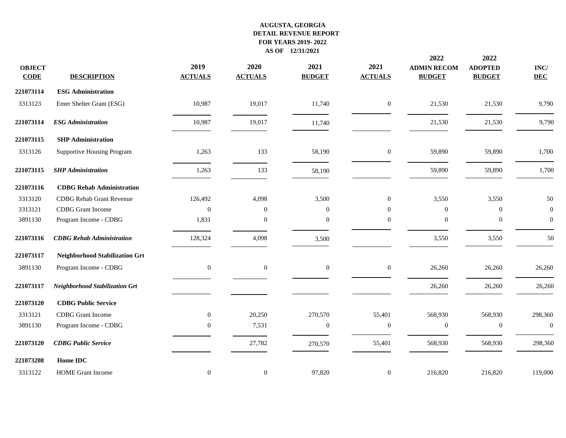| <b>OBJECT</b><br><b>CODE</b> | <b>DESCRIPTION</b>                    | 2019<br><b>ACTUALS</b> | 2020<br><b>ACTUALS</b> | 2021<br><b>BUDGET</b> | 2021<br><b>ACTUALS</b> | 2022<br><b>ADMIN RECOM</b><br><b>BUDGET</b> | 2022<br><b>ADOPTED</b><br><b>BUDGET</b> | INC/<br><b>DEC</b> |
|------------------------------|---------------------------------------|------------------------|------------------------|-----------------------|------------------------|---------------------------------------------|-----------------------------------------|--------------------|
| 221073114                    | <b>ESG Administration</b>             |                        |                        |                       |                        |                                             |                                         |                    |
| 3313123                      | Emer Shelter Grant (ESG)              | 10,987                 | 19,017                 | 11,740                | $\overline{0}$         | 21,530                                      | 21,530                                  | 9,790              |
| 221073114                    | <b>ESG Administration</b>             | 10,987                 | 19,017                 | 11,740                |                        | 21,530                                      | 21,530                                  | 9,790              |
| 221073115                    | <b>SHP Administration</b>             |                        |                        |                       |                        |                                             |                                         |                    |
| 3313126                      | Supportive Housing Program            | 1,263                  | 133                    | 58,190                | $\boldsymbol{0}$       | 59,890                                      | 59,890                                  | 1,700              |
| 221073115                    | <b>SHP</b> Administration             | 1,263                  | 133                    | 58,190                |                        | 59,890                                      | 59,890                                  | 1,700              |
| 221073116                    | <b>CDBG</b> Rehab Administration      |                        |                        |                       |                        |                                             |                                         |                    |
| 3313120                      | <b>CDBG</b> Rehab Grant Revenue       | 126,492                | 4,098                  | 3,500                 | $\overline{0}$         | 3,550                                       | 3,550                                   | 50                 |
| 3313121                      | <b>CDBG</b> Grant Income              | $\overline{0}$         | $\theta$               | $\boldsymbol{0}$      | $\boldsymbol{0}$       | $\overline{0}$                              | $\boldsymbol{0}$                        | $\mathbf{0}$       |
| 3891130                      | Program Income - CDBG                 | 1,831                  | $\mathbf{0}$           | $\mathbf{0}$          | $\boldsymbol{0}$       | $\mathbf{0}$                                | $\mathbf{0}$                            | $\boldsymbol{0}$   |
| 221073116                    | <b>CDBG</b> Rehab Administration      | 128,324                | 4,098                  | 3,500                 |                        | 3,550                                       | 3,550                                   | 50                 |
| 221073117                    | <b>Neighborhood Stabilization Grt</b> |                        |                        |                       |                        |                                             |                                         |                    |
| 3891130                      | Program Income - CDBG                 | $\mathbf{0}$           | $\mathbf{0}$           | $\boldsymbol{0}$      | $\overline{0}$         | 26,260                                      | 26,260                                  | 26,260             |
| 221073117                    | <b>Neighborhood Stabilization Grt</b> |                        |                        |                       |                        | 26,260                                      | 26,260                                  | 26,260             |
| 221073120                    | <b>CDBG Public Service</b>            |                        |                        |                       |                        |                                             |                                         |                    |
| 3313121                      | <b>CDBG</b> Grant Income              | $\overline{0}$         | 20,250                 | 270,570               | 55,401                 | 568,930                                     | 568,930                                 | 298,360            |
| 3891130                      | Program Income - CDBG                 | $\theta$               | 7,531                  | $\boldsymbol{0}$      | $\mathbf{0}$           | $\mathbf{0}$                                | $\boldsymbol{0}$                        | $\mathbf{0}$       |
| 221073120                    | <b>CDBG Public Service</b>            |                        | 27,782                 | 270,570               | 55,401                 | 568,930                                     | 568,930                                 | 298,360            |
| 221073208                    | Home IDC                              |                        |                        |                       |                        |                                             |                                         |                    |
| 3313122                      | <b>HOME</b> Grant Income              | $\mathbf{0}$           | $\mathbf{0}$           | 97,820                | $\boldsymbol{0}$       | 216,820                                     | 216,820                                 | 119,000            |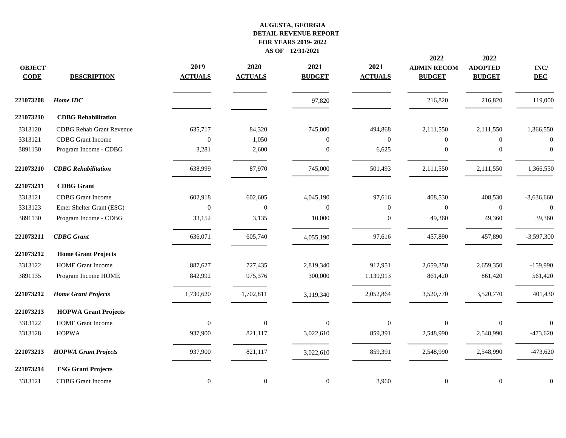|                              |                                 |                        |                        |                       |                        | 2022                                | 2022                            |                               |
|------------------------------|---------------------------------|------------------------|------------------------|-----------------------|------------------------|-------------------------------------|---------------------------------|-------------------------------|
| <b>OBJECT</b><br><b>CODE</b> | <b>DESCRIPTION</b>              | 2019<br><b>ACTUALS</b> | 2020<br><b>ACTUALS</b> | 2021<br><b>BUDGET</b> | 2021<br><b>ACTUALS</b> | <b>ADMIN RECOM</b><br><b>BUDGET</b> | <b>ADOPTED</b><br><b>BUDGET</b> | $\mathbf{INC}/$<br><b>DEC</b> |
| 221073208                    | Home IDC                        |                        |                        | 97,820                |                        | 216,820                             | 216,820                         | 119,000                       |
| 221073210                    | <b>CDBG</b> Rehabilitation      |                        |                        |                       |                        |                                     |                                 |                               |
| 3313120                      | <b>CDBG</b> Rehab Grant Revenue | 635,717                | 84,320                 | 745,000               | 494,868                | 2,111,550                           | 2,111,550                       | 1,366,550                     |
| 3313121                      | <b>CDBG</b> Grant Income        | $\overline{0}$         | 1,050                  | $\mathbf{0}$          | $\Omega$               | $\mathbf{0}$                        | $\overline{0}$                  | $\theta$                      |
| 3891130                      | Program Income - CDBG           | 3,281                  | 2,600                  | $\mathbf{0}$          | 6,625                  | $\boldsymbol{0}$                    | $\boldsymbol{0}$                | $\boldsymbol{0}$              |
| 221073210                    | <b>CDBG</b> Rehabilitation      | 638,999                | 87,970                 | 745,000               | 501,493                | 2,111,550                           | 2,111,550                       | 1,366,550                     |
| 221073211                    | <b>CDBG</b> Grant               |                        |                        |                       |                        |                                     |                                 |                               |
| 3313121                      | <b>CDBG</b> Grant Income        | 602,918                | 602,605                | 4,045,190             | 97,616                 | 408,530                             | 408,530                         | $-3,636,660$                  |
| 3313123                      | Emer Shelter Grant (ESG)        | $\mathbf{0}$           | $\overline{0}$         | $\overline{0}$        | $\boldsymbol{0}$       | $\mathbf{0}$                        | $\boldsymbol{0}$                | $\boldsymbol{0}$              |
| 3891130                      | Program Income - CDBG           | 33,152                 | 3,135                  | 10,000                | $\mathbf{0}$           | 49,360                              | 49,360                          | 39,360                        |
| 221073211                    | <b>CDBG</b> Grant               | 636,071                | 605,740                | 4,055,190             | 97,616                 | 457,890                             | 457,890                         | $-3,597,300$                  |
| 221073212                    | <b>Home Grant Projects</b>      |                        |                        |                       |                        |                                     |                                 |                               |
| 3313122                      | <b>HOME</b> Grant Income        | 887,627                | 727,435                | 2,819,340             | 912,951                | 2,659,350                           | 2,659,350                       | $-159,990$                    |
| 3891135                      | Program Income HOME             | 842,992                | 975,376                | 300,000               | 1,139,913              | 861,420                             | 861,420                         | 561,420                       |
| 221073212                    | <b>Home Grant Projects</b>      | 1,730,620              | 1,702,811              | 3,119,340             | 2,052,864              | 3,520,770                           | 3,520,770                       | 401,430                       |
| 221073213                    | <b>HOPWA Grant Projects</b>     |                        |                        |                       |                        |                                     |                                 |                               |
| 3313122                      | <b>HOME</b> Grant Income        | $\overline{0}$         | $\overline{0}$         | $\boldsymbol{0}$      | $\overline{0}$         | $\overline{0}$                      | $\boldsymbol{0}$                | $\overline{0}$                |
| 3313128                      | <b>HOPWA</b>                    | 937,900                | 821,117                | 3,022,610             | 859,391                | 2,548,990                           | 2,548,990                       | $-473,620$                    |
| 221073213                    | <b>HOPWA Grant Projects</b>     | 937,900                | 821,117                | 3,022,610             | 859,391                | 2,548,990                           | 2,548,990                       | $-473,620$                    |
| 221073214                    | <b>ESG Grant Projects</b>       |                        |                        |                       |                        |                                     |                                 |                               |
| 3313121                      | <b>CDBG</b> Grant Income        | $\mathbf{0}$           | $\mathbf{0}$           | $\boldsymbol{0}$      | 3,960                  | $\boldsymbol{0}$                    | $\boldsymbol{0}$                | $\boldsymbol{0}$              |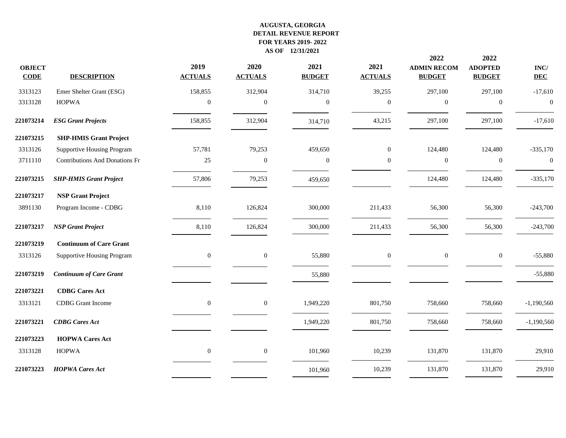|                              |                                       |                        |                        |                       |                        | 2022                                | 2022                            |                    |
|------------------------------|---------------------------------------|------------------------|------------------------|-----------------------|------------------------|-------------------------------------|---------------------------------|--------------------|
| <b>OBJECT</b><br><b>CODE</b> | <b>DESCRIPTION</b>                    | 2019<br><b>ACTUALS</b> | 2020<br><b>ACTUALS</b> | 2021<br><b>BUDGET</b> | 2021<br><b>ACTUALS</b> | <b>ADMIN RECOM</b><br><b>BUDGET</b> | <b>ADOPTED</b><br><b>BUDGET</b> | INC/<br><b>DEC</b> |
| 3313123                      | Emer Shelter Grant (ESG)              | 158,855                | 312,904                | 314,710               | 39,255                 | 297,100                             | 297,100                         | $-17,610$          |
| 3313128                      | <b>HOPWA</b>                          | $\theta$               | $\overline{0}$         | $\mathbf{0}$          | $\boldsymbol{0}$       | $\boldsymbol{0}$                    | $\boldsymbol{0}$                | $\boldsymbol{0}$   |
| 221073214                    | <b>ESG Grant Projects</b>             | 158,855                | 312,904                | 314,710               | 43,215                 | 297,100                             | 297,100                         | $-17,610$          |
| 221073215                    | <b>SHP-HMIS Grant Project</b>         |                        |                        |                       |                        |                                     |                                 |                    |
| 3313126                      | <b>Supportive Housing Program</b>     | 57,781                 | 79,253                 | 459,650               | $\overline{0}$         | 124,480                             | 124,480                         | $-335,170$         |
| 3711110                      | <b>Contributions And Donations Fr</b> | 25                     | $\mathbf{0}$           | $\boldsymbol{0}$      | $\boldsymbol{0}$       | $\mathbf{0}$                        | $\boldsymbol{0}$                | $\boldsymbol{0}$   |
| 221073215                    | <b>SHP-HMIS Grant Project</b>         | 57,806                 | 79,253                 | 459,650               |                        | 124,480                             | 124,480                         | $-335,170$         |
| 221073217                    | <b>NSP Grant Project</b>              |                        |                        |                       |                        |                                     |                                 |                    |
| 3891130                      | Program Income - CDBG                 | 8,110                  | 126,824                | 300,000               | 211,433                | 56,300                              | 56,300                          | $-243,700$         |
| 221073217                    | <b>NSP</b> Grant Project              | 8,110                  | 126,824                | 300,000               | 211,433                | 56,300                              | 56,300                          | $-243,700$         |
| 221073219                    | <b>Continuum of Care Grant</b>        |                        |                        |                       |                        |                                     |                                 |                    |
| 3313126                      | <b>Supportive Housing Program</b>     | $\boldsymbol{0}$       | $\boldsymbol{0}$       | 55,880                | $\boldsymbol{0}$       | $\mathbf{0}$                        | $\boldsymbol{0}$                | $-55,880$          |
| 221073219                    | <b>Continuum of Care Grant</b>        |                        |                        | 55,880                |                        |                                     |                                 | $-55,880$          |
| 221073221                    | <b>CDBG</b> Cares Act                 |                        |                        |                       |                        |                                     |                                 |                    |
| 3313121                      | <b>CDBG</b> Grant Income              | $\boldsymbol{0}$       | $\boldsymbol{0}$       | 1,949,220             | 801,750                | 758,660                             | 758,660                         | $-1,190,560$       |
| 221073221                    | <b>CDBG</b> Cares Act                 |                        |                        | 1,949,220             | 801,750                | 758,660                             | 758,660                         | $-1,190,560$       |
| 221073223                    | <b>HOPWA Cares Act</b>                |                        |                        |                       |                        |                                     |                                 |                    |
| 3313128                      | <b>HOPWA</b>                          | $\mathbf{0}$           | $\boldsymbol{0}$       | 101,960               | 10,239                 | 131,870                             | 131,870                         | 29,910             |
| 221073223                    | <b>HOPWA Cares Act</b>                |                        |                        | 101,960               | 10,239                 | 131,870                             | 131,870                         | 29,910             |
|                              |                                       |                        |                        |                       |                        |                                     |                                 |                    |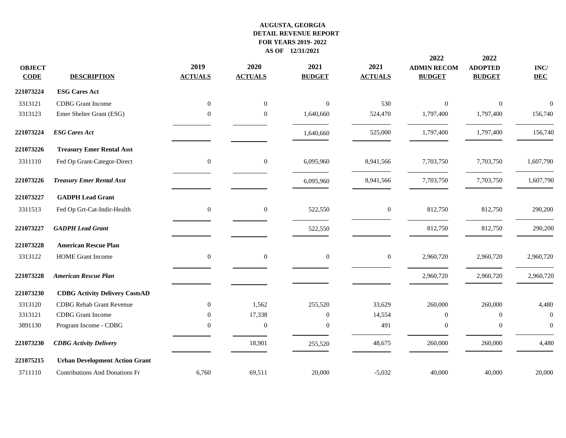| <b>OBJECT</b><br><b>CODE</b> | <b>DESCRIPTION</b>                    | 2019<br><b>ACTUALS</b> | 2020<br><b>ACTUALS</b> | 2021<br><b>BUDGET</b> | 2021<br><b>ACTUALS</b> | 2022<br><b>ADMIN RECOM</b><br><b>BUDGET</b> | 2022<br><b>ADOPTED</b><br><b>BUDGET</b> | $\mathbf{INC}/$<br><b>DEC</b> |
|------------------------------|---------------------------------------|------------------------|------------------------|-----------------------|------------------------|---------------------------------------------|-----------------------------------------|-------------------------------|
| 221073224                    | <b>ESG Cares Act</b>                  |                        |                        |                       |                        |                                             |                                         |                               |
| 3313121                      | <b>CDBG</b> Grant Income              | $\overline{0}$         | $\overline{0}$         | $\mathbf{0}$          | 530                    | $\Omega$                                    | $\mathbf{0}$                            | $\overline{0}$                |
| 3313123                      | Emer Shelter Grant (ESG)              | $\theta$               | $\overline{0}$         | 1,640,660             | 524,470                | 1,797,400                                   | 1,797,400                               | 156,740                       |
| 221073224                    | <b>ESG Cares Act</b>                  |                        |                        | 1,640,660             | 525,000                | 1,797,400                                   | 1,797,400                               | 156,740                       |
| 221073226                    | <b>Treasury Emer Rental Asst</b>      |                        |                        |                       |                        |                                             |                                         |                               |
| 3311110                      | Fed Op Grant-Categor-Direct           | $\mathbf{0}$           | $\mathbf{0}$           | 6,095,960             | 8,941,566              | 7,703,750                                   | 7,703,750                               | 1,607,790                     |
| 221073226                    | <b>Treasury Emer Rental Asst</b>      |                        |                        | 6,095,960             | 8,941,566              | 7,703,750                                   | 7,703,750                               | 1,607,790                     |
| 221073227                    | <b>GADPH Lead Grant</b>               |                        |                        |                       |                        |                                             |                                         |                               |
| 3311513                      | Fed Op Grt-Cat-Indir-Health           | $\boldsymbol{0}$       | $\boldsymbol{0}$       | 522,550               | $\boldsymbol{0}$       | 812,750                                     | 812,750                                 | 290,200                       |
| 221073227                    | <b>GADPH</b> Lead Grant               |                        |                        | 522,550               |                        | 812,750                                     | 812,750                                 | 290,200                       |
| 221073228                    | <b>American Rescue Plan</b>           |                        |                        |                       |                        |                                             |                                         |                               |
| 3313122                      | <b>HOME</b> Grant Income              | $\overline{0}$         | $\theta$               | $\mathbf{0}$          | $\mathbf{0}$           | 2,960,720                                   | 2,960,720                               | 2,960,720                     |
| 221073228                    | <b>American Rescue Plan</b>           |                        |                        |                       |                        | 2,960,720                                   | 2,960,720                               | 2,960,720                     |
| 221073230                    | <b>CDBG Activity Delivery CostsAD</b> |                        |                        |                       |                        |                                             |                                         |                               |
| 3313120                      | <b>CDBG</b> Rehab Grant Revenue       | $\mathbf{0}$           | 1,562                  | 255,520               | 33,629                 | 260,000                                     | 260,000                                 | 4,480                         |
| 3313121                      | <b>CDBG</b> Grant Income              | $\overline{0}$         | 17,338                 | $\mathbf{0}$          | 14,554                 | $\mathbf{0}$                                | $\boldsymbol{0}$                        | $\mathbf{0}$                  |
| 3891130                      | Program Income - CDBG                 | $\Omega$               | $\mathbf{0}$           | $\mathbf{0}$          | 491                    | $\overline{0}$                              | $\boldsymbol{0}$                        | $\overline{0}$                |
| 221073230                    | <b>CDBG</b> Activity Delivery         |                        | 18,901                 | 255,520               | 48,675                 | 260,000                                     | 260,000                                 | 4,480                         |
| 221075215                    | <b>Urban Development Action Grant</b> |                        |                        |                       |                        |                                             |                                         |                               |
| 3711110                      | <b>Contributions And Donations Fr</b> | 6,760                  | 69,511                 | 20,000                | $-5,032$               | 40,000                                      | 40,000                                  | 20,000                        |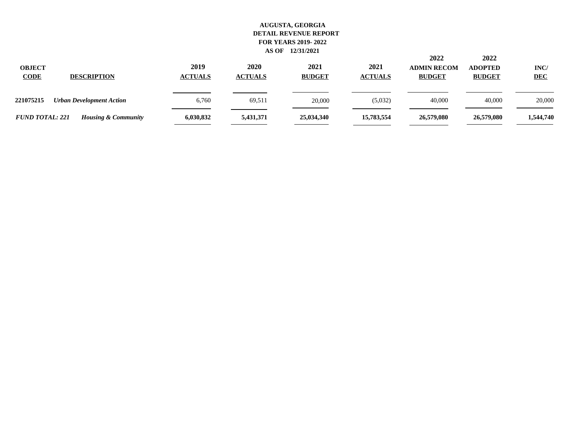| <b>OBJECT</b><br><b>CODE</b><br><b>DESCRIPTION</b>       | 2019<br><b>ACTUALS</b> | 2020<br><b>ACTUALS</b> | 2021<br><b>BUDGET</b> | 2021<br><b>ACTUALS</b> | 2022<br><b>ADMIN RECOM</b><br><b>BUDGET</b> | 2022<br><b>ADOPTED</b><br><b>BUDGET</b> | INC/<br><b>DEC</b> |
|----------------------------------------------------------|------------------------|------------------------|-----------------------|------------------------|---------------------------------------------|-----------------------------------------|--------------------|
| 221075215<br><b>Urban Development Action</b>             | 6,760                  | 69,511                 | 20,000                | (5,032)                | 40,000                                      | 40,000                                  | 20,000             |
| <b>FUND TOTAL: 221</b><br><b>Housing &amp; Community</b> | 6,030,832              | 5,431,371              | 25,034,340            | 15,783,554             | 26,579,080                                  | 26,579,080                              | 1,544,740          |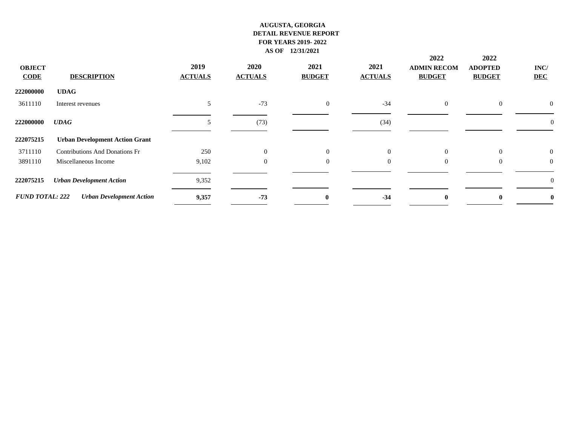|                        |                                       |                |                |               |                | 2022               | 2022           |                  |
|------------------------|---------------------------------------|----------------|----------------|---------------|----------------|--------------------|----------------|------------------|
| <b>OBJECT</b>          |                                       | 2019           | 2020           | 2021          | 2021           | <b>ADMIN RECOM</b> | <b>ADOPTED</b> | INC/             |
| <b>CODE</b>            | <b>DESCRIPTION</b>                    | <b>ACTUALS</b> | <b>ACTUALS</b> | <b>BUDGET</b> | <b>ACTUALS</b> | <b>BUDGET</b>      | <b>BUDGET</b>  | <b>DEC</b>       |
| 222000000              | <b>UDAG</b>                           |                |                |               |                |                    |                |                  |
| 3611110                | Interest revenues                     | 5              | $-73$          | $\theta$      | $-34$          | $\overline{0}$     | $\overline{0}$ | $\overline{0}$   |
| 222000000              | <b>UDAG</b>                           | 5              | (73)           |               | (34)           |                    |                | $\boldsymbol{0}$ |
| 222075215              | <b>Urban Development Action Grant</b> |                |                |               |                |                    |                |                  |
| 3711110                | <b>Contributions And Donations Fr</b> | 250            | $\Omega$       | $\Omega$      | $\Omega$       | $\overline{0}$     | $\theta$       | $\overline{0}$   |
| 3891110                | Miscellaneous Income                  | 9,102          | $\mathbf{0}$   | $\Omega$      | $\overline{0}$ | $\overline{0}$     | $\overline{0}$ | $\mathbf{0}$     |
| 222075215              | <b>Urban Development Action</b>       | 9,352          |                |               |                |                    |                | $\theta$         |
| <b>FUND TOTAL: 222</b> | <b>Urban Development Action</b>       | 9,357          | $-73$          | $\mathbf{0}$  | $-34$          | $\mathbf{0}$       | $\mathbf{0}$   | $\bf{0}$         |
|                        |                                       |                |                |               |                |                    |                |                  |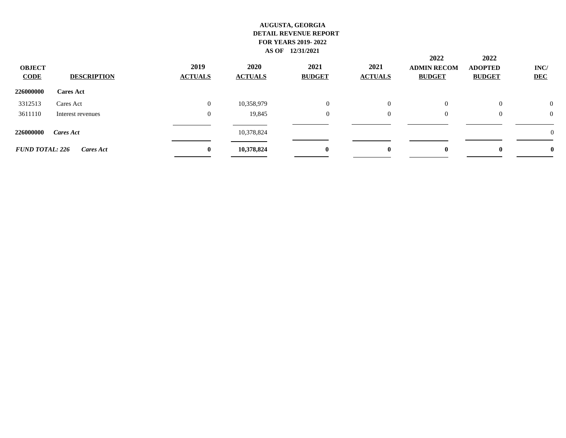| <b>OBJECT</b><br><b>CODE</b> | <b>DESCRIPTION</b> | 2019<br><b>ACTUALS</b> | <b>2020</b><br><b>ACTUALS</b> | 2021<br><b>BUDGET</b> | 2021<br><b>ACTUALS</b> | 2022<br><b>ADMIN RECOM</b><br><b>BUDGET</b> | 2022<br><b>ADOPTED</b><br><b>BUDGET</b> | INC/<br><b>DEC</b> |
|------------------------------|--------------------|------------------------|-------------------------------|-----------------------|------------------------|---------------------------------------------|-----------------------------------------|--------------------|
| 226000000                    | <b>Cares Act</b>   |                        |                               |                       |                        |                                             |                                         |                    |
| 3312513                      | Cares Act          | $\overline{0}$         | 10,358,979                    | $\Omega$              | $\overline{0}$         | $\overline{0}$                              | $\overline{0}$                          | $\overline{0}$     |
| 3611110                      | Interest revenues  | $\mathbf{0}$           | 19,845                        | $\theta$              | $\overline{0}$         | $\overline{0}$                              | $\theta$                                | $\overline{0}$     |
| 226000000                    | Cares Act          |                        | 10,378,824                    |                       |                        |                                             |                                         | $\overline{0}$     |
| <b>FUND TOTAL: 226</b>       | Cares Act          | $\bf{0}$               | 10,378,824                    | $\mathbf{0}$          | $\bf{0}$               | $\mathbf{0}$                                | $\mathbf{0}$                            | $\mathbf{0}$       |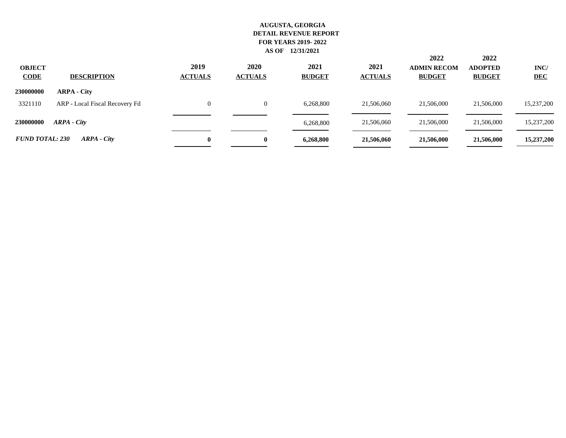| <b>OBJECT</b><br><b>CODE</b> | <b>DESCRIPTION</b>             | 2019<br><b>ACTUALS</b> | 2020<br><b>ACTUALS</b> | 2021<br><b>BUDGET</b> | 2021<br><b>ACTUALS</b> | 2022<br><b>ADMIN RECOM</b><br><b>BUDGET</b> | 2022<br><b>ADOPTED</b><br><b>BUDGET</b> | INC/<br><b>DEC</b> |
|------------------------------|--------------------------------|------------------------|------------------------|-----------------------|------------------------|---------------------------------------------|-----------------------------------------|--------------------|
| 230000000                    | <b>ARPA - City</b>             |                        |                        |                       |                        |                                             |                                         |                    |
| 3321110                      | ARP - Local Fiscal Recovery Fd | $\Omega$               |                        | 6,268,800             | 21,506,060             | 21,506,000                                  | 21,506,000                              | 15,237,200         |
| 230000000                    | ARPA - City                    |                        |                        | 6,268,800             | 21,506,060             | 21,506,000                                  | 21,506,000                              | 15,237,200         |
| <b>FUND TOTAL: 230</b>       | ARPA - City                    | $\mathbf{0}$           | $\mathbf{0}$           | 6,268,800             | 21,506,060             | 21,506,000                                  | 21,506,000                              | 15,237,200         |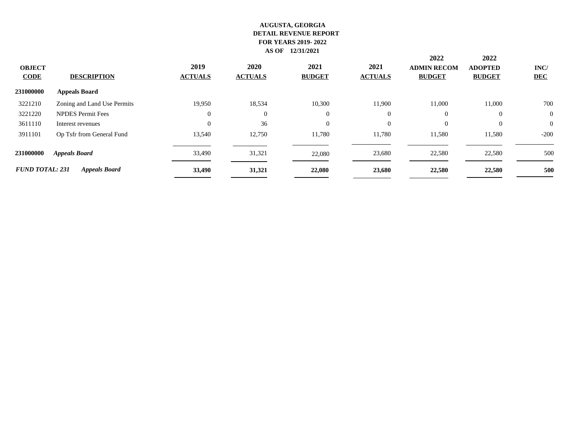| <b>OBJECT</b><br><b>CODE</b> | <b>DESCRIPTION</b>          | 2019<br><b>ACTUALS</b> | <b>2020</b><br><b>ACTUALS</b> | 2021<br><b>BUDGET</b> | 2021<br><b>ACTUALS</b> | 2022<br><b>ADMIN RECOM</b><br><b>BUDGET</b> | 2022<br><b>ADOPTED</b><br><b>BUDGET</b><br>11,000<br>$\theta$<br>$\theta$<br>11,580<br>22,580 | INC/<br><b>DEC</b> |
|------------------------------|-----------------------------|------------------------|-------------------------------|-----------------------|------------------------|---------------------------------------------|-----------------------------------------------------------------------------------------------|--------------------|
| 231000000                    | <b>Appeals Board</b>        |                        |                               |                       |                        |                                             |                                                                                               |                    |
| 3221210                      | Zoning and Land Use Permits | 19,950                 | 18,534                        | 10,300                | 11,900                 | 11,000                                      |                                                                                               | 700                |
| 3221220                      | <b>NPDES</b> Permit Fees    | $\overline{0}$         | $\overline{0}$                | $\overline{0}$        | $\overline{0}$         | $\overline{0}$                              |                                                                                               | $\theta$           |
| 3611110                      | Interest revenues           | $\Omega$               | 36                            | $\Omega$              | $\Omega$               | $\Omega$                                    |                                                                                               | $\theta$           |
| 3911101                      | Op Tsfr from General Fund   | 13,540                 | 12,750                        | 11,780                | 11,780                 | 11,580                                      |                                                                                               | $-200$             |
| 231000000                    | <b>Appeals Board</b>        | 33,490                 | 31,321                        | 22,080                | 23,680                 | 22,580                                      |                                                                                               | 500                |
| <b>FUND TOTAL: 231</b>       | <b>Appeals Board</b>        | 33,490                 | 31,321                        | 22,080                | 23,680                 | 22,580                                      | 22,580                                                                                        | 500                |
|                              |                             |                        |                               |                       |                        |                                             |                                                                                               |                    |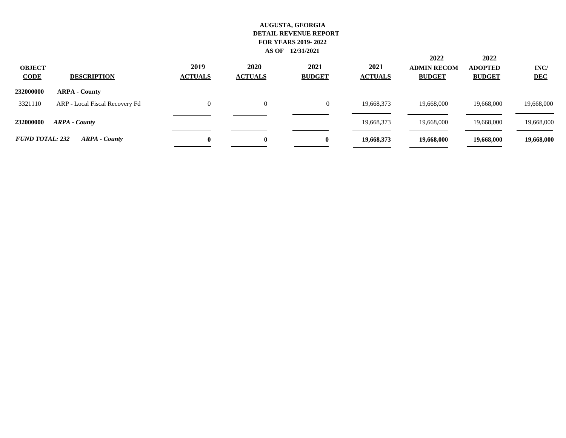| <b>OBJECT</b><br><b>CODE</b> | <b>DESCRIPTION</b>             | 2019<br><b>ACTUALS</b> | 2020<br><b>ACTUALS</b> | 2021<br><b>BUDGET</b> | 2021<br><b>ACTUALS</b> | 2022<br><b>ADMIN RECOM</b><br><b>BUDGET</b> | 2022<br><b>ADOPTED</b><br><b>BUDGET</b> | INC/<br><b>DEC</b> |
|------------------------------|--------------------------------|------------------------|------------------------|-----------------------|------------------------|---------------------------------------------|-----------------------------------------|--------------------|
| 232000000                    | <b>ARPA - County</b>           |                        |                        |                       |                        |                                             |                                         |                    |
| 3321110                      | ARP - Local Fiscal Recovery Fd | 0                      | $\Omega$               | $\overline{0}$        | 19,668,373             | 19,668,000                                  | 19,668,000                              | 19,668,000         |
| 232000000                    | <b>ARPA</b> - County           |                        |                        |                       | 19,668,373             | 19,668,000                                  | 19,668,000                              | 19,668,000         |
| <b>FUND TOTAL: 232</b>       | <b>ARPA</b> - County           | $\mathbf{0}$           | $\bf{0}$               | $\mathbf{0}$          | 19,668,373             | 19,668,000                                  | 19,668,000                              | 19,668,000         |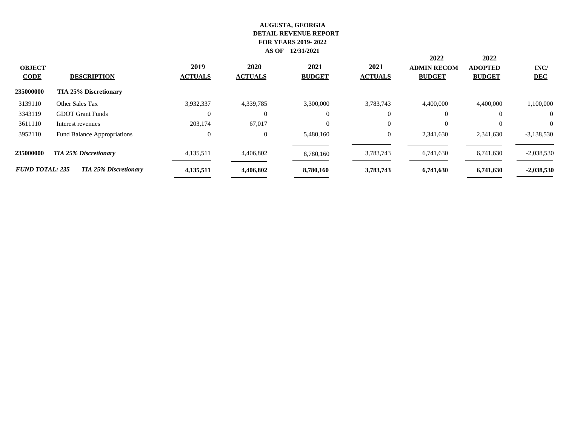| <b>CODE</b> | <b>ADMIN RECOM</b> | 2021<br><b>ACTUALS</b> | 2021<br><b>BUDGET</b> | <b>2020</b><br><b>ACTUALS</b> | 2019<br><b>ACTUALS</b> | <b>DESCRIPTION</b>           | <b>OBJECT</b>          |
|-------------|--------------------|------------------------|-----------------------|-------------------------------|------------------------|------------------------------|------------------------|
|             |                    |                        |                       |                               |                        | <b>TIA 25% Discretionary</b> | 235000000              |
|             |                    | 3,783,743              | 3,300,000             | 4,339,785                     | 3,932,337              | Other Sales Tax              | 3139110                |
|             |                    | $\Omega$               | $\Omega$              | $\Omega$                      | $\Omega$               | <b>GDOT</b> Grant Funds      | 3343119                |
|             |                    | $\Omega$               | $\Omega$              | 67,017                        | 203,174                | Interest revenues            | 3611110                |
|             |                    | $\theta$               | 5.480.160             | $\overline{0}$                | $\overline{0}$         | Fund Balance Appropriations  | 3952110                |
|             |                    | 3,783,743              | 8,780,160             | 4,406,802                     | 4,135,511              | <b>TIA 25% Discretionary</b> | 235000000              |
|             |                    | 3,783,743              | 8,780,160             | 4,406,802                     | 4,135,511              | <b>TIA 25% Discretionary</b> | <b>FUND TOTAL: 235</b> |
|             |                    |                        |                       |                               |                        |                              |                        |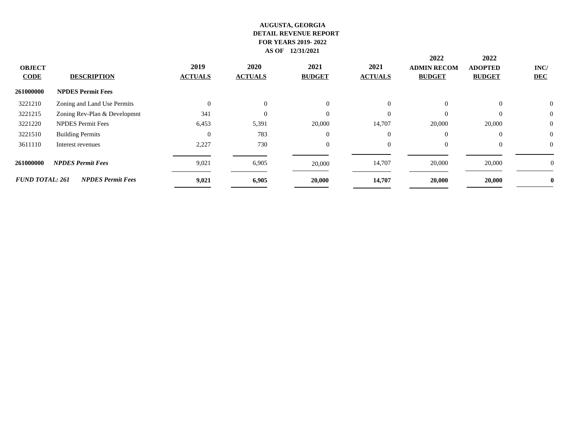| <b>OBJECT</b><br><b>CODE</b> | <b>DESCRIPTION</b>           | 2019<br><b>ACTUALS</b> | <b>2020</b><br><b>ACTUALS</b> | 2021<br><b>BUDGET</b> | 2021<br><b>ACTUALS</b> | 2022<br><b>ADMIN RECOM</b><br><b>BUDGET</b> | 2022<br><b>ADOPTED</b><br><b>BUDGET</b> | INC/<br><b>DEC</b> |
|------------------------------|------------------------------|------------------------|-------------------------------|-----------------------|------------------------|---------------------------------------------|-----------------------------------------|--------------------|
| 261000000                    | <b>NPDES Permit Fees</b>     |                        |                               |                       |                        |                                             |                                         |                    |
| 3221210                      | Zoning and Land Use Permits  | $\theta$               | $\overline{0}$                | $\Omega$              | $\overline{0}$         | $\Omega$                                    | $\Omega$                                | $\mathbf{0}$       |
| 3221215                      | Zoning Rev-Plan & Developmnt | 341                    | $\overline{0}$                | $\Omega$              | $\Omega$               | $\Omega$                                    | $\Omega$                                | $\mathbf{0}$       |
| 3221220                      | <b>NPDES</b> Permit Fees     | 6,453                  | 5,391                         | 20,000                | 14,707                 | 20,000                                      | 20,000                                  | $\boldsymbol{0}$   |
| 3221510                      | <b>Building Permits</b>      | $\Omega$               | 783                           | $\Omega$              | $\Omega$               | $\Omega$                                    | $\Omega$                                | $\boldsymbol{0}$   |
| 3611110                      | Interest revenues            | 2,227                  | 730                           | $\Omega$              | $\overline{0}$         | $\Omega$                                    | $\theta$                                | $\mathbf{0}$       |
| 261000000                    | <b>NPDES Permit Fees</b>     | 9,021                  | 6,905                         | 20,000                | 14,707                 | 20,000                                      | 20,000                                  | U                  |
| <b>FUND TOTAL: 261</b>       | <b>NPDES Permit Fees</b>     | 9,021                  | 6,905                         | 20,000                | 14,707                 | 20,000                                      | 20,000                                  |                    |
|                              |                              |                        |                               |                       |                        |                                             |                                         |                    |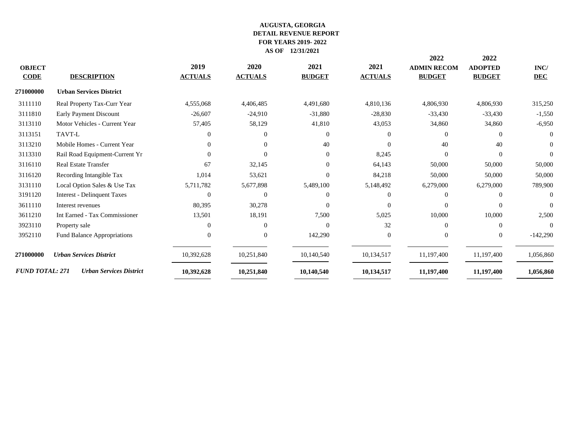|                        |                                    |                |                |               |                | 2022               | 2022           |                |
|------------------------|------------------------------------|----------------|----------------|---------------|----------------|--------------------|----------------|----------------|
| <b>OBJECT</b>          |                                    | 2019           | 2020           | 2021          | 2021           | <b>ADMIN RECOM</b> | <b>ADOPTED</b> | INC/           |
| <b>CODE</b>            | <b>DESCRIPTION</b>                 | <b>ACTUALS</b> | <b>ACTUALS</b> | <b>BUDGET</b> | <b>ACTUALS</b> | <b>BUDGET</b>      | <b>BUDGET</b>  | <b>DEC</b>     |
| 271000000              | <b>Urban Services District</b>     |                |                |               |                |                    |                |                |
| 3111110                | Real Property Tax-Curr Year        | 4,555,068      | 4,406,485      | 4,491,680     | 4,810,136      | 4,806,930          | 4,806,930      | 315,250        |
| 3111810                | Early Payment Discount             | $-26,607$      | $-24,910$      | $-31,880$     | $-28,830$      | $-33,430$          | $-33,430$      | $-1,550$       |
| 3113110                | Motor Vehicles - Current Year      | 57,405         | 58,129         | 41,810        | 43,053         | 34,860             | 34,860         | $-6,950$       |
| 3113151                | TAVT-L                             | $\Omega$       | $\Omega$       | $\Omega$      | $\Omega$       | $\Omega$           | $\Omega$       | $\Omega$       |
| 3113210                | Mobile Homes - Current Year        | $\Omega$       | $\Omega$       | 40            | $\Omega$       | 40                 | 40             | $\overline{0}$ |
| 3113310                | Rail Road Equipment-Current Yr     | $\Omega$       | $\Omega$       | $\Omega$      | 8,245          | $\Omega$           | $\Omega$       | $\Omega$       |
| 3116110                | <b>Real Estate Transfer</b>        | 67             | 32,145         | $\Omega$      | 64,143         | 50,000             | 50,000         | 50,000         |
| 3116120                | Recording Intangible Tax           | 1,014          | 53,621         | $\Omega$      | 84,218         | 50,000             | 50,000         | 50,000         |
| 3131110                | Local Option Sales & Use Tax       | 5,711,782      | 5,677,898      | 5,489,100     | 5,148,492      | 6,279,000          | 6,279,000      | 789,900        |
| 3191120                | <b>Interest - Delinquent Taxes</b> | $\Omega$       | $\Omega$       | $\Omega$      | $\Omega$       | $\Omega$           | $\Omega$       | $\Omega$       |
| 3611110                | Interest revenues                  | 80,395         | 30,278         | $\Omega$      | $\Omega$       | $\Omega$           | $\Omega$       | $\Omega$       |
| 3611210                | Int Earned - Tax Commissioner      | 13,501         | 18,191         | 7,500         | 5,025          | 10,000             | 10,000         | 2,500          |
| 3923110                | Property sale                      | $\Omega$       | $\Omega$       | $\Omega$      | 32             | $\Omega$           | $\Omega$       | $\Omega$       |
| 3952110                | Fund Balance Appropriations        | $\Omega$       | $\Omega$       | 142,290       | $\overline{0}$ | $\Omega$           | $\overline{0}$ | $-142,290$     |
| 271000000              | <b>Urban Services District</b>     | 10,392,628     | 10,251,840     | 10,140,540    | 10,134,517     | 11,197,400         | 11,197,400     | 1,056,860      |
| <b>FUND TOTAL: 271</b> | <b>Urban Services District</b>     | 10,392,628     | 10,251,840     | 10,140,540    | 10,134,517     | 11,197,400         | 11,197,400     | 1,056,860      |
|                        |                                    |                |                |               |                |                    |                |                |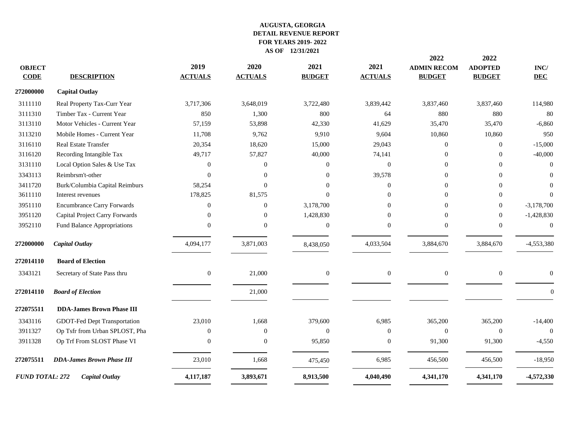| 272000000<br><b>Capital Outlay</b><br>3111110<br>3,717,306<br>3,648,019<br>3,722,480<br>3,839,442<br>3,837,460<br>3,837,460<br>Real Property Tax-Curr Year<br>Timber Tax - Current Year<br>850<br>800<br>880<br>3111310<br>1,300<br>64<br>880<br>3113110<br>Motor Vehicles - Current Year<br>53,898<br>35,470<br>57,159<br>42,330<br>41,629<br>35,470<br>3113210<br>Mobile Homes - Current Year<br>11,708<br>9,762<br>9,910<br>9,604<br>10,860<br>10,860<br>3116110<br><b>Real Estate Transfer</b><br>20,354<br>18,620<br>15,000<br>29,043<br>$\Omega$<br>$\overline{0}$<br>3116120<br>Recording Intangible Tax<br>49,717<br>57,827<br>40,000<br>74,141<br>$\Omega$<br>$\Omega$<br>3131110<br>Local Option Sales & Use Tax<br>$\mathbf{0}$<br>$\overline{0}$<br>$\boldsymbol{0}$<br>$\overline{0}$<br>$\Omega$<br>$\Omega$<br>3343113<br>Reimbrsm't-other<br>39,578<br>$\Omega$<br>$\theta$<br>$\Omega$<br>$\Omega$<br>$\Omega$<br>3411720<br>Burk/Columbia Capital Reimburs<br>58,254<br>$\Omega$<br>$\Omega$<br>$\Omega$<br>$\Omega$<br>$\Omega$<br>178,825<br>$\Omega$<br>3611110<br>81,575<br>$\overline{0}$<br>Interest revenues<br>$\Omega$<br>$\Omega$<br>3951110<br><b>Encumbrance Carry Forwards</b><br>$\mathbf{0}$<br>$\mathbf{0}$<br>3,178,700<br>$\Omega$<br>$\overline{0}$<br>$\Omega$<br>3951120<br>Capital Project Carry Forwards<br>1,428,830<br>$\overline{0}$<br>$\theta$<br>$\Omega$<br>$\Omega$<br>$\overline{0}$<br>3952110<br>Fund Balance Appropriations<br>$\mathbf{0}$<br>$\Omega$<br>$\Omega$<br>$\Omega$<br>$\Omega$<br>$\Omega$<br><b>Capital Outlay</b><br>3,871,003<br>272000000<br>4,094,177<br>4,033,504<br>3,884,670<br>3,884,670<br>8,438,050<br>272014110<br><b>Board of Election</b><br>3343121<br>Secretary of State Pass thru<br>$\overline{0}$<br>21,000<br>$\overline{0}$<br>$\overline{0}$<br>$\overline{0}$<br>$\boldsymbol{0}$<br>272014110<br><b>Board of Election</b><br>21,000<br>272075511<br><b>DDA-James Brown Phase III</b><br>1,668<br>3343116<br>GDOT-Fed Dept Transportation<br>23,010<br>379,600<br>6,985<br>365,200<br>365,200<br>3911327<br>Op Tsfr from Urban SPLOST, Pha<br>$\overline{0}$<br>$\boldsymbol{0}$<br>$\overline{0}$<br>$\overline{0}$<br>$\mathbf{0}$<br>$\overline{0}$<br>3911328<br>Op Trf From SLOST Phase VI<br>$\Omega$<br>$\Omega$<br>95,850<br>$\Omega$<br>91,300<br>91,300<br><b>DDA-James Brown Phase III</b><br>23,010<br>1,668<br>6,985<br>272075511<br>456,500<br>456,500<br>475,450<br>4,341,170<br><b>FUND TOTAL: 272</b><br><b>Capital Outlay</b><br>4,117,187<br>3,893,671<br>8,913,500<br>4,040,490<br>4,341,170 | <b>OBJECT</b><br><b>CODE</b> | <b>DESCRIPTION</b> | 2019<br><b>ACTUALS</b> | 2020<br><b>ACTUALS</b> | 2021<br><b>BUDGET</b> | 2021<br><b>ACTUALS</b> | 2022<br><b>ADMIN RECOM</b><br><b>BUDGET</b> | 2022<br><b>ADOPTED</b><br><b>BUDGET</b> | $\mathbf{INC}/$<br><b>DEC</b> |
|-----------------------------------------------------------------------------------------------------------------------------------------------------------------------------------------------------------------------------------------------------------------------------------------------------------------------------------------------------------------------------------------------------------------------------------------------------------------------------------------------------------------------------------------------------------------------------------------------------------------------------------------------------------------------------------------------------------------------------------------------------------------------------------------------------------------------------------------------------------------------------------------------------------------------------------------------------------------------------------------------------------------------------------------------------------------------------------------------------------------------------------------------------------------------------------------------------------------------------------------------------------------------------------------------------------------------------------------------------------------------------------------------------------------------------------------------------------------------------------------------------------------------------------------------------------------------------------------------------------------------------------------------------------------------------------------------------------------------------------------------------------------------------------------------------------------------------------------------------------------------------------------------------------------------------------------------------------------------------------------------------------------------------------------------------------------------------------------------------------------------------------------------------------------------------------------------------------------------------------------------------------------------------------------------------------------------------------------------------------------------------------------------------------------------------------------------------------------------------------------------------------------------------------------------------------------------------------------------------------|------------------------------|--------------------|------------------------|------------------------|-----------------------|------------------------|---------------------------------------------|-----------------------------------------|-------------------------------|
|                                                                                                                                                                                                                                                                                                                                                                                                                                                                                                                                                                                                                                                                                                                                                                                                                                                                                                                                                                                                                                                                                                                                                                                                                                                                                                                                                                                                                                                                                                                                                                                                                                                                                                                                                                                                                                                                                                                                                                                                                                                                                                                                                                                                                                                                                                                                                                                                                                                                                                                                                                                                           |                              |                    |                        |                        |                       |                        |                                             |                                         |                               |
|                                                                                                                                                                                                                                                                                                                                                                                                                                                                                                                                                                                                                                                                                                                                                                                                                                                                                                                                                                                                                                                                                                                                                                                                                                                                                                                                                                                                                                                                                                                                                                                                                                                                                                                                                                                                                                                                                                                                                                                                                                                                                                                                                                                                                                                                                                                                                                                                                                                                                                                                                                                                           |                              |                    |                        |                        |                       |                        |                                             |                                         | 114,980                       |
|                                                                                                                                                                                                                                                                                                                                                                                                                                                                                                                                                                                                                                                                                                                                                                                                                                                                                                                                                                                                                                                                                                                                                                                                                                                                                                                                                                                                                                                                                                                                                                                                                                                                                                                                                                                                                                                                                                                                                                                                                                                                                                                                                                                                                                                                                                                                                                                                                                                                                                                                                                                                           |                              |                    |                        |                        |                       |                        |                                             |                                         | 80                            |
|                                                                                                                                                                                                                                                                                                                                                                                                                                                                                                                                                                                                                                                                                                                                                                                                                                                                                                                                                                                                                                                                                                                                                                                                                                                                                                                                                                                                                                                                                                                                                                                                                                                                                                                                                                                                                                                                                                                                                                                                                                                                                                                                                                                                                                                                                                                                                                                                                                                                                                                                                                                                           |                              |                    |                        |                        |                       |                        |                                             |                                         | $-6,860$                      |
|                                                                                                                                                                                                                                                                                                                                                                                                                                                                                                                                                                                                                                                                                                                                                                                                                                                                                                                                                                                                                                                                                                                                                                                                                                                                                                                                                                                                                                                                                                                                                                                                                                                                                                                                                                                                                                                                                                                                                                                                                                                                                                                                                                                                                                                                                                                                                                                                                                                                                                                                                                                                           |                              |                    |                        |                        |                       |                        |                                             |                                         | 950                           |
|                                                                                                                                                                                                                                                                                                                                                                                                                                                                                                                                                                                                                                                                                                                                                                                                                                                                                                                                                                                                                                                                                                                                                                                                                                                                                                                                                                                                                                                                                                                                                                                                                                                                                                                                                                                                                                                                                                                                                                                                                                                                                                                                                                                                                                                                                                                                                                                                                                                                                                                                                                                                           |                              |                    |                        |                        |                       |                        |                                             |                                         | $-15,000$                     |
|                                                                                                                                                                                                                                                                                                                                                                                                                                                                                                                                                                                                                                                                                                                                                                                                                                                                                                                                                                                                                                                                                                                                                                                                                                                                                                                                                                                                                                                                                                                                                                                                                                                                                                                                                                                                                                                                                                                                                                                                                                                                                                                                                                                                                                                                                                                                                                                                                                                                                                                                                                                                           |                              |                    |                        |                        |                       |                        |                                             |                                         | $-40,000$                     |
|                                                                                                                                                                                                                                                                                                                                                                                                                                                                                                                                                                                                                                                                                                                                                                                                                                                                                                                                                                                                                                                                                                                                                                                                                                                                                                                                                                                                                                                                                                                                                                                                                                                                                                                                                                                                                                                                                                                                                                                                                                                                                                                                                                                                                                                                                                                                                                                                                                                                                                                                                                                                           |                              |                    |                        |                        |                       |                        |                                             |                                         | $\Omega$                      |
|                                                                                                                                                                                                                                                                                                                                                                                                                                                                                                                                                                                                                                                                                                                                                                                                                                                                                                                                                                                                                                                                                                                                                                                                                                                                                                                                                                                                                                                                                                                                                                                                                                                                                                                                                                                                                                                                                                                                                                                                                                                                                                                                                                                                                                                                                                                                                                                                                                                                                                                                                                                                           |                              |                    |                        |                        |                       |                        |                                             |                                         | $\Omega$                      |
|                                                                                                                                                                                                                                                                                                                                                                                                                                                                                                                                                                                                                                                                                                                                                                                                                                                                                                                                                                                                                                                                                                                                                                                                                                                                                                                                                                                                                                                                                                                                                                                                                                                                                                                                                                                                                                                                                                                                                                                                                                                                                                                                                                                                                                                                                                                                                                                                                                                                                                                                                                                                           |                              |                    |                        |                        |                       |                        |                                             |                                         | $\Omega$                      |
|                                                                                                                                                                                                                                                                                                                                                                                                                                                                                                                                                                                                                                                                                                                                                                                                                                                                                                                                                                                                                                                                                                                                                                                                                                                                                                                                                                                                                                                                                                                                                                                                                                                                                                                                                                                                                                                                                                                                                                                                                                                                                                                                                                                                                                                                                                                                                                                                                                                                                                                                                                                                           |                              |                    |                        |                        |                       |                        |                                             |                                         | $\Omega$                      |
|                                                                                                                                                                                                                                                                                                                                                                                                                                                                                                                                                                                                                                                                                                                                                                                                                                                                                                                                                                                                                                                                                                                                                                                                                                                                                                                                                                                                                                                                                                                                                                                                                                                                                                                                                                                                                                                                                                                                                                                                                                                                                                                                                                                                                                                                                                                                                                                                                                                                                                                                                                                                           |                              |                    |                        |                        |                       |                        |                                             |                                         | $-3,178,700$                  |
|                                                                                                                                                                                                                                                                                                                                                                                                                                                                                                                                                                                                                                                                                                                                                                                                                                                                                                                                                                                                                                                                                                                                                                                                                                                                                                                                                                                                                                                                                                                                                                                                                                                                                                                                                                                                                                                                                                                                                                                                                                                                                                                                                                                                                                                                                                                                                                                                                                                                                                                                                                                                           |                              |                    |                        |                        |                       |                        |                                             |                                         | $-1,428,830$                  |
|                                                                                                                                                                                                                                                                                                                                                                                                                                                                                                                                                                                                                                                                                                                                                                                                                                                                                                                                                                                                                                                                                                                                                                                                                                                                                                                                                                                                                                                                                                                                                                                                                                                                                                                                                                                                                                                                                                                                                                                                                                                                                                                                                                                                                                                                                                                                                                                                                                                                                                                                                                                                           |                              |                    |                        |                        |                       |                        |                                             |                                         | $\theta$                      |
|                                                                                                                                                                                                                                                                                                                                                                                                                                                                                                                                                                                                                                                                                                                                                                                                                                                                                                                                                                                                                                                                                                                                                                                                                                                                                                                                                                                                                                                                                                                                                                                                                                                                                                                                                                                                                                                                                                                                                                                                                                                                                                                                                                                                                                                                                                                                                                                                                                                                                                                                                                                                           |                              |                    |                        |                        |                       |                        |                                             |                                         | -4,553,380                    |
|                                                                                                                                                                                                                                                                                                                                                                                                                                                                                                                                                                                                                                                                                                                                                                                                                                                                                                                                                                                                                                                                                                                                                                                                                                                                                                                                                                                                                                                                                                                                                                                                                                                                                                                                                                                                                                                                                                                                                                                                                                                                                                                                                                                                                                                                                                                                                                                                                                                                                                                                                                                                           |                              |                    |                        |                        |                       |                        |                                             |                                         |                               |
|                                                                                                                                                                                                                                                                                                                                                                                                                                                                                                                                                                                                                                                                                                                                                                                                                                                                                                                                                                                                                                                                                                                                                                                                                                                                                                                                                                                                                                                                                                                                                                                                                                                                                                                                                                                                                                                                                                                                                                                                                                                                                                                                                                                                                                                                                                                                                                                                                                                                                                                                                                                                           |                              |                    |                        |                        |                       |                        |                                             |                                         | $\Omega$                      |
|                                                                                                                                                                                                                                                                                                                                                                                                                                                                                                                                                                                                                                                                                                                                                                                                                                                                                                                                                                                                                                                                                                                                                                                                                                                                                                                                                                                                                                                                                                                                                                                                                                                                                                                                                                                                                                                                                                                                                                                                                                                                                                                                                                                                                                                                                                                                                                                                                                                                                                                                                                                                           |                              |                    |                        |                        |                       |                        |                                             |                                         | $\Omega$                      |
|                                                                                                                                                                                                                                                                                                                                                                                                                                                                                                                                                                                                                                                                                                                                                                                                                                                                                                                                                                                                                                                                                                                                                                                                                                                                                                                                                                                                                                                                                                                                                                                                                                                                                                                                                                                                                                                                                                                                                                                                                                                                                                                                                                                                                                                                                                                                                                                                                                                                                                                                                                                                           |                              |                    |                        |                        |                       |                        |                                             |                                         |                               |
|                                                                                                                                                                                                                                                                                                                                                                                                                                                                                                                                                                                                                                                                                                                                                                                                                                                                                                                                                                                                                                                                                                                                                                                                                                                                                                                                                                                                                                                                                                                                                                                                                                                                                                                                                                                                                                                                                                                                                                                                                                                                                                                                                                                                                                                                                                                                                                                                                                                                                                                                                                                                           |                              |                    |                        |                        |                       |                        |                                             |                                         | $-14,400$                     |
|                                                                                                                                                                                                                                                                                                                                                                                                                                                                                                                                                                                                                                                                                                                                                                                                                                                                                                                                                                                                                                                                                                                                                                                                                                                                                                                                                                                                                                                                                                                                                                                                                                                                                                                                                                                                                                                                                                                                                                                                                                                                                                                                                                                                                                                                                                                                                                                                                                                                                                                                                                                                           |                              |                    |                        |                        |                       |                        |                                             |                                         | $\overline{0}$                |
|                                                                                                                                                                                                                                                                                                                                                                                                                                                                                                                                                                                                                                                                                                                                                                                                                                                                                                                                                                                                                                                                                                                                                                                                                                                                                                                                                                                                                                                                                                                                                                                                                                                                                                                                                                                                                                                                                                                                                                                                                                                                                                                                                                                                                                                                                                                                                                                                                                                                                                                                                                                                           |                              |                    |                        |                        |                       |                        |                                             |                                         | $-4,550$                      |
|                                                                                                                                                                                                                                                                                                                                                                                                                                                                                                                                                                                                                                                                                                                                                                                                                                                                                                                                                                                                                                                                                                                                                                                                                                                                                                                                                                                                                                                                                                                                                                                                                                                                                                                                                                                                                                                                                                                                                                                                                                                                                                                                                                                                                                                                                                                                                                                                                                                                                                                                                                                                           |                              |                    |                        |                        |                       |                        |                                             |                                         | $-18,950$                     |
|                                                                                                                                                                                                                                                                                                                                                                                                                                                                                                                                                                                                                                                                                                                                                                                                                                                                                                                                                                                                                                                                                                                                                                                                                                                                                                                                                                                                                                                                                                                                                                                                                                                                                                                                                                                                                                                                                                                                                                                                                                                                                                                                                                                                                                                                                                                                                                                                                                                                                                                                                                                                           |                              |                    |                        |                        |                       |                        |                                             |                                         | -4,572,330                    |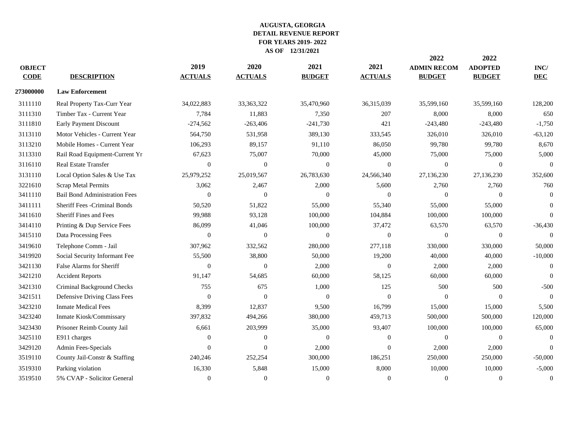|               |                                      |                |                |                  |                | 2022               | 2022           |            |
|---------------|--------------------------------------|----------------|----------------|------------------|----------------|--------------------|----------------|------------|
| <b>OBJECT</b> |                                      | 2019           | 2020           | 2021             | 2021           | <b>ADMIN RECOM</b> | <b>ADOPTED</b> | INC/       |
| <b>CODE</b>   | <b>DESCRIPTION</b>                   | <b>ACTUALS</b> | <b>ACTUALS</b> | <b>BUDGET</b>    | <b>ACTUALS</b> | <b>BUDGET</b>      | <b>BUDGET</b>  | <b>DEC</b> |
| 273000000     | <b>Law Enforcement</b>               |                |                |                  |                |                    |                |            |
| 3111110       | Real Property Tax-Curr Year          | 34,022,883     | 33, 363, 322   | 35,470,960       | 36,315,039     | 35,599,160         | 35,599,160     | 128,200    |
| 3111310       | Timber Tax - Current Year            | 7,784          | 11,883         | 7,350            | 207            | 8,000              | 8,000          | 650        |
| 3111810       | Early Payment Discount               | $-274,562$     | $-263,406$     | $-241,730$       | 421            | $-243,480$         | $-243,480$     | $-1,750$   |
| 3113110       | Motor Vehicles - Current Year        | 564,750        | 531,958        | 389,130          | 333,545        | 326,010            | 326,010        | $-63,120$  |
| 3113210       | Mobile Homes - Current Year          | 106,293        | 89,157         | 91,110           | 86,050         | 99,780             | 99,780         | 8,670      |
| 3113310       | Rail Road Equipment-Current Yr       | 67,623         | 75,007         | 70,000           | 45,000         | 75,000             | 75,000         | 5,000      |
| 3116110       | Real Estate Transfer                 | $\Omega$       | $\overline{0}$ | $\overline{0}$   | $\Omega$       | $\Omega$           | $\overline{0}$ | $\Omega$   |
| 3131110       | Local Option Sales & Use Tax         | 25,979,252     | 25,019,567     | 26,783,630       | 24,566,340     | 27,136,230         | 27,136,230     | 352,600    |
| 3221610       | <b>Scrap Metal Permits</b>           | 3,062          | 2,467          | 2,000            | 5,600          | 2,760              | 2,760          | 760        |
| 3411110       | <b>Bail Bond Administration Fees</b> | $\mathbf{0}$   | $\theta$       | $\overline{0}$   | $\mathbf{0}$   | $\overline{0}$     | $\overline{0}$ | $\theta$   |
| 3411111       | Sheriff Fees - Criminal Bonds        | 50,520         | 51,822         | 55,000           | 55,340         | 55,000             | 55,000         | $\Omega$   |
| 3411610       | <b>Sheriff Fines and Fees</b>        | 99,988         | 93,128         | 100,000          | 104,884        | 100,000            | 100,000        | $\Omega$   |
| 3414110       | Printing & Dup Service Fees          | 86,099         | 41,046         | 100,000          | 37,472         | 63,570             | 63,570         | $-36,430$  |
| 3415110       | Data Processing Fees                 | $\Omega$       | $\Omega$       | $\overline{0}$   | $\Omega$       | $\Omega$           | $\overline{0}$ | $\Omega$   |
| 3419610       | Telephone Comm - Jail                | 307,962        | 332,562        | 280,000          | 277,118        | 330,000            | 330,000        | 50,000     |
| 3419920       | Social Security Informant Fee        | 55,500         | 38,800         | 50,000           | 19,200         | 40,000             | 40,000         | $-10,000$  |
| 3421130       | False Alarms for Sheriff             | $\Omega$       | $\theta$       | 2,000            | $\mathbf{0}$   | 2,000              | 2,000          | $\Omega$   |
| 3421210       | <b>Accident Reports</b>              | 91,147         | 54,685         | 60,000           | 58,125         | 60,000             | 60,000         | $\Omega$   |
| 3421310       | Criminal Background Checks           | 755            | 675            | 1,000            | 125            | 500                | 500            | $-500$     |
| 3421511       | Defensive Driving Class Fees         | $\Omega$       | $\Omega$       | $\overline{0}$   | $\Omega$       | $\Omega$           | $\overline{0}$ | $\Omega$   |
| 3423210       | <b>Inmate Medical Fees</b>           | 8,399          | 12,837         | 9,500            | 16,799         | 15,000             | 15,000         | 5,500      |
| 3423240       | Inmate Kiosk/Commissary              | 397,832        | 494,266        | 380,000          | 459,713        | 500,000            | 500,000        | 120,000    |
| 3423430       | Prisoner Reimb County Jail           | 6,661          | 203,999        | 35,000           | 93,407         | 100,000            | 100,000        | 65,000     |
| 3425110       | E911 charges                         | $\mathbf{0}$   | $\theta$       | $\boldsymbol{0}$ | $\mathbf{0}$   | $\Omega$           | $\overline{0}$ | $\Omega$   |
| 3429120       | Admin Fees-Specials                  | $\Omega$       | $\Omega$       | 2,000            | $\Omega$       | 2,000              | 2,000          | $\Omega$   |
| 3519110       | County Jail-Constr & Staffing        | 240,246        | 252,254        | 300,000          | 186,251        | 250,000            | 250,000        | $-50,000$  |
| 3519310       | Parking violation                    | 16,330         | 5,848          | 15,000           | 8,000          | 10,000             | 10,000         | $-5,000$   |
| 3519510       | 5% CVAP - Solicitor General          | $\Omega$       | $\Omega$       | $\overline{0}$   | $\Omega$       | $\Omega$           | $\overline{0}$ | $\Omega$   |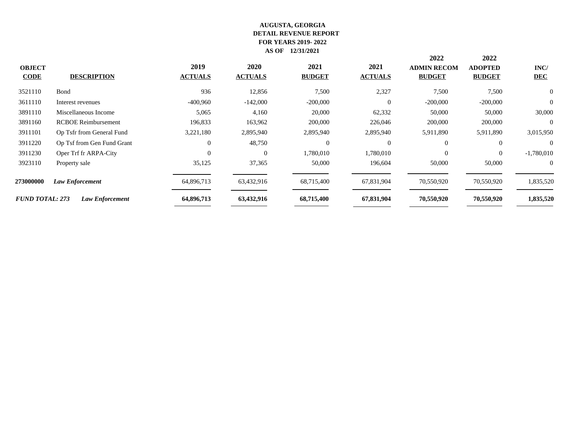| <b>OBJECT</b><br><b>CODE</b> | <b>DESCRIPTION</b>         | 2019<br><b>ACTUALS</b> | 2020<br><b>ACTUALS</b> | 2021<br><b>BUDGET</b> | 2021<br><b>ACTUALS</b> | 2022<br><b>ADMIN RECOM</b><br><b>BUDGET</b> | 2022<br><b>ADOPTED</b><br><b>BUDGET</b> | INC/<br><b>DEC</b> |
|------------------------------|----------------------------|------------------------|------------------------|-----------------------|------------------------|---------------------------------------------|-----------------------------------------|--------------------|
| 3521110                      | Bond                       | 936                    | 12,856                 | 7,500                 | 2,327                  | 7,500                                       | 7,500                                   | $\overline{0}$     |
| 3611110                      | Interest revenues          | $-400,960$             | $-142,000$             | $-200,000$            | $\Omega$               | $-200,000$                                  | $-200,000$                              | $\overline{0}$     |
| 3891110                      | Miscellaneous Income       | 5,065                  | 4,160                  | 20,000                | 62,332                 | 50,000                                      | 50,000                                  | 30,000             |
| 3891160                      | <b>RCBOE Reimbursement</b> | 196,833                | 163,962                | 200,000               | 226,046                | 200,000                                     | 200,000                                 | $\overline{0}$     |
| 3911101                      | Op Tsfr from General Fund  | 3,221,180              | 2,895,940              | 2,895,940             | 2,895,940              | 5,911,890                                   | 5,911,890                               | 3,015,950          |
| 3911220                      | Op Tsf from Gen Fund Grant | $\overline{0}$         | 48,750                 | $\Omega$              | $\Omega$               | $\theta$                                    | $\Omega$                                | $\Omega$           |
| 3911230                      | Oper Trf fr ARPA-City      | $\Omega$               | $\Omega$               | 1,780,010             | 1,780,010              | $\theta$                                    | $\theta$                                | $-1,780,010$       |
| 3923110                      | Property sale              | 35,125                 | 37,365                 | 50,000                | 196,604                | 50,000                                      | 50,000                                  | $\overline{0}$     |
| <b>273000000</b>             | <b>Law Enforcement</b>     | 64,896,713             | 63,432,916             | 68,715,400            | 67,831,904             | 70,550,920                                  | 70,550,920                              | 1,835,520          |
| <b>FUND TOTAL: 273</b>       | Law Enforcement            | 64,896,713             | 63,432,916             | 68,715,400            | 67,831,904             | 70,550,920                                  | 70,550,920                              | 1,835,520          |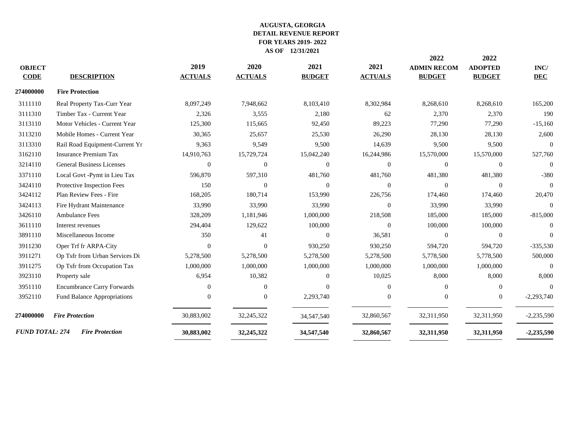| <b>ADOPTED</b><br>INC/<br><b>BUDGET</b><br><b>DEC</b> |
|-------------------------------------------------------|
|                                                       |
|                                                       |
|                                                       |
| 8,268,610<br>165,200                                  |
| 2,370<br>190                                          |
| 77,290<br>$-15,160$                                   |
| 28,130<br>2,600                                       |
| 9,500<br>$\Omega$                                     |
| 15,570,000<br>527,760                                 |
| $\mathbf{0}$<br>$\Omega$                              |
| $-380$<br>481,380                                     |
| $\mathbf{0}$<br>$\Omega$                              |
| 174,460<br>20,470                                     |
| 33,990<br>$\Omega$                                    |
| 185,000<br>$-815,000$                                 |
| 100,000<br>$\theta$                                   |
| $\theta$<br>$\Omega$                                  |
| 594,720<br>$-335,530$                                 |
| 5,778,500<br>500,000                                  |
| 1,000,000<br>$\Omega$                                 |
| 8,000<br>8,000                                        |
| $\Omega$<br>$\Omega$                                  |
| $-2,293,740$<br>$\overline{0}$                        |
| 32,311,950<br>$-2,235,590$                            |
| 32,311,950<br>$-2,235,590$                            |
|                                                       |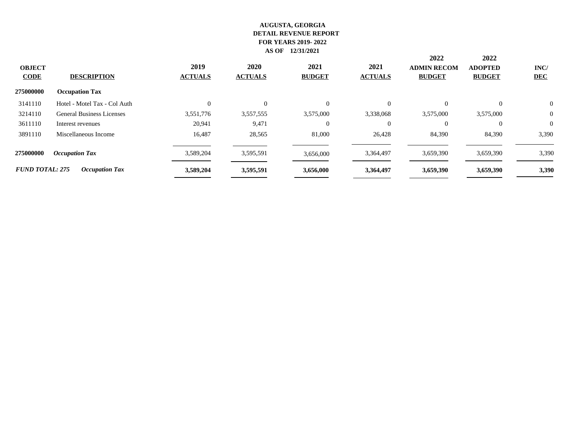| <b>OBJECT</b><br><b>CODE</b> | <b>DESCRIPTION</b>               | 2019<br><b>ACTUALS</b> | <b>2020</b><br><b>ACTUALS</b> | 2021<br><b>BUDGET</b> | 2021<br><b>ACTUALS</b> | 2022<br><b>ADMIN RECOM</b><br><b>BUDGET</b> | 2022<br><b>ADOPTED</b><br><b>BUDGET</b> | INC/<br><b>DEC</b> |
|------------------------------|----------------------------------|------------------------|-------------------------------|-----------------------|------------------------|---------------------------------------------|-----------------------------------------|--------------------|
| 275000000                    | <b>Occupation Tax</b>            |                        |                               |                       |                        |                                             |                                         |                    |
| 3141110                      | Hotel - Motel Tax - Col Auth     | $\Omega$               | $\Omega$                      | $\Omega$              | $\Omega$               | $\Omega$                                    | $\Omega$                                | $\overline{0}$     |
| 3214110                      | <b>General Business Licenses</b> | 3,551,776              | 3,557,555                     | 3,575,000             | 3,338,068              | 3,575,000                                   | 3,575,000                               | $\overline{0}$     |
| 3611110                      | Interest revenues                | 20,941                 | 9,471                         | $\Omega$              | $\theta$               | $\Omega$                                    | $\Omega$                                | $\overline{0}$     |
| 3891110                      | Miscellaneous Income             | 16.487                 | 28,565                        | 81,000                | 26,428                 | 84,390                                      | 84,390                                  | 3,390              |
| 275000000                    | <b>Occupation Tax</b>            | 3,589,204              | 3,595,591                     | 3,656,000             | 3,364,497              | 3,659,390                                   | 3,659,390                               | 3,390              |
| <b>FUND TOTAL: 275</b>       | <b>Occupation Tax</b>            | 3,589,204              | 3,595,591                     | 3,656,000             | 3,364,497              | 3,659,390                                   | 3,659,390                               | 3,390              |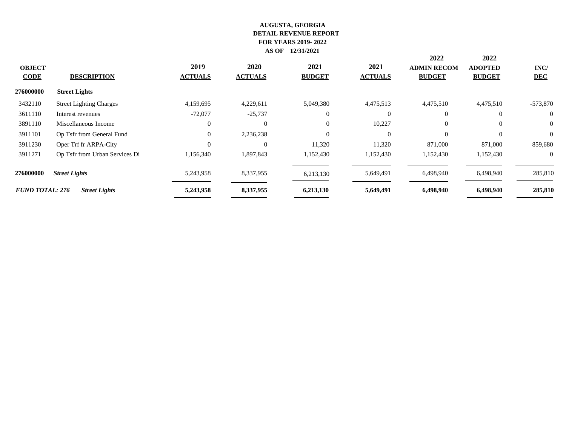| <b>OBJECT</b><br><b>CODE</b> | <b>DESCRIPTION</b>             | 2019<br><b>ACTUALS</b> | 2020<br><b>ACTUALS</b> | 2021<br><b>BUDGET</b> | 2021<br><b>ACTUALS</b> | 2022<br><b>ADMIN RECOM</b><br><b>BUDGET</b> | 2022<br><b>ADOPTED</b><br><b>BUDGET</b> | INC/<br><b>DEC</b> |
|------------------------------|--------------------------------|------------------------|------------------------|-----------------------|------------------------|---------------------------------------------|-----------------------------------------|--------------------|
| 276000000                    | <b>Street Lights</b>           |                        |                        |                       |                        |                                             |                                         |                    |
| 3432110                      | <b>Street Lighting Charges</b> | 4,159,695              | 4,229,611              | 5,049,380             | 4,475,513              | 4,475,510                                   | 4,475,510                               | $-573,870$         |
| 3611110                      | Interest revenues              | $-72,077$              | $-25,737$              | $\Omega$              | $\Omega$               | $\Omega$                                    | $\Omega$                                | $\overline{0}$     |
| 3891110                      | Miscellaneous Income           | $\Omega$               | $\Omega$               | $\overline{0}$        | 10,227                 | $\Omega$                                    | $\Omega$                                | $\overline{0}$     |
| 3911101                      | Op Tsfr from General Fund      | $\theta$               | 2,236,238              | $\Omega$              | $\Omega$               | $\Omega$                                    | $\Omega$                                | $\overline{0}$     |
| 3911230                      | Oper Trf fr ARPA-City          |                        | $\theta$               | 11,320                | 11,320                 | 871,000                                     | 871,000                                 | 859,680            |
| 3911271                      | Op Tsfr from Urban Services Di | 1,156,340              | 1,897,843              | 1,152,430             | 1,152,430              | 1,152,430                                   | 1,152,430                               | $\Omega$           |
| 276000000                    | <b>Street Lights</b>           | 5,243,958              | 8,337,955              | 6,213,130             | 5,649,491              | 6,498,940                                   | 6,498,940                               | 285,810            |
| <b>FUND TOTAL: 276</b>       | <b>Street Lights</b>           | 5,243,958              | 8,337,955              | 6,213,130             | 5,649,491              | 6,498,940                                   | 6,498,940                               | 285,810            |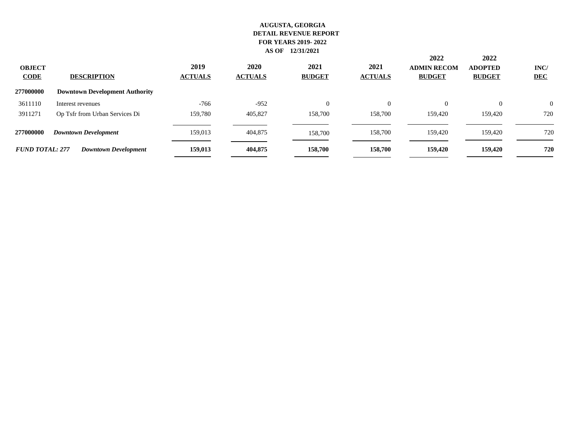| <b>OBJECT</b><br><b>CODE</b> | <b>DESCRIPTION</b>                    | 2019<br><b>ACTUALS</b> | 2020<br><b>ACTUALS</b> | 2021<br><b>BUDGET</b> | 2021<br><b>ACTUALS</b> | 2022<br><b>ADMIN RECOM</b><br><b>BUDGET</b> | 2022<br><b>ADOPTED</b><br><b>BUDGET</b> | INC/<br><b>DEC</b> |
|------------------------------|---------------------------------------|------------------------|------------------------|-----------------------|------------------------|---------------------------------------------|-----------------------------------------|--------------------|
| 277000000                    | <b>Downtown Development Authority</b> |                        |                        |                       |                        |                                             |                                         |                    |
| 3611110                      | Interest revenues                     | $-766$                 | $-952$                 | $\Omega$              | 0                      | $\overline{0}$                              | $\overline{0}$                          | $\overline{0}$     |
| 3911271                      | Op Tsfr from Urban Services Di        | 159,780                | 405,827                | 158,700               | 158,700                | 159,420                                     | 159,420                                 | 720                |
| 277000000                    | <b>Downtown Development</b>           | 159,013                | 404,875                | 158,700               | 158,700                | 159,420                                     | 159,420                                 | 720                |
| <b>FUND TOTAL: 277</b>       | <b>Downtown Development</b>           | 159,013                | 404,875                | 158,700               | 158,700                | 159,420                                     | 159,420                                 | 720                |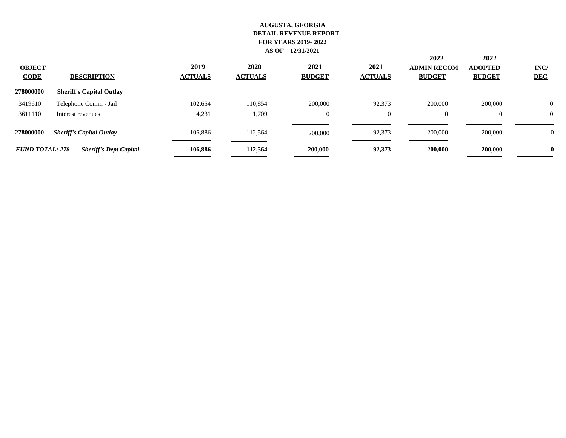| <b>OBJECT</b><br><b>CODE</b> | <b>DESCRIPTION</b>              | 2019<br><b>ACTUALS</b> | 2020<br><b>ACTUALS</b> | 2021<br><b>BUDGET</b> | 2021<br><b>ACTUALS</b> | 2022<br><b>ADMIN RECOM</b><br><b>BUDGET</b> | 2022<br><b>ADOPTED</b><br><b>BUDGET</b> | INC/<br><b>DEC</b> |
|------------------------------|---------------------------------|------------------------|------------------------|-----------------------|------------------------|---------------------------------------------|-----------------------------------------|--------------------|
| 278000000                    | <b>Sheriff's Capital Outlay</b> |                        |                        |                       |                        |                                             |                                         |                    |
| 3419610                      | Telephone Comm - Jail           | 102,654                | 110,854                | 200,000               | 92,373                 | 200,000                                     | 200,000                                 | $\overline{0}$     |
| 3611110                      | Interest revenues               | 4,231                  | 1,709                  | $\overline{0}$        | $\theta$               | $\theta$                                    |                                         | $\overline{0}$     |
| 278000000                    | <b>Sheriff's Capital Outlay</b> | 106.886                | 112,564                | 200,000               | 92,373                 | 200,000                                     | 200,000                                 | v                  |
| <b>FUND TOTAL: 278</b>       | <b>Sheriff's Dept Capital</b>   | 106,886                | 112,564                | 200,000               | 92,373                 | 200,000                                     | 200,000                                 | $\bf{0}$           |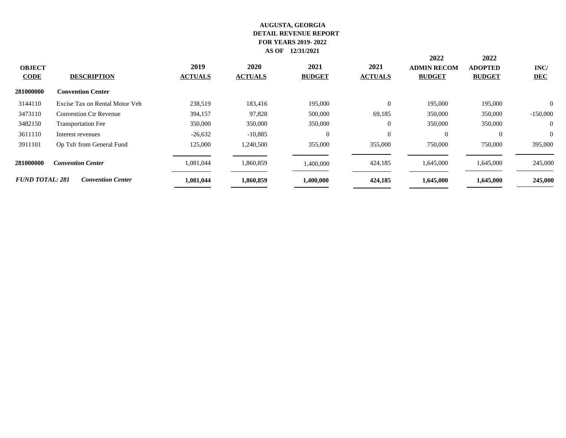| <b>OBJECT</b><br>$CODE$ | <b>DESCRIPTION</b>             | 2019<br><b>ACTUALS</b> | 2020<br><b>ACTUALS</b> | 2021<br><b>BUDGET</b> | 2021<br><b>ACTUALS</b> | 2022<br><b>ADMIN RECOM</b><br><b>BUDGET</b> | 2022<br><b>ADOPTED</b><br><b>BUDGET</b> | INC/<br><b>DEC</b> |
|-------------------------|--------------------------------|------------------------|------------------------|-----------------------|------------------------|---------------------------------------------|-----------------------------------------|--------------------|
| 281000000               | <b>Convention Center</b>       |                        |                        |                       |                        |                                             |                                         |                    |
| 3144110                 | Excise Tax on Rental Motor Veh | 238,519                | 183,416                | 195,000               | $\Omega$               | 195,000                                     | 195,000                                 | $\Omega$           |
| 3473110                 | <b>Convention Ctr Revenue</b>  | 394,157                | 97,828                 | 500,000               | 69,185                 | 350,000                                     | 350,000                                 | $-150,000$         |
| 3482150                 | <b>Transportation Fee</b>      | 350,000                | 350,000                | 350,000               | $\Omega$               | 350,000                                     | 350,000                                 | $\overline{0}$     |
| 3611110                 | Interest revenues              | $-26,632$              | $-10,885$              | $\overline{0}$        | $\mathbf{0}$           | $\overline{0}$                              | $\overline{0}$                          | $\overline{0}$     |
| 3911101                 | Op Tsfr from General Fund      | 125,000                | 1,240,500              | 355,000               | 355,000                | 750,000                                     | 750,000                                 | 395,000            |
| 281000000               | <b>Convention Center</b>       | 1,081,044              | 1,860,859              | 1,400,000             | 424,185                | 1,645,000                                   | 1,645,000                               | 245,000            |
| <b>FUND TOTAL: 281</b>  | <b>Convention Center</b>       | 1,081,044              | 1,860,859              | 1,400,000             | 424,185                | 1,645,000                                   | 1,645,000                               | 245,000            |
|                         |                                |                        |                        |                       |                        |                                             |                                         |                    |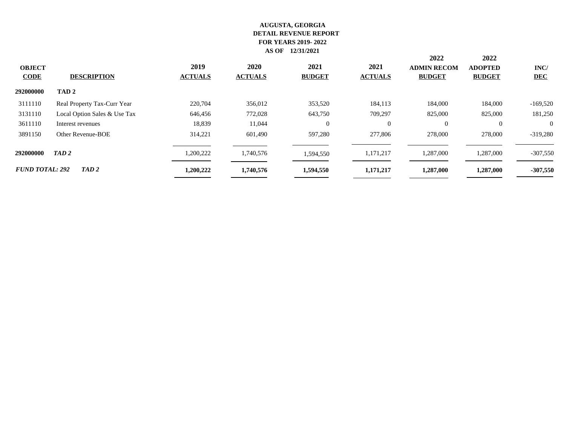|                              |                              |                        |                        |                       |                        | 2022                                | 2022                            |                    |
|------------------------------|------------------------------|------------------------|------------------------|-----------------------|------------------------|-------------------------------------|---------------------------------|--------------------|
| <b>OBJECT</b><br><b>CODE</b> | <b>DESCRIPTION</b>           | 2019<br><b>ACTUALS</b> | 2020<br><b>ACTUALS</b> | 2021<br><b>BUDGET</b> | 2021<br><b>ACTUALS</b> | <b>ADMIN RECOM</b><br><b>BUDGET</b> | <b>ADOPTED</b><br><b>BUDGET</b> | INC/<br><b>DEC</b> |
| 292000000                    | TAD <sub>2</sub>             |                        |                        |                       |                        |                                     |                                 |                    |
| 3111110                      | Real Property Tax-Curr Year  | 220,704                | 356,012                | 353,520               | 184,113                | 184,000                             | 184,000                         | $-169,520$         |
| 3131110                      | Local Option Sales & Use Tax | 646,456                | 772,028                | 643,750               | 709,297                | 825,000                             | 825,000                         | 181,250            |
| 3611110                      | Interest revenues            | 18,839                 | 11,044                 | $\Omega$              | 0                      | $\overline{0}$                      | $\Omega$                        | $\Omega$           |
| 3891150                      | Other Revenue-BOE            | 314.221                | 601,490                | 597.280               | 277,806                | 278,000                             | 278,000                         | $-319,280$         |
| 292000000                    | TAD <sub>2</sub>             | 1,200,222              | 1,740,576              | 1,594,550             | 1,171,217              | 1,287,000                           | 1,287,000                       | $-307,550$         |
| <b>FUND TOTAL: 292</b>       | TAD 2                        | 1,200,222              | 1,740,576              | 1,594,550             | 1,171,217              | 1,287,000                           | 1,287,000                       | $-307,550$         |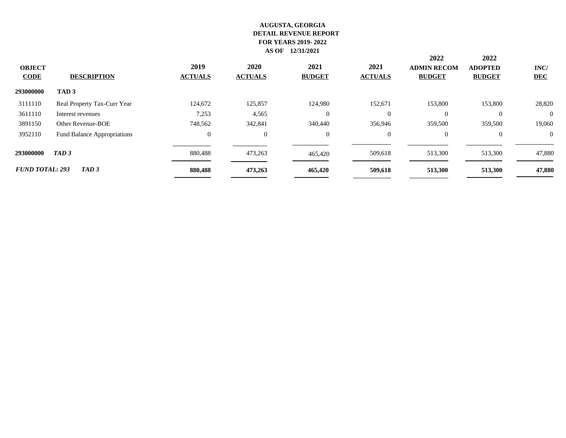|                         |                             |                        |                               |                       |                        | 2022                                | 2022                            |                    |
|-------------------------|-----------------------------|------------------------|-------------------------------|-----------------------|------------------------|-------------------------------------|---------------------------------|--------------------|
| <b>OBJECT</b><br>$CODE$ | <b>DESCRIPTION</b>          | 2019<br><b>ACTUALS</b> | <b>2020</b><br><b>ACTUALS</b> | 2021<br><b>BUDGET</b> | 2021<br><b>ACTUALS</b> | <b>ADMIN RECOM</b><br><b>BUDGET</b> | <b>ADOPTED</b><br><b>BUDGET</b> | INC/<br><b>DEC</b> |
| 293000000               | TAD <sub>3</sub>            |                        |                               |                       |                        |                                     |                                 |                    |
| 3111110                 | Real Property Tax-Curr Year | 124,672                | 125,857                       | 124.980               | 152,671                | 153,800                             | 153,800                         | 28,820             |
| 3611110                 | Interest revenues           | 7,253                  | 4,565                         | $\theta$              | $\Omega$               | $\Omega$                            | $\Omega$                        | $\Omega$           |
| 3891150                 | Other Revenue-BOE           | 748,562                | 342,841                       | 340,440               | 356,946                | 359,500                             | 359,500                         | 19,060             |
| 3952110                 | Fund Balance Appropriations | $\mathbf{0}$           | $\overline{0}$                | $\theta$              | $\overline{0}$         | $\overline{0}$                      | $\overline{0}$                  | $\overline{0}$     |
| 293000000               | TAD <sub>3</sub>            | 880,488                | 473,263                       | 465,420               | 509,618                | 513,300                             | 513,300                         | 47,880             |
| <b>FUND TOTAL: 293</b>  | TAD <sub>3</sub>            | 880,488                | 473,263                       | 465,420               | 509,618                | 513,300                             | 513,300                         | 47,880             |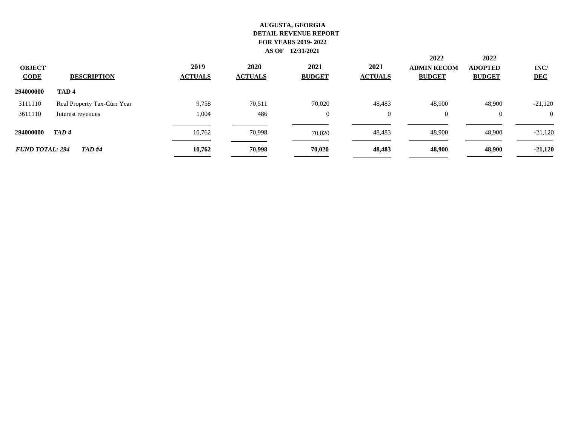|                         |                             |                        |                        |                       |                        | 2022                                | 2022                            |                    |
|-------------------------|-----------------------------|------------------------|------------------------|-----------------------|------------------------|-------------------------------------|---------------------------------|--------------------|
| <b>OBJECT</b><br>$CODE$ | <b>DESCRIPTION</b>          | 2019<br><b>ACTUALS</b> | 2020<br><b>ACTUALS</b> | 2021<br><b>BUDGET</b> | 2021<br><b>ACTUALS</b> | <b>ADMIN RECOM</b><br><b>BUDGET</b> | <b>ADOPTED</b><br><b>BUDGET</b> | INC/<br><b>DEC</b> |
| 294000000               | TAD <sub>4</sub>            |                        |                        |                       |                        |                                     |                                 |                    |
| 3111110                 | Real Property Tax-Curr Year | 9,758                  | 70,511                 | 70,020                | 48,483                 | 48,900                              | 48,900                          | $-21,120$          |
| 3611110                 | Interest revenues           | 1,004                  | 486                    | $\overline{0}$        | 0                      | $\overline{0}$                      | $\overline{0}$                  | $\theta$           |
| 294000000               | TAD4                        | 10.762                 | 70,998                 | 70,020                | 48,483                 | 48,900                              | 48,900                          | $-21,120$          |
| <b>FUND TOTAL: 294</b>  | <b>TAD#4</b>                | 10,762                 | 70.998                 | 70,020                | 48,483                 | 48,900                              | 48,900                          | $-21,120$          |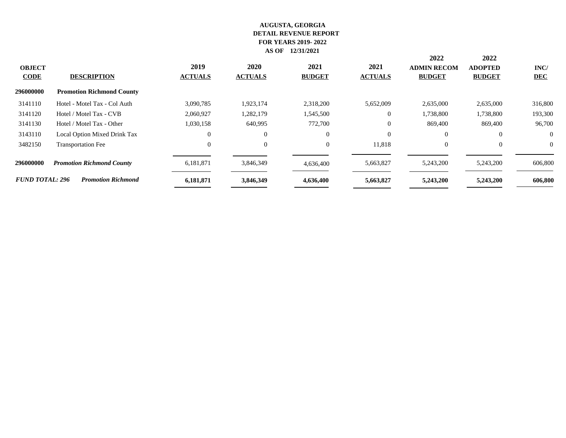| <b>OBJECT</b><br><b>CODE</b> | <b>DESCRIPTION</b>               | 2019<br><b>ACTUALS</b> | 2020<br><b>ACTUALS</b> | 2021<br><b>BUDGET</b> | 2021<br><b>ACTUALS</b> | 2022<br><b>ADMIN RECOM</b><br><b>BUDGET</b> | 2022<br><b>ADOPTED</b><br><b>BUDGET</b> | INC/<br><b>DEC</b> |
|------------------------------|----------------------------------|------------------------|------------------------|-----------------------|------------------------|---------------------------------------------|-----------------------------------------|--------------------|
| 296000000                    | <b>Promotion Richmond County</b> |                        |                        |                       |                        |                                             |                                         |                    |
| 3141110                      | Hotel - Motel Tax - Col Auth     | 3,090,785              | 1,923,174              | 2,318,200             | 5,652,009              | 2,635,000                                   | 2,635,000                               | 316,800            |
| 3141120                      | Hotel / Motel Tax - CVB          | 2,060,927              | 1,282,179              | 1,545,500             | $\overline{0}$         | 1,738,800                                   | 1,738,800                               | 193,300            |
| 3141130                      | Hotel / Motel Tax - Other        | 1,030,158              | 640,995                | 772,700               | $\overline{0}$         | 869,400                                     | 869,400                                 | 96,700             |
| 3143110                      | Local Option Mixed Drink Tax     |                        | $\overline{0}$         | $\overline{0}$        | $\overline{0}$         | $\overline{0}$                              | $\theta$                                | $\overline{0}$     |
| 3482150                      | <b>Transportation Fee</b>        |                        | $\mathbf{0}$           | $\overline{0}$        | 11,818                 | $\overline{0}$                              | $\overline{0}$                          | $\overline{0}$     |
| 296000000                    | <b>Promotion Richmond County</b> | 6,181,871              | 3,846,349              | 4,636,400             | 5,663,827              | 5,243,200                                   | 5,243,200                               | 606,800            |
| <b>FUND TOTAL: 296</b>       | <b>Promotion Richmond</b>        | 6,181,871              | 3,846,349              | 4,636,400             | 5,663,827              | 5,243,200                                   | 5,243,200                               | 606,800            |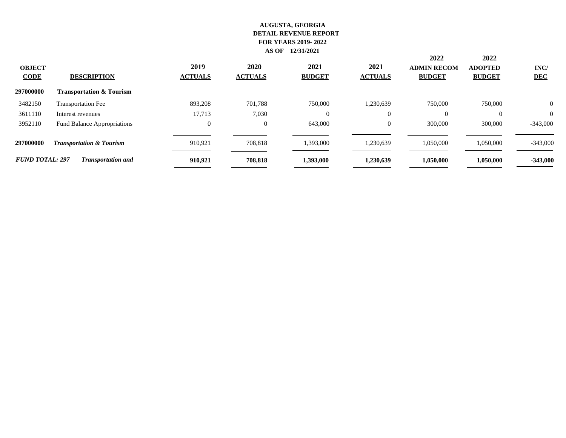| <b>OBJECT</b><br><b>CODE</b> | <b>DESCRIPTION</b>                  | 2019<br><b>ACTUALS</b> | 2020<br><b>ACTUALS</b> | 2021<br><b>BUDGET</b> | 2021<br><b>ACTUALS</b> | 2022<br><b>ADMIN RECOM</b><br><b>BUDGET</b> | 2022<br><b>ADOPTED</b><br><b>BUDGET</b> | INC/<br><b>DEC</b> |
|------------------------------|-------------------------------------|------------------------|------------------------|-----------------------|------------------------|---------------------------------------------|-----------------------------------------|--------------------|
| 297000000                    | <b>Transportation &amp; Tourism</b> |                        |                        |                       |                        |                                             |                                         |                    |
| 3482150                      | <b>Transportation Fee</b>           | 893,208                | 701,788                | 750,000               | 1,230,639              | 750,000                                     | 750,000                                 | $\overline{0}$     |
| 3611110                      | Interest revenues                   | 17,713                 | 7,030                  | $\theta$              | $\overline{0}$         | $\Omega$                                    |                                         | $\overline{0}$     |
| 3952110                      | <b>Fund Balance Appropriations</b>  | 0                      | $\overline{0}$         | 643,000               | $\overline{0}$         | 300,000                                     | 300,000                                 | $-343,000$         |
| 297000000                    | <b>Transportation &amp; Tourism</b> | 910.921                | 708.818                | 1,393,000             | 1,230,639              | 1,050,000                                   | 1,050,000                               | $-343,000$         |
| <b>FUND TOTAL: 297</b>       | <b>Transportation and</b>           | 910,921                | 708,818                | 1,393,000             | 1,230,639              | 1,050,000                                   | 1,050,000                               | $-343,000$         |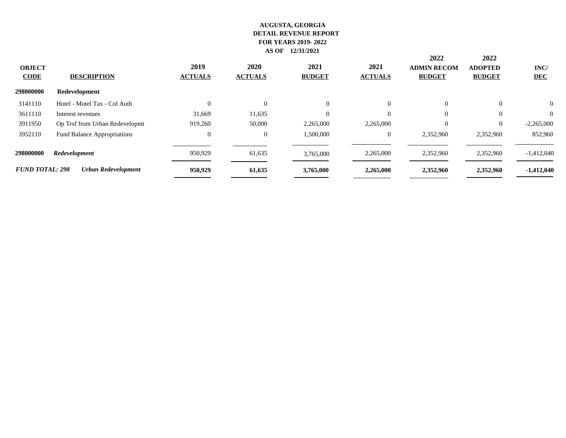|                              |                                    |                        |                        |                       |                        | 2022                                | 2022                            |                    |
|------------------------------|------------------------------------|------------------------|------------------------|-----------------------|------------------------|-------------------------------------|---------------------------------|--------------------|
| <b>OBJECT</b><br><b>CODE</b> | <b>DESCRIPTION</b>                 | 2019<br><b>ACTUALS</b> | 2020<br><b>ACTUALS</b> | 2021<br><b>BUDGET</b> | 2021<br><b>ACTUALS</b> | <b>ADMIN RECOM</b><br><b>BUDGET</b> | <b>ADOPTED</b><br><b>BUDGET</b> | INC/<br><b>DEC</b> |
| 298000000                    | Redevelopment                      |                        |                        |                       |                        |                                     |                                 |                    |
| 3141110                      | Hotel - Motel Tax - Col Auth       | $\Omega$               | $\theta$               | $\Omega$              | $\overline{0}$         | $\Omega$                            | $\overline{0}$                  | $\theta$           |
| 3611110                      | Interest revenues                  | 31,669                 | 11,635                 |                       | $\Omega$               | $\Omega$                            | $\Omega$                        | $\Omega$           |
| 3911950                      | Op Trsf from Urban Redevelopmt     | 919,260                | 50,000                 | 2,265,000             | 2,265,000              | $\Omega$                            | $\overline{0}$                  | $-2,265,000$       |
| 3952110                      | <b>Fund Balance Appropriations</b> | $\overline{0}$         | $\overline{0}$         | 1,500,000             | $\Omega$               | 2,352,960                           | 2,352,960                       | 852,960            |
| 298000000                    | Redevelopment                      | 950,929                | 61,635                 | 3,765,000             | 2,265,000              | 2,352,960                           | 2,352,960                       | $-1,412,040$       |
| <b>FUND TOTAL: 298</b>       | <b>Urban Redevelopment</b>         | 950,929                | 61,635                 | 3,765,000             | 2,265,000              | 2,352,960                           | 2,352,960                       | $-1,412,040$       |
|                              |                                    |                        |                        |                       |                        |                                     |                                 |                    |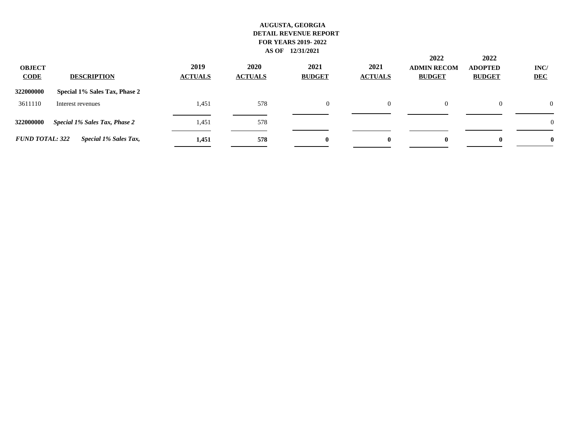| <b>OBJECT</b><br><b>CODE</b> | <b>DESCRIPTION</b>                   | 2019<br><b>ACTUALS</b> | 2020<br><b>ACTUALS</b> | 2021<br><b>BUDGET</b> | 2021<br><b>ACTUALS</b> | 2022<br><b>ADMIN RECOM</b><br><b>BUDGET</b> | 2022<br><b>ADOPTED</b><br><b>BUDGET</b> | INC/<br><b>DEC</b> |
|------------------------------|--------------------------------------|------------------------|------------------------|-----------------------|------------------------|---------------------------------------------|-----------------------------------------|--------------------|
| 322000000                    | Special 1% Sales Tax, Phase 2        |                        |                        |                       |                        |                                             |                                         |                    |
| 3611110                      | Interest revenues                    | 1,451                  | 578                    | $\overline{0}$        | $\Omega$               | $\Omega$                                    | $\overline{0}$                          | $\Omega$           |
| 322000000                    | <b>Special 1% Sales Tax, Phase 2</b> | 1,451                  | 578                    |                       |                        |                                             |                                         | $\theta$           |
| <b>FUND TOTAL: 322</b>       | Special 1% Sales Tax,                | 1,451                  | 578                    | $\mathbf{0}$          | 0                      | $\bf{0}$                                    | $\mathbf{0}$                            |                    |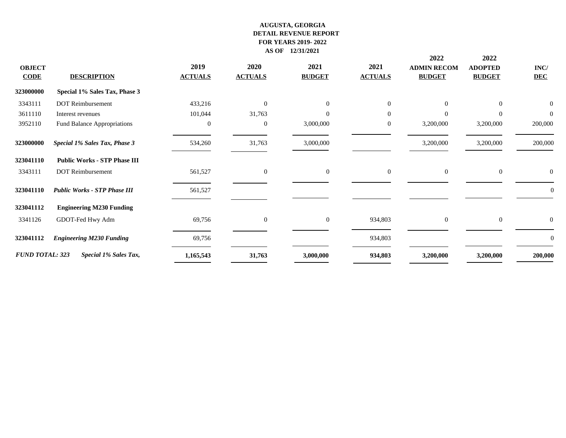|                        |                                     |                |                |                  |                | 2022               | 2022             |                  |
|------------------------|-------------------------------------|----------------|----------------|------------------|----------------|--------------------|------------------|------------------|
| <b>OBJECT</b>          |                                     | 2019           | 2020           | 2021             | 2021           | <b>ADMIN RECOM</b> | <b>ADOPTED</b>   | $\mathbf{INC}/$  |
| <b>CODE</b>            | <b>DESCRIPTION</b>                  | <b>ACTUALS</b> | <b>ACTUALS</b> | <b>BUDGET</b>    | <b>ACTUALS</b> | <b>BUDGET</b>      | <b>BUDGET</b>    | <b>DEC</b>       |
| 323000000              | Special 1% Sales Tax, Phase 3       |                |                |                  |                |                    |                  |                  |
| 3343111                | <b>DOT</b> Reimbursement            | 433,216        | $\overline{0}$ | $\mathbf{0}$     | $\Omega$       | $\Omega$           | $\mathbf{0}$     | $\boldsymbol{0}$ |
| 3611110                | Interest revenues                   | 101,044        | 31,763         | $\Omega$         | $\Omega$       | $\Omega$           | $\Omega$         | $\overline{0}$   |
| 3952110                | Fund Balance Appropriations         | $\Omega$       | $\overline{0}$ | 3,000,000        | $\overline{0}$ | 3,200,000          | 3,200,000        | 200,000          |
| 323000000              | Special 1% Sales Tax, Phase 3       | 534,260        | 31,763         | 3,000,000        |                | 3,200,000          | 3,200,000        | 200,000          |
| 323041110              | <b>Public Works - STP Phase III</b> |                |                |                  |                |                    |                  |                  |
| 3343111                | <b>DOT</b> Reimbursement            | 561,527        | $\overline{0}$ | $\boldsymbol{0}$ | $\overline{0}$ | $\overline{0}$     | $\overline{0}$   |                  |
| 323041110              | <b>Public Works - STP Phase III</b> | 561,527        |                |                  |                |                    |                  | 0                |
| 323041112              | <b>Engineering M230 Funding</b>     |                |                |                  |                |                    |                  |                  |
| 3341126                | GDOT-Fed Hwy Adm                    | 69,756         | $\mathbf{0}$   | $\mathbf{0}$     | 934,803        | $\overline{0}$     | $\boldsymbol{0}$ | $\overline{0}$   |
| 323041112              | <b>Engineering M230 Funding</b>     | 69,756         |                |                  | 934,803        |                    |                  | $\theta$         |
| <b>FUND TOTAL: 323</b> | Special 1% Sales Tax,               | 1,165,543      | 31,763         | 3,000,000        | 934,803        | 3,200,000          | 3,200,000        | 200,000          |
|                        |                                     |                |                |                  |                |                    |                  |                  |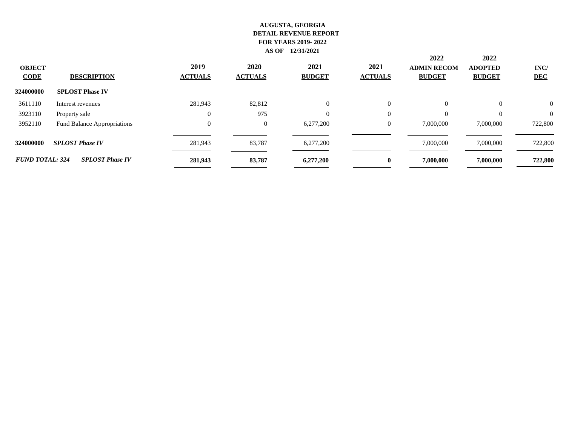| <b>OBJECT</b><br><b>CODE</b> | <b>DESCRIPTION</b>          | 2019<br><b>ACTUALS</b> | 2020<br><b>ACTUALS</b> | 2021<br><b>BUDGET</b> | 2021<br><b>ACTUALS</b> | 2022<br><b>ADMIN RECOM</b><br><b>BUDGET</b> | 2022<br><b>ADOPTED</b><br><b>BUDGET</b> | INC/<br><b>DEC</b> |
|------------------------------|-----------------------------|------------------------|------------------------|-----------------------|------------------------|---------------------------------------------|-----------------------------------------|--------------------|
| 324000000                    | <b>SPLOST Phase IV</b>      |                        |                        |                       |                        |                                             |                                         |                    |
| 3611110                      | Interest revenues           | 281.943                | 82,812                 | $\overline{0}$        | 0                      | $\overline{0}$                              | $\Omega$                                | $\theta$           |
| 3923110                      | Property sale               | $\overline{0}$         | 975                    | $\Omega$              | $\overline{0}$         | $\Omega$                                    | $\theta$                                | $\theta$           |
| 3952110                      | Fund Balance Appropriations | $\overline{0}$         | $\overline{0}$         | 6,277,200             | $\overline{0}$         | 7,000,000                                   | 7,000,000                               | 722,800            |
| 324000000                    | <b>SPLOST Phase IV</b>      | 281,943                | 83,787                 | 6,277,200             |                        | 7,000,000                                   | 7,000,000                               | 722,800            |
| <b>FUND TOTAL: 324</b>       | <b>SPLOST Phase IV</b>      | 281,943                | 83,787                 | 6,277,200             | $\bf{0}$               | 7,000,000                                   | 7,000,000                               | 722,800            |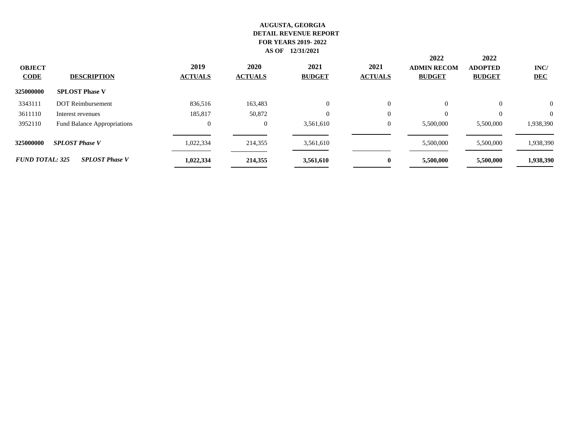| <b>OBJECT</b><br><b>CODE</b> | <b>DESCRIPTION</b>          | 2019<br><b>ACTUALS</b> | 2020<br><b>ACTUALS</b> | 2021<br><b>BUDGET</b> | 2021<br><b>ACTUALS</b> | 2022<br><b>ADMIN RECOM</b><br><b>BUDGET</b> | 2022<br><b>ADOPTED</b><br><b>BUDGET</b> | INC/<br><b>DEC</b> |
|------------------------------|-----------------------------|------------------------|------------------------|-----------------------|------------------------|---------------------------------------------|-----------------------------------------|--------------------|
| 325000000                    | <b>SPLOST Phase V</b>       |                        |                        |                       |                        |                                             |                                         |                    |
| 3343111                      | <b>DOT</b> Reimbursement    | 836,516                | 163,483                | $\overline{0}$        | $\theta$               | $\overline{0}$                              | $\theta$                                | $\theta$           |
| 3611110                      | Interest revenues           | 185,817                | 50,872                 | $\Omega$              | $\theta$               |                                             |                                         | $\theta$           |
| 3952110                      | Fund Balance Appropriations | $\mathbf{0}$           | $\overline{0}$         | 3,561,610             | $\theta$               | 5,500,000                                   | 5.500,000                               | 1,938,390          |
| 325000000                    | <b>SPLOST Phase V</b>       | 1,022,334              | 214,355                | 3,561,610             |                        | 5,500,000                                   | 5,500,000                               | 1,938,390          |
| <b>FUND TOTAL: 325</b>       | <b>SPLOST Phase V</b>       | 1,022,334              | 214,355                | 3,561,610             | $\bf{0}$               | 5,500,000                                   | 5,500,000                               | 1,938,390          |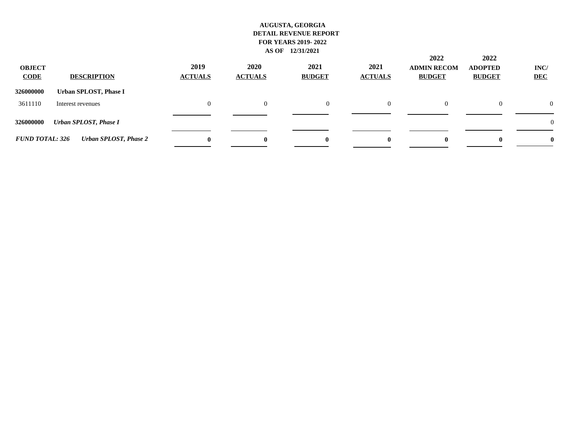| <b>OBJECT</b><br><b>CODE</b> | <b>DESCRIPTION</b>    | 2019<br><b>ACTUALS</b> | 2020<br><b>ACTUALS</b> | 2021<br><b>BUDGET</b> | 2021<br><b>ACTUALS</b> | 2022<br><b>ADMIN RECOM</b><br><b>BUDGET</b> | 2022<br><b>ADOPTED</b><br><b>BUDGET</b> | INC/<br><b>DEC</b> |
|------------------------------|-----------------------|------------------------|------------------------|-----------------------|------------------------|---------------------------------------------|-----------------------------------------|--------------------|
| 326000000                    | Urban SPLOST, Phase I |                        |                        |                       |                        |                                             |                                         |                    |
| 3611110                      | Interest revenues     | $\Omega$               |                        | $\mathbf{0}$          | 0                      | $\Omega$                                    | $\theta$                                | $\Omega$           |
| 326000000                    | Urban SPLOST, Phase I |                        |                        |                       |                        |                                             |                                         | $\theta$           |
| <b>FUND TOTAL: 326</b>       | Urban SPLOST, Phase 2 | $\mathbf{0}$           | $\mathbf{0}$           | $\mathbf{0}$          | $\bf{0}$               | $\mathbf{0}$                                | $\mathbf{0}$                            |                    |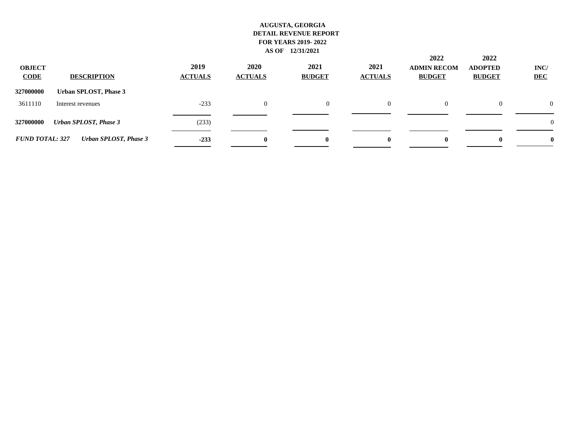| <b>OBJECT</b><br><b>CODE</b> | <b>DESCRIPTION</b>    | 2019<br><b>ACTUALS</b> | 2020<br><b>ACTUALS</b> | 2021<br><b>BUDGET</b> | 2021<br><b>ACTUALS</b> | 2022<br><b>ADMIN RECOM</b><br><b>BUDGET</b> | 2022<br><b>ADOPTED</b><br><b>BUDGET</b> | INC/<br><b>DEC</b> |
|------------------------------|-----------------------|------------------------|------------------------|-----------------------|------------------------|---------------------------------------------|-----------------------------------------|--------------------|
| 327000000                    | Urban SPLOST, Phase 3 |                        |                        |                       |                        |                                             |                                         |                    |
| 3611110                      | Interest revenues     | $-233$                 |                        | $\mathbf{0}$          | 0                      | $\Omega$                                    | $\mathbf{0}$                            | $\Omega$           |
| 327000000                    | Urban SPLOST, Phase 3 | (233)                  |                        |                       |                        |                                             |                                         | $\theta$           |
| <b>FUND TOTAL: 327</b>       | Urban SPLOST, Phase 3 | $-233$                 | $\mathbf{0}$           | $\mathbf{0}$          | $\bf{0}$               | $\mathbf{0}$                                | $\mathbf{0}$                            |                    |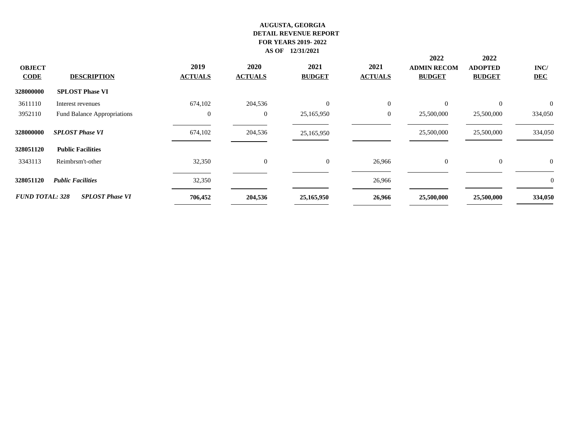|                        |                                    |                  |                |                |                | 2022               | 2022           |                |
|------------------------|------------------------------------|------------------|----------------|----------------|----------------|--------------------|----------------|----------------|
| <b>OBJECT</b>          |                                    | 2019             | <b>2020</b>    | 2021           | 2021           | <b>ADMIN RECOM</b> | <b>ADOPTED</b> | INC/           |
| <b>CODE</b>            | <b>DESCRIPTION</b>                 | <b>ACTUALS</b>   | <b>ACTUALS</b> | <b>BUDGET</b>  | <b>ACTUALS</b> | <b>BUDGET</b>      | <b>BUDGET</b>  | <b>DEC</b>     |
| 328000000              | <b>SPLOST Phase VI</b>             |                  |                |                |                |                    |                |                |
| 3611110                | Interest revenues                  | 674,102          | 204,536        | $\overline{0}$ | $\overline{0}$ | $\overline{0}$     | $\overline{0}$ | $\overline{0}$ |
| 3952110                | <b>Fund Balance Appropriations</b> | $\boldsymbol{0}$ | $\overline{0}$ | 25,165,950     | $\overline{0}$ | 25,500,000         | 25,500,000     | 334,050        |
| 328000000              | <b>SPLOST Phase VI</b>             | 674,102          | 204,536        | 25,165,950     |                | 25,500,000         | 25,500,000     | 334,050        |
| 328051120              | <b>Public Facilities</b>           |                  |                |                |                |                    |                |                |
| 3343113                | Reimbrsm't-other                   | 32,350           | $\overline{0}$ | $\overline{0}$ | 26,966         | $\overline{0}$     | $\overline{0}$ | $\overline{0}$ |
| 328051120              | <b>Public Facilities</b>           | 32,350           |                |                | 26,966         |                    |                | $\mathbf{0}$   |
| <b>FUND TOTAL: 328</b> | <b>SPLOST Phase VI</b>             | 706,452          | 204,536        | 25,165,950     | 26,966         | 25,500,000         | 25,500,000     | 334,050        |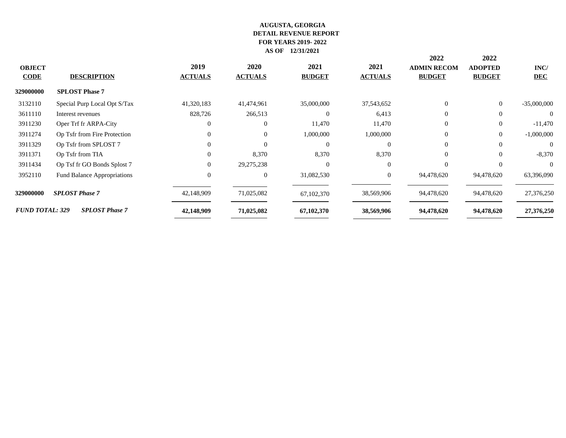|                                    |                        |                |               |                | 2022               | 2022           |               |
|------------------------------------|------------------------|----------------|---------------|----------------|--------------------|----------------|---------------|
|                                    | 2019                   | 2020           | 2021          | 2021           | <b>ADMIN RECOM</b> | <b>ADOPTED</b> | INC/          |
| <b>DESCRIPTION</b>                 | <b>ACTUALS</b>         | <b>ACTUALS</b> | <b>BUDGET</b> | <b>ACTUALS</b> | <b>BUDGET</b>      | <b>BUDGET</b>  | <b>DEC</b>    |
| <b>SPLOST Phase 7</b>              |                        |                |               |                |                    |                |               |
| Special Purp Local Opt S/Tax       | 41,320,183             | 41,474,961     | 35,000,000    | 37,543,652     | $\Omega$           | $\overline{0}$ | $-35,000,000$ |
| Interest revenues                  | 828,726                | 266,513        | $\Omega$      | 6,413          | $\Omega$           | $\Omega$       | $\Omega$      |
| Oper Trf fr ARPA-City              |                        | $\overline{0}$ | 11,470        | 11,470         | $\overline{0}$     | $\overline{0}$ | $-11,470$     |
| Op Tsfr from Fire Protection       |                        | $\theta$       | 1,000,000     | 1,000,000      | $\Omega$           | $\overline{0}$ | $-1,000,000$  |
| Op Tsfr from SPLOST 7              |                        | $\Omega$       | $\Omega$      | $\Omega$       | $\Omega$           | $\Omega$       | $\Omega$      |
| Op Tsfr from TIA                   |                        | 8,370          | 8,370         | 8,370          | $\Omega$           | $\Omega$       | $-8,370$      |
| Op Tsf fr GO Bonds Splost 7        |                        | 29,275,238     | $\Omega$      | $\Omega$       | $\Omega$           | $\Omega$       | $\Omega$      |
| <b>Fund Balance Appropriations</b> | $\Omega$               | $\overline{0}$ | 31,082,530    | $\overline{0}$ | 94,478,620         | 94,478,620     | 63,396,090    |
| <b>SPLOST Phase 7</b>              | 42,148,909             | 71,025,082     | 67,102,370    | 38,569,906     | 94,478,620         | 94,478,620     | 27,376,250    |
| <b>SPLOST Phase 7</b>              | 42,148,909             | 71,025,082     | 67,102,370    | 38,569,906     | 94,478,620         | 94,478,620     | 27,376,250    |
|                                    | <b>FUND TOTAL: 329</b> |                |               |                |                    |                |               |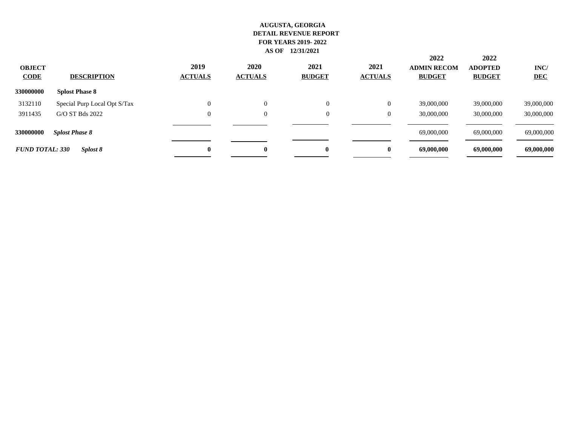| <b>OBJECT</b><br><b>CODE</b> | <b>DESCRIPTION</b>           | 2019<br><b>ACTUALS</b> | 2020<br><b>ACTUALS</b> | 2021<br><b>BUDGET</b> | 2021<br><b>ACTUALS</b> | 2022<br><b>ADMIN RECOM</b><br><b>BUDGET</b> | 2022<br><b>ADOPTED</b><br><b>BUDGET</b> | INC/<br><b>DEC</b> |
|------------------------------|------------------------------|------------------------|------------------------|-----------------------|------------------------|---------------------------------------------|-----------------------------------------|--------------------|
| 330000000                    | <b>Splost Phase 8</b>        |                        |                        |                       |                        |                                             |                                         |                    |
| 3132110                      | Special Purp Local Opt S/Tax | $\theta$               | $\Omega$               | $\overline{0}$        | $\overline{0}$         | 39,000,000                                  | 39,000,000                              | 39,000,000         |
| 3911435                      | G/O ST Bds 2022              | 0                      | $\Omega$               | $\overline{0}$        | 0                      | 30,000,000                                  | 30,000,000                              | 30,000,000         |
| 330000000                    | <b>Splost Phase 8</b>        |                        |                        |                       |                        | 69,000,000                                  | 69,000,000                              | 69,000,000         |
| <b>FUND TOTAL: 330</b>       | Splost 8                     | 0                      |                        |                       | $\mathbf{0}$           | 69,000,000                                  | 69,000,000                              | 69,000,000         |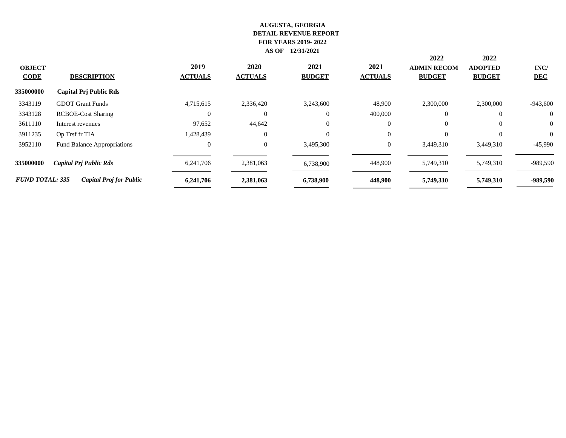|                              |                                    |                        |                        |                       |                        | 2022                                | 2022                            |                    |
|------------------------------|------------------------------------|------------------------|------------------------|-----------------------|------------------------|-------------------------------------|---------------------------------|--------------------|
| <b>OBJECT</b><br><b>CODE</b> | <b>DESCRIPTION</b>                 | 2019<br><b>ACTUALS</b> | 2020<br><b>ACTUALS</b> | 2021<br><b>BUDGET</b> | 2021<br><b>ACTUALS</b> | <b>ADMIN RECOM</b><br><b>BUDGET</b> | <b>ADOPTED</b><br><b>BUDGET</b> | INC/<br><b>DEC</b> |
| 335000000                    | <b>Capital Prj Public Rds</b>      |                        |                        |                       |                        |                                     |                                 |                    |
| 3343119                      | <b>GDOT</b> Grant Funds            | 4,715,615              | 2,336,420              | 3,243,600             | 48,900                 | 2,300,000                           | 2,300,000                       | $-943,600$         |
| 3343128                      | <b>RCBOE-Cost Sharing</b>          | $\Omega$               | $\Omega$               |                       | 400,000                | $\overline{0}$                      | $\Omega$                        | $\overline{0}$     |
| 3611110                      | Interest revenues                  | 97,652                 | 44,642                 | $\Omega$              |                        | $\overline{0}$                      | $\overline{0}$                  | $\overline{0}$     |
| 3911235                      | Op Trsf fr TIA                     | 1,428,439              | $\theta$               | $\Omega$              | $\Omega$               | $\Omega$                            | $\theta$                        | $\Omega$           |
| 3952110                      | <b>Fund Balance Appropriations</b> | $\overline{0}$         | $\overline{0}$         | 3,495,300             | $\overline{0}$         | 3,449,310                           | 3,449,310                       | $-45,990$          |
| 335000000                    | <b>Capital Prj Public Rds</b>      | 6,241,706              | 2,381,063              | 6,738,900             | 448,900                | 5,749,310                           | 5,749,310                       | -989,590           |
| <b>FUND TOTAL: 335</b>       | <b>Capital Proj for Public</b>     | 6,241,706              | 2,381,063              | 6,738,900             | 448,900                | 5,749,310                           | 5,749,310                       | -989,590           |
|                              |                                    |                        |                        |                       |                        |                                     |                                 |                    |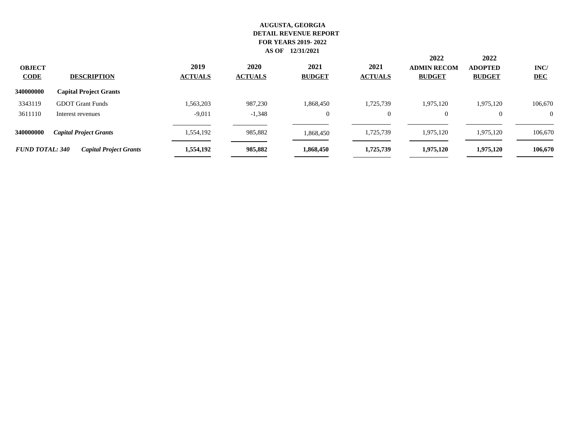| <b>OBJECT</b><br><b>CODE</b> | <b>DESCRIPTION</b>            | 2019<br><b>ACTUALS</b> | 2020<br><b>ACTUALS</b> | 2021<br><b>BUDGET</b> | 2021<br><b>ACTUALS</b> | 2022<br><b>ADMIN RECOM</b><br><b>BUDGET</b> | 2022<br><b>ADOPTED</b><br><b>BUDGET</b> | INC/<br><b>DEC</b> |
|------------------------------|-------------------------------|------------------------|------------------------|-----------------------|------------------------|---------------------------------------------|-----------------------------------------|--------------------|
| 340000000                    | <b>Capital Project Grants</b> |                        |                        |                       |                        |                                             |                                         |                    |
| 3343119                      | <b>GDOT</b> Grant Funds       | 1,563,203              | 987,230                | 1,868,450             | 1,725,739              | 1,975,120                                   | 1,975,120                               | 106,670            |
| 3611110                      | Interest revenues             | $-9,011$               | $-1,348$               | $\mathbf{0}$          | $\mathbf{0}$           | $\overline{0}$                              | $\theta$                                | $\theta$           |
| 340000000                    | <b>Capital Project Grants</b> | 1,554,192              | 985,882                | 1,868,450             | 1,725,739              | 1,975,120                                   | 1,975,120                               | 106,670            |
| <b>FUND TOTAL: 340</b>       | <b>Capital Project Grants</b> | 1,554,192              | 985,882                | 1,868,450             | 1,725,739              | 1,975,120                                   | 1,975,120                               | 106,670            |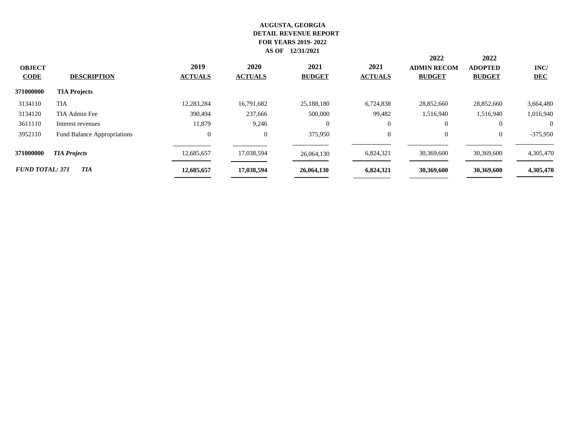| <b>OBJECT</b><br><b>CODE</b> | <b>DESCRIPTION</b>          | 2019<br><b>ACTUALS</b> | 2020<br><b>ACTUALS</b> | 2021<br><b>BUDGET</b> | 2021<br><b>ACTUALS</b> | 2022<br><b>ADMIN RECOM</b><br><b>BUDGET</b> | 2022<br><b>ADOPTED</b><br><b>BUDGET</b> | INC/<br><b>DEC</b> |
|------------------------------|-----------------------------|------------------------|------------------------|-----------------------|------------------------|---------------------------------------------|-----------------------------------------|--------------------|
| 371000000                    | <b>TIA Projects</b>         |                        |                        |                       |                        |                                             |                                         |                    |
| 3134110                      | <b>TIA</b>                  | 12,283,284             | 16.791.682             | 25,188,180            | 6.724.838              | 28,852,660                                  | 28,852,660                              | 3,664,480          |
| 3134120                      | TIA Admin Fee               | 390.494                | 237,666                | 500,000               | 99,482                 | 1.516.940                                   | 1,516,940                               | 1,016,940          |
| 3611110                      | Interest revenues           | 11,879                 | 9,246                  | $\Omega$              | $\overline{0}$         | $\overline{0}$                              | $\theta$                                | $\Omega$           |
| 3952110                      | Fund Balance Appropriations | $\overline{0}$         | $\mathbf{0}$           | 375,950               | $\theta$               | $\overline{0}$                              | $\mathbf{0}$                            | $-375,950$         |
| 371000000                    | <b>TIA Projects</b>         | 12,685,657             | 17,038,594             | 26,064,130            | 6,824,321              | 30,369,600                                  | 30,369,600                              | 4,305,470          |
| <b>FUND TOTAL: 371</b>       | <b>TIA</b>                  | 12,685,657             | 17,038,594             | 26,064,130            | 6,824,321              | 30,369,600                                  | 30,369,600                              | 4,305,470          |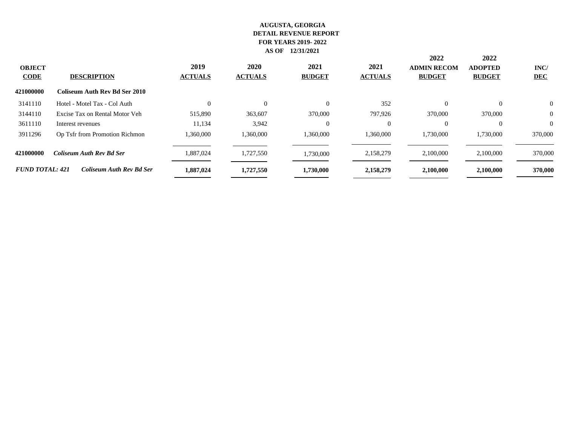|                              |                                      |                        |                        |                       |                        | 2022                                | 2022                            |                    |  |  |  |  |
|------------------------------|--------------------------------------|------------------------|------------------------|-----------------------|------------------------|-------------------------------------|---------------------------------|--------------------|--|--|--|--|
| <b>OBJECT</b><br><b>CODE</b> | <b>DESCRIPTION</b>                   | 2019<br><b>ACTUALS</b> | 2020<br><b>ACTUALS</b> | 2021<br><b>BUDGET</b> | 2021<br><b>ACTUALS</b> | <b>ADMIN RECOM</b><br><b>BUDGET</b> | <b>ADOPTED</b><br><b>BUDGET</b> | INC/<br><b>DEC</b> |  |  |  |  |
| 421000000                    | <b>Coliseum Auth Rev Bd Ser 2010</b> |                        |                        |                       |                        |                                     |                                 |                    |  |  |  |  |
| 3141110                      | Hotel - Motel Tax - Col Auth         | $\Omega$               | $\theta$               |                       | 352                    |                                     | $\Omega$                        | $\theta$           |  |  |  |  |
| 3144110                      | Excise Tax on Rental Motor Veh       | 515,890                | 363,607                | 370,000               | 797,926                | 370,000                             | 370,000                         | $\theta$           |  |  |  |  |
| 3611110                      | Interest revenues                    | 11,134                 | 3,942                  |                       | $\Omega$               |                                     | $\Omega$                        | $\Omega$           |  |  |  |  |
| 3911296                      | Op Tsfr from Promotion Richmon       | 1,360,000              | 1,360,000              | 1,360,000             | 1,360,000              | 1,730,000                           | 1,730,000                       | 370,000            |  |  |  |  |
| 421000000                    | <b>Coliseum Auth Rev Bd Ser</b>      | 1,887,024              | 1,727,550              | 1,730,000             | 2,158,279              | 2,100,000                           | 2,100,000                       | 370,000            |  |  |  |  |
| <b>FUND TOTAL: 421</b>       | <b>Coliseum Auth Rev Bd Ser</b>      | 1,887,024              | 1,727,550              | 1,730,000             | 2,158,279              | 2,100,000                           | 2,100,000                       | 370,000            |  |  |  |  |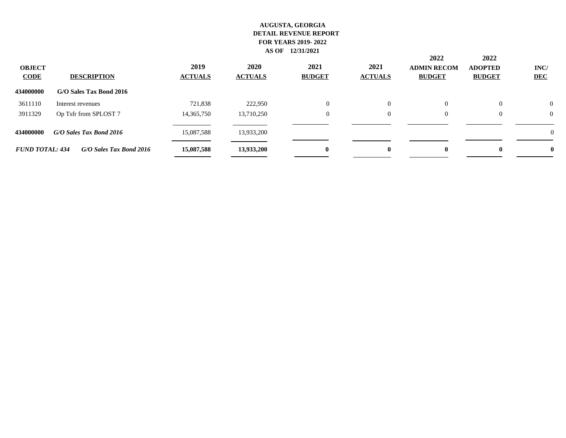| <b>OBJECT</b><br><b>CODE</b> | <b>DESCRIPTION</b>      | 2019<br><b>ACTUALS</b> | 2020<br><b>ACTUALS</b> | 2021<br><b>BUDGET</b> | 2021<br><b>ACTUALS</b> | 2022<br><b>ADMIN RECOM</b><br><b>BUDGET</b> | 2022<br><b>ADOPTED</b><br><b>BUDGET</b> | INC/<br><b>DEC</b> |
|------------------------------|-------------------------|------------------------|------------------------|-----------------------|------------------------|---------------------------------------------|-----------------------------------------|--------------------|
| 434000000                    | G/O Sales Tax Bond 2016 |                        |                        |                       |                        |                                             |                                         |                    |
| 3611110                      | Interest revenues       | 721,838                | 222,950                | $\Omega$              | $\Omega$               | $\Omega$                                    | $\theta$                                | $\overline{0}$     |
| 3911329                      | Op Tsfr from SPLOST 7   | 14,365,750             | 13,710,250             | $\mathbf{0}$          | $\overline{0}$         | $\overline{0}$                              | $\Omega$                                | $\Omega$           |
| 434000000                    | G/O Sales Tax Bond 2016 | 15,087,588             | 13,933,200             |                       |                        |                                             |                                         | $\Omega$           |
| <b>FUND TOTAL: 434</b>       | G/O Sales Tax Bond 2016 | 15,087,588             | 13,933,200             | $\mathbf{0}$          | $\mathbf{0}$           | $\mathbf{0}$                                | $\mathbf{0}$                            | 0                  |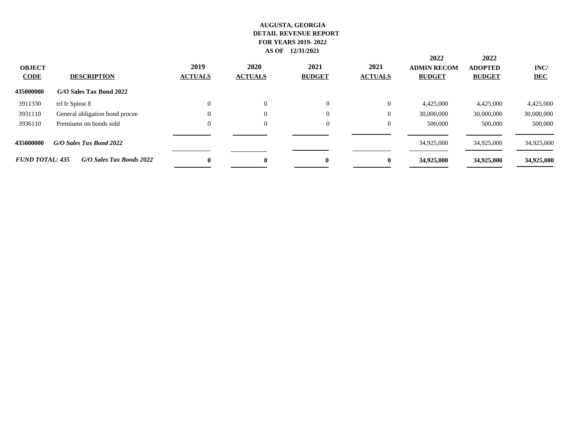| <b>OBJECT</b><br><b>CODE</b> | <b>DESCRIPTION</b>             | 2019<br><b>ACTUALS</b> | 2020<br><b>ACTUALS</b> | 2021<br><b>BUDGET</b> | 2021<br><b>ACTUALS</b> | 2022<br><b>ADMIN RECOM</b><br><b>BUDGET</b> | 2022<br><b>ADOPTED</b><br><b>BUDGET</b> | INC/<br><b>DEC</b> |
|------------------------------|--------------------------------|------------------------|------------------------|-----------------------|------------------------|---------------------------------------------|-----------------------------------------|--------------------|
| 435000000                    | G/O Sales Tax Bond 2022        |                        |                        |                       |                        |                                             |                                         |                    |
| 3911330                      | trf fr Splost 8                |                        | $\Omega$               | $\overline{0}$        | $\bf{0}$               | 4,425,000                                   | 4,425,000                               | 4,425,000          |
| 3931110                      | General obligation bond procee | 0                      | $\Omega$               | $\Omega$              | $\overline{0}$         | 30,000,000                                  | 30,000,000                              | 30,000,000         |
| 3936110                      | Premiums on bonds sold         | 0                      | $\overline{0}$         | $\overline{0}$        | $\overline{0}$         | 500,000                                     | 500,000                                 | 500,000            |
| 435000000                    | G/O Sales Tax Bond 2022        |                        |                        |                       |                        | 34,925,000                                  | 34,925,000                              | 34,925,000         |
| <b>FUND TOTAL: 435</b>       | G/O Sales Tax Bonds 2022       | $\mathbf{0}$           | $\mathbf{0}$           | 0                     | $\bf{0}$               | 34,925,000                                  | 34,925,000                              | 34,925,000         |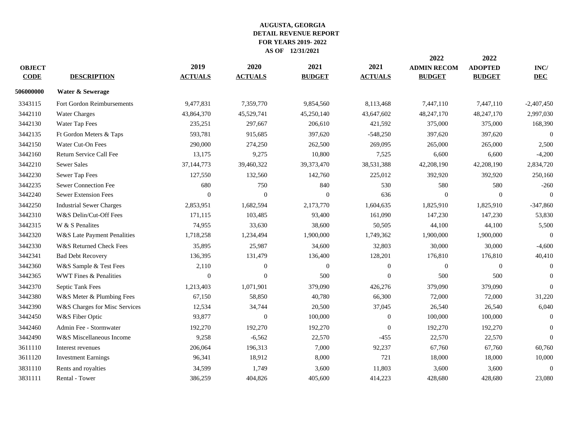| <b>OBJECT</b><br><b>CODE</b> | <b>DESCRIPTION</b>              | 2019<br><b>ACTUALS</b> | 2020<br><b>ACTUALS</b> | 2021<br><b>BUDGET</b> | 2021<br><b>ACTUALS</b> | 2022<br><b>ADMIN RECOM</b><br><b>BUDGET</b> | 2022<br><b>ADOPTED</b><br><b>BUDGET</b> | INC/<br><b>DEC</b> |
|------------------------------|---------------------------------|------------------------|------------------------|-----------------------|------------------------|---------------------------------------------|-----------------------------------------|--------------------|
| 506000000                    | Water & Sewerage                |                        |                        |                       |                        |                                             |                                         |                    |
| 3343115                      | Fort Gordon Reimbursements      | 9,477,831              | 7,359,770              | 9,854,560             | 8,113,468              | 7,447,110                                   | 7,447,110                               | $-2,407,450$       |
| 3442110                      | <b>Water Charges</b>            | 43,864,370             | 45,529,741             | 45,250,140            | 43,647,602             | 48,247,170                                  | 48,247,170                              | 2,997,030          |
| 3442130                      | Water Tap Fees                  | 235,251                | 297,667                | 206,610               | 421,592                | 375,000                                     | 375,000                                 | 168,390            |
| 3442135                      | Ft Gordon Meters & Taps         | 593,781                | 915,685                | 397,620               | $-548,250$             | 397,620                                     | 397,620                                 | $\overline{0}$     |
| 3442150                      | Water Cut-On Fees               | 290,000                | 274,250                | 262,500               | 269,095                | 265,000                                     | 265,000                                 | 2,500              |
| 3442160                      | Return Service Call Fee         | 13,175                 | 9,275                  | 10,800                | 7,525                  | 6,600                                       | 6,600                                   | $-4,200$           |
| 3442210                      | <b>Sewer Sales</b>              | 37,144,773             | 39,460,322             | 39,373,470            | 38,531,388             | 42,208,190                                  | 42,208,190                              | 2,834,720          |
| 3442230                      | Sewer Tap Fees                  | 127,550                | 132,560                | 142,760               | 225,012                | 392,920                                     | 392,920                                 | 250,160            |
| 3442235                      | Sewer Connection Fee            | 680                    | 750                    | 840                   | 530                    | 580                                         | 580                                     | $-260$             |
| 3442240                      | Sewer Extension Fees            | $\mathbf{0}$           | $\mathbf{0}$           | $\boldsymbol{0}$      | 636                    | $\mathbf{0}$                                | $\boldsymbol{0}$                        | $\theta$           |
| 3442250                      | <b>Industrial Sewer Charges</b> | 2,853,951              | 1,682,594              | 2,173,770             | 1,604,635              | 1,825,910                                   | 1,825,910                               | $-347,860$         |
| 3442310                      | W&S Delin/Cut-Off Fees          | 171,115                | 103,485                | 93,400                | 161,090                | 147,230                                     | 147,230                                 | 53,830             |
| 3442315                      | W & S Penalites                 | 74,955                 | 33,630                 | 38,600                | 50,505                 | 44,100                                      | 44,100                                  | 5,500              |
| 3442320                      | W&S Late Payment Penalities     | 1,718,258              | 1,234,494              | 1,900,000             | 1,749,362              | 1,900,000                                   | 1,900,000                               | $\Omega$           |
| 3442330                      | W&S Returned Check Fees         | 35,895                 | 25,987                 | 34,600                | 32,803                 | 30,000                                      | 30,000                                  | $-4,600$           |
| 3442341                      | <b>Bad Debt Recovery</b>        | 136,395                | 131,479                | 136,400               | 128,201                | 176,810                                     | 176,810                                 | 40,410             |
| 3442360                      | W&S Sample & Test Fees          | 2,110                  | $\mathbf{0}$           | $\mathbf{0}$          | $\boldsymbol{0}$       | $\overline{0}$                              | $\overline{0}$                          | $\theta$           |
| 3442365                      | WWT Fines & Penalities          | $\Omega$               | $\Omega$               | 500                   | $\theta$               | 500                                         | 500                                     | $\overline{0}$     |
| 3442370                      | Septic Tank Fees                | 1,213,403              | 1,071,901              | 379,090               | 426,276                | 379,090                                     | 379,090                                 | $\theta$           |
| 3442380                      | W&S Meter & Plumbing Fees       | 67,150                 | 58,850                 | 40,780                | 66,300                 | 72,000                                      | 72,000                                  | 31,220             |
| 3442390                      | W&S Charges for Misc Services   | 12,534                 | 34,744                 | 20,500                | 37,045                 | 26,540                                      | 26,540                                  | 6,040              |
| 3442450                      | W&S Fiber Optic                 | 93,877                 | $\boldsymbol{0}$       | 100,000               | $\boldsymbol{0}$       | 100,000                                     | 100,000                                 | $\overline{0}$     |
| 3442460                      | Admin Fee - Stormwater          | 192,270                | 192,270                | 192,270               | $\boldsymbol{0}$       | 192,270                                     | 192,270                                 | $\theta$           |
| 3442490                      | W&S Miscellaneous Income        | 9,258                  | $-6,562$               | 22,570                | $-455$                 | 22,570                                      | 22,570                                  | $\overline{0}$     |
| 3611110                      | Interest revenues               | 206,064                | 196,313                | 7,000                 | 92,237                 | 67,760                                      | 67,760                                  | 60,760             |
| 3611120                      | <b>Investment Earnings</b>      | 96,341                 | 18,912                 | 8,000                 | 721                    | 18,000                                      | 18,000                                  | 10,000             |
| 3831110                      | Rents and royalties             | 34,599                 | 1,749                  | 3,600                 | 11,803                 | 3,600                                       | 3,600                                   | $\theta$           |
| 3831111                      | Rental - Tower                  | 386,259                | 404,826                | 405,600               | 414,223                | 428,680                                     | 428,680                                 | 23,080             |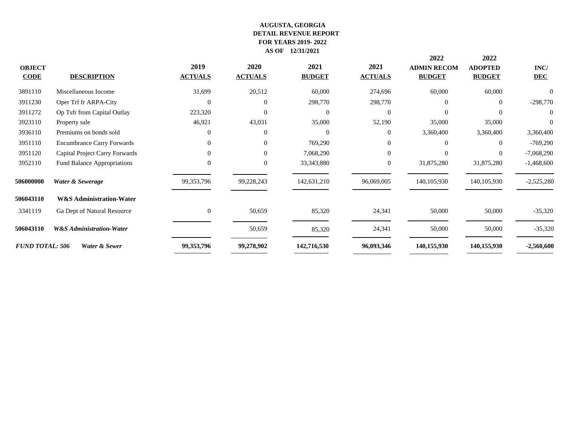| <b>OBJECT</b><br><b>CODE</b> | <b>DESCRIPTION</b>                  | 2019<br><b>ACTUALS</b> | 2020<br><b>ACTUALS</b> | 2021<br><b>BUDGET</b> | 2021<br><b>ACTUALS</b> | 2022<br><b>ADMIN RECOM</b><br><b>BUDGET</b> | 2022<br><b>ADOPTED</b><br><b>BUDGET</b> | INC/<br><b>DEC</b> |
|------------------------------|-------------------------------------|------------------------|------------------------|-----------------------|------------------------|---------------------------------------------|-----------------------------------------|--------------------|
| 3891110                      | Miscellaneous Income                | 31,699                 | 20,512                 | 60,000                | 274,696                | 60,000                                      | 60,000                                  | $\Omega$           |
| 3911230                      | Oper Trf fr ARPA-City               | $\Omega$               | $\theta$               | 298,770               | 298,770                | $\Omega$                                    | $\overline{0}$                          | $-298,770$         |
| 3911272                      | Op Tsfr from Capital Outlay         | 223,320                | $\theta$               | $\Omega$              | $\Omega$               | $\Omega$                                    | 0                                       | $\overline{0}$     |
| 3923110                      | Property sale                       | 46,921                 | 43,031                 | 35,000                | 52,190                 | 35,000                                      | 35,000                                  | $\Omega$           |
| 3936110                      | Premiums on bonds sold              | $\Omega$               | $\theta$               | $\Omega$              | $\Omega$               | 3,360,400                                   | 3,360,400                               | 3,360,400          |
| 3951110                      | <b>Encumbrance Carry Forwards</b>   | $\overline{0}$         | $\Omega$               | 769,290               | $\Omega$               | $\Omega$                                    | $\overline{0}$                          | $-769,290$         |
| 3951120                      | Capital Project Carry Forwards      | $\Omega$               | $\Omega$               | 7,068,290             | $\Omega$               | $\Omega$                                    | $\overline{0}$                          | $-7,068,290$       |
| 3952110                      | <b>Fund Balance Appropriations</b>  | $\theta$               | $\theta$               | 33, 343, 880          | $\boldsymbol{0}$       | 31,875,280                                  | 31,875,280                              | $-1,468,600$       |
| 506000000                    | Water & Sewerage                    | 99,353,796             | 99,228,243             | 142,631,210           | 96,069,005             | 140, 105, 930                               | 140, 105, 930                           | $-2,525,280$       |
| 506043110                    | <b>W&amp;S Administration-Water</b> |                        |                        |                       |                        |                                             |                                         |                    |
| 3341119                      | Ga Dept of Natural Resource         | $\overline{0}$         | 50,659                 | 85,320                | 24,341                 | 50,000                                      | 50,000                                  | $-35,320$          |
| 506043110                    | <b>W&amp;S</b> Administration-Water |                        | 50,659                 | 85,320                | 24,341                 | 50,000                                      | 50,000                                  | $-35,320$          |
| <b>FUND TOTAL: 506</b>       | Water & Sewer                       | 99,353,796             | 99,278,902             | 142,716,530           | 96,093,346             | 140,155,930                                 | 140,155,930                             | $-2,560,600$       |
|                              |                                     |                        |                        |                       |                        |                                             |                                         |                    |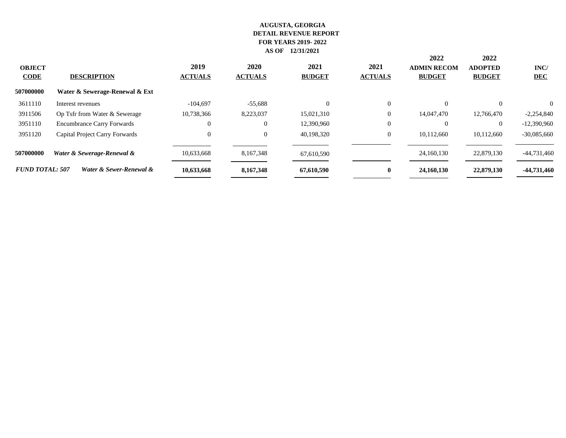|                              |                                   |                        |                               |                       |                        |                                             | 2022                            |                    |  |
|------------------------------|-----------------------------------|------------------------|-------------------------------|-----------------------|------------------------|---------------------------------------------|---------------------------------|--------------------|--|
| <b>OBJECT</b><br><b>CODE</b> | <b>DESCRIPTION</b>                | 2019<br><b>ACTUALS</b> | <b>2020</b><br><b>ACTUALS</b> | 2021<br><b>BUDGET</b> | 2021<br><b>ACTUALS</b> | 2022<br><b>ADMIN RECOM</b><br><b>BUDGET</b> | <b>ADOPTED</b><br><b>BUDGET</b> | INC/<br><b>DEC</b> |  |
| 507000000                    | Water & Sewerage-Renewal & Ext    |                        |                               |                       |                        |                                             |                                 |                    |  |
| 3611110                      | Interest revenues                 | $-104.697$             | $-55,688$                     | $\Omega$              | $\overline{0}$         | $\Omega$                                    | $\Omega$                        | $\Omega$           |  |
| 3911506                      | Op Tsfr from Water & Sewerage     | 10,738,366             | 8,223,037                     | 15,021,310            | $\overline{0}$         | 14,047,470                                  | 12,766,470                      | $-2,254,840$       |  |
| 3951110                      | <b>Encumbrance Carry Forwards</b> | 0                      | $\Omega$                      | 12,390,960            | $\overline{0}$         | $\Omega$                                    | $\Omega$                        | $-12,390,960$      |  |
| 3951120                      | Capital Project Carry Forwards    | 0                      | $\overline{0}$                | 40,198,320            | $\overline{0}$         | 10,112,660                                  | 10,112,660                      | $-30,085,660$      |  |
| 507000000                    | Water & Sewerage-Renewal &        | 10,633,668             | 8,167,348                     | 67,610,590            |                        | 24,160,130                                  | 22,879,130                      | $-44,731,460$      |  |
| <b>FUND TOTAL: 507</b>       | Water & Sewer-Renewal &           | 10,633,668             | 8,167,348                     | 67,610,590            | $\mathbf{0}$           | 24,160,130                                  | 22,879,130                      | -44,731,460        |  |
|                              |                                   |                        |                               |                       |                        |                                             |                                 |                    |  |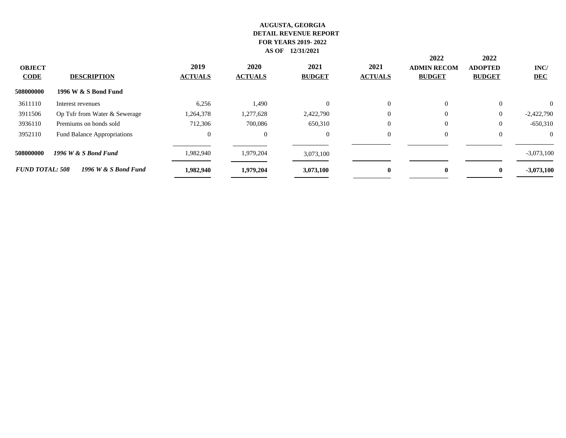| <b>OBJECT</b><br><b>CODE</b> | <b>DESCRIPTION</b>            | 2019<br><b>ACTUALS</b> | <b>2020</b><br><b>ACTUALS</b> | 2021<br><b>BUDGET</b> | 2021<br><b>ACTUALS</b> | 2022<br><b>ADMIN RECOM</b><br><b>BUDGET</b> | 2022<br><b>ADOPTED</b><br><b>BUDGET</b> | INC/<br><b>DEC</b> |
|------------------------------|-------------------------------|------------------------|-------------------------------|-----------------------|------------------------|---------------------------------------------|-----------------------------------------|--------------------|
| 508000000                    | 1996 W & S Bond Fund          |                        |                               |                       |                        |                                             |                                         |                    |
| 3611110                      | Interest revenues             | 6,256                  | 1,490                         | $\Omega$              | $\Omega$               | $\Omega$                                    | $\theta$                                | $\Omega$           |
| 3911506                      | Op Tsfr from Water & Sewerage | 1,264,378              | 1,277,628                     | 2,422,790             | $\Omega$               | $\Omega$                                    | $\overline{0}$                          | $-2,422,790$       |
| 3936110                      | Premiums on bonds sold        | 712,306                | 700,086                       | 650,310               | $\Omega$               | $\Omega$                                    | $\theta$                                | $-650,310$         |
| 3952110                      | Fund Balance Appropriations   | $\overline{0}$         | $\overline{0}$                | $\Omega$              | $\Omega$               | $\theta$                                    | $\Omega$                                | $\Omega$           |
| 508000000                    | 1996 W & S Bond Fund          | 1,982,940              | 1,979,204                     | 3,073,100             |                        |                                             |                                         | $-3,073,100$       |
| <b>FUND TOTAL: 508</b>       | 1996 W & S Bond Fund          | 1,982,940              | 1,979,204                     | 3,073,100             | $\mathbf{0}$           | $\mathbf{0}$                                | $\mathbf{0}$                            | $-3,073,100$       |
|                              |                               |                        |                               |                       |                        |                                             |                                         |                    |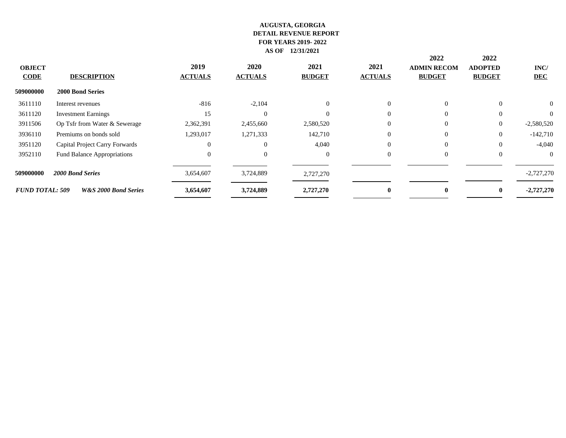|                         |                                    |                        |                               |                       |                        | 2022                                | 2022                            |                    |
|-------------------------|------------------------------------|------------------------|-------------------------------|-----------------------|------------------------|-------------------------------------|---------------------------------|--------------------|
| <b>OBJECT</b><br>$CODE$ | <b>DESCRIPTION</b>                 | 2019<br><b>ACTUALS</b> | <b>2020</b><br><b>ACTUALS</b> | 2021<br><b>BUDGET</b> | 2021<br><b>ACTUALS</b> | <b>ADMIN RECOM</b><br><b>BUDGET</b> | <b>ADOPTED</b><br><b>BUDGET</b> | INC/<br><b>DEC</b> |
| 509000000               | 2000 Bond Series                   |                        |                               |                       |                        |                                     |                                 |                    |
| 3611110                 | Interest revenues                  | $-816$                 | $-2,104$                      | $\Omega$              | $\Omega$               | $\Omega$                            | $\Omega$                        | $\Omega$           |
| 3611120                 | <b>Investment Earnings</b>         | 15                     | $\Omega$                      |                       | $\theta$               | $\overline{0}$                      | $\theta$                        | $\Omega$           |
| 3911506                 | Op Tsfr from Water & Sewerage      | 2,362,391              | 2,455,660                     | 2,580,520             | $\mathbf{0}$           | $\theta$                            | $\mathbf{0}$                    | $-2,580,520$       |
| 3936110                 | Premiums on bonds sold             | 1,293,017              | 1,271,333                     | 142,710               | $\Omega$               | $\Omega$                            | $\theta$                        | $-142,710$         |
| 3951120                 | Capital Project Carry Forwards     | 0                      | $\Omega$                      | 4,040                 | $\theta$               | $\overline{0}$                      | $\Omega$                        | $-4,040$           |
| 3952110                 | <b>Fund Balance Appropriations</b> | $\Omega$               | $\Omega$                      | $\Omega$              | $\Omega$               | $\Omega$                            | $\Omega$                        | $\Omega$           |
| 509000000               | 2000 Bond Series                   | 3,654,607              | 3,724,889                     | 2,727,270             |                        |                                     |                                 | $-2,727,270$       |
| <b>FUND TOTAL: 509</b>  | <b>W&amp;S 2000 Bond Series</b>    | 3,654,607              | 3,724,889                     | 2,727,270             | $\mathbf{0}$           | 0                                   |                                 | $-2,727,270$       |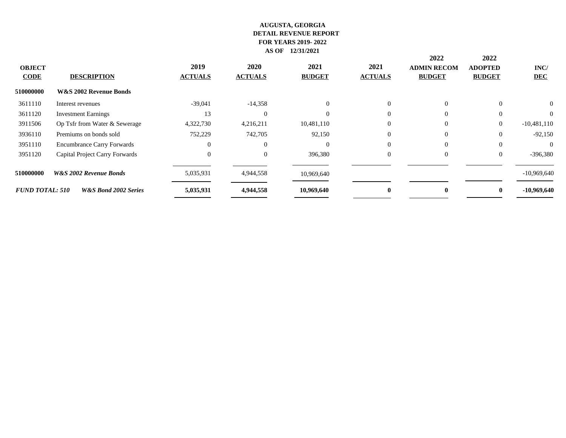| <b>OBJECT</b><br><b>CODE</b> | <b>DESCRIPTION</b>                | 2019<br><b>ACTUALS</b> | <b>2020</b><br><b>ACTUALS</b> | 2021<br><b>BUDGET</b> | 2021<br><b>ACTUALS</b> | 2022<br><b>ADMIN RECOM</b><br><b>BUDGET</b> | 2022<br><b>ADOPTED</b><br><b>BUDGET</b> | INC/<br><b>DEC</b> |
|------------------------------|-----------------------------------|------------------------|-------------------------------|-----------------------|------------------------|---------------------------------------------|-----------------------------------------|--------------------|
| 510000000                    | <b>W&amp;S 2002 Revenue Bonds</b> |                        |                               |                       |                        |                                             |                                         |                    |
| 3611110                      | Interest revenues                 | $-39,041$              | $-14,358$                     | $\Omega$              | $\Omega$               | $\Omega$                                    | $\Omega$                                | $\overline{0}$     |
| 3611120                      | <b>Investment Earnings</b>        | 13                     | $\Omega$                      |                       | $\theta$               |                                             |                                         | $\overline{0}$     |
| 3911506                      | Op Tsfr from Water & Sewerage     | 4,322,730              | 4,216,211                     | 10,481,110            | $\overline{0}$         |                                             | $\theta$                                | $-10,481,110$      |
| 3936110                      | Premiums on bonds sold            | 752,229                | 742,705                       | 92,150                | $\Omega$               | $\Omega$                                    | $\Omega$                                | $-92,150$          |
| 3951110                      | <b>Encumbrance Carry Forwards</b> | 0                      | $\Omega$                      | $\Omega$              | $\Omega$               | $\Omega$                                    |                                         | $\theta$           |
| 3951120                      | Capital Project Carry Forwards    | $\Omega$               | $\Omega$                      | 396,380               | $\overline{0}$         | $\Omega$                                    | $\Omega$                                | $-396,380$         |
| 510000000                    | <b>W&amp;S 2002 Revenue Bonds</b> | 5,035,931              | 4,944,558                     | 10,969,640            |                        |                                             |                                         | $-10,969,640$      |
| <b>FUND TOTAL: 510</b>       | <b>W&amp;S Bond 2002 Series</b>   | 5,035,931              | 4,944,558                     | 10,969,640            | 0                      |                                             |                                         | $-10,969,640$      |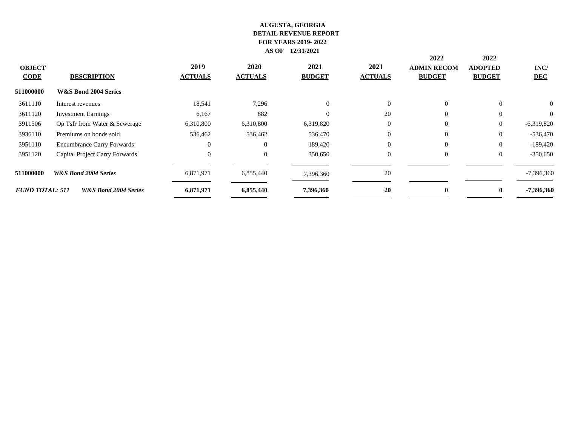| <b>OBJECT</b><br><b>CODE</b> | <b>DESCRIPTION</b>                | 2019<br><b>ACTUALS</b> | <b>2020</b><br><b>ACTUALS</b> | 2021<br><b>BUDGET</b> | 2021<br><b>ACTUALS</b> | 2022<br><b>ADMIN RECOM</b><br><b>BUDGET</b> | 2022<br><b>ADOPTED</b><br><b>BUDGET</b> | INC/<br><b>DEC</b> |
|------------------------------|-----------------------------------|------------------------|-------------------------------|-----------------------|------------------------|---------------------------------------------|-----------------------------------------|--------------------|
| 511000000                    | W&S Bond 2004 Series              |                        |                               |                       |                        |                                             |                                         |                    |
| 3611110                      | Interest revenues                 | 18,541                 | 7,296                         | $\Omega$              | $\Omega$               | $\Omega$                                    | $\Omega$                                | $\overline{0}$     |
| 3611120                      | <b>Investment Earnings</b>        | 6,167                  | 882                           |                       | 20                     | $\overline{0}$                              | $\theta$                                | $\overline{0}$     |
| 3911506                      | Op Tsfr from Water & Sewerage     | 6,310,800              | 6,310,800                     | 6,319,820             | $\overline{0}$         | $\Omega$                                    | $\theta$                                | $-6,319,820$       |
| 3936110                      | Premiums on bonds sold            | 536,462                | 536,462                       | 536,470               | $\Omega$               | $\Omega$                                    | $\theta$                                | $-536,470$         |
| 3951110                      | <b>Encumbrance Carry Forwards</b> | 0                      | $\Omega$                      | 189,420               | $\theta$               | $\Omega$                                    | $\theta$                                | $-189,420$         |
| 3951120                      | Capital Project Carry Forwards    | $\Omega$               | $\theta$                      | 350,650               | $\theta$               | $\Omega$                                    | $\theta$                                | $-350,650$         |
| 511000000                    | <b>W&amp;S Bond 2004 Series</b>   | 6,871,971              | 6,855,440                     | 7,396,360             | 20                     |                                             |                                         | $-7,396,360$       |
| <b>FUND TOTAL: 511</b>       | <b>W&amp;S Bond 2004 Series</b>   | 6,871,971              | 6,855,440                     | 7,396,360             | 20                     |                                             | $\mathbf{0}$                            | -7,396,360         |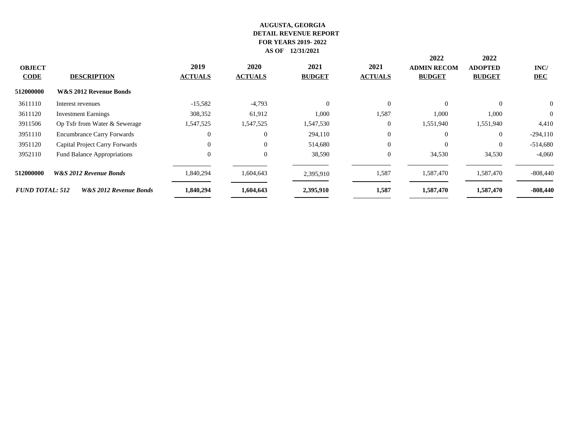| <b>OBJECT</b><br><b>CODE</b> | <b>DESCRIPTION</b>                 | 2019<br><b>ACTUALS</b> | 2020<br><b>ACTUALS</b> | 2021<br><b>BUDGET</b> | 2021<br><b>ACTUALS</b> | 2022<br><b>ADMIN RECOM</b><br><b>BUDGET</b> | 2022<br><b>ADOPTED</b><br><b>BUDGET</b> | INC/<br><b>DEC</b> |
|------------------------------|------------------------------------|------------------------|------------------------|-----------------------|------------------------|---------------------------------------------|-----------------------------------------|--------------------|
| 512000000                    | W&S 2012 Revenue Bonds             |                        |                        |                       |                        |                                             |                                         |                    |
| 3611110                      | Interest revenues                  | $-15,582$              | $-4,793$               | $\Omega$              | $\theta$               | $\Omega$                                    | $\Omega$                                | $\overline{0}$     |
| 3611120                      | <b>Investment Earnings</b>         | 308,352                | 61,912                 | 1,000                 | 1,587                  | 1,000                                       | 1,000                                   | $\mathbf{0}$       |
| 3911506                      | Op Tsfr from Water & Sewerage      | 1,547,525              | 1,547,525              | 1,547,530             | $\overline{0}$         | 1,551,940                                   | 1,551,940                               | 4,410              |
| 3951110                      | <b>Encumbrance Carry Forwards</b>  | $\Omega$               | $\theta$               | 294,110               | $\overline{0}$         | $\Omega$                                    | $\theta$                                | $-294,110$         |
| 3951120                      | Capital Project Carry Forwards     | $\Omega$               | $\Omega$               | 514,680               | $\mathbf{0}$           | $\Omega$                                    | $\Omega$                                | $-514,680$         |
| 3952110                      | <b>Fund Balance Appropriations</b> | $\Omega$               | $\theta$               | 38,590                | $\theta$               | 34,530                                      | 34,530                                  | $-4,060$           |
| 512000000                    | <b>W&amp;S 2012 Revenue Bonds</b>  | 1,840,294              | 1,604,643              | 2,395,910             | 1,587                  | 1,587,470                                   | 1,587,470                               | $-808,440$         |
| <b>FUND TOTAL: 512</b>       | W&S 2012 Revenue Bonds             | 1,840,294              | 1,604,643              | 2,395,910             | 1,587                  | 1,587,470                                   | 1,587,470                               | $-808,440$         |
|                              |                                    |                        |                        |                       |                        |                                             |                                         |                    |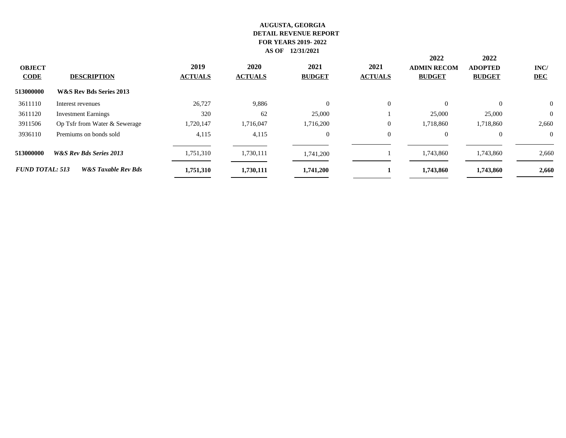|                         |                                |                        |                        |                       |                        |                                             | 2022                            |                    |  |
|-------------------------|--------------------------------|------------------------|------------------------|-----------------------|------------------------|---------------------------------------------|---------------------------------|--------------------|--|
| <b>OBJECT</b><br>$CODE$ | <b>DESCRIPTION</b>             | 2019<br><b>ACTUALS</b> | 2020<br><b>ACTUALS</b> | 2021<br><b>BUDGET</b> | 2021<br><b>ACTUALS</b> | 2022<br><b>ADMIN RECOM</b><br><b>BUDGET</b> | <b>ADOPTED</b><br><b>BUDGET</b> | INC/<br><b>DEC</b> |  |
| 513000000               | W&S Rev Bds Series 2013        |                        |                        |                       |                        |                                             |                                 |                    |  |
| 3611110                 | Interest revenues              | 26,727                 | 9,886                  | $\Omega$              | $\theta$               | $\theta$                                    | $\Omega$                        | $\theta$           |  |
| 3611120                 | <b>Investment Earnings</b>     | 320                    | 62                     | 25,000                |                        | 25,000                                      | 25,000                          | $\theta$           |  |
| 3911506                 | Op Tsfr from Water & Sewerage  | 1,720,147              | 1,716,047              | 1,716,200             | $\overline{0}$         | 1,718,860                                   | 1,718,860                       | 2,660              |  |
| 3936110                 | Premiums on bonds sold         | 4,115                  | 4,115                  | $\overline{0}$        | $\overline{0}$         | $\Omega$                                    | $\Omega$                        | $\Omega$           |  |
| 513000000               | W&S Rev Bds Series 2013        | 1,751,310              | 1,730,111              | 1,741,200             |                        | 1,743,860                                   | 1,743,860                       | 2,660              |  |
| <b>FUND TOTAL: 513</b>  | <b>W&amp;S</b> Taxable Rev Bds | 1,751,310              | 1,730,111              | 1,741,200             |                        | 1,743,860                                   | 1,743,860                       | 2,660              |  |
|                         |                                |                        |                        |                       |                        |                                             |                                 |                    |  |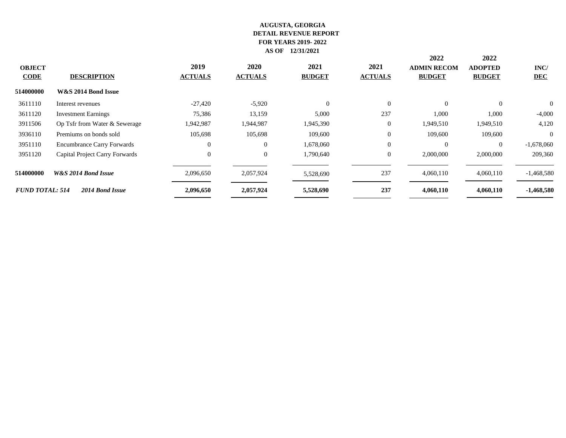| <b>OBJECT</b><br><b>CODE</b> | <b>DESCRIPTION</b>                | 2019<br><b>ACTUALS</b> | <b>2020</b><br><b>ACTUALS</b> | 2021<br><b>BUDGET</b> | 2021<br><b>ACTUALS</b> | 2022<br><b>ADMIN RECOM</b><br><b>BUDGET</b> | 2022<br><b>ADOPTED</b><br><b>BUDGET</b> | INC/<br><b>DEC</b> |
|------------------------------|-----------------------------------|------------------------|-------------------------------|-----------------------|------------------------|---------------------------------------------|-----------------------------------------|--------------------|
| 514000000                    | W&S 2014 Bond Issue               |                        |                               |                       |                        |                                             |                                         |                    |
| 3611110                      | Interest revenues                 | $-27,420$              | $-5,920$                      | $\Omega$              | $\Omega$               | $\Omega$                                    | $\theta$                                | $\Omega$           |
| 3611120                      | <b>Investment Earnings</b>        | 75,386                 | 13,159                        | 5,000                 | 237                    | 1,000                                       | 1,000                                   | $-4,000$           |
| 3911506                      | Op Tsfr from Water & Sewerage     | 1,942,987              | 1,944,987                     | 1,945,390             | $\boldsymbol{0}$       | 1,949,510                                   | 1,949,510                               | 4,120              |
| 3936110                      | Premiums on bonds sold            | 105,698                | 105,698                       | 109,600               | $\overline{0}$         | 109,600                                     | 109,600                                 | $\Omega$           |
| 3951110                      | <b>Encumbrance Carry Forwards</b> | $\Omega$               | $\overline{0}$                | 1,678,060             | $\mathbf{0}$           | $\Omega$                                    | $\overline{0}$                          | $-1,678,060$       |
| 3951120                      | Capital Project Carry Forwards    | $\Omega$               | $\overline{0}$                | 1,790,640             | $\overline{0}$         | 2,000,000                                   | 2,000,000                               | 209,360            |
| 514000000                    | W&S 2014 Bond Issue               | 2,096,650              | 2,057,924                     | 5,528,690             | 237                    | 4,060,110                                   | 4,060,110                               | $-1,468,580$       |
| <b>FUND TOTAL: 514</b>       | 2014 Bond Issue                   | 2,096,650              | 2,057,924                     | 5,528,690             | 237                    | 4,060,110                                   | 4,060,110                               | $-1,468,580$       |
|                              |                                   |                        |                               |                       |                        |                                             |                                         |                    |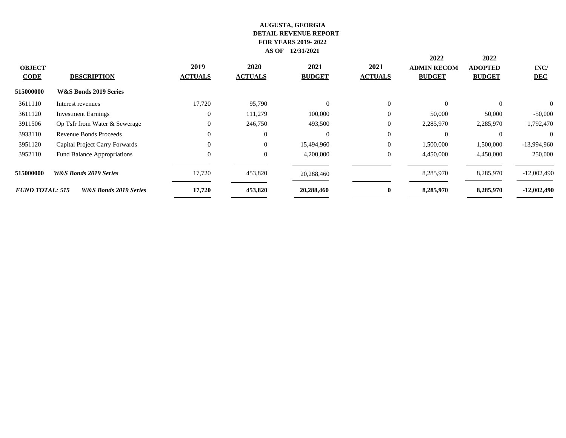| <b>OBJECT</b><br><b>CODE</b> | <b>DESCRIPTION</b>                 | 2019<br><b>ACTUALS</b> | <b>2020</b><br><b>ACTUALS</b> | 2021<br><b>BUDGET</b> | 2021<br><b>ACTUALS</b> | 2022<br><b>ADMIN RECOM</b><br><b>BUDGET</b> | 2022<br><b>ADOPTED</b><br><b>BUDGET</b> | INC/<br><b>DEC</b> |
|------------------------------|------------------------------------|------------------------|-------------------------------|-----------------------|------------------------|---------------------------------------------|-----------------------------------------|--------------------|
| 515000000                    | W&S Bonds 2019 Series              |                        |                               |                       |                        |                                             |                                         |                    |
| 3611110                      | Interest revenues                  | 17,720                 | 95,790                        |                       | $\Omega$               | $\Omega$                                    | $\Omega$                                | 0                  |
| 3611120                      | <b>Investment Earnings</b>         | $\Omega$               | 111,279                       | 100,000               | $\overline{0}$         | 50,000                                      | 50,000                                  | $-50,000$          |
| 3911506                      | Op Tsfr from Water & Sewerage      | $\theta$               | 246,750                       | 493,500               | $\overline{0}$         | 2,285,970                                   | 2,285,970                               | 1,792,470          |
| 3933110                      | Revenue Bonds Proceeds             | $\Omega$               | $\Omega$                      |                       | $\Omega$               | $\Omega$                                    | $\Omega$                                | $\Omega$           |
| 3951120                      | Capital Project Carry Forwards     |                        | $\Omega$                      | 15,494,960            | $\overline{0}$         | 1,500,000                                   | 1,500,000                               | $-13,994,960$      |
| 3952110                      | <b>Fund Balance Appropriations</b> | $\Omega$               | $\Omega$                      | 4,200,000             | $\overline{0}$         | 4,450,000                                   | 4,450,000                               | 250,000            |
| 515000000                    | <b>W&amp;S Bonds 2019 Series</b>   | 17,720                 | 453,820                       | 20,288,460            |                        | 8,285,970                                   | 8,285,970                               | $-12,002,490$      |
| <b>FUND TOTAL: 515</b>       | W&S Bonds 2019 Series              | 17,720                 | 453,820                       | 20,288,460            | $\bf{0}$               | 8,285,970                                   | 8,285,970                               | $-12,002,490$      |
|                              |                                    |                        |                               |                       |                        |                                             |                                         |                    |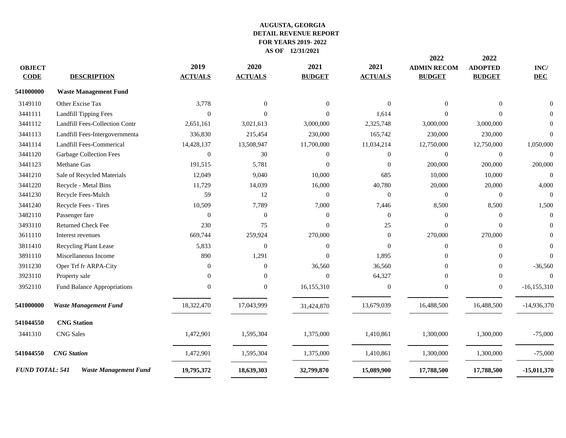|                        |                                 |                |                |                  |                | 2022               | 2022             |                 |
|------------------------|---------------------------------|----------------|----------------|------------------|----------------|--------------------|------------------|-----------------|
| <b>OBJECT</b>          |                                 | 2019           | 2020           | 2021             | 2021           | <b>ADMIN RECOM</b> | <b>ADOPTED</b>   | INC/            |
| <b>CODE</b>            | <b>DESCRIPTION</b>              | <b>ACTUALS</b> | <b>ACTUALS</b> | <b>BUDGET</b>    | <b>ACTUALS</b> | <b>BUDGET</b>      | <b>BUDGET</b>    | <b>DEC</b>      |
| 541000000              | <b>Waste Management Fund</b>    |                |                |                  |                |                    |                  |                 |
| 3149110                | Other Excise Tax                | 3,778          | $\Omega$       | $\Omega$         | $\Omega$       | $\Omega$           | $\theta$         | $\Omega$        |
| 3441111                | <b>Landfill Tipping Fees</b>    | $\theta$       | $\Omega$       | $\Omega$         | 1,614          | $\Omega$           | $\Omega$         | $\Omega$        |
| 3441112                | Landfill Fees-Collection Contr  | 2,651,161      | 3,021,613      | 3,000,000        | 2,325,748      | 3,000,000          | 3,000,000        | $\Omega$        |
| 3441113                | Landfill Fees-Intergovernmenta  | 336,830        | 215,454        | 230,000          | 165,742        | 230,000            | 230,000          | $\Omega$        |
| 3441114                | <b>Landfill Fees-Commerical</b> | 14,428,137     | 13,508,947     | 11,700,000       | 11,034,214     | 12,750,000         | 12,750,000       | 1,050,000       |
| 3441120                | <b>Garbage Collection Fees</b>  | $\theta$       | 30             | $\mathbf{0}$     | $\overline{0}$ | $\Omega$           | $\overline{0}$   | $\Omega$        |
| 3441123                | Methane Gas                     | 191,515        | 5,781          | $\Omega$         | $\theta$       | 200,000            | 200,000          | 200,000         |
| 3441210                | Sale of Recycled Materials      | 12,049         | 9,040          | 10,000           | 685            | 10,000             | 10,000           | $\theta$        |
| 3441220                | Recycle - Metal Bins            | 11,729         | 14,039         | 16,000           | 40,780         | 20,000             | 20,000           | 4,000           |
| 3441230                | Recycle Fees-Mulch              | 59             | 12             | $\boldsymbol{0}$ | $\mathbf{0}$   | $\mathbf{0}$       | $\mathbf{0}$     | $\overline{0}$  |
| 3441240                | Recycle Fees - Tires            | 10,509         | 7,789          | 7,000            | 7,446          | 8,500              | 8,500            | 1,500           |
| 3482110                | Passenger fare                  | $\theta$       | $\overline{0}$ | $\mathbf{0}$     | $\Omega$       | $\Omega$           | $\overline{0}$   | $\theta$        |
| 3493110                | Returned Check Fee              | 230            | 75             | $\overline{0}$   | 25             | $\Omega$           | $\Omega$         | $\mathbf{0}$    |
| 3611110                | Interest revenues               | 669,744        | 259,924        | 270,000          | $\overline{0}$ | 270,000            | 270,000          | $\Omega$        |
| 3811410                | Recycling Plant Lease           | 5,833          | $\overline{0}$ | $\overline{0}$   | $\Omega$       | $\theta$           | $\mathbf{0}$     | $\overline{0}$  |
| 3891110                | Miscellaneous Income            | 890            | 1,291          | $\Omega$         | 1,895          | $\Omega$           | $\Omega$         | $\Omega$        |
| 3911230                | Oper Trf fr ARPA-City           | $\mathbf{0}$   | $\overline{0}$ | 36,560           | 36,560         | $\Omega$           | $\overline{0}$   | $-36,560$       |
| 3923110                | Property sale                   | $\Omega$       | $\Omega$       | $\Omega$         | 64,327         | $\Omega$           | $\mathbf{0}$     | $\Omega$        |
| 3952110                | Fund Balance Appropriations     | $\Omega$       | $\overline{0}$ | 16,155,310       | $\mathbf{0}$   | $\theta$           | $\boldsymbol{0}$ | $-16, 155, 310$ |
| 541000000              | <b>Waste Management Fund</b>    | 18,322,470     | 17,043,999     | 31,424,870       | 13,679,039     | 16,488,500         | 16,488,500       | $-14,936,370$   |
| 541044550              | <b>CNG Station</b>              |                |                |                  |                |                    |                  |                 |
| 3441310                | <b>CNG</b> Sales                | 1,472,901      | 1,595,304      | 1,375,000        | 1,410,861      | 1,300,000          | 1,300,000        | $-75,000$       |
| 541044550              | <b>CNG</b> Station              | 1,472,901      | 1,595,304      | 1,375,000        | 1,410,861      | 1,300,000          | 1,300,000        | $-75,000$       |
| <b>FUND TOTAL: 541</b> | <b>Waste Management Fund</b>    | 19,795,372     | 18,639,303     | 32,799,870       | 15,089,900     | 17,788,500         | 17,788,500       | $-15,011,370$   |
|                        |                                 |                |                |                  |                |                    |                  |                 |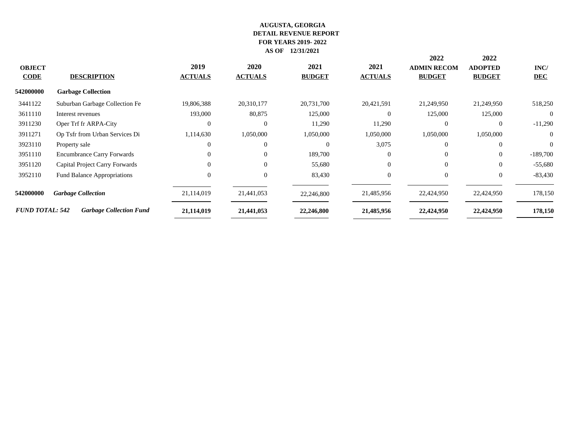|                        |                                    |                |                |               |                | 2022               | 2022           |            |
|------------------------|------------------------------------|----------------|----------------|---------------|----------------|--------------------|----------------|------------|
| <b>OBJECT</b>          |                                    | 2019           | 2020           | 2021          | 2021           | <b>ADMIN RECOM</b> | <b>ADOPTED</b> | INC/       |
| <b>CODE</b>            | <b>DESCRIPTION</b>                 | <b>ACTUALS</b> | <b>ACTUALS</b> | <b>BUDGET</b> | <b>ACTUALS</b> | <b>BUDGET</b>      | <b>BUDGET</b>  | <b>DEC</b> |
| 542000000              | <b>Garbage Collection</b>          |                |                |               |                |                    |                |            |
| 3441122                | Suburban Garbage Collection Fe     | 19,806,388     | 20,310,177     | 20,731,700    | 20,421,591     | 21,249,950         | 21,249,950     | 518,250    |
| 3611110                | Interest revenues                  | 193,000        | 80,875         | 125,000       | $\Omega$       | 125,000            | 125,000        | $\theta$   |
| 3911230                | Oper Trf fr ARPA-City              |                | $\overline{0}$ | 11,290        | 11,290         | $\Omega$           | $\overline{0}$ | $-11,290$  |
| 3911271                | Op Tsfr from Urban Services Di     | 1,114,630      | 1,050,000      | 1,050,000     | 1,050,000      | 1,050,000          | 1,050,000      | $\Omega$   |
| 3923110                | Property sale                      |                | $\theta$       | $\Omega$      | 3,075          | $\Omega$           | $\Omega$       | $\Omega$   |
| 3951110                | <b>Encumbrance Carry Forwards</b>  |                | $\overline{0}$ | 189,700       | $\overline{0}$ | $\Omega$           | $\overline{0}$ | $-189,700$ |
| 3951120                | Capital Project Carry Forwards     | $\Omega$       | $\theta$       | 55,680        | $\Omega$       | $\theta$           | $\Omega$       | $-55,680$  |
| 3952110                | <b>Fund Balance Appropriations</b> | $\Omega$       | $\overline{0}$ | 83,430        | $\overline{0}$ | $\overline{0}$     | $\overline{0}$ | $-83,430$  |
| 542000000              | <b>Garbage Collection</b>          | 21,114,019     | 21,441,053     | 22,246,800    | 21,485,956     | 22,424,950         | 22,424,950     | 178,150    |
| <b>FUND TOTAL: 542</b> | <b>Garbage Collection Fund</b>     | 21,114,019     | 21,441,053     | 22,246,800    | 21,485,956     | 22,424,950         | 22,424,950     | 178,150    |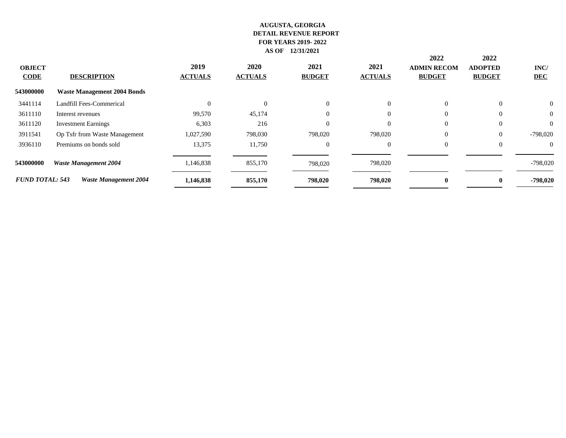|                              |                                    |                        |                        |                       |                        | 2022                                | 2022                            |                    |
|------------------------------|------------------------------------|------------------------|------------------------|-----------------------|------------------------|-------------------------------------|---------------------------------|--------------------|
| <b>OBJECT</b><br><b>CODE</b> | <b>DESCRIPTION</b>                 | 2019<br><b>ACTUALS</b> | 2020<br><b>ACTUALS</b> | 2021<br><b>BUDGET</b> | 2021<br><b>ACTUALS</b> | <b>ADMIN RECOM</b><br><b>BUDGET</b> | <b>ADOPTED</b><br><b>BUDGET</b> | INC/<br><b>DEC</b> |
| 543000000                    | <b>Waste Management 2004 Bonds</b> |                        |                        |                       |                        |                                     |                                 |                    |
| 3441114                      | Landfill Fees-Commerical           |                        | $\theta$               | $\Omega$              | $\Omega$               | $\overline{0}$                      | $\theta$                        | $\overline{0}$     |
| 3611110                      | Interest revenues                  | 99,570                 | 45,174                 | $\Omega$              |                        | $\overline{0}$                      | $\Omega$                        | $\theta$           |
| 3611120                      | <b>Investment Earnings</b>         | 6,303                  | 216                    |                       |                        | $\overline{0}$                      | $\mathbf{0}$                    | $\overline{0}$     |
| 3911541                      | Op Tsfr from Waste Management      | 1,027,590              | 798,030                | 798,020               | 798,020                | $\mathbf{0}$                        | $\mathbf{0}$                    | $-798,020$         |
| 3936110                      | Premiums on bonds sold             | 13,375                 | 11,750                 | $\theta$              | $\theta$               | $\overline{0}$                      | $\theta$                        | $\theta$           |
| 543000000                    | <b>Waste Management 2004</b>       | 1,146,838              | 855,170                | 798,020               | 798,020                |                                     |                                 | $-798,020$         |
| <b>FUND TOTAL: 543</b>       | <b>Waste Management 2004</b>       | 1,146,838              | 855,170                | 798,020               | 798,020                | $\mathbf{0}$                        | $\mathbf{0}$                    | -798,020           |
|                              |                                    |                        |                        |                       |                        |                                     |                                 |                    |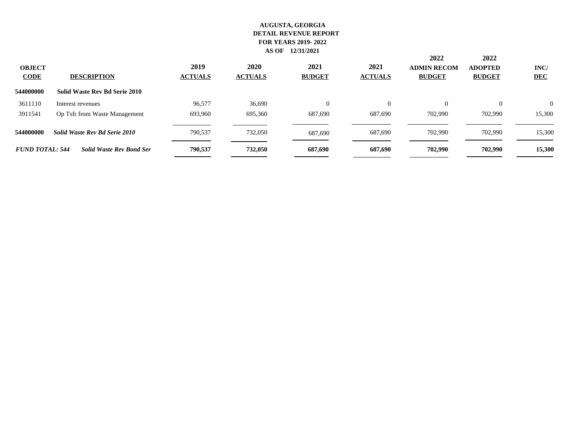| <b>OBJECT</b><br><b>CODE</b> | <b>DESCRIPTION</b>              | 2019<br><b>ACTUALS</b> | 2020<br><b>ACTUALS</b> | 2021<br><b>BUDGET</b> | 2021<br><b>ACTUALS</b> | 2022<br><b>ADMIN RECOM</b><br><b>BUDGET</b> | 2022<br><b>ADOPTED</b><br><b>BUDGET</b> | INC/<br><b>DEC</b> |
|------------------------------|---------------------------------|------------------------|------------------------|-----------------------|------------------------|---------------------------------------------|-----------------------------------------|--------------------|
| 544000000                    | Solid Waste Rev Bd Serie 2010   |                        |                        |                       |                        |                                             |                                         |                    |
| 3611110                      | Interest revenues               | 96.577                 | 36,690                 | $\Omega$              | $\Omega$               | $\Omega$                                    | $\Omega$                                | $\Omega$           |
| 3911541                      | Op Tsfr from Waste Management   | 693,960                | 695,360                | 687,690               | 687,690                | 702.990                                     | 702,990                                 | 15,300             |
| 544000000                    | Solid Waste Rev Bd Serie 2010   | 790,537                | 732,050                | 687,690               | 687,690                | 702,990                                     | 702,990                                 | 15,300             |
| <b>FUND TOTAL: 544</b>       | <b>Solid Waste Rev Bond Ser</b> | 790.537                | 732,050                | 687,690               | 687,690                | 702,990                                     | 702,990                                 | 15,300             |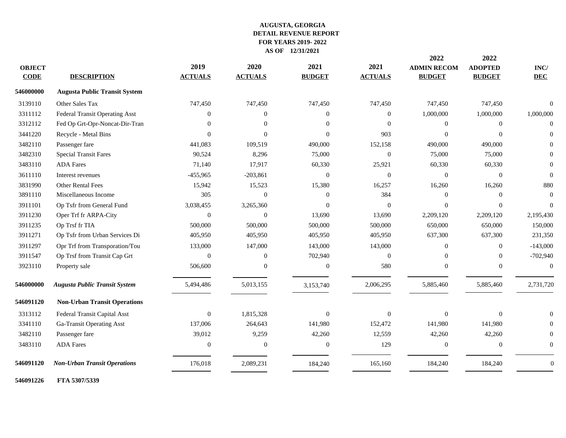|               |                                      |                |                |               |                | 2022               | 2022           |                |
|---------------|--------------------------------------|----------------|----------------|---------------|----------------|--------------------|----------------|----------------|
| <b>OBJECT</b> |                                      | 2019           | 2020           | 2021          | 2021           | <b>ADMIN RECOM</b> | <b>ADOPTED</b> | INC/           |
| <b>CODE</b>   | <b>DESCRIPTION</b>                   | <b>ACTUALS</b> | <b>ACTUALS</b> | <b>BUDGET</b> | <b>ACTUALS</b> | <b>BUDGET</b>      | <b>BUDGET</b>  | <b>DEC</b>     |
| 546000000     | <b>Augusta Public Transit System</b> |                |                |               |                |                    |                |                |
| 3139110       | Other Sales Tax                      | 747,450        | 747,450        | 747,450       | 747,450        | 747,450            | 747,450        | $\Omega$       |
| 3311112       | Federal Transit Operating Asst       | $\overline{0}$ | $\mathbf{0}$   | $\mathbf{0}$  | $\overline{0}$ | 1,000,000          | 1,000,000      | 1,000,000      |
| 3312112       | Fed Op Grt-Opr-Noncat-Dir-Tran       | $\Omega$       | $\Omega$       | $\Omega$      | $\Omega$       | $\Omega$           | $\theta$       | $\Omega$       |
| 3441220       | Recycle - Metal Bins                 | $\Omega$       | $\Omega$       | $\Omega$      | 903            | $\Omega$           | $\theta$       | $\Omega$       |
| 3482110       | Passenger fare                       | 441,083        | 109,519        | 490,000       | 152,158        | 490,000            | 490,000        | $\Omega$       |
| 3482310       | <b>Special Transit Fares</b>         | 90,524         | 8,296          | 75,000        | $\Omega$       | 75,000             | 75,000         | $\Omega$       |
| 3483110       | <b>ADA</b> Fares                     | 71,140         | 17,917         | 60,330        | 25,921         | 60,330             | 60,330         | $\Omega$       |
| 3611110       | Interest revenues                    | $-455,965$     | $-203,861$     | $\theta$      | $\overline{0}$ | $\theta$           | $\mathbf{0}$   | $\Omega$       |
| 3831990       | <b>Other Rental Fees</b>             | 15,942         | 15,523         | 15,380        | 16,257         | 16,260             | 16,260         | 880            |
| 3891110       | Miscellaneous Income                 | 305            | $\Omega$       | $\Omega$      | 384            | $\Omega$           | $\theta$       | $\theta$       |
| 3911101       | Op Tsfr from General Fund            | 3,038,455      | 3,265,360      | $\Omega$      | $\Omega$       | $\Omega$           | $\theta$       | $\Omega$       |
| 3911230       | Oper Trf fr ARPA-City                | $\overline{0}$ | $\theta$       | 13,690        | 13,690         | 2,209,120          | 2,209,120      | 2,195,430      |
| 3911235       | Op Trsf fr TIA                       | 500,000        | 500,000        | 500,000       | 500,000        | 650,000            | 650,000        | 150,000        |
| 3911271       | Op Tsfr from Urban Services Di       | 405,950        | 405,950        | 405,950       | 405,950        | 637,300            | 637,300        | 231,350        |
| 3911297       | Opr Trf from Transporation/Tou       | 133,000        | 147,000        | 143,000       | 143,000        | $\Omega$           | $\overline{0}$ | $-143,000$     |
| 3911547       | Op Trsf from Transit Cap Grt         | $\Omega$       | $\Omega$       | 702,940       | $\Omega$       | $\Omega$           | $\overline{0}$ | $-702,940$     |
| 3923110       | Property sale                        | 506,600        | $\Omega$       | $\mathbf{0}$  | 580            | $\Omega$           | $\theta$       | $\Omega$       |
| 546000000     | <b>Augusta Public Transit System</b> | 5,494,486      | 5,013,155      | 3,153,740     | 2,006,295      | 5,885,460          | 5,885,460      | 2,731,720      |
| 546091120     | <b>Non-Urban Transit Operations</b>  |                |                |               |                |                    |                |                |
| 3313112       | Federal Transit Capital Asst         | $\overline{0}$ | 1,815,328      | $\theta$      | $\Omega$       | $\Omega$           | $\theta$       | $\Omega$       |
| 3341110       | Ga-Transit Operating Asst            | 137,006        | 264,643        | 141,980       | 152,472        | 141,980            | 141,980        | $\Omega$       |
| 3482110       | Passenger fare                       | 39,012         | 9,259          | 42,260        | 12,559         | 42,260             | 42,260         | 0              |
| 3483110       | <b>ADA</b> Fares                     | $\overline{0}$ | $\theta$       | $\mathbf{0}$  | 129            | $\theta$           | $\overline{0}$ | $\overline{0}$ |
| 546091120     | <b>Non-Urban Transit Operations</b>  | 176,018        | 2,089,231      | 184,240       | 165,160        | 184,240            | 184,240        | $\mathbf{0}$   |
|               |                                      |                |                |               |                |                    |                |                |

**FTA 5307/5339**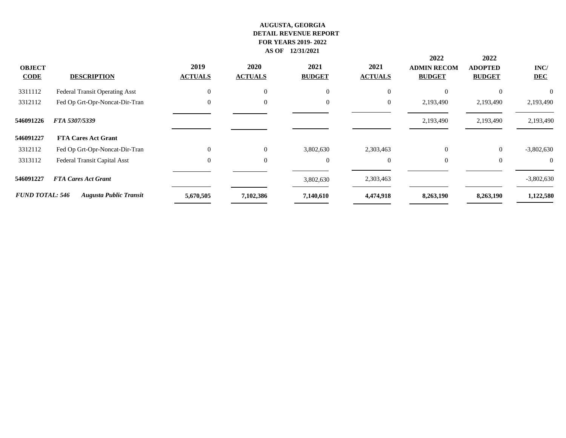| <b>OBJECT</b><br><b>CODE</b> | <b>DESCRIPTION</b>             | 2019<br><b>ACTUALS</b> | 2020<br><b>ACTUALS</b> | 2021<br><b>BUDGET</b> | 2021<br><b>ACTUALS</b> | 2022<br><b>ADMIN RECOM</b><br><b>BUDGET</b> | 2022<br><b>ADOPTED</b><br><b>BUDGET</b> | INC/<br><b>DEC</b> |
|------------------------------|--------------------------------|------------------------|------------------------|-----------------------|------------------------|---------------------------------------------|-----------------------------------------|--------------------|
| 3311112                      | Federal Transit Operating Asst | $\Omega$               | $\overline{0}$         | $\Omega$              |                        | $\Omega$                                    | $\Omega$                                |                    |
| 3312112                      | Fed Op Grt-Opr-Noncat-Dir-Tran | $\Omega$               | $\overline{0}$         | $\Omega$              | $\overline{0}$         | 2,193,490                                   | 2,193,490                               | 2,193,490          |
| 546091226                    | FTA 5307/5339                  |                        |                        |                       |                        | 2,193,490                                   | 2,193,490                               | 2,193,490          |
| 546091227                    | <b>FTA Cares Act Grant</b>     |                        |                        |                       |                        |                                             |                                         |                    |
| 3312112                      | Fed Op Grt-Opr-Noncat-Dir-Tran | $\Omega$               | $\overline{0}$         | 3,802,630             | 2,303,463              | $\overline{0}$                              | $\overline{0}$                          | $-3,802,630$       |
| 3313112                      | Federal Transit Capital Asst   | $\Omega$               | $\overline{0}$         | $\mathbf{0}$          | $\overline{0}$         | $\overline{0}$                              | $\theta$                                | $\overline{0}$     |
| 546091227                    | <b>FTA Cares Act Grant</b>     |                        |                        | 3,802,630             | 2,303,463              |                                             |                                         | $-3,802,630$       |
| <b>FUND TOTAL: 546</b>       | <b>Augusta Public Transit</b>  | 5,670,505              | 7,102,386              | 7,140,610             | 4,474,918              | 8,263,190                                   | 8,263,190                               | 1,122,580          |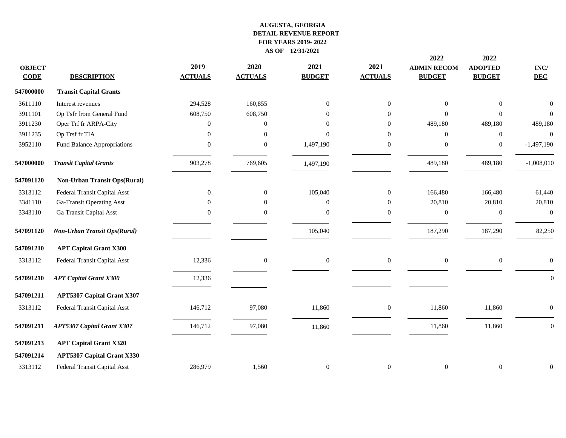|               |                                     |                  |                |                  |                  | 2022               | 2022             |                  |
|---------------|-------------------------------------|------------------|----------------|------------------|------------------|--------------------|------------------|------------------|
| <b>OBJECT</b> |                                     | 2019             | 2020           | 2021             | 2021             | <b>ADMIN RECOM</b> | <b>ADOPTED</b>   | $\mathbf{INC}/$  |
| <b>CODE</b>   | <b>DESCRIPTION</b>                  | <b>ACTUALS</b>   | <b>ACTUALS</b> | <b>BUDGET</b>    | <b>ACTUALS</b>   | <b>BUDGET</b>      | <b>BUDGET</b>    | <b>DEC</b>       |
| 547000000     | <b>Transit Capital Grants</b>       |                  |                |                  |                  |                    |                  |                  |
| 3611110       | Interest revenues                   | 294,528          | 160,855        | $\mathbf{0}$     | $\mathbf{0}$     | $\Omega$           | $\mathbf{0}$     | $\mathbf{0}$     |
| 3911101       | Op Tsfr from General Fund           | 608,750          | 608,750        | $\mathbf{0}$     | $\overline{0}$   | $\Omega$           | $\overline{0}$   | $\overline{0}$   |
| 3911230       | Oper Trf fr ARPA-City               | $\overline{0}$   | $\theta$       | $\Omega$         | $\mathbf{0}$     | 489,180            | 489,180          | 489,180          |
| 3911235       | Op Trsf fr TIA                      | $\overline{0}$   | $\Omega$       | $\Omega$         | $\overline{0}$   | $\Omega$           | $\overline{0}$   | $\theta$         |
| 3952110       | Fund Balance Appropriations         | $\Omega$         | $\Omega$       | 1,497,190        | $\overline{0}$   | $\Omega$           | $\boldsymbol{0}$ | $-1,497,190$     |
| 547000000     | <b>Transit Capital Grants</b>       | 903,278          | 769,605        | 1,497,190        |                  | 489,180            | 489,180          | $-1,008,010$     |
| 547091120     | <b>Non-Urban Transit Ops(Rural)</b> |                  |                |                  |                  |                    |                  |                  |
| 3313112       | Federal Transit Capital Asst        | $\boldsymbol{0}$ | $\mathbf{0}$   | 105,040          | $\overline{0}$   | 166,480            | 166,480          | 61,440           |
| 3341110       | Ga-Transit Operating Asst           | $\overline{0}$   | $\Omega$       | $\mathbf{0}$     | $\boldsymbol{0}$ | 20,810             | 20,810           | 20,810           |
| 3343110       | Ga Transit Capital Asst             | $\Omega$         | $\Omega$       | $\overline{0}$   | $\theta$         | $\theta$           | $\boldsymbol{0}$ | $\overline{0}$   |
| 547091120     | Non-Urban Transit Ops(Rural)        |                  |                | 105,040          |                  | 187,290            | 187,290          | 82,250           |
| 547091210     | <b>APT Capital Grant X300</b>       |                  |                |                  |                  |                    |                  |                  |
| 3313112       | Federal Transit Capital Asst        | 12,336           | $\overline{0}$ | $\mathbf{0}$     | $\boldsymbol{0}$ | $\overline{0}$     | $\boldsymbol{0}$ | $\overline{0}$   |
| 547091210     | <b>APT Capital Grant X300</b>       | 12,336           |                |                  |                  |                    |                  | $\overline{0}$   |
| 547091211     | <b>APT5307 Capital Grant X307</b>   |                  |                |                  |                  |                    |                  |                  |
| 3313112       | Federal Transit Capital Asst        | 146,712          | 97,080         | 11,860           | $\boldsymbol{0}$ | 11,860             | 11,860           | $\overline{0}$   |
| 547091211     | <b>APT5307 Capital Grant X307</b>   | 146,712          | 97,080         | 11,860           |                  | 11,860             | 11,860           | $\boldsymbol{0}$ |
| 547091213     | <b>APT Capital Grant X320</b>       |                  |                |                  |                  |                    |                  |                  |
| 547091214     | <b>APT5307 Capital Grant X330</b>   |                  |                |                  |                  |                    |                  |                  |
| 3313112       | Federal Transit Capital Asst        | 286,979          | 1,560          | $\boldsymbol{0}$ | $\boldsymbol{0}$ | $\overline{0}$     | $\boldsymbol{0}$ | $\mathbf{0}$     |
|               |                                     |                  |                |                  |                  |                    |                  |                  |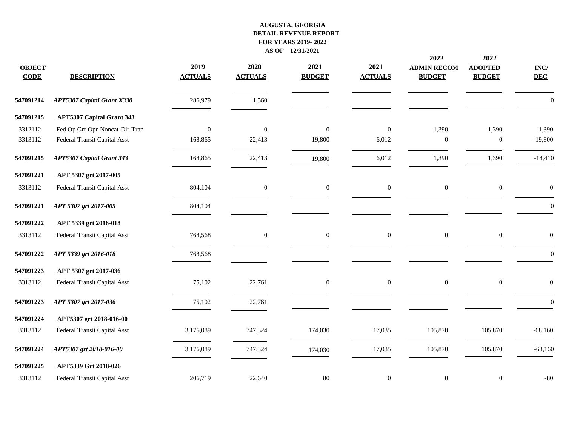| <b>OBJECT</b><br><b>CODE</b> | <b>DESCRIPTION</b>                | 2019<br><b>ACTUALS</b> | 2020<br><b>ACTUALS</b> | 2021<br><b>BUDGET</b> | 2021<br><b>ACTUALS</b> | 2022<br><b>ADMIN RECOM</b><br><b>BUDGET</b> | 2022<br><b>ADOPTED</b><br><b>BUDGET</b> | $\mathbf{INC}/$<br><b>DEC</b> |
|------------------------------|-----------------------------------|------------------------|------------------------|-----------------------|------------------------|---------------------------------------------|-----------------------------------------|-------------------------------|
| 547091214                    | <b>APT5307 Capital Grant X330</b> | 286,979                | 1,560                  |                       |                        |                                             |                                         | $\overline{0}$                |
| 547091215                    | <b>APT5307 Capital Grant 343</b>  |                        |                        |                       |                        |                                             |                                         |                               |
| 3312112                      | Fed Op Grt-Opr-Noncat-Dir-Tran    | $\mathbf{0}$           | $\boldsymbol{0}$       | $\mathbf{0}$          | $\boldsymbol{0}$       | 1,390                                       | 1,390                                   | 1,390                         |
| 3313112                      | Federal Transit Capital Asst      | 168,865                | 22,413                 | 19,800                | 6,012                  | $\mathbf{0}$                                | $\mathbf{0}$                            | $-19,800$                     |
| 547091215                    | <b>APT5307 Capital Grant 343</b>  | 168,865                | 22,413                 | 19,800                | 6,012                  | 1,390                                       | 1,390                                   | $-18,410$                     |
| 547091221                    | APT 5307 grt 2017-005             |                        |                        |                       |                        |                                             |                                         |                               |
| 3313112                      | Federal Transit Capital Asst      | 804,104                | $\mathbf{0}$           | $\boldsymbol{0}$      | $\boldsymbol{0}$       | $\boldsymbol{0}$                            | $\boldsymbol{0}$                        | $\boldsymbol{0}$              |
| 547091221                    | APT 5307 grt 2017-005             | 804,104                |                        |                       |                        |                                             |                                         | $\boldsymbol{0}$              |
| 547091222                    | APT 5339 grt 2016-018             |                        |                        |                       |                        |                                             |                                         |                               |
| 3313112                      | Federal Transit Capital Asst      | 768,568                | $\mathbf{0}$           | $\boldsymbol{0}$      | $\boldsymbol{0}$       | $\boldsymbol{0}$                            | $\boldsymbol{0}$                        | $\theta$                      |
| 547091222                    | APT 5339 grt 2016-018             | 768,568                |                        |                       |                        |                                             |                                         | $\boldsymbol{0}$              |
| 547091223                    | APT 5307 grt 2017-036             |                        |                        |                       |                        |                                             |                                         |                               |
| 3313112                      | Federal Transit Capital Asst      | 75,102                 | 22,761                 | $\boldsymbol{0}$      | $\boldsymbol{0}$       | $\boldsymbol{0}$                            | $\boldsymbol{0}$                        | $\boldsymbol{0}$              |
| 547091223                    | APT 5307 grt 2017-036             | 75,102                 | 22,761                 |                       |                        |                                             |                                         | $\boldsymbol{0}$              |
| 547091224                    | APT5307 grt 2018-016-00           |                        |                        |                       |                        |                                             |                                         |                               |
| 3313112                      | Federal Transit Capital Asst      | 3,176,089              | 747,324                | 174,030               | 17,035                 | 105,870                                     | 105,870                                 | $-68,160$                     |
| 547091224                    | APT5307 grt 2018-016-00           | 3,176,089              | 747,324                | 174,030               | 17,035                 | 105,870                                     | 105,870                                 | $-68,160$                     |
| 547091225                    | APT5339 Grt 2018-026              |                        |                        |                       |                        |                                             |                                         |                               |
| 3313112                      | Federal Transit Capital Asst      | 206,719                | 22,640                 | $80\,$                | $\boldsymbol{0}$       | $\mathbf{0}$                                | $\boldsymbol{0}$                        | $-80$                         |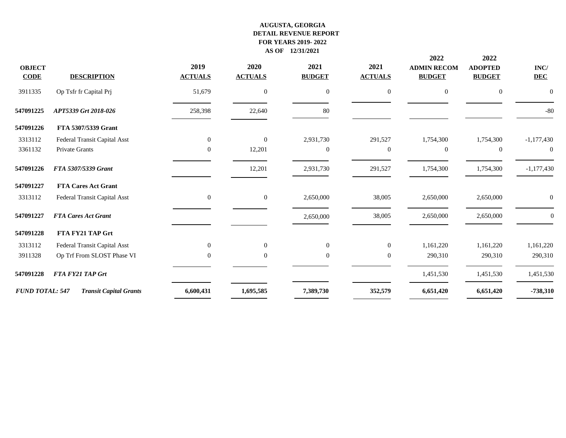| <b>OBJECT</b><br><b>CODE</b> | <b>DESCRIPTION</b>            | 2019<br><b>ACTUALS</b> | 2020<br><b>ACTUALS</b> | 2021<br><b>BUDGET</b> | 2021<br><b>ACTUALS</b> | 2022<br><b>ADMIN RECOM</b><br><b>BUDGET</b> | 2022<br><b>ADOPTED</b><br><b>BUDGET</b> | INC/<br><b>DEC</b> |
|------------------------------|-------------------------------|------------------------|------------------------|-----------------------|------------------------|---------------------------------------------|-----------------------------------------|--------------------|
| 3911335                      | Op Tsfr fr Capital Prj        | 51,679                 | $\overline{0}$         | $\mathbf{0}$          | $\overline{0}$         | $\overline{0}$                              | $\mathbf{0}$                            | $\overline{0}$     |
| 547091225                    | APT5339 Grt 2018-026          | 258,398                | 22,640                 | 80                    |                        |                                             |                                         | $-80$              |
| 547091226                    | FTA 5307/5339 Grant           |                        |                        |                       |                        |                                             |                                         |                    |
| 3313112                      | Federal Transit Capital Asst  | $\mathbf{0}$           | $\overline{0}$         | 2,931,730             | 291,527                | 1,754,300                                   | 1,754,300                               | $-1,177,430$       |
| 3361132                      | <b>Private Grants</b>         | $\theta$               | 12,201                 | $\mathbf{0}$          | $\mathbf{0}$           | $\theta$                                    | $\mathbf{0}$                            | $\overline{0}$     |
| 547091226                    | FTA 5307/5339 Grant           |                        | 12,201                 | 2,931,730             | 291,527                | 1,754,300                                   | 1,754,300                               | $-1,177,430$       |
| 547091227                    | <b>FTA Cares Act Grant</b>    |                        |                        |                       |                        |                                             |                                         |                    |
| 3313112                      | Federal Transit Capital Asst  | $\boldsymbol{0}$       | $\boldsymbol{0}$       | 2,650,000             | 38,005                 | 2,650,000                                   | 2,650,000                               | $\mathbf{0}$       |
| 547091227                    | <b>FTA Cares Act Grant</b>    |                        |                        | 2,650,000             | 38,005                 | 2,650,000                                   | 2,650,000                               | $\overline{0}$     |
| 547091228                    | FTA FY21 TAP Grt              |                        |                        |                       |                        |                                             |                                         |                    |
| 3313112                      | Federal Transit Capital Asst  | $\Omega$               | $\theta$               | $\overline{0}$        | $\Omega$               | 1,161,220                                   | 1,161,220                               | 1,161,220          |
| 3911328                      | Op Trf From SLOST Phase VI    | $\Omega$               | $\theta$               | $\theta$              | $\overline{0}$         | 290,310                                     | 290,310                                 | 290,310            |
| 547091228                    | FTA FY21 TAP Grt              |                        |                        |                       |                        | 1,451,530                                   | 1,451,530                               | 1,451,530          |
| <b>FUND TOTAL: 547</b>       | <b>Transit Capital Grants</b> | 6,600,431              | 1,695,585              | 7,389,730             | 352,579                | 6,651,420                                   | 6,651,420                               | $-738,310$         |
|                              |                               |                        |                        |                       |                        |                                             |                                         |                    |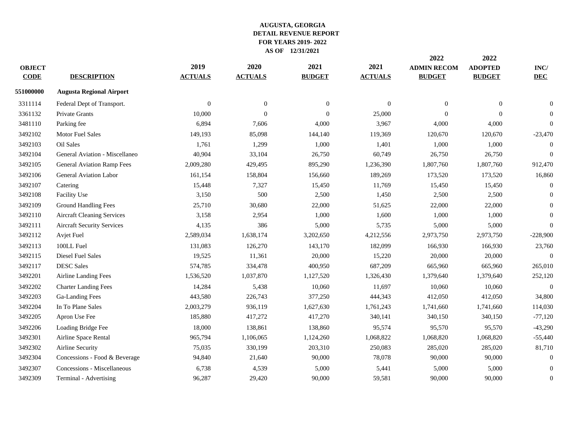| <b>OBJECT</b><br><b>CODE</b> | <b>DESCRIPTION</b>                | 2019<br><b>ACTUALS</b> | 2020<br><b>ACTUALS</b> | 2021<br><b>BUDGET</b> | 2021<br><b>ACTUALS</b> | 2022<br><b>ADMIN RECOM</b><br><b>BUDGET</b> | 2022<br><b>ADOPTED</b><br><b>BUDGET</b> | INC/<br><b>DEC</b> |
|------------------------------|-----------------------------------|------------------------|------------------------|-----------------------|------------------------|---------------------------------------------|-----------------------------------------|--------------------|
| 551000000                    | <b>Augusta Regional Airport</b>   |                        |                        |                       |                        |                                             |                                         |                    |
| 3311114                      | Federal Dept of Transport.        | $\theta$               | $\theta$               | $\overline{0}$        | $\Omega$               | $\Omega$                                    | $\mathbf{0}$                            | $\Omega$           |
| 3361132                      | <b>Private Grants</b>             | 10,000                 | $\Omega$               | $\Omega$              | 25,000                 | $\Omega$                                    | $\theta$                                | $\Omega$           |
| 3481110                      | Parking fee                       | 6,894                  | 7,606                  | 4,000                 | 3,967                  | 4,000                                       | 4,000                                   | $\overline{0}$     |
| 3492102                      | <b>Motor Fuel Sales</b>           | 149,193                | 85,098                 | 144,140               | 119,369                | 120,670                                     | 120,670                                 | $-23,470$          |
| 3492103                      | Oil Sales                         | 1,761                  | 1,299                  | 1,000                 | 1,401                  | 1,000                                       | 1,000                                   | $\theta$           |
| 3492104                      | General Aviation - Miscellaneo    | 40,904                 | 33,104                 | 26,750                | 60,749                 | 26,750                                      | 26,750                                  | $\mathbf{0}$       |
| 3492105                      | <b>General Aviation Ramp Fees</b> | 2,009,280              | 429,495                | 895,290               | 1,236,390              | 1,807,760                                   | 1,807,760                               | 912,470            |
| 3492106                      | General Aviation Labor            | 161,154                | 158,804                | 156,660               | 189,269                | 173,520                                     | 173,520                                 | 16,860             |
| 3492107                      | Catering                          | 15,448                 | 7,327                  | 15,450                | 11,769                 | 15,450                                      | 15,450                                  | $\mathbf{0}$       |
| 3492108                      | Facility Use                      | 3,150                  | 500                    | 2,500                 | 1,450                  | 2,500                                       | 2,500                                   | $\Omega$           |
| 3492109                      | <b>Ground Handling Fees</b>       | 25,710                 | 30,680                 | 22,000                | 51,625                 | 22,000                                      | 22,000                                  | $\overline{0}$     |
| 3492110                      | <b>Aircraft Cleaning Services</b> | 3,158                  | 2,954                  | 1,000                 | 1,600                  | 1,000                                       | 1,000                                   | $\mathbf{0}$       |
| 3492111                      | <b>Aircraft Security Services</b> | 4,135                  | 386                    | 5,000                 | 5,735                  | 5,000                                       | 5,000                                   | $\overline{0}$     |
| 3492112                      | Avjet Fuel                        | 2,589,034              | 1,638,174              | 3,202,650             | 4,212,556              | 2,973,750                                   | 2,973,750                               | $-228,900$         |
| 3492113                      | 100LL Fuel                        | 131,083                | 126,270                | 143,170               | 182,099                | 166,930                                     | 166,930                                 | 23,760             |
| 3492115                      | <b>Diesel Fuel Sales</b>          | 19,525                 | 11,361                 | 20,000                | 15,220                 | 20,000                                      | 20,000                                  | $\mathbf{0}$       |
| 3492117                      | <b>DESC Sales</b>                 | 574,785                | 334,478                | 400,950               | 687,209                | 665,960                                     | 665,960                                 | 265,010            |
| 3492201                      | Airline Landing Fees              | 1,536,520              | 1,037,870              | 1,127,520             | 1,326,430              | 1,379,640                                   | 1,379,640                               | 252,120            |
| 3492202                      | <b>Charter Landing Fees</b>       | 14,284                 | 5,438                  | 10,060                | 11,697                 | 10,060                                      | 10,060                                  | $\Omega$           |
| 3492203                      | Ga-Landing Fees                   | 443,580                | 226,743                | 377,250               | 444,343                | 412,050                                     | 412,050                                 | 34,800             |
| 3492204                      | In To Plane Sales                 | 2,003,279              | 936,119                | 1,627,630             | 1,761,243              | 1,741,660                                   | 1,741,660                               | 114,030            |
| 3492205                      | Apron Use Fee                     | 185,880                | 417,272                | 417,270               | 340,141                | 340,150                                     | 340,150                                 | $-77,120$          |
| 3492206                      | Loading Bridge Fee                | 18,000                 | 138,861                | 138,860               | 95,574                 | 95,570                                      | 95,570                                  | $-43,290$          |
| 3492301                      | Airline Space Rental              | 965,794                | 1,106,065              | 1,124,260             | 1,068,822              | 1,068,820                                   | 1,068,820                               | $-55,440$          |
| 3492302                      | Airline Security                  | 75,035                 | 330,199                | 203,310               | 250,083                | 285,020                                     | 285,020                                 | 81,710             |
| 3492304                      | Concessions - Food & Beverage     | 94,840                 | 21,640                 | 90,000                | 78,078                 | 90,000                                      | 90,000                                  | $\theta$           |
| 3492307                      | Concessions - Miscellaneous       | 6,738                  | 4,539                  | 5,000                 | 5,441                  | 5,000                                       | 5,000                                   | $\mathbf{0}$       |
| 3492309                      | Terminal - Advertising            | 96,287                 | 29,420                 | 90,000                | 59,581                 | 90,000                                      | 90,000                                  | $\mathbf{0}$       |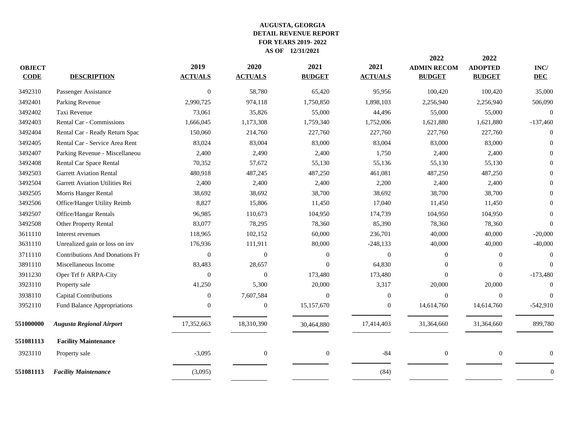| <b>OBJECT</b><br><b>CODE</b> | <b>DESCRIPTION</b>                    | 2019<br><b>ACTUALS</b> | 2020<br><b>ACTUALS</b> | 2021<br><b>BUDGET</b> | 2021<br><b>ACTUALS</b> | 2022<br><b>ADMIN RECOM</b><br><b>BUDGET</b> | 2022<br><b>ADOPTED</b><br><b>BUDGET</b> | $\mathbf{INC}/$<br><b>DEC</b> |
|------------------------------|---------------------------------------|------------------------|------------------------|-----------------------|------------------------|---------------------------------------------|-----------------------------------------|-------------------------------|
| 3492310                      | Passenger Assistance                  | $\mathbf{0}$           | 58,780                 | 65,420                | 95,956                 | 100,420                                     | 100,420                                 | 35,000                        |
| 3492401                      | Parking Revenue                       | 2,990,725              | 974,118                | 1,750,850             | 1,898,103              | 2,256,940                                   | 2,256,940                               | 506,090                       |
| 3492402                      | Taxi Revenue                          | 73,061                 | 35,826                 | 55,000                | 44,496                 | 55,000                                      | 55,000                                  | $\Omega$                      |
| 3492403                      | Rental Car - Commissions              | 1,666,045              | 1,173,308              | 1,759,340             | 1,752,006              | 1,621,880                                   | 1,621,880                               | $-137,460$                    |
| 3492404                      | Rental Car - Ready Return Spac        | 150,060                | 214,760                | 227,760               | 227,760                | 227,760                                     | 227,760                                 | $\Omega$                      |
| 3492405                      | Rental Car - Service Area Rent        | 83,024                 | 83,004                 | 83,000                | 83,004                 | 83,000                                      | 83,000                                  |                               |
| 3492407                      | Parking Revenue - Miscellaneou        | 2,400                  | 2,490                  | 2,400                 | 1,750                  | 2,400                                       | 2,400                                   |                               |
| 3492408                      | Rental Car Space Rental               | 70,352                 | 57,672                 | 55,130                | 55,136                 | 55,130                                      | 55,130                                  |                               |
| 3492503                      | <b>Garrett Aviation Rental</b>        | 480,918                | 487,245                | 487,250               | 461,081                | 487,250                                     | 487,250                                 |                               |
| 3492504                      | Garrett Aviation Utilities Rei        | 2,400                  | 2,400                  | 2,400                 | 2,200                  | 2,400                                       | 2,400                                   |                               |
| 3492505                      | Morris Hanger Rental                  | 38,692                 | 38,692                 | 38,700                | 38,692                 | 38,700                                      | 38,700                                  |                               |
| 3492506                      | Office/Hanger Utility Reimb           | 8,827                  | 15,806                 | 11,450                | 17,040                 | 11,450                                      | 11,450                                  |                               |
| 3492507                      | Office/Hangar Rentals                 | 96,985                 | 110,673                | 104,950               | 174,739                | 104,950                                     | 104,950                                 |                               |
| 3492508                      | <b>Other Property Rental</b>          | 83,077                 | 78,295                 | 78,360                | 85,390                 | 78,360                                      | 78,360                                  | $\Omega$                      |
| 3611110                      | Interest revenues                     | 118,965                | 102,152                | 60,000                | 236,701                | 40,000                                      | 40,000                                  | $-20,000$                     |
| 3631110                      | Unrealized gain or loss on inv        | 176,936                | 111,911                | 80,000                | $-248, 133$            | 40,000                                      | 40,000                                  | $-40,000$                     |
| 3711110                      | <b>Contributions And Donations Fr</b> | $\mathbf{0}$           | $\overline{0}$         | $\overline{0}$        | $\mathbf{0}$           | $\theta$                                    | $\mathbf{0}$                            | $\Omega$                      |
| 3891110                      | Miscellaneous Income                  | 83,483                 | 28,657                 | $\overline{0}$        | 64,830                 | $\Omega$                                    | $\mathbf{0}$                            | $\Omega$                      |
| 3911230                      | Oper Trf fr ARPA-City                 | $\Omega$               | $\Omega$               | 173,480               | 173,480                | $\Omega$                                    | $\theta$                                | $-173,480$                    |
| 3923110                      | Property sale                         | 41,250                 | 5,300                  | 20,000                | 3,317                  | 20,000                                      | 20,000                                  | $\Omega$                      |
| 3938110                      | Capital Contributions                 | $\overline{0}$         | 7,607,584              | $\overline{0}$        | $\Omega$               | $\theta$                                    | $\mathbf{0}$                            | $\Omega$                      |
| 3952110                      | Fund Balance Appropriations           | $\theta$               | $\boldsymbol{0}$       | 15,157,670            | $\boldsymbol{0}$       | 14,614,760                                  | 14,614,760                              | $-542,910$                    |
| 551000000                    | <b>Augusta Regional Airport</b>       | 17,352,663             | 18,310,390             | 30,464,880            | 17,414,403             | 31,364,660                                  | 31,364,660                              | 899,780                       |
| 551081113                    | <b>Facility Maintenance</b>           |                        |                        |                       |                        |                                             |                                         |                               |
| 3923110                      | Property sale                         | $-3,095$               | $\mathbf{0}$           | $\mathbf{0}$          | $-84$                  | $\mathbf{0}$                                | $\boldsymbol{0}$                        | $\Omega$                      |
| 551081113                    | <b>Facility Maintenance</b>           | (3,095)                |                        |                       | (84)                   |                                             |                                         | $\Omega$                      |
|                              |                                       |                        |                        |                       |                        |                                             |                                         |                               |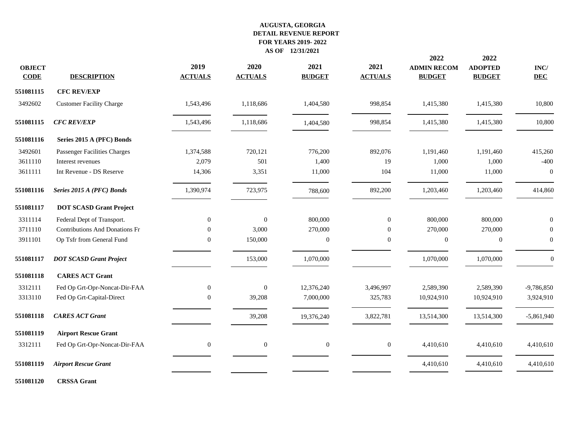| <b>OBJECT</b><br><b>CODE</b> | <b>DESCRIPTION</b>                    | 2019<br><b>ACTUALS</b> | 2020<br><b>ACTUALS</b> | 2021<br><b>BUDGET</b> | 2021<br><b>ACTUALS</b> | 2022<br><b>ADMIN RECOM</b><br><b>BUDGET</b> | 2022<br><b>ADOPTED</b><br><b>BUDGET</b> | $\mathbf{INC}/$<br><b>DEC</b> |
|------------------------------|---------------------------------------|------------------------|------------------------|-----------------------|------------------------|---------------------------------------------|-----------------------------------------|-------------------------------|
| 551081115                    | <b>CFC REV/EXP</b>                    |                        |                        |                       |                        |                                             |                                         |                               |
| 3492602                      | <b>Customer Facility Charge</b>       | 1,543,496              | 1,118,686              | 1,404,580             | 998,854                | 1,415,380                                   | 1,415,380                               | 10,800                        |
| 551081115                    | <b>CFC REV/EXP</b>                    | 1,543,496              | 1,118,686              | 1,404,580             | 998,854                | 1,415,380                                   | 1,415,380                               | 10,800                        |
| 551081116                    | Series 2015 A (PFC) Bonds             |                        |                        |                       |                        |                                             |                                         |                               |
| 3492601                      | Passenger Facilities Charges          | 1,374,588              | 720,121                | 776,200               | 892,076                | 1,191,460                                   | 1,191,460                               | 415,260                       |
| 3611110                      | Interest revenues                     | 2,079                  | 501                    | 1,400                 | 19                     | 1,000                                       | 1,000                                   | $-400$                        |
| 3611111                      | Int Revenue - DS Reserve              | 14,306                 | 3,351                  | 11,000                | 104                    | 11,000                                      | 11,000                                  | $\theta$                      |
| 551081116                    | Series 2015 A (PFC) Bonds             | 1,390,974              | 723,975                | 788,600               | 892,200                | 1,203,460                                   | 1,203,460                               | 414,860                       |
| 551081117                    | <b>DOT SCASD Grant Project</b>        |                        |                        |                       |                        |                                             |                                         |                               |
| 3311114                      | Federal Dept of Transport.            | $\boldsymbol{0}$       | $\Omega$               | 800,000               | $\overline{0}$         | 800,000                                     | 800,000                                 | $\theta$                      |
| 3711110                      | <b>Contributions And Donations Fr</b> | $\mathbf{0}$           | 3,000                  | 270,000               | $\overline{0}$         | 270,000                                     | 270,000                                 |                               |
| 3911101                      | Op Tsfr from General Fund             | 0                      | 150,000                | $\boldsymbol{0}$      | $\boldsymbol{0}$       | $\boldsymbol{0}$                            | $\boldsymbol{0}$                        | $\boldsymbol{0}$              |
| 551081117                    | <b>DOT SCASD Grant Project</b>        |                        | 153,000                | 1,070,000             |                        | 1,070,000                                   | 1,070,000                               | $\mathbf{0}$                  |
| 551081118                    | <b>CARES ACT Grant</b>                |                        |                        |                       |                        |                                             |                                         |                               |
| 3312111                      | Fed Op Grt-Opr-Noncat-Dir-FAA         | $\boldsymbol{0}$       | $\boldsymbol{0}$       | 12,376,240            | 3,496,997              | 2,589,390                                   | 2,589,390                               | $-9,786,850$                  |
| 3313110                      | Fed Op Grt-Capital-Direct             | $\mathbf{0}$           | 39,208                 | 7,000,000             | 325,783                | 10,924,910                                  | 10,924,910                              | 3,924,910                     |
| 551081118                    | <b>CARES ACT Grant</b>                |                        | 39,208                 | 19,376,240            | 3,822,781              | 13,514,300                                  | 13,514,300                              | $-5,861,940$                  |
| 551081119                    | <b>Airport Rescue Grant</b>           |                        |                        |                       |                        |                                             |                                         |                               |
| 3312111                      | Fed Op Grt-Opr-Noncat-Dir-FAA         | $\boldsymbol{0}$       | $\mathbf{0}$           | $\boldsymbol{0}$      | $\boldsymbol{0}$       | 4,410,610                                   | 4,410,610                               | 4,410,610                     |
| 551081119                    | <b>Airport Rescue Grant</b>           |                        |                        |                       |                        | 4,410,610                                   | 4,410,610                               | 4,410,610                     |
| 551081120                    | <b>CRSSA</b> Grant                    |                        |                        |                       |                        |                                             |                                         |                               |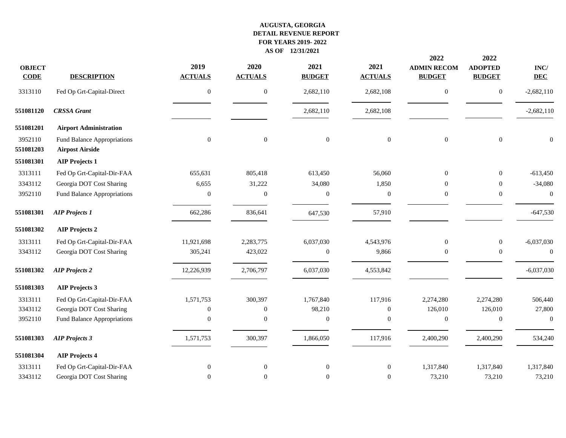|                              |                                                       |                        |                        |                       |                        | 2022                                | 2022                            |                               |
|------------------------------|-------------------------------------------------------|------------------------|------------------------|-----------------------|------------------------|-------------------------------------|---------------------------------|-------------------------------|
| <b>OBJECT</b><br><b>CODE</b> | <b>DESCRIPTION</b>                                    | 2019<br><b>ACTUALS</b> | 2020<br><b>ACTUALS</b> | 2021<br><b>BUDGET</b> | 2021<br><b>ACTUALS</b> | <b>ADMIN RECOM</b><br><b>BUDGET</b> | <b>ADOPTED</b><br><b>BUDGET</b> | $\mathbf{INC}/$<br><b>DEC</b> |
| 3313110                      | Fed Op Grt-Capital-Direct                             | $\mathbf{0}$           | $\overline{0}$         | 2,682,110             | 2,682,108              | $\mathbf{0}$                        | $\boldsymbol{0}$                | $-2,682,110$                  |
| 551081120                    | <b>CRSSA</b> Grant                                    |                        |                        | 2,682,110             | 2,682,108              |                                     |                                 | $-2,682,110$                  |
| 551081201                    | <b>Airport Administration</b>                         |                        |                        |                       |                        |                                     |                                 |                               |
| 3952110<br>551081203         | Fund Balance Appropriations<br><b>Airpost Airside</b> | $\overline{0}$         | $\mathbf{0}$           | $\boldsymbol{0}$      | $\mathbf{0}$           | $\overline{0}$                      | $\overline{0}$                  | $\boldsymbol{0}$              |
| 551081301                    | <b>AIP Projects 1</b>                                 |                        |                        |                       |                        |                                     |                                 |                               |
| 3313111                      | Fed Op Grt-Capital-Dir-FAA                            | 655,631                | 805,418                | 613,450               | 56,060                 | $\Omega$                            | $\boldsymbol{0}$                | $-613,450$                    |
| 3343112                      | Georgia DOT Cost Sharing                              | 6,655                  | 31,222                 | 34,080                | 1,850                  | $\Omega$                            | $\mathbf{0}$                    | $-34,080$                     |
| 3952110                      | Fund Balance Appropriations                           | $\mathbf{0}$           | $\mathbf{0}$           | $\boldsymbol{0}$      | $\boldsymbol{0}$       | $\boldsymbol{0}$                    | $\boldsymbol{0}$                | $\mathbf{0}$                  |
| 551081301                    | <b>AIP Projects 1</b>                                 | 662,286                | 836,641                | 647,530               | 57,910                 |                                     |                                 | $-647,530$                    |
| 551081302                    | <b>AIP Projects 2</b>                                 |                        |                        |                       |                        |                                     |                                 |                               |
| 3313111                      | Fed Op Grt-Capital-Dir-FAA                            | 11,921,698             | 2,283,775              | 6,037,030             | 4,543,976              | $\mathbf{0}$                        | $\boldsymbol{0}$                | $-6,037,030$                  |
| 3343112                      | Georgia DOT Cost Sharing                              | 305,241                | 423,022                | $\boldsymbol{0}$      | 9,866                  | $\overline{0}$                      | $\overline{0}$                  | $\Omega$                      |
| 551081302                    | <b>AIP Projects 2</b>                                 | 12,226,939             | 2,706,797              | 6,037,030             | 4,553,842              |                                     |                                 | $-6,037,030$                  |
| 551081303                    | <b>AIP Projects 3</b>                                 |                        |                        |                       |                        |                                     |                                 |                               |
| 3313111                      | Fed Op Grt-Capital-Dir-FAA                            | 1,571,753              | 300,397                | 1,767,840             | 117,916                | 2,274,280                           | 2,274,280                       | 506,440                       |
| 3343112                      | Georgia DOT Cost Sharing                              | $\overline{0}$         | $\overline{0}$         | 98,210                | $\overline{0}$         | 126,010                             | 126,010                         | 27,800                        |
| 3952110                      | Fund Balance Appropriations                           | $\mathbf{0}$           | $\Omega$               | $\boldsymbol{0}$      | $\boldsymbol{0}$       | $\mathbf{0}$                        | $\boldsymbol{0}$                | $\boldsymbol{0}$              |
| 551081303                    | <b>AIP Projects 3</b>                                 | 1,571,753              | 300,397                | 1,866,050             | 117,916                | 2,400,290                           | 2,400,290                       | 534,240                       |
| 551081304                    | <b>AIP Projects 4</b>                                 |                        |                        |                       |                        |                                     |                                 |                               |
| 3313111                      | Fed Op Grt-Capital-Dir-FAA                            | $\boldsymbol{0}$       | $\boldsymbol{0}$       | $\boldsymbol{0}$      | $\boldsymbol{0}$       | 1,317,840                           | 1,317,840                       | 1,317,840                     |
| 3343112                      | Georgia DOT Cost Sharing                              | $\overline{0}$         | $\overline{0}$         | $\boldsymbol{0}$      | $\overline{0}$         | 73,210                              | 73,210                          | 73,210                        |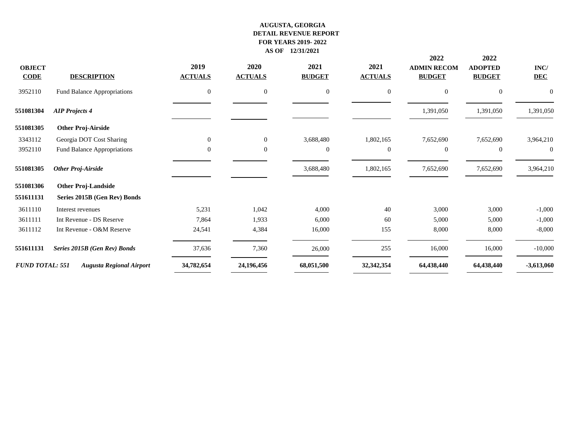| <b>OBJECT</b><br><b>CODE</b> | <b>DESCRIPTION</b>              | 2019<br><b>ACTUALS</b> | 2020<br><b>ACTUALS</b> | 2021<br><b>BUDGET</b> | 2021<br><b>ACTUALS</b> | 2022<br><b>ADMIN RECOM</b><br><b>BUDGET</b> | 2022<br><b>ADOPTED</b><br><b>BUDGET</b> | INC/<br><b>DEC</b> |
|------------------------------|---------------------------------|------------------------|------------------------|-----------------------|------------------------|---------------------------------------------|-----------------------------------------|--------------------|
| 3952110                      | Fund Balance Appropriations     | $\mathbf{0}$           | $\mathbf{0}$           | $\boldsymbol{0}$      | $\mathbf{0}$           | $\overline{0}$                              | $\boldsymbol{0}$                        |                    |
| 551081304                    | <b>AIP Projects 4</b>           |                        |                        |                       |                        | 1,391,050                                   | 1,391,050                               | 1,391,050          |
| 551081305                    | <b>Other Proj-Airside</b>       |                        |                        |                       |                        |                                             |                                         |                    |
| 3343112                      | Georgia DOT Cost Sharing        | $\mathbf{0}$           | $\overline{0}$         | 3,688,480             | 1,802,165              | 7,652,690                                   | 7,652,690                               | 3,964,210          |
| 3952110                      | Fund Balance Appropriations     | $\mathbf{0}$           | $\theta$               | $\mathbf{0}$          | $\mathbf{0}$           | $\overline{0}$                              | $\mathbf{0}$                            | $\theta$           |
| 551081305                    | <b>Other Proj-Airside</b>       |                        |                        | 3,688,480             | 1,802,165              | 7,652,690                                   | 7,652,690                               | 3,964,210          |
| 551081306                    | <b>Other Proj-Landside</b>      |                        |                        |                       |                        |                                             |                                         |                    |
| 551611131                    | Series 2015B (Gen Rev) Bonds    |                        |                        |                       |                        |                                             |                                         |                    |
| 3611110                      | Interest revenues               | 5,231                  | 1,042                  | 4,000                 | 40                     | 3,000                                       | 3,000                                   | $-1,000$           |
| 3611111                      | Int Revenue - DS Reserve        | 7,864                  | 1,933                  | 6,000                 | 60                     | 5,000                                       | 5,000                                   | $-1,000$           |
| 3611112                      | Int Revenue - O&M Reserve       | 24,541                 | 4,384                  | 16,000                | 155                    | 8,000                                       | 8,000                                   | $-8,000$           |
| 551611131                    | Series 2015B (Gen Rev) Bonds    | 37,636                 | 7,360                  | 26,000                | 255                    | 16,000                                      | 16,000                                  | $-10,000$          |
| <b>FUND TOTAL: 551</b>       | <b>Augusta Regional Airport</b> | 34,782,654             | 24,196,456             | 68,051,500            | 32,342,354             | 64,438,440                                  | 64,438,440                              | $-3,613,060$       |
|                              |                                 |                        |                        |                       |                        |                                             |                                         |                    |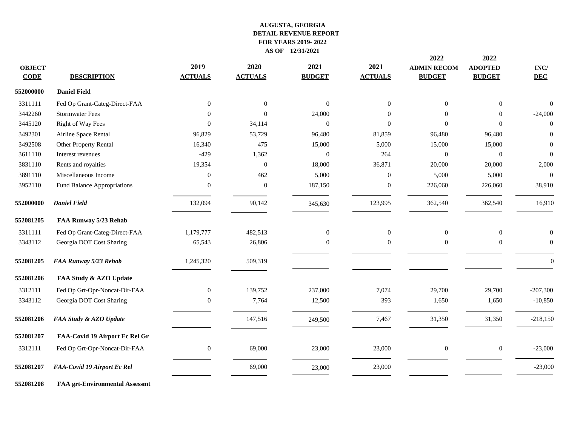| <b>OBJECT</b><br><b>CODE</b> | <b>DESCRIPTION</b>                    | 2019<br><b>ACTUALS</b> | 2020<br><b>ACTUALS</b> | 2021<br><b>BUDGET</b> | 2021<br><b>ACTUALS</b> | 2022<br><b>ADMIN RECOM</b><br><b>BUDGET</b> | 2022<br><b>ADOPTED</b><br><b>BUDGET</b> | $\mathbf{INC}/$<br><b>DEC</b> |
|------------------------------|---------------------------------------|------------------------|------------------------|-----------------------|------------------------|---------------------------------------------|-----------------------------------------|-------------------------------|
| 552000000                    | <b>Daniel Field</b>                   |                        |                        |                       |                        |                                             |                                         |                               |
| 3311111                      | Fed Op Grant-Categ-Direct-FAA         | $\overline{0}$         | $\overline{0}$         | $\mathbf{0}$          | $\Omega$               | $\Omega$                                    | $\mathbf{0}$                            | $\Omega$                      |
| 3442260                      | <b>Stormwater Fees</b>                | $\Omega$               | $\Omega$               | 24,000                | $\Omega$               | $\Omega$                                    | $\overline{0}$                          | $-24,000$                     |
| 3445120                      | <b>Right of Way Fees</b>              | $\overline{0}$         | 34,114                 | $\mathbf{0}$          | $\Omega$               | $\Omega$                                    | $\Omega$                                | $\overline{0}$                |
| 3492301                      | Airline Space Rental                  | 96,829                 | 53,729                 | 96,480                | 81,859                 | 96,480                                      | 96,480                                  | $\Omega$                      |
| 3492508                      | Other Property Rental                 | 16,340                 | 475                    | 15,000                | 5,000                  | 15,000                                      | 15,000                                  | $\overline{0}$                |
| 3611110                      | Interest revenues                     | $-429$                 | 1,362                  | $\mathbf{0}$          | 264                    | $\mathbf{0}$                                | $\boldsymbol{0}$                        | $\overline{0}$                |
| 3831110                      | Rents and royalties                   | 19,354                 | $\mathbf{0}$           | 18,000                | 36,871                 | 20,000                                      | 20,000                                  | 2,000                         |
| 3891110                      | Miscellaneous Income                  | $\overline{0}$         | 462                    | 5,000                 | $\mathbf{0}$           | 5,000                                       | 5,000                                   | $\overline{0}$                |
| 3952110                      | Fund Balance Appropriations           | $\overline{0}$         | $\mathbf{0}$           | 187,150               | $\mathbf{0}$           | 226,060                                     | 226,060                                 | 38,910                        |
| 552000000                    | <b>Daniel Field</b>                   | 132,094                | 90,142                 | 345,630               | 123,995                | 362,540                                     | 362,540                                 | 16,910                        |
| 552081205                    | FAA Runway 5/23 Rehab                 |                        |                        |                       |                        |                                             |                                         |                               |
| 3311111                      | Fed Op Grant-Categ-Direct-FAA         | 1,179,777              | 482,513                | $\mathbf{0}$          | $\overline{0}$         | $\mathbf{0}$                                | $\boldsymbol{0}$                        | $\mathbf{0}$                  |
| 3343112                      | Georgia DOT Cost Sharing              | 65,543                 | 26,806                 | $\mathbf{0}$          | $\overline{0}$         | $\mathbf{0}$                                | $\mathbf{0}$                            | $\overline{0}$                |
| 552081205                    | FAA Runway 5/23 Rehab                 | 1,245,320              | 509,319                |                       |                        |                                             |                                         | $\overline{0}$                |
| 552081206                    | FAA Study & AZO Update                |                        |                        |                       |                        |                                             |                                         |                               |
| 3312111                      | Fed Op Grt-Opr-Noncat-Dir-FAA         | $\mathbf{0}$           | 139,752                | 237,000               | 7,074                  | 29,700                                      | 29,700                                  | $-207,300$                    |
| 3343112                      | Georgia DOT Cost Sharing              | $\overline{0}$         | 7,764                  | 12,500                | 393                    | 1,650                                       | 1,650                                   | $-10,850$                     |
| 552081206                    | FAA Study & AZO Update                |                        | 147,516                | 249,500               | 7,467                  | 31,350                                      | 31,350                                  | $-218,150$                    |
| 552081207                    | FAA-Covid 19 Airport Ec Rel Gr        |                        |                        |                       |                        |                                             |                                         |                               |
| 3312111                      | Fed Op Grt-Opr-Noncat-Dir-FAA         | 0                      | 69,000                 | 23,000                | 23,000                 | $\mathbf{0}$                                | $\boldsymbol{0}$                        | $-23,000$                     |
| 552081207                    | FAA-Covid 19 Airport Ec Rel           |                        | 69,000                 | 23,000                | 23,000                 |                                             |                                         | $-23,000$                     |
| 552081208                    | <b>FAA grt-Environmental Assessmt</b> |                        |                        |                       |                        |                                             |                                         |                               |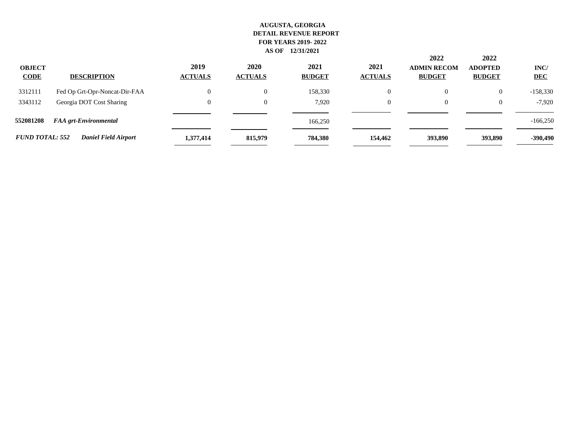| <b>OBJECT</b><br><b>CODE</b> | <b>DESCRIPTION</b>            | 2019<br><b>ACTUALS</b> | 2020<br><b>ACTUALS</b> | 2021<br><b>BUDGET</b> | 2021<br><b>ACTUALS</b> | 2022<br><b>ADMIN RECOM</b><br><b>BUDGET</b> | 2022<br><b>ADOPTED</b><br><b>BUDGET</b> | INC/<br><b>DEC</b> |
|------------------------------|-------------------------------|------------------------|------------------------|-----------------------|------------------------|---------------------------------------------|-----------------------------------------|--------------------|
| 3312111                      | Fed Op Grt-Opr-Noncat-Dir-FAA | $\overline{0}$         | $\boldsymbol{0}$       | 158,330               | $\mathbf{0}$           |                                             |                                         | -158,330           |
| 3343112                      | Georgia DOT Cost Sharing      | $\theta$               | $\boldsymbol{0}$       | 7.920                 | $\theta$               |                                             |                                         | $-7,920$           |
| 552081208                    | <b>FAA</b> grt-Environmental  |                        |                        | 166,250               |                        |                                             |                                         | $-166,250$         |
| <b>FUND TOTAL: 552</b>       | <b>Daniel Field Airport</b>   | 1,377,414              | 815,979                | 784,380               | 154,462                | 393,890                                     | 393,890                                 | -390,490           |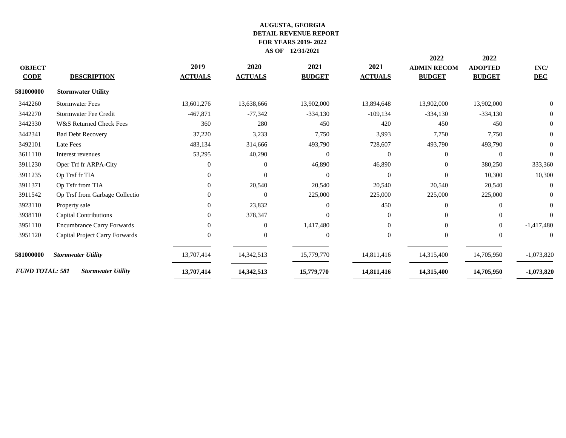| <b>OBJECT</b>          |                                   | 2019           | 2020           | 2021           | 2021           | 2022<br><b>ADMIN RECOM</b> | 2022<br><b>ADOPTED</b> | INC/           |
|------------------------|-----------------------------------|----------------|----------------|----------------|----------------|----------------------------|------------------------|----------------|
| <b>CODE</b>            | <b>DESCRIPTION</b>                | <b>ACTUALS</b> | <b>ACTUALS</b> | <b>BUDGET</b>  | <b>ACTUALS</b> | <b>BUDGET</b>              | <b>BUDGET</b>          | <b>DEC</b>     |
| 581000000              | <b>Stormwater Utility</b>         |                |                |                |                |                            |                        |                |
| 3442260                | <b>Stormwater Fees</b>            | 13,601,276     | 13,638,666     | 13,902,000     | 13,894,648     | 13,902,000                 | 13,902,000             | $\Omega$       |
| 3442270                | <b>Stormwater Fee Credit</b>      | $-467,871$     | $-77,342$      | $-334,130$     | $-109, 134$    | $-334,130$                 | $-334,130$             | $\overline{0}$ |
| 3442330                | W&S Returned Check Fees           | 360            | 280            | 450            | 420            | 450                        | 450                    | $\overline{0}$ |
| 3442341                | <b>Bad Debt Recovery</b>          | 37,220         | 3,233          | 7,750          | 3,993          | 7,750                      | 7,750                  | $\overline{0}$ |
| 3492101                | Late Fees                         | 483,134        | 314,666        | 493,790        | 728,607        | 493,790                    | 493,790                | $\theta$       |
| 3611110                | Interest revenues                 | 53,295         | 40,290         | $\Omega$       | $\Omega$       | $\Omega$                   | $\theta$               | $\Omega$       |
| 3911230                | Oper Trf fr ARPA-City             | $\Omega$       | $\Omega$       | 46,890         | 46,890         | $\Omega$                   | 380,250                | 333,360        |
| 3911235                | Op Trsf fr TIA                    | $\Omega$       | $\Omega$       | $\mathbf{0}$   | $\Omega$       | $\Omega$                   | 10,300                 | 10,300         |
| 3911371                | Op Tsfr from TIA                  | $\Omega$       | 20,540         | 20,540         | 20,540         | 20,540                     | 20,540                 | $\Omega$       |
| 3911542                | Op Trsf from Garbage Collectio    |                | $\Omega$       | 225,000        | 225,000        | 225,000                    | 225,000                | $\Omega$       |
| 3923110                | Property sale                     | $\Omega$       | 23,832         | $\Omega$       | 450            | $\Omega$                   | $\Omega$               | $\Omega$       |
| 3938110                | <b>Capital Contributions</b>      | $\Omega$       | 378,347        | $\Omega$       | $\Omega$       | $\Omega$                   | $\Omega$               | $\Omega$       |
| 3951110                | <b>Encumbrance Carry Forwards</b> | $\Omega$       | $\overline{0}$ | 1,417,480      | $\Omega$       | $\Omega$                   | $\overline{0}$         | $-1,417,480$   |
| 3951120                | Capital Project Carry Forwards    | $\Omega$       | $\Omega$       | $\overline{0}$ | $\Omega$       | $\Omega$                   | $\overline{0}$         | $\theta$       |
| 581000000              | <b>Stormwater Utility</b>         | 13,707,414     | 14,342,513     | 15,779,770     | 14,811,416     | 14,315,400                 | 14,705,950             | $-1,073,820$   |
| <b>FUND TOTAL: 581</b> | <b>Stormwater Utility</b>         | 13,707,414     | 14,342,513     | 15,779,770     | 14,811,416     | 14,315,400                 | 14,705,950             | $-1,073,820$   |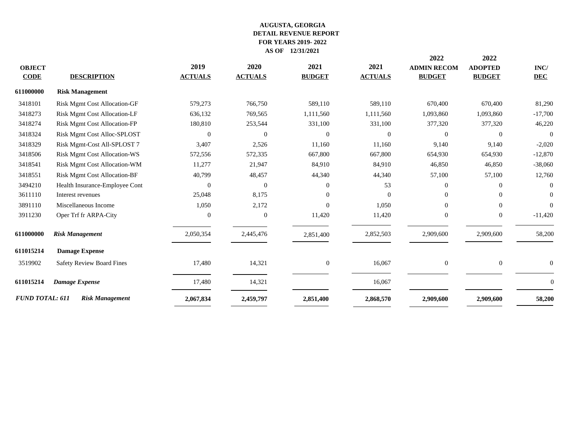|                        |                                     |                |                |                  |                | 2022               | 2022           |                |
|------------------------|-------------------------------------|----------------|----------------|------------------|----------------|--------------------|----------------|----------------|
| <b>OBJECT</b>          |                                     | 2019           | 2020           | 2021             | 2021           | <b>ADMIN RECOM</b> | <b>ADOPTED</b> | INC/           |
| <b>CODE</b>            | <b>DESCRIPTION</b>                  | <b>ACTUALS</b> | <b>ACTUALS</b> | <b>BUDGET</b>    | <b>ACTUALS</b> | <b>BUDGET</b>      | <b>BUDGET</b>  | <b>DEC</b>     |
| 611000000              | <b>Risk Management</b>              |                |                |                  |                |                    |                |                |
| 3418101                | <b>Risk Mgmt Cost Allocation-GF</b> | 579,273        | 766,750        | 589,110          | 589,110        | 670,400            | 670,400        | 81,290         |
| 3418273                | <b>Risk Mgmt Cost Allocation-LF</b> | 636,132        | 769,565        | 1,111,560        | 1,111,560      | 1,093,860          | 1,093,860      | $-17,700$      |
| 3418274                | <b>Risk Mgmt Cost Allocation-FP</b> | 180,810        | 253,544        | 331,100          | 331,100        | 377,320            | 377,320        | 46,220         |
| 3418324                | Risk Mgmt Cost Alloc-SPLOST         | $\mathbf{0}$   | $\mathbf{0}$   | $\theta$         | $\overline{0}$ | $\overline{0}$     | $\mathbf{0}$   | $\overline{0}$ |
| 3418329                | Risk Mgmt-Cost All-SPLOST 7         | 3,407          | 2,526          | 11,160           | 11,160         | 9,140              | 9,140          | $-2,020$       |
| 3418506                | <b>Risk Mgmt Cost Allocation-WS</b> | 572,556        | 572,335        | 667,800          | 667,800        | 654,930            | 654,930        | $-12,870$      |
| 3418541                | Risk Mgmt Cost Allocation-WM        | 11,277         | 21,947         | 84,910           | 84,910         | 46,850             | 46,850         | $-38,060$      |
| 3418551                | Risk Mgmt Cost Allocation-BF        | 40,799         | 48,457         | 44,340           | 44,340         | 57,100             | 57,100         | 12,760         |
| 3494210                | Health Insurance-Employee Cont      | $\Omega$       | $\Omega$       | $\Omega$         | 53             | 0                  | $\overline{0}$ |                |
| 3611110                | Interest revenues                   | 25,048         | 8,175          | $\Omega$         | $\Omega$       | $\Omega$           | $\Omega$       | $\Omega$       |
| 3891110                | Miscellaneous Income                | 1,050          | 2,172          | $\Omega$         | 1,050          | $\Omega$           | $\Omega$       | $\Omega$       |
| 3911230                | Oper Trf fr ARPA-City               | $\overline{0}$ | $\mathbf{0}$   | 11,420           | 11,420         | $\overline{0}$     | $\mathbf{0}$   | $-11,420$      |
| 611000000              | <b>Risk Management</b>              | 2,050,354      | 2,445,476      | 2,851,400        | 2,852,503      | 2,909,600          | 2,909,600      | 58,200         |
| 611015214              | <b>Damage Expense</b>               |                |                |                  |                |                    |                |                |
| 3519902                | <b>Safety Review Board Fines</b>    | 17,480         | 14,321         | $\boldsymbol{0}$ | 16,067         | $\overline{0}$     | $\mathbf{0}$   | $\mathbf{0}$   |
| 611015214              | <b>Damage Expense</b>               | 17,480         | 14,321         |                  | 16,067         |                    |                | $\theta$       |
| <b>FUND TOTAL: 611</b> | <b>Risk Management</b>              | 2,067,834      | 2,459,797      | 2,851,400        | 2,868,570      | 2,909,600          | 2,909,600      | 58,200         |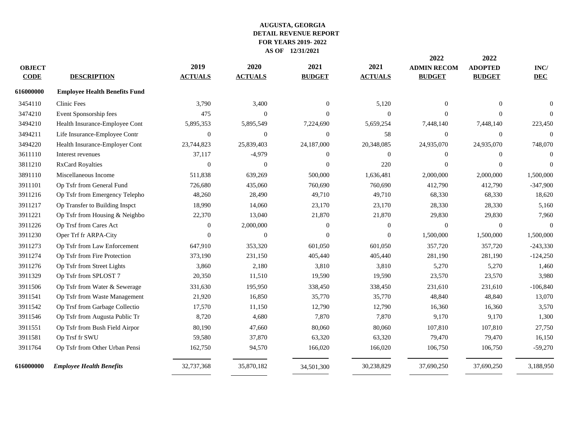|               |                                      |                  |                  |                |                | 2022               | 2022           |              |
|---------------|--------------------------------------|------------------|------------------|----------------|----------------|--------------------|----------------|--------------|
| <b>OBJECT</b> |                                      | 2019             | 2020             | 2021           | 2021           | <b>ADMIN RECOM</b> | <b>ADOPTED</b> | INC/         |
| <b>CODE</b>   | <b>DESCRIPTION</b>                   | <b>ACTUALS</b>   | <b>ACTUALS</b>   | <b>BUDGET</b>  | <b>ACTUALS</b> | <b>BUDGET</b>      | <b>BUDGET</b>  | <b>DEC</b>   |
| 616000000     | <b>Employee Health Benefits Fund</b> |                  |                  |                |                |                    |                |              |
| 3454110       | <b>Clinic Fees</b>                   | 3,790            | 3,400            | $\overline{0}$ | 5,120          | $\Omega$           | $\theta$       | $\mathbf{0}$ |
| 3474210       | Event Sponsorship fees               | 475              | $\Omega$         | $\Omega$       | $\mathbf{0}$   | $\Omega$           | $\theta$       | $\Omega$     |
| 3494210       | Health Insurance-Employee Cont       | 5,895,353        | 5,895,549        | 7,224,690      | 5,659,254      | 7,448,140          | 7,448,140      | 223,450      |
| 3494211       | Life Insurance-Employee Contr        | $\boldsymbol{0}$ | $\boldsymbol{0}$ | $\mathbf{0}$   | 58             | $\theta$           | $\mathbf{0}$   | $\mathbf{0}$ |
| 3494220       | Health Insurance-Employer Cont       | 23,744,823       | 25,839,403       | 24,187,000     | 20,348,085     | 24,935,070         | 24,935,070     | 748,070      |
| 3611110       | Interest revenues                    | 37,117           | $-4,979$         | $\Omega$       | $\Omega$       | $\Omega$           | $\theta$       | $\Omega$     |
| 3811210       | <b>RxCard Royalties</b>              | $\theta$         | $\Omega$         | $\mathbf{0}$   | 220            | $\Omega$           | $\mathbf{0}$   | $\Omega$     |
| 3891110       | Miscellaneous Income                 | 511,838          | 639,269          | 500,000        | 1,636,481      | 2,000,000          | 2,000,000      | 1,500,000    |
| 3911101       | Op Tsfr from General Fund            | 726,680          | 435,060          | 760,690        | 760,690        | 412,790            | 412,790        | $-347,900$   |
| 3911216       | Op Tsfr from Emergency Telepho       | 48,260           | 28,490           | 49,710         | 49,710         | 68,330             | 68,330         | 18,620       |
| 3911217       | Op Transfer to Building Inspct       | 18,990           | 14,060           | 23,170         | 23,170         | 28,330             | 28,330         | 5,160        |
| 3911221       | Op Tsfr from Housing & Neighbo       | 22,370           | 13,040           | 21,870         | 21,870         | 29,830             | 29,830         | 7,960        |
| 3911226       | Op Trsf from Cares Act               | $\overline{0}$   | 2,000,000        | $\theta$       | $\Omega$       | $\theta$           | $\mathbf{0}$   | $\Omega$     |
| 3911230       | Oper Trf fr ARPA-City                | $\overline{0}$   | $\boldsymbol{0}$ | $\overline{0}$ | $\mathbf{0}$   | 1,500,000          | 1,500,000      | 1,500,000    |
| 3911273       | Op Tsfr from Law Enforcement         | 647,910          | 353,320          | 601,050        | 601,050        | 357,720            | 357,720        | $-243,330$   |
| 3911274       | Op Tsfr from Fire Protection         | 373,190          | 231,150          | 405,440        | 405,440        | 281,190            | 281,190        | $-124,250$   |
| 3911276       | Op Tsfr from Street Lights           | 3,860            | 2,180            | 3,810          | 3,810          | 5,270              | 5,270          | 1,460        |
| 3911329       | Op Tsfr from SPLOST 7                | 20,350           | 11,510           | 19,590         | 19,590         | 23,570             | 23,570         | 3,980        |
| 3911506       | Op Tsfr from Water & Sewerage        | 331,630          | 195,950          | 338,450        | 338,450        | 231,610            | 231,610        | $-106,840$   |
| 3911541       | Op Tsfr from Waste Management        | 21,920           | 16,850           | 35,770         | 35,770         | 48,840             | 48,840         | 13,070       |
| 3911542       | Op Trsf from Garbage Collectio       | 17,570           | 11,150           | 12,790         | 12,790         | 16,360             | 16,360         | 3,570        |
| 3911546       | Op Tsfr from Augusta Public Tr       | 8,720            | 4,680            | 7,870          | 7,870          | 9,170              | 9,170          | 1,300        |
| 3911551       | Op Tsfr from Bush Field Airpor       | 80,190           | 47,660           | 80,060         | 80,060         | 107,810            | 107,810        | 27,750       |
| 3911581       | Op Trsf fr SWU                       | 59,580           | 37,870           | 63,320         | 63,320         | 79,470             | 79,470         | 16,150       |
| 3911764       | Op Tsfr from Other Urban Pensi       | 162,750          | 94,570           | 166,020        | 166,020        | 106,750            | 106,750        | $-59,270$    |
| 616000000     | <b>Employee Health Benefits</b>      | 32,737,368       | 35,870,182       | 34,501,300     | 30,238,829     | 37,690,250         | 37,690,250     | 3,188,950    |
|               |                                      |                  |                  |                |                |                    |                |              |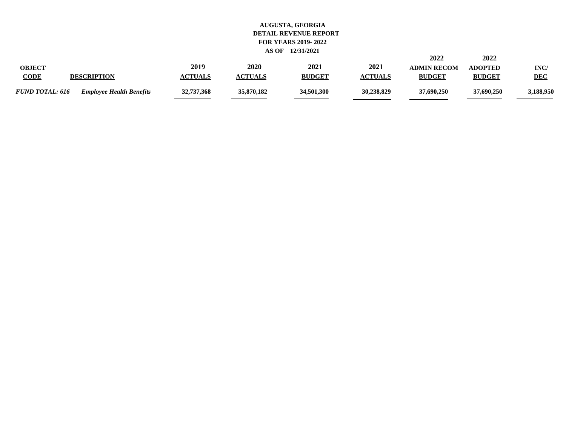|                        |                                 |                |                |               |                | 2022               | 2022           |            |
|------------------------|---------------------------------|----------------|----------------|---------------|----------------|--------------------|----------------|------------|
| <b>OBJECT</b>          |                                 | 2019           | 2020           | 2021          | 2021           | <b>ADMIN RECOM</b> | <b>ADOPTED</b> | INC/       |
| <b>CODE</b>            | <b>DESCRIPTION</b>              | <b>ACTUALS</b> | <b>ACTUALS</b> | <b>BUDGET</b> | <b>ACTUALS</b> | <b>BUDGET</b>      | <b>BUDGET</b>  | <b>DEC</b> |
| <i>FUND TOTAL: 616</i> | <b>Employee Health Benefits</b> | 32,737,368     | 35,870,182     | 34,501,300    | 30,238,829     | 37,690,250         | 37,690,250     | 3,188,950  |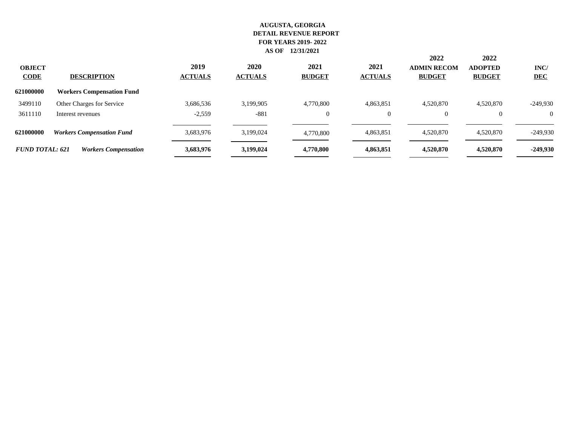| <b>OBJECT</b><br><b>CODE</b> | <b>DESCRIPTION</b>               | 2019<br><b>ACTUALS</b> | 2020<br><b>ACTUALS</b> | 2021<br><b>BUDGET</b> | 2021<br><b>ACTUALS</b> | 2022<br><b>ADMIN RECOM</b><br><b>BUDGET</b> | 2022<br><b>ADOPTED</b><br><b>BUDGET</b> | INC/<br><b>DEC</b> |
|------------------------------|----------------------------------|------------------------|------------------------|-----------------------|------------------------|---------------------------------------------|-----------------------------------------|--------------------|
| 621000000                    | <b>Workers Compensation Fund</b> |                        |                        |                       |                        |                                             |                                         |                    |
| 3499110                      | Other Charges for Service        | 3,686,536              | 3,199,905              | 4,770,800             | 4,863,851              | 4,520,870                                   | 4,520,870                               | $-249,930$         |
| 3611110                      | Interest revenues                | $-2,559$               | $-881$                 | $\boldsymbol{0}$      | $\Omega$               | $\Omega$                                    |                                         | $\Omega$           |
| 621000000                    | <b>Workers Compensation Fund</b> | 3,683,976              | 3,199,024              | 4,770,800             | 4,863,851              | 4,520,870                                   | 4,520,870                               | $-249,930$         |
| <b>FUND TOTAL: 621</b>       | <b>Workers Compensation</b>      | 3,683,976              | 3,199,024              | 4,770,800             | 4,863,851              | 4,520,870                                   | 4,520,870                               | $-249,930$         |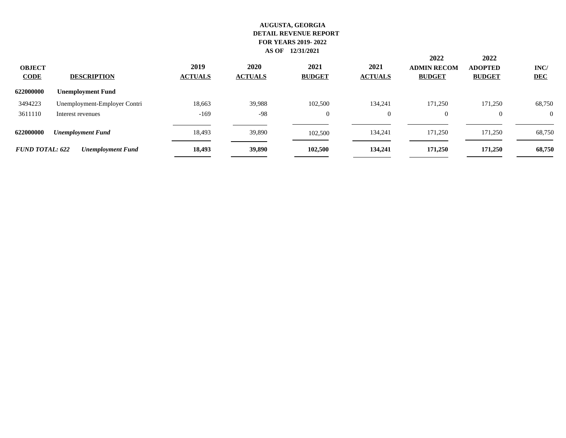| <b>OBJECT</b><br><b>CODE</b> | <b>DESCRIPTION</b>           | 2019<br><b>ACTUALS</b> | 2020<br><b>ACTUALS</b> | 2021<br><b>BUDGET</b> | 2021<br><b>ACTUALS</b> | 2022<br><b>ADMIN RECOM</b><br><b>BUDGET</b> | 2022<br><b>ADOPTED</b><br><b>BUDGET</b> | INC/<br><b>DEC</b> |
|------------------------------|------------------------------|------------------------|------------------------|-----------------------|------------------------|---------------------------------------------|-----------------------------------------|--------------------|
| 622000000                    | <b>Unemployment Fund</b>     |                        |                        |                       |                        |                                             |                                         |                    |
| 3494223                      | Unemployment-Employer Contri | 18,663                 | 39,988                 | 102,500               | 134,241                | 171,250                                     | 171,250                                 | 68,750             |
| 3611110                      | Interest revenues            | $-169$                 | $-98$                  | $\overline{0}$        | $\overline{0}$         | $\theta$                                    | $\Omega$                                | $\theta$           |
| 622000000                    | <b>Unemployment Fund</b>     | 18,493                 | 39,890                 | 102,500               | 134,241                | 171,250                                     | 171,250                                 | 68,750             |
| <b>FUND TOTAL: 622</b>       | <b>Unemployment Fund</b>     | 18,493                 | 39,890                 | 102,500               | 134,241                | 171,250                                     | 171,250                                 | 68,750             |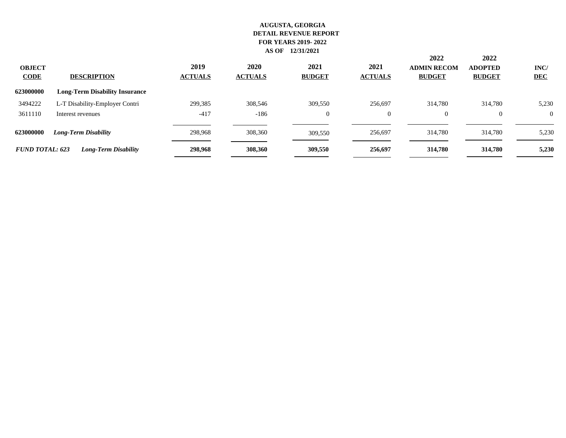| <b>OBJECT</b><br><b>CODE</b> | <b>DESCRIPTION</b>                    | 2019<br><b>ACTUALS</b> | 2020<br><b>ACTUALS</b> | 2021<br><b>BUDGET</b> | 2021<br><b>ACTUALS</b> | 2022<br><b>ADMIN RECOM</b><br><b>BUDGET</b> | 2022<br><b>ADOPTED</b><br><b>BUDGET</b> | INC/<br><b>DEC</b> |
|------------------------------|---------------------------------------|------------------------|------------------------|-----------------------|------------------------|---------------------------------------------|-----------------------------------------|--------------------|
| 623000000                    | <b>Long-Term Disability Insurance</b> |                        |                        |                       |                        |                                             |                                         |                    |
| 3494222                      | L-T Disability-Employer Contri        | 299,385                | 308,546                | 309,550               | 256,697                | 314,780                                     | 314,780                                 | 5,230              |
| 3611110                      | Interest revenues                     | $-417$                 | $-186$                 | $\overline{0}$        | $\overline{0}$         |                                             | $\theta$                                | $\theta$           |
| 623000000                    | Long-Term Disability                  | 298,968                | 308,360                | 309,550               | 256,697                | 314,780                                     | 314,780                                 | 5,230              |
| <b>FUND TOTAL: 623</b>       | <b>Long-Term Disability</b>           | 298,968                | 308,360                | 309,550               | 256,697                | 314,780                                     | 314,780                                 | 5,230              |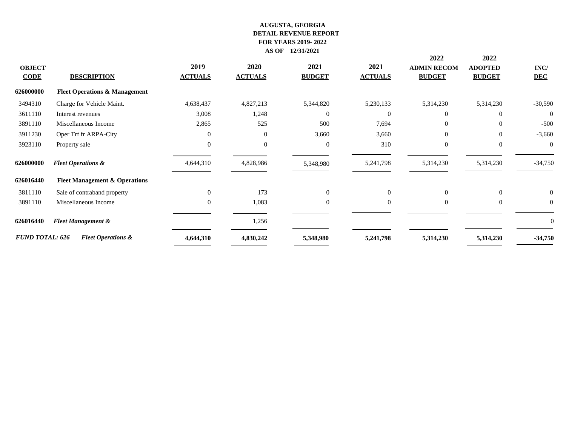|                                          |                        |                |                |                | 2022               | 2022           |                |
|------------------------------------------|------------------------|----------------|----------------|----------------|--------------------|----------------|----------------|
|                                          | 2019                   | 2020           | 2021           | 2021           | <b>ADMIN RECOM</b> | <b>ADOPTED</b> | INC/           |
| <b>DESCRIPTION</b>                       | <b>ACTUALS</b>         | <b>ACTUALS</b> | <b>BUDGET</b>  | <b>ACTUALS</b> | <b>BUDGET</b>      | <b>BUDGET</b>  | <b>DEC</b>     |
| <b>Fleet Operations &amp; Management</b> |                        |                |                |                |                    |                |                |
| Charge for Vehicle Maint.                | 4,638,437              | 4,827,213      | 5,344,820      | 5,230,133      | 5,314,230          | 5,314,230      | $-30,590$      |
| Interest revenues                        | 3,008                  | 1,248          | $\Omega$       | $\Omega$       | 0                  | $\Omega$       | $\overline{0}$ |
| Miscellaneous Income                     | 2,865                  | 525            | 500            | 7,694          | $\Omega$           | $\Omega$       | $-500$         |
| Oper Trf fr ARPA-City                    | $\Omega$               | $\mathbf{0}$   | 3,660          | 3,660          | $\Omega$           | $\Omega$       | $-3,660$       |
| Property sale                            | $\mathbf{0}$           | $\mathbf{0}$   | $\overline{0}$ | 310            | $\overline{0}$     | $\overline{0}$ | $\overline{0}$ |
| <b>Fleet Operations &amp;</b>            | 4,644,310              | 4,828,986      | 5,348,980      | 5,241,798      | 5,314,230          | 5,314,230      | $-34,750$      |
| <b>Fleet Management &amp; Operations</b> |                        |                |                |                |                    |                |                |
| Sale of contraband property              | $\theta$               | 173            | $\overline{0}$ | $\Omega$       | $\Omega$           | $\overline{0}$ | $\mathbf{0}$   |
| Miscellaneous Income                     | $\mathbf{0}$           | 1,083          | $\mathbf{0}$   | $\overline{0}$ | $\overline{0}$     | $\overline{0}$ | $\overline{0}$ |
| <b>Fleet Management &amp;</b>            |                        | 1,256          |                |                |                    |                | $\Omega$       |
| <b>Fleet Operations &amp;</b>            | 4,644,310              | 4,830,242      | 5,348,980      | 5,241,798      | 5,314,230          | 5,314,230      | $-34,750$      |
|                                          | <b>FUND TOTAL: 626</b> |                |                |                |                    |                |                |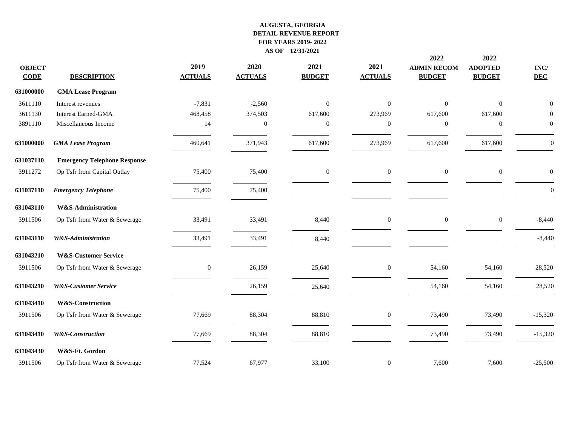| <b>OBJECT</b><br>$CODE$ | <b>DESCRIPTION</b>                  | 2019<br><b>ACTUALS</b> | 2020<br><b>ACTUALS</b> | 2021<br><b>BUDGET</b> | 2021<br><b>ACTUALS</b> | 2022<br><b>ADMIN RECOM</b><br><b>BUDGET</b> | 2022<br><b>ADOPTED</b><br><b>BUDGET</b> | INC/<br><b>DEC</b> |
|-------------------------|-------------------------------------|------------------------|------------------------|-----------------------|------------------------|---------------------------------------------|-----------------------------------------|--------------------|
| 631000000               | <b>GMA Lease Program</b>            |                        |                        |                       |                        |                                             |                                         |                    |
| 3611110                 | Interest revenues                   | $-7,831$               | $-2,560$               | $\boldsymbol{0}$      | $\overline{0}$         | $\overline{0}$                              | $\boldsymbol{0}$                        | $\Omega$           |
| 3611130                 | <b>Interest Earned-GMA</b>          | 468,458                | 374,503                | 617,600               | 273,969                | 617,600                                     | 617,600                                 | $\Omega$           |
| 3891110                 | Miscellaneous Income                | 14                     | $\mathbf{0}$           | $\mathbf{0}$          | $\boldsymbol{0}$       | $\mathbf{0}$                                | $\boldsymbol{0}$                        | $\mathbf{0}$       |
| 631000000               | <b>GMA Lease Program</b>            | 460,641                | 371,943                | 617,600               | 273,969                | 617,600                                     | 617,600                                 | $\Omega$           |
| 631037110               | <b>Emergency Telephone Response</b> |                        |                        |                       |                        |                                             |                                         |                    |
| 3911272                 | Op Tsfr from Capital Outlay         | 75,400                 | 75,400                 | $\mathbf{0}$          | $\overline{0}$         | $\mathbf{0}$                                | $\boldsymbol{0}$                        | $\mathbf{0}$       |
| 631037110               | <b>Emergency Telephone</b>          | 75,400                 | 75,400                 |                       |                        |                                             |                                         | $\theta$           |
| 631043110               | W&S-Administration                  |                        |                        |                       |                        |                                             |                                         |                    |
| 3911506                 | Op Tsfr from Water & Sewerage       | 33,491                 | 33,491                 | 8,440                 | $\mathbf{0}$           | $\overline{0}$                              | $\mathbf{0}$                            | $-8,440$           |
| 631043110               | <b>W&amp;S-Administration</b>       | 33,491                 | 33,491                 | 8,440                 |                        |                                             |                                         | $-8,440$           |
| 631043210               | <b>W&amp;S-Customer Service</b>     |                        |                        |                       |                        |                                             |                                         |                    |
| 3911506                 | Op Tsfr from Water & Sewerage       | $\mathbf{0}$           | 26,159                 | 25,640                | $\overline{0}$         | 54,160                                      | 54,160                                  | 28,520             |
| 631043210               | <b>W&amp;S-Customer Service</b>     |                        | 26,159                 | 25,640                |                        | 54,160                                      | 54,160                                  | 28,520             |
| 631043410               | W&S-Construction                    |                        |                        |                       |                        |                                             |                                         |                    |
| 3911506                 | Op Tsfr from Water & Sewerage       | 77,669                 | 88,304                 | 88,810                | $\boldsymbol{0}$       | 73,490                                      | 73,490                                  | $-15,320$          |
| 631043410               | <b>W&amp;S-Construction</b>         | 77,669                 | 88,304                 | 88,810                |                        | 73,490                                      | 73,490                                  | $-15,320$          |
| 631043430               | W&S-Ft. Gordon                      |                        |                        |                       |                        |                                             |                                         |                    |
| 3911506                 | Op Tsfr from Water & Sewerage       | 77,524                 | 67,977                 | 33,100                | $\mathbf{0}$           | 7,600                                       | 7,600                                   | $-25,500$          |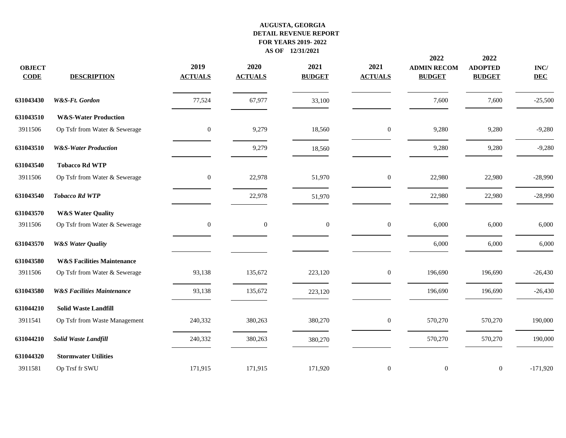| <b>OBJECT</b><br><b>CODE</b> | <b>DESCRIPTION</b>                    | 2019<br><b>ACTUALS</b> | 2020<br><b>ACTUALS</b> | 2021<br><b>BUDGET</b> | 2021<br><b>ACTUALS</b> | 2022<br><b>ADMIN RECOM</b><br><b>BUDGET</b> | 2022<br><b>ADOPTED</b><br><b>BUDGET</b> | $\mathbf{INC}/$<br><b>DEC</b> |
|------------------------------|---------------------------------------|------------------------|------------------------|-----------------------|------------------------|---------------------------------------------|-----------------------------------------|-------------------------------|
| 631043430                    | W&S-Ft. Gordon                        | 77,524                 | 67,977                 | 33,100                |                        | 7,600                                       | 7,600                                   | $-25,500$                     |
| 631043510                    | <b>W&amp;S-Water Production</b>       |                        |                        |                       |                        |                                             |                                         |                               |
| 3911506                      | Op Tsfr from Water & Sewerage         | $\mathbf{0}$           | 9,279                  | 18,560                | $\boldsymbol{0}$       | 9,280                                       | 9,280                                   | $-9,280$                      |
| 631043510                    | <b>W&amp;S-Water Production</b>       |                        | 9,279                  | 18,560                |                        | 9,280                                       | 9,280                                   | $-9,280$                      |
| 631043540                    | <b>Tobacco Rd WTP</b>                 |                        |                        |                       |                        |                                             |                                         |                               |
| 3911506                      | Op Tsfr from Water & Sewerage         | $\overline{0}$         | 22,978                 | 51,970                | $\boldsymbol{0}$       | 22,980                                      | 22,980                                  | $-28,990$                     |
| 631043540                    | <b>Tobacco Rd WTP</b>                 |                        | 22,978                 | 51,970                |                        | 22,980                                      | 22,980                                  | $-28,990$                     |
| 631043570                    | <b>W&amp;S Water Quality</b>          |                        |                        |                       |                        |                                             |                                         |                               |
| 3911506                      | Op Tsfr from Water & Sewerage         | $\boldsymbol{0}$       | $\mathbf{0}$           | $\boldsymbol{0}$      | $\boldsymbol{0}$       | 6,000                                       | 6,000                                   | 6,000                         |
| 631043570                    | <b>W&amp;S Water Quality</b>          |                        |                        |                       |                        | 6,000                                       | 6,000                                   | 6,000                         |
| 631043580                    | <b>W&amp;S Facilities Maintenance</b> |                        |                        |                       |                        |                                             |                                         |                               |
| 3911506                      | Op Tsfr from Water & Sewerage         | 93,138                 | 135,672                | 223,120               | $\overline{0}$         | 196,690                                     | 196,690                                 | $-26,430$                     |
| 631043580                    | <b>W&amp;S Facilities Maintenance</b> | 93,138                 | 135,672                | 223,120               |                        | 196,690                                     | 196,690                                 | $-26,430$                     |
| 631044210                    | <b>Solid Waste Landfill</b>           |                        |                        |                       |                        |                                             |                                         |                               |
| 3911541                      | Op Tsfr from Waste Management         | 240,332                | 380,263                | 380,270               | $\boldsymbol{0}$       | 570,270                                     | 570,270                                 | 190,000                       |
| 631044210                    | Solid Waste Landfill                  | 240,332                | 380,263                | 380,270               |                        | 570,270                                     | 570,270                                 | 190,000                       |
| 631044320                    | <b>Stormwater Utilities</b>           |                        |                        |                       |                        |                                             |                                         |                               |
| 3911581                      | Op Trsf fr SWU                        | 171,915                | 171,915                | 171,920               | $\boldsymbol{0}$       | $\mathbf{0}$                                | $\boldsymbol{0}$                        | $-171,920$                    |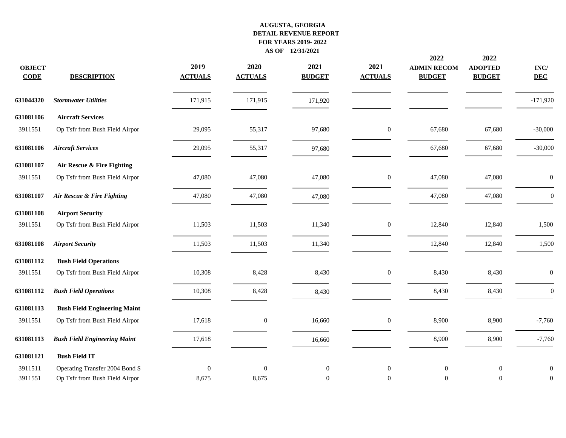| <b>OBJECT</b><br><b>CODE</b> | <b>DESCRIPTION</b>                  | 2019<br><b>ACTUALS</b> | 2020<br><b>ACTUALS</b> | 2021<br><b>BUDGET</b> | 2021<br><b>ACTUALS</b> | 2022<br><b>ADMIN RECOM</b><br><b>BUDGET</b> | 2022<br><b>ADOPTED</b><br><b>BUDGET</b> | $\mathbf{INC}/$<br><b>DEC</b> |
|------------------------------|-------------------------------------|------------------------|------------------------|-----------------------|------------------------|---------------------------------------------|-----------------------------------------|-------------------------------|
| 631044320                    | <b>Stormwater Utilities</b>         | 171,915                | 171,915                | 171,920               |                        |                                             |                                         | $-171,920$                    |
| 631081106                    | <b>Aircraft Services</b>            |                        |                        |                       |                        |                                             |                                         |                               |
| 3911551                      | Op Tsfr from Bush Field Airpor      | 29,095                 | 55,317                 | 97,680                | $\boldsymbol{0}$       | 67,680                                      | 67,680                                  | $-30,000$                     |
| 631081106                    | <b>Aircraft Services</b>            | 29,095                 | 55,317                 | 97,680                |                        | 67,680                                      | 67,680                                  | $-30,000$                     |
| 631081107                    | Air Rescue & Fire Fighting          |                        |                        |                       |                        |                                             |                                         |                               |
| 3911551                      | Op Tsfr from Bush Field Airpor      | 47,080                 | 47,080                 | 47,080                | $\boldsymbol{0}$       | 47,080                                      | 47,080                                  | $\boldsymbol{0}$              |
| 631081107                    | Air Rescue & Fire Fighting          | 47,080                 | 47,080                 | 47,080                |                        | 47,080                                      | 47,080                                  | $\boldsymbol{0}$              |
| 631081108                    | <b>Airport Security</b>             |                        |                        |                       |                        |                                             |                                         |                               |
| 3911551                      | Op Tsfr from Bush Field Airpor      | 11,503                 | 11,503                 | 11,340                | $\boldsymbol{0}$       | 12,840                                      | 12,840                                  | 1,500                         |
| 631081108                    | <b>Airport Security</b>             | 11,503                 | 11,503                 | 11,340                |                        | 12,840                                      | 12,840                                  | 1,500                         |
| 631081112                    | <b>Bush Field Operations</b>        |                        |                        |                       |                        |                                             |                                         |                               |
| 3911551                      | Op Tsfr from Bush Field Airpor      | 10,308                 | 8,428                  | 8,430                 | $\boldsymbol{0}$       | 8,430                                       | 8,430                                   | $\boldsymbol{0}$              |
| 631081112                    | <b>Bush Field Operations</b>        | 10,308                 | 8,428                  | 8,430                 |                        | 8,430                                       | 8,430                                   | $\boldsymbol{0}$              |
| 631081113                    | <b>Bush Field Engineering Maint</b> |                        |                        |                       |                        |                                             |                                         |                               |
| 3911551                      | Op Tsfr from Bush Field Airpor      | 17,618                 | $\mathbf{0}$           | 16,660                | $\mathbf{0}$           | 8,900                                       | 8,900                                   | $-7,760$                      |
| 631081113                    | <b>Bush Field Engineering Maint</b> | 17,618                 |                        | 16,660                |                        | 8,900                                       | 8,900                                   | $-7,760$                      |
| 631081121                    | <b>Bush Field IT</b>                |                        |                        |                       |                        |                                             |                                         |                               |
| 3911511                      | Operating Transfer 2004 Bond S      | $\boldsymbol{0}$       | $\theta$               | $\boldsymbol{0}$      | $\mathbf{0}$           | $\mathbf{0}$                                | $\mathbf{0}$                            | $\boldsymbol{0}$              |
| 3911551                      | Op Tsfr from Bush Field Airpor      | 8,675                  | 8,675                  | $\mathbf{0}$          | $\mathbf{0}$           | $\mathbf{0}$                                | $\mathbf{0}$                            | $\mathbf{0}$                  |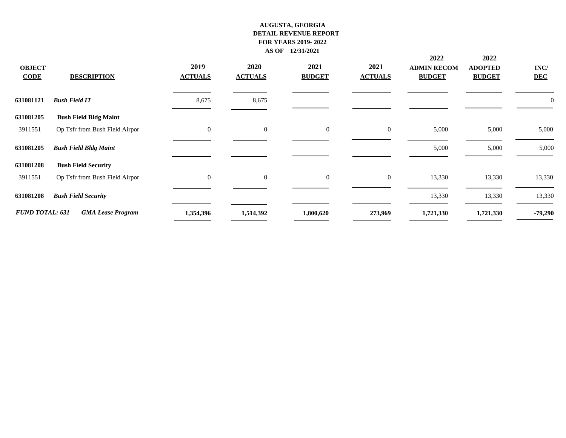| <b>OBJECT</b><br><b>CODE</b> | <b>DESCRIPTION</b>             | 2019<br><b>ACTUALS</b> | 2020<br><b>ACTUALS</b> | 2021<br><b>BUDGET</b> | 2021<br><b>ACTUALS</b> | 2022<br><b>ADMIN RECOM</b><br><b>BUDGET</b> | 2022<br><b>ADOPTED</b><br><b>BUDGET</b> | INC/<br><b>DEC</b> |
|------------------------------|--------------------------------|------------------------|------------------------|-----------------------|------------------------|---------------------------------------------|-----------------------------------------|--------------------|
| 631081121                    | <b>Bush Field IT</b>           | 8,675                  | 8,675                  |                       |                        |                                             |                                         | U                  |
| 631081205                    | <b>Bush Field Bldg Maint</b>   |                        |                        |                       |                        |                                             |                                         |                    |
| 3911551                      | Op Tsfr from Bush Field Airpor | $\overline{0}$         | $\mathbf{0}$           | $\mathbf{0}$          | $\overline{0}$         | 5,000                                       | 5,000                                   | 5,000              |
| 631081205                    | <b>Bush Field Bldg Maint</b>   |                        |                        |                       |                        | 5,000                                       | 5,000                                   | 5,000              |
| 631081208                    | <b>Bush Field Security</b>     |                        |                        |                       |                        |                                             |                                         |                    |
| 3911551                      | Op Tsfr from Bush Field Airpor | $\overline{0}$         | $\overline{0}$         | $\overline{0}$        | $\overline{0}$         | 13,330                                      | 13,330                                  | 13,330             |
| 631081208                    | <b>Bush Field Security</b>     |                        |                        |                       |                        | 13,330                                      | 13,330                                  | 13,330             |
| <b>FUND TOTAL: 631</b>       | <b>GMA Lease Program</b>       | 1,354,396              | 1,514,392              | 1,800,620             | 273,969                | 1,721,330                                   | 1,721,330                               | $-79,290$          |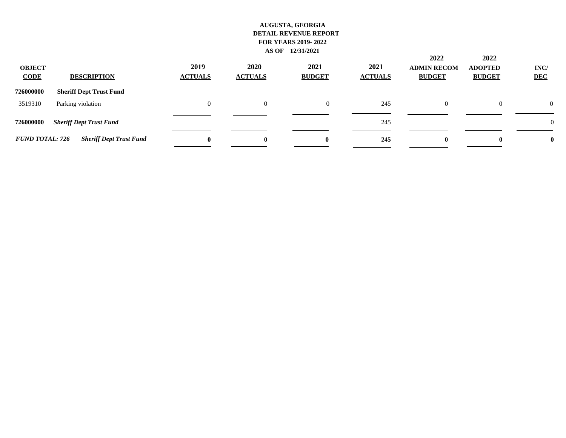| <b>OBJECT</b><br><b>CODE</b> | <b>DESCRIPTION</b>             | 2019<br><b>ACTUALS</b> | 2020<br><b>ACTUALS</b> | 2021<br><b>BUDGET</b> | 2021<br><b>ACTUALS</b> | 2022<br><b>ADMIN RECOM</b><br><b>BUDGET</b> | 2022<br><b>ADOPTED</b><br><b>BUDGET</b> | INC/<br><b>DEC</b> |
|------------------------------|--------------------------------|------------------------|------------------------|-----------------------|------------------------|---------------------------------------------|-----------------------------------------|--------------------|
| 726000000                    | <b>Sheriff Dept Trust Fund</b> |                        |                        |                       |                        |                                             |                                         |                    |
| 3519310                      | Parking violation              | 0                      | $\Omega$               | $\theta$              | 245                    | $\Omega$                                    | $\theta$                                | $\theta$           |
| 726000000                    | <b>Sheriff Dept Trust Fund</b> |                        |                        |                       | 245                    |                                             |                                         | $\boldsymbol{0}$   |
| <b>FUND TOTAL: 726</b>       | <b>Sheriff Dept Trust Fund</b> | $\mathbf{0}$           | 0                      | 0                     | 245                    | $\bf{0}$                                    | $\mathbf{0}$                            | $\boldsymbol{0}$   |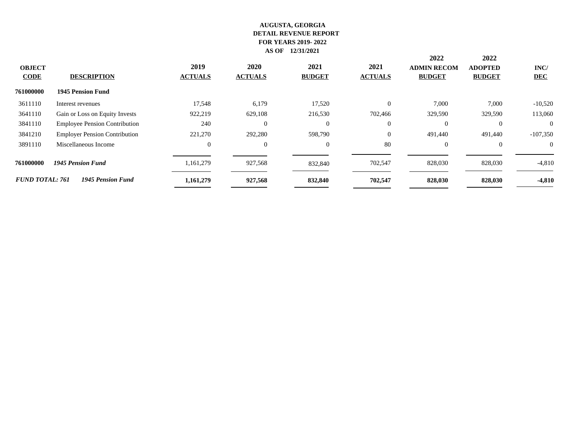|                              |                                      |                        |                        |                       |                        | 2022                                | 2022                            |                    |
|------------------------------|--------------------------------------|------------------------|------------------------|-----------------------|------------------------|-------------------------------------|---------------------------------|--------------------|
| <b>OBJECT</b><br><b>CODE</b> | <b>DESCRIPTION</b>                   | 2019<br><b>ACTUALS</b> | 2020<br><b>ACTUALS</b> | 2021<br><b>BUDGET</b> | 2021<br><b>ACTUALS</b> | <b>ADMIN RECOM</b><br><b>BUDGET</b> | <b>ADOPTED</b><br><b>BUDGET</b> | INC/<br><b>DEC</b> |
| 761000000                    | <b>1945 Pension Fund</b>             |                        |                        |                       |                        |                                     |                                 |                    |
| 3611110                      | Interest revenues                    | 17,548                 | 6,179                  | 17,520                | $\Omega$               | 7,000                               | 7,000                           | $-10,520$          |
| 3641110                      | Gain or Loss on Equity Invests       | 922,219                | 629,108                | 216,530               | 702,466                | 329,590                             | 329,590                         | 113,060            |
| 3841110                      | <b>Employee Pension Contribution</b> | 240                    | $\overline{0}$         | $\overline{0}$        | $\overline{0}$         | $\overline{0}$                      | $\overline{0}$                  | $\overline{0}$     |
| 3841210                      | <b>Employer Pension Contribution</b> | 221,270                | 292,280                | 598,790               | $\overline{0}$         | 491,440                             | 491,440                         | $-107,350$         |
| 3891110                      | Miscellaneous Income                 | $\overline{0}$         | $\overline{0}$         | $\theta$              | 80                     | $\overline{0}$                      | $\theta$                        | $\Omega$           |
| 761000000                    | <b>1945 Pension Fund</b>             | 1,161,279              | 927,568                | 832,840               | 702,547                | 828,030                             | 828,030                         | $-4,810$           |
| <b>FUND TOTAL: 761</b>       | <b>1945 Pension Fund</b>             | 1,161,279              | 927,568                | 832,840               | 702,547                | 828,030                             | 828,030                         | $-4,810$           |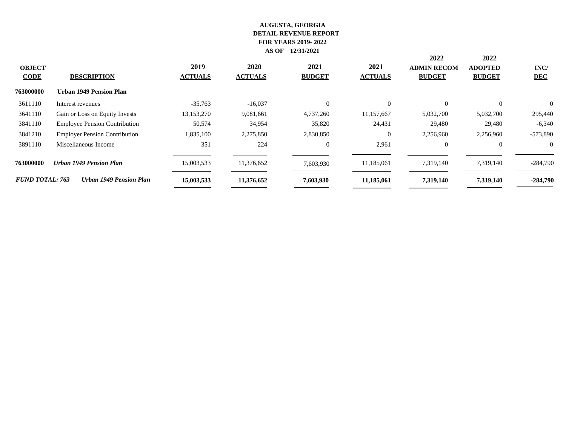|                              |                                      |                        |                        |                       |                        | 2022                                | 2022                            |                    |
|------------------------------|--------------------------------------|------------------------|------------------------|-----------------------|------------------------|-------------------------------------|---------------------------------|--------------------|
| <b>OBJECT</b><br><b>CODE</b> | <b>DESCRIPTION</b>                   | 2019<br><b>ACTUALS</b> | 2020<br><b>ACTUALS</b> | 2021<br><b>BUDGET</b> | 2021<br><b>ACTUALS</b> | <b>ADMIN RECOM</b><br><b>BUDGET</b> | <b>ADOPTED</b><br><b>BUDGET</b> | INC/<br><b>DEC</b> |
| 763000000                    | <b>Urban 1949 Pension Plan</b>       |                        |                        |                       |                        |                                     |                                 |                    |
| 3611110                      | Interest revenues                    | $-35,763$              | $-16,037$              | $\Omega$              | $\Omega$               | $\theta$                            | $\Omega$                        | $\Omega$           |
| 3641110                      | Gain or Loss on Equity Invests       | 13,153,270             | 9,081,661              | 4,737,260             | 11,157,667             | 5,032,700                           | 5,032,700                       | 295,440            |
| 3841110                      | <b>Employee Pension Contribution</b> | 50,574                 | 34,954                 | 35,820                | 24,431                 | 29,480                              | 29,480                          | $-6,340$           |
| 3841210                      | <b>Employer Pension Contribution</b> | 1,835,100              | 2,275,850              | 2,830,850             | $\overline{0}$         | 2,256,960                           | 2,256,960                       | $-573,890$         |
| 3891110                      | Miscellaneous Income                 | 351                    | 224                    | $\overline{0}$        | 2,961                  | $\overline{0}$                      | $\overline{0}$                  | $\Omega$           |
| 763000000                    | <b>Urban 1949 Pension Plan</b>       | 15,003,533             | 11,376,652             | 7,603,930             | 11,185,061             | 7,319,140                           | 7,319,140                       | $-284,790$         |
| <b>FUND TOTAL: 763</b>       | <b>Urban 1949 Pension Plan</b>       | 15,003,533             | 11,376,652             | 7,603,930             | 11,185,061             | 7,319,140                           | 7,319,140                       | $-284,790$         |
|                              |                                      |                        |                        |                       |                        |                                     |                                 |                    |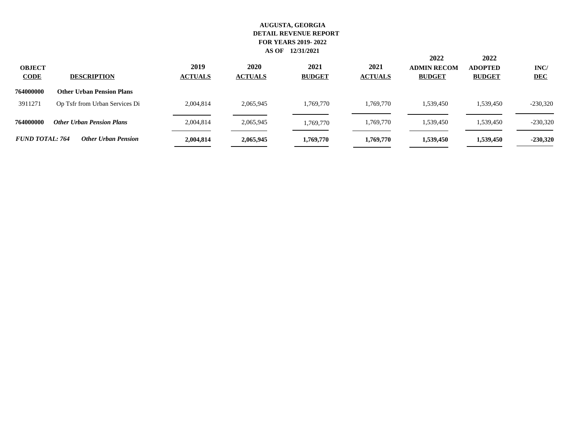| <b>OBJECT</b><br><b>CODE</b> | <b>DESCRIPTION</b>               | 2019<br><b>ACTUALS</b> | 2020<br><b>ACTUALS</b> | 2021<br><b>BUDGET</b> | 2021<br><b>ACTUALS</b> | 2022<br><b>ADMIN RECOM</b><br><b>BUDGET</b> | 2022<br><b>ADOPTED</b><br><b>BUDGET</b> | INC/<br><b>DEC</b> |
|------------------------------|----------------------------------|------------------------|------------------------|-----------------------|------------------------|---------------------------------------------|-----------------------------------------|--------------------|
| 764000000                    | <b>Other Urban Pension Plans</b> |                        |                        |                       |                        |                                             |                                         |                    |
| 3911271                      | Op Tsfr from Urban Services Di   | 2,004,814              | 2,065,945              | 1,769,770             | 1.769.770              | 1,539,450                                   | 1,539,450                               | $-230,320$         |
| 764000000                    | <b>Other Urban Pension Plans</b> | 2,004,814              | 2,065,945              | 1,769,770             | 1,769,770              | 1,539,450                                   | 1,539,450                               | $-230,320$         |
| <b>FUND TOTAL: 764</b>       | <b>Other Urban Pension</b>       | 2,004,814              | 2,065,945              | 1,769,770             | 1,769,770              | 1,539,450                                   | 1,539,450                               | $-230,320$         |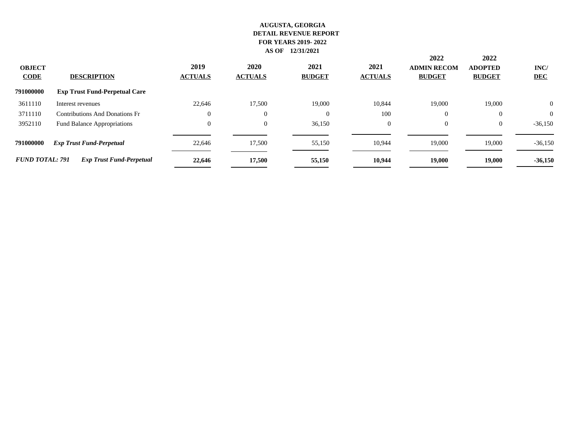|                              |                                      |                        |                               |                       |                        | 2022                                | 2022                            |                    |  |
|------------------------------|--------------------------------------|------------------------|-------------------------------|-----------------------|------------------------|-------------------------------------|---------------------------------|--------------------|--|
| <b>OBJECT</b><br><b>CODE</b> | <b>DESCRIPTION</b>                   | 2019<br><b>ACTUALS</b> | <b>2020</b><br><b>ACTUALS</b> | 2021<br><b>BUDGET</b> | 2021<br><b>ACTUALS</b> | <b>ADMIN RECOM</b><br><b>BUDGET</b> | <b>ADOPTED</b><br><b>BUDGET</b> | INC/<br><b>DEC</b> |  |
| 791000000                    | <b>Exp Trust Fund-Perpetual Care</b> |                        |                               |                       |                        |                                     |                                 |                    |  |
| 3611110                      | Interest revenues                    | 22,646                 | 17,500                        | 19,000                | 10,844                 | 19,000                              | 19,000                          | $\theta$           |  |
| 3711110                      | Contributions And Donations Fr       | 0                      | $\overline{0}$                | $\theta$              | 100                    | $\Omega$                            | $\Omega$                        | $\theta$           |  |
| 3952110                      | Fund Balance Appropriations          | 0                      | $\overline{0}$                | 36,150                | $\overline{0}$         | $\overline{0}$                      | $\theta$                        | $-36,150$          |  |
| 791000000                    | <b>Exp Trust Fund-Perpetual</b>      | 22,646                 | 17.500                        | 55,150                | 10,944                 | 19,000                              | 19,000                          | $-36,150$          |  |
| <b>FUND TOTAL: 791</b>       | <b>Exp Trust Fund-Perpetual</b>      | 22,646                 | 17,500                        | 55,150                | 10,944                 | 19,000                              | 19,000                          | $-36,150$          |  |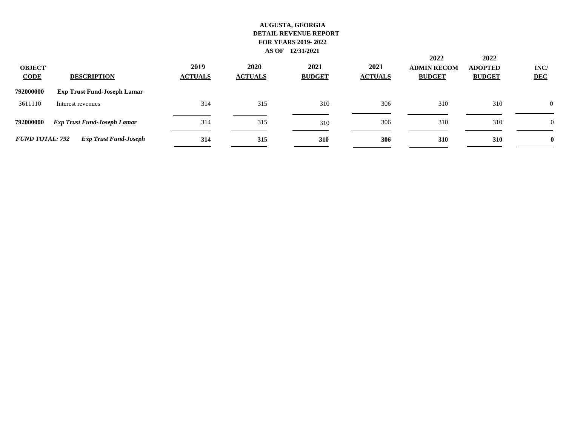| <b>OBJECT</b><br><b>CODE</b> | <b>DESCRIPTION</b>                 | 2019<br><b>ACTUALS</b> | 2020<br><b>ACTUALS</b> | 2021<br><b>BUDGET</b> | 2021<br><b>ACTUALS</b> | 2022<br><b>ADMIN RECOM</b><br><b>BUDGET</b> | 2022<br><b>ADOPTED</b><br><b>BUDGET</b> | INC/<br><b>DEC</b> |
|------------------------------|------------------------------------|------------------------|------------------------|-----------------------|------------------------|---------------------------------------------|-----------------------------------------|--------------------|
| 792000000                    | <b>Exp Trust Fund-Joseph Lamar</b> |                        |                        |                       |                        |                                             |                                         |                    |
| 3611110                      | Interest revenues                  | 314                    | 315                    | 310                   | 306                    | 310                                         | 310                                     | $\overline{0}$     |
| 792000000                    | <b>Exp Trust Fund-Joseph Lamar</b> | 314                    | 315                    | 310                   | 306                    | 310                                         | 310                                     | $\Omega$           |
| <b>FUND TOTAL: 792</b>       | <b>Exp Trust Fund-Joseph</b>       | 314                    | 315                    | 310                   | 306                    | 310                                         | 310                                     | $\bf{0}$           |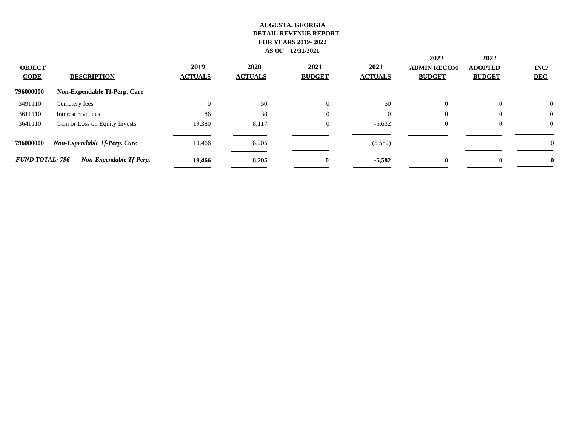|                              |                                |                        |                               |                       |                        | 2022                                | 2022                            |                    |
|------------------------------|--------------------------------|------------------------|-------------------------------|-----------------------|------------------------|-------------------------------------|---------------------------------|--------------------|
| <b>OBJECT</b><br><b>CODE</b> | <b>DESCRIPTION</b>             | 2019<br><b>ACTUALS</b> | <b>2020</b><br><b>ACTUALS</b> | 2021<br><b>BUDGET</b> | 2021<br><b>ACTUALS</b> | <b>ADMIN RECOM</b><br><b>BUDGET</b> | <b>ADOPTED</b><br><b>BUDGET</b> | INC/<br><b>DEC</b> |
| 796000000                    | Non-Expendable Tf-Perp. Care   |                        |                               |                       |                        |                                     |                                 |                    |
| 3491110                      | Cemetery fees                  | 0                      | 50                            | $\Omega$              | 50                     | $\overline{0}$                      | $\theta$                        | $\mathbf{0}$       |
| 3611110                      | Interest revenues              | 86                     | 38                            | $\Omega$              | $\Omega$               | $\Omega$                            | $\Omega$                        | $\mathbf{0}$       |
| 3641110                      | Gain or Loss on Equity Invests | 19,380                 | 8,117                         | $\theta$              | $-5,632$               | $\overline{0}$                      | $\overline{0}$                  | $\mathbf{0}$       |
| 796000000                    | Non-Expendable Tf-Perp. Care   | 19,466                 | 8,205                         |                       | (5,582)                |                                     |                                 | v                  |
| <b>FUND TOTAL: 796</b>       | Non-Expendable Tf-Perp.        | 19,466                 | 8,205                         | $\mathbf{0}$          | $-5,582$               | $\mathbf{0}$                        | $\mathbf{0}$                    | 0                  |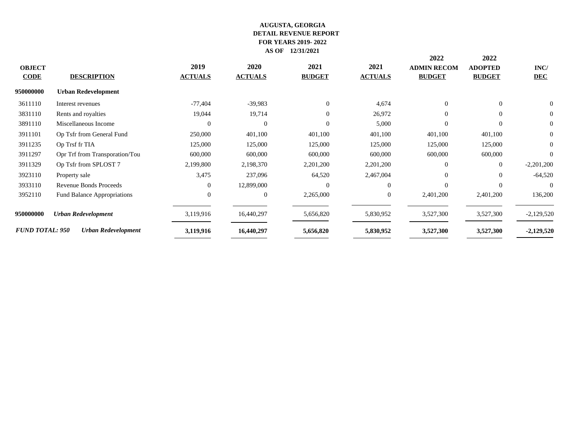|                        |                                    |                |                |                |                | 2022               | 2022           |                |
|------------------------|------------------------------------|----------------|----------------|----------------|----------------|--------------------|----------------|----------------|
| <b>OBJECT</b>          |                                    | 2019           | 2020           | 2021           | 2021           | <b>ADMIN RECOM</b> | <b>ADOPTED</b> | INC/           |
| <b>CODE</b>            | <b>DESCRIPTION</b>                 | <b>ACTUALS</b> | <b>ACTUALS</b> | <b>BUDGET</b>  | <b>ACTUALS</b> | <b>BUDGET</b>      | <b>BUDGET</b>  | <b>DEC</b>     |
| 950000000              | <b>Urban Redevelopment</b>         |                |                |                |                |                    |                |                |
| 3611110                | Interest revenues                  | $-77,404$      | $-39,983$      | $\overline{0}$ | 4,674          | $\Omega$           | $\Omega$       | $\Omega$       |
| 3831110                | Rents and royalties                | 19,044         | 19,714         | $\overline{0}$ | 26,972         | $\Omega$           | $\Omega$       | $\overline{0}$ |
| 3891110                | Miscellaneous Income               | $\Omega$       | $\theta$       | $\Omega$       | 5,000          | $\Omega$           | $\Omega$       | $\overline{0}$ |
| 3911101                | Op Tsfr from General Fund          | 250,000        | 401,100        | 401,100        | 401,100        | 401,100            | 401,100        | $\overline{0}$ |
| 3911235                | Op Trsf fr TIA                     | 125,000        | 125,000        | 125,000        | 125,000        | 125,000            | 125,000        | $\overline{0}$ |
| 3911297                | Opr Trf from Transporation/Tou     | 600,000        | 600,000        | 600,000        | 600,000        | 600,000            | 600,000        | $\Omega$       |
| 3911329                | Op Tsfr from SPLOST 7              | 2,199,800      | 2,198,370      | 2,201,200      | 2,201,200      | $\Omega$           | $\overline{0}$ | $-2,201,200$   |
| 3923110                | Property sale                      | 3,475          | 237,096        | 64,520         | 2,467,004      | $\Omega$           | $\Omega$       | $-64,520$      |
| 3933110                | Revenue Bonds Proceeds             |                | 12,899,000     | $\Omega$       | $\Omega$       | $\Omega$           | $\Omega$       | 0              |
| 3952110                | <b>Fund Balance Appropriations</b> |                | $\overline{0}$ | 2,265,000      | $\overline{0}$ | 2,401,200          | 2,401,200      | 136,200        |
| 950000000              | <b>Urban Redevelopment</b>         | 3,119,916      | 16,440,297     | 5,656,820      | 5,830,952      | 3,527,300          | 3,527,300      | $-2,129,520$   |
| <b>FUND TOTAL: 950</b> | Urban Redevelopment                | 3,119,916      | 16,440,297     | 5,656,820      | 5,830,952      | 3,527,300          | 3,527,300      | $-2,129,520$   |
|                        |                                    |                |                |                |                |                    |                |                |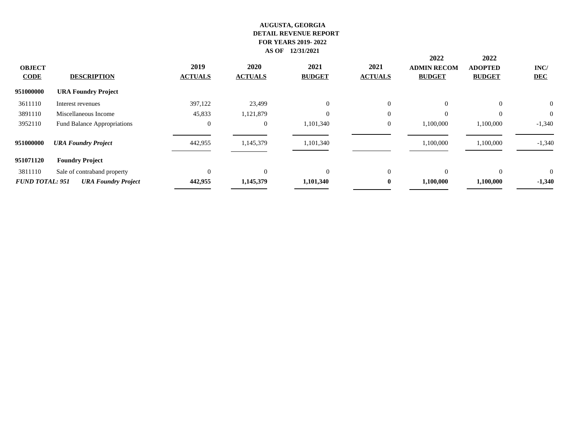|                        |                                    |                |                |                |                | 2022               | 2022           |                |
|------------------------|------------------------------------|----------------|----------------|----------------|----------------|--------------------|----------------|----------------|
| <b>OBJECT</b>          |                                    | 2019           | 2020           | 2021           | 2021           | <b>ADMIN RECOM</b> | <b>ADOPTED</b> | INC/           |
| <b>CODE</b>            | <b>DESCRIPTION</b>                 | <b>ACTUALS</b> | <b>ACTUALS</b> | <b>BUDGET</b>  | <b>ACTUALS</b> | <b>BUDGET</b>      | <b>BUDGET</b>  | <b>DEC</b>     |
| 951000000              | <b>URA Foundry Project</b>         |                |                |                |                |                    |                |                |
| 3611110                | Interest revenues                  | 397,122        | 23,499         | $\overline{0}$ | $\overline{0}$ | $\overline{0}$     | $\overline{0}$ | $\overline{0}$ |
| 3891110                | Miscellaneous Income               | 45,833         | 1,121,879      |                | $\overline{0}$ | $\Omega$           | $\Omega$       | $\mathbf{0}$   |
| 3952110                | <b>Fund Balance Appropriations</b> | $\mathbf{0}$   | $\overline{0}$ | 1,101,340      | $\theta$       | 1,100,000          | 1,100,000      | $-1,340$       |
| 951000000              | <b>URA Foundry Project</b>         | 442,955        | 1,145,379      | 1,101,340      |                | 1,100,000          | 1,100,000      | $-1,340$       |
| 951071120              | <b>Foundry Project</b>             |                |                |                |                |                    |                |                |
| 3811110                | Sale of contraband property        | $\Omega$       | $\Omega$       | $\Omega$       | $\overline{0}$ | $\Omega$           | $\theta$       | $\overline{0}$ |
| <b>FUND TOTAL: 951</b> | <b>URA Foundry Project</b>         | 442,955        | 1,145,379      | 1,101,340      | $\bf{0}$       | 1,100,000          | 1,100,000      | $-1,340$       |
|                        |                                    |                |                |                |                |                    |                |                |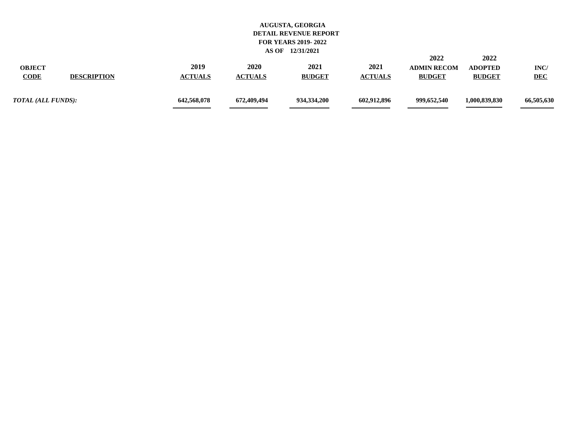| <b>OBJECT</b><br><b>CODE</b><br><b>DESCRIPTION</b> | 2019<br><b>ACTUALS</b> | 2020<br><b>ACTUALS</b> | 2021<br><b>BUDGET</b> | 2021<br><b>ACTUALS</b> | 2022<br><b>ADMIN RECOM</b><br><b>BUDGET</b> | 2022<br><b>ADOPTED</b><br><b>BUDGET</b> | <b>INC</b><br><b>DEC</b> |
|----------------------------------------------------|------------------------|------------------------|-----------------------|------------------------|---------------------------------------------|-----------------------------------------|--------------------------|
| TOTAL (ALL FUNDS):                                 | 642,568,078            | 672,409,494            | 934,334,200           | 602.912.896            | 999,652,540                                 | 1,000,839,830                           | 66,505,630               |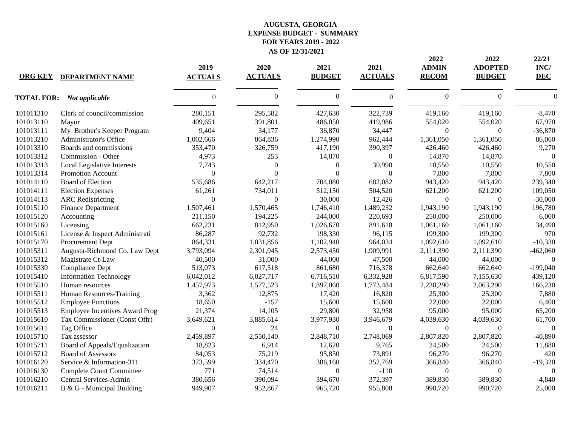## **FOR YEARS 2019 - 2022 AS OF 12/31/2021 EXPENSE BUDGET - SUMMARY AUGUSTA, GEORGIA**

|                |                                       |                        |                        |                       |                        | 2022                         | 2022                            | 22/21              |
|----------------|---------------------------------------|------------------------|------------------------|-----------------------|------------------------|------------------------------|---------------------------------|--------------------|
| <b>ORG KEY</b> | <b>DEPARTMENT NAME</b>                | 2019<br><b>ACTUALS</b> | 2020<br><b>ACTUALS</b> | 2021<br><b>BUDGET</b> | 2021<br><b>ACTUALS</b> | <b>ADMIN</b><br><b>RECOM</b> | <b>ADOPTED</b><br><b>BUDGET</b> | INC/<br><b>DEC</b> |
|                | <b>TOTAL FOR:</b> Not applicable      | $\Omega$               | $\Omega$               | $\boldsymbol{0}$      | $\theta$               | $\mathbf{0}$                 | $\Omega$                        | $\Omega$           |
| 101011310      | Clerk of council/commission           | 280,151                | 295,582                | 427,630               | 322,739                | 419,160                      | 419,160                         | $-8,470$           |
| 101013110      | Mayor                                 | 409,651                | 391,801                | 486,050               | 419,986                | 554,020                      | 554,020                         | 67,970             |
| 101013111      | My Brother's Keeper Program           | 9,404                  | 34,177                 | 36,870                | 34,447                 | $\mathbf{0}$                 | $\theta$                        | $-36,870$          |
| 101013210      | Administrator's Office                | 1,002,666              | 864,836                | 1,274,990             | 962,444                | 1,361,050                    | 1,361,050                       | 86,060             |
| 101013310      | Boards and commissions                | 353,470                | 326,759                | 417,190               | 390,397                | 426,460                      | 426,460                         | 9,270              |
| 101013312      | Commission - Other                    | 4,973                  | 253                    | 14,870                | $\overline{0}$         | 14,870                       | 14,870                          | $\Omega$           |
| 101013313      | Local Legislative Interests           | 7,743                  | $\Omega$               | $\mathbf{0}$          | 30,990                 | 10,550                       | 10,550                          | 10,550             |
| 101013314      | Promotion Account                     | $\theta$               | $\Omega$               | $\Omega$              | $\theta$               | 7,800                        | 7,800                           | 7,800              |
| 101014110      | <b>Board of Election</b>              | 535,686                | 642,217                | 704,080               | 682,082                | 943,420                      | 943,420                         | 239,340            |
| 101014111      | <b>Election Expenses</b>              | 61,261                 | 734,011                | 512,150               | 504,520                | 621,200                      | 621,200                         | 109,050            |
| 101014113      | <b>ARC</b> Redistricting              | $\boldsymbol{0}$       | $\boldsymbol{0}$       | 30,000                | 12,426                 | $\mathbf{0}$                 | $\overline{0}$                  | $-30,000$          |
| 101015110      | <b>Finance Department</b>             | 1,507,461              | 1,570,465              | 1,746,410             | 1,489,232              | 1,943,190                    | 1,943,190                       | 196,780            |
| 101015120      | Accounting                            | 211,150                | 194,225                | 244,000               | 220,693                | 250,000                      | 250,000                         | 6,000              |
| 101015160      | Licensing                             | 662,231                | 812,950                | 1,026,670             | 891,618                | 1,061,160                    | 1,061,160                       | 34,490             |
| 101015161      | License & Inspect Administrati        | 86,287                 | 92,732                 | 198,330               | 96,115                 | 199,300                      | 199,300                         | 970                |
| 101015170      | Procurement Dept                      | 864,331                | 1,031,856              | 1,102,940             | 964,034                | 1,092,610                    | 1,092,610                       | $-10,330$          |
| 101015311      | Augusta-Richmond Co. Law Dept         | 3,793,094              | 2,301,945              | 2,573,450             | 1,909,991              | 2,111,390                    | 2,111,390                       | $-462,060$         |
| 101015312      | Magistrate Ct-Law                     | 40,500                 | 31,000                 | 44,000                | 47,500                 | 44,000                       | 44,000                          | $\Omega$           |
| 101015330      | Compliance Dept                       | 513,073                | 617,518                | 861,680               | 716,378                | 662,640                      | 662,640                         | $-199,040$         |
| 101015410      | <b>Information Technology</b>         | 6,042,012              | 6,027,717              | 6,716,510             | 6,332,928              | 6,817,590                    | 7,155,630                       | 439,120            |
| 101015510      | Human resources                       | 1,457,973              | 1,577,523              | 1,897,060             | 1,773,484              | 2,238,290                    | 2,063,290                       | 166,230            |
| 101015511      | Human Resources-Training              | 3,362                  | 12,875                 | 17,420                | 16,820                 | 25,300                       | 25,300                          | 7,880              |
| 101015512      | <b>Employee Functions</b>             | 18,650                 | $-157$                 | 15,600                | 15,600                 | 22,000                       | 22,000                          | 6,400              |
| 101015513      | <b>Employee Incentives Award Prog</b> | 21,374                 | 14,105                 | 29,800                | 32,958                 | 95,000                       | 95,000                          | 65,200             |
| 101015610      | Tax Commissioner (Const Offr)         | 3,649,621              | 3,885,614              | 3,977,930             | 3,946,679              | 4,039,630                    | 4,039,630                       | 61,700             |
| 101015611      | Tag Office                            | $\overline{0}$         | 24                     | $\mathbf{0}$          | $\overline{0}$         | $\mathbf{0}$                 | $\Omega$                        | $\Omega$           |
| 101015710      | Tax assessor                          | 2,459,897              | 2,550,140              | 2,848,710             | 2,748,069              | 2,807,820                    | 2,807,820                       | $-40,890$          |
| 101015711      | Board of Appeals/Equalization         | 18,823                 | 6,914                  | 12,620                | 9,765                  | 24,500                       | 24,500                          | 11,880             |
| 101015712      | <b>Board of Assessors</b>             | 84,053                 | 75,219                 | 95,850                | 73,891                 | 96,270                       | 96,270                          | 420                |
| 101016120      | Service & Information-311             | 373,599                | 334,470                | 386,160               | 352,769                | 366,840                      | 366,840                         | $-19,320$          |
| 101016130      | Complete Count Committee              | 771                    | 74,514                 | $\boldsymbol{0}$      | $-110$                 | $\mathbf{0}$                 | $\Omega$                        | $\Omega$           |
| 101016210      | Central Services-Admin                | 380,656                | 390,094                | 394,670               | 372,397                | 389,830                      | 389,830                         | $-4,840$           |
| 101016211      | B & G - Municipal Building            | 949,907                | 952,867                | 965,720               | 955,808                | 990,720                      | 990,720                         | 25,000             |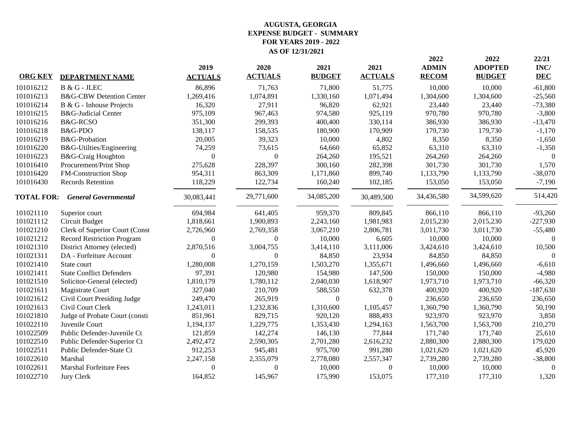# **FOR YEARS 2019 - 2022 AS OF 12/31/2021 EXPENSE BUDGET - SUMMARY AUGUSTA, GEORGIA**

|                   |                                     |                  |                |                  |                  | 2022         | 2022           | 22/21            |
|-------------------|-------------------------------------|------------------|----------------|------------------|------------------|--------------|----------------|------------------|
|                   |                                     | 2019             | 2020           | 2021             | 2021             | <b>ADMIN</b> | <b>ADOPTED</b> | INC/             |
| <b>ORG KEY</b>    | <b>DEPARTMENT NAME</b>              | <b>ACTUALS</b>   | <b>ACTUALS</b> | <b>BUDGET</b>    | <b>ACTUALS</b>   | <b>RECOM</b> | <b>BUDGET</b>  | <b>DEC</b>       |
| 101016212         | <b>B &amp; G - JLEC</b>             | 86,896           | 71,763         | 71,800           | 51,775           | 10,000       | 10,000         | $-61,800$        |
| 101016213         | <b>B&amp;G-CBW Detention Center</b> | 1,269,416        | 1,074,891      | 1,330,160        | 1,071,494        | 1,304,600    | 1,304,600      | $-25,560$        |
| 101016214         | B & G - Inhouse Projects            | 16,320           | 27,911         | 96,820           | 62,921           | 23,440       | 23,440         | $-73,380$        |
| 101016215         | <b>B&amp;G-Judicial Center</b>      | 975,109          | 967,463        | 974,580          | 925,119          | 970,780      | 970,780        | $-3,800$         |
| 101016216         | <b>B&amp;G-RCSO</b>                 | 351,300          | 299,393        | 400,400          | 330,114          | 386,930      | 386,930        | $-13,470$        |
| 101016218         | B&G-PDO                             | 138,117          | 158,535        | 180,900          | 170,909          | 179,730      | 179,730        | $-1,170$         |
| 101016219         | <b>B&amp;G-Probation</b>            | 20,005           | 39,323         | 10,000           | 4,802            | 8,350        | 8,350          | $-1,650$         |
| 101016220         | B&G-Utilties/Engineering            | 74,259           | 73,615         | 64,660           | 65,852           | 63,310       | 63,310         | $-1,350$         |
| 101016223         | B&G-Craig Houghton                  | $\Omega$         | $\Omega$       | 264,260          | 195,521          | 264,260      | 264,260        | $\theta$         |
| 101016410         | Procurement/Print Shop              | 275,628          | 228,397        | 300,160          | 282,398          | 301,730      | 301,730        | 1,570            |
| 101016420         | FM-Construction Shop                | 954,311          | 863,309        | 1,171,860        | 899,740          | 1,133,790    | 1,133,790      | $-38,070$        |
| 101016430         | <b>Records Retention</b>            | 118,229          | 122,734        | 160,240          | 102,185          | 153,050      | 153,050        | $-7,190$         |
| <b>TOTAL FOR:</b> | <b>General Governmental</b>         | 30,083,441       | 29,771,600     | 34,085,200       | 30,489,500       | 34,436,580   | 34,599,620     | 514,420          |
| 101021110         | Superior court                      | 694,984          | 641,405        | 959,370          | 809,845          | 866,110      | 866,110        | $-93,260$        |
| 101021112         | Circuit Budget                      | 1,818,661        | 1,900,893      | 2,243,160        | 1,981,983        | 2,015,230    | 2,015,230      | $-227,930$       |
| 101021210         | Clerk of Superior Court (Const      | 2,726,960        | 2,769,358      | 3,067,210        | 2,806,781        | 3,011,730    | 3,011,730      | $-55,480$        |
| 101021212         | <b>Record Restriction Program</b>   | $\mathbf{0}$     | $\overline{0}$ | 10,000           | 6,605            | 10,000       | 10,000         | $\boldsymbol{0}$ |
| 101021310         | District Attorney (elected)         | 2,870,516        | 3,004,755      | 3,414,110        | 3,111,006        | 3,424,610    | 3,424,610      | 10,500           |
| 101021311         | DA - Forfeiture Account             | $\boldsymbol{0}$ | $\overline{0}$ | 84,850           | 23,934           | 84,850       | 84,850         | $\theta$         |
| 101021410         | State court                         | 1,280,008        | 1,270,159      | 1,503,270        | 1,355,671        | 1,496,660    | 1,496,660      | $-6,610$         |
| 101021411         | <b>State Conflict Defenders</b>     | 97,391           | 120,980        | 154,980          | 147,500          | 150,000      | 150,000        | $-4,980$         |
| 101021510         | Solicitor-General (elected)         | 1,810,179        | 1,780,112      | 2,040,030        | 1,618,907        | 1,973,710    | 1,973,710      | $-66,320$        |
| 101021611         | Magistrate Court                    | 327,040          | 210,709        | 588,550          | 632,378          | 400,920      | 400,920        | $-187,630$       |
| 101021612         | Civil Court Presiding Judge         | 249,470          | 265,919        | $\boldsymbol{0}$ | $\boldsymbol{0}$ | 236,650      | 236,650        | 236,650          |
| 101021613         | Civil Court Clerk                   | 1,243,011        | 1,232,836      | 1,310,600        | 1,105,457        | 1,360,790    | 1,360,790      | 50,190           |
| 101021810         | Judge of Probate Court (consti      | 851,961          | 829,715        | 920,120          | 888,493          | 923,970      | 923,970        | 3,850            |
| 101022110         | Juvenile Court                      | 1,194,137        | 1,229,775      | 1,353,430        | 1,294,163        | 1,563,700    | 1,563,700      | 210,270          |
| 101022509         | Public Defender-Juvenile Ct         | 121,859          | 142,274        | 146,130          | 77,844           | 171,740      | 171,740        | 25,610           |
| 101022510         | Public Defender-Superior Ct         | 2,492,472        | 2,590,305      | 2,701,280        | 2,616,232        | 2,880,300    | 2,880,300      | 179,020          |
| 101022511         | Public Defender-State Ct            | 912,253          | 945,481        | 975,700          | 991,280          | 1,021,620    | 1,021,620      | 45,920           |
| 101022610         | Marshal                             | 2,247,158        | 2,355,079      | 2,778,080        | 2,557,347        | 2,739,280    | 2,739,280      | $-38,800$        |
| 101022611         | Marshal Forfeiture Fees             | $\theta$         | $\theta$       | 10,000           | $\overline{0}$   | 10,000       | 10,000         | $\theta$         |
| 101022710         | Jury Clerk                          | 164,852          | 145,967        | 175,990          | 153,075          | 177,310      | 177,310        | 1,320            |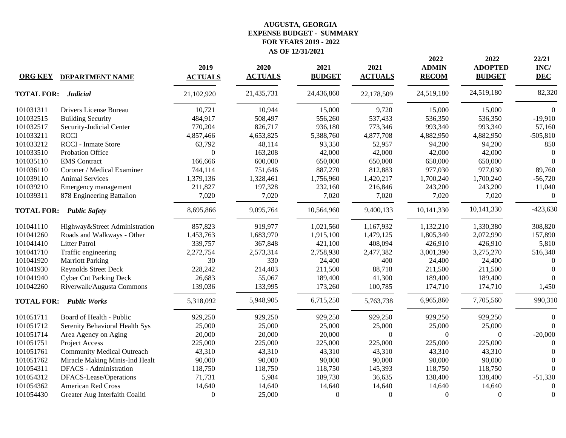# **FOR YEARS 2019 - 2022 AS OF 12/31/2021 EXPENSE BUDGET - SUMMARY AUGUSTA, GEORGIA**

| <b>ORG KEY</b>    | <b>DEPARTMENT NAME</b>            | 2019<br><b>ACTUALS</b> | 2020<br><b>ACTUALS</b> | 2021<br><b>BUDGET</b> | 2021<br><b>ACTUALS</b> | 2022<br><b>ADMIN</b><br><b>RECOM</b> | 2022<br><b>ADOPTED</b><br><b>BUDGET</b> | 22/21<br>INC/<br><b>DEC</b> |
|-------------------|-----------------------------------|------------------------|------------------------|-----------------------|------------------------|--------------------------------------|-----------------------------------------|-----------------------------|
| <b>TOTAL FOR:</b> | <b>Judicial</b>                   | 21,102,920             | 21,435,731             | 24,436,860            | 22,178,509             | 24,519,180                           | 24,519,180                              | 82,320                      |
| 101031311         | Drivers License Bureau            | 10,721                 | 10,944                 | 15,000                | 9,720                  | 15,000                               | 15,000                                  | $\Omega$                    |
| 101032515         | <b>Building Security</b>          | 484,917                | 508,497                | 556,260               | 537,433                | 536,350                              | 536,350                                 | $-19,910$                   |
| 101032517         | Security-Judicial Center          | 770,204                | 826,717                | 936,180               | 773,346                | 993,340                              | 993,340                                 | 57,160                      |
| 101033211         | <b>RCCI</b>                       | 4,857,466              | 4,653,825              | 5,388,760             | 4,877,708              | 4,882,950                            | 4,882,950                               | $-505,810$                  |
| 101033212         | <b>RCCI</b> - Inmate Store        | 63,792                 | 48,114                 | 93,350                | 52,957                 | 94,200                               | 94,200                                  | 850                         |
| 101033510         | Probation Office                  | $\Omega$               | 163,208                | 42,000                | 42,000                 | 42,000                               | 42,000                                  | $\overline{0}$              |
| 101035110         | <b>EMS</b> Contract               | 166,666                | 600,000                | 650,000               | 650,000                | 650,000                              | 650,000                                 | $\Omega$                    |
| 101036110         | Coroner / Medical Examiner        | 744,114                | 751,646                | 887,270               | 812,883                | 977,030                              | 977,030                                 | 89,760                      |
| 101039110         | <b>Animal Services</b>            | 1,379,136              | 1,328,461              | 1,756,960             | 1,420,217              | 1,700,240                            | 1,700,240                               | $-56,720$                   |
| 101039210         | Emergency management              | 211,827                | 197,328                | 232,160               | 216,846                | 243,200                              | 243,200                                 | 11,040                      |
| 101039311         | 878 Engineering Battalion         | 7,020                  | 7,020                  | 7,020                 | 7,020                  | 7,020                                | 7,020                                   | $\theta$                    |
| <b>TOTAL FOR:</b> | <b>Public Safety</b>              | 8,695,866              | 9,095,764              | 10,564,960            | 9,400,133              | 10,141,330                           | 10,141,330                              | $-423,630$                  |
| 101041110         | Highway&Street Administration     | 857,823                | 919,977                | 1,021,560             | 1,167,932              | 1,132,210                            | 1,330,380                               | 308,820                     |
| 101041260         | Roads and Walkways - Other        | 1,453,763              | 1,683,970              | 1,915,100             | 1,479,125              | 1,805,340                            | 2,072,990                               | 157,890                     |
| 101041410         | <b>Litter Patrol</b>              | 339,757                | 367,848                | 421,100               | 408,094                | 426,910                              | 426,910                                 | 5,810                       |
| 101041710         | Traffic engineering               | 2,272,754              | 2,573,314              | 2,758,930             | 2,477,382              | 3,001,390                            | 3,275,270                               | 516,340                     |
| 101041920         | <b>Marriott Parking</b>           | 30                     | 330                    | 24,400                | 400                    | 24,400                               | 24,400                                  | $\Omega$                    |
| 101041930         | <b>Reynolds Street Deck</b>       | 228,242                | 214,403                | 211,500               | 88,718                 | 211,500                              | 211,500                                 | $\Omega$                    |
| 101041940         | <b>Cyber Cnt Parking Deck</b>     | 26,683                 | 55,067                 | 189,400               | 41,300                 | 189,400                              | 189,400                                 | $\Omega$                    |
| 101042260         | Riverwalk/Augusta Commons         | 139,036                | 133,995                | 173,260               | 100,785                | 174,710                              | 174,710                                 | 1,450                       |
| <b>TOTAL FOR:</b> | <b>Public Works</b>               | 5,318,092              | 5,948,905              | 6,715,250             | 5,763,738              | 6,965,860                            | 7,705,560                               | 990,310                     |
| 101051711         | Board of Health - Public          | 929,250                | 929,250                | 929,250               | 929,250                | 929,250                              | 929,250                                 | $\Omega$                    |
| 101051712         | Serenity Behavioral Health Sys    | 25,000                 | 25,000                 | 25,000                | 25,000                 | 25,000                               | 25,000                                  | $\Omega$                    |
| 101051714         | Area Agency on Aging              | 20,000                 | 20,000                 | 20,000                | $\Omega$               | $\Omega$                             | $\Omega$                                | $-20,000$                   |
| 101051751         | Project Access                    | 225,000                | 225,000                | 225,000               | 225,000                | 225,000                              | 225,000                                 | $\Omega$                    |
| 101051761         | <b>Community Medical Outreach</b> | 43,310                 | 43,310                 | 43,310                | 43,310                 | 43,310                               | 43,310                                  | $\Omega$                    |
| 101051762         | Miracle Making Minis-Ind Healt    | 90,000                 | 90,000                 | 90,000                | 90,000                 | 90,000                               | 90,000                                  | $\Omega$                    |
| 101054311         | <b>DFACS</b> - Administration     | 118,750                | 118,750                | 118,750               | 145,393                | 118,750                              | 118,750                                 | 0                           |
| 101054312         | DFACS-Lease/Operations            | 71,731                 | 5,984                  | 189,730               | 36,635                 | 138,400                              | 138,400                                 | $-51,330$                   |
| 101054362         | <b>American Red Cross</b>         | 14,640                 | 14,640                 | 14,640                | 14,640                 | 14,640                               | 14,640                                  | $\Omega$                    |
| 101054430         | Greater Aug Interfaith Coaliti    | $\mathbf{0}$           | 25,000                 | $\mathbf{0}$          | $\Omega$               | $\boldsymbol{0}$                     | $\Omega$                                | $\theta$                    |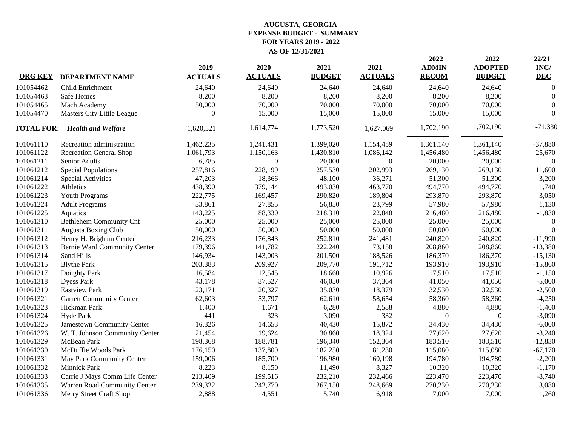|                |                                      | 2019             | 2020             | 2021          | 2021             | 2022<br><b>ADMIN</b> | 2022<br><b>ADOPTED</b> | 22/21<br>INC/    |
|----------------|--------------------------------------|------------------|------------------|---------------|------------------|----------------------|------------------------|------------------|
| <b>ORG KEY</b> | <b>DEPARTMENT NAME</b>               | <b>ACTUALS</b>   | <b>ACTUALS</b>   | <b>BUDGET</b> | <b>ACTUALS</b>   | <b>RECOM</b>         | <b>BUDGET</b>          | <b>DEC</b>       |
| 101054462      | Child Enrichment                     | 24,640           | 24,640           | 24,640        | 24,640           | 24,640               | 24,640                 | $\boldsymbol{0}$ |
| 101054463      | <b>Safe Homes</b>                    | 8,200            | 8,200            | 8,200         | 8,200            | 8,200                | 8,200                  | $\Omega$         |
| 101054465      | Mach Academy                         | 50,000           | 70,000           | 70,000        | 70,000           | 70,000               | 70,000                 | $\Omega$         |
| 101054470      | Masters City Little League           | $\boldsymbol{0}$ | 15,000           | 15,000        | 15,000           | 15,000               | 15,000                 | $\mathbf{0}$     |
|                | <b>TOTAL FOR: Health and Welfare</b> | 1,620,521        | 1,614,774        | 1,773,520     | 1,627,069        | 1,702,190            | 1,702,190              | $-71,330$        |
| 101061110      | Recreation administration            | 1,462,235        | 1,241,431        | 1,399,020     | 1,154,459        | 1,361,140            | 1,361,140              | $-37,880$        |
| 101061122      | <b>Recreation General Shop</b>       | 1,061,793        | 1,150,163        | 1,430,810     | 1,086,142        | 1,456,480            | 1,456,480              | 25,670           |
| 101061211      | Senior Adults                        | 6,785            | $\boldsymbol{0}$ | 20,000        | $\boldsymbol{0}$ | 20,000               | 20,000                 | $\Omega$         |
| 101061212      | <b>Special Populations</b>           | 257,816          | 228,199          | 257,530       | 202,993          | 269,130              | 269,130                | 11,600           |
| 101061214      | <b>Special Activities</b>            | 47,203           | 18,366           | 48,100        | 36,271           | 51,300               | 51,300                 | 3,200            |
| 101061222      | Athletics                            | 438,390          | 379,144          | 493,030       | 463,770          | 494,770              | 494,770                | 1,740            |
| 101061223      | Youth Programs                       | 222,775          | 169,457          | 290,820       | 189,804          | 293,870              | 293,870                | 3,050            |
| 101061224      | <b>Adult Programs</b>                | 33,861           | 27,855           | 56,850        | 23,799           | 57,980               | 57,980                 | 1,130            |
| 101061225      | Aquatics                             | 143,225          | 88,330           | 218,310       | 122,848          | 216,480              | 216,480                | $-1,830$         |
| 101061310      | <b>Bethlehem Community Cnt</b>       | 25,000           | 25,000           | 25,000        | 25,000           | 25,000               | 25,000                 | $\overline{0}$   |
| 101061311      | Augusta Boxing Club                  | 50,000           | 50,000           | 50,000        | 50,000           | 50,000               | 50,000                 | $\Omega$         |
| 101061312      | Henry H. Brigham Center              | 216,233          | 176,843          | 252,810       | 241,481          | 240,820              | 240,820                | $-11,990$        |
| 101061313      | Bernie Ward Community Center         | 179,396          | 141,782          | 222,240       | 173,158          | 208,860              | 208,860                | $-13,380$        |
| 101061314      | Sand Hills                           | 146,934          | 143,003          | 201,500       | 188,526          | 186,370              | 186,370                | $-15,130$        |
| 101061315      | <b>Blythe Park</b>                   | 203,383          | 209,927          | 209,770       | 191,712          | 193,910              | 193,910                | $-15,860$        |
| 101061317      | Doughty Park                         | 16,584           | 12,545           | 18,660        | 10,926           | 17,510               | 17,510                 | $-1,150$         |
| 101061318      | <b>Dyess Park</b>                    | 43,178           | 37,527           | 46,050        | 37,364           | 41,050               | 41,050                 | $-5,000$         |
| 101061319      | <b>Eastview Park</b>                 | 23,171           | 20,327           | 35,030        | 18,379           | 32,530               | 32,530                 | $-2,500$         |
| 101061321      | <b>Garrett Community Center</b>      | 62,603           | 53,797           | 62,610        | 58,654           | 58,360               | 58,360                 | $-4,250$         |
| 101061323      | Hickman Park                         | 1,400            | 1,671            | 6,280         | 2,588            | 4,880                | 4,880                  | $-1,400$         |
| 101061324      | Hyde Park                            | 441              | 323              | 3,090         | 332              | $\boldsymbol{0}$     | $\Omega$               | $-3,090$         |
| 101061325      | Jamestown Community Center           | 16,326           | 14,653           | 40,430        | 15,872           | 34,430               | 34,430                 | $-6,000$         |
| 101061326      | W. T. Johnson Community Center       | 21,454           | 19,624           | 30,860        | 18,324           | 27,620               | 27,620                 | $-3,240$         |
| 101061329      | McBean Park                          | 198,368          | 188,781          | 196,340       | 152,364          | 183,510              | 183,510                | $-12,830$        |
| 101061330      | McDuffie Woods Park                  | 176,150          | 137,809          | 182,250       | 81,230           | 115,080              | 115,080                | $-67,170$        |
| 101061331      | May Park Community Center            | 159,006          | 185,700          | 196,980       | 160,198          | 194,780              | 194,780                | $-2,200$         |
| 101061332      | Minnick Park                         | 8,223            | 8,150            | 11,490        | 8,327            | 10,320               | 10,320                 | $-1,170$         |
| 101061333      | Carrie J Mays Comm Life Center       | 213,409          | 199,516          | 232,210       | 232,466          | 223,470              | 223,470                | $-8,740$         |
| 101061335      | Warren Road Community Center         | 239,322          | 242,770          | 267,150       | 248,669          | 270,230              | 270,230                | 3,080            |
| 101061336      | Merry Street Craft Shop              | 2,888            | 4,551            | 5,740         | 6,918            | 7,000                | 7,000                  | 1,260            |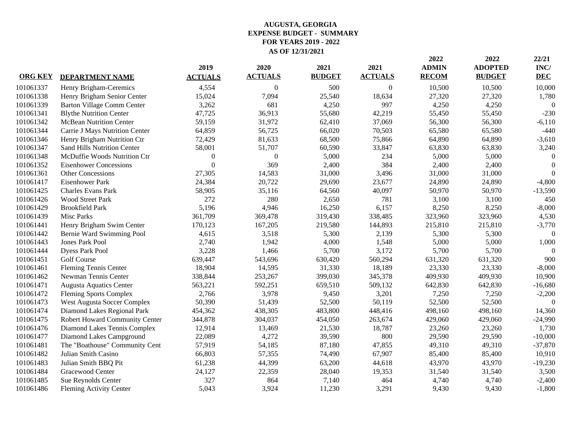|                |                                   | 2019           | 2020           | 2021          | 2021           | 2022<br><b>ADMIN</b> | 2022<br><b>ADOPTED</b> | 22/21<br>INC/    |
|----------------|-----------------------------------|----------------|----------------|---------------|----------------|----------------------|------------------------|------------------|
| <b>ORG KEY</b> | <b>DEPARTMENT NAME</b>            | <b>ACTUALS</b> | <b>ACTUALS</b> | <b>BUDGET</b> | <b>ACTUALS</b> | <b>RECOM</b>         | <b>BUDGET</b>          | <b>DEC</b>       |
| 101061337      | Henry Brigham-Ceremics            | 4,554          | $\Omega$       | 500           | $\theta$       | 10,500               | 10,500                 | 10,000           |
| 101061338      | Henry Brigham Senior Center       | 15,024         | 7,094          | 25,540        | 18,634         | 27,320               | 27,320                 | 1,780            |
| 101061339      | <b>Barton Village Comm Center</b> | 3,262          | 681            | 4,250         | 997            | 4,250                | 4,250                  | $\boldsymbol{0}$ |
| 101061341      | <b>Blythe Nutrition Center</b>    | 47,725         | 36,913         | 55,680        | 42,219         | 55,450               | 55,450                 | $-230$           |
| 101061342      | <b>McBean Nutrition Center</b>    | 59,159         | 31,972         | 62,410        | 37,069         | 56,300               | 56,300                 | $-6,110$         |
| 101061344      | Carrie J Mays Nutrition Center    | 64,859         | 56,725         | 66,020        | 70,503         | 65,580               | 65,580                 | $-440$           |
| 101061346      | Henry Brigham Nutrition Ctr       | 72,429         | 81,633         | 68,500        | 75,866         | 64,890               | 64,890                 | $-3,610$         |
| 101061347      | Sand Hills Nutrition Center       | 58,001         | 51,707         | 60,590        | 33,847         | 63,830               | 63,830                 | 3,240            |
| 101061348      | McDuffie Woods Nutrition Ctr      | $\overline{0}$ | $\Omega$       | 5,000         | 234            | 5,000                | 5,000                  | $\bigcap$        |
| 101061352      | <b>Eisenhower Concessions</b>     | $\overline{0}$ | 369            | 2,400         | 384            | 2,400                | 2,400                  | $\Omega$         |
| 101061361      | <b>Other Concessions</b>          | 27,305         | 14,583         | 31,000        | 3,496          | 31,000               | 31,000                 | $\Omega$         |
| 101061417      | <b>Eisenhower Park</b>            | 24,384         | 20,722         | 29,690        | 23,677         | 24,890               | 24,890                 | $-4,800$         |
| 101061425      | Charles Evans Park                | 58,905         | 35,116         | 64,560        | 40,097         | 50,970               | 50,970                 | $-13,590$        |
| 101061426      | <b>Wood Street Park</b>           | 272            | 280            | 2,650         | 781            | 3,100                | 3,100                  | 450              |
| 101061429      | <b>Brookfield Park</b>            | 5,196          | 4,946          | 16,250        | 6,157          | 8,250                | 8,250                  | $-8,000$         |
| 101061439      | <b>Misc Parks</b>                 | 361,709        | 369,478        | 319,430       | 338,485        | 323,960              | 323,960                | 4,530            |
| 101061441      | Henry Brigham Swim Center         | 170,123        | 167,205        | 219,580       | 144,893        | 215,810              | 215,810                | $-3,770$         |
| 101061442      | Bernie Ward Swimming Pool         | 4,615          | 3,518          | 5,300         | 2,139          | 5,300                | 5,300                  | $\theta$         |
| 101061443      | Jones Park Pool                   | 2,740          | 1,942          | 4,000         | 1,548          | 5,000                | 5,000                  | 1,000            |
| 101061444      | <b>Dyess Park Pool</b>            | 3,228          | 1,466          | 5,700         | 3,172          | 5,700                | 5,700                  | $\Omega$         |
| 101061451      | <b>Golf Course</b>                | 639,447        | 543,696        | 630,420       | 560,294        | 631,320              | 631,320                | 900              |
| 101061461      | <b>Fleming Tennis Center</b>      | 18,904         | 14,595         | 31,330        | 18,189         | 23,330               | 23,330                 | $-8,000$         |
| 101061462      | Newman Tennis Center              | 338,844        | 253,267        | 399,030       | 345,378        | 409,930              | 409,930                | 10,900           |
| 101061471      | <b>Augusta Aquatics Center</b>    | 563,221        | 592,251        | 659,510       | 509,132        | 642,830              | 642,830                | $-16,680$        |
| 101061472      | <b>Fleming Sports Complex</b>     | 2,766          | 3,978          | 9,450         | 3,201          | 7,250                | 7,250                  | $-2,200$         |
| 101061473      | West Augusta Soccer Complex       | 50,390         | 51,439         | 52,500        | 50,119         | 52,500               | 52,500                 | $\Omega$         |
| 101061474      | Diamond Lakes Regional Park       | 454,362        | 438,305        | 483,800       | 448,416        | 498,160              | 498,160                | 14,360           |
| 101061475      | Robert Howard Community Center    | 344,878        | 304,037        | 454,050       | 263,674        | 429,060              | 429,060                | $-24,990$        |
| 101061476      | Diamond Lakes Tennis Complex      | 12,914         | 13,469         | 21,530        | 18,787         | 23,260               | 23,260                 | 1,730            |
| 101061477      | Diamond Lakes Campground          | 22,089         | 4,272          | 39,590        | 800            | 29,590               | 29,590                 | $-10,000$        |
| 101061481      | The "Boathouse" Community Cent    | 57,919         | 54,185         | 87,180        | 47,855         | 49,310               | 49,310                 | $-37,870$        |
| 101061482      | Julian Smith Casino               | 66,803         | 57,355         | 74,490        | 67,907         | 85,400               | 85,400                 | 10,910           |
| 101061483      | Julian Smith BBQ Pit              | 61,238         | 44,399         | 63,200        | 44,618         | 43,970               | 43,970                 | $-19,230$        |
| 101061484      | Gracewood Center                  | 24,127         | 22,359         | 28,040        | 19,353         | 31,540               | 31,540                 | 3,500            |
| 101061485      | Sue Reynolds Center               | 327            | 864            | 7,140         | 464            | 4,740                | 4,740                  | $-2,400$         |
| 101061486      | <b>Fleming Activity Center</b>    | 5,043          | 3,924          | 11,230        | 3,291          | 9,430                | 9,430                  | $-1,800$         |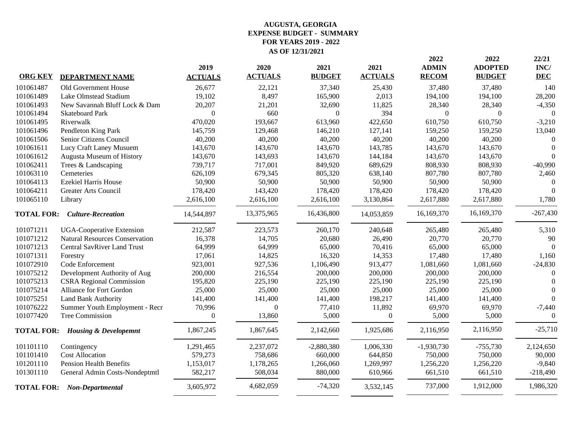|                   |                                             | 2019             | 2020           | 2021             | 2021           | 2022<br><b>ADMIN</b> | 2022<br><b>ADOPTED</b> | 22/21<br>INC/ |
|-------------------|---------------------------------------------|------------------|----------------|------------------|----------------|----------------------|------------------------|---------------|
| <b>ORG KEY</b>    | <b>DEPARTMENT NAME</b>                      | <b>ACTUALS</b>   | <b>ACTUALS</b> | <b>BUDGET</b>    | <b>ACTUALS</b> | <b>RECOM</b>         | <b>BUDGET</b>          | <b>DEC</b>    |
| 101061487         | Old Government House                        | 26,677           | 22,121         | 37,340           | 25,430         | 37,480               | 37,480                 | 140           |
| 101061489         | Lake Olmstead Stadium                       | 19,102           | 8,497          | 165,900          | 2,013          | 194,100              | 194,100                | 28,200        |
| 101061493         | New Savannah Bluff Lock & Dam               | 20,207           | 21,201         | 32,690           | 11,825         | 28,340               | 28,340                 | $-4,350$      |
| 101061494         | <b>Skateboard Park</b>                      | $\boldsymbol{0}$ | 660            | $\boldsymbol{0}$ | 394            | $\Omega$             | $\Omega$               | $\Omega$      |
| 101061495         | Riverwalk                                   | 470,020          | 193,667        | 613,960          | 422,650        | 610,750              | 610,750                | $-3,210$      |
| 101061496         | Pendleton King Park                         | 145,759          | 129,468        | 146,210          | 127,141        | 159,250              | 159,250                | 13,040        |
| 101061506         | Senior Citizens Council                     | 40,200           | 40,200         | 40,200           | 40,200         | 40,200               | 40,200                 | $\theta$      |
| 101061611         | Lucy Craft Laney Musuem                     | 143,670          | 143,670        | 143,670          | 143,785        | 143,670              | 143,670                | $\theta$      |
| 101061612         | Augusta Museum of History                   | 143,670          | 143,693        | 143,670          | 144,184        | 143,670              | 143,670                | $\Omega$      |
| 101062411         | Trees & Landscaping                         | 739,717          | 717,001        | 849,920          | 689,629        | 808,930              | 808,930                | $-40,990$     |
| 101063110         | Cemeteries                                  | 626,109          | 679,345        | 805,320          | 638,140        | 807,780              | 807,780                | 2,460         |
| 101064113         | <b>Ezekiel Harris House</b>                 | 50,900           | 50,900         | 50,900           | 50,900         | 50,900               | 50,900                 | $\bigcap$     |
| 101064211         | <b>Greater Arts Council</b>                 | 178,420          | 143,420        | 178,420          | 178,420        | 178,420              | 178,420                | $\Omega$      |
| 101065110         | Library                                     | 2,616,100        | 2,616,100      | 2,616,100        | 3,130,864      | 2,617,880            | 2,617,880              | 1,780         |
| <b>TOTAL FOR:</b> | <b>Culture-Recreation</b>                   | 14,544,897       | 13,375,965     | 16,436,800       | 14,053,859     | 16,169,370           | 16,169,370             | $-267,430$    |
| 101071211         | <b>UGA-Cooperative Extension</b>            | 212,587          | 223,573        | 260,170          | 240,648        | 265,480              | 265,480                | 5,310         |
| 101071212         | <b>Natural Resources Conservation</b>       | 16,378           | 14,705         | 20,680           | 26,490         | 20,770               | 20,770                 | 90            |
| 101071213         | <b>Central SavRiver Land Trust</b>          | 64,999           | 64,999         | 65,000           | 70,416         | 65,000               | 65,000                 | $\theta$      |
| 101071311         | Forestry                                    | 17,061           | 14,825         | 16,320           | 14,353         | 17,480               | 17,480                 | 1,160         |
| 101072910         | Code Enforcement                            | 923,001          | 927,536        | 1,106,490        | 913,477        | 1,081,660            | 1,081,660              | $-24,830$     |
| 101075212         | Development Authority of Aug                | 200,000          | 216,554        | 200,000          | 200,000        | 200,000              | 200,000                | $\theta$      |
| 101075213         | <b>CSRA</b> Regional Commission             | 195,820          | 225,190        | 225,190          | 225,190        | 225,190              | 225,190                | $\theta$      |
| 101075214         | Alliance for Fort Gordon                    | 25,000           | 25,000         | 25,000           | 25,000         | 25,000               | 25,000                 | $\theta$      |
| 101075251         | Land Bank Authority                         | 141,400          | 141,400        | 141,400          | 198,217        | 141,400              | 141,400                | $\theta$      |
| 101076222         | Summer Youth Employment - Recr              | 70,996           | $\overline{0}$ | 77,410           | 11,892         | 69,970               | 69,970                 | $-7,440$      |
| 101077420         | Tree Commission                             | $\boldsymbol{0}$ | 13,860         | 5,000            | $\mathbf{0}$   | 5,000                | 5,000                  | $\Omega$      |
|                   | <b>TOTAL FOR: Housing &amp; Developemnt</b> | 1,867,245        | 1,867,645      | 2,142,660        | 1,925,686      | 2,116,950            | 2,116,950              | $-25,710$     |
| 101101110         | Contingency                                 | 1,291,465        | 2,237,072      | $-2,880,380$     | 1,006,330      | $-1,930,730$         | $-755,730$             | 2,124,650     |
| 101101410         | <b>Cost Allocation</b>                      | 579,273          | 758,686        | 660,000          | 644,850        | 750,000              | 750,000                | 90,000        |
| 101201110         | <b>Pension Health Benefits</b>              | 1,153,017        | 1,178,265      | 1,266,060        | 1,269,997      | 1,256,220            | 1,256,220              | $-9,840$      |
| 101301110         | General Admin Costs-Nondeptmtl              | 582,217          | 508,034        | 880,000          | 610,966        | 661,510              | 661,510                | $-218,490$    |
|                   | <b>TOTAL FOR: Non-Departmental</b>          | 3,605,972        | 4,682,059      | $-74,320$        | 3,532,145      | 737,000              | 1,912,000              | 1,986,320     |
|                   |                                             |                  |                |                  |                |                      |                        |               |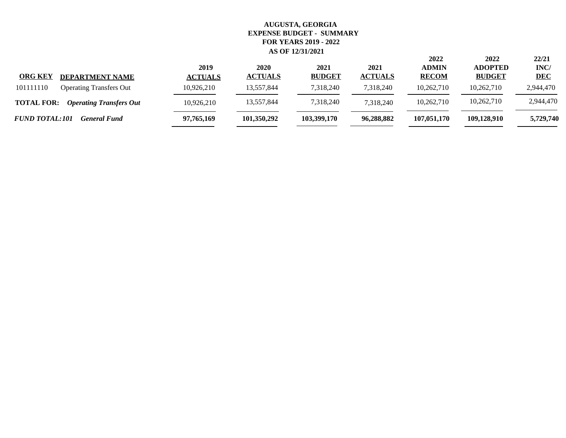| <b>ORG KEY</b><br><b>DEPARTMENT NAME</b>            | 2019<br><b>ACTUALS</b> | 2020<br><b>ACTUALS</b> | 2021<br><b>BUDGET</b> | 2021<br><b>ACTUALS</b> | 2022<br><b>ADMIN</b><br><b>RECOM</b> | 2022<br><b>ADOPTED</b><br><b>BUDGET</b> | 22/21<br>INC/<br><b>DEC</b> |
|-----------------------------------------------------|------------------------|------------------------|-----------------------|------------------------|--------------------------------------|-----------------------------------------|-----------------------------|
| 101111110<br><b>Operating Transfers Out</b>         | 10,926,210             | 13,557,844             | 7,318,240             | 7,318,240              | 10,262,710                           | 10,262,710                              | 2,944,470                   |
| <b>TOTAL FOR:</b><br><b>Operating Transfers Out</b> | 10,926,210             | 13,557,844             | 7,318,240             | 7.318.240              | 10,262,710                           | 10,262,710                              | 2,944,470                   |
| <b>FUND TOTAL:101</b><br><b>General Fund</b>        | 97,765,169             | 101,350,292            | 103,399,170           | 96,288,882             | 107,051,170                          | 109,128,910                             | 5,729,740                   |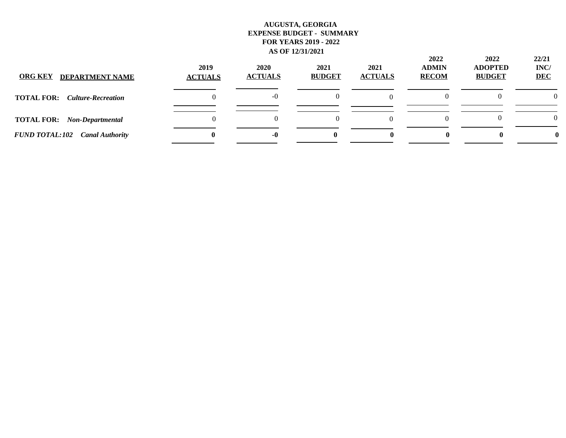| <b>ORG KEY</b><br><b>DEPARTMENT NAME</b>    | 2019<br><b>ACTUALS</b> | 2020<br><b>ACTUALS</b> | 2021<br><b>BUDGET</b> | 2021<br><b>ACTUALS</b> | 2022<br><b>ADMIN</b><br><b>RECOM</b> | 2022<br><b>ADOPTED</b><br><b>BUDGET</b> | 22/21<br>INC/<br><b>DEC</b> |
|---------------------------------------------|------------------------|------------------------|-----------------------|------------------------|--------------------------------------|-----------------------------------------|-----------------------------|
| <b>TOTAL FOR:</b> <i>Culture-Recreation</i> |                        | $-0$                   | 0                     |                        |                                      |                                         | $\Omega$                    |
| <b>TOTAL FOR:</b> Non-Departmental          |                        |                        | 0                     |                        |                                      |                                         | $\theta$                    |
| <b>FUND TOTAL:102</b> Canal Authority       |                        | -0                     |                       |                        |                                      |                                         |                             |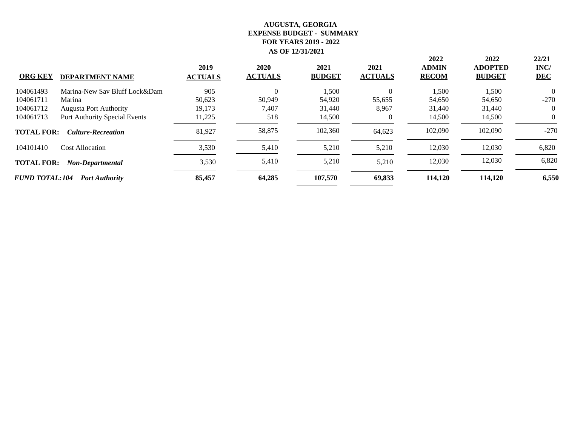|                       |                               |                        |                        |                       |                        | 2022                         | 2022                            | 22/21              |
|-----------------------|-------------------------------|------------------------|------------------------|-----------------------|------------------------|------------------------------|---------------------------------|--------------------|
| <b>ORG KEY</b>        | <b>DEPARTMENT NAME</b>        | 2019<br><b>ACTUALS</b> | 2020<br><b>ACTUALS</b> | 2021<br><b>BUDGET</b> | 2021<br><b>ACTUALS</b> | <b>ADMIN</b><br><b>RECOM</b> | <b>ADOPTED</b><br><b>BUDGET</b> | INC/<br><b>DEC</b> |
| 104061493             | Marina-New Sav Bluff Lock&Dam | 905                    | 0                      | 1,500                 | $\theta$               | 1,500                        | 1,500                           | $\Omega$           |
| 104061711             | Marina                        | 50,623                 | 50,949                 | 54,920                | 55,655                 | 54,650                       | 54,650                          | $-270$             |
| 104061712             | <b>Augusta Port Authority</b> | 19,173                 | 7,407                  | 31,440                | 8,967                  | 31,440                       | 31,440                          |                    |
| 104061713             | Port Authority Special Events | 11,225                 | 518                    | 14,500                | $\theta$               | 14,500                       | 14,500                          | 0                  |
| <b>TOTAL FOR:</b>     | <b>Culture-Recreation</b>     | 81,927                 | 58,875                 | 102,360               | 64,623                 | 102,090                      | 102,090                         | $-270$             |
| 104101410             | <b>Cost Allocation</b>        | 3,530                  | 5,410                  | 5,210                 | 5,210                  | 12,030                       | 12,030                          | 6,820              |
| <b>TOTAL FOR:</b>     | <b>Non-Departmental</b>       | 3,530                  | 5,410                  | 5,210                 | 5,210                  | 12,030                       | 12,030                          | 6,820              |
| <b>FUND TOTAL:104</b> | <b>Port Authority</b>         | 85,457                 | 64,285                 | 107,570               | 69,833                 | 114,120                      | 114,120                         | 6,550              |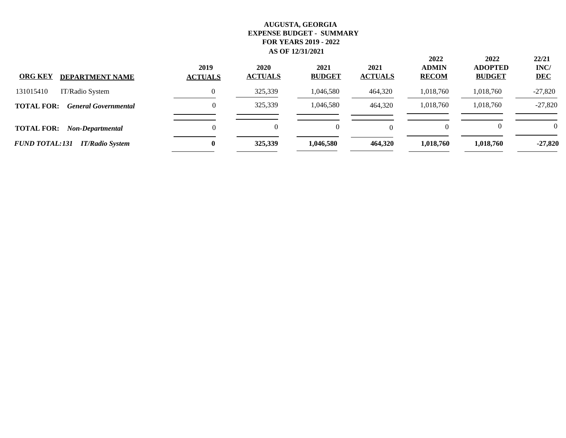| <b>ORG KEY</b><br><b>DEPARTMENT NAME</b>         | 2019<br><b>ACTUALS</b> | 2020<br><b>ACTUALS</b> | 2021<br><b>BUDGET</b> | 2021<br><b>ACTUALS</b> | 2022<br><b>ADMIN</b><br><b>RECOM</b> | 2022<br><b>ADOPTED</b><br><b>BUDGET</b> | 22/21<br>INC/<br><b>DEC</b> |
|--------------------------------------------------|------------------------|------------------------|-----------------------|------------------------|--------------------------------------|-----------------------------------------|-----------------------------|
| 131015410<br>IT/Radio System                     |                        | 325,339                | 1,046,580             | 464,320                | 1,018,760                            | 1,018,760                               | $-27,820$                   |
| <b>TOTAL FOR:</b><br><b>General Governmental</b> | 0                      | 325,339                | 1,046,580             | 464,320                | 1,018,760                            | 1,018,760                               | $-27,820$                   |
| <b>TOTAL FOR:</b><br>Non-Departmental            | 0                      | $\Omega$               |                       |                        |                                      |                                         | $\theta$                    |
| <b>FUND TOTAL:131</b><br><b>IT/Radio System</b>  | $\bf{0}$               | 325,339                | 1,046,580             | 464,320                | 1,018,760                            | 1,018,760                               | $-27,820$                   |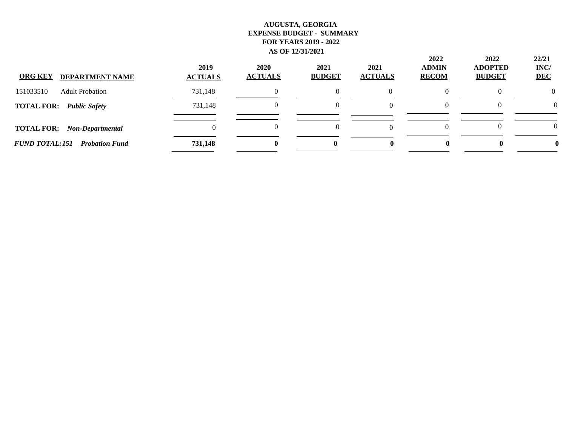| <b>ORG KEY</b><br><b>DEPARTMENT NAME</b>       | 2019<br><b>ACTUALS</b> | 2020<br><b>ACTUALS</b> | 2021<br><b>BUDGET</b> | 2021<br><b>ACTUALS</b> | 2022<br><b>ADMIN</b><br><b>RECOM</b> | 2022<br><b>ADOPTED</b><br><b>BUDGET</b> | 22/21<br>INC/<br><b>DEC</b> |
|------------------------------------------------|------------------------|------------------------|-----------------------|------------------------|--------------------------------------|-----------------------------------------|-----------------------------|
| 151033510<br><b>Adult Probation</b>            | 731,148                |                        |                       |                        |                                      |                                         | $\Omega$                    |
| <b>TOTAL FOR: Public Safety</b>                | 731,148                |                        |                       |                        |                                      |                                         | $\Omega$                    |
| <b>TOTAL FOR:</b><br><b>Non-Departmental</b>   |                        |                        |                       |                        |                                      |                                         | $\Omega$                    |
| <b>FUND TOTAL:151</b><br><b>Probation Fund</b> | 731,148                | 0                      | $\mathbf{0}$          |                        |                                      | 0                                       |                             |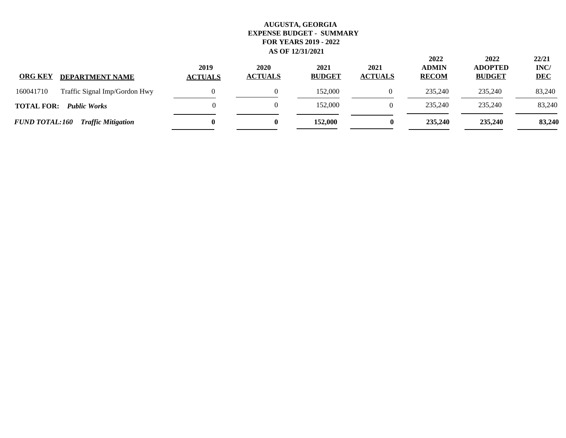| <b>ORG KEY</b><br><b>DEPARTMENT NAME</b>           | 2019<br><b>ACTUALS</b> | 2020<br><b>ACTUALS</b> | 2021<br><b>BUDGET</b> | 2021<br><b>ACTUALS</b> | 2022<br><b>ADMIN</b><br><b>RECOM</b> | 2022<br><b>ADOPTED</b><br><b>BUDGET</b> | 22/21<br>INC/<br><b>DEC</b> |
|----------------------------------------------------|------------------------|------------------------|-----------------------|------------------------|--------------------------------------|-----------------------------------------|-----------------------------|
| 160041710<br>Traffic Signal Imp/Gordon Hwy         |                        |                        | 152,000               |                        | 235,240                              | 235,240                                 | 83,240                      |
| <b>TOTAL FOR:</b><br><b>Public Works</b>           |                        |                        | 152,000               |                        | 235,240                              | 235,240                                 | 83,240                      |
| <b>FUND TOTAL:160</b><br><b>Traffic Mitigation</b> |                        | 0                      | 152,000               | 0                      | 235,240                              | 235,240                                 | 83,240                      |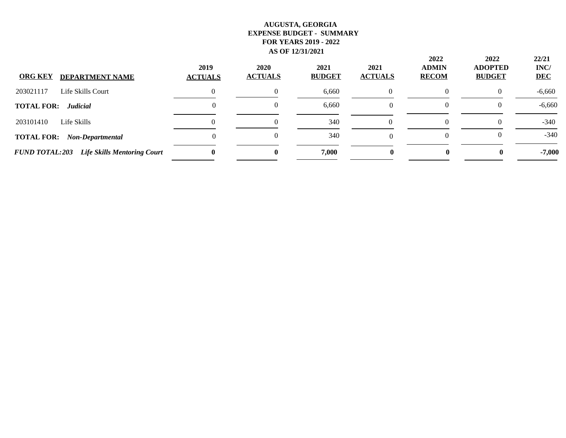| <b>ORG KEY</b><br><b>DEPARTMENT NAME</b>                    | 2019<br><b>ACTUALS</b> | <b>2020</b><br><b>ACTUALS</b> | 2021<br><b>BUDGET</b> | 2021<br><b>ACTUALS</b> | 2022<br><b>ADMIN</b><br><b>RECOM</b> | 2022<br><b>ADOPTED</b><br><b>BUDGET</b> | 22/21<br>INC/<br><b>DEC</b> |
|-------------------------------------------------------------|------------------------|-------------------------------|-----------------------|------------------------|--------------------------------------|-----------------------------------------|-----------------------------|
| Life Skills Court<br>203021117                              |                        |                               | 6,660                 |                        |                                      | ()                                      | $-6,660$                    |
| <b>TOTAL FOR:</b><br><b>Judicial</b>                        |                        |                               | 6,660                 | $\Omega$               |                                      |                                         | $-6,660$                    |
| Life Skills<br>203101410                                    |                        |                               | 340                   |                        |                                      |                                         | $-340$                      |
| <b>TOTAL FOR:</b><br><b>Non-Departmental</b>                |                        |                               | 340                   | $\Omega$               |                                      |                                         | $-340$                      |
| <b>FUND TOTAL:203</b><br><b>Life Skills Mentoring Court</b> |                        | o                             | 7,000                 |                        | 0                                    |                                         | $-7,000$                    |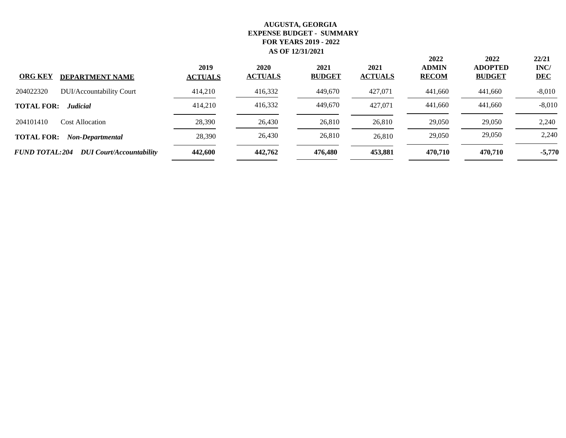| <b>ORG KEY</b><br><b>DEPARTMENT NAME</b>                 | 2019<br><b>ACTUALS</b> | 2020<br><b>ACTUALS</b> | 2021<br><b>BUDGET</b> | 2021<br><b>ACTUALS</b> | 2022<br><b>ADMIN</b><br><b>RECOM</b> | 2022<br><b>ADOPTED</b><br><b>BUDGET</b> | 22/21<br>INC/<br><b>DEC</b> |
|----------------------------------------------------------|------------------------|------------------------|-----------------------|------------------------|--------------------------------------|-----------------------------------------|-----------------------------|
| 204022320<br>DUI/Accountability Court                    | 414,210                | 416,332                | 449,670               | 427,071                | 441,660                              | 441,660                                 | $-8,010$                    |
| <b>TOTAL FOR:</b><br><b>Judicial</b>                     | 414,210                | 416,332                | 449,670               | 427,071                | 441,660                              | 441,660                                 | $-8,010$                    |
| 204101410<br><b>Cost Allocation</b>                      | 28,390                 | 26,430                 | 26,810                | 26,810                 | 29,050                               | 29,050                                  | 2,240                       |
| <b>TOTAL FOR:</b><br>Non-Departmental                    | 28,390                 | 26,430                 | 26,810                | 26,810                 | 29,050                               | 29,050                                  | 2,240                       |
| <b>FUND TOTAL:204</b><br><b>DUI</b> Court/Accountability | 442,600                | 442,762                | 476,480               | 453,881                | 470.710                              | 470,710                                 | $-5,770$                    |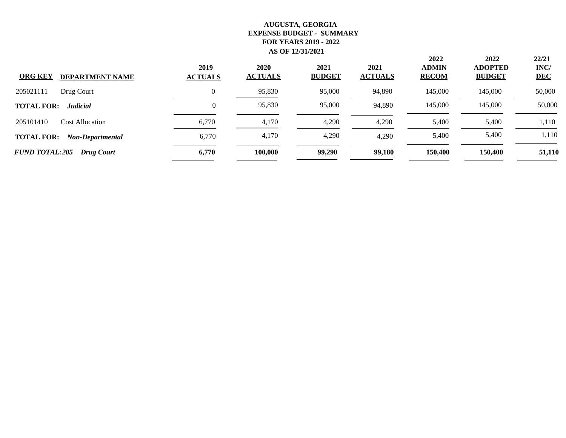| <b>ORG KEY</b><br><b>DEPARTMENT NAME</b>   | 2019<br><b>ACTUALS</b> | <b>2020</b><br><b>ACTUALS</b> | 2021<br><b>BUDGET</b> | 2021<br><b>ACTUALS</b> | 2022<br><b>ADMIN</b><br><b>RECOM</b> | 2022<br><b>ADOPTED</b><br><b>BUDGET</b> | 22/21<br>INC/<br><b>DEC</b> |
|--------------------------------------------|------------------------|-------------------------------|-----------------------|------------------------|--------------------------------------|-----------------------------------------|-----------------------------|
| 205021111<br>Drug Court                    | $\Omega$               | 95,830                        | 95,000                | 94,890                 | 145,000                              | 145,000                                 | 50,000                      |
| <b>TOTAL FOR:</b><br><b>Judicial</b>       | $\Omega$               | 95,830                        | 95,000                | 94.890                 | 145,000                              | 145,000                                 | 50,000                      |
| 205101410<br><b>Cost Allocation</b>        | 6,770                  | 4,170                         | 4,290                 | 4,290                  | 5,400                                | 5,400                                   | 1,110                       |
| <b>TOTAL FOR:</b><br>Non-Departmental      | 6,770                  | 4,170                         | 4,290                 | 4,290                  | 5,400                                | 5,400                                   | 1,110                       |
| <b>FUND TOTAL:205</b><br><b>Drug Court</b> | 6,770                  | 100,000                       | 99,290                | 99,180                 | 150,400                              | 150,400                                 | 51,110                      |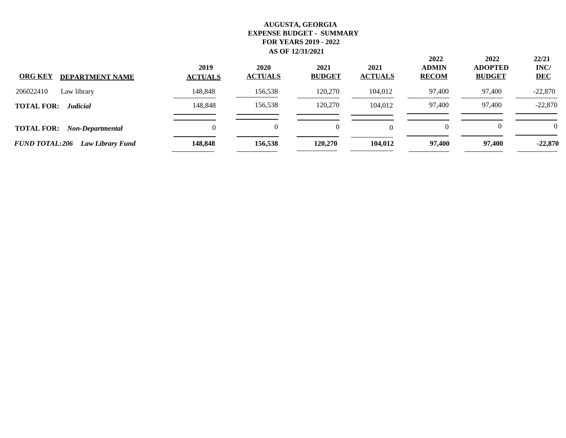| <b>ORG KEY</b><br><b>DEPARTMENT NAME</b>         | 2019<br><b>ACTUALS</b> | 2020<br><b>ACTUALS</b> | 2021<br><b>BUDGET</b> | 2021<br><b>ACTUALS</b> | 2022<br><b>ADMIN</b><br><b>RECOM</b> | 2022<br><b>ADOPTED</b><br><b>BUDGET</b> | 22/21<br>INC/<br><b>DEC</b> |
|--------------------------------------------------|------------------------|------------------------|-----------------------|------------------------|--------------------------------------|-----------------------------------------|-----------------------------|
| 206022410<br>Law library                         | 148,848                | 156,538                | 120,270               | 104,012                | 97,400                               | 97,400                                  | $-22,870$                   |
| <b>TOTAL FOR:</b><br><b>Judicial</b>             | 148,848                | 156,538                | 120,270               | 104,012                | 97,400                               | 97,400                                  | $-22,870$                   |
| <b>TOTAL FOR:</b><br><b>Non-Departmental</b>     | 0                      | 0                      | $\theta$              |                        | $\Omega$                             |                                         | $\Omega$                    |
| <b>FUND TOTAL:206</b><br><b>Law Library Fund</b> | 148,848                | 156,538                | 120,270               | 104.012                | 97,400                               | 97.400                                  | $-22,870$                   |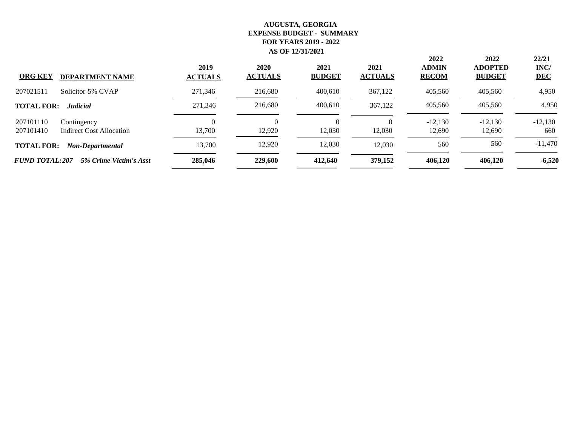| <b>ORG KEY</b><br><b>DEPARTMENT NAME</b>                          | 2019<br><b>ACTUALS</b> | 2020<br><b>ACTUALS</b> | 2021<br><b>BUDGET</b> | 2021<br><b>ACTUALS</b> | 2022<br><b>ADMIN</b><br><b>RECOM</b> | 2022<br><b>ADOPTED</b><br><b>BUDGET</b> | 22/21<br>INC/<br><b>DEC</b> |
|-------------------------------------------------------------------|------------------------|------------------------|-----------------------|------------------------|--------------------------------------|-----------------------------------------|-----------------------------|
| 207021511<br>Solicitor-5% CVAP                                    | 271,346                | 216,680                | 400,610               | 367,122                | 405,560                              | 405,560                                 | 4,950                       |
| <b>TOTAL FOR:</b><br><b>Judicial</b>                              | 271,346                | 216,680                | 400,610               | 367,122                | 405,560                              | 405,560                                 | 4,950                       |
|                                                                   |                        |                        |                       |                        |                                      |                                         |                             |
| 207101110<br>Contingency<br>207101410<br>Indirect Cost Allocation | 13,700                 | 0<br>12.920            | $\theta$<br>12,030    | $\Omega$<br>12,030     | $-12,130$<br>12,690                  | $-12,130$<br>12,690                     | $-12,130$<br>660            |
| <b>TOTAL FOR:</b><br>Non-Departmental                             | 13,700                 | 12,920                 | 12,030                | 12,030                 | 560                                  | 560                                     | $-11,470$                   |
| <b>FUND TOTAL:207</b><br>5% Crime Victim's Asst                   | 285,046                | 229,600                | 412,640               | 379,152                | 406,120                              | 406,120                                 | $-6,520$                    |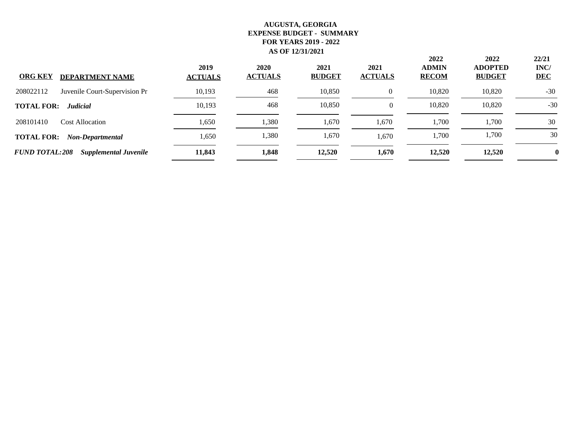| <b>ORG KEY</b><br><b>DEPARTMENT NAME</b>              | 2019<br><b>ACTUALS</b> | 2020<br><b>ACTUALS</b> | 2021<br><b>BUDGET</b> | 2021<br><b>ACTUALS</b> | 2022<br><b>ADMIN</b><br><b>RECOM</b> | 2022<br><b>ADOPTED</b><br><b>BUDGET</b> | 22/21<br>INC/<br><b>DEC</b> |
|-------------------------------------------------------|------------------------|------------------------|-----------------------|------------------------|--------------------------------------|-----------------------------------------|-----------------------------|
| 208022112<br>Juvenile Court-Supervision Pr            | 10,193                 | 468                    | 10,850                | $\overline{0}$         | 10.820                               | 10,820                                  | $-30$                       |
| <b>TOTAL FOR:</b><br><b>Judicial</b>                  | 10,193                 | 468                    | 10,850                | $\theta$               | 10,820                               | 10,820                                  | $-30$                       |
| 208101410<br><b>Cost Allocation</b>                   | 1,650                  | 1,380                  | 1,670                 | 1,670                  | 1,700                                | 1,700                                   | 30                          |
| <b>TOTAL FOR:</b><br>Non-Departmental                 | 1,650                  | 1,380                  | 1,670                 | 1.670                  | 1,700                                | 1,700                                   | 30                          |
| <b>FUND TOTAL:208</b><br><b>Supplemental Juvenile</b> | 11,843                 | 1,848                  | 12,520                | 1,670                  | 12,520                               | 12,520                                  | 0                           |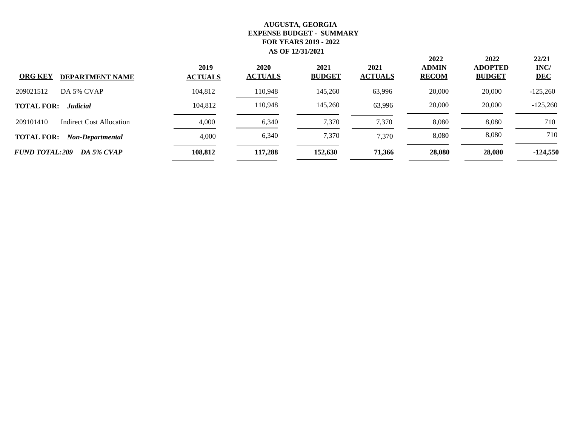| <b>ORG KEY</b><br><b>DEPARTMENT NAME</b> | 2019<br><b>ACTUALS</b> | 2020<br><b>ACTUALS</b> | 2021<br><b>BUDGET</b> | 2021<br><b>ACTUALS</b> | 2022<br><b>ADMIN</b><br><b>RECOM</b> | 2022<br><b>ADOPTED</b><br><b>BUDGET</b> | 22/21<br>INC/<br><b>DEC</b> |
|------------------------------------------|------------------------|------------------------|-----------------------|------------------------|--------------------------------------|-----------------------------------------|-----------------------------|
| DA 5% CVAP<br>209021512                  | 104,812                | 110,948                | 145,260               | 63,996                 | 20,000                               | 20,000                                  | $-125,260$                  |
| <b>TOTAL FOR:</b><br><b>Judicial</b>     | 104,812                | 110,948                | 145,260               | 63.996                 | 20,000                               | 20,000                                  | $-125,260$                  |
| 209101410<br>Indirect Cost Allocation    | 4,000                  | 6,340                  | 7,370                 | 7,370                  | 8,080                                | 8,080                                   | 710                         |
| <b>TOTAL FOR:</b><br>Non-Departmental    | 4,000                  | 6,340                  | 7,370                 | 7,370                  | 8,080                                | 8,080                                   | 710                         |
| <b>FUND TOTAL:209</b><br>DA 5% CVAP      | 108,812                | 117,288                | 152,630               | 71.366                 | 28,080                               | 28,080                                  | $-124,550$                  |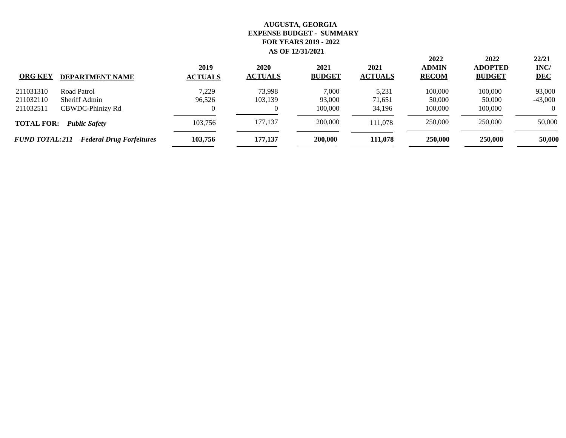| <b>ORG KEY</b>        | <b>DEPARTMENT NAME</b>          | 2019<br><b>ACTUALS</b> | 2020<br><b>ACTUALS</b> | 2021<br><b>BUDGET</b> | 2021<br><b>ACTUALS</b> | 2022<br><b>ADMIN</b><br><b>RECOM</b> | 2022<br><b>ADOPTED</b><br><b>BUDGET</b> | 22/21<br>INC/<br><b>DEC</b> |
|-----------------------|---------------------------------|------------------------|------------------------|-----------------------|------------------------|--------------------------------------|-----------------------------------------|-----------------------------|
| 211031310             | Road Patrol                     | 7.229                  | 73,998                 | 7,000                 | 5,231                  | 100,000                              | 100,000                                 | 93,000                      |
| 211032110             | Sheriff Admin                   | 96.526                 | 103,139                | 93,000                | 71,651                 | 50,000                               | 50,000                                  | $-43,000$                   |
| 211032511             | CBWDC-Phinizy Rd                |                        |                        | 100,000               | 34,196                 | 100,000                              | 100,000                                 | $\Omega$                    |
| <b>TOTAL FOR:</b>     | <b>Public Safety</b>            | 103.756                | 177.137                | 200,000               | 111.078                | 250,000                              | 250,000                                 | 50,000                      |
| <b>FUND TOTAL:211</b> | <b>Federal Drug Forfeitures</b> | 103,756                | 177,137                | 200,000               | 111,078                | 250,000                              | 250,000                                 | 50,000                      |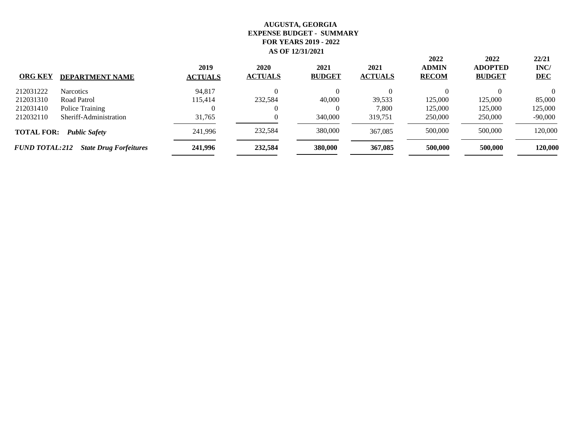| <b>ORG KEY</b>        | <b>DEPARTMENT NAME</b>        | 2019<br><b>ACTUALS</b> | 2020<br><b>ACTUALS</b> | 2021<br><b>BUDGET</b> | 2021<br><b>ACTUALS</b> | 2022<br><b>ADMIN</b><br><b>RECOM</b> | 2022<br><b>ADOPTED</b><br><b>BUDGET</b> | 22/21<br>INC/<br><b>DEC</b> |
|-----------------------|-------------------------------|------------------------|------------------------|-----------------------|------------------------|--------------------------------------|-----------------------------------------|-----------------------------|
| 212031222             | <b>Narcotics</b>              | 94.817                 |                        | $\Omega$              |                        |                                      |                                         | $\Omega$                    |
| 212031310             | Road Patrol                   | 115,414                | 232,584                | 40,000                | 39,533                 | 125,000                              | 125,000                                 | 85,000                      |
| 212031410             | Police Training               |                        |                        | $\theta$              | 7,800                  | 125,000                              | 125,000                                 | 125,000                     |
| 212032110             | Sheriff-Administration        | 31,765                 |                        | 340,000               | 319.751                | 250,000                              | 250,000                                 | $-90,000$                   |
| <b>TOTAL FOR:</b>     | <b>Public Safety</b>          | 241,996                | 232,584                | 380,000               | 367,085                | 500,000                              | 500,000                                 | 120,000                     |
| <b>FUND TOTAL:212</b> | <b>State Drug Forfeitures</b> | 241,996                | 232,584                | 380,000               | 367,085                | 500,000                              | 500,000                                 | 120,000                     |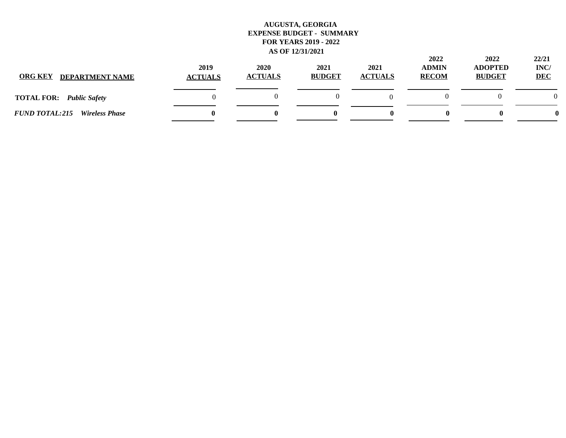| <b>ORG KEY</b><br><b>DEPARTMENT NAME</b>       | 2019<br><b>ACTUALS</b> | 2020<br><b>ACTUALS</b> | 2021<br><b>BUDGET</b> | 2021<br><b>ACTUALS</b> | 2022<br><b>ADMIN</b><br><b>RECOM</b> | 2022<br><b>ADOPTED</b><br><b>BUDGET</b> | 22/21<br>INC/<br><b>DEC</b> |
|------------------------------------------------|------------------------|------------------------|-----------------------|------------------------|--------------------------------------|-----------------------------------------|-----------------------------|
| <b>TOTAL FOR:</b><br><b>Public Safety</b>      |                        |                        |                       |                        |                                      |                                         | $\Omega$                    |
| <b>FUND TOTAL:215</b><br><b>Wireless Phase</b> |                        |                        |                       |                        |                                      | o                                       |                             |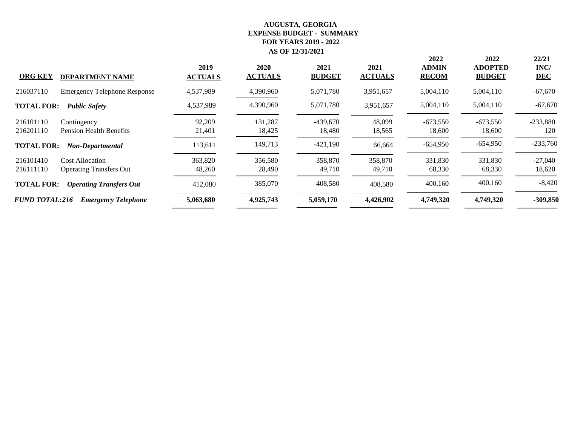| <b>ORG KEY</b>        | <b>DEPARTMENT NAME</b>              | 2019<br><b>ACTUALS</b> | 2020<br><b>ACTUALS</b> | 2021<br><b>BUDGET</b> | 2021<br><b>ACTUALS</b> | 2022<br><b>ADMIN</b><br><b>RECOM</b> | 2022<br><b>ADOPTED</b><br><b>BUDGET</b> | 22/21<br>INC/<br><b>DEC</b> |
|-----------------------|-------------------------------------|------------------------|------------------------|-----------------------|------------------------|--------------------------------------|-----------------------------------------|-----------------------------|
|                       |                                     |                        |                        |                       |                        |                                      |                                         |                             |
| 216037110             | <b>Emergency Telephone Response</b> | 4,537,989              | 4,390,960              | 5,071,780             | 3,951,657              | 5,004,110                            | 5,004,110                               | $-67,670$                   |
| <b>TOTAL FOR:</b>     | <b>Public Safety</b>                | 4,537,989              | 4,390,960              | 5,071,780             | 3,951,657              | 5,004,110                            | 5,004,110                               | $-67,670$                   |
| 216101110             | Contingency                         | 92,209                 | 131,287                | $-439,670$            | 48,099                 | $-673,550$                           | $-673,550$                              | $-233,880$                  |
| 216201110             | <b>Pension Health Benefits</b>      | 21,401                 | 18,425                 | 18,480                | 18,565                 | 18,600                               | 18,600                                  | 120                         |
| <b>TOTAL FOR:</b>     | <b>Non-Departmental</b>             | 113,611                | 149,713                | $-421,190$            | 66,664                 | $-654,950$                           | $-654,950$                              | $-233,760$                  |
| 216101410             | <b>Cost Allocation</b>              | 363,820                | 356,580                | 358,870               | 358,870                | 331,830                              | 331,830                                 | $-27,040$                   |
| 216111110             | <b>Operating Transfers Out</b>      | 48,260                 | 28,490                 | 49,710                | 49,710                 | 68,330                               | 68,330                                  | 18,620                      |
| <b>TOTAL FOR:</b>     | <b>Operating Transfers Out</b>      | 412,080                | 385,070                | 408,580               | 408,580                | 400,160                              | 400,160                                 | $-8,420$                    |
| <b>FUND TOTAL:216</b> | <b>Emergency Telephone</b>          | 5,063,680              | 4,925,743              | 5,059,170             | 4,426,902              | 4,749,320                            | 4,749,320                               | $-309,850$                  |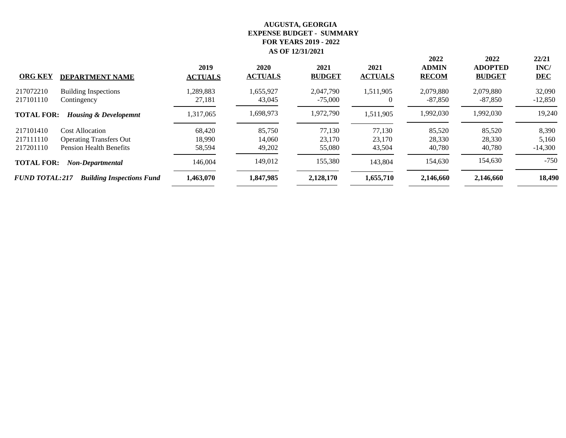| <b>ORG KEY</b><br><b>DEPARTMENT NAME</b>                  | 2019<br><b>ACTUALS</b> | 2020<br><b>ACTUALS</b> | 2021<br><b>BUDGET</b> | 2021<br><b>ACTUALS</b> | 2022<br><b>ADMIN</b><br><b>RECOM</b> | 2022<br><b>ADOPTED</b><br><b>BUDGET</b> | 22/21<br>INC/<br><b>DEC</b> |
|-----------------------------------------------------------|------------------------|------------------------|-----------------------|------------------------|--------------------------------------|-----------------------------------------|-----------------------------|
| 217072210<br><b>Building Inspections</b>                  | 1,289,883              | 1,655,927              | 2,047,790             | 1,511,905              | 2,079,880                            | 2,079,880                               | 32,090                      |
| 217101110<br>Contingency                                  | 27,181                 | 43,045                 | $-75,000$             | $\theta$               | -87,850                              | -87,850                                 | $-12,850$                   |
| <b>TOTAL FOR:</b><br><b>Housing &amp; Developemnt</b>     | 1,317,065              | 1,698,973              | 1,972,790             | 1,511,905              | 1,992,030                            | 1,992,030                               | 19,240                      |
| 217101410<br><b>Cost Allocation</b>                       | 68,420                 | 85,750                 | 77,130                | 77,130                 | 85,520                               | 85,520                                  | 8,390                       |
| <b>Operating Transfers Out</b><br>217111110               | 18,990                 | 14.060                 | 23,170                | 23,170                 | 28,330                               | 28,330                                  | 5,160                       |
| 217201110<br><b>Pension Health Benefits</b>               | 58,594                 | 49,202                 | 55,080                | 43,504                 | 40,780                               | 40,780                                  | $-14,300$                   |
| <b>TOTAL FOR:</b><br><b>Non-Departmental</b>              | 146,004                | 149,012                | 155,380               | 143,804                | 154,630                              | 154,630                                 | $-750$                      |
| <b>FUND TOTAL:217</b><br><b>Building Inspections Fund</b> | 1,463,070              | 1,847,985              | 2,128,170             | 1,655,710              | 2,146,660                            | 2,146,660                               | 18,490                      |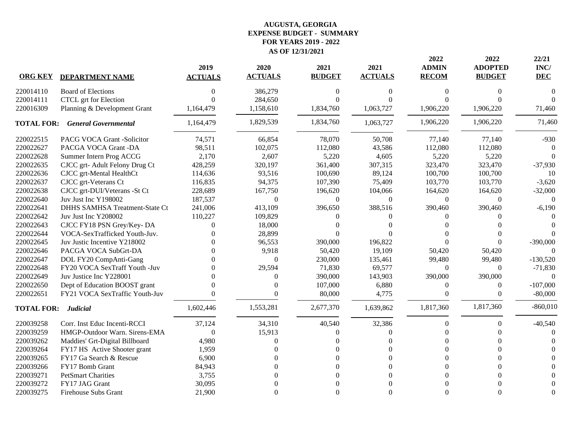|                   |                                | 2019             | 2020           | 2021          | 2021           | 2022<br><b>ADMIN</b> | 2022<br><b>ADOPTED</b> | 22/21<br>INC/ |
|-------------------|--------------------------------|------------------|----------------|---------------|----------------|----------------------|------------------------|---------------|
| <b>ORG KEY</b>    | <b>DEPARTMENT NAME</b>         | <b>ACTUALS</b>   | <b>ACTUALS</b> | <b>BUDGET</b> | <b>ACTUALS</b> | <b>RECOM</b>         | <b>BUDGET</b>          | <b>DEC</b>    |
| 220014110         | <b>Board of Elections</b>      | 0                | 386,279        | $\Omega$      | 0              | 0                    | 0                      | ſ             |
| 220014111         | CTCL grt for Election          | $\Omega$         | 284,650        | 0             |                | $\Omega$             |                        |               |
| 220016309         | Planning & Development Grant   | 1,164,479        | 1,158,610      | 1,834,760     | 1,063,727      | 1,906,220            | 1,906,220              | 71,460        |
| <b>TOTAL FOR:</b> | <b>General Governmental</b>    | 1,164,479        | 1,829,539      | 1,834,760     | 1,063,727      | 1,906,220            | 1,906,220              | 71,460        |
| 220022515         | PACG VOCA Grant -Solicitor     | 74,571           | 66,854         | 78,070        | 50,708         | 77,140               | 77,140                 | $-930$        |
| 220022627         | PACGA VOCA Grant -DA           | 98,511           | 102,075        | 112,080       | 43,586         | 112,080              | 112,080                |               |
| 220022628         | Summer Intern Prog ACCG        | 2,170            | 2,607          | 5,220         | 4,605          | 5,220                | 5,220                  |               |
| 220022635         | CJCC grt-Adult Felony Drug Ct  | 428,259          | 320,197        | 361,400       | 307,315        | 323,470              | 323,470                | $-37,930$     |
| 220022636         | CJCC grt-Mental HealthCt       | 114,636          | 93,516         | 100,690       | 89,124         | 100,700              | 100,700                | 10            |
| 220022637         | CJCC grt-Veterans Ct           | 116,835          | 94,375         | 107,390       | 75,409         | 103,770              | 103,770                | $-3,620$      |
| 220022638         | CJCC grt-DUI/Veterans -St Ct   | 228,689          | 167,750        | 196,620       | 104,066        | 164,620              | 164,620                | $-32,000$     |
| 220022640         | Juv Just Inc Y198002           | 187,537          | $\Omega$       | $\mathbf{0}$  | $\Omega$       | $\Omega$             | $\Omega$               | $\Omega$      |
| 220022641         | DHHS SAMHSA Treatment-State Ct | 241,006          | 413,109        | 396,650       | 388,516        | 390,460              | 390,460                | $-6,190$      |
| 220022642         | Juv Just Inc Y208002           | 110,227          | 109,829        | 0             | 0              |                      |                        |               |
| 220022643         | CJCC FY18 PSN Grey/Key-DA      | $\Omega$         | 18,000         |               |                |                      |                        |               |
| 220022644         | VOCA-SexTrafficked Youth-Juv.  |                  | 28,899         |               |                |                      |                        |               |
| 220022645         | Juv Justic Incentive Y218002   |                  | 96,553         | 390,000       | 196,822        |                      |                        | $-390,000$    |
| 220022646         | PACGA VOCA SubGrt-DA           |                  | 9,918          | 50,420        | 19,109         | 50,420               | 50,420                 | $\Omega$      |
| 220022647         | DOL FY20 CompAnti-Gang         |                  | $\Omega$       | 230,000       | 135,461        | 99,480               | 99,480                 | $-130,520$    |
| 220022648         | FY20 VOCA SexTraff Youth -Juv  |                  | 29,594         | 71,830        | 69,577         | $\theta$             | $\Omega$               | $-71,830$     |
| 220022649         | Juv Justice Inc Y228001        |                  | $\Omega$       | 390,000       | 143,903        | 390,000              | 390,000                | $\Omega$      |
| 220022650         | Dept of Education BOOST grant  |                  | $\Omega$       | 107,000       | 6,880          | 0                    | $\Omega$               | $-107,000$    |
| 220022651         | FY21 VOCA SexTraffic Youth-Juv |                  | $\Omega$       | 80,000        | 4,775          | $\Omega$             | $\Omega$               | $-80,000$     |
| <b>TOTAL FOR:</b> | <b>Judicial</b>                | 1,602,446        | 1,553,281      | 2,677,370     | 1,639,862      | 1,817,360            | 1,817,360              | $-860,010$    |
| 220039258         | Corr. Inst Educ Incenti-RCCI   | 37,124           | 34,310         | 40,540        | 32,386         | $\theta$             |                        | $-40,540$     |
| 220039259         | HMGP-Outdoor Warn. Sirens-EMA  | $\boldsymbol{0}$ | 15,913         | $\Omega$      | ∩              | $\Omega$             |                        |               |
| 220039262         | Maddies' Grt-Digital Billboard | 4,980            | $\Omega$       |               |                |                      |                        |               |
| 220039264         | FY17 HS Active Shooter grant   | 1,959            |                |               |                | ∩                    |                        |               |
| 220039265         | FY17 Ga Search & Rescue        | 6,900            |                |               |                | ∩                    |                        |               |
| 220039266         | FY17 Bomb Grant                | 84,943           |                |               |                |                      |                        |               |
| 220039271         | <b>PetSmart Charities</b>      | 3,755            |                |               |                |                      |                        |               |
| 220039272         | FY17 JAG Grant                 | 30,095           |                |               |                |                      |                        |               |
| 220039275         | <b>Firehouse Subs Grant</b>    | 21,900           | $\Omega$       | $\Omega$      | 0              | $\Omega$             |                        |               |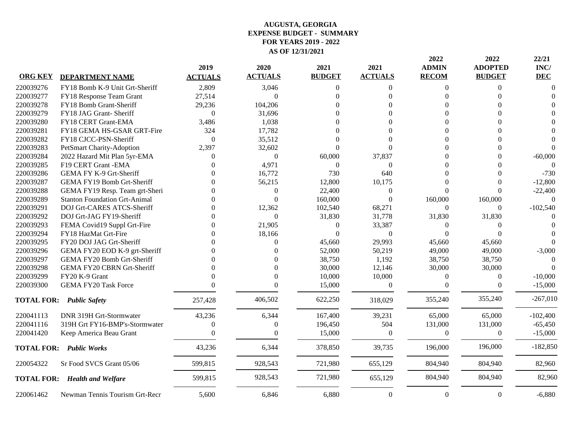|                |                                      | 2019           | 2020           | 2021             | 2021             | 2022<br><b>ADMIN</b> | 2022<br><b>ADOPTED</b> | 22/21<br>INC/ |
|----------------|--------------------------------------|----------------|----------------|------------------|------------------|----------------------|------------------------|---------------|
| <b>ORG KEY</b> | <b>DEPARTMENT NAME</b>               | <b>ACTUALS</b> | <b>ACTUALS</b> | <b>BUDGET</b>    | <b>ACTUALS</b>   | <b>RECOM</b>         | <b>BUDGET</b>          | <b>DEC</b>    |
| 220039276      | FY18 Bomb K-9 Unit Grt-Sheriff       | 2,809          | 3,046          | $\Omega$         | $\Omega$         | $\Omega$             | 0                      | $\Omega$      |
| 220039277      | FY18 Response Team Grant             | 27,514         | $\Omega$       |                  | $\Omega$         | $\Omega$             |                        |               |
| 220039278      | FY18 Bomb Grant-Sheriff              | 29,236         | 104,206        |                  |                  |                      |                        |               |
| 220039279      | FY18 JAG Grant-Sheriff               | $\mathbf{0}$   | 31,696         |                  |                  | 0                    |                        |               |
| 220039280      | FY18 CERT Grant-EMA                  | 3,486          | 1,038          |                  |                  | $\Omega$             |                        |               |
| 220039281      | FY18 GEMA HS-GSAR GRT-Fire           | 324            | 17,782         |                  |                  | $\Omega$             |                        |               |
| 220039282      | FY18 CJCC-PSN-Sheriff                | $\mathbf{0}$   | 35,512         |                  |                  | 0                    |                        |               |
| 220039283      | PetSmart Charity-Adoption            | 2,397          | 32,602         | $\Omega$         | $\Omega$         | 0                    |                        |               |
| 220039284      | 2022 Hazard Mit Plan 5yr-EMA         | $\Omega$       | $\mathbf{0}$   | 60,000           | 37,837           | 0                    |                        | $-60,000$     |
| 220039285      | F19 CERT Grant - EMA                 | $\Omega$       | 4,971          | $\boldsymbol{0}$ | $\boldsymbol{0}$ | $\Omega$             |                        | $\Omega$      |
| 220039286      | GEMA FY K-9 Grt-Sheriff              |                | 16,772         | 730              | 640              | ∩                    |                        | $-730$        |
| 220039287      | GEMA FY19 Bomb Grt-Sheriff           |                | 56,215         | 12,800           | 10,175           | $\Omega$             |                        | $-12,800$     |
| 220039288      | GEMA FY19 Resp. Team grt-Sheri       |                | $\mathbf{0}$   | 22,400           | $\Omega$         | $\Omega$             |                        | $-22,400$     |
| 220039289      | <b>Stanton Foundation Grt-Animal</b> | ∩              | $\Omega$       | 160,000          | $\Omega$         | 160,000              | 160,000                |               |
| 220039291      | DOJ Grt-CARES ATCS-Sheriff           | ∩              | 12,362         | 102,540          | 68,271           | $\theta$             | $\Omega$               | $-102,540$    |
| 220039292      | DOJ Grt-JAG FY19-Sheriff             | 0              | $\Omega$       | 31,830           | 31,778           | 31,830               | 31,830                 |               |
| 220039293      | FEMA Covid19 Suppl Grt-Fire          | 0              | 21,905         | $\boldsymbol{0}$ | 33,387           | $\theta$             | $\Omega$               |               |
| 220039294      | FY18 HazMat Grt-Fire                 |                | 18,166         | $\overline{0}$   | $\overline{0}$   | $\Omega$             | $\Omega$               |               |
| 220039295      | FY20 DOJ JAG Grt-Sheriff             |                | $\Omega$       | 45,660           | 29,993           | 45,660               | 45,660                 |               |
| 220039296      | GEMA FY20 EOD K-9 grt-Sheriff        |                |                | 52,000           | 50,219           | 49,000               | 49,000                 | $-3,000$      |
| 220039297      | GEMA FY20 Bomb Grt-Sheriff           |                |                | 38,750           | 1,192            | 38,750               | 38,750                 |               |
| 220039298      | <b>GEMA FY20 CBRN Grt-Sheriff</b>    | ∩              | $\Omega$       | 30,000           | 12,146           | 30,000               | 30,000                 |               |
| 220039299      | FY20 K-9 Grant                       |                | $\Omega$       | 10,000           | 10,000           | $\theta$             | $\Omega$               | $-10,000$     |
| 220039300      | <b>GEMA FY20 Task Force</b>          |                | $\Omega$       | 15,000           | $\boldsymbol{0}$ | $\theta$             | $\Omega$               | $-15,000$     |
|                | <b>TOTAL FOR: Public Safety</b>      | 257,428        | 406,502        | 622,250          | 318,029          | 355,240              | 355,240                | $-267,010$    |
| 220041113      | DNR 319H Grt-Stormwater              | 43,236         | 6,344          | 167,400          | 39,231           | 65,000               | 65,000                 | $-102,400$    |
| 220041116      | 319H Grt FY16-BMP's-Stormwater       | $\Omega$       | $\theta$       | 196,450          | 504              | 131,000              | 131,000                | $-65,450$     |
| 220041420      | Keep America Beau Grant              | $\Omega$       | $\Omega$       | 15,000           | $\theta$         | $\theta$             | $\Omega$               | $-15,000$     |
|                | <b>TOTAL FOR: Public Works</b>       | 43,236         | 6,344          | 378,850          | 39,735           | 196,000              | 196,000                | $-182,850$    |
| 220054322      | Sr Food SVCS Grant 05/06             | 599,815        | 928,543        | 721,980          | 655,129          | 804,940              | 804,940                | 82,960        |
|                | <b>TOTAL FOR: Health and Welfare</b> | 599,815        | 928,543        | 721,980          | 655,129          | 804,940              | 804,940                | 82,960        |
| 220061462      | Newman Tennis Tourism Grt-Recr       | 5,600          | 6,846          | 6,880            | $\mathbf{0}$     | $\boldsymbol{0}$     | $\theta$               | $-6,880$      |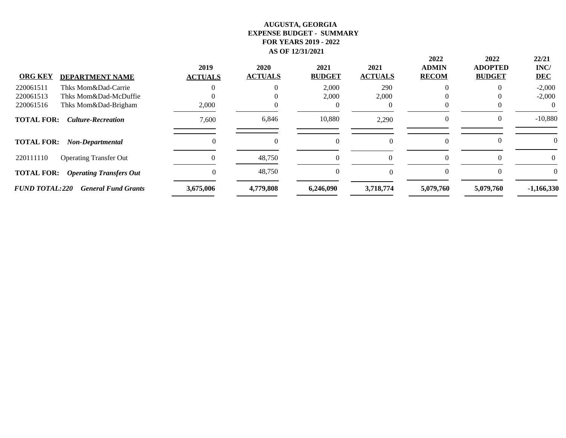|                       |                                | 2019              | 2020           | 2021          | 2021           | 2022<br><b>ADMIN</b> | 2022<br><b>ADOPTED</b> | 22/21<br>INC/ |
|-----------------------|--------------------------------|-------------------|----------------|---------------|----------------|----------------------|------------------------|---------------|
| <b>ORG KEY</b>        | <b>DEPARTMENT NAME</b>         | <b>ACTUALS</b>    | <b>ACTUALS</b> | <b>BUDGET</b> | <b>ACTUALS</b> | <b>RECOM</b>         | <b>BUDGET</b>          | <b>DEC</b>    |
| 220061511             | Thks Mom&Dad-Carrie            |                   |                | 2,000         | 290            |                      |                        | $-2,000$      |
| 220061513             | Thks Mom&Dad-McDuffie          |                   |                | 2,000         | 2,000          |                      |                        | $-2,000$      |
| 220061516             | Thks Mom&Dad-Brigham           | 2,000             |                |               |                |                      |                        |               |
| <b>TOTAL FOR:</b>     | <b>Culture-Recreation</b>      | 7,600             | 6,846          | 10,880        | 2,290          | $\theta$             |                        | $-10,880$     |
| <b>TOTAL FOR:</b>     | Non-Departmental               | $\Omega$          |                | 0             |                | 0                    |                        |               |
| 220111110             | <b>Operating Transfer Out</b>  | $\mathbf{\Omega}$ | 48,750         |               |                | ∩                    |                        | $\Omega$      |
| <b>TOTAL FOR:</b>     | <b>Operating Transfers Out</b> |                   | 48,750         | 0             |                | 0                    |                        | $\Omega$      |
| <b>FUND TOTAL:220</b> | <b>General Fund Grants</b>     | 3,675,006         | 4,779,808      | 6,246,090     | 3,718,774      | 5,079,760            | 5,079,760              | $-1,166,330$  |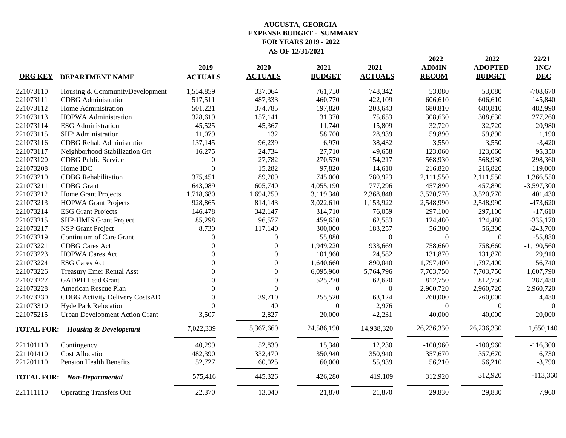| 221073110         | Housing & CommunityDevelopment<br><b>CDBG</b> Administration | 1,554,859        |                  |                | <b>ACTUALS</b> | <b>RECOM</b> | <b>BUDGET</b> | <b>DEC</b>   |
|-------------------|--------------------------------------------------------------|------------------|------------------|----------------|----------------|--------------|---------------|--------------|
|                   |                                                              |                  | 337,064          | 761,750        | 748,342        | 53,080       | 53,080        | $-708,670$   |
| 221073111         |                                                              | 517,511          | 487,333          | 460,770        | 422,109        | 606,610      | 606,610       | 145,840      |
| 221073112         | Home Administration                                          | 501,221          | 374,785          | 197,820        | 203,643        | 680,810      | 680,810       | 482,990      |
| 221073113         | <b>HOPWA Administration</b>                                  | 328,619          | 157,141          | 31,370         | 75,653         | 308,630      | 308,630       | 277,260      |
| 221073114         | <b>ESG</b> Administration                                    | 45,525           | 45,367           | 11,740         | 15,809         | 32,720       | 32,720        | 20,980       |
| 221073115         | <b>SHP</b> Administration                                    | 11,079           | 132              | 58,700         | 28,939         | 59,890       | 59,890        | 1,190        |
| 221073116         | <b>CDBG</b> Rehab Administration                             | 137,145          | 96,239           | 6,970          | 38,432         | 3,550        | 3,550         | $-3,420$     |
| 221073117         | Neighborhood Stabilization Grt                               | 16,275           | 24,734           | 27,710         | 49,658         | 123,060      | 123,060       | 95,350       |
| 221073120         | <b>CDBG</b> Public Service                                   | $\boldsymbol{0}$ | 27,782           | 270,570        | 154,217        | 568,930      | 568,930       | 298,360      |
| 221073208         | Home IDC                                                     | $\theta$         | 15,282           | 97,820         | 14,610         | 216,820      | 216,820       | 119,000      |
| 221073210         | <b>CDBG</b> Rehabilitation                                   | 375,451          | 89,209           | 745,000        | 780,923        | 2,111,550    | 2,111,550     | 1,366,550    |
| 221073211         | <b>CDBG</b> Grant                                            | 643,089          | 605,740          | 4,055,190      | 777,296        | 457,890      | 457,890       | $-3,597,300$ |
| 221073212         | Home Grant Projects                                          | 1,718,680        | 1,694,259        | 3,119,340      | 2,368,848      | 3,520,770    | 3,520,770     | 401,430      |
| 221073213         | <b>HOPWA Grant Projects</b>                                  | 928,865          | 814,143          | 3,022,610      | 1,153,922      | 2,548,990    | 2,548,990     | $-473,620$   |
| 221073214         | <b>ESG Grant Projects</b>                                    | 146,478          | 342,147          | 314,710        | 76,059         | 297,100      | 297,100       | $-17,610$    |
| 221073215         | <b>SHP-HMIS Grant Project</b>                                | 85,298           | 96,577           | 459,650        | 62,553         | 124,480      | 124,480       | $-335,170$   |
| 221073217         | <b>NSP</b> Grant Project                                     | 8,730            | 117,140          | 300,000        | 183,257        | 56,300       | 56,300        | $-243,700$   |
| 221073219         | Continuum of Care Grant                                      | $\Omega$         | $\overline{0}$   | 55,880         | $\Omega$       | $\theta$     | $\Omega$      | $-55,880$    |
| 221073221         | <b>CDBG</b> Cares Act                                        | $\Omega$         | $\Omega$         | 1,949,220      | 933,669        | 758,660      | 758,660       | $-1,190,560$ |
| 221073223         | <b>HOPWA Cares Act</b>                                       | $\Omega$         | $\Omega$         | 101,960        | 24,582         | 131,870      | 131,870       | 29,910       |
| 221073224         | <b>ESG Cares Act</b>                                         | $\Omega$         | $\Omega$         | 1,640,660      | 890,040        | 1,797,400    | 1,797,400     | 156,740      |
| 221073226         | <b>Treasury Emer Rental Asst</b>                             | $\theta$         | $\boldsymbol{0}$ | 6,095,960      | 5,764,796      | 7,703,750    | 7,703,750     | 1,607,790    |
| 221073227         | <b>GADPH</b> Lead Grant                                      | $\theta$         | $\overline{0}$   | 525,270        | 62,620         | 812,750      | 812,750       | 287,480      |
| 221073228         | American Rescue Plan                                         | $\Omega$         | $\Omega$         | $\overline{0}$ | $\Omega$       | 2,960,720    | 2,960,720     | 2,960,720    |
| 221073230         | <b>CDBG</b> Activity Delivery CostsAD                        | $\Omega$         | 39,710           | 255,520        | 63,124         | 260,000      | 260,000       | 4,480        |
| 221073310         | <b>Hyde Park Relocation</b>                                  | $\theta$         | 40               | $\Omega$       | 2,976          | $\Omega$     | $\theta$      | $\Omega$     |
| 221075215         | <b>Urban Development Action Grant</b>                        | 3,507            | 2,827            | 20,000         | 42,231         | 40,000       | 40,000        | 20,000       |
|                   | <b>TOTAL FOR: Housing &amp; Developemnt</b>                  | 7,022,339        | 5,367,660        | 24,586,190     | 14,938,320     | 26,236,330   | 26,236,330    | 1,650,140    |
| 221101110         | Contingency                                                  | 40,299           | 52,830           | 15,340         | 12,230         | $-100,960$   | $-100,960$    | $-116,300$   |
| 221101410         | <b>Cost Allocation</b>                                       | 482,390          | 332,470          | 350,940        | 350,940        | 357,670      | 357,670       | 6,730        |
| 221201110         | <b>Pension Health Benefits</b>                               | 52,727           | 60,025           | 60,000         | 55,939         | 56,210       | 56,210        | $-3,790$     |
| <b>TOTAL FOR:</b> | Non-Departmental                                             | 575,416          | 445,326          | 426,280        | 419,109        | 312,920      | 312,920       | $-113,360$   |
| 221111110         | <b>Operating Transfers Out</b>                               | 22,370           | 13,040           | 21,870         | 21,870         | 29,830       | 29,830        | 7,960        |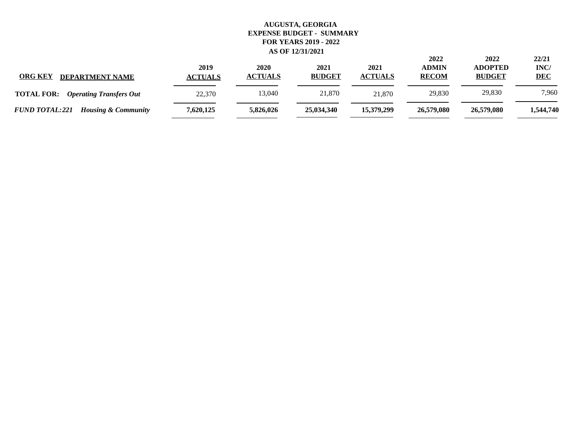| <b>ORG KEY</b><br><b>DEPARTMENT NAME</b>                | 2019<br><b>ACTUALS</b> | 2020<br><b>ACTUALS</b> | 2021<br><b>BUDGET</b> | 2021<br><b>ACTUALS</b> | 2022<br><b>ADMIN</b><br><b>RECOM</b> | 2022<br><b>ADOPTED</b><br><b>BUDGET</b> | 22/21<br>INC/<br><b>DEC</b> |
|---------------------------------------------------------|------------------------|------------------------|-----------------------|------------------------|--------------------------------------|-----------------------------------------|-----------------------------|
| <b>TOTAL FOR:</b><br><b>Operating Transfers Out</b>     | 22,370                 | 13,040                 | 21,870                | 21.870                 | 29,830                               | 29,830                                  | 7,960                       |
| <b>FUND TOTAL:221</b><br><b>Housing &amp; Community</b> | 7,620,125              | 5,826,026              | 25,034,340            | 15,379,299             | 26,579,080                           | 26,579,080                              | 1,544,740                   |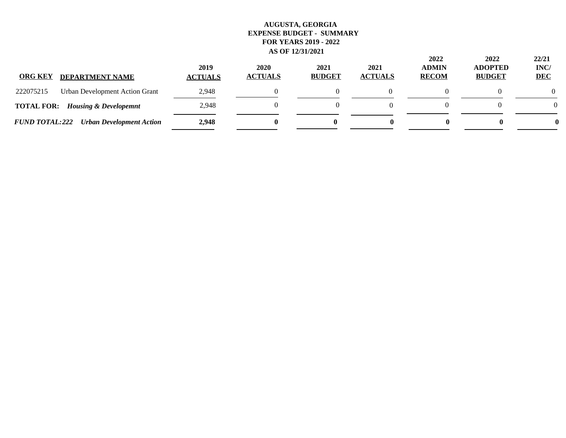| <b>ORG KEY</b><br><b>DEPARTMENT NAME</b>                 | 2019<br><b>ACTUALS</b> | 2020<br><b>ACTUALS</b> | 2021<br><b>BUDGET</b> | 2021<br><b>ACTUALS</b> | 2022<br><b>ADMIN</b><br><b>RECOM</b> | 2022<br><b>ADOPTED</b><br><b>BUDGET</b> | 22/21<br>INC/<br><b>DEC</b> |
|----------------------------------------------------------|------------------------|------------------------|-----------------------|------------------------|--------------------------------------|-----------------------------------------|-----------------------------|
| 222075215<br>Urban Development Action Grant              | 2,948                  |                        |                       |                        |                                      |                                         |                             |
| <b>TOTAL FOR:</b> Housing & Developemnt                  | 2,948                  |                        |                       |                        |                                      |                                         | $\Omega$                    |
| <b>FUND TOTAL:222</b><br><b>Urban Development Action</b> | 2,948                  |                        | 0                     | o                      |                                      | 0                                       |                             |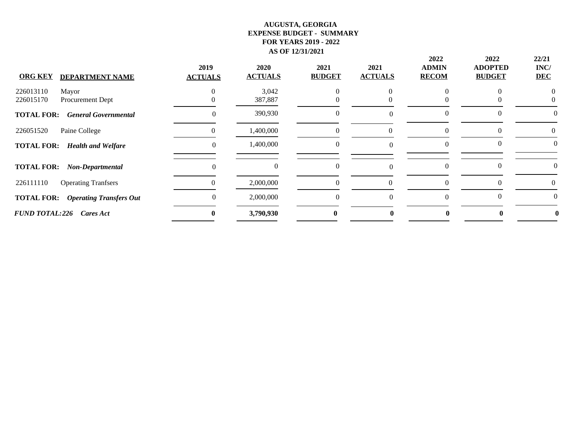| <b>ORG KEY</b><br><b>DEPARTMENT NAME</b>            | 2019<br><b>ACTUALS</b> | 2020<br><b>ACTUALS</b> | 2021<br><b>BUDGET</b> | 2021<br><b>ACTUALS</b> | 2022<br><b>ADMIN</b><br><b>RECOM</b> | 2022<br><b>ADOPTED</b><br><b>BUDGET</b> | 22/21<br>INC/<br><b>DEC</b> |
|-----------------------------------------------------|------------------------|------------------------|-----------------------|------------------------|--------------------------------------|-----------------------------------------|-----------------------------|
|                                                     |                        |                        |                       |                        |                                      |                                         |                             |
| 226013110<br>Mayor                                  |                        | 3,042                  | 0                     |                        |                                      |                                         |                             |
| 226015170<br>Procurement Dept                       |                        | 387,887                |                       |                        |                                      |                                         |                             |
| <b>TOTAL FOR:</b><br><b>General Governmental</b>    |                        | 390,930                | $\theta$              |                        | $\theta$                             |                                         |                             |
| Paine College<br>226051520                          | $\mathbf{\Omega}$      | 1,400,000              | $\theta$              | $\Omega$               | $\theta$                             |                                         | 0                           |
| <b>TOTAL FOR:</b><br><b>Health and Welfare</b>      | 0                      | 1,400,000              | $\mathbf{0}$          |                        | $\Omega$                             | $\theta$                                | $\theta$                    |
| <b>TOTAL FOR:</b><br>Non-Departmental               | 0                      | $\theta$               | $\theta$              |                        | $\theta$                             |                                         |                             |
| 226111110<br><b>Operating Tranfsers</b>             |                        | 2,000,000              | $\theta$              | $\theta$               | $\theta$                             |                                         |                             |
| <b>TOTAL FOR:</b><br><b>Operating Transfers Out</b> |                        | 2,000,000              | $\Omega$              | $\Omega$               | $\Omega$                             | $\theta$                                | 0                           |
| <b>FUND TOTAL:226</b><br>Cares Act                  | $\mathbf{0}$           | 3,790,930              | $\bf{0}$              |                        |                                      |                                         |                             |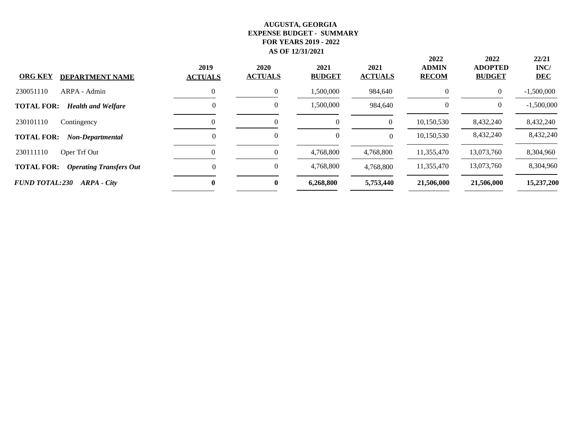| <b>ORG KEY</b><br><b>DEPARTMENT NAME</b>            | 2019<br><b>ACTUALS</b> | 2020<br><b>ACTUALS</b> | 2021<br><b>BUDGET</b> | 2021<br><b>ACTUALS</b> | 2022<br><b>ADMIN</b><br><b>RECOM</b> | 2022<br><b>ADOPTED</b><br><b>BUDGET</b> | 22/21<br>INC/<br><b>DEC</b> |
|-----------------------------------------------------|------------------------|------------------------|-----------------------|------------------------|--------------------------------------|-----------------------------------------|-----------------------------|
| 230051110<br>ARPA - Admin                           | 0                      | 0                      | 1,500,000             | 984,640                | $\theta$                             | $\overline{0}$                          | $-1,500,000$                |
| <b>TOTAL FOR:</b><br><b>Health and Welfare</b>      | $\Omega$               | $\theta$               | 1,500,000             | 984.640                | $\Omega$                             | $\theta$                                | $-1,500,000$                |
| 230101110<br>Contingency                            |                        |                        | $\boldsymbol{0}$      | $\theta$               | 10,150,530                           | 8,432,240                               | 8,432,240                   |
| <b>TOTAL FOR:</b><br>Non-Departmental               | $\Omega$               |                        | $\overline{0}$        | $\Omega$               | 10,150,530                           | 8,432,240                               | 8,432,240                   |
| 230111110<br>Oper Trf Out                           |                        | 0                      | 4,768,800             | 4,768,800              | 11,355,470                           | 13,073,760                              | 8,304,960                   |
| <b>TOTAL FOR:</b><br><b>Operating Transfers Out</b> | $\Omega$               | 0                      | 4,768,800             | 4,768,800              | 11,355,470                           | 13,073,760                              | 8,304,960                   |
| <b>FUND TOTAL:230</b><br>ARPA - City                | $\mathbf{0}$           | 0                      | 6,268,800             | 5,753,440              | 21,506,000                           | 21,506,000                              | 15,237,200                  |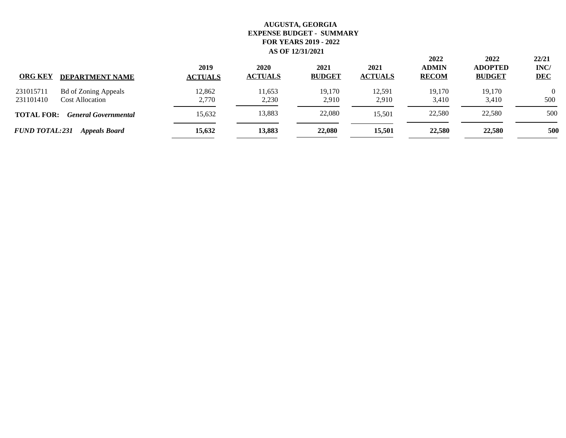| <b>ORG KEY</b>         | <b>DEPARTMENT NAME</b>                                | 2019<br><b>ACTUALS</b> | 2020<br><b>ACTUALS</b> | 2021<br><b>BUDGET</b> | 2021<br><b>ACTUALS</b> | 2022<br><b>ADMIN</b><br><b>RECOM</b> | 2022<br><b>ADOPTED</b><br><b>BUDGET</b> | 22/21<br>INC/<br><b>DEC</b> |
|------------------------|-------------------------------------------------------|------------------------|------------------------|-----------------------|------------------------|--------------------------------------|-----------------------------------------|-----------------------------|
| 231015711<br>231101410 | <b>Bd of Zoning Appeals</b><br><b>Cost Allocation</b> | 12,862<br>2,770        | 11,653<br>2,230        | 19,170<br>2.910       | 12,591<br>2,910        | 19,170<br>3,410                      | 19,170<br>3,410                         | $\Omega$<br>500             |
| <b>TOTAL FOR:</b>      | <b>General Governmental</b>                           | 15,632                 | 13,883                 | 22,080                | 15.501                 | 22,580                               | 22,580                                  | 500                         |
| <b>FUND TOTAL:231</b>  | <b>Appeals Board</b>                                  | 15,632                 | 13,883                 | 22,080                | 15,501                 | 22,580                               | 22,580                                  | 500                         |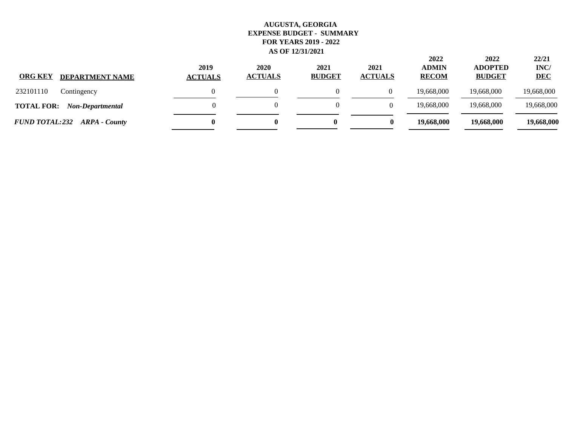| <b>ORG KEY</b><br><b>DEPARTMENT NAME</b>     | 2019<br><b>ACTUALS</b> | 2020<br><b>ACTUALS</b> | 2021<br><b>BUDGET</b> | 2021<br><b>ACTUALS</b> | 2022<br><b>ADMIN</b><br><b>RECOM</b> | 2022<br><b>ADOPTED</b><br><b>BUDGET</b> | 22/21<br>INC/<br><b>DEC</b> |
|----------------------------------------------|------------------------|------------------------|-----------------------|------------------------|--------------------------------------|-----------------------------------------|-----------------------------|
| 232101110<br>Contingency                     |                        |                        |                       |                        | 19,668,000                           | 19,668,000                              | 19,668,000                  |
| <b>TOTAL FOR:</b><br><b>Non-Departmental</b> |                        |                        |                       |                        | 19.668.000                           | 19,668,000                              | 19,668,000                  |
| <b>FUND TOTAL:232 ARPA - County</b>          |                        |                        | 0                     | 0                      | 19,668,000                           | 19,668,000                              | 19,668,000                  |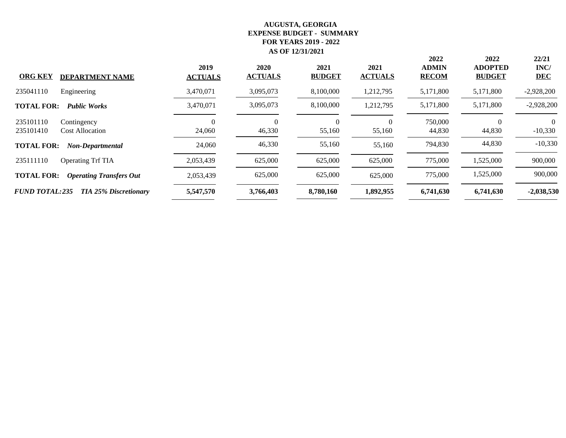| <b>ORG KEY</b>         | <b>DEPARTMENT NAME</b>                | 2019<br><b>ACTUALS</b> | 2020<br><b>ACTUALS</b> | 2021<br><b>BUDGET</b> | 2021<br><b>ACTUALS</b> | 2022<br><b>ADMIN</b><br><b>RECOM</b> | 2022<br><b>ADOPTED</b><br><b>BUDGET</b> | 22/21<br>INC/<br><b>DEC</b> |
|------------------------|---------------------------------------|------------------------|------------------------|-----------------------|------------------------|--------------------------------------|-----------------------------------------|-----------------------------|
| 235041110              | Engineering                           | 3,470,071              | 3,095,073              | 8,100,000             | 1,212,795              | 5,171,800                            | 5,171,800                               | $-2,928,200$                |
| <b>TOTAL FOR:</b>      | <b>Public Works</b>                   | 3,470,071              | 3,095,073              | 8,100,000             | 1,212,795              | 5,171,800                            | 5,171,800                               | $-2,928,200$                |
| 235101110<br>235101410 | Contingency<br><b>Cost Allocation</b> | 24,060                 | 0<br>46,330            | $\Omega$<br>55,160    | $\theta$<br>55,160     | 750,000<br>44,830                    | $\Omega$<br>44,830                      | $-10,330$                   |
| <b>TOTAL FOR:</b>      | <b>Non-Departmental</b>               | 24,060                 | 46,330                 | 55,160                | 55,160                 | 794,830                              | 44,830                                  | $-10,330$                   |
| 235111110              | Operating Trf TIA                     | 2,053,439              | 625,000                | 625,000               | 625,000                | 775,000                              | 1,525,000                               | 900,000                     |
| <b>TOTAL FOR:</b>      | <b>Operating Transfers Out</b>        | 2,053,439              | 625,000                | 625,000               | 625,000                | 775,000                              | 1,525,000                               | 900,000                     |
| <b>FUND TOTAL:235</b>  | <b>TIA 25% Discretionary</b>          | 5,547,570              | 3,766,403              | 8,780,160             | 1,892,955              | 6,741,630                            | 6,741,630                               | $-2,038,530$                |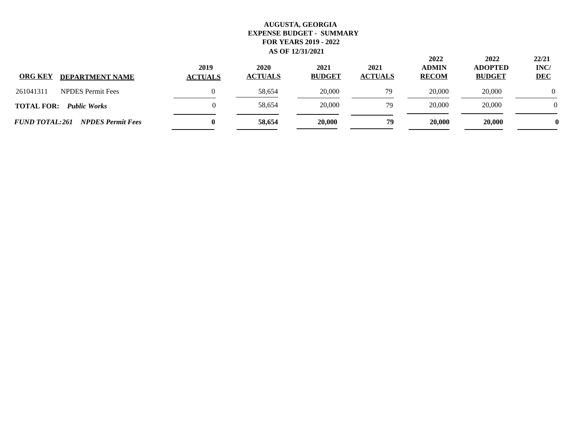| <b>ORG KEY</b><br><b>DEPARTMENT NAME</b>          | 2019<br><b>ACTUALS</b> | 2020<br><b>ACTUALS</b> | 2021<br><b>BUDGET</b> | 2021<br><b>ACTUALS</b> | 2022<br><b>ADMIN</b><br><b>RECOM</b> | 2022<br><b>ADOPTED</b><br><b>BUDGET</b> | 22/21<br>INC/<br><b>DEC</b> |
|---------------------------------------------------|------------------------|------------------------|-----------------------|------------------------|--------------------------------------|-----------------------------------------|-----------------------------|
| <b>NPDES</b> Permit Fees<br>261041311             |                        | 58,654                 | 20,000                | 79                     | 20,000                               | 20,000                                  |                             |
| <b>TOTAL FOR:</b><br><b>Public Works</b>          |                        | 58,654                 | 20,000                | 79                     | 20,000                               | 20,000                                  | $\Omega$                    |
| <b>FUND TOTAL:261</b><br><b>NPDES Permit Fees</b> | $\bf{0}$               | 58,654                 | 20,000                | 79                     | 20,000                               | 20,000                                  |                             |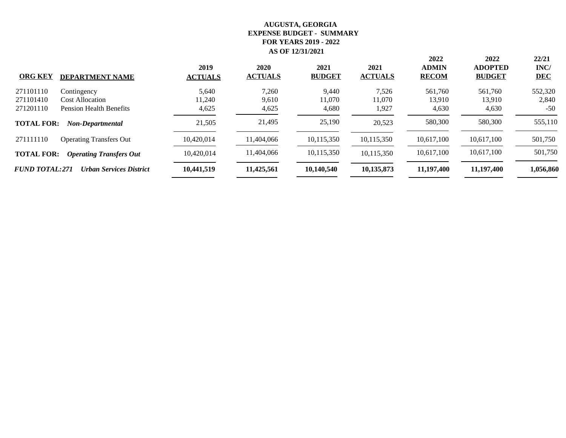|                       |                                | 2019           | 2020           | 2021          | 2021           | 2022<br><b>ADMIN</b> | 2022<br><b>ADOPTED</b> | 22/21<br>INC/ |
|-----------------------|--------------------------------|----------------|----------------|---------------|----------------|----------------------|------------------------|---------------|
| <b>ORG KEY</b>        | <b>DEPARTMENT NAME</b>         | <b>ACTUALS</b> | <b>ACTUALS</b> | <b>BUDGET</b> | <b>ACTUALS</b> | <b>RECOM</b>         | <b>BUDGET</b>          | <b>DEC</b>    |
| 271101110             | Contingency                    | 5,640          | 7,260          | 9,440         | 7,526          | 561,760              | 561,760                | 552,320       |
| 271101410             | <b>Cost Allocation</b>         | 11,240         | 9,610          | 11,070        | 11,070         | 13,910               | 13,910                 | 2,840         |
| 271201110             | <b>Pension Health Benefits</b> | 4,625          | 4,625          | 4,680         | 1,927          | 4,630                | 4,630                  | $-50$         |
| <b>TOTAL FOR:</b>     | Non-Departmental               | 21,505         | 21,495         | 25,190        | 20.523         | 580,300              | 580,300                | 555,110       |
| 271111110             | <b>Operating Transfers Out</b> | 10,420,014     | 11,404,066     | 10,115,350    | 10,115,350     | 10,617,100           | 10.617.100             | 501,750       |
| <b>TOTAL FOR:</b>     | <b>Operating Transfers Out</b> | 10.420.014     | 11,404,066     | 10,115,350    | 10,115,350     | 10,617,100           | 10,617,100             | 501,750       |
| <b>FUND TOTAL:271</b> | <b>Urban Services District</b> | 10,441,519     | 11,425,561     | 10,140,540    | 10,135,873     | 11,197,400           | 11,197,400             | 1,056,860     |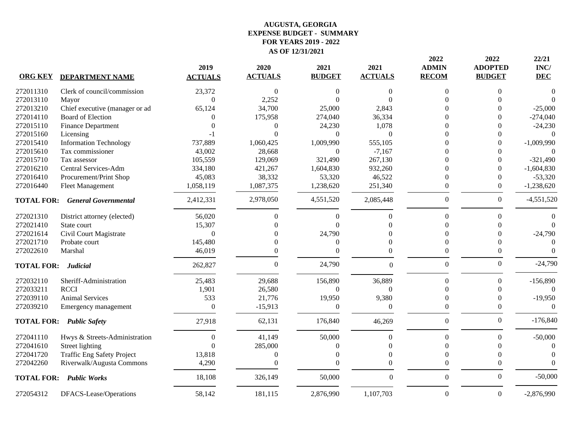| <b>ORG KEY</b>    | <b>DEPARTMENT NAME</b>            | 2019<br><b>ACTUALS</b> | 2020<br><b>ACTUALS</b> | 2021<br><b>BUDGET</b> | 2021<br><b>ACTUALS</b> | 2022<br><b>ADMIN</b><br><b>RECOM</b> | 2022<br><b>ADOPTED</b><br><b>BUDGET</b> | 22/21<br>INC/<br><b>DEC</b> |
|-------------------|-----------------------------------|------------------------|------------------------|-----------------------|------------------------|--------------------------------------|-----------------------------------------|-----------------------------|
| 272011310         | Clerk of council/commission       | 23,372                 | 0                      | $\Omega$              | 0                      | 0                                    | $\Omega$                                | $\theta$                    |
| 272013110         | Mayor                             | $\Omega$               | 2,252                  | $\Omega$              |                        | 0                                    | $\Omega$                                | $\Omega$                    |
| 272013210         | Chief executive (manager or ad    | 65,124                 | 34,700                 | 25,000                | 2,843                  |                                      |                                         | $-25,000$                   |
| 272014110         | <b>Board of Election</b>          | 0                      | 175,958                | 274,040               | 36,334                 |                                      |                                         | $-274,040$                  |
| 272015110         | <b>Finance Department</b>         |                        | 0                      | 24,230                | 1,078                  |                                      |                                         | $-24,230$                   |
| 272015160         | Licensing                         |                        | $\theta$               | $\theta$              | $\Omega$               |                                      |                                         | $\Omega$                    |
| 272015410         | <b>Information Technology</b>     | 737,889                | 1,060,425              | 1,009,990             | 555,105                |                                      | 0                                       | $-1,009,990$                |
| 272015610         | Tax commissioner                  | 43,002                 | 28,668                 | $\Omega$              | $-7,167$               |                                      |                                         |                             |
| 272015710         | Tax assessor                      | 105,559                | 129,069                | 321,490               | 267,130                | 0                                    |                                         | $-321,490$                  |
| 272016210         | Central Services-Adm              | 334,180                | 421,267                | 1,604,830             | 932,260                | 0                                    |                                         | $-1,604,830$                |
| 272016410         | Procurement/Print Shop            | 45,083                 | 38,332                 | 53,320                | 46,522                 | $\Omega$                             | $\Omega$                                | $-53,320$                   |
| 272016440         | <b>Fleet Management</b>           | 1,058,119              | 1,087,375              | 1,238,620             | 251,340                | $\theta$                             | $\Omega$                                | $-1,238,620$                |
| <b>TOTAL FOR:</b> | <b>General Governmental</b>       | 2,412,331              | 2,978,050              | 4,551,520             | 2,085,448              | $\boldsymbol{0}$                     | $\boldsymbol{0}$                        | $-4,551,520$                |
| 272021310         | District attorney (elected)       | 56,020                 | 0                      | $\mathbf{0}$          | $\mathbf{0}$           | $\theta$                             | $\Omega$                                |                             |
| 272021410         | State court                       | 15,307                 | $\theta$               | $\Omega$              |                        | 0                                    | $\Omega$                                | $\Omega$                    |
| 272021614         | Civil Court Magistrate            | $\boldsymbol{0}$       | $\theta$               | 24,790                |                        | 0                                    |                                         | $-24,790$                   |
| 272021710         | Probate court                     | 145,480                | $\theta$               | $\Omega$              | $\Omega$               | 0                                    |                                         | $\Omega$                    |
| 272022610         | Marshal                           | 46,019                 | $\theta$               | $\Omega$              | 0                      | 0                                    | $\Omega$                                | $\Omega$                    |
| <b>TOTAL FOR:</b> | <b>Judicial</b>                   | 262,827                | 0                      | 24,790                | $\theta$               | $\mathbf{0}$                         | $\boldsymbol{0}$                        | $-24,790$                   |
| 272032110         | Sheriff-Administration            | 25,483                 | 29,688                 | 156,890               | 36,889                 | $\theta$                             | $\mathbf{0}$                            | $-156,890$                  |
| 272033211         | <b>RCCI</b>                       | 1,901                  | 26,580                 | $\Omega$              | $\Omega$               | 0                                    | $\Omega$                                | $\Omega$                    |
| 272039110         | <b>Animal Services</b>            | 533                    | 21,776                 | 19,950                | 9,380                  | 0                                    |                                         | $-19,950$                   |
| 272039210         | Emergency management              | $\theta$               | $-15,913$              | $\Omega$              | $\Omega$               | $\Omega$                             | $\Omega$                                | $\Omega$                    |
|                   | <b>TOTAL FOR: Public Safety</b>   | 27,918                 | 62,131                 | 176,840               | 46,269                 | $\boldsymbol{0}$                     | $\boldsymbol{0}$                        | $-176,840$                  |
| 272041110         | Hwys & Streets-Administration     | $\theta$               | 41,149                 | 50,000                | $\Omega$               | $\theta$                             | $\Omega$                                | $-50,000$                   |
| 272041610         | Street lighting                   | $\Omega$               | 285,000                | $\Omega$              | $\Omega$               | $\Omega$                             | $\Omega$                                | $\Omega$                    |
| 272041720         | <b>Traffic Eng Safety Project</b> | 13,818                 | 0                      | $\theta$              | $\Omega$               | $\theta$                             | $\Omega$                                | $\Omega$                    |
| 272042260         | Riverwalk/Augusta Commons         | 4,290                  | $\theta$               | $\Omega$              | 0                      | $\theta$                             | $\Omega$                                | $\Omega$                    |
|                   | <b>TOTAL FOR: Public Works</b>    | 18,108                 | 326,149                | 50,000                | $\mathbf{0}$           | $\boldsymbol{0}$                     | $\Omega$                                | $-50,000$                   |
| 272054312         | DFACS-Lease/Operations            | 58,142                 | 181,115                | 2,876,990             | 1,107,703              | $\boldsymbol{0}$                     | $\overline{0}$                          | $-2,876,990$                |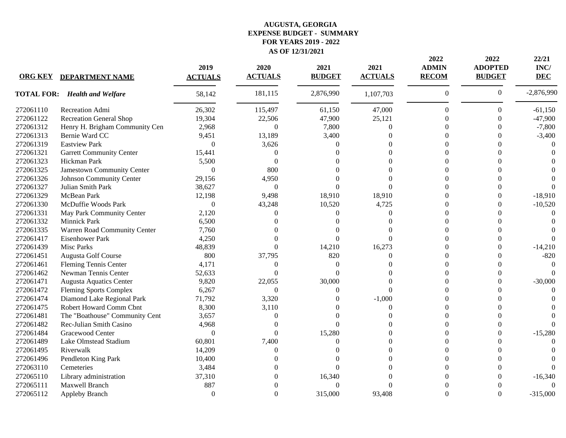| <b>ORG KEY</b> | <b>DEPARTMENT NAME</b>               | 2019<br><b>ACTUALS</b> | 2020<br><b>ACTUALS</b> | 2021<br><b>BUDGET</b> | 2021<br><b>ACTUALS</b> | 2022<br><b>ADMIN</b><br><b>RECOM</b> | 2022<br><b>ADOPTED</b><br><b>BUDGET</b> | 22/21<br>INC/<br><b>DEC</b> |
|----------------|--------------------------------------|------------------------|------------------------|-----------------------|------------------------|--------------------------------------|-----------------------------------------|-----------------------------|
|                | <b>TOTAL FOR: Health and Welfare</b> | 58,142                 | 181,115                | 2,876,990             | 1,107,703              | $\boldsymbol{0}$                     | $\boldsymbol{0}$                        | $-2,876,990$                |
| 272061110      | Recreation Admi                      | 26,302                 | 115,497                | 61,150                | 47,000                 | $\boldsymbol{0}$                     | 0                                       | $-61,150$                   |
| 272061122      | <b>Recreation General Shop</b>       | 19,304                 | 22,506                 | 47,900                | 25,121                 | 0                                    |                                         | $-47,900$                   |
| 272061312      | Henry H. Brigham Community Cen       | 2,968                  | $\overline{0}$         | 7,800                 | $\Omega$               |                                      |                                         | $-7,800$                    |
| 272061313      | Bernie Ward CC                       | 9,451                  | 13,189                 | 3,400                 |                        |                                      |                                         | $-3,400$                    |
| 272061319      | <b>Eastview Park</b>                 | $\theta$               | 3,626                  | 0                     |                        |                                      |                                         |                             |
| 272061321      | <b>Garrett Community Center</b>      | 15,441                 | 0                      |                       |                        |                                      |                                         |                             |
| 272061323      | Hickman Park                         | 5,500                  | $\Omega$               |                       |                        |                                      |                                         |                             |
| 272061325      | Jamestown Community Center           | $\mathbf{0}$           | 800                    |                       |                        |                                      |                                         |                             |
| 272061326      | Johnson Community Center             | 29,156                 | 4,950                  |                       |                        |                                      |                                         |                             |
| 272061327      | Julian Smith Park                    | 38,627                 | $\mathbf{0}$           | $\Omega$              |                        |                                      |                                         |                             |
| 272061329      | McBean Park                          | 12,198                 | 9,498                  | 18,910                | 18,910                 |                                      |                                         | $-18,910$                   |
| 272061330      | McDuffie Woods Park                  | $\boldsymbol{0}$       | 43,248                 | 10,520                | 4,725                  | ∩                                    |                                         | $-10,520$                   |
| 272061331      | May Park Community Center            | 2,120                  | 0                      | $\Omega$              | 0                      |                                      |                                         | ∩                           |
| 272061332      | Minnick Park                         | 6,500                  | 0                      |                       |                        | ∩                                    |                                         |                             |
| 272061335      | Warren Road Community Center         | 7,760                  | 0                      |                       |                        |                                      |                                         |                             |
| 272061417      | <b>Eisenhower Park</b>               | 4,250                  | 0                      | $\Omega$              |                        |                                      |                                         |                             |
| 272061439      | <b>Misc Parks</b>                    | 48,839                 | 0                      | 14,210                | 16,273                 |                                      |                                         | $-14,210$                   |
| 272061451      | Augusta Golf Course                  | 800                    | 37,795                 | 820                   | $\Omega$               |                                      |                                         | $-820$                      |
| 272061461      | Fleming Tennis Center                | 4,171                  | 0                      | $\Omega$              |                        |                                      |                                         | $\Omega$                    |
| 272061462      | Newman Tennis Center                 | 52,633                 | 0                      | $\Omega$              |                        |                                      |                                         |                             |
| 272061471      | <b>Augusta Aquatics Center</b>       | 9,820                  | 22,055                 | 30,000                |                        |                                      |                                         | $-30,000$                   |
| 272061472      | <b>Fleming Sports Complex</b>        | 6,267                  | $\Omega$               | $\Omega$              |                        |                                      |                                         |                             |
| 272061474      | Diamond Lake Regional Park           | 71,792                 | 3,320                  |                       | $-1,000$               |                                      |                                         |                             |
| 272061475      | Robert Howard Comm Cbnt              | 8,300                  | 3,110                  |                       | $\Omega$               |                                      |                                         |                             |
| 272061481      | The "Boathouse" Community Cent       | 3,657                  | 0                      |                       |                        |                                      |                                         |                             |
| 272061482      | Rec-Julian Smith Casino              | 4,968                  | 0                      | 0                     |                        |                                      |                                         |                             |
| 272061484      | Gracewood Center                     | $\theta$               | 0                      | 15,280                |                        |                                      |                                         | $-15,280$                   |
| 272061489      | Lake Olmstead Stadium                | 60,801                 | 7,400                  | $\Omega$              |                        | ∩                                    |                                         |                             |
| 272061495      | Riverwalk                            | 14,209                 | 0                      |                       | $\Omega$               | 0                                    |                                         |                             |
| 272061496      | Pendleton King Park                  | 10,400                 | 0                      |                       | $\Omega$               | 0                                    |                                         |                             |
| 272063110      | Cemeteries                           | 3,484                  | 0                      | $\Omega$              |                        |                                      |                                         |                             |
| 272065110      | Library administration               | 37,310                 | 0                      | 16,340                |                        |                                      |                                         | $-16,340$                   |
| 272065111      | Maxwell Branch                       | 887                    | 0                      | $\theta$              |                        |                                      |                                         |                             |
| 272065112      | Appleby Branch                       | $\Omega$               | $\Omega$               | 315,000               | 93,408                 | 0                                    | $\Omega$                                | $-315,000$                  |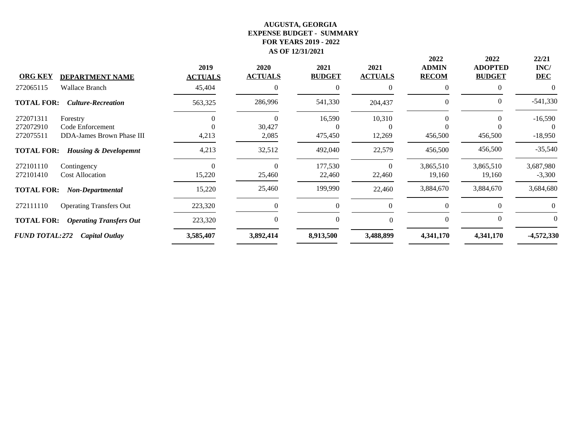| <b>ORG KEY</b><br><b>DEPARTMENT NAME</b>              | 2019<br><b>ACTUALS</b> | 2020<br><b>ACTUALS</b> | 2021<br><b>BUDGET</b> | 2021<br><b>ACTUALS</b> | 2022<br><b>ADMIN</b><br><b>RECOM</b> | 2022<br><b>ADOPTED</b><br><b>BUDGET</b> | 22/21<br>INC/<br><b>DEC</b> |
|-------------------------------------------------------|------------------------|------------------------|-----------------------|------------------------|--------------------------------------|-----------------------------------------|-----------------------------|
| <b>Wallace Branch</b><br>272065115                    | 45,404                 |                        | $\Omega$              | $\Omega$               | $\Omega$                             |                                         | 0                           |
| <b>TOTAL FOR:</b><br><b>Culture-Recreation</b>        | 563,325                | 286,996                | 541,330               | 204,437                | $\theta$                             | $\Omega$                                | $-541,330$                  |
| 272071311<br>Forestry                                 |                        | 0                      | 16,590                | 10,310                 | $\Omega$                             | 0                                       | $-16,590$                   |
| 272072910<br>Code Enforcement                         |                        | 30,427                 | $\Omega$              | $\left( \right)$       |                                      |                                         | $\theta$                    |
| 272075511<br>DDA-James Brown Phase III                | 4,213                  | 2,085                  | 475,450               | 12,269                 | 456,500                              | 456,500                                 | $-18,950$                   |
| <b>TOTAL FOR:</b><br><b>Housing &amp; Developemnt</b> | 4,213                  | 32,512                 | 492,040               | 22,579                 | 456,500                              | 456,500                                 | $-35,540$                   |
| 272101110<br>Contingency                              |                        | 0                      | 177,530               | $\Omega$               | 3,865,510                            | 3,865,510                               | 3,687,980                   |
| 272101410<br><b>Cost Allocation</b>                   | 15,220                 | 25,460                 | 22,460                | 22,460                 | 19,160                               | 19,160                                  | $-3,300$                    |
| <b>TOTAL FOR:</b><br>Non-Departmental                 | 15,220                 | 25,460                 | 199,990               | 22,460                 | 3,884,670                            | 3,884,670                               | 3,684,680                   |
| 272111110<br><b>Operating Transfers Out</b>           | 223,320                |                        | $\theta$              | $\Omega$               | $\Omega$                             |                                         | 0                           |
| <b>TOTAL FOR:</b><br><b>Operating Transfers Out</b>   | 223,320                | $\theta$               | $\theta$              | $\Omega$               | $\mathbf{0}$                         | $\Omega$                                |                             |
| <b>FUND TOTAL:272</b><br><b>Capital Outlay</b>        | 3,585,407              | 3,892,414              | 8,913,500             | 3,488,899              | 4,341,170                            | 4,341,170                               | -4,572,330                  |
|                                                       |                        |                        |                       |                        |                                      |                                         |                             |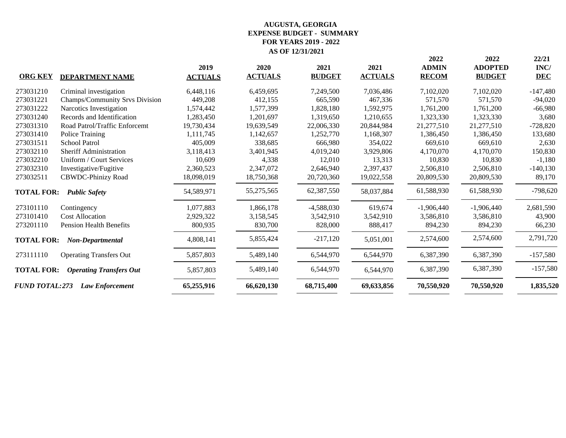| <b>ORG KEY</b>        | <b>DEPARTMENT NAME</b>         | 2019<br><b>ACTUALS</b> | 2020<br><b>ACTUALS</b> | 2021<br><b>BUDGET</b> | 2021<br><b>ACTUALS</b> | 2022<br><b>ADMIN</b><br><b>RECOM</b> | 2022<br><b>ADOPTED</b><br><b>BUDGET</b> | 22/21<br>INC/<br><b>DEC</b> |
|-----------------------|--------------------------------|------------------------|------------------------|-----------------------|------------------------|--------------------------------------|-----------------------------------------|-----------------------------|
| 273031210             | Criminal investigation         | 6,448,116              | 6,459,695              | 7,249,500             | 7,036,486              | 7,102,020                            | 7,102,020                               | $-147,480$                  |
| 273031221             | Champs/Community Srvs Division | 449,208                | 412,155                | 665,590               | 467,336                | 571,570                              | 571,570                                 | $-94,020$                   |
| 273031222             | Narcotics Investigation        | 1,574,442              | 1,577,399              | 1,828,180             | 1,592,975              | 1,761,200                            | 1,761,200                               | $-66,980$                   |
| 273031240             | Records and Identification     | 1,283,450              | 1,201,697              | 1,319,650             | 1,210,655              | 1,323,330                            | 1,323,330                               | 3,680                       |
| 273031310             | Road Patrol/Traffic Enforcemt  | 19,730,434             | 19,639,549             | 22,006,330            | 20,844,984             | 21,277,510                           | 21,277,510                              | $-728,820$                  |
| 273031410             | Police Training                | 1,111,745              | 1,142,657              | 1,252,770             | 1,168,307              | 1,386,450                            | 1,386,450                               | 133,680                     |
| 273031511             | <b>School Patrol</b>           | 405,009                | 338,685                | 666,980               | 354,022                | 669,610                              | 669,610                                 | 2,630                       |
| 273032110             | <b>Sheriff Administration</b>  | 3,118,413              | 3,401,945              | 4,019,240             | 3,929,806              | 4,170,070                            | 4,170,070                               | 150,830                     |
| 273032210             | Uniform / Court Services       | 10,609                 | 4,338                  | 12,010                | 13,313                 | 10,830                               | 10,830                                  | $-1,180$                    |
| 273032310             | Investigative/Fugitive         | 2,360,523              | 2,347,072              | 2,646,940             | 2,397,437              | 2,506,810                            | 2,506,810                               | $-140,130$                  |
| 273032511             | <b>CBWDC-Phinizy Road</b>      | 18,098,019             | 18,750,368             | 20,720,360            | 19,022,558             | 20,809,530                           | 20,809,530                              | 89,170                      |
| <b>TOTAL FOR:</b>     | <b>Public Safety</b>           | 54,589,971             | 55,275,565             | 62,387,550            | 58,037,884             | 61,588,930                           | 61,588,930                              | $-798,620$                  |
| 273101110             | Contingency                    | 1,077,883              | 1,866,178              | $-4,588,030$          | 619,674                | $-1,906,440$                         | $-1,906,440$                            | 2,681,590                   |
| 273101410             | <b>Cost Allocation</b>         | 2,929,322              | 3,158,545              | 3,542,910             | 3,542,910              | 3,586,810                            | 3,586,810                               | 43,900                      |
| 273201110             | <b>Pension Health Benefits</b> | 800,935                | 830,700                | 828,000               | 888,417                | 894,230                              | 894,230                                 | 66,230                      |
| <b>TOTAL FOR:</b>     | Non-Departmental               | 4,808,141              | 5,855,424              | $-217,120$            | 5,051,001              | 2,574,600                            | 2,574,600                               | 2,791,720                   |
| 273111110             | <b>Operating Transfers Out</b> | 5,857,803              | 5,489,140              | 6,544,970             | 6,544,970              | 6,387,390                            | 6,387,390                               | $-157,580$                  |
| <b>TOTAL FOR:</b>     | <b>Operating Transfers Out</b> | 5,857,803              | 5,489,140              | 6,544,970             | 6,544,970              | 6,387,390                            | 6,387,390                               | $-157,580$                  |
| <b>FUND TOTAL:273</b> | <b>Law Enforcement</b>         | 65,255,916             | 66,620,130             | 68,715,400            | 69,633,856             | 70,550,920                           | 70,550,920                              | 1,835,520                   |
|                       |                                |                        |                        |                       |                        |                                      |                                         |                             |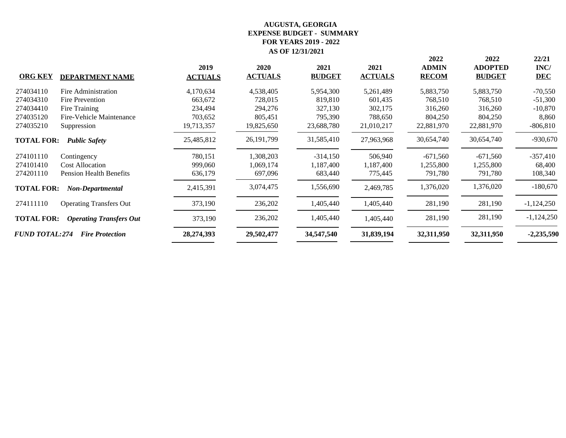| <b>DEPARTMENT NAME</b>                              | 2019<br><b>ACTUALS</b> | 2020<br><b>ACTUALS</b> | 2021<br><b>BUDGET</b> | 2021<br><b>ACTUALS</b> | 2022<br><b>ADMIN</b><br><b>RECOM</b> | 2022<br><b>ADOPTED</b><br><b>BUDGET</b> | 22/21<br>INC/<br><b>DEC</b> |
|-----------------------------------------------------|------------------------|------------------------|-----------------------|------------------------|--------------------------------------|-----------------------------------------|-----------------------------|
| Fire Administration                                 | 4,170,634              | 4,538,405              | 5,954,300             | 5,261,489              | 5,883,750                            | 5,883,750                               | $-70,550$                   |
| Fire Prevention                                     | 663,672                | 728,015                | 819,810               | 601,435                | 768,510                              | 768,510                                 | $-51,300$                   |
| Fire Training                                       | 234,494                | 294,276                | 327,130               | 302,175                | 316,260                              | 316,260                                 | $-10,870$                   |
| Fire-Vehicle Maintenance                            | 703,652                | 805,451                | 795,390               | 788,650                | 804,250                              | 804,250                                 | 8,860                       |
| Suppression                                         | 19,713,357             | 19,825,650             | 23,688,780            | 21,010,217             | 22,881,970                           | 22,881,970                              | $-806,810$                  |
| <b>TOTAL FOR:</b><br><b>Public Safety</b>           | 25,485,812             | 26, 191, 799           | 31,585,410            | 27,963,968             | 30,654,740                           | 30,654,740                              | $-930,670$                  |
| Contingency                                         | 780,151                | 1,308,203              | $-314,150$            | 506,940                | $-671,560$                           | $-671,560$                              | $-357,410$                  |
| <b>Cost Allocation</b>                              | 999,060                | 1,069,174              | 1,187,400             | 1,187,400              | 1,255,800                            | 1,255,800                               | 68,400                      |
| <b>Pension Health Benefits</b>                      | 636,179                | 697,096                | 683,440               | 775,445                | 791,780                              | 791,780                                 | 108,340                     |
| <b>TOTAL FOR:</b><br>Non-Departmental               | 2,415,391              | 3,074,475              | 1,556,690             | 2,469,785              | 1,376,020                            | 1,376,020                               | $-180,670$                  |
| <b>Operating Transfers Out</b>                      | 373,190                | 236,202                | 1,405,440             | 1,405,440              | 281,190                              | 281,190                                 | $-1,124,250$                |
| <b>TOTAL FOR:</b><br><b>Operating Transfers Out</b> | 373,190                | 236,202                | 1,405,440             | 1,405,440              | 281,190                              | 281,190                                 | $-1,124,250$                |
| <b>FUND TOTAL:274</b><br><b>Fire Protection</b>     | 28,274,393             | 29,502,477             | 34,547,540            | 31,839,194             | 32,311,950                           | 32,311,950                              | $-2,235,590$                |
|                                                     |                        |                        |                       |                        |                                      |                                         |                             |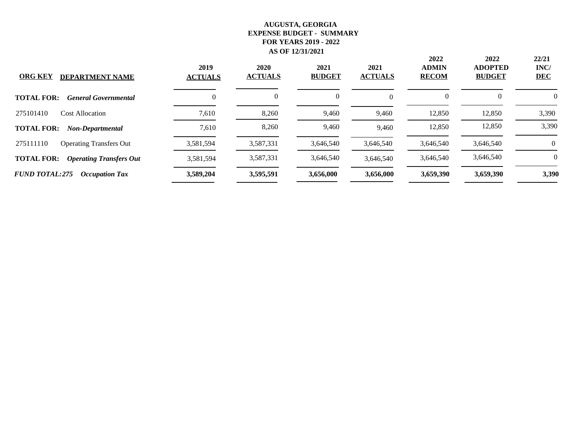| <b>ORG KEY</b><br><b>DEPARTMENT NAME</b>            | 2019<br><b>ACTUALS</b> | 2020<br><b>ACTUALS</b> | 2021<br><b>BUDGET</b> | 2021<br><b>ACTUALS</b> | 2022<br><b>ADMIN</b><br><b>RECOM</b> | 2022<br><b>ADOPTED</b><br><b>BUDGET</b> | 22/21<br>INC/<br><b>DEC</b> |
|-----------------------------------------------------|------------------------|------------------------|-----------------------|------------------------|--------------------------------------|-----------------------------------------|-----------------------------|
| <b>TOTAL FOR:</b><br><b>General Governmental</b>    | 0                      | 0                      | $\boldsymbol{0}$      | $\theta$               | $\theta$                             | $\Omega$                                | 0                           |
| Cost Allocation<br>275101410                        | 7,610                  | 8,260                  | 9,460                 | 9,460                  | 12,850                               | 12,850                                  | 3,390                       |
| <b>TOTAL FOR:</b><br>Non-Departmental               | 7,610                  | 8,260                  | 9,460                 | 9,460                  | 12,850                               | 12,850                                  | 3,390                       |
| 275111110<br><b>Operating Transfers Out</b>         | 3,581,594              | 3,587,331              | 3.646.540             | 3,646,540              | 3,646,540                            | 3,646,540                               | 0                           |
| <b>TOTAL FOR:</b><br><b>Operating Transfers Out</b> | 3,581,594              | 3,587,331              | 3.646.540             | 3,646,540              | 3,646,540                            | 3,646,540                               | $\Omega$                    |
| <b>FUND TOTAL:275</b><br><b>Occupation Tax</b>      | 3,589,204              | 3,595,591              | 3,656,000             | 3,656,000              | 3,659,390                            | 3,659,390                               | 3,390                       |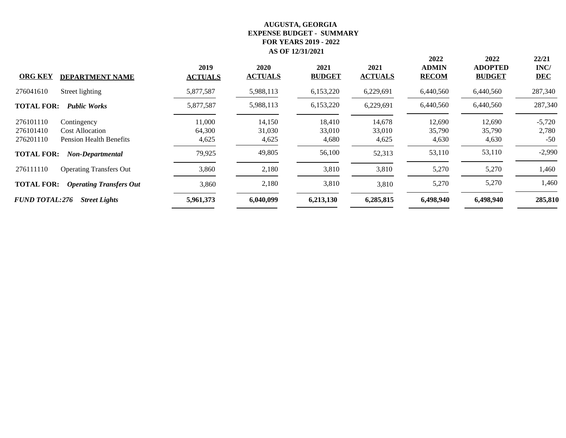| <b>ORG KEY</b><br><b>DEPARTMENT NAME</b>                                                                       | 2019<br><b>ACTUALS</b>    | 2020<br><b>ACTUALS</b>    | 2021<br><b>BUDGET</b>     | 2021<br><b>ACTUALS</b>    | 2022<br><b>ADMIN</b><br><b>RECOM</b> | 2022<br><b>ADOPTED</b><br><b>BUDGET</b> | 22/21<br>INC/<br><b>DEC</b> |
|----------------------------------------------------------------------------------------------------------------|---------------------------|---------------------------|---------------------------|---------------------------|--------------------------------------|-----------------------------------------|-----------------------------|
| 276041610<br>Street lighting                                                                                   | 5,877,587                 | 5,988,113                 | 6,153,220                 | 6,229,691                 | 6,440,560                            | 6,440,560                               | 287,340                     |
| <b>Public Works</b><br><b>TOTAL FOR:</b>                                                                       | 5,877,587                 | 5,988,113                 | 6,153,220                 | 6,229,691                 | 6,440,560                            | 6,440,560                               | 287,340                     |
| 276101110<br>Contingency<br>276101410<br><b>Cost Allocation</b><br>276201110<br><b>Pension Health Benefits</b> | 11,000<br>64,300<br>4,625 | 14,150<br>31,030<br>4,625 | 18,410<br>33,010<br>4,680 | 14,678<br>33,010<br>4,625 | 12,690<br>35,790<br>4,630            | 12,690<br>35,790<br>4,630               | $-5,720$<br>2,780<br>$-50$  |
| <b>TOTAL FOR:</b><br><b>Non-Departmental</b>                                                                   | 79,925                    | 49,805                    | 56,100                    | 52,313                    | 53,110                               | 53,110                                  | $-2,990$                    |
| 276111110<br><b>Operating Transfers Out</b>                                                                    | 3,860                     | 2,180                     | 3,810                     | 3,810                     | 5,270                                | 5,270                                   | 1,460                       |
| <b>TOTAL FOR:</b><br><b>Operating Transfers Out</b>                                                            | 3,860                     | 2,180                     | 3,810                     | 3,810                     | 5,270                                | 5,270                                   | 1,460                       |
| <b>FUND TOTAL:276</b><br><b>Street Lights</b>                                                                  | 5,961,373                 | 6,040,099                 | 6,213,130                 | 6,285,815                 | 6,498,940                            | 6,498,940                               | 285,810                     |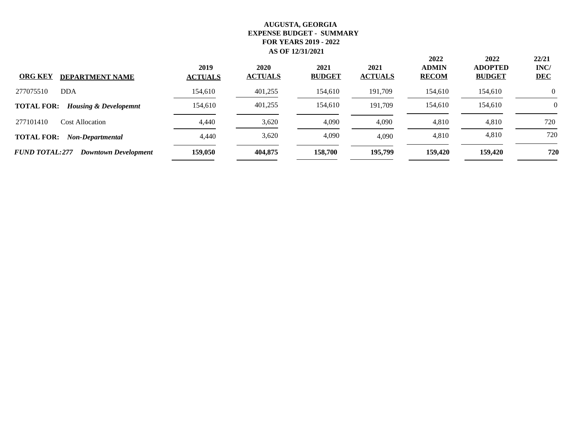| <b>ORG KEY</b><br><b>DEPARTMENT NAME</b>              | 2019<br><b>ACTUALS</b> | 2020<br><b>ACTUALS</b> | 2021<br><b>BUDGET</b> | 2021<br><b>ACTUALS</b> | 2022<br><b>ADMIN</b><br><b>RECOM</b> | 2022<br><b>ADOPTED</b><br><b>BUDGET</b> | 22/21<br>INC/<br><b>DEC</b> |
|-------------------------------------------------------|------------------------|------------------------|-----------------------|------------------------|--------------------------------------|-----------------------------------------|-----------------------------|
| 277075510<br>DDA                                      | 154,610                | 401,255                | 154,610               | 191,709                | 154,610                              | 154,610                                 | $\Omega$                    |
| <b>TOTAL FOR:</b><br><b>Housing &amp; Developemnt</b> | 154,610                | 401,255                | 154,610               | 191.709                | 154,610                              | 154,610                                 | $\Omega$                    |
| 277101410<br><b>Cost Allocation</b>                   | 4,440                  | 3,620                  | 4,090                 | 4,090                  | 4,810                                | 4,810                                   | 720                         |
| <b>TOTAL FOR:</b><br>Non-Departmental                 | 4,440                  | 3,620                  | 4,090                 | 4.090                  | 4,810                                | 4,810                                   | 720                         |
| <b>FUND TOTAL:277</b><br><b>Downtown Development</b>  | 159,050                | 404,875                | 158,700               | 195,799                | 159,420                              | 159,420                                 | 720                         |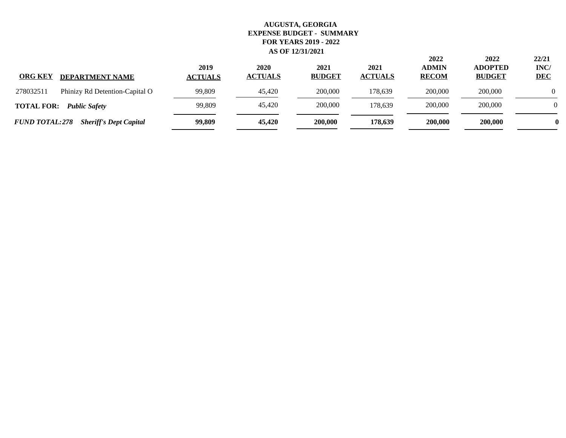| <b>ORG KEY</b><br><b>DEPARTMENT NAME</b>               | 2019<br><b>ACTUALS</b> | 2020<br><b>ACTUALS</b> | 2021<br><b>BUDGET</b> | 2021<br><b>ACTUALS</b> | 2022<br><b>ADMIN</b><br><b>RECOM</b> | 2022<br><b>ADOPTED</b><br><b>BUDGET</b> | 22/21<br>INC/<br><b>DEC</b> |
|--------------------------------------------------------|------------------------|------------------------|-----------------------|------------------------|--------------------------------------|-----------------------------------------|-----------------------------|
| 278032511<br>Phinizy Rd Detention-Capital O            | 99,809                 | 45,420                 | 200,000               | 178.639                | 200,000                              | 200,000                                 |                             |
| <b>TOTAL FOR:</b><br><b>Public Safety</b>              | 99,809                 | 45,420                 | 200,000               | 178.639                | 200,000                              | 200,000                                 | $\Omega$                    |
| <b>FUND TOTAL:278</b><br><b>Sheriff's Dept Capital</b> | 99,809                 | 45,420                 | 200,000               | 178,639                | 200,000                              | 200,000                                 |                             |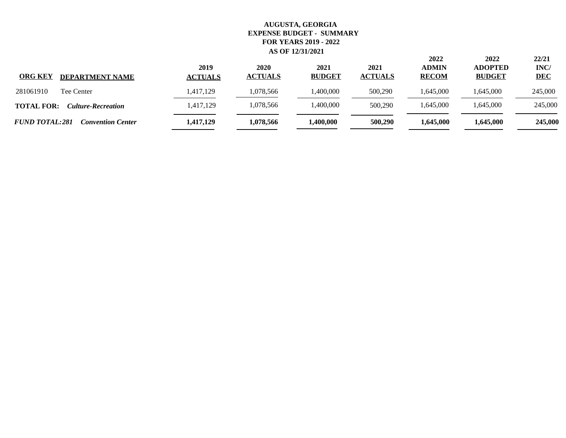| <b>ORG KEY</b><br><b>DEPARTMENT NAME</b>          | 2019<br><b>ACTUALS</b> | 2020<br><b>ACTUALS</b> | 2021<br><b>BUDGET</b> | 2021<br><b>ACTUALS</b> | 2022<br><b>ADMIN</b><br><b>RECOM</b> | 2022<br><b>ADOPTED</b><br><b>BUDGET</b> | 22/21<br>INC/<br><b>DEC</b> |
|---------------------------------------------------|------------------------|------------------------|-----------------------|------------------------|--------------------------------------|-----------------------------------------|-----------------------------|
| 281061910<br>Tee Center                           | 1,417,129              | 1,078,566              | ,400,000              | 500,290                | ,645,000                             | 1,645,000                               | 245,000                     |
| <b>TOTAL FOR:</b><br><b>Culture-Recreation</b>    | 1,417,129              | 1,078,566              | ,400,000              | 500,290                | 1,645,000                            | 1,645,000                               | 245,000                     |
| <b>FUND TOTAL:281</b><br><b>Convention Center</b> | 1,417,129              | 1,078,566              | 1,400,000             | 500,290                | 1,645,000                            | 1,645,000                               | 245,000                     |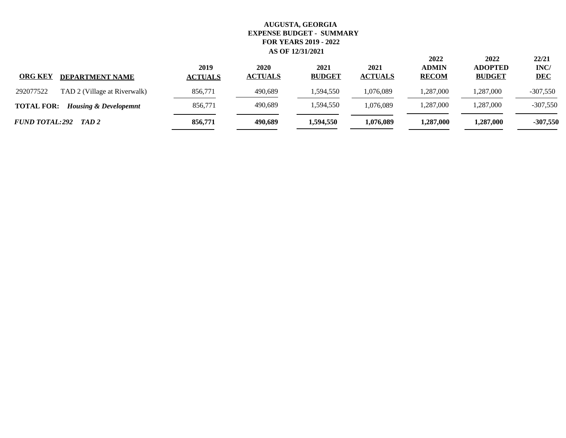| <b>ORG KEY</b><br><b>DEPARTMENT NAME</b>              | 2019<br><b>ACTUALS</b> | 2020<br><b>ACTUALS</b> | 2021<br><b>BUDGET</b> | 2021<br><b>ACTUALS</b> | 2022<br><b>ADMIN</b><br><b>RECOM</b> | 2022<br><b>ADOPTED</b><br><b>BUDGET</b> | 22/21<br>INC/<br><b>DEC</b> |
|-------------------------------------------------------|------------------------|------------------------|-----------------------|------------------------|--------------------------------------|-----------------------------------------|-----------------------------|
| 292077522<br>TAD 2 (Village at Riverwalk)             | 856,771                | 490,689                | 1,594,550             | 1,076,089              | ,287,000                             | 1,287,000                               | $-307,550$                  |
| <b>TOTAL FOR:</b><br><b>Housing &amp; Developemnt</b> | 856.771                | 490,689                | 1,594,550             | 1,076,089              | ,287,000                             | 1,287,000                               | $-307,550$                  |
| FUND TOTAL:292 TAD 2                                  | 856,771                | 490.689                | 1,594,550             | 1,076,089              | <b>1.287.000</b>                     | 1,287,000                               | $-307,550$                  |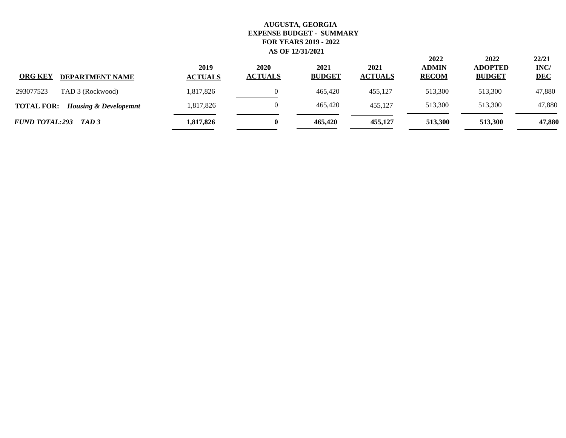| <b>ORG KEY</b><br><b>DEPARTMENT NAME</b>              | 2019<br><b>ACTUALS</b> | 2020<br><b>ACTUALS</b> | 2021<br><b>BUDGET</b> | 2021<br><b>ACTUALS</b> | 2022<br><b>ADMIN</b><br><b>RECOM</b> | 2022<br><b>ADOPTED</b><br><b>BUDGET</b> | 22/21<br>INC/<br><b>DEC</b> |
|-------------------------------------------------------|------------------------|------------------------|-----------------------|------------------------|--------------------------------------|-----------------------------------------|-----------------------------|
| 293077523<br>TAD 3 (Rockwood)                         | 1,817,826              |                        | 465,420               | 455.127                | 513,300                              | 513,300                                 | 47,880                      |
| <b>TOTAL FOR:</b><br><b>Housing &amp; Developemnt</b> | 1,817,826              |                        | 465,420               | 455.127                | 513,300                              | 513,300                                 | 47,880                      |
| FUND TOTAL:293 TAD 3                                  | 1,817,826              |                        | 465,420               | 455,127                | 513.300                              | 513.300                                 | 47,880                      |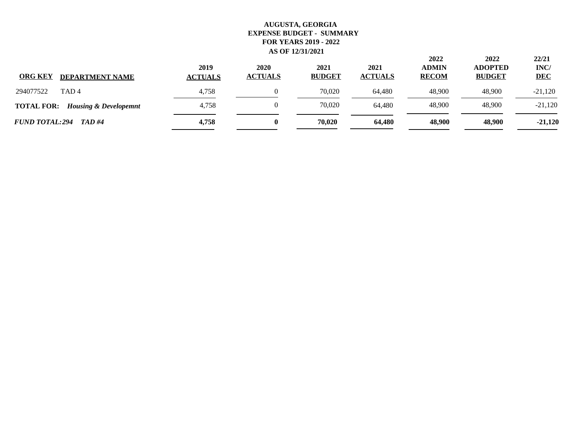| <b>ORG KEY</b><br><b>DEPARTMENT NAME</b>              | 2019<br><b>ACTUALS</b> | 2020<br><b>ACTUALS</b> | 2021<br><b>BUDGET</b> | 2021<br><b>ACTUALS</b> | 2022<br><b>ADMIN</b><br><b>RECOM</b> | 2022<br><b>ADOPTED</b><br><b>BUDGET</b> | 22/21<br>INC/<br><b>DEC</b> |
|-------------------------------------------------------|------------------------|------------------------|-----------------------|------------------------|--------------------------------------|-----------------------------------------|-----------------------------|
| 294077522<br>TAD <sub>4</sub>                         | 4.758                  |                        | 70,020                | 64.480                 | 48,900                               | 48,900                                  | $-21,120$                   |
| <b>TOTAL FOR:</b><br><b>Housing &amp; Developemnt</b> | 4,758                  | 0                      | 70,020                | 64.480                 | 48,900                               | 48,900                                  | $-21,120$                   |
| <b>FUND TOTAL:294</b><br>TAD #4                       | 4,758                  | 0                      | 70,020                | 64.480                 | 48,900                               | 48,900                                  | $-21,120$                   |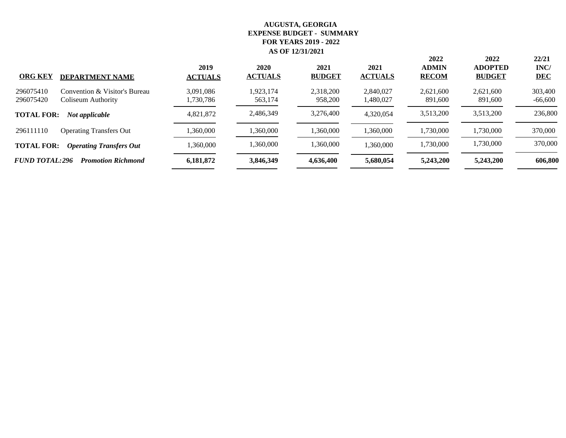| <b>ORG KEY</b><br><b>DEPARTMENT NAME</b>                                      | 2019<br><b>ACTUALS</b> | 2020<br><b>ACTUALS</b> | 2021<br><b>BUDGET</b> | 2021<br><b>ACTUALS</b> | 2022<br><b>ADMIN</b><br><b>RECOM</b> | 2022<br><b>ADOPTED</b><br><b>BUDGET</b> | 22/21<br>INC/<br><b>DEC</b> |
|-------------------------------------------------------------------------------|------------------------|------------------------|-----------------------|------------------------|--------------------------------------|-----------------------------------------|-----------------------------|
| Convention & Visitor's Bureau<br>296075410<br>296075420<br>Coliseum Authority | 3,091,086<br>1,730,786 | 1,923,174<br>563,174   | 2,318,200<br>958,200  | 2,840,027<br>1,480,027 | 2,621,600<br>891,600                 | 2,621,600<br>891,600                    | 303,400<br>-66,600          |
| <b>TOTAL FOR:</b><br>Not applicable                                           | 4,821,872              | 2,486,349              | 3,276,400             | 4,320,054              | 3,513,200                            | 3,513,200                               | 236,800                     |
| 296111110<br><b>Operating Transfers Out</b>                                   | 1,360,000              | 1,360,000              | 1,360,000             | 1,360,000              | 1,730,000                            | 1,730,000                               | 370,000                     |
| <b>TOTAL FOR:</b><br><b>Operating Transfers Out</b>                           | 1,360,000              | 1,360,000              | 1,360,000             | 1,360,000              | 1,730,000                            | 1,730,000                               | 370,000                     |
| <b>FUND TOTAL:296</b><br><b>Promotion Richmond</b>                            | 6,181,872              | 3,846,349              | 4,636,400             | 5,680,054              | 5,243,200                            | 5,243,200                               | 606,800                     |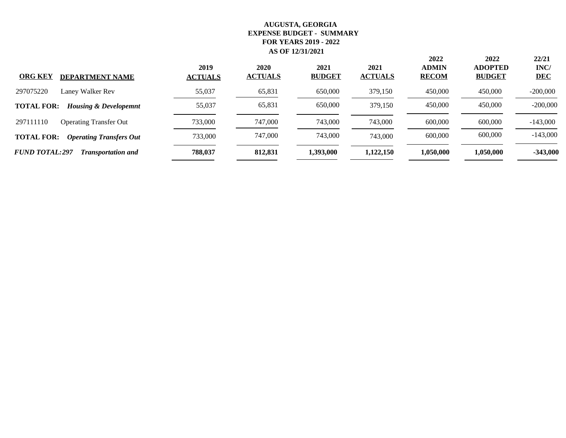| <b>ORG KEY</b><br><b>DEPARTMENT NAME</b>              | 2019<br><b>ACTUALS</b> | 2020<br><b>ACTUALS</b> | 2021<br><b>BUDGET</b> | 2021<br><b>ACTUALS</b> | 2022<br><b>ADMIN</b><br><b>RECOM</b> | 2022<br><b>ADOPTED</b><br><b>BUDGET</b> | 22/21<br>INC/<br><b>DEC</b> |
|-------------------------------------------------------|------------------------|------------------------|-----------------------|------------------------|--------------------------------------|-----------------------------------------|-----------------------------|
| 297075220<br>Laney Walker Rev                         | 55,037                 | 65,831                 | 650,000               | 379,150                | 450,000                              | 450,000                                 | $-200,000$                  |
| <b>TOTAL FOR:</b><br><b>Housing &amp; Developemnt</b> | 55,037                 | 65,831                 | 650,000               | 379,150                | 450,000                              | 450,000                                 | $-200,000$                  |
| 297111110<br><b>Operating Transfer Out</b>            | 733,000                | 747,000                | 743,000               | 743,000                | 600,000                              | 600,000                                 | $-143,000$                  |
| <b>TOTAL FOR:</b><br><b>Operating Transfers Out</b>   | 733,000                | 747,000                | 743,000               | 743,000                | 600,000                              | 600,000                                 | $-143,000$                  |
| <b>FUND TOTAL:297</b><br><b>Transportation and</b>    | 788,037                | 812.831                | 1,393,000             | 1,122,150              | 1.050.000                            | 1,050,000                               | $-343,000$                  |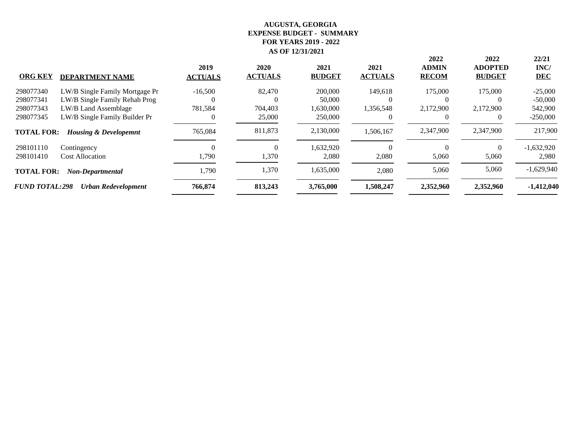|                       |                                  | 2019           | 2020           | 2021          | 2021           | 2022<br><b>ADMIN</b> | 2022<br><b>ADOPTED</b> | 22/21<br>INC/ |
|-----------------------|----------------------------------|----------------|----------------|---------------|----------------|----------------------|------------------------|---------------|
| <b>ORG KEY</b>        | <b>DEPARTMENT NAME</b>           | <b>ACTUALS</b> | <b>ACTUALS</b> | <b>BUDGET</b> | <b>ACTUALS</b> | <b>RECOM</b>         | <b>BUDGET</b>          | <b>DEC</b>    |
| 298077340             | LW/B Single Family Mortgage Pr   | $-16,500$      | 82,470         | 200,000       | 149,618        | 175,000              | 175,000                | $-25,000$     |
| 298077341             | LW/B Single Family Rehab Prog    |                |                | 50,000        | $\theta$       | $\theta$             | $\left($               | $-50,000$     |
| 298077343             | LW/B Land Assemblage             | 781,584        | 704,403        | 1,630,000     | 1,356,548      | 2,172,900            | 2,172,900              | 542,900       |
| 298077345             | LW/B Single Family Builder Pr    |                | 25,000         | 250,000       |                |                      |                        | $-250,000$    |
| <b>TOTAL FOR:</b>     | <b>Housing &amp; Developemnt</b> | 765,084        | 811,873        | 2,130,000     | 1,506,167      | 2,347,900            | 2,347,900              | 217,900       |
| 298101110             | Contingency                      |                | 0              | 1,632,920     | $\theta$       | 0                    | $\Omega$               | $-1,632,920$  |
| 298101410             | <b>Cost Allocation</b>           | 1,790          | 1,370          | 2,080         | 2,080          | 5,060                | 5,060                  | 2,980         |
| <b>TOTAL FOR:</b>     | Non-Departmental                 | 1,790          | 1,370          | 1,635,000     | 2,080          | 5,060                | 5,060                  | $-1,629,940$  |
| <b>FUND TOTAL:298</b> | Urban Redevelopment              | 766,874        | 813,243        | 3,765,000     | 1,508,247      | 2,352,960            | 2,352,960              | $-1,412,040$  |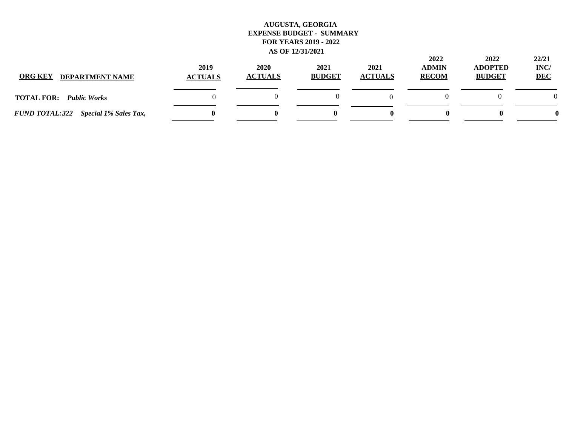| <b>ORG KEY</b><br><b>DEPARTMENT NAME</b> | 2019<br><b>ACTUALS</b> | 2020<br><b>ACTUALS</b> | 2021<br><b>BUDGET</b> | 2021<br><b>ACTUALS</b> | 2022<br><b>ADMIN</b><br><b>RECOM</b> | 2022<br><b>ADOPTED</b><br><b>BUDGET</b> | 22/21<br>INC/<br><b>DEC</b> |
|------------------------------------------|------------------------|------------------------|-----------------------|------------------------|--------------------------------------|-----------------------------------------|-----------------------------|
| <b>TOTAL FOR:</b><br><b>Public Works</b> |                        |                        |                       |                        |                                      |                                         | $\Omega$                    |
| FUND TOTAL:322 Special 1% Sales Tax,     |                        |                        |                       |                        |                                      | o                                       |                             |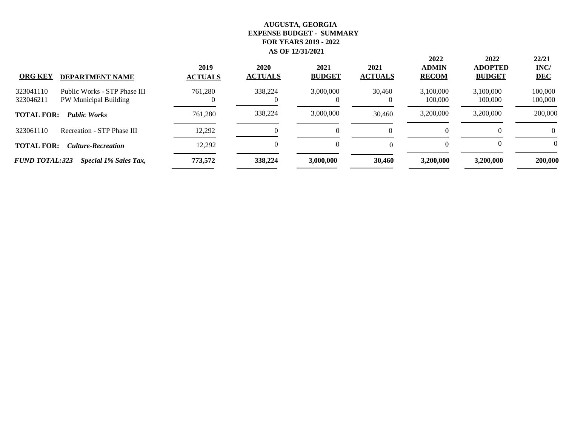| <b>ORG KEY</b><br><b>DEPARTMENT NAME</b>                                        | 2019<br><b>ACTUALS</b> | 2020<br><b>ACTUALS</b> | 2021<br><b>BUDGET</b> | 2021<br><b>ACTUALS</b> | 2022<br><b>ADMIN</b><br><b>RECOM</b> | 2022<br><b>ADOPTED</b><br><b>BUDGET</b> | 22/21<br>INC/<br><b>DEC</b> |
|---------------------------------------------------------------------------------|------------------------|------------------------|-----------------------|------------------------|--------------------------------------|-----------------------------------------|-----------------------------|
| Public Works - STP Phase III<br>323041110<br>323046211<br>PW Municipal Building | 761,280                | 338,224                | 3,000,000<br>$\theta$ | 30,460                 | 3,100,000<br>100,000                 | 3,100,000<br>100,000                    | 100,000<br>100,000          |
| <b>TOTAL FOR:</b><br><b>Public Works</b>                                        | 761.280                | 338,224                | 3,000,000             | 30,460                 | 3,200,000                            | 3,200,000                               | 200,000                     |
| 323061110<br>Recreation - STP Phase III                                         | 12,292                 |                        | $_{0}$                |                        | 0                                    |                                         | 0                           |
| <b>TOTAL FOR:</b><br><b>Culture-Recreation</b>                                  | 12,292                 | 0                      | $\Omega$              |                        | 0                                    |                                         | $\Omega$                    |
| <b>FUND TOTAL:323</b><br>Special 1% Sales Tax,                                  | 773,572                | 338,224                | 3,000,000             | 30,460                 | 3,200,000                            | 3,200,000                               | 200,000                     |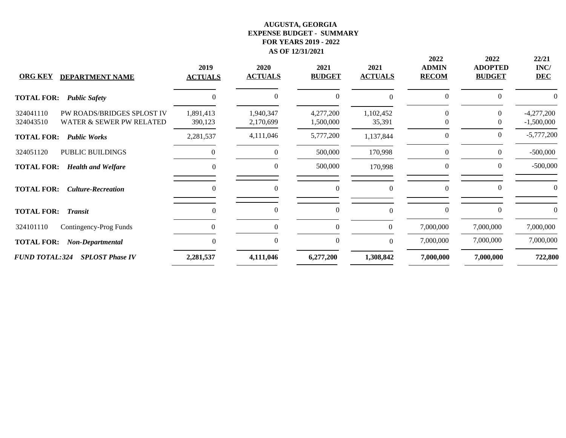| <b>ORG KEY</b><br><b>DEPARTMENT NAME</b>                                         | 2019<br><b>ACTUALS</b> | 2020<br><b>ACTUALS</b> | 2021<br><b>BUDGET</b>  | 2021<br><b>ACTUALS</b> | 2022<br><b>ADMIN</b><br><b>RECOM</b> | 2022<br><b>ADOPTED</b><br><b>BUDGET</b> | 22/21<br>INC/<br><b>DEC</b>  |
|----------------------------------------------------------------------------------|------------------------|------------------------|------------------------|------------------------|--------------------------------------|-----------------------------------------|------------------------------|
| <b>TOTAL FOR:</b><br><b>Public Safety</b>                                        | $\Omega$               | $\Omega$               | $\overline{0}$         | $\Omega$               | $\mathbf{0}$                         | $\Omega$                                |                              |
| PW ROADS/BRIDGES SPLOST IV<br>324041110<br>WATER & SEWER PW RELATED<br>324043510 | 1,891,413<br>390,123   | 1,940,347<br>2,170,699 | 4,277,200<br>1,500,000 | 1,102,452<br>35,391    | $\Omega$<br>$\theta$                 | $\Omega$<br>$\theta$                    | $-4,277,200$<br>$-1,500,000$ |
| <b>TOTAL FOR:</b><br><b>Public Works</b>                                         | 2,281,537              | 4,111,046              | 5,777,200              | 1,137,844              | $\mathbf{0}$                         | $\theta$                                | $-5,777,200$                 |
| PUBLIC BUILDINGS<br>324051120                                                    |                        | $\Omega$               | 500,000                | 170,998                | $\theta$                             | $\overline{0}$                          | $-500,000$                   |
| <b>TOTAL FOR:</b><br><b>Health and Welfare</b>                                   | $\Omega$               | $\overline{0}$         | 500,000                | 170,998                | $\overline{0}$                       | $\overline{0}$                          | $-500,000$                   |
| <b>TOTAL FOR:</b><br><b>Culture-Recreation</b>                                   | $\theta$               | $\theta$               | $\theta$               | $\mathbf{0}$           | $\overline{0}$                       | $\theta$                                |                              |
| <b>TOTAL FOR:</b><br><b>Transit</b>                                              | $\theta$               | 0                      | $\boldsymbol{0}$       | $\Omega$               | $\overline{0}$                       | $\overline{0}$                          |                              |
| 324101110<br>Contingency-Prog Funds                                              |                        |                        | $\boldsymbol{0}$       | $\boldsymbol{0}$       | 7,000,000                            | 7,000,000                               | 7,000,000                    |
| <b>TOTAL FOR:</b><br>Non-Departmental                                            | $\Omega$               | $\Omega$               | $\boldsymbol{0}$       | $\theta$               | 7,000,000                            | 7,000,000                               | 7,000,000                    |
| <b>FUND TOTAL:324</b><br><b>SPLOST Phase IV</b>                                  | 2,281,537              | 4,111,046              | 6,277,200              | 1,308,842              | 7,000,000                            | 7,000,000                               | 722,800                      |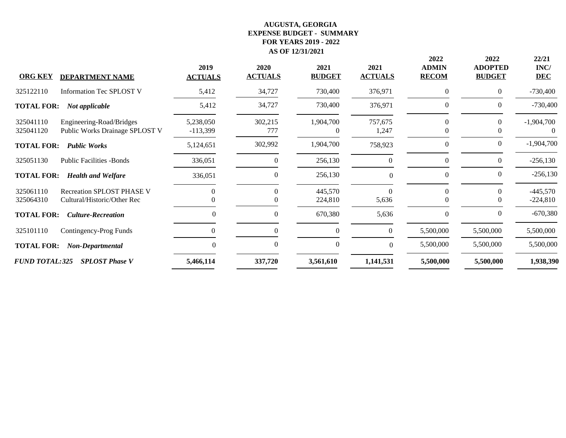| <b>ORG KEY</b>         | <b>DEPARTMENT NAME</b>                                          | 2019<br><b>ACTUALS</b>  | 2020<br><b>ACTUALS</b> | 2021<br><b>BUDGET</b> | 2021<br><b>ACTUALS</b> | 2022<br><b>ADMIN</b><br><b>RECOM</b> | 2022<br><b>ADOPTED</b><br><b>BUDGET</b> | 22/21<br>INC/<br><b>DEC</b> |
|------------------------|-----------------------------------------------------------------|-------------------------|------------------------|-----------------------|------------------------|--------------------------------------|-----------------------------------------|-----------------------------|
| 325122110              | <b>Information Tec SPLOST V</b>                                 | 5,412                   | 34,727                 | 730,400               | 376,971                | $\mathbf{0}$                         | $\overline{0}$                          | $-730,400$                  |
| <b>TOTAL FOR:</b>      | Not applicable                                                  | 5,412                   | 34,727                 | 730,400               | 376,971                | $\boldsymbol{0}$                     | $\theta$                                | $-730,400$                  |
| 325041110<br>325041120 | Engineering-Road/Bridges<br>Public Works Drainage SPLOST V      | 5,238,050<br>$-113,399$ | 302,215<br>777         | 1,904,700<br>0        | 757,675<br>1,247       | 0<br>$\theta$                        |                                         | $-1,904,700$<br>0           |
| <b>TOTAL FOR:</b>      | <b>Public Works</b>                                             | 5,124,651               | 302,992                | 1,904,700             | 758,923                | $\mathbf{0}$                         | $\theta$                                | $-1,904,700$                |
| 325051130              | <b>Public Facilities -Bonds</b>                                 | 336,051                 | $\theta$               | 256,130               | $\Omega$               | $\Omega$                             | $\Omega$                                | $-256,130$                  |
| <b>TOTAL FOR:</b>      | <b>Health and Welfare</b>                                       | 336,051                 | $\Omega$               | 256,130               | $\Omega$               | $\theta$                             | $\theta$                                | $-256,130$                  |
| 325061110<br>325064310 | <b>Recreation SPLOST PHASE V</b><br>Cultural/Historic/Other Rec | $\Omega$                | $\Omega$               | 445,570<br>224,810    | $\Omega$<br>5,636      | $\Omega$<br>$\theta$                 | $\Omega$                                | $-445,570$<br>$-224,810$    |
| <b>TOTAL FOR:</b>      | <b>Culture-Recreation</b>                                       | $\theta$                | $\overline{0}$         | 670,380               | 5,636                  | $\theta$                             | $\theta$                                | $-670,380$                  |
| 325101110              | Contingency-Prog Funds                                          | 0                       | $\Omega$               | $\mathbf{0}$          | $\theta$               | 5,500,000                            | 5,500,000                               | 5,500,000                   |
| <b>TOTAL FOR:</b>      | Non-Departmental                                                | $\Omega$                | $\Omega$               | $\mathbf{0}$          | $\Omega$               | 5,500,000                            | 5,500,000                               | 5,500,000                   |
| <b>FUND TOTAL:325</b>  | <b>SPLOST Phase V</b>                                           | 5,466,114               | 337,720                | 3,561,610             | 1,141,531              | 5,500,000                            | 5,500,000                               | 1,938,390                   |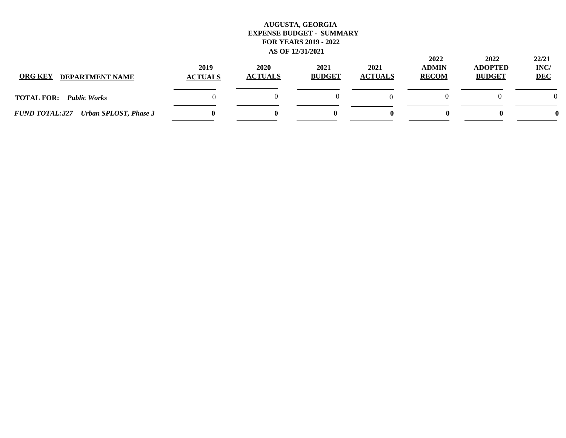| <b>ORG KEY</b><br><b>DEPARTMENT NAME</b>              | 2019<br><b>ACTUALS</b> | 2020<br><b>ACTUALS</b> | 2021<br><b>BUDGET</b> | 2021<br><b>ACTUALS</b> | 2022<br><b>ADMIN</b><br><b>RECOM</b> | 2022<br><b>ADOPTED</b><br><b>BUDGET</b> | 22/21<br>INC/<br><b>DEC</b> |
|-------------------------------------------------------|------------------------|------------------------|-----------------------|------------------------|--------------------------------------|-----------------------------------------|-----------------------------|
| <b>TOTAL FOR:</b><br><b>Public Works</b>              |                        |                        |                       |                        |                                      |                                         | $\Omega$                    |
| <b>FUND TOTAL:327</b><br><b>Urban SPLOST, Phase 3</b> |                        |                        |                       |                        |                                      | o                                       |                             |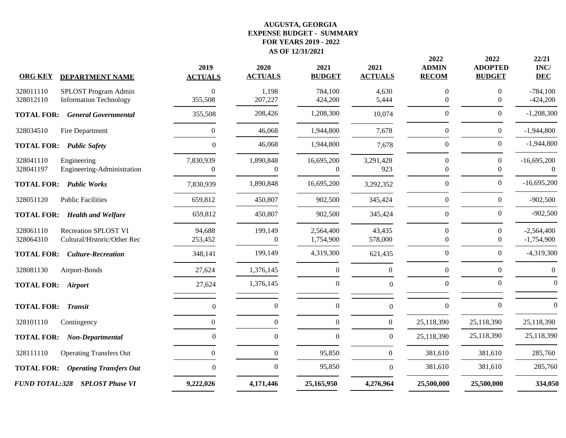|                       |                                | 2019             | 2020             | 2021             | 2021             | 2022<br><b>ADMIN</b> | 2022<br><b>ADOPTED</b> | 22/21              |
|-----------------------|--------------------------------|------------------|------------------|------------------|------------------|----------------------|------------------------|--------------------|
| <b>ORG KEY</b>        | <b>DEPARTMENT NAME</b>         | <b>ACTUALS</b>   | <b>ACTUALS</b>   | <b>BUDGET</b>    | <b>ACTUALS</b>   | <b>RECOM</b>         | <b>BUDGET</b>          | INC/<br><b>DEC</b> |
| 328011110             | SPLOST Program Admin           | $\mathbf{0}$     | 1,198            | 784,100          | 4,630            | $\boldsymbol{0}$     | $\Omega$               | $-784,100$         |
| 328012110             | <b>Information Technology</b>  | 355,508          | 207,227          | 424,200          | 5,444            | $\mathbf{0}$         | $\theta$               | $-424,200$         |
| <b>TOTAL FOR:</b>     | <b>General Governmental</b>    | 355,508          | 208,426          | 1,208,300        | 10,074           | $\boldsymbol{0}$     | $\Omega$               | $-1,208,300$       |
| 328034510             | Fire Department                | $\boldsymbol{0}$ | 46,068           | 1,944,800        | 7,678            | $\boldsymbol{0}$     | $\boldsymbol{0}$       | $-1,944,800$       |
| <b>TOTAL FOR:</b>     | <b>Public Safety</b>           | $\boldsymbol{0}$ | 46,068           | 1,944,800        | 7,678            | $\boldsymbol{0}$     | $\boldsymbol{0}$       | $-1,944,800$       |
| 328041110             | Engineering                    | 7,830,939        | 1,890,848        | 16,695,200       | 3,291,428        | $\Omega$             | $\Omega$               | $-16,695,200$      |
| 328041197             | Engineering-Administration     | $\Omega$         | $\Omega$         | $\Omega$         | 923              | $\Omega$             | $\Omega$               | $\Omega$           |
| <b>TOTAL FOR:</b>     | <b>Public Works</b>            | 7,830,939        | 1,890,848        | 16,695,200       | 3,292,352        | $\Omega$             | $\Omega$               | $-16,695,200$      |
| 328051120             | <b>Public Facilities</b>       | 659,812          | 450,807          | 902,500          | 345,424          | $\boldsymbol{0}$     | $\overline{0}$         | $-902,500$         |
| <b>TOTAL FOR:</b>     | <b>Health and Welfare</b>      | 659,812          | 450,807          | 902,500          | 345,424          | $\Omega$             | $\Omega$               | $-902,500$         |
| 328061110             | <b>Recreation SPLOST VI</b>    | 94,688           | 199,149          | 2,564,400        | 43,435           | $\boldsymbol{0}$     | $\theta$               | $-2,564,400$       |
| 328064310             | Cultural/Historic/Other Rec    | 253,452          | $\boldsymbol{0}$ | 1,754,900        | 578,000          | 0                    | $\theta$               | $-1,754,900$       |
| <b>TOTAL FOR:</b>     | <b>Culture-Recreation</b>      | 348,141          | 199,149          | 4,319,300        | 621,435          | $\boldsymbol{0}$     | $\boldsymbol{0}$       | $-4,319,300$       |
| 328081130             | Airport-Bonds                  | 27,624           | 1,376,145        | $\boldsymbol{0}$ | $\mathbf{0}$     | $\boldsymbol{0}$     | $\Omega$               | $\boldsymbol{0}$   |
| <b>TOTAL FOR:</b>     | <b>Airport</b>                 | 27,624           | 1,376,145        | $\mathbf{0}$     | $\Omega$         | $\mathbf{0}$         | $\Omega$               | $\Omega$           |
| <b>TOTAL FOR:</b>     | <b>Transit</b>                 | $\boldsymbol{0}$ | $\boldsymbol{0}$ | $\boldsymbol{0}$ | $\boldsymbol{0}$ | $\boldsymbol{0}$     | $\Omega$               | $\Omega$           |
| 328101110             | Contingency                    | $\Omega$         | $\boldsymbol{0}$ | $\mathbf{0}$     | $\boldsymbol{0}$ | 25,118,390           | 25,118,390             | 25,118,390         |
| <b>TOTAL FOR:</b>     | Non-Departmental               | $\theta$         | $\boldsymbol{0}$ | $\mathbf{0}$     | $\boldsymbol{0}$ | 25,118,390           | 25,118,390             | 25,118,390         |
| 328111110             | <b>Operating Transfers Out</b> | $\boldsymbol{0}$ | $\boldsymbol{0}$ | 95,850           | $\boldsymbol{0}$ | 381,610              | 381,610                | 285,760            |
| <b>TOTAL FOR:</b>     | <b>Operating Transfers Out</b> | $\Omega$         | $\boldsymbol{0}$ | 95,850           | $\Omega$         | 381,610              | 381,610                | 285,760            |
| <b>FUND TOTAL:328</b> | <b>SPLOST Phase VI</b>         | 9,222,026        | 4,171,446        | 25,165,950       | 4,276,964        | 25,500,000           | 25,500,000             | 334,050            |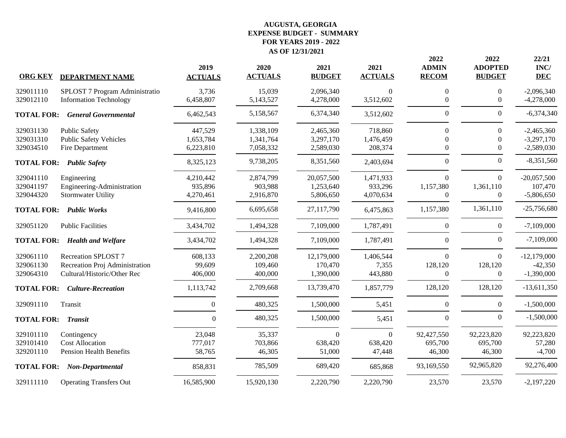|                   |                                | 2019             | 2020           | 2021          | 2021           | 2022<br><b>ADMIN</b> | 2022<br><b>ADOPTED</b> | 22/21<br>INC/ |
|-------------------|--------------------------------|------------------|----------------|---------------|----------------|----------------------|------------------------|---------------|
| <b>ORG KEY</b>    | <b>DEPARTMENT NAME</b>         | <b>ACTUALS</b>   | <b>ACTUALS</b> | <b>BUDGET</b> | <b>ACTUALS</b> | <b>RECOM</b>         | <b>BUDGET</b>          | <b>DEC</b>    |
| 329011110         | SPLOST 7 Program Administratio | 3,736            | 15,039         | 2,096,340     | 0              | $\Omega$             | $\Omega$               | $-2,096,340$  |
| 329012110         | <b>Information Technology</b>  | 6,458,807        | 5,143,527      | 4,278,000     | 3,512,602      | $\mathbf{0}$         | $\overline{0}$         | $-4,278,000$  |
| <b>TOTAL FOR:</b> | <b>General Governmental</b>    | 6,462,543        | 5,158,567      | 6,374,340     | 3,512,602      | $\boldsymbol{0}$     | $\Omega$               | $-6,374,340$  |
| 329031130         | Public Safety                  | 447,529          | 1,338,109      | 2,465,360     | 718,860        | $\theta$             | $\Omega$               | $-2,465,360$  |
| 329031310         | <b>Public Safety Vehicles</b>  | 1,653,784        | 1,341,764      | 3,297,170     | 1,476,459      |                      | $\Omega$               | $-3,297,170$  |
| 329034510         | Fire Department                | 6,223,810        | 7,058,332      | 2,589,030     | 208,374        | $\theta$             | $\theta$               | $-2,589,030$  |
| <b>TOTAL FOR:</b> | <b>Public Safety</b>           | 8,325,123        | 9,738,205      | 8,351,560     | 2,403,694      | $\boldsymbol{0}$     | $\overline{0}$         | $-8,351,560$  |
| 329041110         | Engineering                    | 4,210,442        | 2,874,799      | 20,057,500    | 1,471,933      | $\theta$             | $\Omega$               | $-20,057,500$ |
| 329041197         | Engineering-Administration     | 935,896          | 903,988        | 1,253,640     | 933,296        | 1,157,380            | 1,361,110              | 107,470       |
| 329044320         | <b>Stormwater Utility</b>      | 4,270,461        | 2,916,870      | 5,806,650     | 4,070,634      | $\mathbf{0}$         | $\overline{0}$         | $-5,806,650$  |
| <b>TOTAL FOR:</b> | <b>Public Works</b>            | 9,416,800        | 6,695,658      | 27,117,790    | 6,475,863      | 1,157,380            | 1,361,110              | $-25,756,680$ |
| 329051120         | <b>Public Facilities</b>       | 3,434,702        | 1,494,328      | 7,109,000     | 1,787,491      | $\overline{0}$       | $\overline{0}$         | $-7,109,000$  |
| <b>TOTAL FOR:</b> | <b>Health and Welfare</b>      | 3,434,702        | 1,494,328      | 7,109,000     | 1,787,491      | $\mathbf{0}$         | $\Omega$               | $-7,109,000$  |
| 329061110         | Recreation SPLOST 7            | 608,133          | 2,200,208      | 12,179,000    | 1,406,544      | $\mathbf{0}$         | $\Omega$               | $-12,179,000$ |
| 329061130         | Recreation Proj Administration | 99,609           | 109,460        | 170,470       | 7,355          | 128,120              | 128,120                | $-42,350$     |
| 329064310         | Cultural/Historic/Other Rec    | 406,000          | 400,000        | 1,390,000     | 443,880        | $\theta$             | $\overline{0}$         | $-1,390,000$  |
| <b>TOTAL FOR:</b> | <b>Culture-Recreation</b>      | 1,113,742        | 2,709,668      | 13,739,470    | 1,857,779      | 128,120              | 128,120                | $-13,611,350$ |
| 329091110         | Transit                        | $\boldsymbol{0}$ | 480,325        | 1,500,000     | 5,451          | $\boldsymbol{0}$     | $\boldsymbol{0}$       | $-1,500,000$  |
| <b>TOTAL FOR:</b> | <b>Transit</b>                 | $\boldsymbol{0}$ | 480,325        | 1,500,000     | 5,451          | $\boldsymbol{0}$     | $\Omega$               | $-1,500,000$  |
| 329101110         | Contingency                    | 23,048           | 35,337         | $\Omega$      | $\Omega$       | 92,427,550           | 92,223,820             | 92,223,820    |
| 329101410         | <b>Cost Allocation</b>         | 777,017          | 703,866        | 638,420       | 638,420        | 695,700              | 695,700                | 57,280        |
| 329201110         | Pension Health Benefits        | 58,765           | 46,305         | 51,000        | 47,448         | 46,300               | 46,300                 | $-4,700$      |
| <b>TOTAL FOR:</b> | Non-Departmental               | 858,831          | 785,509        | 689,420       | 685,868        | 93,169,550           | 92,965,820             | 92,276,400    |
| 329111110         | <b>Operating Transfers Out</b> | 16,585,900       | 15,920,130     | 2,220,790     | 2,220,790      | 23,570               | 23,570                 | $-2,197,220$  |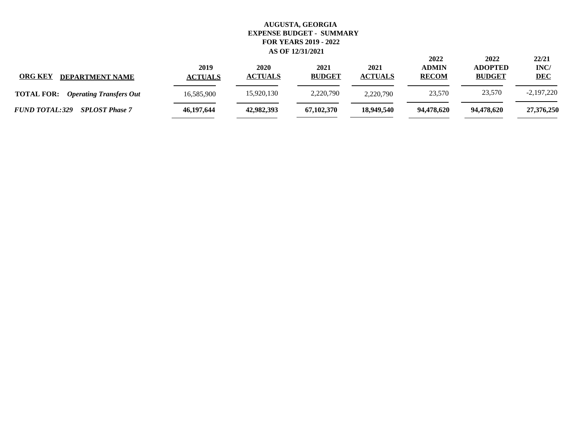**22/21**

**2022 2022**

| <b>ORG KEY</b><br><b>DEPARTMENT NAME</b>            | 2019<br><b>ACTUALS</b> | 2020<br><b>ACTUALS</b> | 2021<br><b>BUDGET</b> | 2021<br><b>ACTUALS</b> | <b>ADMIN</b><br><b>RECOM</b> | <b>ADOPTED</b><br><b>BUDGET</b> | INC/<br><b>DEC</b> |
|-----------------------------------------------------|------------------------|------------------------|-----------------------|------------------------|------------------------------|---------------------------------|--------------------|
| <b>TOTAL FOR:</b><br><b>Operating Transfers Out</b> | 16,585,900             | 15,920,130             | 2,220,790             | 2.220.790              | 23,570                       | 23,570                          | $-2,197,220$       |
| <b>FUND TOTAL:329</b><br><b>SPLOST Phase 7</b>      | 46,197,644             | 42,982,393             | 67,102,370            | 18,949,540             | 94.478.620                   | 94,478,620                      | 27,376,250         |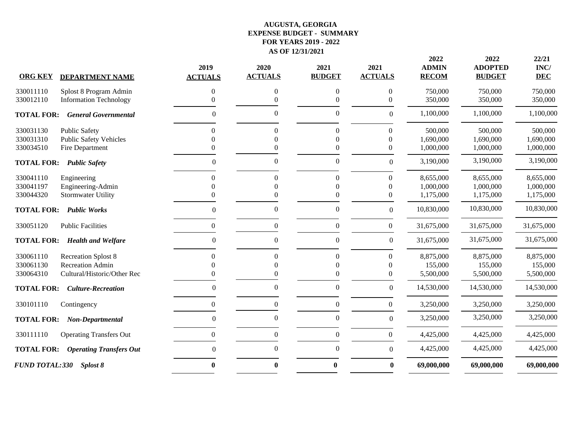|                       |                                | 2019             | 2020             | 2021             | 2021             | 2022<br><b>ADMIN</b> | 2022<br><b>ADOPTED</b> | 22/21<br>INC/ |
|-----------------------|--------------------------------|------------------|------------------|------------------|------------------|----------------------|------------------------|---------------|
| <b>ORG KEY</b>        | <b>DEPARTMENT NAME</b>         | <b>ACTUALS</b>   | <b>ACTUALS</b>   | <b>BUDGET</b>    | <b>ACTUALS</b>   | <b>RECOM</b>         | <b>BUDGET</b>          | <b>DEC</b>    |
| 330011110             | Splost 8 Program Admin         | 0                | 0                | $\boldsymbol{0}$ | $\Omega$         | 750,000              | 750,000                | 750,000       |
| 330012110             | <b>Information Technology</b>  |                  | $\Omega$         | 0                | 0                | 350,000              | 350,000                | 350,000       |
| <b>TOTAL FOR:</b>     | <b>General Governmental</b>    | $\overline{0}$   | 0                | $\mathbf{0}$     | $\boldsymbol{0}$ | 1,100,000            | 1,100,000              | 1,100,000     |
| 330031130             | <b>Public Safety</b>           | 0                | $\Omega$         | $\mathbf{0}$     | 0                | 500,000              | 500,000                | 500,000       |
| 330031310             | <b>Public Safety Vehicles</b>  |                  | $\Omega$         | $\Omega$         | $\Omega$         | 1,690,000            | 1,690,000              | 1,690,000     |
| 330034510             | Fire Department                |                  | $\Omega$         | $\Omega$         | $\mathbf{0}$     | 1,000,000            | 1,000,000              | 1,000,000     |
| <b>TOTAL FOR:</b>     | <b>Public Safety</b>           | $\overline{0}$   | $\boldsymbol{0}$ | $\boldsymbol{0}$ | $\boldsymbol{0}$ | 3,190,000            | 3,190,000              | 3,190,000     |
| 330041110             | Engineering                    | $\Omega$         | $\theta$         | $\mathbf{0}$     | $\boldsymbol{0}$ | 8,655,000            | 8,655,000              | 8,655,000     |
| 330041197             | Engineering-Admin              |                  | $\Omega$         | $\Omega$         | $\mathbf{0}$     | 1,000,000            | 1,000,000              | 1,000,000     |
| 330044320             | <b>Stormwater Utility</b>      |                  | $\overline{0}$   | $\mathbf{0}$     | $\boldsymbol{0}$ | 1,175,000            | 1,175,000              | 1,175,000     |
| <b>TOTAL FOR:</b>     | <b>Public Works</b>            | $\overline{0}$   | $\boldsymbol{0}$ | $\mathbf{0}$     | $\boldsymbol{0}$ | 10,830,000           | 10,830,000             | 10,830,000    |
| 330051120             | <b>Public Facilities</b>       | $\boldsymbol{0}$ | $\boldsymbol{0}$ | $\boldsymbol{0}$ | $\boldsymbol{0}$ | 31,675,000           | 31,675,000             | 31,675,000    |
| <b>TOTAL FOR:</b>     | <b>Health and Welfare</b>      | $\theta$         | $\boldsymbol{0}$ | $\boldsymbol{0}$ | $\boldsymbol{0}$ | 31,675,000           | 31,675,000             | 31,675,000    |
| 330061110             | <b>Recreation Splost 8</b>     |                  | 0                | $\mathbf{0}$     | $\Omega$         | 8,875,000            | 8,875,000              | 8,875,000     |
| 330061130             | <b>Recreation Admin</b>        |                  | $\Omega$         | $\Omega$         | $\Omega$         | 155,000              | 155,000                | 155,000       |
| 330064310             | Cultural/Historic/Other Rec    |                  | $\Omega$         | $\Omega$         | $\Omega$         | 5,500,000            | 5,500,000              | 5,500,000     |
| <b>TOTAL FOR:</b>     | <b>Culture-Recreation</b>      | $\overline{0}$   | $\boldsymbol{0}$ | $\overline{0}$   | $\boldsymbol{0}$ | 14,530,000           | 14,530,000             | 14,530,000    |
| 330101110             | Contingency                    | $\mathbf{0}$     | $\boldsymbol{0}$ | $\mathbf{0}$     | $\mathbf{0}$     | 3,250,000            | 3,250,000              | 3,250,000     |
| <b>TOTAL FOR:</b>     | Non-Departmental               | $\theta$         | $\boldsymbol{0}$ | $\boldsymbol{0}$ | $\boldsymbol{0}$ | 3,250,000            | 3,250,000              | 3,250,000     |
| 330111110             | <b>Operating Transfers Out</b> | $\Omega$         | $\boldsymbol{0}$ | $\mathbf{0}$     | $\boldsymbol{0}$ | 4,425,000            | 4,425,000              | 4,425,000     |
| <b>TOTAL FOR:</b>     | <b>Operating Transfers Out</b> | $\theta$         | $\boldsymbol{0}$ | $\Omega$         | $\boldsymbol{0}$ | 4,425,000            | 4,425,000              | 4,425,000     |
| <b>FUND TOTAL:330</b> | Splost 8                       | 0                | $\bf{0}$         | $\bf{0}$         | $\bf{0}$         | 69,000,000           | 69,000,000             | 69,000,000    |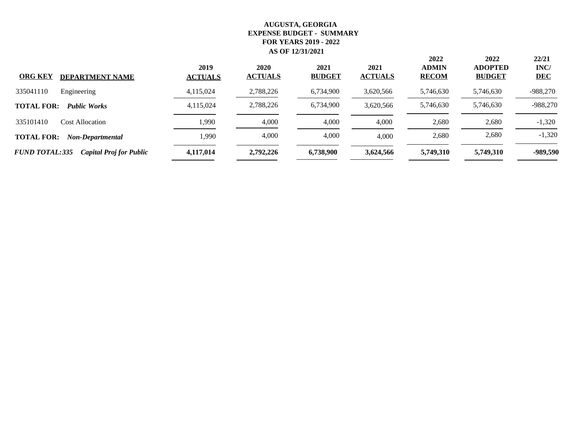| <b>ORG KEY</b><br><b>DEPARTMENT NAME</b>                | 2019<br><b>ACTUALS</b> | 2020<br><b>ACTUALS</b> | 2021<br><b>BUDGET</b> | 2021<br><b>ACTUALS</b> | 2022<br><b>ADMIN</b><br><b>RECOM</b> | 2022<br><b>ADOPTED</b><br><b>BUDGET</b> | 22/21<br>INC/<br><b>DEC</b> |
|---------------------------------------------------------|------------------------|------------------------|-----------------------|------------------------|--------------------------------------|-----------------------------------------|-----------------------------|
| Engineering<br>335041110                                | 4,115,024              | 2,788,226              | 6,734,900             | 3,620,566              | 5,746,630                            | 5,746,630                               | $-988,270$                  |
| <b>TOTAL FOR:</b><br><b>Public Works</b>                | 4,115,024              | 2,788,226              | 6,734,900             | 3,620,566              | 5,746,630                            | 5,746,630                               | $-988,270$                  |
| 335101410<br><b>Cost Allocation</b>                     | 1,990                  | 4,000                  | 4,000                 | 4,000                  | 2,680                                | 2,680                                   | $-1,320$                    |
| <b>TOTAL FOR:</b><br>Non-Departmental                   | 1,990                  | 4,000                  | 4,000                 | 4,000                  | 2,680                                | 2,680                                   | $-1,320$                    |
| <b>FUND TOTAL:335</b><br><b>Capital Proj for Public</b> | 4,117,014              | 2,792,226              | 6,738,900             | 3,624,566              | 5,749,310                            | 5,749,310                               | -989,590                    |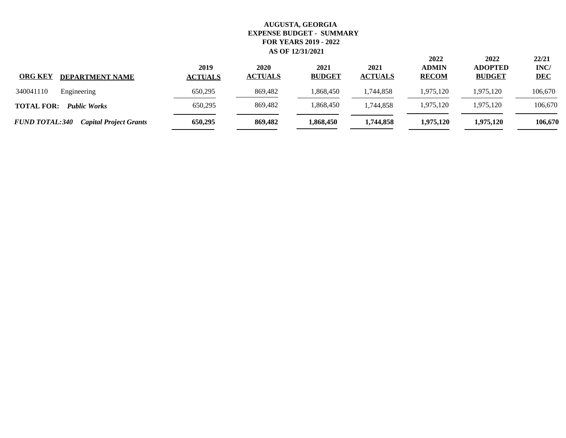| <b>ORG KEY</b><br><b>DEPARTMENT NAME</b>               | 2019<br><b>ACTUALS</b> | 2020<br><b>ACTUALS</b> | 2021<br><b>BUDGET</b> | 2021<br><b>ACTUALS</b> | 2022<br><b>ADMIN</b><br><b>RECOM</b> | 2022<br><b>ADOPTED</b><br><b>BUDGET</b> | 22/21<br>INC/<br><b>DEC</b> |
|--------------------------------------------------------|------------------------|------------------------|-----------------------|------------------------|--------------------------------------|-----------------------------------------|-----------------------------|
| 340041110<br>Engineering                               | 650.295                | 869,482                | 1,868,450             | 1,744,858              | 1,975,120                            | 1,975,120                               | 106,670                     |
| <b>TOTAL FOR:</b><br><b>Public Works</b>               | 650,295                | 869,482                | 1,868,450             | ,744,858               | 1,975,120                            | 1,975,120                               | 106,670                     |
| <b>FUND TOTAL:340</b><br><b>Capital Project Grants</b> | 650,295                | 869,482                | 1,868,450             | 1,744,858              | 1,975,120                            | 1,975,120                               | 106,670                     |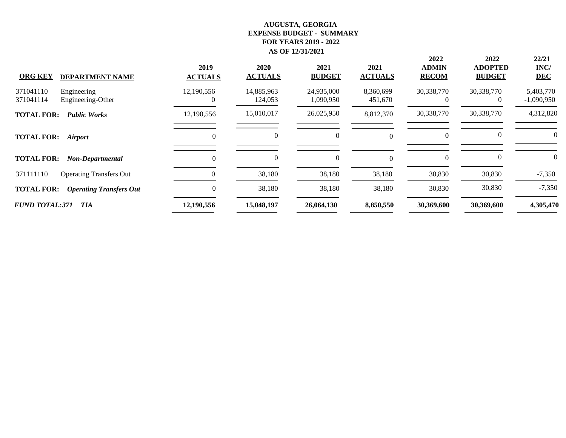| <b>ORG KEY</b><br><b>DEPARTMENT NAME</b>                   | 2019<br><b>ACTUALS</b> | 2020<br><b>ACTUALS</b> | 2021<br><b>BUDGET</b>   | 2021<br><b>ACTUALS</b> | 2022<br><b>ADMIN</b><br><b>RECOM</b> | 2022<br><b>ADOPTED</b><br><b>BUDGET</b> | 22/21<br>INC/<br><b>DEC</b> |
|------------------------------------------------------------|------------------------|------------------------|-------------------------|------------------------|--------------------------------------|-----------------------------------------|-----------------------------|
| 371041110<br>Engineering<br>371041114<br>Engineering-Other | 12,190,556             | 14,885,963<br>124,053  | 24,935,000<br>1,090,950 | 8,360,699<br>451,670   | 30,338,770<br>0                      | 30,338,770<br>$\theta$                  | 5,403,770<br>$-1,090,950$   |
| <b>TOTAL FOR:</b><br><b>Public Works</b>                   | 12,190,556             | 15,010,017             | 26,025,950              | 8,812,370              | 30,338,770                           | 30,338,770                              | 4,312,820                   |
| <b>TOTAL FOR:</b><br><i><b>Airport</b></i>                 | 0                      | $\Omega$               | $\theta$                |                        | $\theta$                             | $\theta$                                |                             |
| <b>TOTAL FOR:</b><br>Non-Departmental                      | $\Omega$               | $\Omega$               | $\boldsymbol{0}$        |                        | $\mathbf{0}$                         | $\Omega$                                |                             |
| 371111110<br><b>Operating Transfers Out</b>                |                        | 38,180                 | 38,180                  | 38,180                 | 30,830                               | 30,830                                  | $-7,350$                    |
| <b>TOTAL FOR:</b><br><b>Operating Transfers Out</b>        | 0                      | 38,180                 | 38,180                  | 38,180                 | 30,830                               | 30,830                                  | $-7,350$                    |
| <b>FUND TOTAL:371</b><br>TIA                               | 12,190,556             | 15,048,197             | 26,064,130              | 8,850,550              | 30,369,600                           | 30,369,600                              | 4,305,470                   |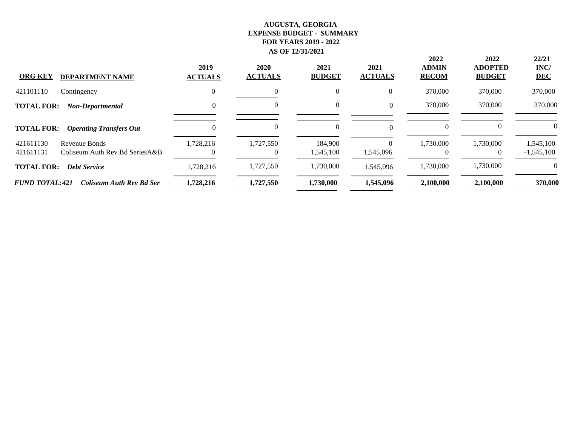| <b>ORG KEY</b><br><b>DEPARTMENT NAME</b>                                   | 2019<br><b>ACTUALS</b> | 2020<br><b>ACTUALS</b> | 2021<br><b>BUDGET</b> | 2021<br><b>ACTUALS</b> | 2022<br><b>ADMIN</b><br><b>RECOM</b> | 2022<br><b>ADOPTED</b><br><b>BUDGET</b> | 22/21<br>INC/<br><b>DEC</b> |
|----------------------------------------------------------------------------|------------------------|------------------------|-----------------------|------------------------|--------------------------------------|-----------------------------------------|-----------------------------|
| 421101110<br>Contingency                                                   | $\Omega$               | 0                      | $\overline{0}$        | $\theta$               | 370,000                              | 370,000                                 | 370,000                     |
| <b>TOTAL FOR:</b><br>Non-Departmental                                      | 0                      |                        | $\theta$              | $\theta$               | 370,000                              | 370,000                                 | 370,000                     |
| <b>TOTAL FOR:</b><br><b>Operating Transfers Out</b>                        | 0                      |                        | $\theta$              | $\Omega$               | $\Omega$                             |                                         | $\theta$                    |
| 421611130<br>Revenue Bonds<br>421611131<br>Coliseum Auth Rev Bd Series A&B | 1,728,216              | 1,727,550              | 184,900<br>1,545,100  | $\theta$<br>1,545,096  | 1,730,000                            | 1,730,000<br>$\theta$                   | 1,545,100<br>$-1,545,100$   |
| <b>TOTAL FOR:</b><br><b>Debt Service</b>                                   | 1,728,216              | 1,727,550              | 1,730,000             | 1,545,096              | 1,730,000                            | 1,730,000                               | $\theta$                    |
| <b>FUND TOTAL:421</b><br><b>Coliseum Auth Rev Bd Ser</b>                   | 1,728,216              | 1,727,550              | 1,730,000             | 1,545,096              | 2.100.000                            | 2,100,000                               | 370,000                     |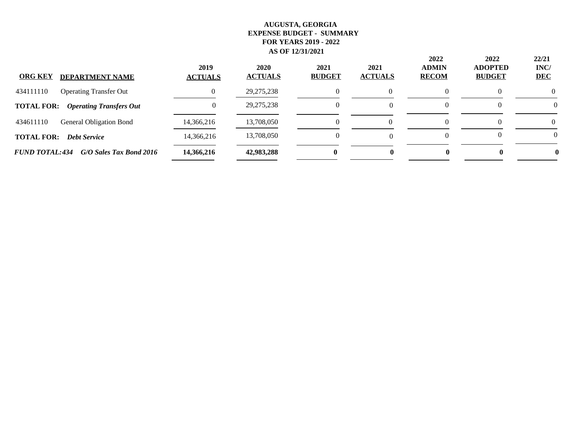| <b>ORG KEY</b><br><b>DEPARTMENT NAME</b>            | 2019<br><b>ACTUALS</b> | 2020<br><b>ACTUALS</b> | 2021<br><b>BUDGET</b> | 2021<br><b>ACTUALS</b> | 2022<br><b>ADMIN</b><br><b>RECOM</b> | 2022<br><b>ADOPTED</b><br><b>BUDGET</b> | 22/21<br>INC/<br><b>DEC</b> |
|-----------------------------------------------------|------------------------|------------------------|-----------------------|------------------------|--------------------------------------|-----------------------------------------|-----------------------------|
| 434111110<br><b>Operating Transfer Out</b>          |                        | 29, 275, 238           |                       |                        |                                      |                                         | $\Omega$                    |
| <b>TOTAL FOR:</b><br><b>Operating Transfers Out</b> |                        | 29, 275, 238           |                       |                        |                                      |                                         | $\theta$                    |
| 434611110<br><b>General Obligation Bond</b>         | 14,366,216             | 13,708,050             |                       |                        |                                      |                                         |                             |
| <b>TOTAL FOR:</b><br><b>Debt Service</b>            | 14,366,216             | 13,708,050             |                       |                        |                                      |                                         | $\Omega$                    |
| <b>FUND TOTAL:434</b><br>G/O Sales Tax Bond 2016    | 14,366,216             | 42,983,288             | 0                     |                        |                                      |                                         |                             |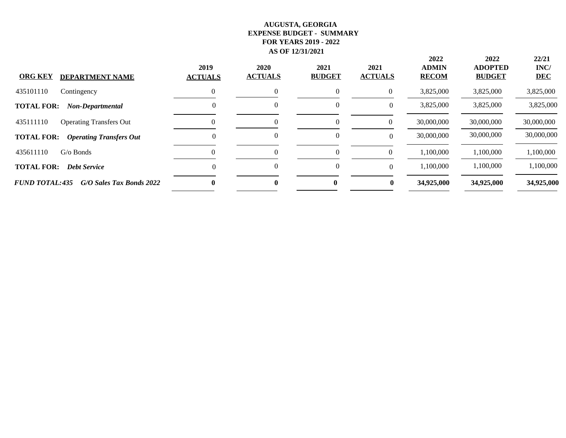| <b>ORG KEY</b><br><b>DEPARTMENT NAME</b>            | 2019<br><b>ACTUALS</b> | 2020<br><b>ACTUALS</b> | 2021<br><b>BUDGET</b> | 2021<br><b>ACTUALS</b> | 2022<br><b>ADMIN</b><br><b>RECOM</b> | 2022<br><b>ADOPTED</b><br><b>BUDGET</b> | 22/21<br>INC/<br><b>DEC</b> |
|-----------------------------------------------------|------------------------|------------------------|-----------------------|------------------------|--------------------------------------|-----------------------------------------|-----------------------------|
| 435101110<br>Contingency                            |                        | $\Omega$               | $\theta$              | $\theta$               | 3,825,000                            | 3,825,000                               | 3,825,000                   |
| <b>TOTAL FOR:</b><br>Non-Departmental               | $\theta$               | $\theta$               | 0                     |                        | 3,825,000                            | 3,825,000                               | 3,825,000                   |
| 435111110<br><b>Operating Transfers Out</b>         |                        |                        | 0                     |                        | 30,000,000                           | 30,000,000                              | 30,000,000                  |
| <b>TOTAL FOR:</b><br><b>Operating Transfers Out</b> | 0                      | 0                      | $\theta$              |                        | 30,000,000                           | 30,000,000                              | 30,000,000                  |
| 435611110<br>$G$ o Bonds                            |                        | $\theta$               | 0                     |                        | 1,100,000                            | 1,100,000                               | 1,100,000                   |
| <b>TOTAL FOR:</b><br><b>Debt Service</b>            | $\Omega$               | $\theta$               | $\mathbf{0}$          |                        | 1,100,000                            | 1,100,000                               | 1,100,000                   |
| <b>FUND TOTAL:435</b><br>G/O Sales Tax Bonds 2022   | 0                      | 0                      | $\bf{0}$              | $\bf{0}$               | 34,925,000                           | 34,925,000                              | 34,925,000                  |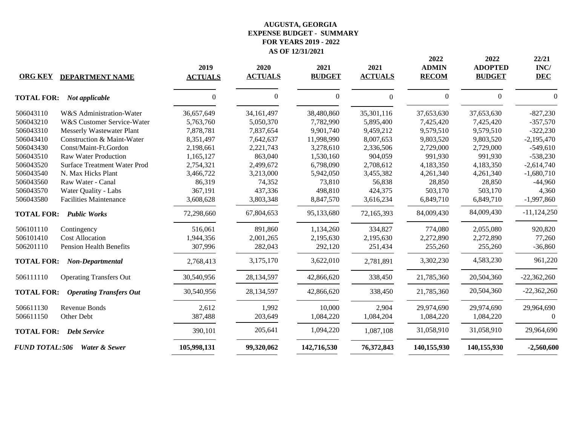| <b>ORG KEY</b>        | <b>DEPARTMENT NAME</b>              | 2019<br><b>ACTUALS</b> | 2020<br><b>ACTUALS</b> | 2021<br><b>BUDGET</b> | 2021<br><b>ACTUALS</b> | 2022<br><b>ADMIN</b><br><b>RECOM</b> | 2022<br><b>ADOPTED</b><br><b>BUDGET</b> | 22/21<br>INC/<br><b>DEC</b> |
|-----------------------|-------------------------------------|------------------------|------------------------|-----------------------|------------------------|--------------------------------------|-----------------------------------------|-----------------------------|
| <b>TOTAL FOR:</b>     | Not applicable                      | $\Omega$               | $\theta$               | $\boldsymbol{0}$      | $\theta$               | $\boldsymbol{0}$                     | $\mathbf{0}$                            | $\Omega$                    |
| 506043110             | W&S Administration-Water            | 36,657,649             | 34, 161, 497           | 38,480,860            | 35,301,116             | 37,653,630                           | 37,653,630                              | $-827,230$                  |
| 506043210             | W&S Customer Service-Water          | 5,763,760              | 5,050,370              | 7,782,990             | 5,895,400              | 7,425,420                            | 7,425,420                               | $-357,570$                  |
| 506043310             | <b>Messerly Wastewater Plant</b>    | 7,878,781              | 7,837,654              | 9,901,740             | 9,459,212              | 9,579,510                            | 9,579,510                               | $-322,230$                  |
| 506043410             | Construction & Maint-Water          | 8,351,497              | 7,642,637              | 11,998,990            | 8,007,653              | 9,803,520                            | 9,803,520                               | $-2,195,470$                |
| 506043430             | Const/Maint-Ft.Gordon               | 2,198,661              | 2,221,743              | 3,278,610             | 2,336,506              | 2,729,000                            | 2,729,000                               | $-549,610$                  |
| 506043510             | <b>Raw Water Production</b>         | 1,165,127              | 863,040                | 1,530,160             | 904,059                | 991,930                              | 991,930                                 | $-538,230$                  |
| 506043520             | <b>Surface Treatment Water Prod</b> | 2,754,321              | 2,499,672              | 6,798,090             | 2,708,612              | 4,183,350                            | 4,183,350                               | $-2,614,740$                |
| 506043540             | N. Max Hicks Plant                  | 3,466,722              | 3,213,000              | 5,942,050             | 3,455,382              | 4,261,340                            | 4,261,340                               | $-1,680,710$                |
| 506043560             | Raw Water - Canal                   | 86,319                 | 74,352                 | 73,810                | 56,838                 | 28,850                               | 28,850                                  | $-44,960$                   |
| 506043570             | Water Quality - Labs                | 367,191                | 437,336                | 498,810               | 424,375                | 503,170                              | 503,170                                 | 4,360                       |
| 506043580             | <b>Facilities Maintenance</b>       | 3,608,628              | 3,803,348              | 8,847,570             | 3,616,234              | 6,849,710                            | 6,849,710                               | $-1,997,860$                |
| <b>TOTAL FOR:</b>     | <b>Public Works</b>                 | 72,298,660             | 67,804,653             | 95,133,680            | 72,165,393             | 84,009,430                           | 84,009,430                              | $-11,124,250$               |
| 506101110             | Contingency                         | 516,061                | 891,860                | 1,134,260             | 334,827                | 774,080                              | 2,055,080                               | 920,820                     |
| 506101410             | <b>Cost Allocation</b>              | 1,944,356              | 2,001,265              | 2,195,630             | 2,195,630              | 2,272,890                            | 2,272,890                               | 77,260                      |
| 506201110             | <b>Pension Health Benefits</b>      | 307,996                | 282,043                | 292,120               | 251,434                | 255,260                              | 255,260                                 | $-36,860$                   |
| <b>TOTAL FOR:</b>     | Non-Departmental                    | 2,768,413              | 3,175,170              | 3,622,010             | 2,781,891              | 3,302,230                            | 4,583,230                               | 961,220                     |
| 506111110             | <b>Operating Transfers Out</b>      | 30,540,956             | 28,134,597             | 42,866,620            | 338,450                | 21,785,360                           | 20,504,360                              | $-22,362,260$               |
| <b>TOTAL FOR:</b>     | <b>Operating Transfers Out</b>      | 30,540,956             | 28,134,597             | 42,866,620            | 338,450                | 21,785,360                           | 20,504,360                              | $-22,362,260$               |
| 506611130             | Revenue Bonds                       | 2,612                  | 1,992                  | 10,000                | 2,904                  | 29,974,690                           | 29,974,690                              | 29,964,690                  |
| 506611150             | Other Debt                          | 387,488                | 203,649                | 1,084,220             | 1,084,204              | 1,084,220                            | 1,084,220                               | 0                           |
|                       | <b>TOTAL FOR: Debt Service</b>      | 390,101                | 205,641                | 1,094,220             | 1,087,108              | 31,058,910                           | 31,058,910                              | 29,964,690                  |
| <b>FUND TOTAL:506</b> | Water & Sewer                       | 105,998,131            | 99,320,062             | 142,716,530           | 76,372,843             | 140,155,930                          | 140,155,930                             | $-2,560,600$                |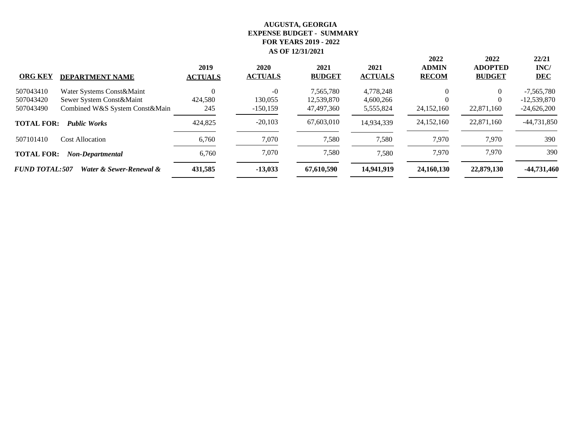|                                                  | 2019           | 2020           | 2021          | 2021           | 2022<br><b>ADMIN</b> | 2022<br><b>ADOPTED</b> | 22/21<br>INC/ |
|--------------------------------------------------|----------------|----------------|---------------|----------------|----------------------|------------------------|---------------|
| <b>ORG KEY</b><br><b>DEPARTMENT NAME</b>         | <b>ACTUALS</b> | <b>ACTUALS</b> | <b>BUDGET</b> | <b>ACTUALS</b> | <b>RECOM</b>         | <b>BUDGET</b>          | <b>DEC</b>    |
| 507043410<br>Water Systems Const&Maint           |                | $-0$           | 7,565,780     | 4,778,248      | $\Omega$             | $\Omega$               | $-7,565,780$  |
| 507043420<br>Sewer System Const&Maint            | 424,580        | 130,055        | 12,539,870    | 4,600,266      |                      | $\overline{0}$         | $-12,539,870$ |
| Combined W&S System Const&Main<br>507043490      | 245            | $-150, 159$    | 47,497,360    | 5,555,824      | 24,152,160           | 22,871,160             | $-24,626,200$ |
| <b>TOTAL FOR:</b><br><b>Public Works</b>         | 424,825        | $-20,103$      | 67,603,010    | 14,934,339     | 24,152,160           | 22,871,160             | $-44,731,850$ |
| 507101410<br><b>Cost Allocation</b>              | 6,760          | 7,070          | 7,580         | 7,580          | 7,970                | 7,970                  | 390           |
| <b>TOTAL FOR:</b><br>Non-Departmental            | 6,760          | 7,070          | 7,580         | 7,580          | 7,970                | 7,970                  | 390           |
| <b>FUND TOTAL:507</b><br>Water & Sewer-Renewal & | 431,585        | $-13,033$      | 67,610,590    | 14,941,919     | 24,160,130           | 22,879,130             | -44,731,460   |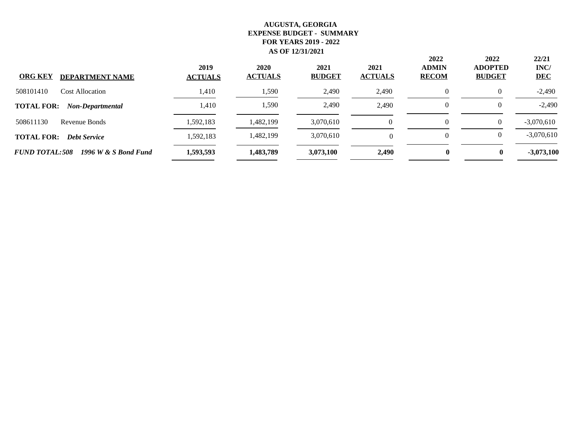| <b>ORG KEY</b><br><b>DEPARTMENT NAME</b>      | 2019<br><b>ACTUALS</b> | 2020<br><b>ACTUALS</b> | 2021<br><b>BUDGET</b> | 2021<br><b>ACTUALS</b> | 2022<br><b>ADMIN</b><br><b>RECOM</b> | 2022<br><b>ADOPTED</b><br><b>BUDGET</b> | 22/21<br>INC/<br><b>DEC</b> |
|-----------------------------------------------|------------------------|------------------------|-----------------------|------------------------|--------------------------------------|-----------------------------------------|-----------------------------|
| 508101410<br><b>Cost Allocation</b>           | 1,410                  | 1,590                  | 2,490                 | 2,490                  |                                      | 0                                       | $-2,490$                    |
| <b>TOTAL FOR:</b><br>Non-Departmental         | 1,410                  | 1,590                  | 2,490                 | 2,490                  |                                      | $\theta$                                | $-2,490$                    |
| 508611130<br>Revenue Bonds                    | 1,592,183              | ,482,199               | 3,070,610             |                        |                                      | $\overline{0}$                          | $-3,070,610$                |
| <b>TOTAL FOR:</b><br><b>Debt Service</b>      | 1,592,183              | ,482,199               | 3,070,610             | $\Omega$               |                                      | 0                                       | $-3,070,610$                |
| <b>FUND TOTAL:508</b><br>1996 W & S Bond Fund | 1,593,593              | 1,483,789              | 3,073,100             | 2,490                  | $\mathbf{0}$                         | $\bf{0}$                                | $-3,073,100$                |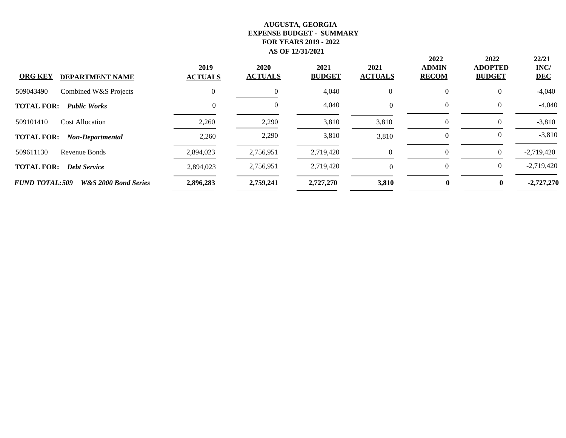| <b>ORG KEY</b><br><b>DEPARTMENT NAME</b>                 | 2019<br><b>ACTUALS</b> | 2020<br><b>ACTUALS</b> | 2021<br><b>BUDGET</b> | 2021<br><b>ACTUALS</b> | 2022<br><b>ADMIN</b><br><b>RECOM</b> | 2022<br><b>ADOPTED</b><br><b>BUDGET</b> | 22/21<br>INC/<br><b>DEC</b> |
|----------------------------------------------------------|------------------------|------------------------|-----------------------|------------------------|--------------------------------------|-----------------------------------------|-----------------------------|
| 509043490<br>Combined W&S Projects                       |                        | $\Omega$               | 4,040                 | $\overline{0}$         | $\mathbf{0}$                         | $\Omega$                                | $-4,040$                    |
| <b>TOTAL FOR:</b><br><b>Public Works</b>                 | 0                      | $\theta$               | 4,040                 | $\Omega$               | $\theta$                             | $\theta$                                | $-4,040$                    |
| 509101410<br><b>Cost Allocation</b>                      | 2,260                  | 2,290                  | 3,810                 | 3,810                  | $\theta$                             | $\Omega$                                | $-3,810$                    |
| <b>TOTAL FOR:</b><br>Non-Departmental                    | 2,260                  | 2,290                  | 3,810                 | 3,810                  | $\Omega$                             | $\theta$                                | $-3,810$                    |
| 509611130<br>Revenue Bonds                               | 2,894,023              | 2,756,951              | 2,719,420             | $\Omega$               | $\Omega$                             | $\Omega$                                | $-2,719,420$                |
| <b>TOTAL FOR:</b><br><b>Debt Service</b>                 | 2,894,023              | 2,756,951              | 2,719,420             | $\Omega$               | $\Omega$                             | $\left($                                | $-2,719,420$                |
| <b>FUND TOTAL:509</b><br><b>W&amp;S 2000 Bond Series</b> | 2,896,283              | 2,759,241              | 2,727,270             | 3,810                  | $\mathbf{0}$                         | 0                                       | $-2,727,270$                |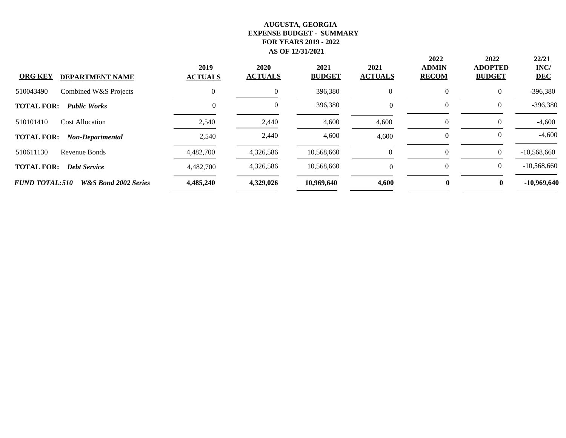| <b>ORG KEY</b><br><b>DEPARTMENT NAME</b>                 | 2019<br><b>ACTUALS</b> | 2020<br><b>ACTUALS</b> | 2021<br><b>BUDGET</b> | 2021<br><b>ACTUALS</b> | 2022<br><b>ADMIN</b><br><b>RECOM</b> | 2022<br><b>ADOPTED</b><br><b>BUDGET</b> | 22/21<br>INC/<br><b>DEC</b> |
|----------------------------------------------------------|------------------------|------------------------|-----------------------|------------------------|--------------------------------------|-----------------------------------------|-----------------------------|
| 510043490<br>Combined W&S Projects                       | $\Omega$               | 0                      | 396,380               | $\overline{0}$         | $\theta$                             | $\Omega$                                | $-396,380$                  |
| <b>Public Works</b><br><b>TOTAL FOR:</b>                 | 0                      | $\theta$               | 396,380               | $\Omega$               | $\theta$                             | $\theta$                                | $-396,380$                  |
| 510101410<br><b>Cost Allocation</b>                      | 2,540                  | 2,440                  | 4,600                 | 4,600                  | $\theta$                             | $\Omega$                                | $-4,600$                    |
| <b>TOTAL FOR:</b><br>Non-Departmental                    | 2,540                  | 2,440                  | 4,600                 | 4,600                  | $\theta$                             | $\theta$                                | $-4,600$                    |
| 510611130<br>Revenue Bonds                               | 4,482,700              | 4,326,586              | 10,568,660            | $\Omega$               | $\Omega$                             | $\Omega$                                | $-10,568,660$               |
| <b>TOTAL FOR:</b><br><b>Debt Service</b>                 | 4,482,700              | 4,326,586              | 10,568,660            | $\Omega$               | $\Omega$                             | $\overline{0}$                          | $-10,568,660$               |
| <b>FUND TOTAL:510</b><br><b>W&amp;S Bond 2002 Series</b> | 4,485,240              | 4,329,026              | 10,969,640            | 4,600                  | $\mathbf{0}$                         | $\mathbf{0}$                            | $-10,969,640$               |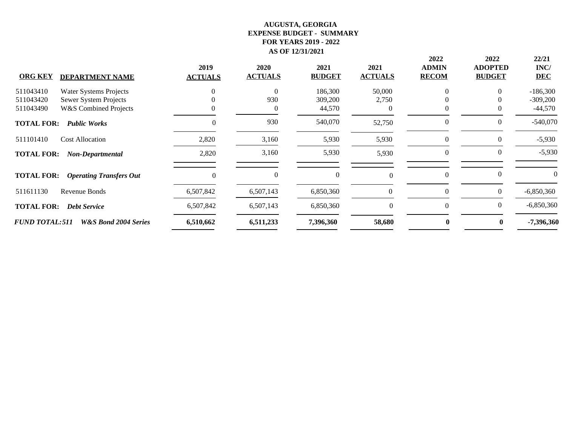| <b>ORG KEY</b>        | <b>DEPARTMENT NAME</b>           | 2019<br><b>ACTUALS</b> | <b>2020</b><br><b>ACTUALS</b> | 2021<br><b>BUDGET</b> | 2021<br><b>ACTUALS</b> | 2022<br><b>ADMIN</b><br><b>RECOM</b> | 2022<br><b>ADOPTED</b><br><b>BUDGET</b> | 22/21<br>INC/<br><b>DEC</b> |
|-----------------------|----------------------------------|------------------------|-------------------------------|-----------------------|------------------------|--------------------------------------|-----------------------------------------|-----------------------------|
| 511043410             | Water Systems Projects           |                        | $\theta$                      | 186,300               | 50,000                 | 0                                    |                                         | $-186,300$                  |
| 511043420             | Sewer System Projects            |                        | 930                           | 309,200               | 2,750                  |                                      |                                         | $-309,200$                  |
| 511043490             | <b>W&amp;S Combined Projects</b> |                        | 0                             | 44,570                |                        |                                      |                                         | $-44,570$                   |
| <b>TOTAL FOR:</b>     | <b>Public Works</b>              |                        | 930                           | 540,070               | 52,750                 | $\theta$                             | $\bigcap$                               | $-540,070$                  |
| 511101410             | <b>Cost Allocation</b>           | 2,820                  | 3,160                         | 5,930                 | 5,930                  | $\mathbf{0}$                         | $\left($                                | $-5,930$                    |
| <b>TOTAL FOR:</b>     | Non-Departmental                 | 2,820                  | 3,160                         | 5,930                 | 5,930                  | $\mathbf{0}$                         | $\theta$                                | $-5,930$                    |
| <b>TOTAL FOR:</b>     | <b>Operating Transfers Out</b>   | 0                      | $\Omega$                      | $\mathbf{0}$          |                        | $\mathbf{0}$                         | $\Omega$                                | $\theta$                    |
| 511611130             | Revenue Bonds                    | 6,507,842              | 6,507,143                     | 6,850,360             | $\Omega$               | $\mathbf{0}$                         | $\overline{0}$                          | $-6,850,360$                |
| <b>TOTAL FOR:</b>     | <b>Debt Service</b>              | 6,507,842              | 6,507,143                     | 6,850,360             | $\theta$               | $\theta$                             | $\left($                                | $-6,850,360$                |
| <b>FUND TOTAL:511</b> | W&S Bond 2004 Series             | 6,510,662              | 6,511,233                     | 7,396,360             | 58,680                 | $\mathbf{0}$                         | 0                                       | -7,396,360                  |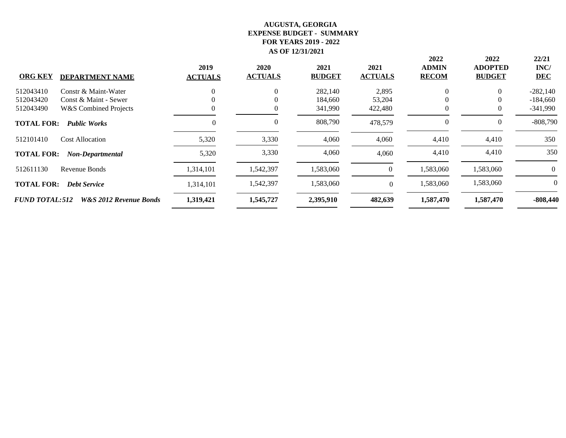|                       |                                   | 2019           | 2020           | 2021          | 2021           | 2022<br><b>ADMIN</b> | 2022<br><b>ADOPTED</b> | 22/21<br>INC/ |
|-----------------------|-----------------------------------|----------------|----------------|---------------|----------------|----------------------|------------------------|---------------|
| <b>ORG KEY</b>        | <b>DEPARTMENT NAME</b>            | <b>ACTUALS</b> | <b>ACTUALS</b> | <b>BUDGET</b> | <b>ACTUALS</b> | <b>RECOM</b>         | <b>BUDGET</b>          | <b>DEC</b>    |
| 512043410             | Constr & Maint-Water              |                | $\overline{0}$ | 282,140       | 2,895          | $\theta$             | $\theta$               | $-282,140$    |
| 512043420             | Const & Maint - Sewer             |                | 0              | 184,660       | 53,204         | $_{0}$               | $\theta$               | $-184,660$    |
| 512043490             | <b>W&amp;S Combined Projects</b>  |                |                | 341,990       | 422,480        | $\theta$             | $\left($               | $-341,990$    |
| <b>TOTAL FOR:</b>     | <b>Public Works</b>               | 0              | 0              | 808,790       | 478,579        | $\theta$             | $\theta$               | $-808,790$    |
| 512101410             | <b>Cost Allocation</b>            | 5,320          | 3,330          | 4,060         | 4,060          | 4,410                | 4,410                  | 350           |
| <b>TOTAL FOR:</b>     | Non-Departmental                  | 5,320          | 3,330          | 4,060         | 4,060          | 4,410                | 4,410                  | 350           |
| 512611130             | Revenue Bonds                     | 1,314,101      | 1,542,397      | 1,583,060     | $\left($       | 1,583,060            | 1,583,060              | 0             |
| <b>TOTAL FOR:</b>     | <b>Debt Service</b>               | 1,314,101      | 1,542,397      | 1,583,060     | $\Omega$       | 1,583,060            | 1,583,060              | $\theta$      |
| <b>FUND TOTAL:512</b> | <b>W&amp;S 2012 Revenue Bonds</b> | 1,319,421      | 1,545,727      | 2,395,910     | 482,639        | 1,587,470            | 1,587,470              | $-808,440$    |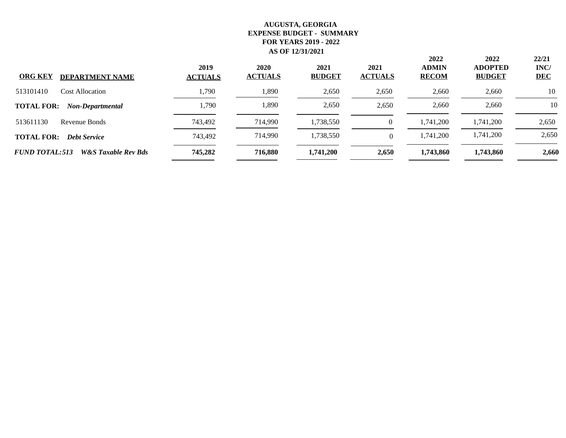| <b>ORG KEY</b><br><b>DEPARTMENT NAME</b>                | 2019<br><b>ACTUALS</b> | 2020<br><b>ACTUALS</b> | 2021<br><b>BUDGET</b> | 2021<br><b>ACTUALS</b> | 2022<br><b>ADMIN</b><br><b>RECOM</b> | 2022<br><b>ADOPTED</b><br><b>BUDGET</b> | 22/21<br>INC/<br><b>DEC</b> |
|---------------------------------------------------------|------------------------|------------------------|-----------------------|------------------------|--------------------------------------|-----------------------------------------|-----------------------------|
| 513101410<br>Cost Allocation                            | 1,790                  | 1,890                  | 2,650                 | 2,650                  | 2,660                                | 2,660                                   | 10                          |
| <b>TOTAL FOR:</b><br>Non-Departmental                   | 1,790                  | 1,890                  | 2,650                 | 2,650                  | 2,660                                | 2,660                                   | 10                          |
| 513611130<br>Revenue Bonds                              | 743,492                | 714,990                | 1,738,550             | $\theta$               | 1,741,200                            | 1,741,200                               | 2,650                       |
| <b>TOTAL FOR:</b><br><b>Debt Service</b>                | 743,492                | 714,990                | 1,738,550             | $\Omega$               | 1,741,200                            | 1,741,200                               | 2,650                       |
| <b>FUND TOTAL:513</b><br><b>W&amp;S</b> Taxable Rev Bds | 745,282                | 716,880                | 1,741,200             | 2,650                  | 1,743,860                            | 1,743,860                               | 2,660                       |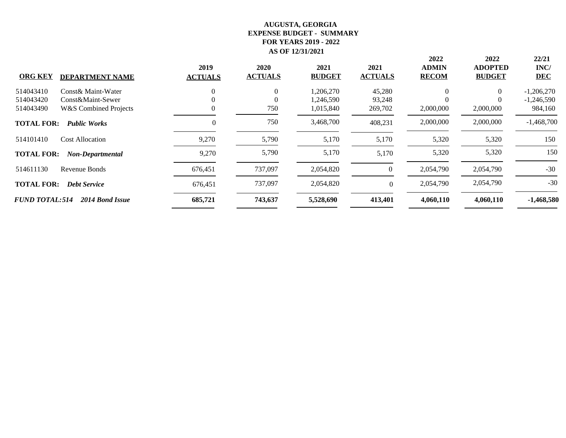|                       |                                  | 2019           | 2020           | 2021          | 2021           | 2022<br><b>ADMIN</b> | 2022<br><b>ADOPTED</b> | 22/21<br>INC/ |
|-----------------------|----------------------------------|----------------|----------------|---------------|----------------|----------------------|------------------------|---------------|
| <b>ORG KEY</b>        | <b>DEPARTMENT NAME</b>           | <b>ACTUALS</b> | <b>ACTUALS</b> | <b>BUDGET</b> | <b>ACTUALS</b> | <b>RECOM</b>         | <b>BUDGET</b>          | <b>DEC</b>    |
| 514043410             | Const& Maint-Water               | $\Omega$       | $\overline{0}$ | 1,206,270     | 45,280         | $\Omega$             | $\theta$               | $-1,206,270$  |
| 514043420             | Const&Maint-Sewer                |                | $\Omega$       | 1,246,590     | 93,248         | 0                    | $\Omega$               | $-1,246,590$  |
| 514043490             | <b>W&amp;S</b> Combined Projects |                | 750            | 1,015,840     | 269,702        | 2,000,000            | 2,000,000              | 984,160       |
| <b>TOTAL FOR:</b>     | <b>Public Works</b>              | $\Omega$       | 750            | 3,468,700     | 408,231        | 2,000,000            | 2,000,000              | $-1,468,700$  |
| 514101410             | <b>Cost Allocation</b>           | 9,270          | 5,790          | 5,170         | 5,170          | 5,320                | 5,320                  | 150           |
| <b>TOTAL FOR:</b>     | Non-Departmental                 | 9,270          | 5,790          | 5,170         | 5,170          | 5,320                | 5,320                  | 150           |
| 514611130             | Revenue Bonds                    | 676,451        | 737,097        | 2,054,820     | $\Omega$       | 2,054,790            | 2,054,790              | $-30$         |
| <b>TOTAL FOR:</b>     | <b>Debt Service</b>              | 676,451        | 737,097        | 2,054,820     | $\Omega$       | 2,054,790            | 2,054,790              | $-30$         |
| <b>FUND TOTAL:514</b> | 2014 Bond Issue                  | 685,721        | 743,637        | 5,528,690     | 413,401        | 4,060,110            | 4,060,110              | $-1,468,580$  |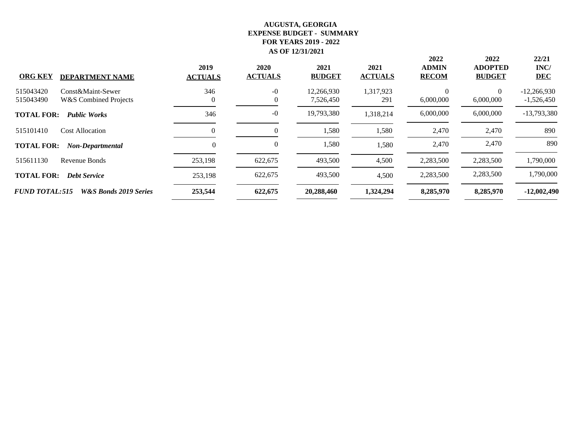| <b>ORG KEY</b><br><b>DEPARTMENT NAME</b>                                        | 2019<br><b>ACTUALS</b> | 2020<br><b>ACTUALS</b> | 2021<br><b>BUDGET</b>   | 2021<br><b>ACTUALS</b> | 2022<br><b>ADMIN</b><br><b>RECOM</b> | 2022<br><b>ADOPTED</b><br><b>BUDGET</b> | 22/21<br>INC/<br><b>DEC</b>   |
|---------------------------------------------------------------------------------|------------------------|------------------------|-------------------------|------------------------|--------------------------------------|-----------------------------------------|-------------------------------|
| 515043420<br>Const&Maint-Sewer<br>515043490<br><b>W&amp;S</b> Combined Projects | 346                    | $-0$<br>0              | 12,266,930<br>7,526,450 | 1,317,923<br>291       | $\Omega$<br>6,000,000                | $\theta$<br>6,000,000                   | $-12,266,930$<br>$-1,526,450$ |
| <b>TOTAL FOR:</b><br><b>Public Works</b>                                        | 346                    | $-0$                   | 19,793,380              | 1,318,214              | 6,000,000                            | 6,000,000                               | $-13,793,380$                 |
| 515101410<br><b>Cost Allocation</b>                                             |                        | 0                      | 1,580                   | 1,580                  | 2,470                                | 2,470                                   | 890                           |
| <b>TOTAL FOR:</b><br>Non-Departmental                                           | 0                      | 0                      | 1,580                   | 1,580                  | 2,470                                | 2,470                                   | 890                           |
| 515611130<br>Revenue Bonds                                                      | 253,198                | 622,675                | 493,500                 | 4,500                  | 2,283,500                            | 2,283,500                               | 1,790,000                     |
| <b>TOTAL FOR:</b><br><b>Debt Service</b>                                        | 253,198                | 622,675                | 493,500                 | 4,500                  | 2,283,500                            | 2,283,500                               | 1,790,000                     |
| <b>FUND TOTAL:515</b><br><b>W&amp;S Bonds 2019 Series</b>                       | 253,544                | 622,675                | 20,288,460              | 1,324,294              | 8,285,970                            | 8,285,970                               | $-12,002,490$                 |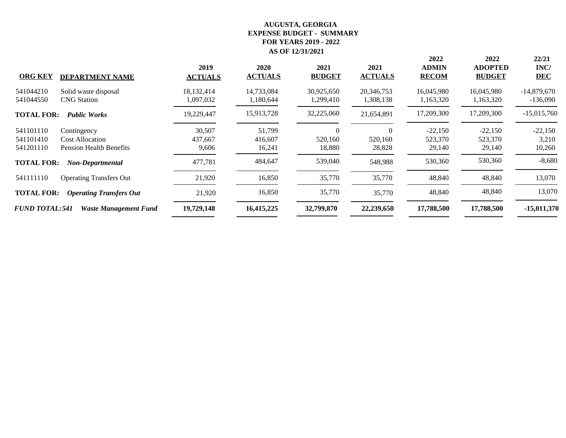| <b>ORG KEY</b><br><b>DEPARTMENT NAME</b>                                                                | 2019<br><b>ACTUALS</b>                     | 2020<br><b>ACTUALS</b>      | 2021<br><b>BUDGET</b>         | 2021<br><b>ACTUALS</b>        | 2022<br><b>ADMIN</b><br><b>RECOM</b> | 2022<br><b>ADOPTED</b><br><b>BUDGET</b> | 22/21<br>INC/<br><b>DEC</b>  |
|---------------------------------------------------------------------------------------------------------|--------------------------------------------|-----------------------------|-------------------------------|-------------------------------|--------------------------------------|-----------------------------------------|------------------------------|
| 541044210<br>Solid waste disposal<br><b>CNG</b> Station<br>541044550                                    | 18,132,414<br>1,097,032                    | 14,733,084<br>1,180,644     | 30,925,650<br>1,299,410       | 20,346,753<br>1,308,138       | 16,045,980<br>1,163,320              | 16,045,980<br>1,163,320                 | $-14,879,670$<br>$-136,090$  |
| <b>TOTAL FOR:</b><br><b>Public Works</b>                                                                | 19,229,447                                 | 15,913,728                  | 32,225,060                    | 21,654,891                    | 17,209,300                           | 17,209,300                              | $-15,015,760$                |
| 541101110<br>Contingency<br>541101410<br><b>Cost Allocation</b><br>541201110<br>Pension Health Benefits | 30,507<br>437,667<br>9,606                 | 51,799<br>416,607<br>16,241 | $\Omega$<br>520,160<br>18,880 | $\Omega$<br>520,160<br>28,828 | $-22,150$<br>523,370<br>29,140       | $-22,150$<br>523,370<br>29,140          | $-22,150$<br>3,210<br>10,260 |
| <b>TOTAL FOR:</b><br>Non-Departmental                                                                   | 477,781                                    | 484,647                     | 539,040                       | 548,988                       | 530,360                              | 530,360                                 | $-8,680$                     |
| 541111110<br><b>Operating Transfers Out</b>                                                             | 21,920                                     | 16,850                      | 35,770                        | 35,770                        | 48,840                               | 48,840                                  | 13,070                       |
| <b>TOTAL FOR:</b><br><b>Operating Transfers Out</b>                                                     | 21,920                                     | 16,850                      | 35,770                        | 35,770                        | 48,840                               | 48,840                                  | 13,070                       |
| <b>FUND TOTAL:541</b>                                                                                   | 19,729,148<br><b>Waste Management Fund</b> | 16,415,225                  | 32,799,870                    | 22,239,650                    | 17,788,500                           | 17,788,500                              | $-15,011,370$                |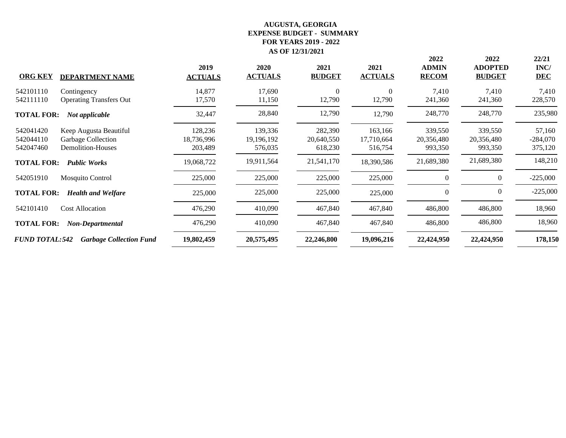| <b>ORG KEY</b>                      | <b>DEPARTMENT NAME</b>                                            | 2019<br><b>ACTUALS</b>           | 2020<br><b>ACTUALS</b>             | 2021<br><b>BUDGET</b>            | 2021<br><b>ACTUALS</b>           | 2022<br><b>ADMIN</b><br><b>RECOM</b> | 2022<br><b>ADOPTED</b><br><b>BUDGET</b> | 22/21<br>INC/<br><b>DEC</b>     |
|-------------------------------------|-------------------------------------------------------------------|----------------------------------|------------------------------------|----------------------------------|----------------------------------|--------------------------------------|-----------------------------------------|---------------------------------|
| 542101110<br>542111110              | Contingency<br><b>Operating Transfers Out</b>                     | 14,877<br>17,570                 | 17,690<br>11,150                   | $\mathbf{0}$<br>12,790           | $\Omega$<br>12,790               | 7,410<br>241,360                     | 7,410<br>241,360                        | 7,410<br>228,570                |
| <b>TOTAL FOR:</b>                   | Not applicable                                                    | 32,447                           | 28,840                             | 12,790                           | 12,790                           | 248,770                              | 248,770                                 | 235,980                         |
| 542041420<br>542044110<br>542047460 | Keep Augusta Beautiful<br>Garbage Collection<br>Demolition-Houses | 128,236<br>18,736,996<br>203,489 | 139,336<br>19, 196, 192<br>576,035 | 282,390<br>20,640,550<br>618,230 | 163,166<br>17,710,664<br>516,754 | 339,550<br>20,356,480<br>993,350     | 339,550<br>20,356,480<br>993,350        | 57,160<br>$-284,070$<br>375,120 |
| <b>TOTAL FOR:</b>                   | <b>Public Works</b>                                               | 19,068,722                       | 19,911,564                         | 21,541,170                       | 18,390,586                       | 21,689,380                           | 21,689,380                              | 148,210                         |
| 542051910                           | <b>Mosquito Control</b>                                           | 225,000                          | 225,000                            | 225,000                          | 225,000                          | $\theta$                             | $\theta$                                | $-225,000$                      |
| <b>TOTAL FOR:</b>                   | <b>Health and Welfare</b>                                         | 225,000                          | 225,000                            | 225,000                          | 225,000                          | $\mathbf{0}$                         | $\left($                                | $-225,000$                      |
| 542101410                           | <b>Cost Allocation</b>                                            | 476,290                          | 410,090                            | 467,840                          | 467,840                          | 486,800                              | 486,800                                 | 18,960                          |
| <b>TOTAL FOR:</b>                   | Non-Departmental                                                  | 476,290                          | 410,090                            | 467,840                          | 467,840                          | 486,800                              | 486,800                                 | 18,960                          |
| <b>FUND TOTAL:542</b>               | <b>Garbage Collection Fund</b>                                    | 19,802,459                       | 20,575,495                         | 22,246,800                       | 19,096,216                       | 22,424,950                           | 22,424,950                              | 178,150                         |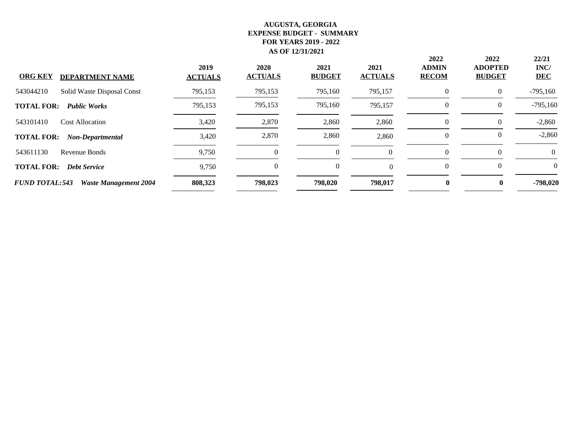| <b>ORG KEY</b><br><b>DEPARTMENT NAME</b>              | 2019<br><b>ACTUALS</b> | 2020<br><b>ACTUALS</b> | 2021<br><b>BUDGET</b> | 2021<br><b>ACTUALS</b> | 2022<br><b>ADMIN</b><br><b>RECOM</b> | 2022<br><b>ADOPTED</b><br><b>BUDGET</b> | 22/21<br>INC/<br><b>DEC</b> |
|-------------------------------------------------------|------------------------|------------------------|-----------------------|------------------------|--------------------------------------|-----------------------------------------|-----------------------------|
| Solid Waste Disposal Const<br>543044210               | 795,153                | 795,153                | 795,160               | 795,157                | $\Omega$                             | $\Omega$                                | $-795,160$                  |
| <b>TOTAL FOR:</b><br><b>Public Works</b>              | 795,153                | 795,153                | 795,160               | 795,157                | 0                                    | $\theta$                                | $-795,160$                  |
| 543101410<br><b>Cost Allocation</b>                   | 3,420                  | 2,870                  | 2,860                 | 2,860                  | $\Omega$                             | $\Omega$                                | $-2,860$                    |
| <b>TOTAL FOR:</b><br>Non-Departmental                 | 3,420                  | 2,870                  | 2,860                 | 2,860                  | $\Omega$                             | $\theta$                                | $-2,860$                    |
| 543611130<br>Revenue Bonds                            | 9,750                  |                        | $\theta$              | $\Omega$               | $\Omega$                             | $\Omega$                                | 0                           |
| <b>TOTAL FOR:</b><br><b>Debt Service</b>              | 9,750                  | 0                      | $\overline{0}$        | $\Omega$               | $\theta$                             | $\Omega$                                | $\theta$                    |
| <b>FUND TOTAL:543</b><br><b>Waste Management 2004</b> | 808,323                | 798,023                | 798,020               | 798,017                | $\mathbf{0}$                         | $\mathbf{0}$                            | $-798,020$                  |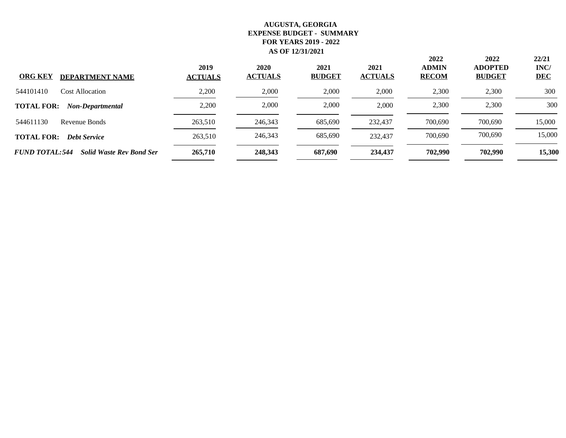| <b>ORG KEY</b><br><b>DEPARTMENT NAME</b>                 | 2019<br><b>ACTUALS</b> | 2020<br><b>ACTUALS</b> | 2021<br><b>BUDGET</b> | 2021<br><b>ACTUALS</b> | 2022<br><b>ADMIN</b><br><b>RECOM</b> | 2022<br><b>ADOPTED</b><br><b>BUDGET</b> | 22/21<br>INC/<br><b>DEC</b> |
|----------------------------------------------------------|------------------------|------------------------|-----------------------|------------------------|--------------------------------------|-----------------------------------------|-----------------------------|
| 544101410<br><b>Cost Allocation</b>                      | 2,200                  | 2,000                  | 2,000                 | 2,000                  | 2,300                                | 2,300                                   | 300                         |
| <b>TOTAL FOR:</b><br>Non-Departmental                    | 2,200                  | 2,000                  | 2,000                 | 2.000                  | 2,300                                | 2,300                                   | 300                         |
| 544611130<br>Revenue Bonds                               | 263,510                | 246,343                | 685,690               | 232,437                | 700,690                              | 700,690                                 | 15,000                      |
| <b>TOTAL FOR:</b><br><b>Debt Service</b>                 | 263,510                | 246,343                | 685,690               | 232,437                | 700,690                              | 700,690                                 | 15,000                      |
| <b>FUND TOTAL:544</b><br><b>Solid Waste Rev Bond Ser</b> | 265,710                | 248,343                | 687,690               | 234,437                | 702,990                              | 702,990                                 | 15,300                      |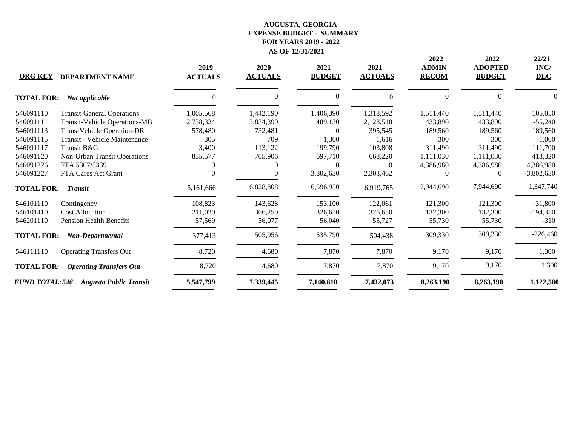| <b>ORG KEY</b>        | <b>DEPARTMENT NAME</b>               | 2019<br><b>ACTUALS</b> | 2020<br><b>ACTUALS</b> | 2021<br><b>BUDGET</b> | 2021<br><b>ACTUALS</b> | 2022<br><b>ADMIN</b><br><b>RECOM</b> | 2022<br><b>ADOPTED</b><br><b>BUDGET</b> | 22/21<br>INC/<br><b>DEC</b> |
|-----------------------|--------------------------------------|------------------------|------------------------|-----------------------|------------------------|--------------------------------------|-----------------------------------------|-----------------------------|
| <b>TOTAL FOR:</b>     | Not applicable                       |                        | $\Omega$               | $\theta$              | $\Omega$               | $\theta$                             | $\Omega$                                |                             |
| 546091110             | <b>Transit-General Operations</b>    | 1,005,568              | 1,442,190              | 1,406,390             | 1,318,592              | 1,511,440                            | 1,511,440                               | 105,050                     |
| 546091111             | <b>Transit-Vehicle Operations-MB</b> | 2,738,334              | 3,834,399              | 489,130               | 2,128,518              | 433,890                              | 433,890                                 | $-55,240$                   |
| 546091113             | <b>Trans-Vehicle Operation-DR</b>    | 578,480                | 732,481                | 0                     | 395,545                | 189,560                              | 189,560                                 | 189,560                     |
| 546091115             | Transit - Vehicle Maintenance        | 305                    | 709                    | 1,300                 | 1,616                  | 300                                  | 300                                     | $-1,000$                    |
| 546091117             | Transit B&G                          | 3,400                  | 113,122                | 199,790               | 103,808                | 311,490                              | 311,490                                 | 111,700                     |
| 546091120             | Non-Urban Transit Operations         | 835,577                | 705,906                | 697,710               | 668,220                | 1,111,030                            | 1,111,030                               | 413,320                     |
| 546091226             | FTA 5307/5339                        |                        |                        | $\Omega$              | $\Omega$               | 4,386,980                            | 4,386,980                               | 4,386,980                   |
| 546091227             | FTA Cares Act Grant                  |                        | $\theta$               | 3,802,630             | 2,303,462              | 0                                    | $\overline{0}$                          | $-3,802,630$                |
| <b>TOTAL FOR:</b>     | <b>Transit</b>                       | 5,161,666              | 6,828,808              | 6,596,950             | 6,919,765              | 7,944,690                            | 7,944,690                               | 1,347,740                   |
| 546101110             | Contingency                          | 108,823                | 143,628                | 153,100               | 122,061                | 121,300                              | 121,300                                 | $-31,800$                   |
| 546101410             | <b>Cost Allocation</b>               | 211,020                | 306,250                | 326,650               | 326,650                | 132,300                              | 132,300                                 | $-194,350$                  |
| 546201110             | <b>Pension Health Benefits</b>       | 57,569                 | 56,077                 | 56,040                | 55,727                 | 55,730                               | 55,730                                  | $-310$                      |
| <b>TOTAL FOR:</b>     | Non-Departmental                     | 377,413                | 505,956                | 535,790               | 504,438                | 309,330                              | 309,330                                 | $-226,460$                  |
| 546111110             | <b>Operating Transfers Out</b>       | 8,720                  | 4,680                  | 7,870                 | 7,870                  | 9,170                                | 9,170                                   | 1,300                       |
| <b>TOTAL FOR:</b>     | <b>Operating Transfers Out</b>       | 8,720                  | 4,680                  | 7,870                 | 7,870                  | 9,170                                | 9,170                                   | 1,300                       |
| <b>FUND TOTAL:546</b> | <b>Augusta Public Transit</b>        | 5,547,799              | 7,339,445              | 7,140,610             | 7,432,073              | 8,263,190                            | 8,263,190                               | 1,122,580                   |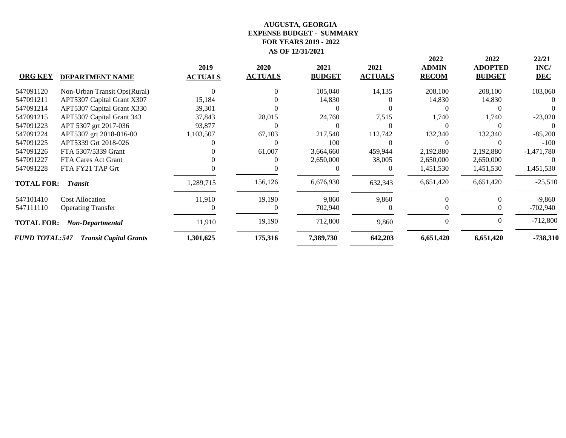| <b>ORG KEY</b>        | <b>DEPARTMENT NAME</b>        | 2019<br><b>ACTUALS</b> | 2020<br><b>ACTUALS</b> | 2021<br><b>BUDGET</b> | 2021<br><b>ACTUALS</b> | 2022<br><b>ADMIN</b><br><b>RECOM</b> | 2022<br><b>ADOPTED</b><br><b>BUDGET</b> | 22/21<br>INC/<br><b>DEC</b> |
|-----------------------|-------------------------------|------------------------|------------------------|-----------------------|------------------------|--------------------------------------|-----------------------------------------|-----------------------------|
| 547091120             | Non-Urban Transit Ops(Rural)  |                        |                        | 105,040               | 14,135                 | 208,100                              | 208,100                                 | 103,060                     |
| 547091211             | APT5307 Capital Grant X307    | 15,184                 |                        | 14,830                |                        | 14,830                               | 14,830                                  |                             |
| 547091214             | APT5307 Capital Grant X330    | 39,301                 |                        |                       |                        |                                      |                                         |                             |
| 547091215             | APT5307 Capital Grant 343     | 37,843                 | 28,015                 | 24,760                | 7,515                  | 1,740                                | 1,740                                   | $-23,020$                   |
| 547091223             | APT 5307 grt 2017-036         | 93,877                 |                        |                       |                        |                                      |                                         |                             |
| 547091224             | APT5307 grt 2018-016-00       | 1,103,507              | 67,103                 | 217,540               | 112,742                | 132,340                              | 132,340                                 | $-85,200$                   |
| 547091225             | APT5339 Grt 2018-026          |                        |                        | 100                   |                        |                                      |                                         | $-100$                      |
| 547091226             | FTA 5307/5339 Grant           |                        | 61,007                 | 3,664,660             | 459,944                | 2,192,880                            | 2,192,880                               | $-1,471,780$                |
| 547091227             | FTA Cares Act Grant           |                        |                        | 2,650,000             | 38,005                 | 2,650,000                            | 2,650,000                               |                             |
| 547091228             | FTA FY21 TAP Grt              |                        |                        |                       | $\left($               | 1,451,530                            | 1,451,530                               | 1,451,530                   |
| <b>TOTAL FOR:</b>     | <b>Transit</b>                | 1,289,715              | 156,126                | 6,676,930             | 632,343                | 6,651,420                            | 6,651,420                               | $-25,510$                   |
| 547101410             | <b>Cost Allocation</b>        | 11,910                 | 19,190                 | 9,860                 | 9,860                  |                                      |                                         | $-9,860$                    |
| 547111110             | <b>Operating Transfer</b>     |                        |                        | 702,940               |                        |                                      |                                         | $-702,940$                  |
| <b>TOTAL FOR:</b>     | Non-Departmental              | 11,910                 | 19,190                 | 712,800               | 9,860                  | $\Omega$                             | $\Omega$                                | $-712,800$                  |
| <b>FUND TOTAL:547</b> | <b>Transit Capital Grants</b> | 1,301,625              | 175,316                | 7,389,730             | 642,203                | 6,651,420                            | 6,651,420                               | $-738,310$                  |
|                       |                               |                        |                        |                       |                        |                                      |                                         |                             |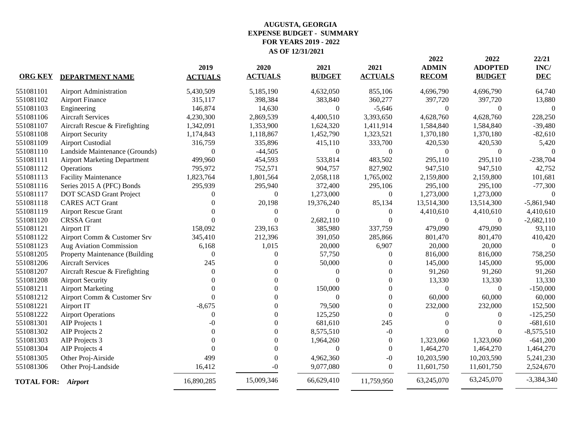|                           | <b>Airport Administration</b><br><b>Airport Finance</b> |                  |                  |                  | <b>ACTUALS</b>   | <b>RECOM</b>     | <b>BUDGET</b>  | <b>DEC</b>   |
|---------------------------|---------------------------------------------------------|------------------|------------------|------------------|------------------|------------------|----------------|--------------|
| 551081101                 |                                                         | 5,430,509        | 5,185,190        | 4,632,050        | 855,106          | 4,696,790        | 4,696,790      | 64,740       |
| 551081102                 |                                                         | 315,117          | 398,384          | 383,840          | 360,277          | 397,720          | 397,720        | 13,880       |
| 551081103                 | Engineering                                             | 146,874          | 14,630           | $\boldsymbol{0}$ | $-5,646$         | $\mathbf{0}$     | $\Omega$       | $\theta$     |
| 551081106                 | <b>Aircraft Services</b>                                | 4,230,300        | 2,869,539        | 4,400,510        | 3,393,650        | 4,628,760        | 4,628,760      | 228,250      |
| 551081107                 | Aircraft Rescue & Firefighting                          | 1,342,091        | 1,353,900        | 1,624,320        | 1,411,914        | 1,584,840        | 1,584,840      | $-39,480$    |
| 551081108                 | <b>Airport Security</b>                                 | 1,174,843        | 1,118,867        | 1,452,790        | 1,323,521        | 1,370,180        | 1,370,180      | $-82,610$    |
| 551081109                 | <b>Airport Custodial</b>                                | 316,759          | 335,896          | 415,110          | 333,700          | 420,530          | 420,530        | 5,420        |
| 551081110                 | Landside Maintenance (Grounds)                          | $\boldsymbol{0}$ | $-44,505$        | $\boldsymbol{0}$ | $\Omega$         | $\theta$         | $\Omega$       | $\Omega$     |
| 551081111                 | <b>Airport Marketing Department</b>                     | 499,960          | 454,593          | 533,814          | 483,502          | 295,110          | 295,110        | $-238,704$   |
| 551081112                 | Operations                                              | 795,972          | 752,571          | 904,757          | 827,902          | 947,510          | 947,510        | 42,752       |
| 551081113                 | <b>Facility Maintenance</b>                             | 1,823,764        | 1,801,564        | 2,058,118        | 1,765,002        | 2,159,800        | 2,159,800      | 101,681      |
| 551081116                 | Series 2015 A (PFC) Bonds                               | 295,939          | 295,940          | 372,400          | 295,106          | 295,100          | 295,100        | $-77,300$    |
| 551081117                 | DOT SCASD Grant Project                                 | $\boldsymbol{0}$ | $\overline{0}$   | 1,273,000        | $\boldsymbol{0}$ | 1,273,000        | 1,273,000      | $\Omega$     |
| 551081118                 | <b>CARES ACT Grant</b>                                  | $\overline{0}$   | 20,198           | 19,376,240       | 85,134           | 13,514,300       | 13,514,300     | $-5,861,940$ |
| 551081119                 | <b>Airport Rescue Grant</b>                             | $\theta$         | $\Omega$         | $\boldsymbol{0}$ | $\theta$         | 4,410,610        | 4,410,610      | 4,410,610    |
| 551081120                 | <b>CRSSA</b> Grant                                      | $\Omega$         | $\Omega$         | 2,682,110        | $\Omega$         | $\theta$         | $\theta$       | $-2,682,110$ |
| 551081121                 | Airport IT                                              | 158,092          | 239,163          | 385,980          | 337,759          | 479,090          | 479,090        | 93,110       |
| 551081122                 | Airport Comm & Customer Srv                             | 345,410          | 212,396          | 391,050          | 285,866          | 801,470          | 801,470        | 410,420      |
| 551081123                 | Aug Aviation Commission                                 | 6,168            | 1,015            | 20,000           | 6,907            | 20,000           | 20,000         | $\Omega$     |
| 551081205                 | Property Maintenance (Building                          | $\boldsymbol{0}$ | $\Omega$         | 57,750           | $\Omega$         | 816,000          | 816,000        | 758,250      |
| 551081206                 | <b>Aircraft Services</b>                                | 245              | $\Omega$         | 50,000           | $\Omega$         | 145,000          | 145,000        | 95,000       |
| 551081207                 | Aircraft Rescue & Firefighting                          | $\Omega$         | $\Omega$         | $\Omega$         | $\Omega$         | 91,260           | 91,260         | 91,260       |
| 551081208                 | <b>Airport Security</b>                                 | $\Omega$         | $\Omega$         | $\theta$         | $\theta$         | 13,330           | 13,330         | 13,330       |
| 551081211                 | <b>Airport Marketing</b>                                | $\theta$         | $\boldsymbol{0}$ | 150,000          | $\boldsymbol{0}$ | $\boldsymbol{0}$ | $\overline{0}$ | $-150,000$   |
| 551081212                 | Airport Comm & Customer Srv                             | $\Omega$         | $\mathbf{0}$     | $\boldsymbol{0}$ | $\mathbf{0}$     | 60,000           | 60,000         | 60,000       |
| 551081221                 | Airport IT                                              | $-8,675$         | $\boldsymbol{0}$ | 79,500           | $\mathbf{0}$     | 232,000          | 232,000        | 152,500      |
| 551081222                 | <b>Airport Operations</b>                               | $\mathbf{0}$     | $\boldsymbol{0}$ | 125,250          | $\overline{0}$   | $\mathbf{0}$     | $\overline{0}$ | $-125,250$   |
| 551081301                 | AIP Projects 1                                          | $-()$            | $\theta$         | 681,610          | 245              | $\Omega$         | $\Omega$       | $-681,610$   |
| 551081302                 | AIP Projects 2                                          | $\Omega$         | $\theta$         | 8,575,510        | $-0$             | $\Omega$         | $\Omega$       | $-8,575,510$ |
| 551081303                 | AIP Projects 3                                          |                  | $\theta$         | 1,964,260        | $\mathbf{0}$     | 1,323,060        | 1,323,060      | $-641,200$   |
| 551081304                 | AIP Projects 4                                          | $\Omega$         | $\Omega$         | $\theta$         | $\Omega$         | 1,464,270        | 1,464,270      | 1,464,270    |
| 551081305                 | Other Proj-Airside                                      | 499              | $\theta$         | 4,962,360        | $-0$             | 10,203,590       | 10,203,590     | 5,241,230    |
| 551081306                 | Other Proj-Landside                                     | 16,412           | $-0$             | 9,077,080        | $\Omega$         | 11,601,750       | 11,601,750     | 2,524,670    |
| <b>TOTAL FOR: Airport</b> |                                                         | 16,890,285       | 15,009,346       | 66,629,410       | 11,759,950       | 63,245,070       | 63,245,070     | $-3,384,340$ |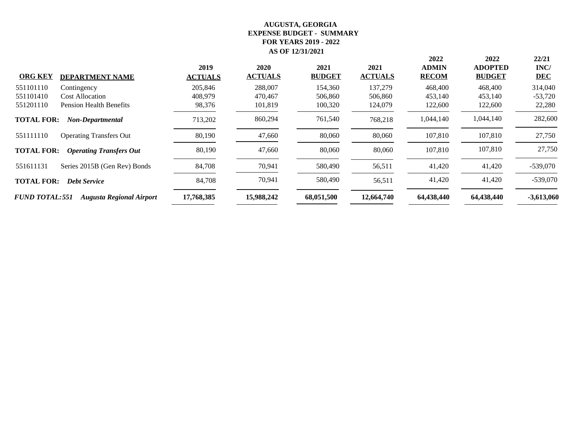| <b>ORG KEY</b>        | <b>DEPARTMENT NAME</b>          | 2019<br><b>ACTUALS</b> | 2020<br><b>ACTUALS</b> | 2021<br><b>BUDGET</b> | 2021<br><b>ACTUALS</b> | 2022<br><b>ADMIN</b><br><b>RECOM</b> | 2022<br><b>ADOPTED</b><br><b>BUDGET</b> | 22/21<br>INC/<br><b>DEC</b> |
|-----------------------|---------------------------------|------------------------|------------------------|-----------------------|------------------------|--------------------------------------|-----------------------------------------|-----------------------------|
| 551101110             | Contingency                     | 205,846                | 288,007                | 154,360               | 137,279                | 468,400                              | 468,400                                 | 314,040                     |
| 551101410             | <b>Cost Allocation</b>          | 408,979                | 470,467                | 506,860               | 506,860                | 453,140                              | 453,140                                 | $-53,720$                   |
| 551201110             | <b>Pension Health Benefits</b>  | 98,376                 | 101,819                | 100,320               | 124,079                | 122,600                              | 122,600                                 | 22,280                      |
| <b>TOTAL FOR:</b>     | <b>Non-Departmental</b>         | 713,202                | 860,294                | 761,540               | 768,218                | 1,044,140                            | 1,044,140                               | 282,600                     |
| 551111110             | <b>Operating Transfers Out</b>  | 80,190                 | 47,660                 | 80,060                | 80,060                 | 107,810                              | 107,810                                 | 27,750                      |
| <b>TOTAL FOR:</b>     | <b>Operating Transfers Out</b>  | 80,190                 | 47,660                 | 80,060                | 80,060                 | 107,810                              | 107,810                                 | 27,750                      |
| 551611131             | Series 2015B (Gen Rev) Bonds    | 84,708                 | 70,941                 | 580,490               | 56,511                 | 41,420                               | 41,420                                  | $-539,070$                  |
| <b>TOTAL FOR:</b>     | <b>Debt Service</b>             | 84,708                 | 70,941                 | 580,490               | 56,511                 | 41,420                               | 41,420                                  | $-539,070$                  |
| <b>FUND TOTAL:551</b> | <b>Augusta Regional Airport</b> | 17,768,385             | 15,988,242             | 68,051,500            | 12,664,740             | 64,438,440                           | 64,438,440                              | $-3,613,060$                |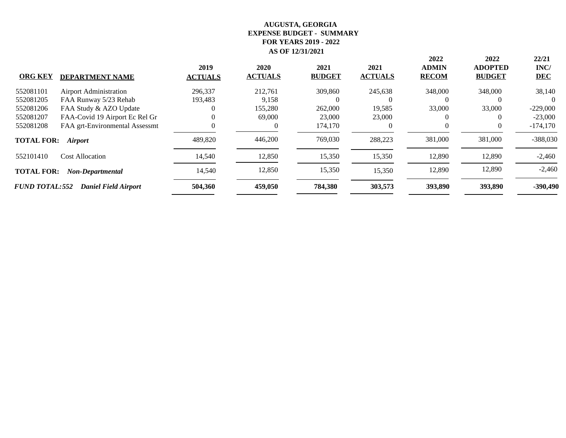| <b>ORG KEY</b>        | <b>DEPARTMENT NAME</b>         | 2019<br><b>ACTUALS</b> | 2020<br><b>ACTUALS</b> | 2021<br><b>BUDGET</b> | 2021<br><b>ACTUALS</b> | 2022<br><b>ADMIN</b><br><b>RECOM</b> | 2022<br><b>ADOPTED</b><br><b>BUDGET</b> | 22/21<br>INC/<br><b>DEC</b> |
|-----------------------|--------------------------------|------------------------|------------------------|-----------------------|------------------------|--------------------------------------|-----------------------------------------|-----------------------------|
| 552081101             | <b>Airport Administration</b>  | 296,337                | 212,761                | 309,860               | 245,638                | 348,000                              | 348,000                                 | 38,140                      |
| 552081205             | FAA Runway 5/23 Rehab          | 193,483                | 9,158                  |                       | $\theta$               |                                      | 0                                       |                             |
| 552081206             | FAA Study & AZO Update         | $\Omega$               | 155,280                | 262,000               | 19,585                 | 33,000                               | 33,000                                  | $-229,000$                  |
| 552081207             | FAA-Covid 19 Airport Ec Rel Gr |                        | 69,000                 | 23,000                | 23,000                 |                                      | $\theta$                                | $-23,000$                   |
| 552081208             | FAA grt-Environmental Assessmt |                        |                        | 174,170               | $\theta$               | $\theta$                             | $\theta$                                | $-174,170$                  |
| <b>TOTAL FOR:</b>     | <i>Airport</i>                 | 489,820                | 446,200                | 769,030               | 288,223                | 381,000                              | 381,000                                 | $-388,030$                  |
| 552101410             | <b>Cost Allocation</b>         | 14,540                 | 12,850                 | 15,350                | 15,350                 | 12,890                               | 12,890                                  | $-2,460$                    |
| <b>TOTAL FOR:</b>     | Non-Departmental               | 14,540                 | 12,850                 | 15,350                | 15,350                 | 12,890                               | 12,890                                  | $-2,460$                    |
| <b>FUND TOTAL:552</b> | <b>Daniel Field Airport</b>    | 504,360                | 459,050                | 784,380               | 303,573                | 393,890                              | 393,890                                 | $-390,490$                  |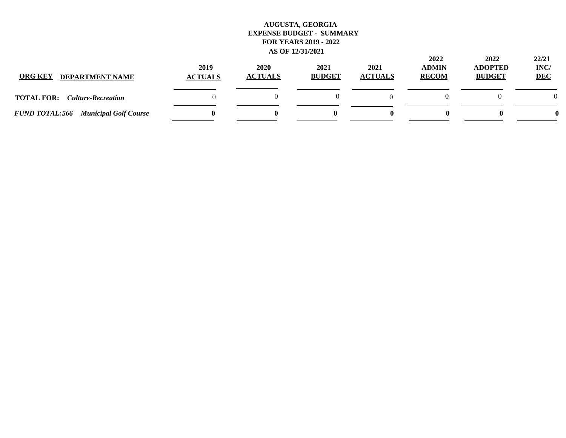| <b>ORG KEY</b><br><b>DEPARTMENT NAME</b>       | 2019<br><b>ACTUALS</b> | 2020<br><b>ACTUALS</b> | 2021<br><b>BUDGET</b> | 2021<br><b>ACTUALS</b> | 2022<br><b>ADMIN</b><br><b>RECOM</b> | 2022<br><b>ADOPTED</b><br><b>BUDGET</b> | 22/21<br>INC/<br><b>DEC</b> |
|------------------------------------------------|------------------------|------------------------|-----------------------|------------------------|--------------------------------------|-----------------------------------------|-----------------------------|
| <b>TOTAL FOR:</b><br><b>Culture-Recreation</b> |                        |                        |                       |                        |                                      |                                         | $\Omega$                    |
| <b>FUND TOTAL:566 Municipal Golf Course</b>    |                        |                        |                       |                        |                                      | o                                       |                             |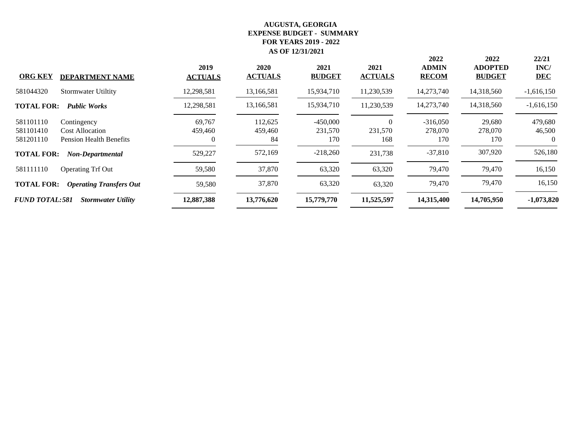| <b>ORG KEY</b><br><b>DEPARTMENT NAME</b>                                                                       | 2019<br><b>ACTUALS</b> | 2020<br><b>ACTUALS</b>   | 2021<br><b>BUDGET</b>        | 2021<br><b>ACTUALS</b> | 2022<br><b>ADMIN</b><br><b>RECOM</b> | 2022<br><b>ADOPTED</b><br><b>BUDGET</b> | 22/21<br>INC/<br><b>DEC</b>   |
|----------------------------------------------------------------------------------------------------------------|------------------------|--------------------------|------------------------------|------------------------|--------------------------------------|-----------------------------------------|-------------------------------|
| 581044320<br><b>Stormwater Utiltity</b>                                                                        | 12,298,581             | 13,166,581               | 15,934,710                   | 11,230,539             | 14,273,740                           | 14,318,560                              | $-1,616,150$                  |
| <b>TOTAL FOR:</b><br><b>Public Works</b>                                                                       | 12,298,581             | 13,166,581               | 15,934,710                   | 11,230,539             | 14,273,740                           | 14,318,560                              | $-1,616,150$                  |
| 581101110<br>Contingency<br>581101410<br><b>Cost Allocation</b><br>581201110<br><b>Pension Health Benefits</b> | 69,767<br>459,460      | 112,625<br>459,460<br>84 | $-450,000$<br>231,570<br>170 | 231,570<br>168         | $-316,050$<br>278,070<br>170         | 29,680<br>278,070<br>170                | 479,680<br>46,500<br>$\theta$ |
| <b>TOTAL FOR:</b><br>Non-Departmental                                                                          | 529,227                | 572,169                  | $-218,260$                   | 231,738                | $-37,810$                            | 307,920                                 | 526,180                       |
| 581111110<br><b>Operating Trf Out</b>                                                                          | 59,580                 | 37,870                   | 63,320                       | 63,320                 | 79,470                               | 79,470                                  | 16,150                        |
| <b>TOTAL FOR:</b><br><b>Operating Transfers Out</b>                                                            | 59,580                 | 37,870                   | 63,320                       | 63,320                 | 79,470                               | 79,470                                  | 16,150                        |
| <b>FUND TOTAL:581</b><br><b>Stormwater Utility</b>                                                             | 12,887,388             | 13,776,620               | 15,779,770                   | 11,525,597             | 14,315,400                           | 14,705,950                              | $-1,073,820$                  |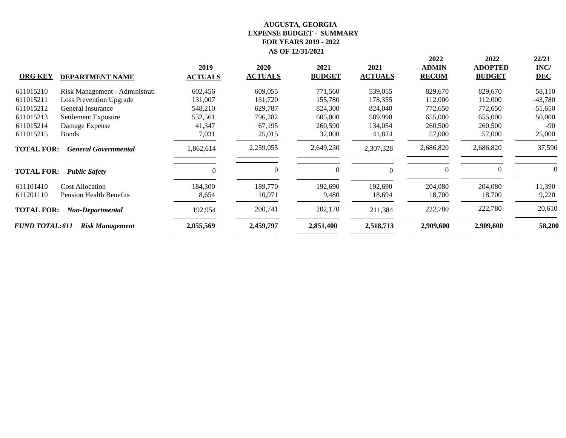|                       |                                |                |                |               |                | 2022         | 2022           | 22/21      |
|-----------------------|--------------------------------|----------------|----------------|---------------|----------------|--------------|----------------|------------|
|                       |                                | 2019           | <b>2020</b>    | 2021          | 2021           | <b>ADMIN</b> | <b>ADOPTED</b> | INC/       |
| <b>ORG KEY</b>        | <b>DEPARTMENT NAME</b>         | <b>ACTUALS</b> | <b>ACTUALS</b> | <b>BUDGET</b> | <b>ACTUALS</b> | <b>RECOM</b> | <b>BUDGET</b>  | <b>DEC</b> |
| 611015210             | Risk Management - Administrati | 602,456        | 609,055        | 771,560       | 539,055        | 829,670      | 829,670        | 58,110     |
| 611015211             | <b>Loss Prevention Upgrade</b> | 131,007        | 131,720        | 155,780       | 178,355        | 112,000      | 112,000        | $-43,780$  |
| 611015212             | General Insurance              | 548,210        | 629,787        | 824,300       | 824,040        | 772,650      | 772,650        | $-51,650$  |
| 611015213             | Settlement Exposure            | 532,561        | 796,282        | 605,000       | 589,998        | 655,000      | 655,000        | 50,000     |
| 611015214             | Damage Expense                 | 41,347         | 67,195         | 260,590       | 134,054        | 260,500      | 260,500        | $-90$      |
| 611015215             | <b>Bonds</b>                   | 7,031          | 25,015         | 32,000        | 41,824         | 57,000       | 57,000         | 25,000     |
| <b>TOTAL FOR:</b>     | <b>General Governmental</b>    | 1,862,614      | 2,259,055      | 2,649,230     | 2,307,328      | 2,686,820    | 2,686,820      | 37,590     |
| <b>TOTAL FOR:</b>     | <b>Public Safety</b>           | $\sqrt{ }$     | 0              | $\Omega$      | $\Omega$       | $\Omega$     | $\theta$       |            |
| 611101410             | <b>Cost Allocation</b>         | 184,300        | 189,770        | 192,690       | 192,690        | 204,080      | 204,080        | 11,390     |
| 611201110             | <b>Pension Health Benefits</b> | 8,654          | 10,971         | 9,480         | 18,694         | 18,700       | 18,700         | 9,220      |
| <b>TOTAL FOR:</b>     | Non-Departmental               | 192,954        | 200,741        | 202,170       | 211,384        | 222,780      | 222,780        | 20,610     |
| <b>FUND TOTAL:611</b> | <b>Risk Management</b>         | 2,055,569      | 2,459,797      | 2,851,400     | 2,518,713      | 2,909,600    | 2,909,600      | 58,200     |
|                       |                                |                |                |               |                |              |                |            |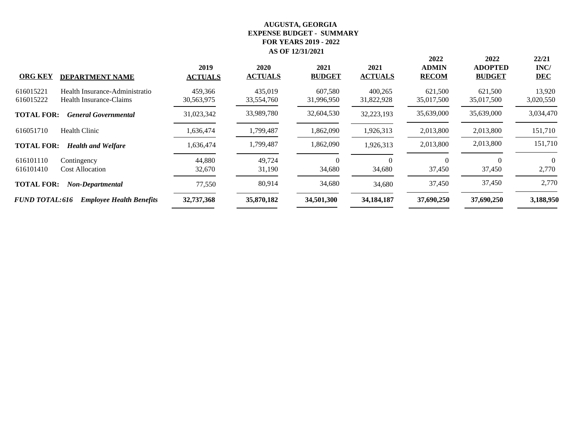| <b>ORG KEY</b>                                                  | <b>DEPARTMENT NAME</b>                                    | 2019<br><b>ACTUALS</b> | 2020<br><b>ACTUALS</b> | 2021<br><b>BUDGET</b> | 2021<br><b>ACTUALS</b> | 2022<br><b>ADMIN</b><br><b>RECOM</b> | 2022<br><b>ADOPTED</b><br><b>BUDGET</b> | 22/21<br>INC/<br><b>DEC</b> |
|-----------------------------------------------------------------|-----------------------------------------------------------|------------------------|------------------------|-----------------------|------------------------|--------------------------------------|-----------------------------------------|-----------------------------|
| 616015221<br>616015222                                          | Health Insurance-Administratio<br>Health Insurance-Claims | 459,366<br>30,563,975  | 435,019<br>33,554,760  | 607,580<br>31,996,950 | 400,265<br>31,822,928  | 621,500<br>35,017,500                | 621,500<br>35,017,500                   | 13,920<br>3,020,550         |
| <b>TOTAL FOR:</b>                                               | <b>General Governmental</b>                               | 31,023,342             | 33,989,780             | 32,604,530            | 32,223,193             | 35,639,000                           | 35,639,000                              | 3,034,470                   |
| 616051710<br><b>Health Clinic</b>                               |                                                           | 1,636,474              | 1,799,487              | 1,862,090             | 1,926,313              | 2,013,800                            | 2,013,800                               | 151,710                     |
| <b>TOTAL FOR:</b>                                               | <b>Health and Welfare</b>                                 | 1,636,474              | 1,799,487              | 1,862,090             | 1,926,313              | 2,013,800                            | 2,013,800                               | 151,710                     |
| 616101110<br>Contingency<br>616101410<br><b>Cost Allocation</b> |                                                           | 44,880<br>32,670       | 49,724<br>31,190       | $\theta$<br>34,680    | 34,680                 | 0<br>37,450                          | $\Omega$<br>37,450                      | $\Omega$<br>2,770           |
| <b>TOTAL FOR:</b>                                               | Non-Departmental                                          | 77,550                 | 80,914                 | 34,680                | 34,680                 | 37,450                               | 37,450                                  | 2,770                       |
| <b>FUND TOTAL:616</b>                                           | <b>Employee Health Benefits</b>                           | 32,737,368             | 35,870,182             | 34,501,300            | 34, 184, 187           | 37,690,250                           | 37,690,250                              | 3,188,950                   |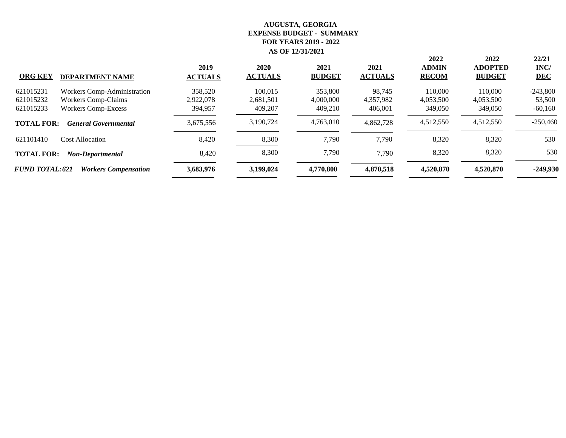| <b>ORG KEY</b>        | <b>DEPARTMENT NAME</b>      | 2019<br><b>ACTUALS</b> | 2020<br><b>ACTUALS</b> | 2021<br><b>BUDGET</b> | 2021<br><b>ACTUALS</b> | 2022<br><b>ADMIN</b><br><b>RECOM</b> | 2022<br><b>ADOPTED</b><br><b>BUDGET</b> | 22/21<br>INC/<br><b>DEC</b> |
|-----------------------|-----------------------------|------------------------|------------------------|-----------------------|------------------------|--------------------------------------|-----------------------------------------|-----------------------------|
| 621015231             | Workers Comp-Administration | 358,520                | 100.015                | 353,800               | 98.745                 | 110,000                              | 110,000                                 | $-243,800$                  |
| 621015232             | <b>Workers Comp-Claims</b>  | 2,922,078              | 2,681,501              | 4,000,000             | 4,357,982              | 4,053,500                            | 4,053,500                               | 53,500                      |
| 621015233             | <b>Workers Comp-Excess</b>  | 394,957                | 409,207                | 409,210               | 406,001                | 349,050                              | 349,050                                 | $-60,160$                   |
| <b>TOTAL FOR:</b>     | <b>General Governmental</b> | 3,675,556              | 3,190,724              | 4,763,010             | 4.862.728              | 4,512,550                            | 4,512,550                               | $-250,460$                  |
| 621101410             | Cost Allocation             | 8,420                  | 8,300                  | 7,790                 | 7,790                  | 8,320                                | 8,320                                   | 530                         |
| <b>TOTAL FOR:</b>     | Non-Departmental            | 8,420                  | 8,300                  | 7,790                 | 7,790                  | 8,320                                | 8,320                                   | 530                         |
| <b>FUND TOTAL:621</b> | <b>Workers Compensation</b> | 3,683,976              | 3,199,024              | 4,770,800             | 4,870,518              | 4,520,870                            | 4,520,870                               | -249,930                    |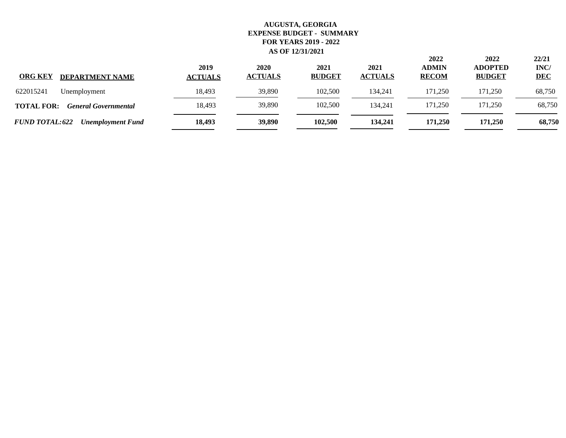| <b>ORG KEY</b><br><b>DEPARTMENT NAME</b>          | 2019<br><b>ACTUALS</b> | 2020<br><b>ACTUALS</b> | 2021<br><b>BUDGET</b> | 2021<br><b>ACTUALS</b> | 2022<br><b>ADMIN</b><br><b>RECOM</b> | 2022<br><b>ADOPTED</b><br><b>BUDGET</b> | 22/21<br>INC/<br><b>DEC</b> |
|---------------------------------------------------|------------------------|------------------------|-----------------------|------------------------|--------------------------------------|-----------------------------------------|-----------------------------|
| 622015241<br>Unemployment                         | 18,493                 | 39,890                 | 102.500               | 134.241                | 171.250                              | 171.250                                 | 68,750                      |
| <b>TOTAL FOR:</b><br><b>General Governmental</b>  | 18,493                 | 39,890                 | 102,500               | 134.241                | 171,250                              | 171,250                                 | 68,750                      |
| <b>FUND TOTAL:622</b><br><b>Unemployment Fund</b> | 18,493                 | 39,890                 | 102,500               | 134,241                | 171.250                              | 171.250                                 | 68,750                      |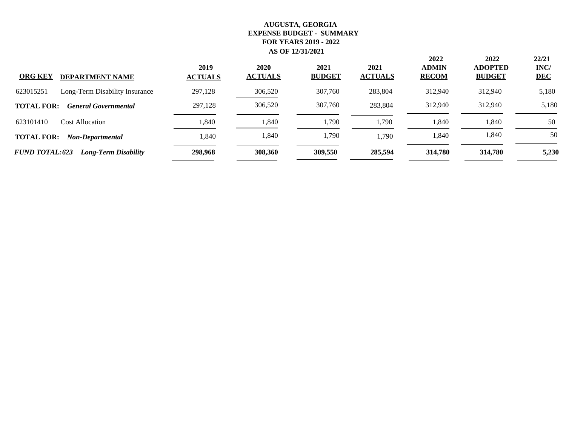| <b>ORG KEY</b><br><b>DEPARTMENT NAME</b>             | 2019<br><b>ACTUALS</b> | 2020<br><b>ACTUALS</b> | 2021<br><b>BUDGET</b> | 2021<br><b>ACTUALS</b> | 2022<br><b>ADMIN</b><br><b>RECOM</b> | 2022<br><b>ADOPTED</b><br><b>BUDGET</b> | 22/21<br>INC/<br><b>DEC</b> |
|------------------------------------------------------|------------------------|------------------------|-----------------------|------------------------|--------------------------------------|-----------------------------------------|-----------------------------|
| 623015251<br>Long-Term Disability Insurance          | 297,128                | 306,520                | 307,760               | 283,804                | 312,940                              | 312,940                                 | 5,180                       |
| <b>TOTAL FOR:</b><br><b>General Governmental</b>     | 297,128                | 306,520                | 307,760               | 283,804                | 312,940                              | 312,940                                 | 5,180                       |
| 623101410<br><b>Cost Allocation</b>                  | ,840                   | 1,840                  | 1,790                 | 1,790                  | 1,840                                | 1,840                                   | 50                          |
| <b>TOTAL FOR:</b><br>Non-Departmental                | 1,840                  | 1,840                  | 1,790                 | 1,790                  | 1,840                                | 1,840                                   | 50                          |
| <b>FUND TOTAL:623</b><br><b>Long-Term Disability</b> | 298,968                | 308,360                | 309,550               | 285,594                | 314,780                              | 314,780                                 | 5,230                       |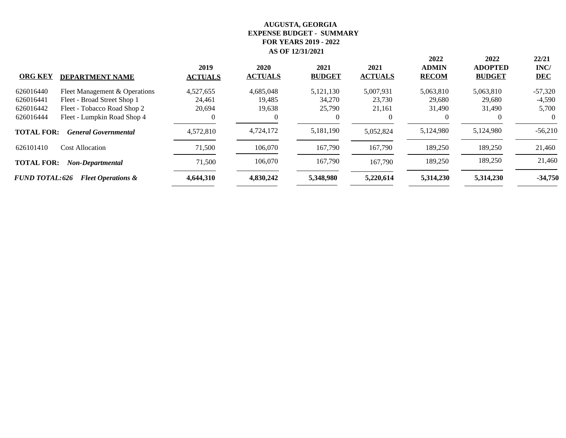|                       |                               |                |                        |                       |                        | 2022                         | 2022                            | 22/21              |
|-----------------------|-------------------------------|----------------|------------------------|-----------------------|------------------------|------------------------------|---------------------------------|--------------------|
| <b>ORG KEY</b>        |                               | 2019           | 2020<br><b>ACTUALS</b> | 2021<br><b>BUDGET</b> | 2021<br><b>ACTUALS</b> | <b>ADMIN</b><br><b>RECOM</b> | <b>ADOPTED</b><br><b>BUDGET</b> | INC/<br><b>DEC</b> |
|                       | <b>DEPARTMENT NAME</b>        | <b>ACTUALS</b> |                        |                       |                        |                              |                                 |                    |
| 626016440             | Fleet Management & Operations | 4,527,655      | 4,685,048              | 5,121,130             | 5,007,931              | 5,063,810                    | 5,063,810                       | $-57,320$          |
| 626016441             | Fleet - Broad Street Shop 1   | 24,461         | 19,485                 | 34,270                | 23,730                 | 29,680                       | 29,680                          | $-4,590$           |
| 626016442             | Fleet - Tobacco Road Shop 2   | 20,694         | 19,638                 | 25,790                | 21,161                 | 31,490                       | 31,490                          | 5,700              |
| 626016444             | Fleet - Lumpkin Road Shop 4   |                |                        | $\theta$              | $\theta$               | $\theta$                     | $\theta$                        | $\Omega$           |
| <b>TOTAL FOR:</b>     | <b>General Governmental</b>   | 4,572,810      | 4,724,172              | 5,181,190             | 5,052,824              | 5,124,980                    | 5,124,980                       | $-56,210$          |
| 626101410             | <b>Cost Allocation</b>        | 71,500         | 106,070                | 167,790               | 167,790                | 189,250                      | 189,250                         | 21,460             |
| <b>TOTAL FOR:</b>     | Non-Departmental              | 71,500         | 106,070                | 167,790               | 167,790                | 189,250                      | 189,250                         | 21,460             |
| <b>FUND TOTAL:626</b> | <b>Fleet Operations &amp;</b> | 4,644,310      | 4.830.242              | 5,348,980             | 5,220,614              | 5,314,230                    | 5,314,230                       | $-34,750$          |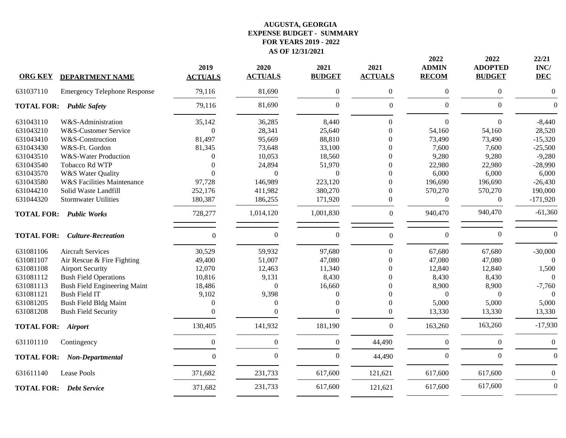| <b>ORG KEY</b>            | <b>DEPARTMENT NAME</b>              | 2019<br><b>ACTUALS</b> | 2020<br><b>ACTUALS</b> | 2021<br><b>BUDGET</b> | 2021<br><b>ACTUALS</b> | 2022<br><b>ADMIN</b><br><b>RECOM</b> | 2022<br><b>ADOPTED</b><br><b>BUDGET</b> | 22/21<br>INC/<br><b>DEC</b> |
|---------------------------|-------------------------------------|------------------------|------------------------|-----------------------|------------------------|--------------------------------------|-----------------------------------------|-----------------------------|
| 631037110                 | <b>Emergency Telephone Response</b> | 79,116                 | 81,690                 | $\boldsymbol{0}$      | $\boldsymbol{0}$       | $\boldsymbol{0}$                     | $\overline{0}$                          | $\overline{0}$              |
|                           | <b>TOTAL FOR: Public Safety</b>     | 79,116                 | 81,690                 | $\boldsymbol{0}$      | $\mathbf{0}$           | $\boldsymbol{0}$                     | $\overline{0}$                          | $\Omega$                    |
| 631043110                 | W&S-Administration                  | 35,142                 | 36,285                 | 8,440                 | $\Omega$               | $\mathbf{0}$                         | $\Omega$                                | $-8,440$                    |
| 631043210                 | W&S-Customer Service                | $\mathbf{0}$           | 28,341                 | 25,640                | $\Omega$               | 54,160                               | 54,160                                  | 28,520                      |
| 631043410                 | W&S-Construction                    | 81,497                 | 95,669                 | 88,810                | $\theta$               | 73,490                               | 73,490                                  | $-15,320$                   |
| 631043430                 | W&S-Ft. Gordon                      | 81,345                 | 73,648                 | 33,100                | $\Omega$               | 7,600                                | 7,600                                   | $-25,500$                   |
| 631043510                 | W&S-Water Production                | $\Omega$               | 10,053                 | 18,560                | $\Omega$               | 9,280                                | 9,280                                   | $-9,280$                    |
| 631043540                 | Tobacco Rd WTP                      | $\Omega$               | 24,894                 | 51,970                | $\Omega$               | 22,980                               | 22,980                                  | $-28,990$                   |
| 631043570                 | W&S Water Quality                   | $\Omega$               | $\Omega$               | $\theta$              | $\Omega$               | 6,000                                | 6,000                                   | 6,000                       |
| 631043580                 | W&S Facilities Maintenance          | 97,728                 | 146,989                | 223,120               | $\Omega$               | 196,690                              | 196,690                                 | $-26,430$                   |
| 631044210                 | Solid Waste Landfill                | 252,176                | 411,982                | 380,270               | $\Omega$               | 570,270                              | 570,270                                 | 190,000                     |
| 631044320                 | <b>Stormwater Utilities</b>         | 180,387                | 186,255                | 171,920               | $\theta$               | $\Omega$                             | $\Omega$                                | $-171,920$                  |
|                           | <b>TOTAL FOR: Public Works</b>      | 728,277                | 1,014,120              | 1,001,830             | $\theta$               | 940,470                              | 940,470                                 | $-61,360$                   |
| <b>TOTAL FOR:</b>         | <b>Culture-Recreation</b>           | $\Omega$               | $\boldsymbol{0}$       | $\boldsymbol{0}$      | $\mathbf{0}$           | $\Omega$                             | $\Omega$                                | $\Omega$                    |
| 631081106                 | <b>Aircraft Services</b>            | 30,529                 | 59,932                 | 97,680                | $\overline{0}$         | 67,680                               | 67,680                                  | $-30,000$                   |
| 631081107                 | Air Rescue & Fire Fighting          | 49,400                 | 51,007                 | 47,080                | $\theta$               | 47,080                               | 47,080                                  | $\Omega$                    |
| 631081108                 | <b>Airport Security</b>             | 12,070                 | 12,463                 | 11,340                | $\Omega$               | 12,840                               | 12,840                                  | 1,500                       |
| 631081112                 | <b>Bush Field Operations</b>        | 10,816                 | 9,131                  | 8,430                 | $\Omega$               | 8,430                                | 8,430                                   | $\Omega$                    |
| 631081113                 | <b>Bush Field Engineering Maint</b> | 18,486                 | $\overline{0}$         | 16,660                | $\Omega$               | 8,900                                | 8,900                                   | $-7,760$                    |
| 631081121                 | <b>Bush Field IT</b>                | 9,102                  | 9,398                  | $\Omega$              | $\Omega$               | $\theta$                             | $\Omega$                                | $\Omega$                    |
| 631081205                 | <b>Bush Field Bldg Maint</b>        | $\Omega$               | $\theta$               | $\Omega$              | $\Omega$               | 5,000                                | 5,000                                   | 5,000                       |
| 631081208                 | <b>Bush Field Security</b>          | $\Omega$               | $\boldsymbol{0}$       | $\mathbf{0}$          | $\overline{0}$         | 13,330                               | 13,330                                  | 13,330                      |
| <b>TOTAL FOR: Airport</b> |                                     | 130,405                | 141,932                | 181,190               | $\mathbf{0}$           | 163,260                              | 163,260                                 | $-17,930$                   |
| 631101110                 | Contingency                         | $\boldsymbol{0}$       | $\overline{0}$         | $\boldsymbol{0}$      | 44,490                 | $\boldsymbol{0}$                     | $\mathbf{0}$                            | $\boldsymbol{0}$            |
|                           | <b>TOTAL FOR:</b> Non-Departmental  | $\boldsymbol{0}$       | $\boldsymbol{0}$       | $\boldsymbol{0}$      | 44,490                 | $\mathbf{0}$                         | $\theta$                                | $\mathbf{0}$                |
| 631611140                 | Lease Pools                         | 371,682                | 231,733                | 617,600               | 121,621                | 617,600                              | 617,600                                 | $\boldsymbol{0}$            |
|                           | <b>TOTAL FOR:</b> Debt Service      | 371,682                | 231,733                | 617,600               | 121,621                | 617,600                              | 617,600                                 | $\Omega$                    |
|                           |                                     |                        |                        |                       |                        |                                      |                                         |                             |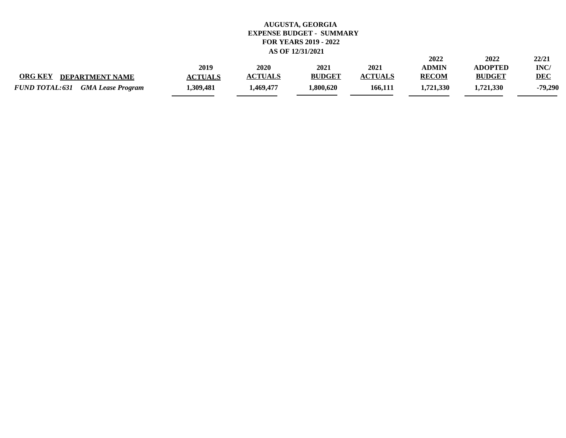|                                                   |                |                |               |                | 2022         | 2022           | 22/21      |
|---------------------------------------------------|----------------|----------------|---------------|----------------|--------------|----------------|------------|
|                                                   | 2019           | 2020           | 2021          | 2021           | ADMIN        | <b>ADOPTED</b> | INC/       |
| <b>ORG KEY</b><br><b>DEPARTMENT NAME</b>          | <b>ACTUALS</b> | <b>ACTUALS</b> | <b>BUDGET</b> | <b>ACTUALS</b> | <b>RECOM</b> | <b>BUDGET</b>  | <b>DEC</b> |
| <b>FUND TOTAL:631</b><br><b>GMA Lease Program</b> | .309.481       | 469,477.       | .800.620      | 166,111        | 1.721.330    | 1.721.330      | -79,290    |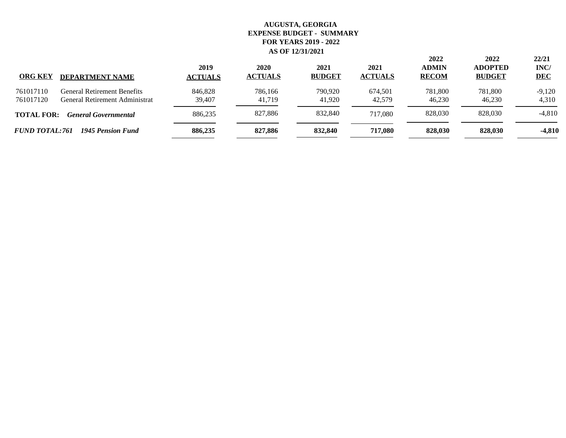| <b>ORG KEY</b>         | <b>DEPARTMENT NAME</b>                                               | 2019<br><b>ACTUALS</b> | 2020<br><b>ACTUALS</b> | 2021<br><b>BUDGET</b> | 2021<br><b>ACTUALS</b> | 2022<br><b>ADMIN</b><br><b>RECOM</b> | 2022<br><b>ADOPTED</b><br><b>BUDGET</b> | 22/21<br>INC/<br><b>DEC</b> |
|------------------------|----------------------------------------------------------------------|------------------------|------------------------|-----------------------|------------------------|--------------------------------------|-----------------------------------------|-----------------------------|
| 761017110<br>761017120 | <b>General Retirement Benefits</b><br>General Retirement Administrat | 846,828<br>39,407      | 786,166<br>41,719      | 790,920<br>41.920     | 674,501<br>42.579      | 781,800<br>46.230                    | 781,800<br>46.230                       | $-9,120$<br>4,310           |
| <b>TOTAL FOR:</b>      | <b>General Governmental</b>                                          | 886,235                | 827,886                | 832,840               | 717.080                | 828,030                              | 828,030                                 | $-4,810$                    |
| <b>FUND TOTAL:761</b>  | 1945 Pension Fund                                                    | 886,235                | 827,886                | 832,840               | 717.080                | 828,030                              | 828.030                                 | $-4,810$                    |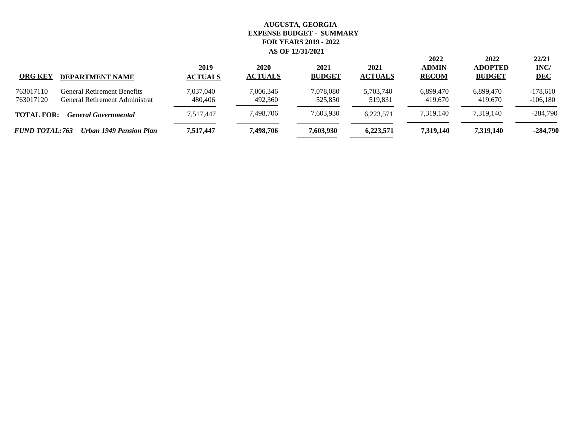| <b>ORG KEY</b>         | <b>DEPARTMENT NAME</b>                                        | 2019<br><b>ACTUALS</b> | 2020<br><b>ACTUALS</b> | 2021<br><b>BUDGET</b> | 2021<br><b>ACTUALS</b> | 2022<br><b>ADMIN</b><br><b>RECOM</b> | 2022<br><b>ADOPTED</b><br><b>BUDGET</b> | 22/21<br>INC/<br><b>DEC</b> |
|------------------------|---------------------------------------------------------------|------------------------|------------------------|-----------------------|------------------------|--------------------------------------|-----------------------------------------|-----------------------------|
| 763017110<br>763017120 | General Retirement Benefits<br>General Retirement Administrat | 7,037,040<br>480,406   | 7.006.346<br>492,360   | 7,078,080<br>525,850  | 5,703,740<br>519.831   | 6,899,470<br>419.670                 | 6,899,470<br>419,670                    | $-178,610$<br>$-106,180$    |
| <b>TOTAL FOR:</b>      | <b>General Governmental</b>                                   | 7,517,447              | 7,498,706              | 7,603,930             | 6,223,571              | 7,319,140                            | 7.319.140                               | $-284,790$                  |
| <b>FUND TOTAL:763</b>  | Urban 1949 Pension Plan                                       | 7,517,447              | 7,498,706              | 7,603,930             | 6,223,571              | 7,319,140                            | 7,319,140                               | $-284,790$                  |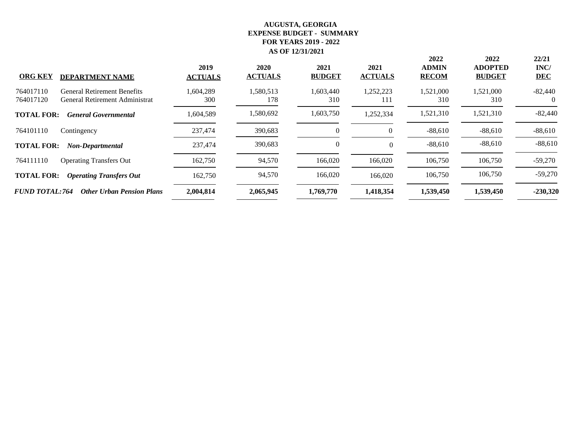| <b>ORG KEY</b><br><b>DEPARTMENT NAME</b>                                                       | 2019<br><b>ACTUALS</b> | 2020<br><b>ACTUALS</b> | 2021<br><b>BUDGET</b> | 2021<br><b>ACTUALS</b> | 2022<br><b>ADMIN</b><br><b>RECOM</b> | 2022<br><b>ADOPTED</b><br><b>BUDGET</b> | 22/21<br>INC/<br><b>DEC</b> |
|------------------------------------------------------------------------------------------------|------------------------|------------------------|-----------------------|------------------------|--------------------------------------|-----------------------------------------|-----------------------------|
| 764017110<br><b>General Retirement Benefits</b><br>764017120<br>General Retirement Administrat | 1,604,289<br>300       | 1,580,513<br>178       | 1,603,440<br>310      | 1,252,223<br>111       | 1,521,000<br>310                     | 1,521,000<br>310                        | $-82,440$                   |
| <b>TOTAL FOR:</b><br><b>General Governmental</b>                                               | 1,604,589              | 1,580,692              | 1,603,750             | 1,252,334              | 1,521,310                            | 1,521,310                               | $-82,440$                   |
| 764101110<br>Contingency                                                                       | 237,474                | 390,683                | $\theta$              |                        | $-88,610$                            | $-88,610$                               | $-88,610$                   |
| <b>TOTAL FOR:</b><br><b>Non-Departmental</b>                                                   | 237,474                | 390,683                | $\theta$              | $\Omega$               | $-88,610$                            | $-88,610$                               | $-88,610$                   |
| 764111110<br><b>Operating Transfers Out</b>                                                    | 162,750                | 94,570                 | 166,020               | 166,020                | 106,750                              | 106,750                                 | $-59,270$                   |
| <b>TOTAL FOR:</b><br><b>Operating Transfers Out</b>                                            | 162,750                | 94,570                 | 166,020               | 166,020                | 106,750                              | 106,750                                 | $-59,270$                   |
| <b>FUND TOTAL:764</b><br><b>Other Urban Pension Plans</b>                                      | 2,004,814              | 2,065,945              | 1,769,770             | 1,418,354              | 1,539,450                            | 1,539,450                               | $-230,320$                  |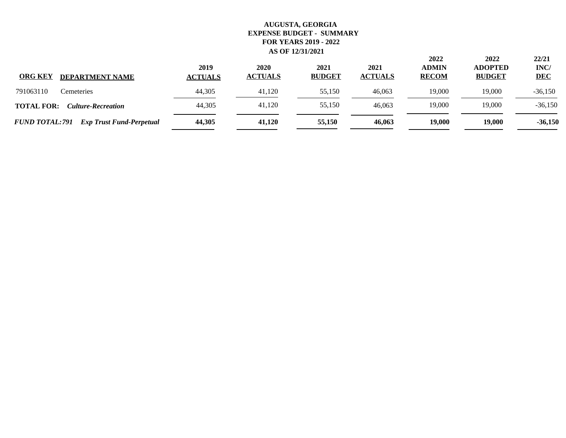| <b>ORG KEY</b><br><b>DEPARTMENT NAME</b>                 | 2019<br><b>ACTUALS</b> | 2020<br><b>ACTUALS</b> | 2021<br><b>BUDGET</b> | 2021<br><b>ACTUALS</b> | 2022<br><b>ADMIN</b><br><b>RECOM</b> | 2022<br><b>ADOPTED</b><br><b>BUDGET</b> | 22/21<br>INC/<br><b>DEC</b> |
|----------------------------------------------------------|------------------------|------------------------|-----------------------|------------------------|--------------------------------------|-----------------------------------------|-----------------------------|
| 791063110<br>Cemeteries                                  | 44,305                 | 41.120                 | 55,150                | 46,063                 | 19,000                               | 19,000                                  | $-36,150$                   |
| <b>TOTAL FOR:</b><br><b>Culture-Recreation</b>           | 44,305                 | 41,120                 | 55,150                | 46,063                 | 19,000                               | 19,000                                  | $-36,150$                   |
| <b>FUND TOTAL:791</b><br><b>Exp Trust Fund-Perpetual</b> | 44,305                 | 41,120                 | 55,150                | 46,063                 | 19,000                               | 19,000                                  | $-36,150$                   |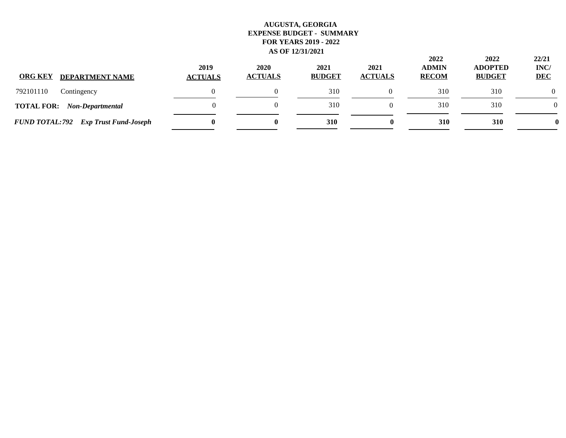| <b>ORG KEY</b><br><b>DEPARTMENT NAME</b>     | 2019<br><b>ACTUALS</b> | 2020<br><b>ACTUALS</b> | 2021<br><b>BUDGET</b> | 2021<br><b>ACTUALS</b> | 2022<br><b>ADMIN</b><br><b>RECOM</b> | 2022<br><b>ADOPTED</b><br><b>BUDGET</b> | 22/21<br>INC/<br><b>DEC</b> |
|----------------------------------------------|------------------------|------------------------|-----------------------|------------------------|--------------------------------------|-----------------------------------------|-----------------------------|
| 792101110<br>Contingency                     |                        |                        | 310                   |                        | 310                                  | 310                                     |                             |
| <b>TOTAL FOR:</b><br>Non-Departmental        |                        |                        | 310                   |                        | 310                                  | 310                                     | $\Omega$                    |
| <b>FUND TOTAL: 792</b> Exp Trust Fund-Joseph | 0                      | $\bf{0}$               | <b>310</b>            | 0                      | 310                                  | <b>310</b>                              |                             |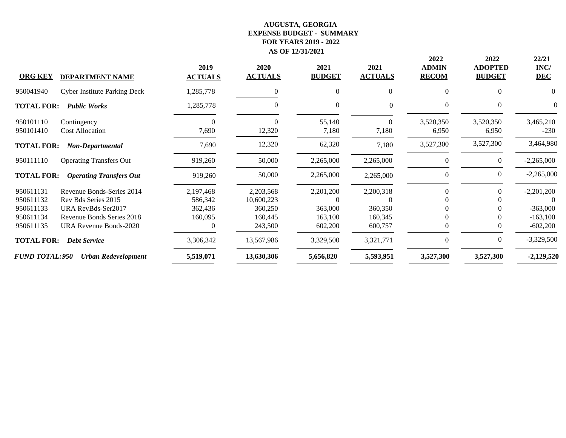| <b>ORG KEY</b>                                   | <b>DEPARTMENT NAME</b>                                                                              | 2019<br><b>ACTUALS</b>                     | 2020<br><b>ACTUALS</b>                        | 2021<br><b>BUDGET</b>                       | 2021<br><b>ACTUALS</b>          | 2022<br><b>ADMIN</b><br><b>RECOM</b> | 2022<br><b>ADOPTED</b><br><b>BUDGET</b> | 22/21<br>INC/<br><b>DEC</b>              |
|--------------------------------------------------|-----------------------------------------------------------------------------------------------------|--------------------------------------------|-----------------------------------------------|---------------------------------------------|---------------------------------|--------------------------------------|-----------------------------------------|------------------------------------------|
| 950041940                                        | <b>Cyber Institute Parking Deck</b>                                                                 | 1,285,778                                  | 0                                             | $\mathbf{0}$                                | $\overline{0}$                  | $\mathbf{0}$                         | $\Omega$                                | 0                                        |
| <b>TOTAL FOR:</b>                                | <b>Public Works</b>                                                                                 | 1,285,778                                  | $\theta$                                      | $\theta$                                    | $\Omega$                        | $\mathbf{0}$                         | $\Omega$                                | $\Omega$                                 |
| 950101110<br>950101410                           | Contingency<br><b>Cost Allocation</b>                                                               | 7,690                                      | 0<br>12,320                                   | 55,140<br>7,180                             | $\theta$<br>7,180               | 3,520,350<br>6,950                   | 3,520,350<br>6,950                      | 3,465,210<br>$-230$                      |
| <b>TOTAL FOR:</b>                                | Non-Departmental                                                                                    | 7,690                                      | 12,320                                        | 62,320                                      | 7,180                           | 3,527,300                            | 3,527,300                               | 3,464,980                                |
| 950111110                                        | <b>Operating Transfers Out</b>                                                                      | 919,260                                    | 50,000                                        | 2,265,000                                   | 2,265,000                       | $\mathbf{0}$                         | $\overline{0}$                          | $-2,265,000$                             |
| <b>TOTAL FOR:</b>                                | <b>Operating Transfers Out</b>                                                                      | 919,260                                    | 50,000                                        | 2,265,000                                   | 2,265,000                       | $\boldsymbol{0}$                     | $\Omega$                                | $-2,265,000$                             |
| 950611131<br>950611132<br>950611133<br>950611134 | Revenue Bonds-Series 2014<br>Rev Bds Series 2015<br>URA RevBds-Ser2017<br>Revenue Bonds Series 2018 | 2,197,468<br>586,342<br>362,436<br>160,095 | 2,203,568<br>10,600,223<br>360,250<br>160,445 | 2,201,200<br>$\Omega$<br>363,000<br>163,100 | 2,200,318<br>360,350<br>160,345 | 0                                    | $\Omega$                                | $-2,201,200$<br>$-363,000$<br>$-163,100$ |
| 950611135<br><b>TOTAL FOR:</b>                   | URA Revenue Bonds-2020<br><b>Debt Service</b>                                                       | 3,306,342                                  | 243,500<br>13,567,986                         | 602,200<br>3,329,500                        | 600,757<br>3,321,771            | $\Omega$                             | $\left($                                | $-602,200$<br>$-3,329,500$               |
| <b>FUND TOTAL:950</b>                            | <b>Urban Redevelopment</b>                                                                          | 5,519,071                                  | 13,630,306                                    | 5,656,820                                   | 5,593,951                       | 3,527,300                            | 3,527,300                               | $-2,129,520$                             |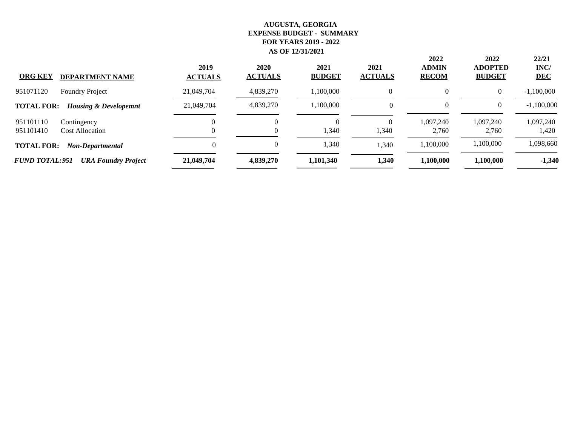|                                                       | 2019           | 2020           | 2021          | 2021           | 2022<br><b>ADMIN</b> | 2022<br><b>ADOPTED</b> | 22/21<br>INC/ |
|-------------------------------------------------------|----------------|----------------|---------------|----------------|----------------------|------------------------|---------------|
| <b>ORG KEY</b><br><b>DEPARTMENT NAME</b>              | <b>ACTUALS</b> | <b>ACTUALS</b> | <b>BUDGET</b> | <b>ACTUALS</b> | <b>RECOM</b>         | <b>BUDGET</b>          | <b>DEC</b>    |
| 951071120<br><b>Foundry Project</b>                   | 21,049,704     | 4,839,270      | 1,100,000     | $\Omega$       | $\Omega$             | $\Omega$               | $-1,100,000$  |
| <b>TOTAL FOR:</b><br><b>Housing &amp; Developemnt</b> | 21,049,704     | 4,839,270      | 1,100,000     |                | $\Omega$             | $\Omega$               | $-1,100,000$  |
| 951101110<br>Contingency                              |                | 0              | $\Omega$      | $\theta$       | 1,097,240            | 1,097,240              | 1,097,240     |
| 951101410<br><b>Cost Allocation</b>                   |                | $\theta$       | 1,340         | 1,340          | 2.760                | 2.760                  | 1,420         |
| <b>TOTAL FOR:</b><br>Non-Departmental                 | $\Omega$       | 0              | 1,340         | 1,340          | 1,100,000            | 1,100,000              | 1,098,660     |
| <b>FUND TOTAL:951</b><br><b>URA Foundry Project</b>   | 21,049,704     | 4,839,270      | 1,101,340     | 1,340          | 1,100,000            | 1,100,000              | $-1,340$      |